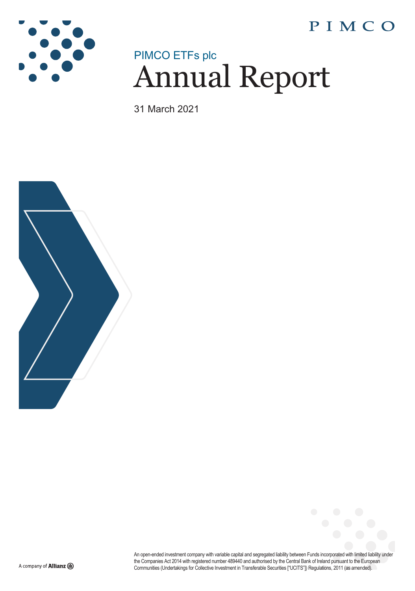## PIMCO



# PIMCO ETFs plc Annual Report

31 March 2021





An open-ended investment company with variable capital and segregated liability between Funds incorporated with limited liability under the Companies Act 2014 with registered number 489440 and authorised by the Central Bank of Ireland pursuant to the European Communities (Undertakings for Collective Investment in Transferable Securities ["UCITS"]) Regulations, 2011 (as amended).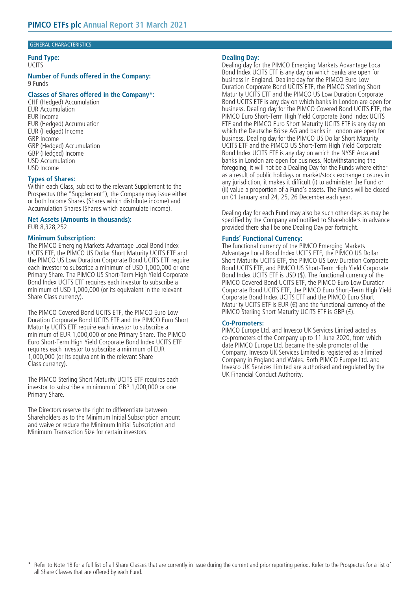### GENERAL CHARACTERISTICS

#### **Fund Type:** UCITS

**Number of Funds offered in the Company:** 9 Funds

### **Classes of Shares offered in the Company\*:**

CHF (Hedged) Accumulation EUR Accumulation EUR Income EUR (Hedged) Accumulation EUR (Hedged) Income GBP Income GBP (Hedged) Accumulation GBP (Hedged) Income USD Accumulation USD Income

### **Types of Shares:**

Within each Class, subject to the relevant Supplement to the Prospectus (the "Supplement"), the Company may issue either or both Income Shares (Shares which distribute income) and Accumulation Shares (Shares which accumulate income).

#### **Net Assets (Amounts in thousands):** EUR 8,328,252

#### **Minimum Subscription:**

The PIMCO Emerging Markets Advantage Local Bond Index UCITS ETF, the PIMCO US Dollar Short Maturity UCITS ETF and the PIMCO US Low Duration Corporate Bond UCITS ETF require each investor to subscribe a minimum of USD 1,000,000 or one Primary Share. The PIMCO US Short-Term High Yield Corporate Bond Index UCITS ETF requires each investor to subscribe a minimum of USD 1,000,000 (or its equivalent in the relevant Share Class currency).

The PIMCO Covered Bond UCITS ETF, the PIMCO Euro Low Duration Corporate Bond UCITS ETF and the PIMCO Euro Short Maturity UCITS ETF require each investor to subscribe a minimum of EUR 1,000,000 or one Primary Share. The PIMCO Euro Short-Term High Yield Corporate Bond Index UCITS ETF requires each investor to subscribe a minimum of EUR 1,000,000 (or its equivalent in the relevant Share Class currency).

The PIMCO Sterling Short Maturity UCITS ETF requires each investor to subscribe a minimum of GBP 1,000,000 or one Primary Share.

The Directors reserve the right to differentiate between Shareholders as to the Minimum Initial Subscription amount and waive or reduce the Minimum Initial Subscription and Minimum Transaction Size for certain investors.

### **Dealing Day:**

Dealing day for the PIMCO Emerging Markets Advantage Local Bond Index UCITS ETF is any day on which banks are open for business in England. Dealing day for the PIMCO Euro Low Duration Corporate Bond UCITS ETF, the PIMCO Sterling Short Maturity UCITS ETF and the PIMCO US Low Duration Corporate Bond UCITS ETF is any day on which banks in London are open for business. Dealing day for the PIMCO Covered Bond UCITS ETF, the PIMCO Euro Short-Term High Yield Corporate Bond Index UCITS ETF and the PIMCO Euro Short Maturity UCITS ETF is any day on which the Deutsche Börse AG and banks in London are open for business. Dealing day for the PIMCO US Dollar Short Maturity UCITS ETF and the PIMCO US Short-Term High Yield Corporate Bond Index UCITS ETF is any day on which the NYSE Arca and banks in London are open for business. Notwithstanding the foregoing, it will not be a Dealing Day for the Funds where either as a result of public holidays or market/stock exchange closures in any jurisdiction, it makes it difficult (i) to administer the Fund or (ii) value a proportion of a Fund's assets. The Funds will be closed on 01 January and 24, 25, 26 December each year.

Dealing day for each Fund may also be such other days as may be specified by the Company and notified to Shareholders in advance provided there shall be one Dealing Day per fortnight.

### **Funds' Functional Currency:**

The functional currency of the PIMCO Emerging Markets Advantage Local Bond Index UCITS ETF, the PIMCO US Dollar Short Maturity UCITS ETF, the PIMCO US Low Duration Corporate Bond UCITS ETF, and PIMCO US Short-Term High Yield Corporate Bond Index UCITS ETF is USD (\$). The functional currency of the PIMCO Covered Bond UCITS ETF, the PIMCO Euro Low Duration Corporate Bond UCITS ETF, the PIMCO Euro Short-Term High Yield Corporate Bond Index UCITS ETF and the PIMCO Euro Short Maturity UCITS ETF is EUR  $(\epsilon)$  and the functional currency of the PIMCO Sterling Short Maturity UCITS ETF is GBP (£).

### **Co-Promoters:**

PIMCO Europe Ltd. and Invesco UK Services Limited acted as co-promoters of the Company up to 11 June 2020, from which date PIMCO Europe Ltd. became the sole promoter of the Company. Invesco UK Services Limited is registered as a limited Company in England and Wales. Both PIMCO Europe Ltd. and Invesco UK Services Limited are authorised and regulated by the UK Financial Conduct Authority.

\* Refer to Note 18 for a full list of all Share Classes that are currently in issue during the current and prior reporting period. Refer to the Prospectus for a list of all Share Classes that are offered by each Fund.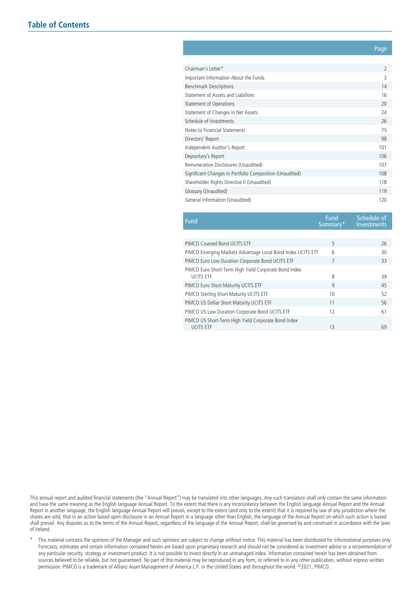| Chairman's Letter*                                       | $\overline{2}$ |
|----------------------------------------------------------|----------------|
| Important Information About the Funds                    | 3              |
| <b>Benchmark Descriptions</b>                            | 14             |
| Statement of Assets and Liabilities                      | 16             |
| Statement of Operations                                  | 20             |
| Statement of Changes in Net Assets                       | 24             |
| Schedule of Investments                                  | 26             |
| Notes to Financial Statements                            | 75             |
| Directors' Report                                        | 98             |
| Independent Auditor's Report                             | 101            |
| Depositary's Report                                      | 106            |
| Remuneration Disclosures (Unaudited)                     | 107            |
| Significant Changes in Portfolio Composition (Unaudited) | 108            |
| Shareholder Rights Directive II (Unaudited)              | 118            |
| Glossary (Unaudited)                                     | 119            |
| General Information (Unaudited)                          | 120            |

| <b>Fund</b>                                                               | Fund<br>Summary* | Schedule of<br><b>Investments</b> |
|---------------------------------------------------------------------------|------------------|-----------------------------------|
|                                                                           |                  |                                   |
| PIMCO Covered Bond UCITS ETF                                              | 5                | 26                                |
| PIMCO Emerging Markets Advantage Local Bond Index UCITS ETF               | 6                | 30                                |
| PIMCO Euro Low Duration Corporate Bond UCITS ETF                          | $\overline{7}$   | 33                                |
| PIMCO Euro Short-Term High Yield Corporate Bond Index<br><b>UCITS ETF</b> | 8                | 39                                |
| PIMCO Euro Short Maturity UCITS ETF                                       | 9                | 45                                |
| PIMCO Sterling Short Maturity UCITS ETF                                   | 10               | 52                                |
| PIMCO US Dollar Short Maturity UCITS ETF                                  | 11               | 56                                |
| PIMCO US Low Duration Corporate Bond UCITS ETF                            | 12               | 61                                |
| PIMCO US Short-Term High Yield Corporate Bond Index<br><b>UCITS ETF</b>   | 13               | 69                                |

This annual report and audited financial statements (the "Annual Report") may be translated into other languages. Any such translation shall only contain the same information and have the same meaning as the English language Annual Report. To the extent that there is any inconsistency between the English language Annual Report and the Annual Report in another language, the English language Annual Report will prevail, except to the extent (and only to the extent) that it is required by law of any jurisdiction where the shares are sold, that in an action based upon disclosure in an Annual Report in a language other than English, the language of the Annual Report on which such action is based shall prevail. Any disputes as to the terms of the Annual Report, regardless of the language of the Annual Report, shall be governed by and construed in accordance with the laws of Ireland.

This material contains the opinions of the Manager and such opinions are subject to change without notice. This material has been distributed for informational purposes only. Forecasts, estimates and certain information contained herein are based upon proprietary research and should not be considered as investment advice or a recommendation of any particular security, strategy or investment product. It is not possible to invest directly in an unmanaged index. Information contained herein has been obtained from sources believed to be reliable, but not guaranteed. No part of this material may be reproduced in any form, or referred to in any other publication, without express written permission. PIMCO is a trademark of Allianz Asset Management of America L.P. in the United States and throughout the world. ©2021, PIMCO.

Page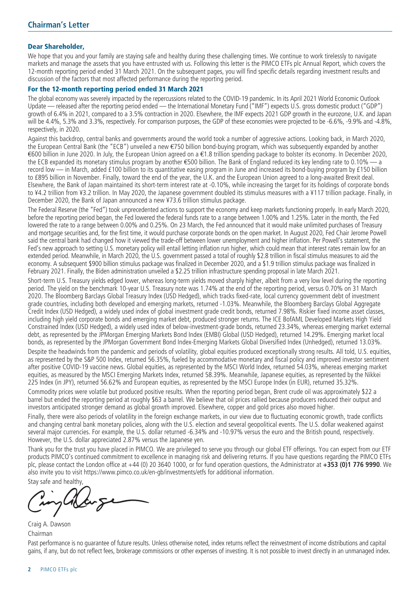### **Dear Shareholder,**

We hope that you and your family are staying safe and healthy during these challenging times. We continue to work tirelessly to navigate markets and manage the assets that you have entrusted with us. Following this letter is the PIMCO ETFs plc Annual Report, which covers the 12-month reporting period ended 31 March 2021. On the subsequent pages, you will find specific details regarding investment results and discussion of the factors that most affected performance during the reporting period.

### **For the 12-month reporting period ended 31 March 2021**

The global economy was severely impacted by the repercussions related to the COVID-19 pandemic. In its April 2021 World Economic Outlook Update — released after the reporting period ended — the International Monetary Fund ("IMF") expects U.S. gross domestic product ("GDP") growth of 6.4% in 2021, compared to a 3.5% contraction in 2020. Elsewhere, the IMF expects 2021 GDP growth in the eurozone, U.K. and Japan will be 4.4%, 5.3% and 3.3%, respectively. For comparison purposes, the GDP of these economies were projected to be -6.6%, -9.9% and -4.8%, respectively, in 2020.

Against this backdrop, central banks and governments around the world took a number of aggressive actions. Looking back, in March 2020, the European Central Bank (the "ECB") unveiled a new  $E$ 750 billion bond-buying program, which was subsequently expanded by another €600 billion in June 2020. In July, the European Union agreed on a €1.8 trillion spending package to bolster its economy. In December 2020, the ECB expanded its monetary stimulus program by another €500 billion. The Bank of England reduced its key lending rate to 0.10% — a record low — in March, added £100 billion to its quantitative easing program in June and increased its bond-buying program by £150 billion to £895 billion in November. Finally, toward the end of the year, the U.K. and the European Union agreed to a long-awaited Brexit deal. Elsewhere, the Bank of Japan maintained its short-term interest rate at -0.10%, while increasing the target for its holdings of corporate bonds to ¥4.2 trillion from ¥3.2 trillion. In May 2020, the Japanese government doubled its stimulus measures with a ¥117 trillion package. Finally, in December 2020, the Bank of Japan announced a new ¥73.6 trillion stimulus package.

The Federal Reserve (the "Fed") took unprecedented actions to support the economy and keep markets functioning properly. In early March 2020, before the reporting period began, the Fed lowered the federal funds rate to a range between 1.00% and 1.25%. Later in the month, the Fed lowered the rate to a range between 0.00% and 0.25%. On 23 March, the Fed announced that it would make unlimited purchases of Treasury and mortgage securities and, for the first time, it would purchase corporate bonds on the open market. In August 2020, Fed Chair Jerome Powell said the central bank had changed how it viewed the trade-off between lower unemployment and higher inflation. Per Powell's statement, the Fed's new approach to setting U.S. monetary policy will entail letting inflation run higher, which could mean that interest rates remain low for an extended period. Meanwhile, in March 2020, the U.S. government passed a total of roughly \$2.8 trillion in fiscal stimulus measures to aid the economy. A subsequent \$900 billion stimulus package was finalized in December 2020, and a \$1.9 trillion stimulus package was finalized in February 2021. Finally, the Biden administration unveiled a \$2.25 trillion infrastructure spending proposal in late March 2021.

Short-term U.S. Treasury yields edged lower, whereas long-term yields moved sharply higher, albeit from a very low level during the reporting period. The yield on the benchmark 10-year U.S. Treasury note was 1.74% at the end of the reporting period, versus 0.70% on 31 March 2020. The Bloomberg Barclays Global Treasury Index (USD Hedged), which tracks fixed-rate, local currency government debt of investment grade countries, including both developed and emerging markets, returned -1.03%. Meanwhile, the Bloomberg Barclays Global Aggregate Credit Index (USD Hedged), a widely used index of global investment grade credit bonds, returned 7.98%. Riskier fixed income asset classes, including high yield corporate bonds and emerging market debt, produced stronger returns. The ICE BofAML Developed Markets High Yield Constrained Index (USD Hedged), a widely used index of below-investment-grade bonds, returned 23.34%, whereas emerging market external debt, as represented by the JPMorgan Emerging Markets Bond Index (EMBI) Global (USD Hedged), returned 14.29%. Emerging market local bonds, as represented by the JPMorgan Government Bond Index-Emerging Markets Global Diversified Index (Unhedged), returned 13.03%.

Despite the headwinds from the pandemic and periods of volatility, global equities produced exceptionally strong results. All told, U.S. equities, as represented by the S&P 500 Index, returned 56.35%, fueled by accommodative monetary and fiscal policy and improved investor sentiment after positive COVID-19 vaccine news. Global equities, as represented by the MSCI World Index, returned 54.03%, whereas emerging market equities, as measured by the MSCI Emerging Markets Index, returned 58.39%. Meanwhile, Japanese equities, as represented by the Nikkei 225 Index (in JPY), returned 56.62% and European equities, as represented by the MSCI Europe Index (in EUR), returned 35.32%.

Commodity prices were volatile but produced positive results. When the reporting period began, Brent crude oil was approximately \$22 a barrel but ended the reporting period at roughly \$63 a barrel. We believe that oil prices rallied because producers reduced their output and investors anticipated stronger demand as global growth improved. Elsewhere, copper and gold prices also moved higher.

Finally, there were also periods of volatility in the foreign exchange markets, in our view due to fluctuating economic growth, trade conflicts and changing central bank monetary policies, along with the U.S. election and several geopolitical events. The U.S. dollar weakened against several major currencies. For example, the U.S. dollar returned -6.34% and -10.97% versus the euro and the British pound, respectively. However, the U.S. dollar appreciated 2.87% versus the Japanese yen.

Thank you for the trust you have placed in PIMCO. We are privileged to serve you through our global ETF offerings. You can expect from our ETF products PIMCO's continued commitment to excellence in managing risk and delivering returns. If you have questions regarding the PIMCO ETFs plc, please contact the London office at +44 (0) 20 3640 1000, or for fund operation questions, the Administrator at **+353 (0)1 776 9990**. We also invite you to visit https://www.pimco.co.uk/en-gb/investments/etfs for additional information.

Stay safe and healthy,

Craig A. Dawson Chairman

Past performance is no guarantee of future results. Unless otherwise noted, index returns reflect the reinvestment of income distributions and capital gains, if any, but do not reflect fees, brokerage commissions or other expenses of investing. It is not possible to invest directly in an unmanaged index.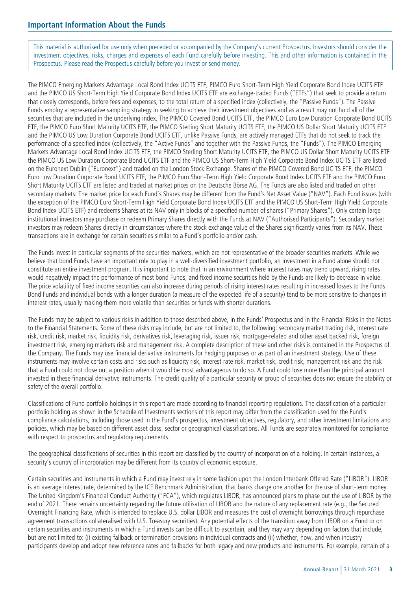This material is authorised for use only when preceded or accompanied by the Company's current Prospectus. Investors should consider the investment objectives, risks, charges and expenses of each Fund carefully before investing. This and other information is contained in the Prospectus. Please read the Prospectus carefully before you invest or send money.

The PIMCO Emerging Markets Advantage Local Bond Index UCITS ETF, PIMCO Euro Short-Term High Yield Corporate Bond Index UCITS ETF and the PIMCO US Short-Term High Yield Corporate Bond Index UCITS ETF are exchange-traded Funds ("ETFs") that seek to provide a return that closely corresponds, before fees and expenses, to the total return of a specified index (collectively, the "Passive Funds"). The Passive Funds employ a representative sampling strategy in seeking to achieve their investment objectives and as a result may not hold all of the securities that are included in the underlying index. The PIMCO Covered Bond UCITS ETF, the PIMCO Euro Low Duration Corporate Bond UCITS ETF, the PIMCO Euro Short Maturity UCITS ETF, the PIMCO Sterling Short Maturity UCITS ETF, the PIMCO US Dollar Short Maturity UCITS ETF and the PIMCO US Low Duration Corporate Bond UCITS ETF, unlike Passive Funds, are actively managed ETFs that do not seek to track the performance of a specified index (collectively, the "Active Funds" and together with the Passive Funds, the "Funds"). The PIMCO Emerging Markets Advantage Local Bond Index UCITS ETF, the PIMCO Sterling Short Maturity UCITS ETF, the PIMCO US Dollar Short Maturity UCITS ETF the PIMCO US Low Duration Corporate Bond UCITS ETF and the PIMCO US Short-Term High Yield Corporate Bond Index UCITS ETF are listed on the Euronext Dublin ("Euronext") and traded on the London Stock Exchange. Shares of the PIMCO Covered Bond UCITS ETF, the PIMCO Euro Low Duration Corporate Bond UCITS ETF, the PIMCO Euro Short-Term High Yield Corporate Bond Index UCITS ETF and the PIMCO Euro Short Maturity UCITS ETF are listed and traded at market prices on the Deutsche Börse AG. The Funds are also listed and traded on other secondary markets. The market price for each Fund's Shares may be different from the Fund's Net Asset Value ("NAV"). Each Fund issues (with the exception of the PIMCO Euro Short-Term High Yield Corporate Bond Index UCITS ETF and the PIMCO US Short-Term High Yield Corporate Bond Index UCITS ETF) and redeems Shares at its NAV only in blocks of a specified number of shares ("Primary Shares"). Only certain large institutional investors may purchase or redeem Primary Shares directly with the Funds at NAV ("Authorised Participants"). Secondary market investors may redeem Shares directly in circumstances where the stock exchange value of the Shares significantly varies from its NAV. These transactions are in exchange for certain securities similar to a Fund's portfolio and/or cash.

The Funds invest in particular segments of the securities markets, which are not representative of the broader securities markets. While we believe that bond Funds have an important role to play in a well-diversified investment portfolio, an investment in a Fund alone should not constitute an entire investment program. It is important to note that in an environment where interest rates may trend upward, rising rates would negatively impact the performance of most bond Funds, and fixed income securities held by the Funds are likely to decrease in value. The price volatility of fixed income securities can also increase during periods of rising interest rates resulting in increased losses to the Funds. Bond Funds and individual bonds with a longer duration (a measure of the expected life of a security) tend to be more sensitive to changes in interest rates, usually making them more volatile than securities or funds with shorter durations.

The Funds may be subject to various risks in addition to those described above, in the Funds' Prospectus and in the Financial Risks in the Notes to the Financial Statements. Some of these risks may include, but are not limited to, the following: secondary market trading risk, interest rate risk, credit risk, market risk, liquidity risk, derivatives risk, leveraging risk, issuer risk, mortgage-related and other asset backed risk, foreign investment risk, emerging markets risk and management risk. A complete description of these and other risks is contained in the Prospectus of the Company. The Funds may use financial derivative instruments for hedging purposes or as part of an investment strategy. Use of these instruments may involve certain costs and risks such as liquidity risk, interest rate risk, market risk, credit risk, management risk and the risk that a Fund could not close out a position when it would be most advantageous to do so. A Fund could lose more than the principal amount invested in these financial derivative instruments. The credit quality of a particular security or group of securities does not ensure the stability or safety of the overall portfolio.

Classifications of Fund portfolio holdings in this report are made according to financial reporting regulations. The classification of a particular portfolio holding as shown in the Schedule of Investments sections of this report may differ from the classification used for the Fund's compliance calculations, including those used in the Fund's prospectus, investment objectives, regulatory, and other investment limitations and policies, which may be based on different asset class, sector or geographical classifications. All Funds are separately monitored for compliance with respect to prospectus and regulatory requirements.

The geographical classifications of securities in this report are classified by the country of incorporation of a holding. In certain instances, a security's country of incorporation may be different from its country of economic exposure.

Certain securities and instruments in which a Fund may invest rely in some fashion upon the London Interbank Offered Rate ("LIBOR"). LIBOR is an average interest rate, determined by the ICE Benchmark Administration, that banks charge one another for the use of short-term money. The United Kingdom's Financial Conduct Authority ("FCA"), which regulates LIBOR, has announced plans to phase out the use of LIBOR by the end of 2021. There remains uncertainty regarding the future utilisation of LIBOR and the nature of any replacement rate (e.g., the Secured Overnight Financing Rate, which is intended to replace U.S. dollar LIBOR and measures the cost of overnight borrowings through repurchase agreement transactions collateralised with U.S. Treasury securities). Any potential effects of the transition away from LIBOR on a Fund or on certain securities and instruments in which a Fund invests can be difficult to ascertain, and they may vary depending on factors that include, but are not limited to: (i) existing fallback or termination provisions in individual contracts and (ii) whether, how, and when industry participants develop and adopt new reference rates and fallbacks for both legacy and new products and instruments. For example, certain of a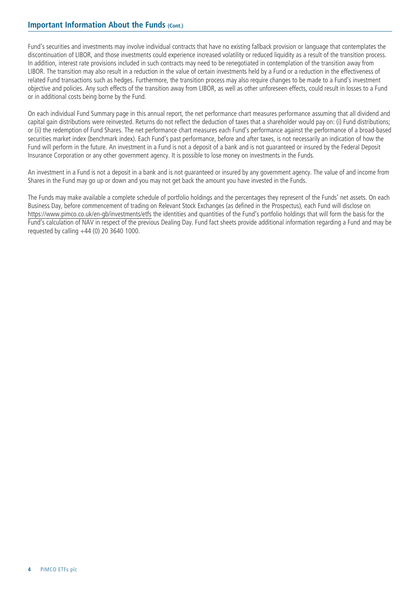### **Important Information About the Funds (Cont.)**

Fund's securities and investments may involve individual contracts that have no existing fallback provision or language that contemplates the discontinuation of LIBOR, and those investments could experience increased volatility or reduced liquidity as a result of the transition process. In addition, interest rate provisions included in such contracts may need to be renegotiated in contemplation of the transition away from LIBOR. The transition may also result in a reduction in the value of certain investments held by a Fund or a reduction in the effectiveness of related Fund transactions such as hedges. Furthermore, the transition process may also require changes to be made to a Fund's investment objective and policies. Any such effects of the transition away from LIBOR, as well as other unforeseen effects, could result in losses to a Fund or in additional costs being borne by the Fund.

On each individual Fund Summary page in this annual report, the net performance chart measures performance assuming that all dividend and capital gain distributions were reinvested. Returns do not reflect the deduction of taxes that a shareholder would pay on: (i) Fund distributions; or (ii) the redemption of Fund Shares. The net performance chart measures each Fund's performance against the performance of a broad-based securities market index (benchmark index). Each Fund's past performance, before and after taxes, is not necessarily an indication of how the Fund will perform in the future. An investment in a Fund is not a deposit of a bank and is not guaranteed or insured by the Federal Deposit Insurance Corporation or any other government agency. It is possible to lose money on investments in the Funds.

An investment in a Fund is not a deposit in a bank and is not guaranteed or insured by any government agency. The value of and income from Shares in the Fund may go up or down and you may not get back the amount you have invested in the Funds.

The Funds may make available a complete schedule of portfolio holdings and the percentages they represent of the Funds' net assets. On each Business Day, before commencement of trading on Relevant Stock Exchanges (as defined in the Prospectus), each Fund will disclose on https://www.pimco.co.uk/en-gb/investments/etfs the identities and quantities of the Fund's portfolio holdings that will form the basis for the Fund's calculation of NAV in respect of the previous Dealing Day. Fund fact sheets provide additional information regarding a Fund and may be requested by calling +44 (0) 20 3640 1000.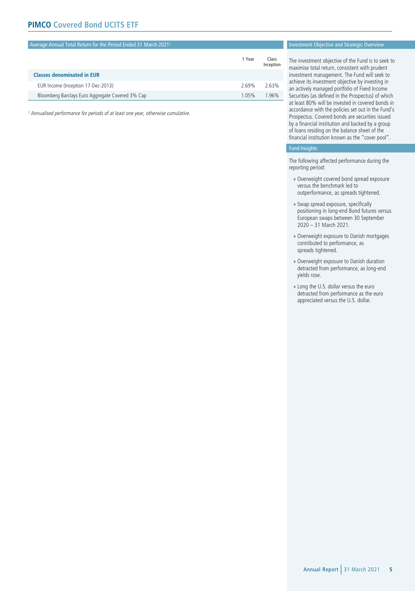### **PIMCO Covered Bond UCITS ETF**

### Average Annual Total Return for the Period Ended 31 March 20211

|                                                  | 1 Year | Class<br>Inception |
|--------------------------------------------------|--------|--------------------|
| <b>Classes denominated in EUR</b>                |        |                    |
| EUR Income (Inception 17-Dec-2013)               | 2.69%  | 2.63%              |
| Bloomberg Barclays Euro Aggregate Covered 3% Cap | 1.05%  | 1.96%              |

<sup>1</sup> Annualised performance for periods of at least one year, otherwise cumulative.

### Investment Objective and Strategic Overview

The investment objective of the Fund is to seek to maximise total return, consistent with prudent investment management. The Fund will seek to achieve its investment objective by investing in an actively managed portfolio of Fixed Income Securities (as defined in the Prospectus) of which at least 80% will be invested in covered bonds in accordance with the policies set out in the Fund's Prospectus. Covered bonds are securities issued by a financial institution and backed by a group of loans residing on the balance sheet of the financial institution known as the "cover pool".

#### Fund Insights

- » Overweight covered bond spread exposure versus the benchmark led to outperformance, as spreads tightened.
- » Swap spread exposure, specifically positioning in long-end Bund futures versus European swaps between 30 September 2020 – 31 March 2021.
- » Overweight exposure to Danish mortgages contributed to performance, as spreads tightened.
- » Overweight exposure to Danish duration detracted from performance, as long-end yields rose.
- » Long the U.S. dollar versus the euro detracted from performance as the euro appreciated versus the U.S. dollar.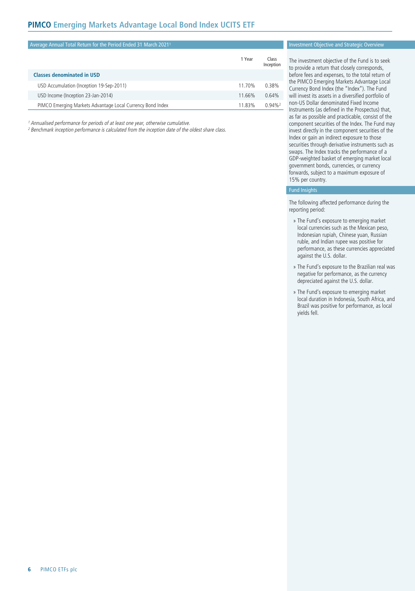### **PIMCO Emerging Markets Advantage Local Bond Index UCITS ETF**

| Average Annual Total Return for the Period Ended 31 March 2021 <sup>1</sup> |        |                       |
|-----------------------------------------------------------------------------|--------|-----------------------|
|                                                                             | 1 Year | Class<br>Inception    |
| <b>Classes denominated in USD</b>                                           |        |                       |
| USD Accumulation (Inception 19-Sep-2011)                                    | 11.70% | 0.38%                 |
| USD Income (Inception 23-Jan-2014)                                          | 11.66% | 0.64%                 |
| PIMCO Emerging Markets Advantage Local Currency Bond Index                  | 11.83% | $0.94\%$ <sup>2</sup> |

<sup>1</sup> Annualised performance for periods of at least one year, otherwise cumulative.

<sup>2</sup> Benchmark inception performance is calculated from the inception date of the oldest share class.

### Investment Objective and Strategic Overview

The investment objective of the Fund is to seek to provide a return that closely corresponds, before fees and expenses, to the total return of the PIMCO Emerging Markets Advantage Local Currency Bond Index (the "Index"). The Fund will invest its assets in a diversified portfolio of non-US Dollar denominated Fixed Income Instruments (as defined in the Prospectus) that, as far as possible and practicable, consist of the component securities of the Index. The Fund may invest directly in the component securities of the Index or gain an indirect exposure to those securities through derivative instruments such as swaps. The Index tracks the performance of a GDP-weighted basket of emerging market local government bonds, currencies, or currency forwards, subject to a maximum exposure of 15% per country.

#### Fund Insights

- » The Fund's exposure to emerging market local currencies such as the Mexican peso, Indonesian rupiah, Chinese yuan, Russian ruble, and Indian rupee was positive for performance, as these currencies appreciated against the U.S. dollar.
- » The Fund's exposure to the Brazilian real was negative for performance, as the currency depreciated against the U.S. dollar.
- » The Fund's exposure to emerging market local duration in Indonesia, South Africa, and Brazil was positive for performance, as local yields fell.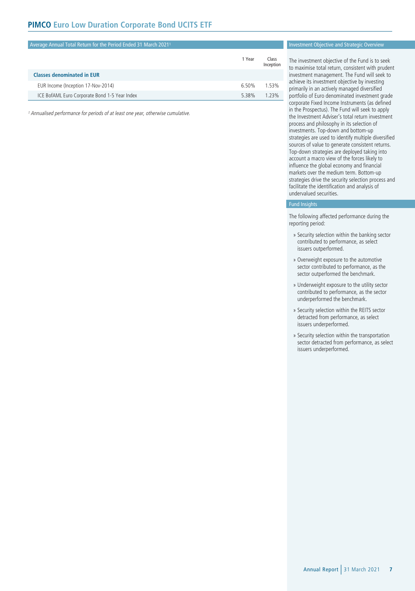### **PIMCO Euro Low Duration Corporate Bond UCITS ETF**

| Average Annual Total Return for the Period Ended 31 March 2021 <sup>1</sup> |                                               |        |                    |
|-----------------------------------------------------------------------------|-----------------------------------------------|--------|--------------------|
|                                                                             |                                               | 1 Year | Class<br>Inception |
|                                                                             | <b>Classes denominated in EUR</b>             |        |                    |
|                                                                             | EUR Income (Inception 17-Nov-2014)            | 6.50%  | 1.53%              |
|                                                                             | ICE BofAML Euro Corporate Bond 1-5 Year Index | 5.38%  | $1.23\%$           |

<sup>1</sup> Annualised performance for periods of at least one year, otherwise cumulative.

### Investment Objective and Strategic Overview

The investment objective of the Fund is to seek to maximise total return, consistent with prudent investment management. The Fund will seek to achieve its investment objective by investing primarily in an actively managed diversified portfolio of Euro denominated investment grade corporate Fixed Income Instruments (as defined in the Prospectus). The Fund will seek to apply the Investment Adviser's total return investment process and philosophy in its selection of investments. Top-down and bottom-up strategies are used to identify multiple diversified sources of value to generate consistent returns. Top-down strategies are deployed taking into account a macro view of the forces likely to influence the global economy and financial markets over the medium term. Bottom-up strategies drive the security selection process and facilitate the identification and analysis of undervalued securities.

#### Fund Insights

- » Security selection within the banking sector contributed to performance, as select issuers outperformed.
- » Overweight exposure to the automotive sector contributed to performance, as the sector outperformed the benchmark.
- » Underweight exposure to the utility sector contributed to performance, as the sector underperformed the benchmark.
- » Security selection within the REITS sector detracted from performance, as select issuers underperformed.
- » Security selection within the transportation sector detracted from performance, as select issuers underperformed.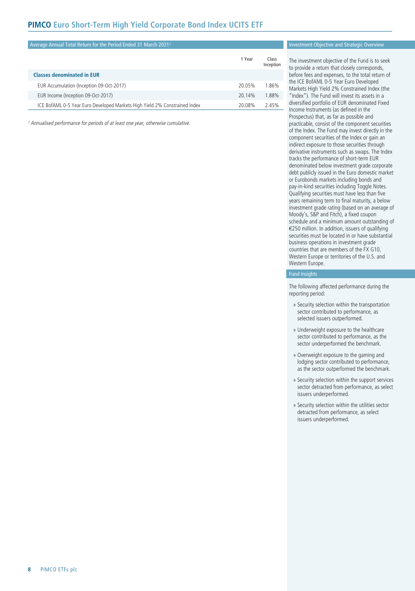### **PIMCO Euro Short-Term High Yield Corporate Bond Index UCITS ETF**

### Average Annual Total Return for the Period Ended 31 March 20211

|                                                                            | 1 Year | Class<br>Inception |
|----------------------------------------------------------------------------|--------|--------------------|
| <b>Classes denominated in EUR</b>                                          |        |                    |
| EUR Accumulation (Inception 09-Oct-2017)                                   | 20.05% | 1.86%              |
| EUR Income (Inception 09-Oct-2017)                                         | 20.14% | 1.88%              |
| ICE BofAML 0-5 Year Euro Developed Markets High Yield 2% Constrained Index | 20.08% | 2.45%              |

<sup>1</sup> Annualised performance for periods of at least one year, otherwise cumulative.

### Investment Objective and Strategic Overview

The investment objective of the Fund is to seek to provide a return that closely corresponds, before fees and expenses, to the total return of the ICE BofAML 0-5 Year Euro Developed Markets High Yield 2% Constrained Index (the "Index"). The Fund will invest its assets in a diversified portfolio of EUR denominated Fixed Income Instruments (as defined in the Prospectus) that, as far as possible and practicable, consist of the component securities of the Index. The Fund may invest directly in the component securities of the Index or gain an indirect exposure to those securities through derivative instruments such as swaps. The Index tracks the performance of short-term EUR denominated below investment grade corporate debt publicly issued in the Euro domestic market or Eurobonds markets including bonds and pay-in-kind securities including Toggle Notes. Qualifying securities must have less than five years remaining term to final maturity, a below investment grade rating (based on an average of Moody's, S&P and Fitch), a fixed coupon schedule and a minimum amount outstanding of €250 million. In addition, issuers of qualifying securities must be located in or have substantial business operations in investment grade countries that are members of the FX G10, Western Europe or territories of the U.S. and Western Europe.

#### Fund Insights

- » Security selection within the transportation sector contributed to performance, as selected issuers outperformed.
- » Underweight exposure to the healthcare sector contributed to performance, as the sector underperformed the benchmark.
- » Overweight exposure to the gaming and lodging sector contributed to performance, as the sector outperformed the benchmark.
- » Security selection within the support services sector detracted from performance, as select issuers underperformed.
- » Security selection within the utilities sector detracted from performance, as select issuers underperformed.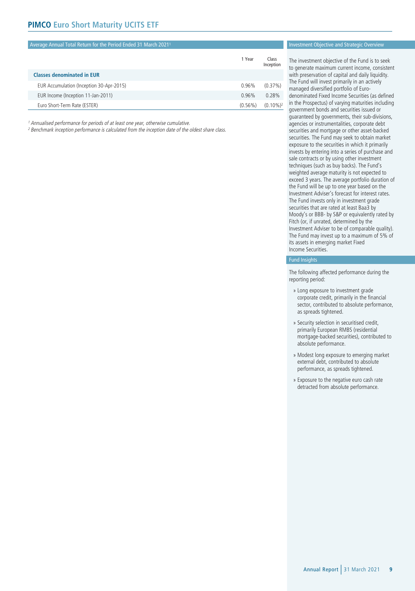### **PIMCO Euro Short Maturity UCITS ETF**

| Average Annual Total Return for the Period Ended 31 March 2021 <sup>1</sup> |            |                         |
|-----------------------------------------------------------------------------|------------|-------------------------|
|                                                                             | 1 Year     | Class<br>Inception      |
| <b>Classes denominated in EUR</b>                                           |            |                         |
| EUR Accumulation (Inception 30-Apr-2015)                                    | $0.96\%$   | $(0.37\%)$              |
| EUR Income (Inception 11-Jan-2011)                                          | 0.96%      | 0.28%                   |
| Euro Short-Term Rate (ESTER)                                                | $(0.56\%)$ | $(0.10\%)$ <sup>2</sup> |

<sup>1</sup> Annualised performance for periods of at least one year, otherwise cumulative.

<sup>2</sup> Benchmark inception performance is calculated from the inception date of the oldest share class.

#### Investment Objective and Strategic Overview

The investment objective of the Fund is to seek to generate maximum current income, consistent with preservation of capital and daily liquidity. The Fund will invest primarily in an actively managed diversified portfolio of Eurodenominated Fixed Income Securities (as defined in the Prospectus) of varying maturities including government bonds and securities issued or guaranteed by governments, their sub-divisions, agencies or instrumentalities, corporate debt securities and mortgage or other asset-backed securities. The Fund may seek to obtain market exposure to the securities in which it primarily invests by entering into a series of purchase and sale contracts or by using other investment techniques (such as buy backs). The Fund's weighted average maturity is not expected to exceed 3 years. The average portfolio duration of the Fund will be up to one year based on the Investment Adviser's forecast for interest rates. The Fund invests only in investment grade securities that are rated at least Baa3 by Moody's or BBB- by S&P or equivalently rated by Fitch (or, if unrated, determined by the Investment Adviser to be of comparable quality). The Fund may invest up to a maximum of 5% of its assets in emerging market Fixed Income Securities.

#### Fund Insights

- » Long exposure to investment grade corporate credit, primarily in the financial sector, contributed to absolute performance, as spreads tightened.
- » Security selection in securitised credit, primarily European RMBS (residential mortgage-backed securities), contributed to absolute performance.
- » Modest long exposure to emerging market external debt, contributed to absolute performance, as spreads tightened.
- » Exposure to the negative euro cash rate detracted from absolute performance.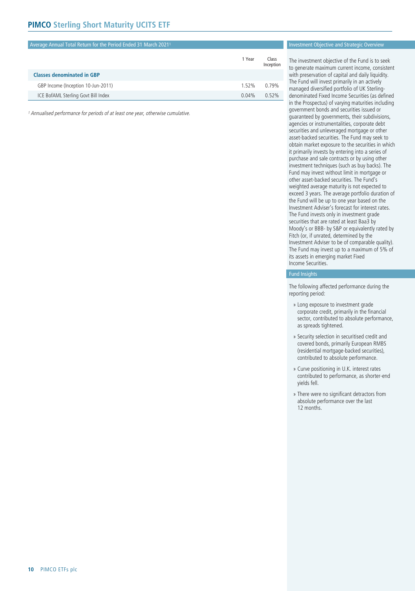### **PIMCO Sterling Short Maturity UCITS ETF**

| Average Annual Total Return for the Period Ended 31 March 2021 <sup>1</sup> |          |                    |
|-----------------------------------------------------------------------------|----------|--------------------|
|                                                                             | 1 Year   | Class<br>Inception |
| <b>Classes denominated in GBP</b>                                           |          |                    |
| GBP Income (Inception 10-Jun-2011)                                          | 1.52%    | 0.79%              |
| ICE BofAML Sterling Govt Bill Index                                         | $0.04\%$ | 0.52%              |

<sup>1</sup> Annualised performance for periods of at least one year, otherwise cumulative.

#### Investment Objective and Strategic Overview

The investment objective of the Fund is to seek to generate maximum current income, consistent with preservation of capital and daily liquidity. The Fund will invest primarily in an actively managed diversified portfolio of UK Sterlingdenominated Fixed Income Securities (as defined in the Prospectus) of varying maturities including government bonds and securities issued or guaranteed by governments, their subdivisions, agencies or instrumentalities, corporate debt securities and unleveraged mortgage or other asset-backed securities. The Fund may seek to obtain market exposure to the securities in which it primarily invests by entering into a series of purchase and sale contracts or by using other investment techniques (such as buy backs). The Fund may invest without limit in mortgage or other asset-backed securities. The Fund's weighted average maturity is not expected to exceed 3 years. The average portfolio duration of the Fund will be up to one year based on the Investment Adviser's forecast for interest rates. The Fund invests only in investment grade securities that are rated at least Baa3 by Moody's or BBB- by S&P or equivalently rated by Fitch (or, if unrated, determined by the Investment Adviser to be of comparable quality). The Fund may invest up to a maximum of 5% of its assets in emerging market Fixed Income Securities.

### Fund Insights

- » Long exposure to investment grade corporate credit, primarily in the financial sector, contributed to absolute performance, as spreads tightened.
- » Security selection in securitised credit and covered bonds, primarily European RMBS (residential mortgage-backed securities), contributed to absolute performance.
- » Curve positioning in U.K. interest rates contributed to performance, as shorter-end yields fell.
- » There were no significant detractors from absolute performance over the last 12 months.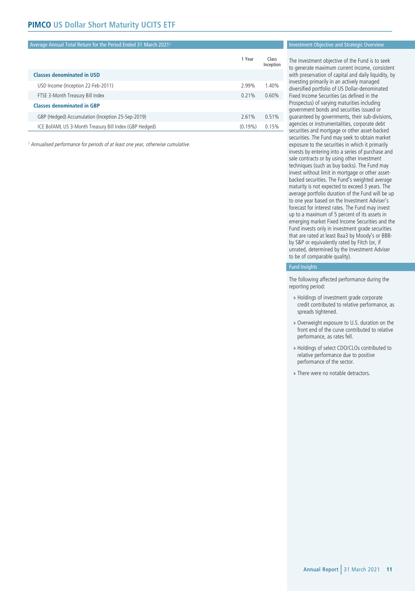### **PIMCO US Dollar Short Maturity UCITS ETF**

| Average Annual Total Return for the Period Ended 31 March 2021 <sup>1</sup> |            |                    |
|-----------------------------------------------------------------------------|------------|--------------------|
|                                                                             | 1 Year     | Class<br>Inception |
| <b>Classes denominated in USD</b>                                           |            |                    |
| USD Income (Inception 22-Feb-2011)                                          | 2.99%      | 1.40%              |
| FTSE 3-Month Treasury Bill Index                                            | 0.21%      | 0.60%              |
| <b>Classes denominated in GBP</b>                                           |            |                    |
| GBP (Hedged) Accumulation (Inception 25-Sep-2019)                           | 2.61%      | 0.51%              |
| ICE BofAML US 3-Month Treasury Bill Index (GBP Hedged)                      | $(0.19\%)$ | 0.15%              |

<sup>1</sup> Annualised performance for periods of at least one year, otherwise cumulative.

#### Investment Objective and Strategic Overview

The investment objective of the Fund is to seek to generate maximum current income, consistent with preservation of capital and daily liquidity, by investing primarily in an actively managed diversified portfolio of US Dollar-denominated Fixed Income Securities (as defined in the Prospectus) of varying maturities including government bonds and securities issued or guaranteed by governments, their sub-divisions, agencies or instrumentalities, corporate debt securities and mortgage or other asset-backed securities. The Fund may seek to obtain market exposure to the securities in which it primarily invests by entering into a series of purchase and sale contracts or by using other investment techniques (such as buy backs). The Fund may invest without limit in mortgage or other assetbacked securities. The Fund's weighted average maturity is not expected to exceed 3 years. The average portfolio duration of the Fund will be up to one year based on the Investment Adviser's forecast for interest rates. The Fund may invest up to a maximum of 5 percent of its assets in emerging market Fixed Income Securities and the Fund invests only in investment grade securities that are rated at least Baa3 by Moody's or BBBby S&P or equivalently rated by Fitch (or, if unrated, determined by the Investment Adviser to be of comparable quality).

### Fund Insights

- » Holdings of investment grade corporate credit contributed to relative performance, as spreads tightened.
- » Overweight exposure to U.S. duration on the front end of the curve contributed to relative performance, as rates fell.
- » Holdings of select CDO/CLOs contributed to relative performance due to positive performance of the sector.
- » There were no notable detractors.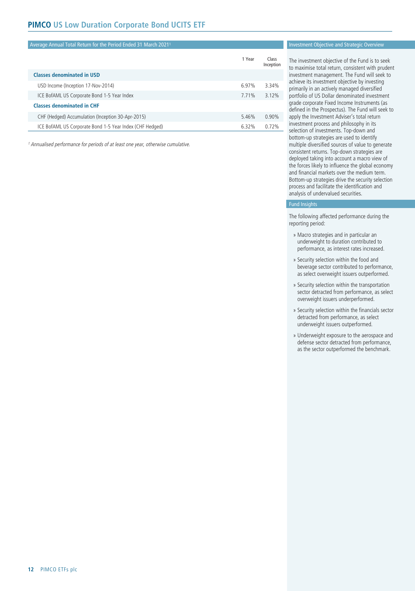### **PIMCO US Low Duration Corporate Bond UCITS ETF**

#### Average Annual Total Return for the Period Ended 31 March 20211

|                                                          | 1 Year | Class<br>Inception |
|----------------------------------------------------------|--------|--------------------|
| <b>Classes denominated in USD</b>                        |        |                    |
| USD Income (Inception 17-Nov-2014)                       | 6.97%  | 3.34%              |
| ICE BofAML US Corporate Bond 1-5 Year Index              | 7.71%  | 3.12%              |
| <b>Classes denominated in CHF</b>                        |        |                    |
| CHF (Hedged) Accumulation (Inception 30-Apr-2015)        | 5.46%  | $0.90\%$           |
| ICE BofAML US Corporate Bond 1-5 Year Index (CHF Hedged) | 6.32%  | 0.72%              |

<sup>1</sup> Annualised performance for periods of at least one year, otherwise cumulative.

### Investment Objective and Strategic Overview

The investment objective of the Fund is to seek to maximise total return, consistent with prudent investment management. The Fund will seek to achieve its investment objective by investing primarily in an actively managed diversified portfolio of US Dollar denominated investment grade corporate Fixed Income Instruments (as defined in the Prospectus). The Fund will seek to apply the Investment Adviser's total return investment process and philosophy in its selection of investments. Top-down and bottom-up strategies are used to identify multiple diversified sources of value to generate consistent returns. Top-down strategies are deployed taking into account a macro view of the forces likely to influence the global economy and financial markets over the medium term. Bottom-up strategies drive the security selection process and facilitate the identification and analysis of undervalued securities.

#### Fund Insights

- » Macro strategies and in particular an underweight to duration contributed to performance, as interest rates increased.
- » Security selection within the food and beverage sector contributed to performance, as select overweight issuers outperformed.
- » Security selection within the transportation sector detracted from performance, as select overweight issuers underperformed.
- » Security selection within the financials sector detracted from performance, as select underweight issuers outperformed.
- » Underweight exposure to the aerospace and defense sector detracted from performance, as the sector outperformed the benchmark.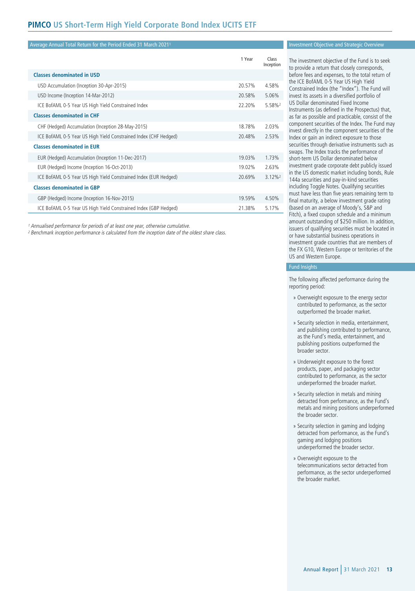### **PIMCO US Short-Term High Yield Corporate Bond Index UCITS ETF**

| Average Annual Total Return for the Period Ended 31 March 2021 <sup>1</sup> |        |                    |
|-----------------------------------------------------------------------------|--------|--------------------|
|                                                                             | 1 Year | Class<br>Inception |
| <b>Classes denominated in USD</b>                                           |        |                    |
| USD Accumulation (Inception 30-Apr-2015)                                    | 20.57% | 4.58%              |
| USD Income (Inception 14-Mar-2012)                                          | 20.58% | 5.06%              |
| ICE BofAML 0-5 Year US High Yield Constrained Index                         | 22.20% | 5.58%2             |
| <b>Classes denominated in CHF</b>                                           |        |                    |
| CHF (Hedged) Accumulation (Inception 28-May-2015)                           | 18.78% | 2.03%              |
| ICE BofAML 0-5 Year US High Yield Constrained Index (CHF Hedged)            | 20.48% | 2.53%              |
| <b>Classes denominated in EUR</b>                                           |        |                    |
| EUR (Hedged) Accumulation (Inception 11-Dec-2017)                           | 19.03% | 1.73%              |
| EUR (Hedged) Income (Inception 16-Oct-2013)                                 | 19.02% | 2.63%              |
| ICE BofAML 0-5 Year US High Yield Constrained Index (EUR Hedged)            | 20.69% | 3.12% <sup>2</sup> |
| <b>Classes denominated in GBP</b>                                           |        |                    |
| GBP (Hedged) Income (Inception 16-Nov-2015)                                 | 19.59% | 4.50%              |

ICE BofAML 0-5 Year US High Yield Constrained Index (GBP Hedged) 21.38% 5.17%

<sup>1</sup> Annualised performance for periods of at least one year, otherwise cumulative.

<sup>2</sup> Benchmark inception performance is calculated from the inception date of the oldest share class.

#### Investment Objective and Strategic Overview

The investment objective of the Fund is to seek to provide a return that closely corresponds, before fees and expenses, to the total return of the ICE BofAML 0-5 Year US High Yield Constrained Index (the "Index"). The Fund will invest its assets in a diversified portfolio of US Dollar denominated Fixed Income Instruments (as defined in the Prospectus) that, as far as possible and practicable, consist of the component securities of the Index. The Fund may invest directly in the component securities of the Index or gain an indirect exposure to those securities through derivative instruments such as swaps. The Index tracks the performance of short-term US Dollar denominated below investment grade corporate debt publicly issued in the US domestic market including bonds, Rule 144a securities and pay-in-kind securities including Toggle Notes. Qualifying securities must have less than five years remaining term to final maturity, a below investment grade rating (based on an average of Moody's, S&P and Fitch), a fixed coupon schedule and a minimum amount outstanding of \$250 million. In addition, issuers of qualifying securities must be located in or have substantial business operations in investment grade countries that are members of the FX G10, Western Europe or territories of the US and Western Europe.

#### Fund Insights

- » Overweight exposure to the energy sector contributed to performance, as the sector outperformed the broader market.
- » Security selection in media, entertainment, and publishing contributed to performance, as the Fund's media, entertainment, and publishing positions outperformed the broader sector.
- » Underweight exposure to the forest products, paper, and packaging sector contributed to performance, as the sector underperformed the broader market.
- » Security selection in metals and mining detracted from performance, as the Fund's metals and mining positions underperformed the broader sector.
- » Security selection in gaming and lodging detracted from performance, as the Fund's gaming and lodging positions underperformed the broader sector.
- » Overweight exposure to the telecommunications sector detracted from performance, as the sector underperformed the broader market.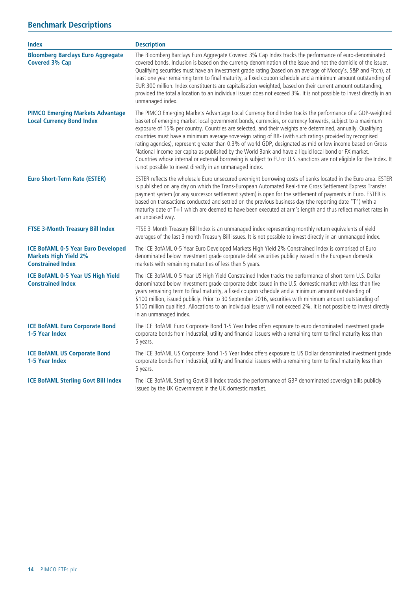| <b>Index</b>                                                                                          | <b>Description</b>                                                                                                                                                                                                                                                                                                                                                                                                                                                                                                                                                                                                                                                                                                                                                                                                                                       |
|-------------------------------------------------------------------------------------------------------|----------------------------------------------------------------------------------------------------------------------------------------------------------------------------------------------------------------------------------------------------------------------------------------------------------------------------------------------------------------------------------------------------------------------------------------------------------------------------------------------------------------------------------------------------------------------------------------------------------------------------------------------------------------------------------------------------------------------------------------------------------------------------------------------------------------------------------------------------------|
| <b>Bloomberg Barclays Euro Aggregate</b><br><b>Covered 3% Cap</b>                                     | The Bloomberg Barclays Euro Aggregate Covered 3% Cap Index tracks the performance of euro-denominated<br>covered bonds. Inclusion is based on the currency denomination of the issue and not the domicile of the issuer.<br>Qualifying securities must have an investment grade rating (based on an average of Moody's, S&P and Fitch), at<br>least one year remaining term to final maturity, a fixed coupon schedule and a minimum amount outstanding of<br>EUR 300 million. Index constituents are capitalisation-weighted, based on their current amount outstanding,<br>provided the total allocation to an individual issuer does not exceed 3%. It is not possible to invest directly in an<br>unmanaged index.                                                                                                                                   |
| <b>PIMCO Emerging Markets Advantage</b><br><b>Local Currency Bond Index</b>                           | The PIMCO Emerging Markets Advantage Local Currency Bond Index tracks the performance of a GDP-weighted<br>basket of emerging market local government bonds, currencies, or currency forwards, subject to a maximum<br>exposure of 15% per country. Countries are selected, and their weights are determined, annually. Qualifying<br>countries must have a minimum average sovereign rating of BB- (with such ratings provided by recognised<br>rating agencies), represent greater than 0.3% of world GDP, designated as mid or low income based on Gross<br>National Income per capita as published by the World Bank and have a liquid local bond or FX market.<br>Countries whose internal or external borrowing is subject to EU or U.S. sanctions are not eligible for the Index. It<br>is not possible to invest directly in an unmanaged index. |
| <b>Euro Short-Term Rate (ESTER)</b>                                                                   | ESTER reflects the wholesale Euro unsecured overnight borrowing costs of banks located in the Euro area. ESTER<br>is published on any day on which the Trans-European Automated Real-time Gross Settlement Express Transfer<br>payment system (or any successor settlement system) is open for the settlement of payments in Euro. ESTER is<br>based on transactions conducted and settled on the previous business day (the reporting date "T") with a<br>maturity date of T+1 which are deemed to have been executed at arm's length and thus reflect market rates in<br>an unbiased way.                                                                                                                                                                                                                                                              |
| <b>FTSE 3-Month Treasury Bill Index</b>                                                               | FTSE 3-Month Treasury Bill Index is an unmanaged index representing monthly return equivalents of yield<br>averages of the last 3 month Treasury Bill issues. It is not possible to invest directly in an unmanaged index.                                                                                                                                                                                                                                                                                                                                                                                                                                                                                                                                                                                                                               |
| <b>ICE BofAML 0-5 Year Euro Developed</b><br><b>Markets High Yield 2%</b><br><b>Constrained Index</b> | The ICE BofAML 0-5 Year Euro Developed Markets High Yield 2% Constrained Index is comprised of Euro<br>denominated below investment grade corporate debt securities publicly issued in the European domestic<br>markets with remaining maturities of less than 5 years.                                                                                                                                                                                                                                                                                                                                                                                                                                                                                                                                                                                  |
| <b>ICE BofAML 0-5 Year US High Yield</b><br><b>Constrained Index</b>                                  | The ICE BofAML 0-5 Year US High Yield Constrained Index tracks the performance of short-term U.S. Dollar<br>denominated below investment grade corporate debt issued in the U.S. domestic market with less than five<br>years remaining term to final maturity, a fixed coupon schedule and a minimum amount outstanding of<br>\$100 million, issued publicly. Prior to 30 September 2016, securities with minimum amount outstanding of<br>\$100 million qualified. Allocations to an individual issuer will not exceed 2%. It is not possible to invest directly<br>in an unmanaged index.                                                                                                                                                                                                                                                             |
| <b>ICE BofAML Euro Corporate Bond</b><br>1-5 Year Index                                               | The ICE BofAML Euro Corporate Bond 1-5 Year Index offers exposure to euro denominated investment grade<br>corporate bonds from industrial, utility and financial issuers with a remaining term to final maturity less than<br>5 years.                                                                                                                                                                                                                                                                                                                                                                                                                                                                                                                                                                                                                   |
| <b>ICE BofAML US Corporate Bond</b><br>1-5 Year Index                                                 | The ICE BofAML US Corporate Bond 1-5 Year Index offers exposure to US Dollar denominated investment grade<br>corporate bonds from industrial, utility and financial issuers with a remaining term to final maturity less than<br>5 years.                                                                                                                                                                                                                                                                                                                                                                                                                                                                                                                                                                                                                |
| <b>ICE BofAML Sterling Govt Bill Index</b>                                                            | The ICE BofAML Sterling Govt Bill Index tracks the performance of GBP denominated sovereign bills publicly<br>issued by the UK Government in the UK domestic market.                                                                                                                                                                                                                                                                                                                                                                                                                                                                                                                                                                                                                                                                                     |

### **Benchmark Descriptions**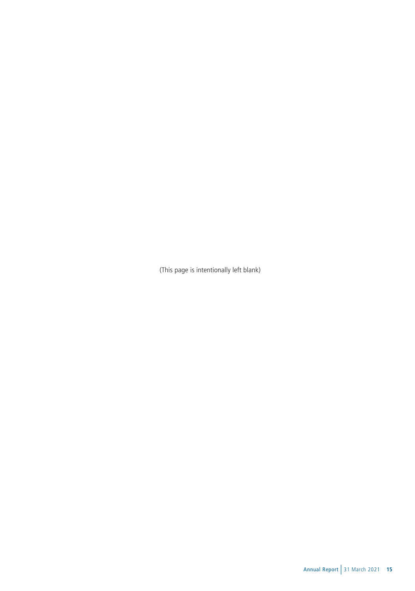(This page is intentionally left blank)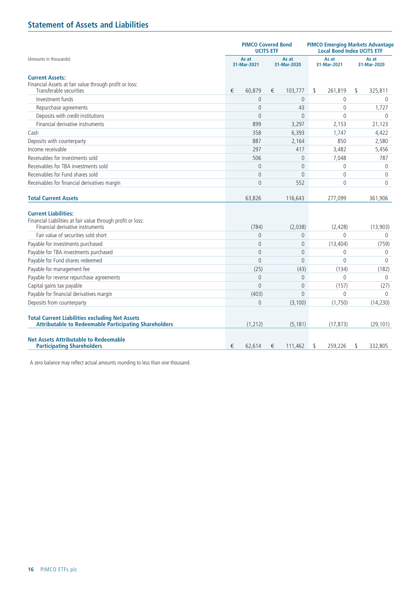### **Statement of Assets and Liabilities**

|                                                                                                                                | <b>PIMCO Covered Bond</b><br><b>UCITS ETF</b> |                      |                      |                     |                      | <b>PIMCO Emerging Markets Advantage</b><br><b>Local Bond Index UCITS ETF</b> |                      |                     |
|--------------------------------------------------------------------------------------------------------------------------------|-----------------------------------------------|----------------------|----------------------|---------------------|----------------------|------------------------------------------------------------------------------|----------------------|---------------------|
| (Amounts in thousands)                                                                                                         |                                               | As at<br>31-Mar-2021 | As at<br>31-Mar-2020 |                     | As at<br>31-Mar-2021 |                                                                              | As at<br>31-Mar-2020 |                     |
| <b>Current Assets:</b>                                                                                                         |                                               |                      |                      |                     |                      |                                                                              |                      |                     |
| Financial Assets at fair value through profit or loss:<br>Transferable securities                                              | €                                             | 60,879               | €                    |                     |                      |                                                                              |                      |                     |
| Investment funds                                                                                                               |                                               | $\overline{0}$       |                      | 103,777<br>$\theta$ | \$                   | 261,819<br>0                                                                 | \$                   | 325,811<br>$\theta$ |
|                                                                                                                                |                                               | $\overline{0}$       |                      | 43                  |                      | 0                                                                            |                      | 1,727               |
| Repurchase agreements<br>Deposits with credit institutions                                                                     |                                               | $\overline{0}$       |                      | $\theta$            |                      | $\mathbf{0}$                                                                 |                      | $\mathbf{0}$        |
| Financial derivative instruments                                                                                               |                                               | 899                  |                      |                     |                      |                                                                              |                      |                     |
| Cash                                                                                                                           |                                               | 358                  |                      | 3,297               |                      | 2,153<br>1,747                                                               |                      | 21,123              |
|                                                                                                                                |                                               | 887                  |                      | 6,393               |                      | 850                                                                          |                      | 4,422               |
| Deposits with counterparty<br>Income receivable                                                                                |                                               | 297                  |                      | 2,164<br>417        |                      |                                                                              |                      | 2,580               |
| Receivables for investments sold                                                                                               |                                               | 506                  |                      | $\overline{0}$      |                      | 3,482<br>7.048                                                               |                      | 5,456               |
|                                                                                                                                |                                               |                      |                      |                     |                      |                                                                              |                      | 787                 |
| Receivables for TBA investments sold                                                                                           |                                               | $\overline{0}$       |                      | $\theta$            |                      | $\overline{0}$                                                               |                      | $\mathbf{0}$        |
| Receivables for Fund shares sold                                                                                               |                                               | $\overline{0}$       |                      | $\theta$            |                      | $\mathbf{0}$                                                                 |                      | 0                   |
| Receivables for financial derivatives margin                                                                                   |                                               | $\overline{0}$       |                      | 552                 |                      | $\mathbf{0}$                                                                 |                      | $\overline{0}$      |
| <b>Total Current Assets</b>                                                                                                    |                                               | 63,826               |                      | 116,643             |                      | 277,099                                                                      |                      | 361,906             |
| <b>Current Liabilities:</b><br>Financial Liabilities at fair value through profit or loss:<br>Financial derivative instruments |                                               | (784)                |                      | (2,038)             |                      | (2, 428)                                                                     |                      | (13,903)            |
| Fair value of securities sold short                                                                                            |                                               | $\overline{0}$       |                      | $\overline{0}$      |                      | 0                                                                            |                      | 0                   |
| Payable for investments purchased                                                                                              |                                               | $\Omega$             |                      | $\theta$            |                      | (13, 404)                                                                    |                      | (759)               |
| Payable for TBA investments purchased                                                                                          |                                               | $\Omega$             |                      | $\theta$            |                      | $\mathbf{0}$                                                                 |                      | $\mathbf{0}$        |
| Payable for Fund shares redeemed                                                                                               |                                               | $\Omega$             |                      | $\theta$            |                      | $\Omega$                                                                     |                      | $\Omega$            |
| Payable for management fee                                                                                                     |                                               | (25)                 |                      | (43)                |                      | (134)                                                                        |                      | (182)               |
| Payable for reverse repurchase agreements                                                                                      |                                               | $\overline{0}$       |                      | $\overline{0}$      |                      | $\mathbf{0}$                                                                 |                      | 0                   |
| Capital gains tax payable                                                                                                      |                                               | $\Omega$             |                      | $\theta$            |                      | (157)                                                                        |                      | (27)                |
| Payable for financial derivatives margin                                                                                       |                                               | (403)                |                      | $\theta$            |                      | $\overline{0}$                                                               |                      | $\Omega$            |
| Deposits from counterparty                                                                                                     |                                               | 0                    |                      | (3, 100)            |                      | (1,750)                                                                      |                      | (14, 230)           |
| <b>Total Current Liabilities excluding Net Assets</b><br><b>Attributable to Redeemable Participating Shareholders</b>          |                                               | (1, 212)             |                      | (5, 181)            |                      | (17, 873)                                                                    |                      | (29, 101)           |
| <b>Net Assets Attributable to Redeemable</b><br><b>Participating Shareholders</b>                                              | €                                             | 62,614               | €                    | 111,462             | S                    | 259,226                                                                      | S                    | 332.805             |

A zero balance may reflect actual amounts rounding to less than one thousand.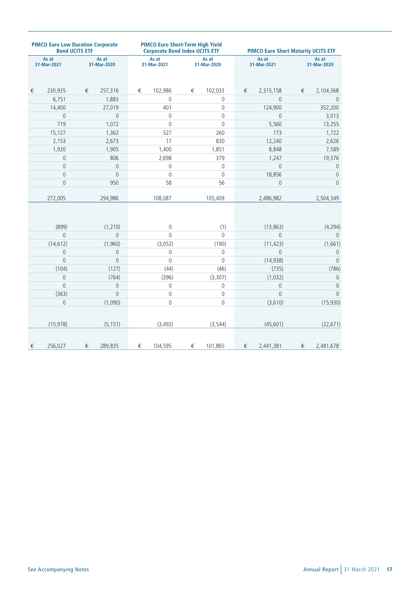|            | <b>Bond UCITS ETF</b> | <b>PIMCO Euro Low Duration Corporate</b> |                      | <b>PIMCO Euro Short-Term High Yield</b><br><b>Corporate Bond Index UCITS ETF</b> | <b>PIMCO Euro Short Maturity UCITS ETF</b> |                         |       |                      |
|------------|-----------------------|------------------------------------------|----------------------|----------------------------------------------------------------------------------|--------------------------------------------|-------------------------|-------|----------------------|
|            | As at<br>31-Mar-2021  | As at<br>31-Mar-2020                     | As at<br>31-Mar-2021 | As at<br>31-Mar-2020                                                             |                                            | As at<br>31-Mar-2021    |       | As at<br>31-Mar-2020 |
|            |                       |                                          |                      |                                                                                  |                                            |                         |       |                      |
| $\epsilon$ | 230,935               | €<br>257,316                             | $\in$<br>102,986     | 102,033<br>€                                                                     |                                            | $\epsilon$<br>2,315,158 | $\in$ | 2,104,368            |
|            | 6,751                 | 1,883                                    | $\mathbf 0$          | 0                                                                                |                                            | $\overline{0}$          |       | $\overline{0}$       |
|            | 14,400                | 27,019                                   | 401                  | $\mathbf 0$                                                                      |                                            | 124,900                 |       | 352,200              |
|            | $\theta$              | $\mathsf{O}\xspace$                      | $\mathbf 0$          | $\mathbf 0$                                                                      |                                            | $\mathbf 0$             |       | 3,013                |
|            | 719                   | 1,072                                    | $\mathbf 0$          | $\mathbf 0$                                                                      |                                            | 5,560                   |       | 13,255               |
|            | 15,127                | 1,362                                    | 527                  | 260                                                                              |                                            | 173                     |       | 1,722                |
|            | 2,153                 | 2,673                                    | 17                   | 830                                                                              |                                            | 12,240                  |       | 2,626                |
|            | 1,920                 | 1,905                                    | 1,400                | 1,851                                                                            |                                            | 8,848                   |       | 7,589                |
|            | $\mathsf{O}\xspace$   | 806                                      | 2,698                | 379                                                                              |                                            | 1,247                   |       | 19,576               |
|            | $\mathbf 0$           | $\mathbf 0$                              | 0                    | 0                                                                                |                                            | $\mathbf 0$             |       | $\theta$             |
|            | $\mathbf 0$           | $\mathbf 0$                              | $\mathbf 0$          | $\mathbf 0$                                                                      |                                            | 18,856                  |       | $\theta$             |
|            | $\overline{0}$        | 950                                      | 58                   | 56                                                                               |                                            | $\overline{0}$          |       | $\overline{0}$       |
|            | 272,005               | 294,986                                  | 108,087              | 105,409                                                                          |                                            | 2,486,982               |       | 2,504,349            |
|            |                       |                                          |                      |                                                                                  |                                            |                         |       |                      |
|            | (899)                 | (1, 210)                                 | $\mathbf 0$          | (1)                                                                              |                                            | (13, 863)               |       | (4, 294)             |
|            | $\mathbf 0$           | $\mathbf 0$                              | $\mathbf 0$          | $\mathbf 0$                                                                      |                                            | $\mathbf 0$             |       | $\mathbf{0}$         |
|            | (14, 612)             | (1,960)                                  | (3,052)              | (190)                                                                            |                                            | (11, 423)               |       | (1,661)              |
|            | $\mathbf 0$           | $\mathbf 0$                              | $\boldsymbol{0}$     | $\boldsymbol{0}$                                                                 |                                            | $\mathbf 0$             |       | $\theta$             |
|            | $\overline{0}$        | $\mathbf 0$                              | $\mathbf 0$          | $\overline{0}$                                                                   |                                            | (14, 938)               |       | $\overline{0}$       |
|            | (104)                 | (127)                                    | (44)                 | (46)                                                                             |                                            | (735)                   |       | (786)                |
|            | $\mathbf 0$           | (764)                                    | (396)                | (3, 307)                                                                         |                                            | (1,032)                 |       | $\mathbf 0$          |
|            | $\overline{0}$        | $\mathbf 0$                              | $\mathbf 0$          | $\mathbf 0$                                                                      |                                            | $\theta$                |       | $\mathbf 0$          |
|            | (363)                 | $\mathbf 0$                              | $\mathbf 0$          | $\boldsymbol{0}$                                                                 |                                            | $\overline{0}$          |       | $\overline{0}$       |
|            | $\mathbf 0$           | (1,090)                                  | $\mathbf 0$          | $\boldsymbol{0}$                                                                 |                                            | (3,610)                 |       | (15,930)             |
|            |                       |                                          |                      |                                                                                  |                                            |                         |       |                      |
|            | (15, 978)             | (5, 151)                                 | (3, 492)             | (3, 544)                                                                         |                                            | (45, 601)               |       | (22, 671)            |
|            |                       |                                          |                      |                                                                                  |                                            |                         |       |                      |
| €          | 256,027               | 289,835<br>€                             | €<br>104,595         | 101,865<br>€                                                                     |                                            | $\in$<br>2,441,381      | €     | 2,481,678            |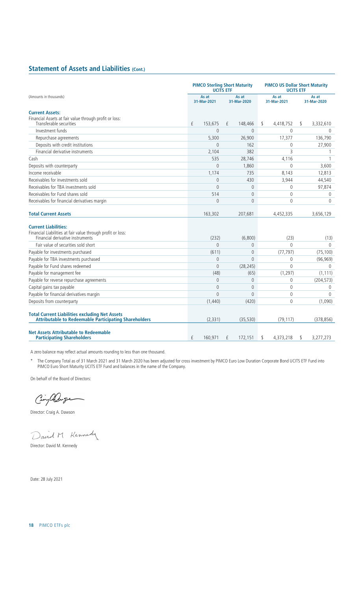### **Statement of Assets and Liabilities (Cont.)**

|                                                                                                                                |   | <b>PIMCO Sterling Short Maturity</b><br><b>UCITS ETF</b> |   |                      |    | <b>PIMCO US Dollar Short Maturity</b><br><b>UCITS ETF</b> |    |                      |  |
|--------------------------------------------------------------------------------------------------------------------------------|---|----------------------------------------------------------|---|----------------------|----|-----------------------------------------------------------|----|----------------------|--|
| (Amounts in thousands)                                                                                                         |   | As at<br>31-Mar-2021                                     |   | As at<br>31-Mar-2020 |    | As at<br>31-Mar-2021                                      |    | As at<br>31-Mar-2020 |  |
| <b>Current Assets:</b>                                                                                                         |   |                                                          |   |                      |    |                                                           |    |                      |  |
| Financial Assets at fair value through profit or loss:<br>Transferable securities                                              | £ | 153,675                                                  | £ | 148,466              | \$ | 4,418,752                                                 | \$ | 3,332,610            |  |
| Investment funds                                                                                                               |   | $\theta$                                                 |   | $\theta$             |    | $\mathbf{0}$                                              |    | $\theta$             |  |
| Repurchase agreements                                                                                                          |   | 5.300                                                    |   | 26,900               |    | 17,377                                                    |    | 136,790              |  |
| Deposits with credit institutions                                                                                              |   | $\theta$                                                 |   | 162                  |    | $\mathbf{0}$                                              |    | 27,900               |  |
| Financial derivative instruments                                                                                               |   | 2,104                                                    |   | 382                  |    | 3                                                         |    | 1                    |  |
| Cash                                                                                                                           |   | 535                                                      |   | 28,746               |    | 4,116                                                     |    | $\mathbf{1}$         |  |
| Deposits with counterparty                                                                                                     |   | $\theta$                                                 |   | 1.860                |    | 0                                                         |    | 3,600                |  |
| Income receivable                                                                                                              |   | 1.174                                                    |   | 735                  |    | 8,143                                                     |    | 12,813               |  |
| Receivables for investments sold                                                                                               |   | $\theta$                                                 |   | 430                  |    | 3,944                                                     |    | 44,540               |  |
| Receivables for TBA investments sold                                                                                           |   | $\theta$                                                 |   | $\theta$             |    | 0                                                         |    | 97,874               |  |
| Receivables for Fund shares sold                                                                                               |   | 514                                                      |   | $\theta$             |    | $\mathbf{0}$                                              |    | $\theta$             |  |
| Receivables for financial derivatives margin                                                                                   |   | $\overline{0}$                                           |   | $\theta$             |    | $\mathbf{0}$                                              |    | $\mathbf{0}$         |  |
| <b>Total Current Assets</b>                                                                                                    |   | 163,302                                                  |   | 207,681              |    | 4,452,335                                                 |    | 3,656,129            |  |
| <b>Current Liabilities:</b><br>Financial Liabilities at fair value through profit or loss:<br>Financial derivative instruments |   | (232)                                                    |   | (6,800)              |    | (23)                                                      |    | (13)                 |  |
| Fair value of securities sold short                                                                                            |   | $\Omega$                                                 |   | $\theta$             |    | $\Omega$                                                  |    | $\mathbf{0}$         |  |
| Payable for investments purchased                                                                                              |   | (611)                                                    |   | $\Omega$             |    | (77, 797)                                                 |    | (75, 100)            |  |
| Payable for TBA investments purchased                                                                                          |   | $\overline{0}$                                           |   | $\Omega$             |    | 0                                                         |    | (96, 969)            |  |
| Payable for Fund shares redeemed                                                                                               |   | $\theta$                                                 |   | (28, 245)            |    | 0                                                         |    | 0                    |  |
| Payable for management fee                                                                                                     |   | (48)                                                     |   | (65)                 |    | (1, 297)                                                  |    | (1, 111)             |  |
| Payable for reverse repurchase agreements                                                                                      |   | $\overline{0}$                                           |   | $\theta$             |    | 0                                                         |    | (204, 573)           |  |
| Capital gains tax payable                                                                                                      |   | $\theta$                                                 |   | $\theta$             |    | $\overline{0}$                                            |    | 0                    |  |
| Payable for financial derivatives margin                                                                                       |   | $\theta$                                                 |   | $\theta$             |    | 0                                                         |    | $\Omega$             |  |
| Deposits from counterparty                                                                                                     |   | (1,440)                                                  |   | (420)                |    | 0                                                         |    | (1,090)              |  |
| <b>Total Current Liabilities excluding Net Assets</b><br><b>Attributable to Redeemable Participating Shareholders</b>          |   | (2, 331)                                                 |   | (35, 530)            |    | (79, 117)                                                 |    | (378, 856)           |  |
| <b>Net Assets Attributable to Redeemable</b><br><b>Participating Shareholders</b>                                              | £ | 160,971                                                  | £ | 172,151              | \$ | 4,373,218                                                 | \$ | 3,277,273            |  |

A zero balance may reflect actual amounts rounding to less than one thousand.

\* The Company Total as of 31 March 2021 and 31 March 2020 has been adjusted for cross investment by PIMCO Euro Low Duration Corporate Bond UCITS ETF Fund into PIMCO Euro Short Maturity UCITS ETF Fund and balances in the name of the Company.

On behalf of the Board of Directors:

Cingharge

Director: Craig A. Dawson

David M Kennedy

Director: David M. Kennedy

Date: 28 July 2021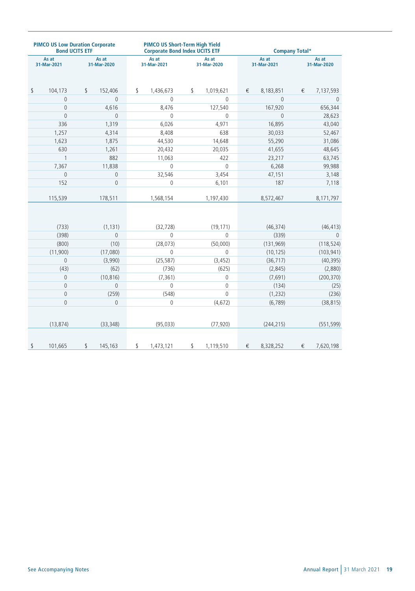|            | <b>PIMCO US Low Duration Corporate</b><br><b>Bond UCITS ETF</b> |                      | <b>PIMCO US Short-Term High Yield</b><br><b>Corporate Bond Index UCITS ETF</b> |                      | <b>Company Total*</b> |                      |   |                      |
|------------|-----------------------------------------------------------------|----------------------|--------------------------------------------------------------------------------|----------------------|-----------------------|----------------------|---|----------------------|
|            | As at<br>31-Mar-2021                                            | As at<br>31-Mar-2020 | As at<br>31-Mar-2021                                                           | As at<br>31-Mar-2020 |                       | As at<br>31-Mar-2021 |   | As at<br>31-Mar-2020 |
| \$         | 104,173                                                         | \$<br>152,406        | \$<br>1,436,673                                                                | \$<br>1,019,621      | €                     | 8,183,851            | € | 7,137,593            |
|            | $\overline{0}$                                                  | $\overline{0}$       | $\mathbf 0$                                                                    | $\mathbf{0}$         |                       | $\theta$             |   | $\overline{0}$       |
|            | $\overline{0}$                                                  | 4,616                | 8,476                                                                          | 127,540              |                       | 167,920              |   | 656,344              |
|            | $\overline{0}$                                                  | $\overline{0}$       | $\mathbf 0$                                                                    | $\mathbf 0$          |                       | $\overline{0}$       |   | 28,623               |
|            | 336                                                             | 1,319                | 6,026                                                                          | 4,971                |                       | 16,895               |   | 43,040               |
|            | 1,257                                                           | 4,314                | 8,408                                                                          | 638                  |                       | 30,033               |   | 52,467               |
|            | 1,623                                                           | 1,875                | 44,530                                                                         | 14,648               |                       | 55,290               |   | 31,086               |
|            | 630                                                             | 1,261                | 20,432                                                                         | 20,035               |                       | 41,655               |   | 48,645               |
|            | $\mathbf{1}$                                                    | 882                  | 11,063                                                                         | 422                  |                       | 23,217               |   | 63,745               |
|            | 7,367                                                           | 11,838               | 0                                                                              | $\mathbf 0$          |                       | 6,268                |   | 99,988               |
|            | $\mathbf 0$                                                     | $\mathbf 0$          | 32,546                                                                         | 3,454                |                       | 47,151               |   | 3,148                |
|            | 152                                                             | $\mathbf 0$          | 0                                                                              | 6,101                |                       | 187                  |   | 7,118                |
|            | 115,539                                                         | 178,511              | 1,568,154                                                                      | 1,197,430            |                       | 8,572,467            |   | 8,171,797            |
|            |                                                                 |                      |                                                                                |                      |                       |                      |   |                      |
|            | (733)                                                           | (1, 131)             | (32, 728)                                                                      | (19, 171)            |                       | (46, 374)            |   | (46, 413)            |
|            | (398)                                                           | $\mathbf 0$          | $\mathbf 0$                                                                    | $\mathbf 0$          |                       | (339)                |   | $\mathbf{0}$         |
|            | (800)                                                           | (10)                 | (28, 073)                                                                      | (50,000)             |                       | (131, 969)           |   | (118, 524)           |
|            | (11,900)                                                        | (17,080)             | 0                                                                              | $\overline{0}$       |                       | (10, 125)            |   | (103, 941)           |
|            | $\overline{0}$                                                  | (3,990)              | (25, 587)                                                                      | (3, 452)             |                       | (36, 717)            |   | (40, 395)            |
|            | (43)                                                            | (62)                 | (736)                                                                          | (625)                |                       | (2,845)              |   | (2,880)              |
|            | $\mathbf 0$                                                     | (10, 816)            | (7, 361)                                                                       | $\mathbf 0$          |                       | (7,691)              |   | (200, 370)           |
|            | $\overline{0}$                                                  | $\overline{0}$       | 0                                                                              | $\mathbf 0$          |                       | (134)                |   | (25)                 |
|            | $\mathbf{0}$                                                    | (259)                | (548)                                                                          | $\mathbf 0$          |                       | (1, 232)             |   | (236)                |
|            | $\overline{0}$                                                  | $\mathbf{0}$         | $\mathbf 0$                                                                    | (4, 672)             |                       | (6, 789)             |   | (38, 815)            |
|            |                                                                 |                      |                                                                                |                      |                       |                      |   |                      |
|            | (13, 874)                                                       | (33, 348)            | (95, 033)                                                                      | (77, 920)            |                       | (244, 215)           |   | (551, 599)           |
| $\sqrt{2}$ | 101,665                                                         | \$<br>145,163        | \$<br>1,473,121                                                                | \$<br>1,119,510      | €                     | 8,328,252            | € | 7,620,198            |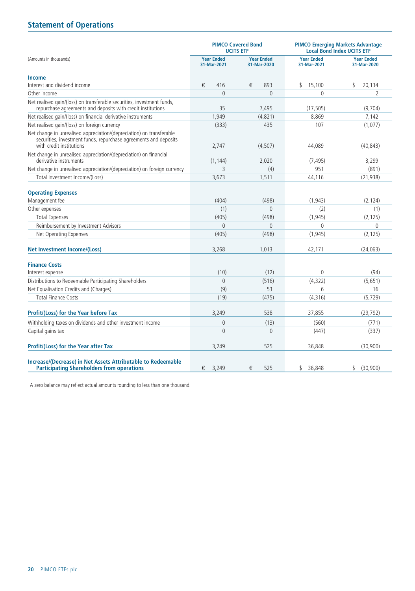### **Statement of Operations**

|                                                                                                                                                                      | <b>PIMCO Covered Bond</b><br><b>UCITS ETF</b> |                                  | <b>PIMCO Emerging Markets Advantage</b><br><b>Local Bond Index UCITS ETF</b> |                                  |  |
|----------------------------------------------------------------------------------------------------------------------------------------------------------------------|-----------------------------------------------|----------------------------------|------------------------------------------------------------------------------|----------------------------------|--|
| (Amounts in thousands)                                                                                                                                               | <b>Year Ended</b><br>31-Mar-2021              | <b>Year Ended</b><br>31-Mar-2020 | <b>Year Ended</b><br>31-Mar-2021                                             | <b>Year Ended</b><br>31-Mar-2020 |  |
| <b>Income</b>                                                                                                                                                        |                                               |                                  |                                                                              |                                  |  |
| Interest and dividend income                                                                                                                                         | €<br>416                                      | €<br>893                         | \$<br>15,100                                                                 | \$<br>20,134                     |  |
| Other income                                                                                                                                                         | 0                                             | $\overline{0}$                   | $\mathbf{0}$                                                                 | 2                                |  |
| Net realised gain/(loss) on transferable securities, investment funds,<br>repurchase agreements and deposits with credit institutions                                | 35                                            | 7,495                            | (17, 505)                                                                    | (9,704)                          |  |
| Net realised gain/(loss) on financial derivative instruments                                                                                                         | 1,949                                         | (4,821)                          | 8,869                                                                        | 7,142                            |  |
| Net realised gain/(loss) on foreign currency                                                                                                                         | (333)                                         | 435                              | 107                                                                          | (1,077)                          |  |
| Net change in unrealised appreciation/(depreciation) on transferable<br>securities, investment funds, repurchase agreements and deposits<br>with credit institutions | 2,747                                         | (4, 507)                         | 44,089                                                                       | (40, 843)                        |  |
| Net change in unrealised appreciation/(depreciation) on financial<br>derivative instruments                                                                          | (1, 144)                                      | 2,020                            | (7, 495)                                                                     | 3.299                            |  |
| Net change in unrealised appreciation/(depreciation) on foreign currency                                                                                             | 3                                             | (4)                              | 951                                                                          | (891)                            |  |
| Total Investment Income/(Loss)                                                                                                                                       | 3,673                                         | 1,511                            | 44,116                                                                       | (21, 938)                        |  |
| <b>Operating Expenses</b><br>Management fee                                                                                                                          | (404)                                         | (498)                            | (1, 943)                                                                     | (2, 124)                         |  |
| Other expenses                                                                                                                                                       | (1)                                           | $\theta$                         | (2)                                                                          | (1)                              |  |
| <b>Total Expenses</b>                                                                                                                                                | (405)                                         | (498)                            | (1, 945)                                                                     | (2, 125)                         |  |
| Reimbursement by Investment Advisors                                                                                                                                 | $\theta$                                      | $\overline{0}$                   | $\Omega$                                                                     | $\overline{0}$                   |  |
| Net Operating Expenses                                                                                                                                               | (405)                                         | (498)                            | (1, 945)                                                                     | (2, 125)                         |  |
| <b>Net Investment Income/(Loss)</b>                                                                                                                                  | 3,268                                         | 1,013                            | 42,171                                                                       | (24, 063)                        |  |
| <b>Finance Costs</b>                                                                                                                                                 |                                               |                                  |                                                                              |                                  |  |
| Interest expense                                                                                                                                                     | (10)                                          | (12)                             | $\mathbf{0}$                                                                 | (94)                             |  |
| Distributions to Redeemable Participating Shareholders                                                                                                               | $\overline{0}$                                | (516)                            | (4, 322)                                                                     | (5,651)                          |  |
| Net Equalisation Credits and (Charges)                                                                                                                               | (9)                                           | 53                               | 6                                                                            | 16                               |  |
| <b>Total Finance Costs</b>                                                                                                                                           | (19)                                          | (475)                            | (4, 316)                                                                     | (5, 729)                         |  |
| <b>Profit/(Loss) for the Year before Tax</b>                                                                                                                         | 3.249                                         | 538                              | 37,855                                                                       | (29, 792)                        |  |
| Withholding taxes on dividends and other investment income                                                                                                           | $\overline{0}$                                | (13)                             | (560)                                                                        | (771)                            |  |
| Capital gains tax                                                                                                                                                    | $\overline{0}$                                | $\overline{0}$                   | (447)                                                                        | (337)                            |  |
| <b>Profit/(Loss) for the Year after Tax</b>                                                                                                                          | 3,249                                         | 525                              | 36,848                                                                       | (30, 900)                        |  |
| Increase/(Decrease) in Net Assets Attributable to Redeemable<br><b>Participating Shareholders from operations</b>                                                    | 3.249<br>€                                    | €<br>525                         | 36.848<br>\$                                                                 | \$<br>(30.900)                   |  |

A zero balance may reflect actual amounts rounding to less than one thousand.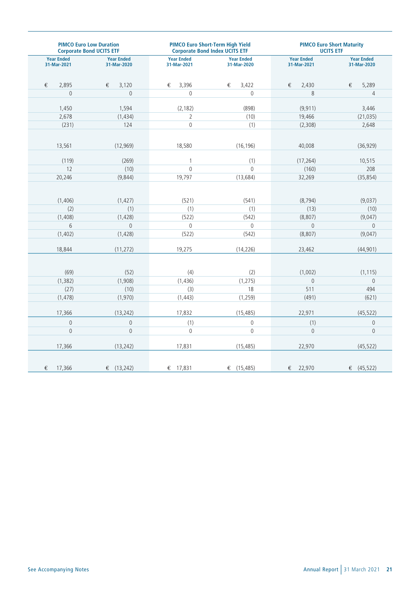|                                  | <b>PIMCO Euro Low Duration</b><br><b>Corporate Bond UCITS ETF</b> |                                  | <b>PIMCO Euro Short-Term High Yield</b><br><b>PIMCO Euro Short Maturity</b><br><b>Corporate Bond Index UCITS ETF</b><br><b>UCITS ETF</b> |                                  |                                  |
|----------------------------------|-------------------------------------------------------------------|----------------------------------|------------------------------------------------------------------------------------------------------------------------------------------|----------------------------------|----------------------------------|
| <b>Year Ended</b><br>31-Mar-2021 | <b>Year Ended</b><br>31-Mar-2020                                  | <b>Year Ended</b><br>31-Mar-2021 | <b>Year Ended</b><br>31-Mar-2020                                                                                                         | <b>Year Ended</b><br>31-Mar-2021 | <b>Year Ended</b><br>31-Mar-2020 |
| €<br>2,895                       | €<br>3,120                                                        | €<br>3,396                       | €<br>3,422                                                                                                                               | €<br>2,430                       | €<br>5,289                       |
| $\overline{0}$                   | $\overline{0}$                                                    | $\overline{0}$                   | $\overline{0}$                                                                                                                           | 8                                | $\overline{4}$                   |
| 1,450                            | 1,594                                                             | (2, 182)                         | (898)                                                                                                                                    | (9, 911)                         | 3,446                            |
| 2,678                            | (1,434)                                                           | $\overline{2}$                   | (10)                                                                                                                                     | 19,466                           | (21, 035)                        |
| (231)                            | 124                                                               | $\mathsf{O}\xspace$              | (1)                                                                                                                                      | (2,308)                          | 2,648                            |
|                                  |                                                                   |                                  |                                                                                                                                          |                                  |                                  |
| 13,561                           | (12,969)                                                          | 18,580                           | (16, 196)                                                                                                                                | 40,008                           | (36, 929)                        |
| (119)                            | (269)                                                             | $\mathbf{1}$                     | (1)                                                                                                                                      | (17, 264)                        | 10,515                           |
| 12                               | (10)                                                              | $\mathsf{O}\xspace$              | $\mathbf 0$                                                                                                                              | (160)                            | 208                              |
| 20,246                           | (9,844)                                                           | 19,797                           | (13, 684)                                                                                                                                | 32,269                           | (35, 854)                        |
|                                  |                                                                   |                                  |                                                                                                                                          |                                  |                                  |
| (1, 406)                         | (1, 427)                                                          | (521)                            | (541)                                                                                                                                    | (8, 794)                         | (9,037)                          |
| (2)                              | (1)                                                               | (1)                              | (1)                                                                                                                                      | (13)                             | (10)                             |
| (1, 408)                         | (1, 428)                                                          | (522)                            | (542)                                                                                                                                    | (8, 807)                         | (9,047)                          |
| 6                                | $\mathbf 0$                                                       | $\mathsf{O}\xspace$              | $\mathbb O$                                                                                                                              | $\mathbf{0}$                     | $\mathbb O$                      |
| (1, 402)                         | (1, 428)                                                          | (522)                            | (542)                                                                                                                                    | (8, 807)                         | (9,047)                          |
| 18,844                           | (11, 272)                                                         | 19,275                           | (14, 226)                                                                                                                                | 23,462                           | (44, 901)                        |
|                                  |                                                                   |                                  |                                                                                                                                          |                                  |                                  |
| (69)                             | (52)                                                              | (4)                              | (2)                                                                                                                                      | (1,002)                          | (1, 115)                         |
| (1, 382)                         | (1,908)                                                           | (1, 436)                         | (1, 275)                                                                                                                                 | $\overline{0}$                   | $\mathbf{0}$                     |
| (27)                             | (10)                                                              | (3)                              | 18                                                                                                                                       | 511                              | 494                              |
| (1, 478)                         | (1,970)                                                           | (1, 443)                         | (1, 259)                                                                                                                                 | (491)                            | (621)                            |
| 17,366                           | (13, 242)                                                         | 17,832                           | (15, 485)                                                                                                                                | 22,971                           | (45, 522)                        |
| $\overline{0}$                   | $\mathbf 0$                                                       | (1)                              | $\boldsymbol{0}$                                                                                                                         | (1)                              | $\mathbf 0$                      |
| $\mathbf 0$                      | $\mathbf 0$                                                       | $\mathsf{O}\xspace$              | $\mathsf{O}\xspace$                                                                                                                      | $\mathsf{O}\xspace$              | $\overline{0}$                   |
| 17,366                           | (13, 242)                                                         | 17,831                           | (15, 485)                                                                                                                                | 22,970                           | (45, 522)                        |
|                                  |                                                                   |                                  |                                                                                                                                          |                                  |                                  |
| €<br>17,366                      | € $(13, 242)$                                                     | € 17,831                         | € $(15, 485)$                                                                                                                            | 22,970<br>€                      | € $(45,522)$                     |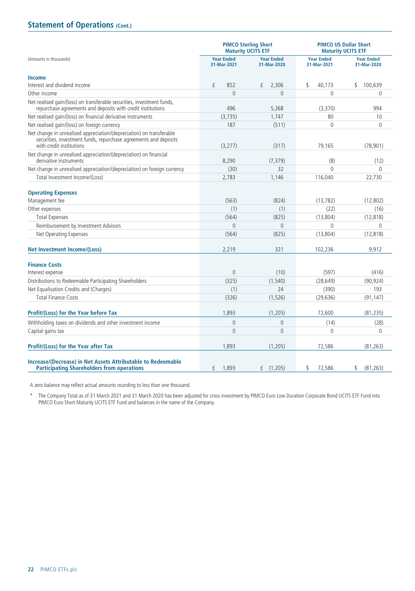### **Statement of Operations (Cont.)**

|                                                                                                                                                                      | <b>Maturity UCITS ETF</b>        | <b>PIMCO Sterling Short</b>      | <b>PIMCO US Dollar Short</b><br><b>Maturity UCITS ETF</b> |                                  |  |
|----------------------------------------------------------------------------------------------------------------------------------------------------------------------|----------------------------------|----------------------------------|-----------------------------------------------------------|----------------------------------|--|
| (Amounts in thousands)                                                                                                                                               | <b>Year Ended</b><br>31-Mar-2021 | <b>Year Ended</b><br>31-Mar-2020 | <b>Year Ended</b><br>31-Mar-2021                          | <b>Year Ended</b><br>31-Mar-2020 |  |
| <b>Income</b>                                                                                                                                                        |                                  |                                  |                                                           |                                  |  |
| Interest and dividend income                                                                                                                                         | £<br>852                         | £<br>2,306                       | \$<br>40,173                                              | \$<br>100,639                    |  |
| Other income                                                                                                                                                         | $\overline{0}$                   | $\theta$                         | $\mathbf{0}$                                              | 0                                |  |
| Net realised gain/(loss) on transferable securities, investment funds,<br>repurchase agreements and deposits with credit institutions                                | 496                              | 5,268                            | (3,370)                                                   | 994                              |  |
| Net realised gain/(loss) on financial derivative instruments                                                                                                         | (3, 735)                         | 1,747                            | 80                                                        | 10                               |  |
| Net realised gain/(loss) on foreign currency                                                                                                                         | 187                              | (511)                            | $\mathbf{0}$                                              | $\overline{0}$                   |  |
| Net change in unrealised appreciation/(depreciation) on transferable<br>securities, investment funds, repurchase agreements and deposits<br>with credit institutions | (3,277)                          | (317)                            | 79,165                                                    | (78, 901)                        |  |
| Net change in unrealised appreciation/(depreciation) on financial<br>derivative instruments                                                                          | 8.290                            | (7, 379)                         | (8)                                                       | (12)                             |  |
| Net change in unrealised appreciation/(depreciation) on foreign currency                                                                                             | (30)                             | 32                               | $\Omega$                                                  | $\Omega$                         |  |
| Total Investment Income/(Loss)                                                                                                                                       | 2,783                            | 1,146                            | 116,040                                                   | 22,730                           |  |
| <b>Operating Expenses</b><br>Management fee                                                                                                                          | (563)                            | (824)                            | (13, 782)                                                 | (12,802)                         |  |
| Other expenses                                                                                                                                                       | (1)                              | (1)                              | (22)                                                      | (16)                             |  |
| <b>Total Expenses</b>                                                                                                                                                | (564)                            | (825)                            | (13,804)                                                  | (12, 818)                        |  |
| Reimbursement by Investment Advisors                                                                                                                                 | $\overline{0}$                   | $\theta$                         | $\mathbf{0}$                                              | 0                                |  |
| Net Operating Expenses                                                                                                                                               | (564)                            | (825)                            | (13,804)                                                  | (12, 818)                        |  |
| <b>Net Investment Income/(Loss)</b>                                                                                                                                  | 2,219                            | 321                              | 102,236                                                   | 9,912                            |  |
| <b>Finance Costs</b>                                                                                                                                                 |                                  |                                  |                                                           |                                  |  |
| Interest expense                                                                                                                                                     | $\mathbf 0$                      | (10)                             | (597)                                                     | (416)                            |  |
| Distributions to Redeemable Participating Shareholders<br>Net Equalisation Credits and (Charges)                                                                     | (325)<br>(1)                     | (1, 540)<br>24                   | (28, 649)<br>(390)                                        | (90, 924)<br>193                 |  |
| <b>Total Finance Costs</b>                                                                                                                                           | (326)                            | (1, 526)                         | (29, 636)                                                 | (91, 147)                        |  |
|                                                                                                                                                                      |                                  |                                  |                                                           |                                  |  |
| <b>Profit/(Loss) for the Year before Tax</b>                                                                                                                         | 1.893                            | (1, 205)                         | 72,600                                                    | (81, 235)                        |  |
| Withholding taxes on dividends and other investment income                                                                                                           | $\mathbf 0$                      | $\theta$                         | (14)                                                      | (28)                             |  |
| Capital gains tax                                                                                                                                                    | $\overline{0}$                   | $\overline{0}$                   | $\overline{0}$                                            | 0                                |  |
| <b>Profit/(Loss) for the Year after Tax</b>                                                                                                                          | 1,893                            | (1, 205)                         | 72,586                                                    | (81, 263)                        |  |
| Increase/(Decrease) in Net Assets Attributable to Redeemable<br><b>Participating Shareholders from operations</b>                                                    | £<br>1.893                       | f(1,205)                         | \$<br>72.586                                              | \$<br>(81.263)                   |  |

A zero balance may reflect actual amounts rounding to less than one thousand.

\* The Company Total as of 31 March 2021 and 31 March 2020 has been adjusted for cross investment by PIMCO Euro Low Duration Corporate Bond UCITS ETF Fund into PIMCO Euro Short Maturity UCITS ETF Fund and balances in the name of the Company.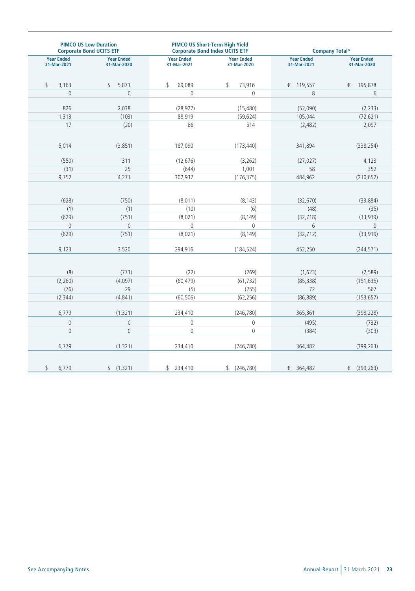| <b>PIMCO US Low Duration</b><br><b>Corporate Bond UCITS ETF</b> |                                  |                                  | <b>PIMCO US Short-Term High Yield</b><br><b>Corporate Bond Index UCITS ETF</b> |                                  | <b>Company Total*</b>            |  |  |
|-----------------------------------------------------------------|----------------------------------|----------------------------------|--------------------------------------------------------------------------------|----------------------------------|----------------------------------|--|--|
| <b>Year Ended</b><br>31-Mar-2021                                | <b>Year Ended</b><br>31-Mar-2020 | <b>Year Ended</b><br>31-Mar-2021 | <b>Year Ended</b><br>31-Mar-2020                                               | <b>Year Ended</b><br>31-Mar-2021 | <b>Year Ended</b><br>31-Mar-2020 |  |  |
| \$<br>3,163                                                     | $\mathsf{\$}$<br>5,871           | \$<br>69,089                     | \$<br>73,916                                                                   | € 119,557                        | €<br>195,878                     |  |  |
| $\theta$                                                        | $\overline{0}$                   | $\theta$                         | $\mathbf{0}$                                                                   | 8                                | 6                                |  |  |
| 826                                                             | 2,038                            | (28, 927)                        | (15, 480)                                                                      | (52,090)                         | (2, 233)                         |  |  |
| 1,313                                                           | (103)                            | 88,919                           | (59, 624)                                                                      | 105,044                          | (72, 621)                        |  |  |
| 17                                                              | (20)                             | 86                               | 514                                                                            | (2,482)                          | 2,097                            |  |  |
|                                                                 |                                  |                                  |                                                                                |                                  |                                  |  |  |
| 5,014                                                           | (3,851)                          | 187,090                          | (173, 440)                                                                     | 341,894                          | (338, 254)                       |  |  |
| (550)                                                           | 311                              | (12, 676)                        | (3, 262)                                                                       | (27, 027)                        | 4,123                            |  |  |
| (31)                                                            | 25                               | (644)                            | 1,001                                                                          | 58                               | 352                              |  |  |
| 9,752                                                           | 4,271                            | 302,937                          | (176, 375)                                                                     | 484,962                          | (210, 652)                       |  |  |
| (628)                                                           | (750)                            | (8,011)                          | (8, 143)                                                                       | (32, 670)                        | (33, 884)                        |  |  |
| (1)                                                             | (1)                              | (10)                             | (6)                                                                            | (48)                             | (35)                             |  |  |
| (629)                                                           | (751)                            | (8,021)                          | (8, 149)                                                                       | (32, 718)                        | (33, 919)                        |  |  |
| $\mathbf 0$                                                     | $\mathbb O$                      | $\mathbf 0$                      | $\mathsf{O}\xspace$                                                            | $6\,$                            | $\mathbf 0$                      |  |  |
| (629)                                                           | (751)                            | (8,021)                          | (8, 149)                                                                       | (32, 712)                        | (33, 919)                        |  |  |
| 9,123                                                           | 3,520                            | 294,916                          | (184, 524)                                                                     | 452,250                          | (244, 571)                       |  |  |
|                                                                 |                                  |                                  |                                                                                |                                  |                                  |  |  |
| (8)                                                             | (773)                            | (22)                             | (269)                                                                          | (1,623)                          | (2, 589)                         |  |  |
| (2,260)<br>(76)                                                 | (4,097)<br>29                    | (60, 479)<br>(5)                 | (61, 732)<br>(255)                                                             | (85, 338)<br>72                  | (151, 635)<br>567                |  |  |
| (2, 344)                                                        | (4, 841)                         | (60, 506)                        | (62, 256)                                                                      | (86, 889)                        | (153, 657)                       |  |  |
|                                                                 |                                  |                                  |                                                                                |                                  |                                  |  |  |
| 6,779                                                           | (1, 321)                         | 234,410                          | (246, 780)                                                                     | 365,361                          | (398, 228)                       |  |  |
| $\mathbf 0$                                                     | $\mathbf 0$                      | $\mathbf 0$                      | $\mathbf 0$                                                                    | (495)                            | (732)                            |  |  |
| $\mathbf{0}$                                                    | $\overline{0}$                   | $\mathbf 0$                      | $\mathbf 0$                                                                    | (384)                            | (303)                            |  |  |
| 6,779                                                           | (1, 321)                         | 234,410                          | (246, 780)                                                                     | 364,482                          | (399, 263)                       |  |  |
| \$<br>6,779                                                     | \$(1,321)                        | \$234,410                        | \$ (246,780)                                                                   | € 364,482                        | € $(399, 263)$                   |  |  |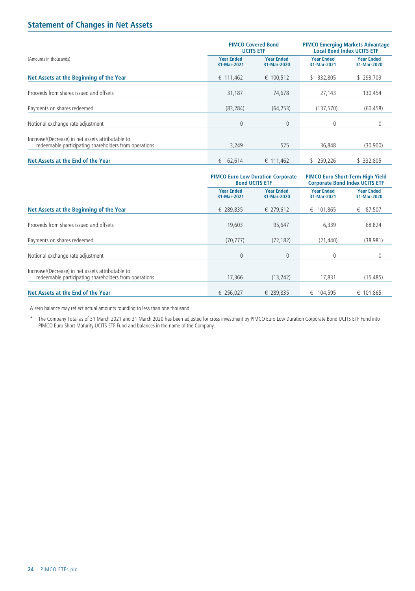### **Statement of Changes in Net Assets**

|                                                                                                            |                                  | <b>PIMCO Covered Bond</b><br><b>UCITS ETF</b> | <b>PIMCO Emerging Markets Advantage</b><br><b>Local Bond Index UCITS ETF</b> |                                  |  |
|------------------------------------------------------------------------------------------------------------|----------------------------------|-----------------------------------------------|------------------------------------------------------------------------------|----------------------------------|--|
| (Amounts in thousands)                                                                                     | <b>Year Ended</b><br>31-Mar-2021 | <b>Year Ended</b><br>31-Mar-2020              | <b>Year Ended</b><br>31-Mar-2021                                             | <b>Year Ended</b><br>31-Mar-2020 |  |
| Net Assets at the Beginning of the Year                                                                    | € 111,462                        | € 100,512                                     | 332,805<br>\$                                                                | \$293,709                        |  |
| Proceeds from shares issued and offsets                                                                    | 31.187                           | 74,678                                        | 27,143                                                                       | 130,454                          |  |
| Payments on shares redeemed                                                                                | (83, 284)                        | (64, 253)                                     | (137, 570)                                                                   | (60, 458)                        |  |
| Notional exchange rate adjustment                                                                          | $\Omega$                         | $\Omega$                                      | 0                                                                            | 0                                |  |
| Increase/(Decrease) in net assets attributable to<br>redeemable participating shareholders from operations | 3,249                            | 525                                           | 36.848                                                                       | (30,900)                         |  |
| Net Assets at the End of the Year                                                                          | € 62.614                         | € 111.462                                     | 259.226                                                                      | \$ 332,805                       |  |

|                                                                                                            |                                  | <b>PIMCO Euro Low Duration Corporate</b><br><b>Bond UCITS ETF</b> | <b>PIMCO Euro Short-Term High Yield</b><br><b>Corporate Bond Index UCITS ETF</b> |                                  |  |
|------------------------------------------------------------------------------------------------------------|----------------------------------|-------------------------------------------------------------------|----------------------------------------------------------------------------------|----------------------------------|--|
|                                                                                                            | <b>Year Ended</b><br>31-Mar-2021 | <b>Year Ended</b><br>31-Mar-2020                                  | <b>Year Ended</b><br>31-Mar-2021                                                 | <b>Year Ended</b><br>31-Mar-2020 |  |
| Net Assets at the Beginning of the Year                                                                    | € 289,835                        | € 279,612                                                         | € 101,865                                                                        | 87,507<br>€                      |  |
| Proceeds from shares issued and offsets                                                                    | 19,603                           | 95,647                                                            | 6,339                                                                            | 68,824                           |  |
| Payments on shares redeemed                                                                                | (70, 777)                        | (72, 182)                                                         | (21, 440)                                                                        | (38, 981)                        |  |
| Notional exchange rate adjustment                                                                          | $\overline{0}$                   | $\Omega$                                                          | $\theta$                                                                         | $\mathbf{0}$                     |  |
| Increase/(Decrease) in net assets attributable to<br>redeemable participating shareholders from operations | 17.366                           | (13, 242)                                                         | 17.831                                                                           | (15, 485)                        |  |
| Net Assets at the End of the Year                                                                          | € 256,027                        | € 289.835                                                         | € 104.595                                                                        | € 101,865                        |  |

A zero balance may reflect actual amounts rounding to less than one thousand.

\* The Company Total as of 31 March 2021 and 31 March 2020 has been adjusted for cross investment by PIMCO Euro Low Duration Corporate Bond UCITS ETF Fund into PIMCO Euro Short Maturity UCITS ETF Fund and balances in the name of the Company.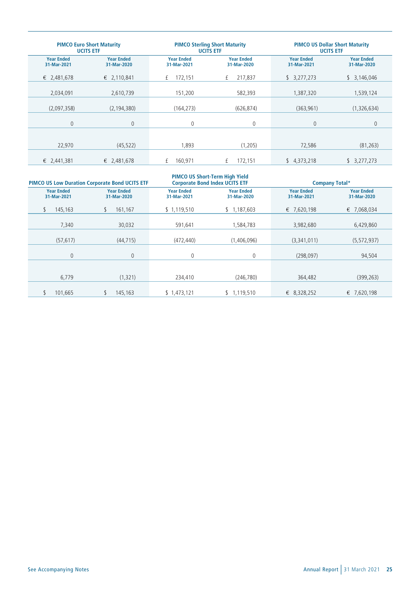| <b>PIMCO Euro Short Maturity</b><br><b>UCITS ETF</b> |                                  |                                  | <b>PIMCO Sterling Short Maturity</b><br><b>UCITS ETF</b> | <b>PIMCO US Dollar Short Maturity</b><br><b>UCITS ETF</b> |                                  |  |  |
|------------------------------------------------------|----------------------------------|----------------------------------|----------------------------------------------------------|-----------------------------------------------------------|----------------------------------|--|--|
| <b>Year Ended</b><br>31-Mar-2021                     | <b>Year Ended</b><br>31-Mar-2020 | <b>Year Ended</b><br>31-Mar-2021 | <b>Year Ended</b><br>31-Mar-2020                         | <b>Year Ended</b><br>31-Mar-2021                          | <b>Year Ended</b><br>31-Mar-2020 |  |  |
| € 2,481,678                                          | € 2,110,841                      | 172,151<br>£                     | 217,837<br>£                                             | 3,277,273<br>S.                                           | 3,146,046<br>\$                  |  |  |
| 2,034,091                                            | 2,610,739                        | 151,200                          | 582,393                                                  | 1,387,320                                                 | 1,539,124                        |  |  |
| (2,097,358)                                          | (2, 194, 380)                    | (164, 273)                       | (626, 874)                                               | (363, 961)                                                | (1,326,634)                      |  |  |
| $\mathbf 0$                                          | $\theta$                         | $\overline{0}$                   | $\mathbf 0$                                              | $\theta$                                                  | 0                                |  |  |
|                                                      |                                  |                                  |                                                          |                                                           |                                  |  |  |
| 22,970                                               | (45, 522)                        | 1,893                            | (1,205)                                                  | 72,586                                                    | (81, 263)                        |  |  |
| € 2,441,381                                          | € 2,481,678                      | 160,971<br>£                     | 172,151<br>£                                             | \$4,373,218                                               | \$<br>3,277,273                  |  |  |

| <b>PIMCO US Short-Term High Yield</b><br><b>Corporate Bond Index UCITS ETF</b><br><b>PIMCO US Low Duration Corporate Bond UCITS ETF</b><br><b>Company Total*</b> |                                  |                                  |                                  |                                  |                                  |  |  |  |  |
|------------------------------------------------------------------------------------------------------------------------------------------------------------------|----------------------------------|----------------------------------|----------------------------------|----------------------------------|----------------------------------|--|--|--|--|
| <b>Year Ended</b><br>31-Mar-2021                                                                                                                                 | <b>Year Ended</b><br>31-Mar-2020 | <b>Year Ended</b><br>31-Mar-2021 | <b>Year Ended</b><br>31-Mar-2020 | <b>Year Ended</b><br>31-Mar-2021 | <b>Year Ended</b><br>31-Mar-2020 |  |  |  |  |
| 145,163                                                                                                                                                          | 161,167                          | \$1,119,510                      | \$1,187,603                      | € 7,620,198                      | € 7,068,034                      |  |  |  |  |
| 7,340                                                                                                                                                            | 30,032                           | 591,641                          | 1,584,783                        | 3,982,680                        | 6,429,860                        |  |  |  |  |
| (57, 617)                                                                                                                                                        | (44, 715)                        | (472, 440)                       | (1,406,096)                      | (3,341,011)                      | (5, 572, 937)                    |  |  |  |  |
| 0                                                                                                                                                                | $\theta$                         | $\mathbf 0$                      | $\overline{0}$                   | (298,097)                        | 94,504                           |  |  |  |  |
|                                                                                                                                                                  |                                  |                                  |                                  |                                  |                                  |  |  |  |  |
| 6,779                                                                                                                                                            | (1, 321)                         | 234,410                          | (246, 780)                       | 364,482                          | (399, 263)                       |  |  |  |  |
| 101.665                                                                                                                                                          | 145,163                          | \$1,473,121                      | \$1,119,510                      | € 8,328,252                      | € 7,620,198                      |  |  |  |  |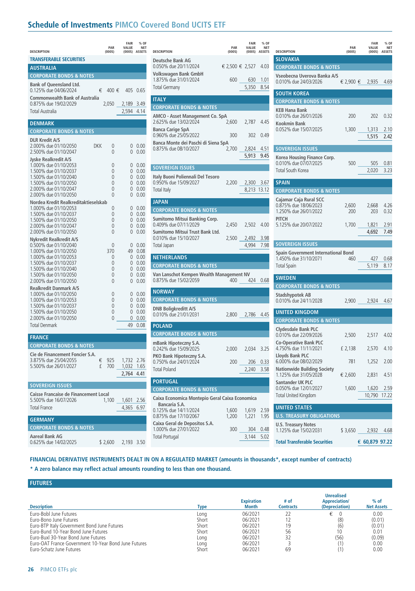### **Schedule of Investments PIMCO Covered Bond UCITS ETF**

|                                       | PAR<br>(000S) |       | <b>FAIR</b><br>VALUE<br>(000S) | % OF<br><b>NET</b><br><b>ASSETS</b> |
|---------------------------------------|---------------|-------|--------------------------------|-------------------------------------|
|                                       |               |       |                                |                                     |
|                                       |               |       |                                |                                     |
|                                       |               |       |                                |                                     |
| €                                     |               |       |                                | 0.65                                |
| <b>Commonwealth Bank of Australia</b> |               |       | 2.189                          | 3.49                                |
|                                       |               |       |                                |                                     |
|                                       |               | 2.050 | 400 €                          | 405<br>2.594 4.14                   |

### **DENMARK**

| <b>CORPORATE BONDS &amp; NOTES</b>                                                                                                                                                                            |                                                                         |                                                      |                                                      |
|---------------------------------------------------------------------------------------------------------------------------------------------------------------------------------------------------------------|-------------------------------------------------------------------------|------------------------------------------------------|------------------------------------------------------|
| <b>DLR Kredit A/S</b><br>2.000% due 01/10/2050<br>2.500% due 01/10/2047                                                                                                                                       | <b>DKK</b><br>$\theta$<br>$\Omega$                                      | 0<br>$\overline{0}$                                  | 0.00<br>0.00                                         |
| <b>Jyske Realkredit A/S</b><br>1.000% due 01/10/2053<br>1.500% due 01/10/2037<br>1.500% due 01/10/2040<br>1.500% due 01/10/2050<br>2.000% due 01/10/2047<br>2.000% due 01/10/2050                             | $\theta$<br>$\theta$<br>$\theta$<br>$\theta$<br>$\theta$<br>$\Omega$    | 0<br>0<br>0<br>0<br>0<br>$\Omega$                    | 0.00<br>0.00<br>0.00<br>0.00<br>0.00<br>0.00         |
| Nordea Kredit Realkreditaktieselskab<br>1.000% due 01/10/2053<br>1.500% due 01/10/2037<br>1.500% due 01/10/2050<br>2.000% due 01/10/2047<br>2.000% due 01/10/2050                                             | $\theta$<br>0<br>$\theta$<br>0<br>$\theta$                              | 0<br>0<br>0<br>0<br>0                                | 0.00<br>0.00<br>0.00<br>0.00<br>0.00                 |
| <b>Nykredit Realkredit A/S</b><br>0.500% due 01/10/2040<br>1.000% due 01/10/2050<br>1.000% due 01/10/2053<br>1.500% due 01/10/2037<br>1.500% due 01/10/2040<br>1.500% due 01/10/2050<br>2.000% due 01/10/2050 | $\theta$<br>370<br>0<br>$\theta$<br>$\theta$<br>$\mathbf 0$<br>$\Omega$ | 0<br>49<br>0<br>$\overline{0}$<br>0<br>0<br>$\Omega$ | 0.00<br>0.08<br>0.00<br>0.00<br>0.00<br>0.00<br>0.00 |
| <b>Realkredit Danmark A/S</b><br>1.000% due 01/10/2050<br>1.000% due 01/10/2053<br>1.500% due 01/10/2037<br>1.500% due 01/10/2050<br>2.000% due 01/10/2050<br><b>Total Denmark</b>                            | $\theta$<br>$\theta$<br>$\Omega$<br>$\mathbf 0$<br>$\theta$             | 0<br>0<br>$\overline{0}$<br>0<br>0<br>49             | 0.00<br>0.00<br>0.00<br>0.00<br>0.00<br>0.08         |
|                                                                                                                                                                                                               |                                                                         |                                                      |                                                      |

### **FRANCE**

| <b>CORPORATE BONDS &amp; NOTES</b>                                                |       |                                              |  |
|-----------------------------------------------------------------------------------|-------|----------------------------------------------|--|
| Cie de Financement Foncier S.A.<br>3.875% due 25/04/2055<br>5.500% due 26/01/2027 | f 700 | € 925 1.732 2.76<br>1.032 1.65<br>2.764 4.41 |  |
|                                                                                   |       |                                              |  |

|  | <b>SOVEREIGN ISSUES</b> |  |
|--|-------------------------|--|
|  |                         |  |

| Total France                          |  | 4.365 6.97       |  |  |  |
|---------------------------------------|--|------------------|--|--|--|
| 5.500% due 16/07/2026                 |  | 1,100 1,601 2.56 |  |  |  |
| Caisse Francaise de Financement Local |  |                  |  |  |  |

| <b>GERMANY</b>                          |                    |  |
|-----------------------------------------|--------------------|--|
| <b>CORPORATE BONDS &amp; NOTES</b>      |                    |  |
| Aareal Bank AG<br>0.625% due 14/02/2025 | \$2.600 2.193 3.50 |  |

| <b>DESCRIPTION</b>                                                | PAR<br>(000S) | FAIR<br>VALUE   | % OF<br><b>NET</b><br>(000S) ASSETS |
|-------------------------------------------------------------------|---------------|-----------------|-------------------------------------|
| <b>Deutsche Bank AG</b><br>0.050% due 20/11/2024                  |               | € 2,500 € 2,527 | 4.03                                |
| <b>Volkswagen Bank GmbH</b><br>1.875% due 31/01/2024              | 600           | 630             | 1.01                                |
| <b>Total Germany</b>                                              |               | 5,350           | 8.54                                |
| <b>ITALY</b>                                                      |               |                 |                                     |
| <b>CORPORATE BONDS &amp; NOTES</b>                                |               |                 |                                     |
| AMCO - Asset Management Co. SpA<br>2.625% due 13/02/2024          | 2,600         | 2,787           | 4.45                                |
| <b>Banca Carige SpA</b><br>0.960% due 25/05/2022                  | 300           | 302             | 0.49                                |
| Banca Monte dei Paschi di Siena SpA<br>0.875% due 08/10/2027      | 2,700         | 2,824           | 4.51                                |
|                                                                   |               | 5,913           | 9.45                                |
| <b>SOVEREIGN ISSUES</b>                                           |               |                 |                                     |
| Italy Buoni Poliennali Del Tesoro                                 |               |                 |                                     |
| 0.950% due 15/09/2027                                             | 2,200         | 2,300           | 3.67                                |
| <b>Total Italy</b>                                                |               | 8,213           | 13.12                               |
| <b>JAPAN</b>                                                      |               |                 |                                     |
| <b>CORPORATE BONDS &amp; NOTES</b>                                |               |                 |                                     |
| <b>Sumitomo Mitsui Banking Corp.</b>                              |               |                 |                                     |
| 0.409% due 07/11/2029                                             | 2,450         | 2,502           | 4.00                                |
| Sumitomo Mitsui Trust Bank Ltd.<br>0.010% due 15/10/2027          | 2,500         | 2,492           | 3.98                                |
| Total Japan                                                       |               | 4,994           | 7.98                                |
| <b>NETHERLANDS</b>                                                |               |                 |                                     |
| <b>CORPORATE BONDS &amp; NOTES</b>                                |               |                 |                                     |
| Van Lanschot Kempen Wealth Management NV<br>0.875% due 15/02/2059 | 400           | 424             | 0.68                                |
| <b>NORWAY</b>                                                     |               |                 |                                     |
| <b>CORPORATE BONDS &amp; NOTES</b>                                |               |                 |                                     |
| <b>DNB Boligkreditt A/S</b><br>0.010% due 21/01/2031              | 2,800         | 2,786           | 4.45                                |
| <b>POLAND</b>                                                     |               |                 |                                     |
| <b>CORPORATE BONDS &amp; NOTES</b>                                |               |                 |                                     |
| mBank Hipoteczny S.A.<br>0.242% due 15/09/2025                    | 2,000         | 2,034           | 3.25                                |
| PKO Bank Hipoteczny S.A.<br>0.750% due 24/01/2024                 | 200           | 206             |                                     |
| <b>Total Poland</b>                                               |               | 2,240           | 0.33<br>3.58                        |
|                                                                   |               |                 |                                     |
| <b>PORTUGAL</b><br><b>CORPORATE BONDS &amp; NOTES</b>             |               |                 |                                     |
| Caixa Economica Montepio Geral Caixa Economica                    |               |                 |                                     |
| Bancaria S.A.<br>0.125% due 14/11/2024                            | 1,600         | 1,619           | 2.59                                |
| 0.875% due 17/10/2067                                             | 1.200         | 1,221           | 1.95                                |
| Caixa Geral de Depositos S.A.<br>1.000% due 27/01/2022            | 300           | 304             | 0.48                                |
| <b>Total Portugal</b>                                             |               | 3,144           | 5.02                                |

| oF<br><b>NET</b><br>ETS | <b>DESCRIPTION</b>                                                                        | PAR<br>(000S) | FAIR<br>VALUE<br>(000S) | % OF<br><b>NET</b><br><b>ASSETS</b> |
|-------------------------|-------------------------------------------------------------------------------------------|---------------|-------------------------|-------------------------------------|
| 03                      | <b>SLOVAKIA</b><br><b>CORPORATE BONDS &amp; NOTES</b>                                     |               |                         |                                     |
| 01<br>54                | Vseobecna Uverova Banka A/S<br>0.010% due 24/03/2026                                      |               | € 2,900 € 2,935         | 4.69                                |
|                         | <b>SOUTH KOREA</b>                                                                        |               |                         |                                     |
|                         | <b>CORPORATE BONDS &amp; NOTES</b><br><b>KEB Hana Bank</b><br>0.010% due 26/01/2026       | 200           | 202                     | 0.32                                |
| 45                      | <b>Kookmin Bank</b><br>0.052% due 15/07/2025                                              | 1,300         | 1,313                   | 2.10                                |
| 49                      |                                                                                           |               | 1,515                   | 2.42                                |
| <u>51</u>               | <b>SOVEREIGN ISSUES</b>                                                                   |               |                         |                                     |
| 45                      | Korea Housing Finance Corp.<br>0.010% due 07/07/2025<br><b>Total South Korea</b>          | 500           | 505<br>2,020            | 0.81<br>3.23                        |
| 67                      | <b>SPAIN</b>                                                                              |               |                         |                                     |
| 12                      | <b>CORPORATE BONDS &amp; NOTES</b>                                                        |               |                         |                                     |
|                         | <b>Cajamar Caja Rural SCC</b><br>0.875% due 18/06/2023<br>1.250% due 26/01/2022           | 2,600<br>200  | 2,668<br>203            | 4.26<br>0.32                        |
| $00\,$                  | <b>PITCH</b><br>5.125% due 20/07/2022                                                     | 1,700         | 1,821<br>4,692          | 2.91<br>7.49                        |
| 98<br>98                | <b>SOVEREIGN ISSUES</b>                                                                   |               |                         |                                     |
|                         | <b>Spain Government International Bond</b><br>1.450% due 31/10/2071<br><b>Total Spain</b> | 460           | 427<br>5,119            | 0.68<br>8.17                        |
| 68                      | <b>SWEDEN</b>                                                                             |               |                         |                                     |
|                         | <b>CORPORATE BONDS &amp; NOTES</b>                                                        |               |                         |                                     |
|                         | <b>Stadshypotek AB</b><br>0.010% due 24/11/2028                                           | 2,900         | 2,924                   | 4.67                                |
| 45                      | <b>UNITED KINGDOM</b>                                                                     |               |                         |                                     |
|                         | <b>CORPORATE BONDS &amp; NOTES</b>                                                        |               |                         |                                     |
|                         | <b>Clydesdale Bank PLC</b><br>0.010% due 22/09/2026                                       | 2,500         | 2,517                   | 4.02                                |
| 25                      | <b>Co-Operative Bank PLC</b><br>4.750% due 11/11/2021                                     | £ 2,138       | 2,570                   | 4.10                                |
| 33                      | Lloyds Bank PLC<br>6.000% due 08/02/2029                                                  | 781           | 1,252                   | 2.00                                |
| 58                      | <b>Nationwide Building Society</b><br>1.125% due 31/05/2028                               | € 2,600       | 2,831                   | 4.51                                |
|                         | <b>Santander UK PLC</b><br>0.050% due 12/01/2027<br><b>Total United Kingdom</b>           | 1,600         | 1,620<br>10,790         | 2.59<br>17.22                       |
| 59                      | <b>UNITED STATES</b>                                                                      |               |                         |                                     |
| 95                      | <b>U.S. TREASURY OBLIGATIONS</b><br><b>U.S. Treasury Notes</b>                            |               |                         |                                     |
| 48<br>02                | 1.125% due 15/02/2031                                                                     | \$3,650       | 2,932                   | 4.68                                |
|                         | <b>Total Transferable Securities</b>                                                      |               | € 60,879 97.22          |                                     |

**FINANCIAL DERIVATIVE INSTRUMENTS DEALT IN ON A REGULATED MARKET (amounts in thousands\*, except number of contracts)**

**\* A zero balance may reflect actual amounts rounding to less than one thousand.**

**FUTURES**

| <b>Description</b>                                   | Type  | <b>Expiration</b><br><b>Month</b> | # of<br><b>Contracts</b> | <b>Unrealised</b><br><b>Appreciation/</b><br>(Depreciation) | $%$ of<br><b>Net Assets</b> |
|------------------------------------------------------|-------|-----------------------------------|--------------------------|-------------------------------------------------------------|-----------------------------|
| Euro-Bobl June Futures                               | Long  | 06/2021                           |                          | €                                                           | 0.00                        |
| Euro-Bono June Futures                               | Short | 06/2021                           |                          | (8)                                                         | (0.01)                      |
| Euro-BTP Italy Government Bond June Futures          | Short | 06/2021                           | 19                       | (6)                                                         | (0.01)                      |
| Euro-Bund 10-Year Bond June Futures                  | Short | 06/2021                           | 56                       | 10                                                          | 0.01                        |
| Euro-Buxl 30-Year Bond June Futures                  | Long  | 06/2021                           | 32                       | (56)                                                        | (0.09)                      |
| Euro-OAT France Government 10-Year Bond June Futures | Long  | 06/2021                           |                          | '1)                                                         | 0.00                        |
| Euro-Schatz June Futures                             | Short | 06/2021                           | 69                       |                                                             | 0.00                        |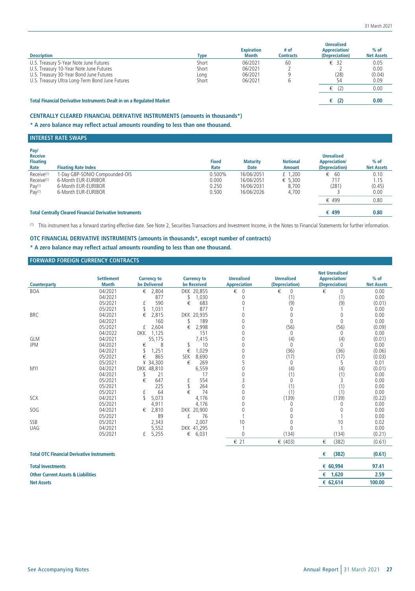| <b>Description</b>                                                           | Type  | <b>Expiration</b><br><b>Month</b> | # of<br><b>Contracts</b> | <b>Unrealised</b><br><b>Appreciation/</b><br>(Depreciation) | $%$ of<br><b>Net Assets</b> |
|------------------------------------------------------------------------------|-------|-----------------------------------|--------------------------|-------------------------------------------------------------|-----------------------------|
| U.S. Treasury 5-Year Note June Futures                                       | Short | 06/2021                           | 60                       | $\epsilon$ 32                                               | 0.05                        |
| U.S. Treasury 10-Year Note June Futures                                      | Short | 06/2021                           |                          |                                                             | 0.00                        |
| U.S. Treasury 30-Year Bond June Futures                                      | Long  | 06/2021                           |                          | (28)                                                        | (0.04)                      |
| U.S. Treasury Ultra Long-Term Bond June Futures                              | Short | 06/2021                           |                          | 54                                                          | 0.09                        |
|                                                                              |       |                                   |                          | €<br>(2)                                                    | 0.00                        |
| <b>Total Financial Derivative Instruments Dealt in on a Regulated Market</b> |       |                                   |                          | €<br>(2)                                                    | 0.00                        |

### **CENTRALLY CLEARED FINANCIAL DERIVATIVE INSTRUMENTS (amounts in thousands\*)**

**\* A zero balance may reflect actual amounts rounding to less than one thousand.**

### **INTEREST RATE SWAPS**

| Pay/<br><b>Receive</b><br><b>Floating</b><br>Rate               | <b>Floating Rate Index</b>     | <b>Fixed</b><br>Rate | <b>Maturity</b><br><b>Date</b> | <b>Notional</b><br><b>Amount</b> | <b>Unrealised</b><br>Appreciation/<br>(Depreciation) | $%$ of<br><b>Net Assets</b> |
|-----------------------------------------------------------------|--------------------------------|----------------------|--------------------------------|----------------------------------|------------------------------------------------------|-----------------------------|
| Receive <sup>(1)</sup>                                          | 1-Day GBP-SONIO Compounded-OIS | 0.500%               | 16/06/2051                     | £ 1,200                          | €<br>60                                              | 0.10                        |
| Receive <sup>(1)</sup>                                          | 6-Month EUR-EURIBOR            | 0.000                | 16/06/2051                     | € 5.300                          | 717                                                  | 1.15                        |
| Pay(1)                                                          | 6-Month EUR-EURIBOR            | 0.250                | 16/06/2031                     | 8.700                            | (281)                                                | (0.45)                      |
| Pay(1)                                                          | 6-Month EUR-EURIBOR            | 0.500                | 16/06/2026                     | 4.700                            |                                                      | 0.00                        |
|                                                                 |                                |                      |                                |                                  | € 499                                                | 0.80                        |
| <b>Total Centrally Cleared Financial Derivative Instruments</b> |                                |                      |                                |                                  | £499                                                 | 0.80                        |

(1) This instrument has a forward starting effective date. See Note 2, Securities Transactions and Investment Income, in the Notes to Financial Statements for further information.

### **OTC FINANCIAL DERIVATIVE INSTRUMENTS (amounts in thousands\*, except number of contracts)**

**\* A zero balance may reflect actual amounts rounding to less than one thousand.**

### **FORWARD FOREIGN CURRENCY CONTRACTS**

| Counterparty                                      | <b>Settlement</b><br><b>Month</b> | <b>Currency to</b><br>be Delivered | <b>Currency to</b><br>be Received | <b>Unrealised</b><br><b>Appreciation</b> | <b>Unrealised</b><br>(Depreciation) | <b>Net Unrealised</b><br><b>Appreciation/</b><br>(Depreciation) | $%$ of<br><b>Net Assets</b> |
|---------------------------------------------------|-----------------------------------|------------------------------------|-----------------------------------|------------------------------------------|-------------------------------------|-----------------------------------------------------------------|-----------------------------|
| <b>BOA</b>                                        | 04/2021                           | 2,804<br>€                         | DKK 20,855                        | €<br>$\Omega$                            | €<br>$\Omega$                       | €<br>$\theta$                                                   | 0.00                        |
|                                                   | 04/2021                           | 877                                | 1,030<br>S                        | 0                                        | (1)                                 | (1)                                                             | 0.00                        |
|                                                   | 05/2021                           | 590<br>£                           | 683<br>€                          | 0                                        | (9)                                 | (9)                                                             | (0.01)                      |
|                                                   | 05/2021                           | S<br>1,031                         | 877                               |                                          | $\Omega$                            |                                                                 | 0.00                        |
| <b>BRC</b>                                        | 04/2021                           | 2,815<br>€                         | DKK 20,935                        |                                          |                                     | $\theta$                                                        | 0.00                        |
|                                                   | 04/2021                           | 160                                | 189                               |                                          |                                     | $\theta$                                                        | 0.00                        |
|                                                   | 05/2021                           | 2,604<br>£                         | 2,998<br>€                        | 0                                        | (56)                                | (56)                                                            | (0.09)                      |
|                                                   | 04/2022                           | 1,125<br><b>DKK</b>                | 151                               | 0                                        | $\theta$                            | 0                                                               | 0.00                        |
| GLM                                               | 04/2021                           | 55,175                             | 7,415                             | 0                                        | (4)                                 | (4)                                                             | (0.01)                      |
| <b>JPM</b>                                        | 04/2021                           | €<br>8                             | 10                                | 0                                        | $\Omega$                            | $\mathbf{0}$                                                    | 0.00                        |
|                                                   | 04/2021                           | 1,251                              | 1,029<br>€                        | 0                                        | (36)                                | (36)                                                            | (0.06)                      |
|                                                   | 05/2021                           | 865<br>€                           | 8,690<br><b>SEK</b>               | 0                                        | (17)                                | (17)                                                            | (0.03)                      |
|                                                   | 05/2021                           | ¥ 34,300                           | 269<br>€                          | 5                                        | $\Omega$                            | 5                                                               | 0.01                        |
| <b>MYI</b>                                        | 04/2021                           | DKK 48,810                         | 6,559                             | 0                                        | (4)                                 | (4)                                                             | (0.01)                      |
|                                                   | 04/2021                           | S<br>21                            | 17                                | 0                                        | (1)                                 | (1)                                                             | 0.00                        |
|                                                   | 05/2021                           | €<br>647                           | 554<br>£                          | 3                                        | $\Omega$                            | 3                                                               | 0.00                        |
|                                                   | 05/2021                           | 225                                | 264                               | 0                                        | (1)                                 | (1)                                                             | 0.00                        |
|                                                   | 05/2021                           | 64<br>£                            | 74<br>€                           | 0                                        | (1)                                 | (1)                                                             | 0.00                        |
| SCX                                               | 04/2021                           | ٢<br>5,073                         | 4,176                             | 0                                        | (139)                               | (139)                                                           | (0.22)                      |
|                                                   | 05/2021                           | 4,911                              | 4,176                             | 0                                        | U                                   | 0                                                               | 0.00                        |
| SOG                                               | 04/2021                           | 2,810<br>€                         | DKK 20,900                        | 0                                        |                                     | $\theta$                                                        | 0.00                        |
|                                                   | 05/2021                           | 89                                 | 76<br>£                           |                                          |                                     |                                                                 | 0.00                        |
| SSB                                               | 05/2021                           | 2,343                              | 2,007                             | 10                                       |                                     | 10                                                              | 0.02                        |
| <b>UAG</b>                                        | 04/2021                           | 5,552                              | DKK 41,295                        |                                          | $\Omega$                            |                                                                 | 0.00                        |
|                                                   | 05/2021                           | 5,255<br>£                         | 6,031<br>€                        | $\Omega$                                 | (134)                               | (134)                                                           | (0.21)                      |
|                                                   |                                   |                                    |                                   | € 21                                     | € $(403)$                           | (382)<br>€                                                      | (0.61)                      |
| <b>Total OTC Financial Derivative Instruments</b> |                                   |                                    |                                   |                                          |                                     | (382)<br>€                                                      | (0.61)                      |

| <b>Total Investments</b> | 60.994 | 97.41<br>the company's company's company's |
|--------------------------|--------|--------------------------------------------|

**Other Current Assets & Liabilities € 1,620 2.59 Net Assets € 62,614 100.00**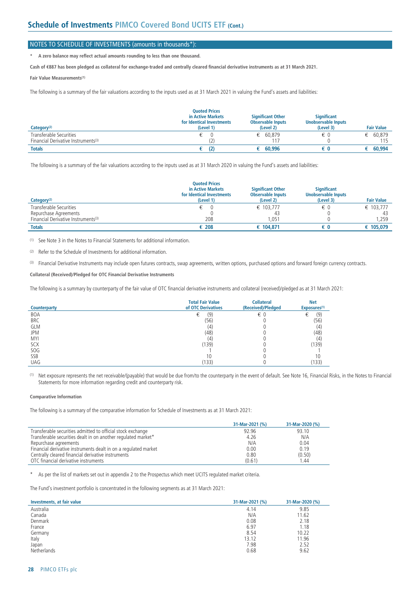### NOTES TO SCHEDULE OF INVESTMENTS (amounts in thousands\*):

**\* A zero balance may reflect actual amounts rounding to less than one thousand.**

**Cash of €887 has been pledged as collateral for exchange-traded and centrally cleared financial derivative instruments as at 31 March 2021.**

#### **Fair Value Measurements(1)**

The following is a summary of the fair valuations according to the inputs used as at 31 March 2021 in valuing the Fund's assets and liabilities:

|                                                                            | <b>Quoted Prices</b><br>in Active Markets<br>for Identical Investments | <b>Significant Other</b><br><b>Observable Inputs</b> | <b>Significant</b><br>Unobservable Inputs |                   |
|----------------------------------------------------------------------------|------------------------------------------------------------------------|------------------------------------------------------|-------------------------------------------|-------------------|
| Category <sup>(2)</sup>                                                    | (Level 1)                                                              | (Level 2)                                            | (Level 3)                                 | <b>Fair Value</b> |
| Transferable Securities<br>Financial Derivative Instruments <sup>(3)</sup> |                                                                        | 60,879<br>€                                          | € (                                       | 60,879<br>ŧ.      |
| <b>Totals</b>                                                              | (2)                                                                    | 60,996                                               |                                           | 60,994            |

The following is a summary of the fair valuations according to the inputs used as at 31 March 2020 in valuing the Fund's assets and liabilities:

|                                                 | <b>Ouoted Prices</b><br>in Active Markets<br>for Identical Investments | <b>Significant Other</b><br><b>Observable Inputs</b> | <b>Significant</b><br><b>Unobservable Inputs</b> |                   |
|-------------------------------------------------|------------------------------------------------------------------------|------------------------------------------------------|--------------------------------------------------|-------------------|
| Category <sup>(2)</sup>                         | (Level 1)                                                              | (Level 2)                                            | (Level 3)                                        | <b>Fair Value</b> |
| Transferable Securities                         |                                                                        | € 103.777                                            | € 0                                              | € 103,777         |
| Repurchase Agreements                           |                                                                        | 43                                                   |                                                  |                   |
| Financial Derivative Instruments <sup>(3)</sup> | 208                                                                    | 1.051                                                |                                                  | 1.259             |
| <b>Totals</b>                                   | $\epsilon$ 208                                                         | € 104.871                                            |                                                  | € 105.079         |

(1) See Note 3 in the Notes to Financial Statements for additional information.

(2) Refer to the Schedule of Investments for additional information.

(3) Financial Derivative Instruments may include open futures contracts, swap agreements, written options, purchased options and forward foreign currency contracts.

#### **Collateral (Received)/Pledged for OTC Financial Derivative Instruments**

The following is a summary by counterparty of the fair value of OTC financial derivative instruments and collateral (received)/pledged as at 31 March 2021:

| Counterparty    | <b>Total Fair Value</b><br>of OTC Derivatives | <b>Collateral</b><br>(Received)/Pledged | <b>Net</b><br>Exposures <sup>(1)</sup> |
|-----------------|-----------------------------------------------|-----------------------------------------|----------------------------------------|
| <b>BOA</b>      | (9)                                           | € 0                                     | (9)<br>€                               |
| <b>BRC</b>      | (56)                                          |                                         | (56)                                   |
| <b>GLM</b>      | (4)                                           |                                         | (4)                                    |
| <b>JPM</b>      | (48)                                          |                                         | (48)                                   |
| <b>MYI</b>      | (4)                                           |                                         | (4)                                    |
| SCX             | (139)                                         |                                         | (139)                                  |
| SO <sub>G</sub> |                                               |                                         |                                        |
| SSB             | 10                                            |                                         | 10                                     |
| <b>UAG</b>      | (133)                                         |                                         | (133)                                  |

(1) Net exposure represents the net receivable/(payable) that would be due from/to the counterparty in the event of default. See Note 16, Financial Risks, in the Notes to Financial Statements for more information regarding credit and counterparty risk.

#### **Comparative Information**

The following is a summary of the comparative information for Schedule of Investments as at 31 March 2021:

|                                                                 | 31-Mar-2021 (%) | 31-Mar-2020 (%) |
|-----------------------------------------------------------------|-----------------|-----------------|
| Transferable securities admitted to official stock exchange     | 92.96           | 93.10           |
| Transferable securities dealt in on another regulated market*   | 4.26            | N/A             |
| Repurchase agreements                                           | N/A             | 0.04            |
| Financial derivative instruments dealt in on a regulated market | 0.00            | 0.19            |
| Centrally cleared financial derivative instruments              | 0.80            | (0.50)          |
| OTC financial derivative instruments                            | (0.61)          | 1.44            |

As per the list of markets set out in appendix 2 to the Prospectus which meet UCITS regulated market criteria.

The Fund's investment portfolio is concentrated in the following segments as at 31 March 2021:

| Investments, at fair value | 31-Mar-2021 (%) | 31-Mar-2020 (%) |
|----------------------------|-----------------|-----------------|
| Australia                  | 4.14            | 9.85            |
| Canada                     | N/A             | 11.62           |
| Denmark                    | 0.08            | 2.18            |
| France                     | 6.97            | 1.18            |
| Germany                    | 8.54            | 10.22           |
| Italy                      | 13.12           | 11.96           |
| Japan                      | 7.98            | 2.52            |
| Netherlands                | 0.68            | 9.62            |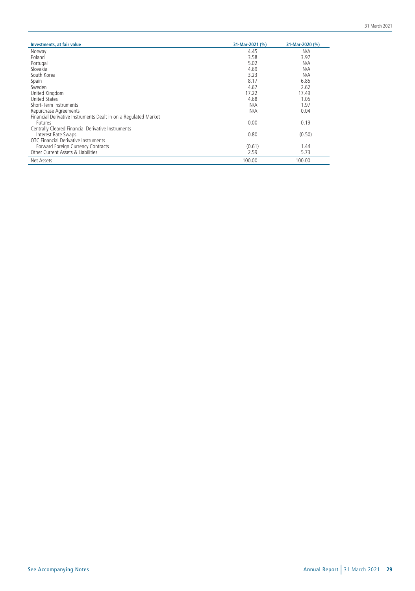| Investments, at fair value                                      | 31-Mar-2021 (%) | 31-Mar-2020 (%) |
|-----------------------------------------------------------------|-----------------|-----------------|
| Norway                                                          | 4.45            | N/A             |
| Poland                                                          | 3.58            | 3.97            |
| Portugal                                                        | 5.02            | N/A             |
| Slovakia                                                        | 4.69            | N/A             |
| South Korea                                                     | 3.23            | N/A             |
| Spain                                                           | 8.17            | 6.85            |
| Sweden                                                          | 4.67            | 2.62            |
| United Kingdom                                                  | 17.22           | 17.49           |
| <b>United States</b>                                            | 4.68            | 1.05            |
| Short-Term Instruments                                          | N/A             | 1.97            |
| Repurchase Agreements                                           | N/A             | 0.04            |
| Financial Derivative Instruments Dealt in on a Regulated Market |                 |                 |
| <b>Futures</b>                                                  | 0.00            | 0.19            |
| Centrally Cleared Financial Derivative Instruments              |                 |                 |
| Interest Rate Swaps                                             | 0.80            | (0.50)          |
| OTC Financial Derivative Instruments                            |                 |                 |
| Forward Foreign Currency Contracts                              | (0.61)          | 1.44            |
| Other Current Assets & Liabilities                              | 2.59            | 5.73            |
| Net Assets                                                      | 100.00          | 100.00          |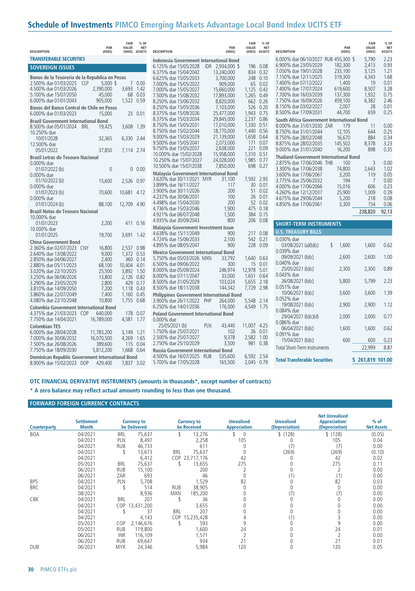### **Schedule of Investments PIMCO Emerging Markets Advantage Local Bond Index UCITS ETF**

| <b>DESCRIPTION</b>                                      | PAR                      | FAIR<br>VALUE            | % OF<br><b>NET</b><br>(000S) ASSETS | <b>DESCRIPTION</b>                                                         | PAR<br>(000S)            | FAIR<br>VALUE<br>(000S)  | % OF<br><b>NET</b>   | <b>DESCRIPTION</b>                                            | PAR<br>(000S)  | FAIR<br>VALUE    | % OF<br><b>NET</b><br><b>ASSETS</b> |
|---------------------------------------------------------|--------------------------|--------------------------|-------------------------------------|----------------------------------------------------------------------------|--------------------------|--------------------------|----------------------|---------------------------------------------------------------|----------------|------------------|-------------------------------------|
|                                                         | (000S)                   |                          |                                     |                                                                            |                          |                          | <b>ASSETS</b>        |                                                               |                | (000S)<br>5.790  | 2.23                                |
| <b>TRANSFERABLE SECURITIES</b>                          |                          |                          |                                     | Indonesia Government International Bond                                    |                          |                          |                      | 6.000% due 06/10/2027 RUB 455,300 \$<br>6.900% due 23/05/2029 | 182,300        | 2,413            | 0.93                                |
| <b>SOVEREIGN ISSUES</b>                                 |                          |                          |                                     | 6.125% due 15/05/2028                                                      | IDR 2,934,000 \$         |                          | 196 0.08             | 7.050% due 19/01/2028                                         | 233.100        | 3.125            | 1.21                                |
| Bonos de la Tesoreria de la Republica en Pesos          |                          |                          |                                     | 6.375% due 15/04/2042<br>6.625% due 15/05/2033                             | 13,240,000<br>3,700,000  |                          | 834 0.32<br>248 0.10 | 7.150% due 12/11/2025                                         | 319,300        | 4,343            | 1.68                                |
| 2.500% due 01/03/2025                                   | <b>CLP</b><br>$5,000$ \$ |                          | 70.00                               | 7.000% due 15/05/2022                                                      | 909,000                  |                          | 65 0.02              | 7.400% due 07/12/2022                                         | 1,400          | 19               | 0.01                                |
| 4.500% due 01/03/2026                                   | 2,390,000                | 3.693 1.42               |                                     | 7.000% due 15/05/2027                                                      | 15,660,000               | 1.125 0.43               |                      | 7.400% due 17/07/2024                                         | 619,600        | 8.507            | 3.28                                |
| 5.100% due 15/07/2050                                   | 45,000                   |                          | 68 0.03                             | 7.500% due 15/08/2032                                                      | 17,893,000               | 1.265 0.49               |                      | 7.700% due 16/03/2039                                         | 137,300        | 1,932            | 0.75                                |
| 6.000% due 01/01/2043                                   | 905,000                  | 1,522 0.59               |                                     | 8.250% due 15/06/2032                                                      | 8,820,000                |                          | 662 0.26             | 7.750% due 16/09/2026                                         | 459,100        | 6,382            | 2.46                                |
| Bonos del Banco Central de Chile en Pesos               |                          |                          |                                     | 8.250% due 15/05/2036                                                      | 7.103.000                |                          | 526 0.20             | 8.150% due 03/02/2027                                         | 2.007          | 28               | 0.01                                |
| 6.000% due 01/03/2023                                   | 15,000                   |                          | 23 0.01                             | 8.375% due 15/09/2026                                                      | 25,477,000               | 1.943 0.75               |                      | 8.500% due 17/09/2031                                         | 44,700         | 659              | 0.25                                |
| <b>Brazil Government International Bond</b>             |                          |                          |                                     | 8.375% due 15/03/2034                                                      | 29,845,000               | 2,237 0.86               |                      | South Africa Government International Bond                    |                |                  |                                     |
| 8.500% due 05/01/2024                                   | <b>BRL</b><br>19,425     | 3,608 1.39               |                                     | 8.750% due 15/05/2031                                                      | 17.010.000               | 1.330 0.51               |                      | 8.000% due 31/01/2030 ZAR                                     | 179            | 11               | 0.00                                |
| 10.250% due                                             |                          |                          |                                     | 8.750% due 15/02/2044                                                      | 18,770,000               | 1.440 0.56               |                      | 8.750% due 31/01/2044                                         | 12.105         | 644              | 0.25                                |
| 10/01/2028                                              | 32,365                   | 6,330 2.44               |                                     | 9.000% due 15/03/2029                                                      | 21,139,000               | 1,658 0.64               |                      | 8.750% due 28/02/2048                                         | 16.670         | 884              | 0.34                                |
| 12.500% due                                             |                          |                          |                                     | 9.500% due 15/05/2041                                                      | 2,073,000                |                          | 171 0.07             | 8.875% due 28/02/2035                                         | 145,502        | 8,378            | 3.23                                |
| 05/01/2022                                              | 37,850                   | 7,114 2.74               |                                     | 9.750% due 15/05/2037                                                      | 2,638,000                | 1,310 0.51               | 221 0.09             | 9.000% due 31/01/2040                                         | 16,200         | 898              | 0.35                                |
| <b>Brazil Letras do Tesouro Nacional</b>                |                          |                          |                                     | 10.000% due 15/02/2028<br>10.250% due 15/07/2027                           | 15,958,000<br>24,028,000 | 1,985 0.77               |                      | <b>Thailand Government International Bond</b>                 |                |                  |                                     |
| 0.000% due                                              |                          |                          |                                     | 10.500% due 15/07/2038                                                     | 7,850,000                |                          | 698 0.27             | 2.875% due 17/06/2046 THB                                     | 100            | $\overline{3}$   | 0.00                                |
| $01/07/2022$ (b)                                        | $\theta$                 |                          | 0.00                                |                                                                            |                          |                          |                      | 3.300% due 17/06/2038                                         | 74,800         | 2,643            | 1.02                                |
| 0.000% due                                              |                          |                          |                                     | <b>Malaysia Government International Bond</b><br>3.620% due 30/11/2021 MYR | 31,100                   | 7,592 2.93               |                      | 3.600% due 17/06/2067                                         | 3.200          | 119              | 0.05                                |
| 01/10/2022 (b)                                          | 15,600                   | 2.526 0.97               |                                     | 3.899% due 16/11/2027                                                      | 117                      |                          | 30 0.01              | 3.775% due 25/06/2032                                         | 194            | $\overline{7}$   | 0.00                                |
| 0.000% due                                              |                          |                          |                                     | 3.900% due 30/11/2026                                                      | 200                      |                          | 51 0.02              | 4.000% due 17/06/2066                                         | 15,016         | 606              | 0.23                                |
| $01/07/2023$ (b)<br>0.000% due                          | 70,600                   | 10.681 4.12              |                                     | 4.232% due 30/06/2031                                                      | 100                      |                          | 26 0.01              | 4.260% due 12/12/2037<br>4.675% due 29/06/2044                | 25.900         | 1.009<br>218     | 0.39<br>0.08                        |
| 01/01/2024 (b)                                          | 88,100                   | 12,709 4.90              |                                     | 4.498% due 15/04/2030                                                      | 200                      |                          | 52 0.02              | 4.850% due 17/06/2061                                         | 5,200<br>3,300 | 154              | 0.06                                |
|                                                         |                          |                          |                                     | 4.736% due 15/03/2046                                                      | 1.900                    |                          | 475 0.18             |                                                               |                |                  |                                     |
| <b>Brazil Notas do Tesouro Nacional</b><br>10.000% due  |                          |                          |                                     | 4.921% due 06/07/2048                                                      | 1,500                    |                          | 384 0.15             |                                                               |                | 238,820          | 92.13                               |
| 01/01/2023                                              | 2,200                    |                          | 411 0.16                            | 4.935% due 30/09/2043                                                      | 800                      |                          | 206 0.08             | <b>SHORT-TERM INSTRUMENTS</b>                                 |                |                  |                                     |
| 10.000% due                                             |                          |                          |                                     | <b>Malaysia Government Investment Issue</b>                                |                          |                          |                      |                                                               |                |                  |                                     |
| 01/01/2025                                              | 19,700                   | 3,691 1.42               |                                     | 4.638% due 15/11/2049                                                      | 900                      |                          | 217 0.08             | <b>U.S. TREASURY BILLS</b>                                    |                |                  |                                     |
| <b>China Government Bond</b>                            |                          |                          |                                     | 4.724% due 15/06/2033                                                      | 2.100                    |                          | 542 0.21             | 0.030% due                                                    |                |                  |                                     |
| 2.360% due 02/07/2023 CNY                               | 16,800                   | 2.537 0.98               |                                     | 4.895% due 08/05/2047                                                      | 900                      |                          | 228 0.09             | $03/08/2021$ (a)(b)(c)                                        | \$<br>1,600    | 1,600            | 0.62                                |
| 2.640% due 13/08/2022                                   | 9,000                    | 1,372 0.53               |                                     | <b>Mexico Government International Bond</b>                                |                          |                          |                      | 0.039% due                                                    |                |                  |                                     |
| 2.850% due 04/06/2027                                   | 2.400                    |                          | 360 0.14                            | 5.750% due 05/03/2026 MXN                                                  | 33,792                   | 1,640 0.63               |                      | 09/09/2021 (b)(c)                                             | 2,600          | 2,600            | 1.00                                |
| 2.880% due 05/11/2023                                   | 68.100                   | 10.404 4.01              |                                     | 6.500% due 09/06/2022                                                      | 300                      |                          | 15 0.01              | 0.040% due                                                    |                |                  |                                     |
| 3.020% due 22/10/2025                                   | 25,500                   | 3,892 1.50               |                                     | 8.000% due 05/09/2024                                                      | 246,974                  | 12,978 5.01              |                      | 25/05/2021 (b)(c)<br>0.043% due                               | 2,300          | 2,300            | 0.89                                |
| 3.250% due 06/06/2026                                   | 13,800                   | 2,126 0.82               |                                     | 8.000% due 07/11/2047                                                      | 33,000                   | 1.651 0.64               |                      | 26/08/2021 (b)(c)                                             | 5.800          | 5.799            | 2.23                                |
| 3.290% due 23/05/2029                                   | 2.800                    |                          | 429 0.17                            | 8.500% due 31/05/2029<br>8.500% due 18/11/2038                             | 103,024<br>144,342       | 5,655 2.18<br>7,729 2.98 |                      | 0.051% due                                                    |                |                  |                                     |
| 3.810% due 14/09/2050                                   | 7,200                    | 1.118 0.43               |                                     |                                                                            |                          |                          |                      | 10/06/2021 (b)(c)                                             | 3,600          | 3,600            | 1.39                                |
| 3.860% due 22/07/2049<br>4.080% due 22/10/2048          | 7.400<br>10,800          | 1,160 0.45<br>1,755 0.68 |                                     | <b>Philippines Government International Bond</b>                           |                          |                          |                      | 0.052% due                                                    |                |                  |                                     |
|                                                         |                          |                          |                                     | 3.900% due 26/11/2022 PHP<br>6.250% due 14/01/2036                         | 264,000<br>176,000       | 5.548 2.14<br>4.549 1.75 |                      | 19/08/2021 (b)(c)                                             | 2,900          | 2,900            | 1.12                                |
| <b>Colombia Government International Bond</b>           |                          |                          |                                     |                                                                            |                          |                          |                      | 0.084% due                                                    |                |                  |                                     |
| 4.375% due 21/03/2023 COP<br>7.750% due 14/04/2021      | 640,000<br>16,789,000    | 4,581 1.77               | 178 0.07                            | <b>Poland Government International Bond</b>                                |                          |                          |                      | 29/04/2021 (b)(c)(d)                                          | 2.000          | 2.000            | 0.77                                |
|                                                         |                          |                          |                                     | 0.000% due<br>25/05/2021 (b)<br>PLN                                        |                          | 11,007 4.25              |                      | 0.086% due                                                    |                |                  |                                     |
| <b>Colombian TES</b>                                    |                          |                          |                                     | 1.750% due 25/07/2021                                                      | 43,440<br>102            |                          | 26 0.01              | 06/04/2021 (b)(c)                                             | 1,600          | 1,600            | 0.62                                |
| 6.000% due 28/04/2028<br>7.000% due 30/06/2032          | 11,783,200<br>16,070,500 | 3,149 1.21<br>4,269      | 1.65                                | 2.500% due 25/07/2027                                                      | 9,378                    | 2,582 1.00               |                      | 0.091% due                                                    |                |                  |                                     |
| 7.500% due 26/08/2026                                   | 389,600                  |                          | 115 0.04                            | 2.750% due 25/10/2029                                                      | 3,500                    |                          | 981 0.38             | 15/04/2021 (b)(c)                                             | 600            | 600              | 0.23                                |
| 7.750% due 18/09/2030                                   | 5,812,200                | 1,668 0.64               |                                     | <b>Russia Government International Bond</b>                                |                          |                          |                      | Total Short-Term Instruments                                  |                | 22.999           | 8.87                                |
| <b>Dominican Republic Government International Bond</b> |                          |                          |                                     | 4.500% due 16/07/2025 RUB                                                  | 535,600                  | 6,592 2.54               |                      |                                                               |                |                  |                                     |
| 8.900% due 15/02/2023 DOP                               | 429,400                  | 7.837 3.02               |                                     | 5.700% due 17/05/2028                                                      | 165,500                  | 2.045 0.79               |                      | <b>Total Transferable Securities</b>                          |                | \$261,819 101.00 |                                     |

### **OTC FINANCIAL DERIVATIVE INSTRUMENTS (amounts in thousands\*, except number of contracts)**

**\* A zero balance may reflect actual amounts rounding to less than one thousand.**

### **FORWARD FOREIGN CURRENCY CONTRACTS**

| <b>Counterparty</b> | <b>Settlement</b><br><b>Month</b> |            | <b>Currency to</b><br>be Delivered |            | <b>Currency to</b><br>be Received | <b>Unrealised</b><br><b>Appreciation</b> | <b>Unrealised</b><br>(Depreciation) | <b>Net Unrealised</b><br><b>Appreciation/</b><br>(Depreciation) | $%$ of<br><b>Net Assets</b> |
|---------------------|-----------------------------------|------------|------------------------------------|------------|-----------------------------------|------------------------------------------|-------------------------------------|-----------------------------------------------------------------|-----------------------------|
| <b>BOA</b>          | 04/2021                           | <b>BRL</b> | 75,637                             |            | 13,276                            | $\theta$                                 | \$(128)                             | \$(128)                                                         | (0.05)                      |
|                     | 04/2021                           | PLN        | 8,497                              |            | 2,258                             | 105                                      |                                     | 105                                                             | 0.04                        |
|                     | 04/2021                           | <b>RUB</b> | 46,733                             |            | 611                               | 0                                        |                                     | (7)                                                             | 0.00                        |
|                     | 04/2021                           |            | 13.673                             | BRL        | 75,637                            | 0                                        | (269)                               | (269)                                                           | (0.10)                      |
|                     | 04/2021                           |            | 6,412                              |            | COP 23,717,176                    | 42                                       |                                     | 42                                                              | 0.02                        |
|                     | 05/2021                           | BRL        | 75.637                             |            | 13,655                            | 275                                      |                                     | 275                                                             | 0.11                        |
|                     | 06/2021                           | <b>RUB</b> | 15,100                             |            | 200                               |                                          |                                     |                                                                 | 0.00                        |
|                     | 06/2021                           | ZAR        | 693                                |            | 46                                |                                          | U                                   | (1)                                                             | 0.00                        |
| <b>BPS</b>          | 04/2021                           | PLN        | 5,708                              |            | 1,529                             | 82                                       |                                     | 82                                                              | 0.03                        |
| <b>BRC</b>          | 04/2021                           |            | 514                                | <b>RUB</b> | 38,905                            | $\mathbf{0}$                             |                                     |                                                                 | 0.00                        |
|                     | 08/2021                           |            | 8,936                              | <b>MXN</b> | 185,200                           |                                          | (7)                                 | (7)                                                             | 0.00                        |
| <b>CBK</b>          | 04/2021                           | BRL        | 207                                |            | 36                                |                                          |                                     |                                                                 | 0.00                        |
|                     | 04/2021                           | <b>COP</b> | 13,431,200                         |            | 3,655                             |                                          |                                     |                                                                 | 0.00                        |
|                     | 04/2021                           |            | 37                                 | <b>BRL</b> | 207                               | 0                                        |                                     |                                                                 | 0.00                        |
|                     | 04/2021                           |            | 4,143                              | <b>COP</b> | 15,235,428                        |                                          | ( I J                               |                                                                 | 0.00                        |
|                     | 05/2021                           | <b>COP</b> | 2,146,676                          |            | 593                               | 9                                        |                                     |                                                                 | 0.00                        |
|                     | 05/2021                           | <b>RUB</b> | 119,800                            |            | 1,600                             | 24                                       |                                     | 24                                                              | 0.01                        |
|                     | 06/2021                           | <b>INR</b> | 116,109                            |            | 1,571                             |                                          |                                     |                                                                 | 0.00                        |
|                     | 06/2021                           | <b>RUB</b> | 69,647                             |            | 934                               | 21                                       |                                     | 21                                                              | 0.01                        |
| <b>DUB</b>          | 06/2021                           | <b>MYR</b> | 24,346                             |            | 5,984                             | 120                                      |                                     | 120                                                             | 0.05                        |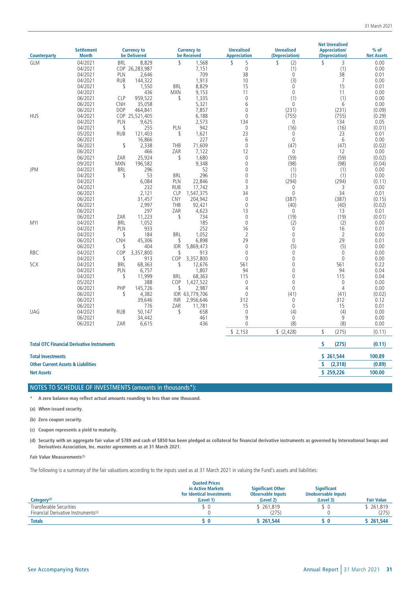| <b>Counterparty</b>                           | <b>Settlement</b><br><b>Month</b>                 | <b>Currency to</b><br>be Delivered | <b>Currency to</b><br>be Received      | <b>Unrealised</b><br><b>Appreciation</b> | <b>Unrealised</b><br>(Depreciation) | <b>Net Unrealised</b><br><b>Appreciation/</b><br>(Depreciation) | $%$ of<br><b>Net Assets</b> |
|-----------------------------------------------|---------------------------------------------------|------------------------------------|----------------------------------------|------------------------------------------|-------------------------------------|-----------------------------------------------------------------|-----------------------------|
| GLM                                           | 04/2021                                           | <b>BRL</b><br>8,829                | \$<br>1,568                            | 5<br>S                                   | \$<br>(2)                           | \$<br>3                                                         | 0.00                        |
|                                               | 04/2021                                           | COP 26,283,987                     | 7,151                                  | $\mathbf 0$                              | (1)                                 | (1)                                                             | 0.00                        |
|                                               | 04/2021                                           | PLN<br>2,646                       | 709                                    | 38                                       | $\mathbf{0}$                        | 38                                                              | 0.01                        |
|                                               | 04/2021                                           | <b>RUB</b><br>144,322              | 1,913                                  | 10                                       | (3)                                 | $\overline{7}$                                                  | 0.00                        |
|                                               | 04/2021<br>04/2021                                | \$<br>1,550<br>436                 | BRL<br>8,829<br>9,153                  | 15<br>11                                 | $\theta$<br>0                       | 15<br>11                                                        | 0.01                        |
|                                               | 06/2021                                           | <b>CLP</b><br>959,522              | MXN<br>\$<br>1,335                     | $\mathbf 0$                              | (1)                                 | (1)                                                             | 0.00<br>0.00                |
|                                               | 06/2021                                           | 35,058<br><b>CNH</b>               | 5,321                                  | 6                                        | $\mathbf 0$                         | 6                                                               | 0.00                        |
|                                               | 06/2021                                           | <b>DOP</b><br>464,841              | 7,857                                  | $\mathbf{0}$                             | (231)                               | (231)                                                           | (0.09)                      |
| <b>HUS</b>                                    | 04/2021                                           | COP 25,521,405                     | 6,188                                  | $\mathbf{0}$                             | (755)                               | (755)                                                           | (0.29)                      |
|                                               | 04/2021                                           | PLN<br>9,625                       | 2,573                                  | 134                                      | 0                                   | 134                                                             | 0.05                        |
|                                               | 04/2021                                           | \$<br>255                          | PLN<br>942                             | $\mathbf 0$                              | (16)                                | (16)                                                            | (0.01)                      |
|                                               | 05/2021                                           | <b>RUB</b><br>121,403              | \$<br>1,621                            | 23                                       | $\mathbf{0}$                        | 23                                                              | 0.01                        |
|                                               | 06/2021                                           | 16,866<br>\$                       | 227                                    | 6                                        | $\mathbf 0$                         | 6                                                               | 0.00                        |
|                                               | 06/2021<br>06/2021                                | 2,338<br>466                       | 71,609<br>THB<br>7,122<br>ZAR          | $\mathbf{0}$<br>12                       | (47)<br>0                           | (47)<br>12                                                      | (0.02)<br>0.00              |
|                                               | 06/2021                                           | 25,924<br>ZAR                      | \$<br>1.680                            | $\mathbf{0}$                             | (59)                                | (59)                                                            | (0.02)                      |
|                                               | 09/2021                                           | <b>MXN</b><br>196,582              | 9,348                                  | $\mathbf{0}$                             | (98)                                | (98)                                                            | (0.04)                      |
| <b>JPM</b>                                    | 04/2021                                           | <b>BRL</b><br>296                  | 52                                     | $\mathbf{0}$                             | (1)                                 | (1)                                                             | 0.00                        |
|                                               | 04/2021                                           | \$<br>53                           | <b>BRL</b><br>296                      | $\mathbf{0}$                             | (1)                                 | (1)                                                             | 0.00                        |
|                                               | 04/2021                                           | 6,084                              | PLN<br>22,846                          | $\mathbf{0}$                             | (294)                               | (294)                                                           | (0.11)                      |
|                                               | 04/2021                                           | 232                                | <b>RUB</b><br>17,742                   | $\overline{3}$                           | $\theta$                            | 3                                                               | 0.00                        |
|                                               | 06/2021                                           | 2,121                              | <b>CLP</b><br>1,547,375                | 34                                       | $\mathbf{0}$                        | 34                                                              | 0.01                        |
|                                               | 06/2021<br>06/2021                                | 31,457<br>2,997                    | 204,942<br><b>CNY</b><br>92,421<br>THB | $\mathbf{0}$<br>$\mathbf{0}$             | (387)<br>(40)                       | (387)<br>(40)                                                   | (0.15)<br>(0.02)            |
|                                               | 06/2021                                           | 297                                | ZAR<br>4,623                           | 13                                       | 0                                   | 13                                                              | 0.01                        |
|                                               | 06/2021                                           | ZAR<br>11,223                      | \$<br>734                              | $\mathbf{0}$                             | (19)                                | (19)                                                            | (0.01)                      |
| MYI                                           | 04/2021                                           | <b>BRL</b><br>1,052                | 185                                    | $\mathbf{0}$                             | (2)                                 | (2)                                                             | 0.00                        |
|                                               | 04/2021                                           | PLN<br>933                         | 252                                    | 16                                       | 0                                   | 16                                                              | 0.01                        |
|                                               | 04/2021                                           | \$<br>184                          | <b>BRL</b><br>1.052                    | $\overline{2}$                           | $\mathbf 0$                         | $\overline{2}$                                                  | 0.00                        |
|                                               | 06/2021                                           | <b>CNH</b><br>45,306               | 6,898<br>\$                            | 29                                       | $\theta$                            | 29                                                              | 0.01                        |
|                                               | 06/2021                                           | S<br>404                           | 5,869,473<br><b>IDR</b>                | $\mathbf{0}$                             | (5)                                 | (5)                                                             | 0.00                        |
| RBC                                           | 04/2021<br>04/2021                                | COP<br>3,357,800<br>\$<br>913      | \$<br>913<br><b>COP</b><br>3,357,800   | $\mathbf{0}$<br>$\mathbf 0$              | 0<br>0                              | $\mathbf 0$<br>$\mathbf 0$                                      | 0.00<br>0.00                |
| SCX                                           | 04/2021                                           | <b>BRL</b><br>68,363               | \$<br>12,676                           | 561                                      | $\mathbf 0$                         | 561                                                             | 0.22                        |
|                                               | 04/2021                                           | PLN<br>6,757                       | 1,807                                  | 94                                       | $\Omega$                            | 94                                                              | 0.04                        |
|                                               | 04/2021                                           | 11,999<br>S                        | <b>BRL</b><br>68,363                   | 115                                      | $\mathbf{0}$                        | 115                                                             | 0.04                        |
|                                               | 05/2021                                           | 388                                | <b>COP</b><br>1,427,522                | $\mathbf{0}$                             | 0                                   | $\mathbf 0$                                                     | 0.00                        |
|                                               | 06/2021                                           | PHP<br>145,726                     | \$<br>2,987                            | $\overline{4}$                           | 0                                   | 4                                                               | 0.00                        |
|                                               | 06/2021                                           | \$<br>4,382                        | IDR 63,779,706                         | $\mathbf{0}$                             | (41)                                | (41)                                                            | (0.02)                      |
|                                               | 06/2021                                           | 39,646                             | 2,956,646<br>INR                       | 312                                      | $\mathbf 0$                         | 312                                                             | 0.12                        |
| <b>UAG</b>                                    | 06/2021<br>04/2021                                | 776<br><b>RUB</b><br>50,147        | ZAR<br>11,781<br>\$<br>658             | 15<br>$\mathbf{0}$                       | 0<br>(4)                            | 15<br>(4)                                                       | 0.01<br>0.00                |
|                                               | 06/2021                                           | 34,442                             | 461                                    | 9                                        | $\mathbf 0$                         | 9                                                               | 0.00                        |
|                                               | 06/2021                                           | ZAR<br>6,615                       | 436                                    | $\mathbf{0}$                             | (8)                                 | (8)                                                             | 0.00                        |
|                                               |                                                   |                                    |                                        | \$2,153                                  | \$(2,428)                           | (275)<br>\$                                                     | (0.11)                      |
|                                               | <b>Total OTC Financial Derivative Instruments</b> |                                    |                                        |                                          |                                     | \$<br>(275)                                                     | (0.11)                      |
| <b>Total Investments</b>                      |                                                   |                                    |                                        |                                          |                                     | \$261,544                                                       | 100.89                      |
| <b>Other Current Assets &amp; Liabilities</b> |                                                   |                                    |                                        |                                          |                                     | (2,318)<br>\$                                                   | (0.89)                      |
| <b>Net Assets</b>                             |                                                   |                                    |                                        |                                          |                                     | \$259,226                                                       | 100.00                      |
|                                               |                                                   |                                    |                                        |                                          |                                     |                                                                 |                             |

### NOTES TO SCHEDULE OF INVESTMENTS (amounts in thousands\*):

**\* A zero balance may reflect actual amounts rounding to less than one thousand.**

- **(a) When-issued security.**
- **(b) Zero coupon security.**
- **(c) Coupon represents a yield to maturity.**

**(d) Security with an aggregate fair value of \$789 and cash of \$850 has been pledged as collateral for financial derivative instruments as governed by International Swaps and Derivatives Association, Inc. master agreements as at 31 March 2021.**

**Fair Value Measurements(1)**

The following is a summary of the fair valuations according to the inputs used as at 31 March 2021 in valuing the Fund's assets and liabilities:

|                                                                            | <b>Quoted Prices</b><br>in Active Markets<br>for Identical Investments | <b>Significant Other</b><br><b>Observable Inputs</b> | <b>Significant</b><br><b>Unobservable Inputs</b> |                    |
|----------------------------------------------------------------------------|------------------------------------------------------------------------|------------------------------------------------------|--------------------------------------------------|--------------------|
| Category <sup>(2)</sup>                                                    | (Level 1)                                                              | (Level 2)                                            | (Level 3)                                        | <b>Fair Value</b>  |
| Transferable Securities<br>Financial Derivative Instruments <sup>(3)</sup> | S O                                                                    | \$261.819<br>(275)                                   |                                                  | \$261.819<br>(275) |
| <b>Totals</b>                                                              | S 0                                                                    | \$261.544                                            |                                                  | \$261,544          |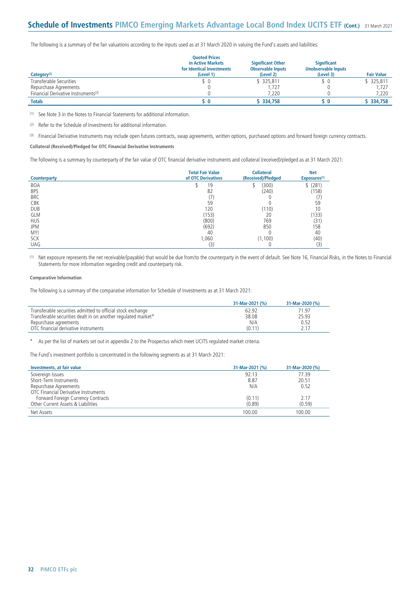### **Schedule of Investments PIMCO Emerging Markets Advantage Local Bond Index UCITS ETF (Cont.)** 31 March 2021

The following is a summary of the fair valuations according to the inputs used as at 31 March 2020 in valuing the Fund's assets and liabilities:

|                                                 | <b>Ouoted Prices</b><br>in Active Markets<br>for Identical Investments | <b>Significant Other</b><br><b>Observable Inputs</b> | <b>Significant</b><br><b>Unobservable Inputs</b> |                   |
|-------------------------------------------------|------------------------------------------------------------------------|------------------------------------------------------|--------------------------------------------------|-------------------|
| Category <sup>(2)</sup>                         | (Level 1)                                                              | (Level 2)                                            | (Level 3)                                        | <b>Fair Value</b> |
| Transferable Securities                         | ና 0                                                                    | \$325.811                                            |                                                  | 5325.811          |
| Repurchase Agreements                           |                                                                        | 1.727                                                |                                                  | 1.727             |
| Financial Derivative Instruments <sup>(3)</sup> |                                                                        | 7.220                                                |                                                  | 7.220             |
| <b>Totals</b>                                   | S 0                                                                    | \$334,758                                            |                                                  | \$334,758         |

(1) See Note 3 in the Notes to Financial Statements for additional information.

(2) Refer to the Schedule of Investments for additional information.

(3) Financial Derivative Instruments may include open futures contracts, swap agreements, written options, purchased options and forward foreign currency contracts.

**Collateral (Received)/Pledged for OTC Financial Derivative Instruments**

The following is a summary by counterparty of the fair value of OTC financial derivative instruments and collateral (received)/pledged as at 31 March 2021:

|              | <b>Total Fair Value</b> | <b>Collateral</b>  | <b>Net</b>               |  |
|--------------|-------------------------|--------------------|--------------------------|--|
| Counterparty | of OTC Derivatives      | (Received)/Pledged | Exposures <sup>(1)</sup> |  |
| <b>BOA</b>   | 19                      | (300)              | \$(281)                  |  |
| <b>BPS</b>   | 82                      | (240)              | (158)                    |  |
| <b>BRC</b>   |                         |                    |                          |  |
| <b>CBK</b>   | 59                      |                    | 59                       |  |
| <b>DUB</b>   | 120                     | (110)              | 10                       |  |
| <b>GLM</b>   | (153)                   | 20                 | (133)                    |  |
| <b>HUS</b>   | (800)                   | 769                | (31)                     |  |
| <b>JPM</b>   | (692)                   | 850                | 158                      |  |
| <b>MYI</b>   | 40                      |                    | 40                       |  |
| SCX          | 1.060                   | (1, 100)           | (40)                     |  |
| <b>UAG</b>   | (3)                     |                    | (3)                      |  |

(1) Net exposure represents the net receivable/(payable) that would be due from/to the counterparty in the event of default. See Note 16, Financial Risks, in the Notes to Financial Statements for more information regarding credit and counterparty risk.

#### **Comparative Information**

The following is a summary of the comparative information for Schedule of Investments as at 31 March 2021:

|                                                               | 31-Mar-2021 (%) | 31-Mar-2020 (%) |
|---------------------------------------------------------------|-----------------|-----------------|
| Transferable securities admitted to official stock exchange   | 62.92           | 71 97           |
| Transferable securities dealt in on another regulated market* | 38.08           | 25.93           |
| Repurchase agreements                                         | N/A             | 0.52            |
| OTC financial derivative instruments                          | (0.11)          |                 |

\* As per the list of markets set out in appendix 2 to the Prospectus which meet UCITS regulated market criteria.

The Fund's investment portfolio is concentrated in the following segments as at 31 March 2021:

| Investments, at fair value           | 31-Mar-2021 (%) | 31-Mar-2020 (%) |
|--------------------------------------|-----------------|-----------------|
| Sovereign Issues                     | 92.13           | 77.39           |
| Short-Term Instruments               | 8.87            | 20.51           |
| Repurchase Agreements                | N/A             | 0.52            |
| OTC Financial Derivative Instruments |                 |                 |
| Forward Foreign Currency Contracts   | (0.11)          | 2.17            |
| Other Current Assets & Liabilities   | (0.89)          | (0.59)          |
| Net Assets                           | 100.00          | 100.00          |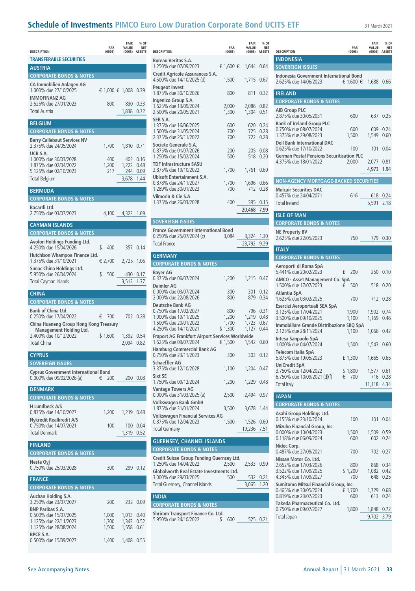### **Schedule of Investments PIMCO Euro Low Duration Corporate Bond UCITS ETF** 31 March 2021

| <b>DESCRIPTION</b>                                | PAR<br>(000S)        | <b>FAIR</b><br>VALUE<br>(000S) | % OF<br><b>NET</b><br><b>ASSETS</b> |
|---------------------------------------------------|----------------------|--------------------------------|-------------------------------------|
| <b>TRANSFERABLE SECURITIES</b>                    |                      |                                |                                     |
| <b>AUSTRIA</b>                                    |                      |                                |                                     |
| <b>CORPORATE BONDS &amp; NOTES</b>                |                      |                                |                                     |
| CA Immobilien Anlagen AG<br>1.000% due 27/10/2025 | € 1.000 € 1.008 0.39 |                                |                                     |
| <b>IMMOFINANZ AG</b><br>2.625% due 27/01/2023     | 800                  | 830                            | 0.33                                |
| Total Austria                                     |                      | 1.838                          | 0.72                                |

| <b>BELGIUM</b>                                                                      |                     |                   |                  |
|-------------------------------------------------------------------------------------|---------------------|-------------------|------------------|
| <b>CORPORATE BONDS &amp; NOTES</b>                                                  |                     |                   |                  |
| <b>Barry Callebaut Services NV</b><br>2.375% due 24/05/2024                         | 1.700               | 1.810 0.71        |                  |
| UCB S.A.<br>1.000% due 30/03/2028<br>1.875% due 02/04/2022<br>5.125% due 02/10/2023 | 400<br>1,200<br>217 | 1.222 0.48<br>244 | 402 0.16<br>0.09 |
| <b>Total Belgium</b>                                                                |                     | 3.678             | - 1.44           |

| BERMUDA                            |  |  |
|------------------------------------|--|--|
| <b>CORPORATE BONDS &amp; NOTES</b> |  |  |
| Decembris 1989                     |  |  |

| Bacardi Ltd.          |                  |  |
|-----------------------|------------------|--|
| 2.750% due 03/07/2023 | 4.100 4.322 1.69 |  |
|                       |                  |  |

### **CAYMAN ISLANDS**

| <b>CORPORATE BONDS &amp; NOTES</b>                      |    |         |            |          |
|---------------------------------------------------------|----|---------|------------|----------|
| Avolon Holdings Funding Ltd.<br>4.250% due 15/04/2026   | \$ | 400     |            | 357 0.14 |
| Hutchison Whampoa Finance Ltd.<br>1.375% due 31/10/2021 |    | € 2,700 | 2.725 1.06 |          |
| Sunac China Holdings Ltd.<br>5.950% due 26/04/2024      | ٢  | 500     | 430 0.17   |          |
| Total Cayman Islands                                    |    |         | 3,512 1.37 |          |
|                                                         |    |         |            |          |

|  | HINA |  |
|--|------|--|
|  |      |  |

| <b>CORPORATE BONDS &amp; NOTES</b>                                       |                |                    |          |
|--------------------------------------------------------------------------|----------------|--------------------|----------|
| <b>Bank of China Ltd.</b><br>0.250% due 17/04/2022                       | $\epsilon$ 700 |                    | 702 0.28 |
| China Huaneng Group Hong Kong Treasury<br><b>Management Holding Ltd.</b> |                |                    |          |
| 2.400% due 10/12/2022                                                    |                | \$1,600 1,392 0.54 |          |
| <b>Total China</b>                                                       |                | 2.094 0.82         |          |
|                                                                          |                |                    |          |

### **CYPRUS**

| <b>SOVEREIGN ISSUES</b>                                                                                                    |                |                            |              |
|----------------------------------------------------------------------------------------------------------------------------|----------------|----------------------------|--------------|
| <b>Cyprus Government International Bond</b><br>0.000% due 09/02/2026 (a)                                                   | $\epsilon$ 200 | 200                        | 0.08         |
| <b>DENMARK</b>                                                                                                             |                |                            |              |
| <b>CORPORATE BONDS &amp; NOTES</b>                                                                                         |                |                            |              |
| H Lundbeck A/S<br>0.875% due 14/10/2027<br><b>Nykredit Realkredit A/S</b><br>0.750% due 14/07/2021<br><b>Total Denmark</b> | 1.200<br>100   | 1.219<br>100<br>1.319 0.52 | 0.48<br>0.04 |
| <b>FINLAND</b>                                                                                                             |                |                            |              |
| <b>CORPORATE BONDS &amp; NOTES</b>                                                                                         |                |                            |              |
| Neste Ovi<br>0.750% due 25/03/2028                                                                                         | 300            | 299                        | 0.12         |

| <u>0.750% due 25/03/2028</u> | 3U |
|------------------------------|----|
| <b>FRANCE</b>                |    |

| <b>CORPORATE BONDS &amp; NOTES</b>                                                                 |                         |                                   |          |
|----------------------------------------------------------------------------------------------------|-------------------------|-----------------------------------|----------|
| Auchan Holding S.A.<br>3.250% due 23/07/2027                                                       | 200                     |                                   | 232 0.09 |
| <b>BNP Paribas S.A.</b><br>0.500% due 15/07/2025<br>1.125% due 22/11/2023<br>1.125% due 28/08/2024 | 1.000<br>1.300<br>1.500 | 1.013 0.40<br>1.343 0.52<br>1.558 | 0.61     |
| <b>BPCE S.A.</b><br>0.500% due 15/09/2027                                                          | 1.400                   | 1.408                             | 0.55     |

| <b>DESCRIPTION</b>                                                                  | PAR<br>(000S)     | <b>FAIR</b><br>VALUE<br>(000S) | % OF<br><b>NET</b><br><b>ASSETS</b> |
|-------------------------------------------------------------------------------------|-------------------|--------------------------------|-------------------------------------|
| <b>Bureau Veritas S.A.</b><br>1.250% due 07/09/2023                                 | € 1,600 €         | 1,644                          | 0.64                                |
| <b>Credit Agricole Assurances S.A.</b><br>4.500% due 14/10/2025 (d)                 | 1,500             | 1,715                          | 0.67                                |
| <b>Peugeot Invest</b><br>1.875% due 30/10/2026                                      | 800               | 811                            | 0.32                                |
| Ingenico Group S.A.<br>1.625% due 13/09/2024<br>2.500% due 20/05/2021               | 2,000<br>1,300    | 2,086<br>1,304                 | 0.82<br>0.51                        |
| SEB S.A.<br>1.375% due 16/06/2025<br>1.500% due 31/05/2024<br>2.375% due 25/11/2022 | 600<br>700<br>700 | 620<br>725<br>722              | 0.24<br>0.28<br>0.28                |
| Societe Generale S.A.<br>0.875% due 01/07/2026<br>1.250% due 15/02/2024             | 200<br>500        | 205<br>518                     | 0.08<br>0.20                        |
| <b>TDF Infrastructure SASU</b><br>2.875% due 19/10/2022                             | 1,700             | 1,761                          | 0.69                                |
| <b>Ubisoft Entertainment S.A.</b><br>0.878% due 24/11/2027<br>1.289% due 30/01/2023 | 1,700<br>700      | 1,696<br>712                   | 0.66<br>0.28                        |
| Vilmorin & Cie S.A.<br>1.375% due 26/03/2028                                        | 400               | 395                            | 0.15                                |
|                                                                                     |                   | 20,468                         | 7.99                                |

#### **SOVEREIGN ISSUES France Government International Bond**<br>0.250% due 25/07/2024 (c) 3,084 0.250% due 25/07/2024 (c) 3,084 3,324 1. Total France 23,792 9. **GERMANY CORPORATE BONDS & NOTES Bayer AG** 0.375% due 06/07/2024 1,200 1,215 0.47 **Daimler AG** 0.000% due 03/07/2024 300 301 0.12000 301 0.12000 301 0.121 0.121 0.121 0.121 0.121 0.121 0.121 0.12 2.000% due 22/08/2026 **Deutsche Bank AG** 0.750% due 17/02/2027 800 796 0.3<br>1.000% due 19/11/2025 1,200 1,219 0.4 1.000% due 19/11/2025 1,200 1,219 0.4<br>1.500% due 20/01/2022 1,700 1,723 0.6 1.500% due 20/01/2022 1,700 1,723 0.6<br>4.250% due 14/10/2021 \$ 1,300 1,127 0.4 4.250% due 14/10/2021 **Fraport AG Frankfurt Airport Services Worldwide** 1.625% due 09/07/2024 **Hamburg Commercial Bank AG** 0.750% due 23/11/2023 300 303 0.12 **Schaeffler AG** 3.375% due 12/10/2028 1,100 1,204 0.4 **Sixt SE** 1.750% due 09/12/2024 1,200 1,229 0.4 **Vantage Towers AG**  $0.000\%$  due 31/03/2025 (a) 2,500 2,494 0.9 **Volkswagen Bank GmbH** 1.875% due 31/01/2024 3,500 3,678 1.4 **Volkswagen Financial Services AG** 0.875% due 12/04/2023 1,500 1,526 0.6 Total Germany 19,236 7.5

#### **GUERNSEY, CHANNEL ISLANDS CORPORATE BONDS & NOTES**

| Credit Suisse Group Funding Guernsey Ltd.<br>1.250% due 14/04/2022       | 2.500 | 2.533 0.99 |          |
|--------------------------------------------------------------------------|-------|------------|----------|
| <b>Globalworth Real Estate Investments Ltd.</b><br>3.000% due 29/03/2025 | 500   |            | 532 0.21 |
| Total Guernsey, Channel Islands                                          |       | 3.065 1.20 |          |
|                                                                          |       |            |          |

### **INDIA**

### **CORPORATE BONDS & NOTES**

| Shriram Transport Finance Co. Ltd. |        |          |
|------------------------------------|--------|----------|
| 5.950% due 24/10/2022              | \$ 600 | 525 0.21 |
|                                    |        |          |

| 。OF<br><b>NET</b><br><b>ETS</b> | <b>DESCRIPTION</b>                                                                 | PAR<br>(000S)             | <b>FAIR</b><br>VALUE<br>(000S) | % OF<br><b>NET</b><br><b>ASSETS</b> |
|---------------------------------|------------------------------------------------------------------------------------|---------------------------|--------------------------------|-------------------------------------|
| 54                              | <b>INDONESIA</b><br><b>SOVEREIGN ISSUES</b>                                        |                           |                                |                                     |
| 57                              | Indonesia Government International Bond<br>2.625% due 14/06/2023                   | € 1,600 €                 | 1,688                          | 0.66                                |
| 32                              | <b>IRELAND</b>                                                                     |                           |                                |                                     |
|                                 | <b>CORPORATE BONDS &amp; NOTES</b>                                                 |                           |                                |                                     |
| 32<br>51                        | <b>AIB Group PLC</b><br>2.875% due 30/05/2031                                      | 600                       | 637                            | 0.25                                |
| 24<br>28<br>28                  | <b>Bank of Ireland Group PLC</b><br>0.750% due 08/07/2024<br>1.375% due 29/08/2023 | 600<br>1,500              | 609<br>1,549                   | 0.24<br>0.60                        |
| 38                              | <b>Dell Bank International DAC</b><br>0.625% due 17/10/2022                        | 100                       | 101                            | 0.04                                |
| 20                              | <b>German Postal Pensions Securitisation PLC</b><br>4.375% due 18/01/2022          | 2,000                     | 2,077                          | 0.81                                |
| 59                              |                                                                                    |                           | 4,973                          | 1.94                                |
| 56                              | NON-AGENCY MORTGAGE-BACKED SECURITIES                                              |                           |                                |                                     |
| 28                              | <b>Mulcair Securities DAC</b><br>0.457% due 24/04/2071                             | 616                       | 618                            | 0.24                                |
| 15                              | <b>Total Ireland</b>                                                               |                           | 5,591                          | 2.18                                |
| 99                              | <b>ISLE OF MAN</b>                                                                 |                           |                                |                                     |
|                                 | <b>CORPORATE BONDS &amp; NOTES</b>                                                 |                           |                                |                                     |
| 30<br>29                        | <b>NE Property BV</b><br>2.625% due 22/05/2023                                     | 750                       | 779                            | 0.30                                |
|                                 | <b>ITALY</b>                                                                       |                           |                                |                                     |
|                                 | <b>CORPORATE BONDS &amp; NOTES</b>                                                 |                           |                                |                                     |
|                                 | Aeroporti di Roma SpA<br>5.441% due 20/02/2023                                     | £<br>200                  | 250                            | 0.10                                |
| 47<br>12                        | AMCO - Asset Management Co. SpA<br>1.500% due 17/07/2023                           | 500<br>€                  | 518                            | 0.20                                |
| 34                              | Atlantia SpA<br>1.625% due 03/02/2025<br>Esercizi Aeroportuali SEA SpA             | 700                       | 712                            | 0.28                                |
| 31<br>48                        | 3.125% due 17/04/2021<br>3.500% due 09/10/2025                                     | 1.900<br>1,100            | 1,902<br>1,169                 | 0.74<br>0.46                        |
| 57<br>44                        | Immobiliare Grande Distribuzione SIIQ SpA<br>2.125% due 28/11/2024                 | 1,100                     | 1,066                          | 0.42                                |
| 50                              | Intesa Sanpaolo SpA<br>1.000% due 04/07/2024                                       | 1,500                     | 1,543                          | 0.60                                |
| 12                              | <b>Telecom Italia SpA</b><br>5.875% due 19/05/2023                                 | £ 1,300                   | 1,665                          | 0.65                                |
| 47                              | <b>UniCredit SpA</b><br>3.750% due 12/04/2022<br>6.750% due 10/09/2021 (d)(f)      | \$1,800<br>$\epsilon$ 700 | 1,577<br>716                   | 0.61<br>0.28                        |
| 48                              | <b>Total Italy</b>                                                                 |                           | 11,118                         | 4.34                                |
| 97                              | <b>JAPAN</b>                                                                       |                           |                                |                                     |
| 44                              | <b>CORPORATE BONDS &amp; NOTES</b>                                                 |                           |                                |                                     |
| 50                              | Asahi Group Holdings Ltd.<br>0.155% due 23/10/2024                                 | 100                       | 101                            | 0.04                                |
| 51                              | Mizuho Financial Group, Inc.                                                       |                           |                                |                                     |

| Asani Group Holdings Ltd.<br>0.155% due 23/10/2024                                               | 100                   | 101                 | 0.04                 |
|--------------------------------------------------------------------------------------------------|-----------------------|---------------------|----------------------|
| Mizuho Financial Group, Inc.<br>0.000% due 10/04/2023<br>0.118% due 06/09/2024                   | 1,500<br>600          | 1,509<br>602        | 0.59<br>0.24         |
| Nidec Corp.<br>0.487% due 27/09/2021                                                             | 700                   | 702                 | 0.27                 |
| Nissan Motor Co. Ltd.<br>2.652% due 17/03/2026<br>3.522% due 17/09/2025<br>4.345% due 17/09/2027 | 800<br>\$1,200<br>700 | 868<br>1.082<br>648 | 0.34<br>0.42<br>0.25 |
| Sumitomo Mitsui Financial Group, Inc.<br>0.465% due 30/05/2024<br>0.819% due 23/07/2023          | € 1,700<br>600        | 1.729<br>613        | 0.68<br>0.24         |
| Takeda Pharmaceutical Co. Ltd.<br>0.750% due 09/07/2027<br>Total Japan                           | 1,800                 | 1.848<br>9.702 3.79 | 0.72                 |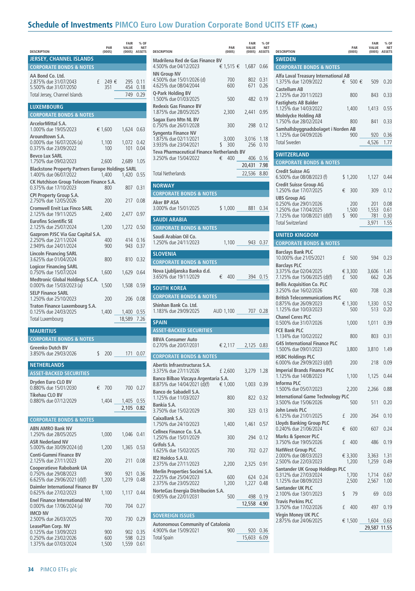### **Schedule of Investments PIMCO Euro Low Duration Corporate Bond UCITS ETF (Content)**

**FAIR**

**% OF**

| <b>DESCRIPTION</b>                                                                                                                        |    | PAR<br>(000S) | FAIR<br>VALUE<br>(000S) | % OF<br><b>NET</b><br><b>ASSETS</b> |
|-------------------------------------------------------------------------------------------------------------------------------------------|----|---------------|-------------------------|-------------------------------------|
| <b>JERSEY, CHANNEL ISLANDS</b>                                                                                                            |    |               |                         |                                     |
| <b>CORPORATE BONDS &amp; NOTES</b><br>AA Bond Co. Ltd.<br>2.875% due 31/07/2043<br>5.500% due 31/07/2050<br>Total Jersey, Channel Islands | £  | 249 €<br>351  | 295<br>454<br>749       | 0.11<br>0.18<br>0.29                |
| <b>LUXEMBOURG</b>                                                                                                                         |    |               |                         |                                     |
| <b>CORPORATE BONDS &amp; NOTES</b>                                                                                                        |    |               |                         |                                     |
| <b>ArcelorMittal S.A.</b><br>1.000% due 19/05/2023                                                                                        |    | € 1,600       | 1,624                   | 0.63                                |
| Aroundtown S.A.<br>0.000% due 16/07/2026 (a)                                                                                              |    | 1,100         | 1,072                   | 0.42                                |
| 0.375% due 23/09/2022<br><b>Bevco Lux SARL</b>                                                                                            |    | 100           | 101                     | 0.04                                |
| 1.750% due 09/02/2023                                                                                                                     |    | 2,600         | 2,689                   | 1.05                                |
| <b>Blackstone Property Partners Europe Holdings SARL</b><br>1.400% due 06/07/2022                                                         |    | 1,400         | 1,420                   | 0.55                                |
| <b>CK Hutchison Group Telecom Finance S.A.</b><br>0.375% due 17/10/2023                                                                   |    | 800           | 807                     | 0.31                                |
| CPI Property Group S.A.<br>2.750% due 12/05/2026                                                                                          |    | 200           | 217                     | 0.08                                |
| <b>Cromwell Ereit Lux Finco SARL</b><br>2.125% due 19/11/2025                                                                             |    | 2,400         | 2.477                   | 0.97                                |
| <b>Eurofins Scientific SE</b><br>2.125% due 25/07/2024                                                                                    |    | 1.200         | 1,272                   | 0.50                                |
| Gazprom PJSC Via Gaz Capital S.A.<br>2.250% due 22/11/2024                                                                                |    | 400           | 414                     | 0.16                                |
| 2.949% due 24/01/2024<br><b>Lincoln Financing SARL</b>                                                                                    |    | 900           | 943                     | 0.37                                |
| 3.625% due 01/04/2024<br><b>Logicor Financing SARL</b>                                                                                    |    | 800           | 810                     | 0.32                                |
| 0.750% due 15/07/2024<br><b>Medtronic Global Holdings S.C.A.</b>                                                                          |    | 1,600         | 1,629                   | 0.64                                |
| 0.000% due 15/03/2023 (a)<br><b>SELP Finance SARL</b>                                                                                     |    | 1,500         | 1,508                   | 0.59                                |
| 1.250% due 25/10/2023                                                                                                                     |    | 200           | 206                     | 0.08                                |
| <b>Traton Finance Luxembourg S.A.</b><br>0.125% due 24/03/2025                                                                            |    | 1,400         | 1,400                   | 0.55                                |
| <b>Total Luxembourg</b>                                                                                                                   |    |               | 18,589                  | 7.26                                |
| <b>MAURITIUS</b>                                                                                                                          |    |               |                         |                                     |
| <b>CORPORATE BONDS &amp; NOTES</b><br>Greenko Dutch RV                                                                                    |    |               |                         |                                     |
| 3.850% due 29/03/2026                                                                                                                     | \$ | 200           | 171                     | 0.07                                |
| <b>NETHERLANDS</b>                                                                                                                        |    |               |                         |                                     |
| <b>ASSET-BACKED SECURITIES</b>                                                                                                            |    |               |                         |                                     |
| Dryden Euro CLO BV<br>0.880% due 15/01/2030                                                                                               | €  | 700           | 700                     | 0.27                                |
| <b>Tikehau CLO BV</b><br>0.880% due 07/12/2029                                                                                            |    | 1.404         | 1,405                   | 0.55                                |
|                                                                                                                                           |    |               | 2,105                   | 0.82                                |
| <b>CORPORATE BONDS &amp; NOTES</b>                                                                                                        |    |               |                         |                                     |
| <b>ABN AMRO Bank NV</b><br>1.250% due 28/05/2025                                                                                          |    | 1,000         | 1.046                   | 0.41                                |
| <b>ASR Nederland NV</b><br>5.000% due 30/09/2024 (d)                                                                                      |    | 1,200         | 1,365                   | 0.53                                |
| <b>Conti-Gummi Finance BV</b><br>2.125% due 27/11/2023                                                                                    |    | 200           | 211                     | 0.08                                |

| <b>DESCRIPTION</b>                                                                      | PAR<br>(000S)      | VALUE<br>(000S) | NET<br><b>ASSETS</b> |
|-----------------------------------------------------------------------------------------|--------------------|-----------------|----------------------|
| Madrilena Red de Gas Finance BV<br>4.500% due 04/12/2023                                | € 1,515 €          | 1,687 0.66      |                      |
| <b>NN Group NV</b><br>4.500% due 15/01/2026 (d)<br>4.625% due 08/04/2044                | 700<br>600         | 802<br>671      | 0.31<br>0.26         |
| <b>Q-Park Holding BV</b><br>1.500% due 01/03/2025                                       | 500                | 482             | 0.19                 |
| <b>Redexis Gas Finance BV</b><br>1.875% due 28/05/2025<br><b>Sagax Euro Mtn NL BV</b>   | 2,300              | 2,441           | 0.95                 |
| 0.750% due 26/01/2028<br><b>Syngenta Finance NV</b>                                     | 300                | 298             | 0.12                 |
| 1.875% due 02/11/2021<br>3.933% due 23/04/2021                                          | 3.000<br>\$<br>300 | 3,016<br>256    | 1.18<br>0.10         |
| <b>Teva Pharmaceutical Finance Netherlands BV</b><br>3.250% due 15/04/2022              | 400<br>€           | 406<br>20,431   | 0.16<br>7.98         |
| Total Netherlands                                                                       |                    | 22,536          | 8.80                 |
| <b>NORWAY</b>                                                                           |                    |                 |                      |
| <b>CORPORATE BONDS &amp; NOTES</b>                                                      |                    |                 |                      |
| <b>Aker BP ASA</b><br>3.000% due 15/01/2025                                             | \$1,000            | 881             | 0.34                 |
| <b>SAUDI ARABIA</b><br><b>CORPORATE BONDS &amp; NOTES</b>                               |                    |                 |                      |
| Saudi Arabian Oil Co.<br>1.250% due 24/11/2023                                          | 1.100              | 943             | 0.37                 |
| <b>SLOVENIA</b><br><b>CORPORATE BONDS &amp; NOTES</b>                                   |                    |                 |                      |
| Nova Ljubljanska Banka d.d.<br>3.650% due 19/11/2029                                    | €<br>400           |                 | 394 0.15             |
| <b>SOUTH KOREA</b>                                                                      |                    |                 |                      |
| <b>CORPORATE BONDS &amp; NOTES</b>                                                      |                    |                 |                      |
| Shinhan Bank Co. Ltd.<br>1.183% due 29/09/2025                                          | AUD 1,100          | 707             | 0.28                 |
| <b>SPAIN</b>                                                                            |                    |                 |                      |
| <b>ASSET-BACKED SECURITIES</b>                                                          |                    |                 |                      |
| <b>BBVA Consumer Auto</b><br>0.270% due 20/07/2031                                      | € 2,117            | 2,125           | 0.83                 |
| <b>CORPORATE BONDS &amp; NOTES</b>                                                      |                    |                 |                      |
| Abertis Infraestructuras S.A.<br>3.375% due 27/11/2026                                  | £ 2,600            | 3,279           | 1.28                 |
| Banco Bilbao Vizcaya Argentaria S.A.<br>8.875% due 14/04/2021 (d)(f)                    | € 1,000            | 1,003           | 0.39                 |
| <b>Banco de Sabadell S.A.</b><br>1.125% due 11/03/2027<br>Bankia S.A.                   | 800                | 822             | 0.32                 |
| 3.750% due 15/02/2029<br>CaixaBank S.A.                                                 | 300                | 323             | 0.13                 |
| 1.750% due 24/10/2023<br>Cellnex Finance Co. S.A.                                       | 1,400              | 1,461           | 0.57                 |
| 1.250% due 15/01/2029<br>Grifols S.A.<br>1.625% due 15/02/2025                          | 300<br>700         | 294<br>702      | 0.12<br>0.27         |
| IE2 Holdco S.A.U.<br>2.375% due 27/11/2023                                              | 2,200              | 2,325           | 0.91                 |
| Merlin Properties Socimi S.A.<br>2.225% due 25/04/2023<br>2.375% due 23/05/2022         | 600<br>1,200       | 624<br>1,227    | 0.24<br>0.48         |
| NorteGas Energia Distribucion S.A.<br>0.905% due 22/01/2031                             | 500                | 498             | 0.19                 |
|                                                                                         |                    | 12,558          | 4.90                 |
| <b>SOVEREIGN ISSUES</b>                                                                 |                    |                 |                      |
| <b>Autonomous Community of Catalonia</b><br>4.900% due 15/09/2021<br><b>Total Spain</b> | 900                | 920<br>15,603   | 0.36<br>6.09         |

| э<br>EIF<br>(Cont.)                                                                                                               |                           |                              |                                     |
|-----------------------------------------------------------------------------------------------------------------------------------|---------------------------|------------------------------|-------------------------------------|
| <b>DESCRIPTION</b>                                                                                                                | PAR<br>(000S)             | FAIR<br>VALUE<br>(000S)      | % OF<br><b>NET</b><br><b>ASSETS</b> |
| <b>SWEDEN</b>                                                                                                                     |                           |                              |                                     |
| <b>CORPORATE BONDS &amp; NOTES</b>                                                                                                |                           |                              |                                     |
| Alfa Laval Treasury International AB<br>1.375% due 12/09/2022                                                                     | €<br>500 €                | 509                          | 0.20                                |
| <b>Castellum AB</b><br>2.125% due 20/11/2023                                                                                      | 800                       | 843                          | 0.33                                |
| <b>Fastighets AB Balder</b><br>1.125% due 14/03/2022                                                                              | 1,400                     | 1.413                        | 0.55                                |
| <b>Molnlycke Holding AB</b><br>1.750% due 28/02/2024                                                                              | 800                       | 841                          | 0.33                                |
| Samhallsbyggnadsbolaget i Norden AB<br>1.125% due 04/09/2026                                                                      | 900                       | 920                          | 0.36                                |
| <b>Total Sweden</b>                                                                                                               |                           | 4,526                        | 1.77                                |
| <b>SWITZERLAND</b>                                                                                                                |                           |                              |                                     |
| <b>CORPORATE BONDS &amp; NOTES</b>                                                                                                |                           |                              |                                     |
| <b>Credit Suisse AG</b><br>6.500% due 08/08/2023 (f)<br><b>Credit Suisse Group AG</b>                                             | \$1,200                   | 1,127                        | 0.44                                |
| 1.250% due 17/07/2025                                                                                                             | €<br>300                  | 309                          | 0.12                                |
| <b>UBS Group AG</b><br>0.250% due 29/01/2026<br>1.250% due 17/04/2025<br>7.125% due 10/08/2021 (d)(f)<br><b>Total Switzerland</b> | 200<br>1,500<br>\$<br>900 | 201<br>1.553<br>781<br>3,971 | 0.08<br>0.61<br>0.30<br>1.55        |
|                                                                                                                                   |                           |                              |                                     |
| <b>UNITED KINGDOM</b>                                                                                                             |                           |                              |                                     |
| <b>CORPORATE BONDS &amp; NOTES</b>                                                                                                |                           |                              |                                     |
| <b>Barclays Bank PLC</b><br>10.000% due 21/05/2021                                                                                | £<br>500                  | 594                          | 0.23                                |
| <b>Barclays PLC</b><br>3.375% due 02/04/2025<br>7.125% due 15/06/2025 (d)(f)                                                      | € 3,300<br>£<br>500       | 3,606<br>662                 | 1.41<br>0.26                        |
| <b>Bellis Acquisition Co. PLC</b><br>3.250% due 16/02/2026                                                                        | 600                       | 708                          | 0.28                                |
| <b>British Telecommunications PLC</b><br>0.875% due 26/09/2023<br>1.125% due 10/03/2023                                           | € 1,300<br>500            | 1,330<br>513                 | 0.52<br>0.20                        |
| <b>Chanel Ceres PLC</b><br>0.500% due 31/07/2026                                                                                  | 1,000                     | 1,011                        | 0.39                                |

1.134% due 10/02/2022 800 803 0.31

1.500% due 09/01/2023 3,800 3,810 1.49

6.000% due 29/09/2023 (d)(f) 200 218 0.09

1.125% due 14/08/2023 1,100 1,125 0.44

1.500% due 05/07/2023 2,200 2,266 0.88

3.500% due 15/06/2026 500 511 0.20

6.125% due 21/01/2025 £ 200 264 0.10

0.240% due 21/06/2024 € 600 607 0.24

3.750% due 19/05/2026 £ 400 486 0.19

2.000% due 08/03/2023 € 3,300 3,363 1.31<br>2.500% due 22/03/2023 1,200 1,259 0.49

0.312% due 27/03/2024 <sup>1</sup> 1,700 1,714 0.67<br>1.125% due 08/09/2023 2,500 2,567 1.00

2.100% due 13/01/2023 \$ 79 69 0.03

3.750% due 17/02/2026 £ 400 497 0.19

2.875% due 24/06/2025 € 1,500 1,604 0.63

29,587 11.55

**FCE Bank PLC**

**Informa PLC**

**John Lewis PLC**

**HSBC Holdings PLC**

**G4S International Finance PLC**

**Imperial Brands Finance PLC**

**Lloyds Banking Group PLC**

**Marks & Spencer PLC**

**NatWest Group PLC**

2.500% due 22/03/2023

1.125% due 08/09/2023 **Santander UK PLC**

**Travis Perkins PLC**

**Virgin Money UK PLC**

**International Game Technology PLC**

**Santander UK Group Holdings PLC**<br>0.312% due 27/03/2024 1,700

| 0.250% due 23/02/2026<br>1.375% due 07/03/2024 | 600<br>1.500 | 1.559 0.61 | 598 0.23 |
|------------------------------------------------|--------------|------------|----------|
| <b>34</b> PIMCO ETFs plc                       |              |            |          |

**Cooperatieve Rabobank UA**

6.625% due 29/06/2021 (d)(f) **Daimler International Finance BV**

**Enel Finance International NV**

**IMCD NV**

**LeasePlan Corp. NV**

0.750% due 29/08/2023 900 921 0.36<br>6.625% due 29/06/2021 (d)(f) 1,200 1,219 0.48

0.625% due 27/02/2023 1,100 1,117 0.44

0.000% due 17/06/2024 (a) 700 704 0.27

2.500% due 26/03/2025 700 730 0.29

0.125% due 13/09/2023 900 902 0.35<br>0.250% due 23/02/2026 600 598 0.23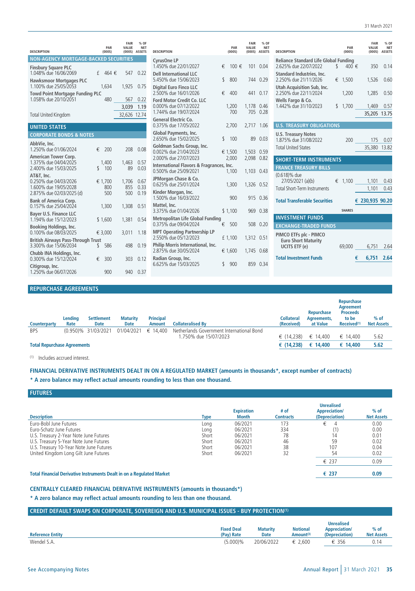| <b>DESCRIPTION</b>                                                                        |    | PAR<br>(000S)         | FAIR<br>VALUE<br>(000S) | % OF<br><b>NET</b><br><b>ASSETS</b> |  |
|-------------------------------------------------------------------------------------------|----|-----------------------|-------------------------|-------------------------------------|--|
| <b>NON-AGENCY MORTGAGE-BACKED SECURITIES</b>                                              |    |                       |                         |                                     |  |
| <b>Finsbury Square PLC</b><br>1.048% due 16/06/2069                                       | £  | 464 €                 | 547                     | 0.22                                |  |
| <b>Hawksmoor Mortgages PLC</b><br>1.100% due 25/05/2053                                   |    | 1,634                 | 1,925                   | 0.75                                |  |
| <b>Towd Point Mortgage Funding PLC</b><br>1.058% due 20/10/2051                           |    | 480                   | 567                     | 0.22                                |  |
| <b>Total United Kingdom</b>                                                               |    |                       | 3,039<br>32,626 12.74   | 1.19                                |  |
| <b>UNITED STATES</b>                                                                      |    |                       |                         |                                     |  |
| <b>CORPORATE BONDS &amp; NOTES</b>                                                        |    |                       |                         |                                     |  |
| AbbVie, Inc.<br>1.250% due 01/06/2024                                                     | €  | 200                   | 208                     | 0.08                                |  |
| American Tower Corp.<br>1.375% due 04/04/2025<br>2.400% due 15/03/2025                    | \$ | 1,400<br>100          | 1,463<br>89             | 0.57<br>0.03                        |  |
| AT&T, Inc.<br>0.250% due 04/03/2026<br>1.600% due 19/05/2028<br>2.875% due 02/03/2025 (d) |    | € 1,700<br>800<br>500 | 1,706<br>855<br>500     | 0.67<br>0.33<br>0.19                |  |
| <b>Bank of America Corp.</b><br>0.157% due 25/04/2024                                     |    | 1,300                 | 1,308                   | 0.51                                |  |
| <b>Bayer U.S. Finance LLC</b><br>1.194% due 15/12/2023                                    |    | \$1,600               | 1,381                   | 0.54                                |  |
| <b>Booking Holdings, Inc.</b><br>0.100% due 08/03/2025                                    |    | € 3,000               | 3,011                   | 1.18                                |  |
| <b>British Airways Pass-Through Trust</b><br>3.300% due 15/06/2034                        | \$ | 586                   | 498                     | 0.19                                |  |
| Chubb INA Holdings, Inc.<br>0.300% due 15/12/2024                                         | €  | 300                   | 303                     | 0.12                                |  |
| Citigroup, Inc.<br>1.250% due 06/07/2026                                                  |    | 900                   | 940                     | 0.37                                |  |

| <b>DESCRIPTION</b>                                                                 |    | PAR<br>(000S)    | <b>FAIR</b><br>VALUE<br>(000S) | % OF<br><b>NET</b><br><b>ASSETS</b> |
|------------------------------------------------------------------------------------|----|------------------|--------------------------------|-------------------------------------|
| <b>CyrusOne LP</b><br>1.450% due 22/01/2027                                        | €  | 100 €            | 101                            | 0.04                                |
| <b>Dell International LLC</b><br>5.450% due 15/06/2023                             | \$ | 800              | 744                            | 0.29                                |
| <b>Digital Euro Finco LLC</b><br>2.500% due 16/01/2026                             | €  | 400              | 441                            | 0.17                                |
| <b>Ford Motor Credit Co. LLC</b><br>0.000% due 07/12/2022<br>1.744% due 19/07/2024 |    | 1,200<br>700     | 1,178<br>705                   | 0.46<br>0.28                        |
| <b>General Electric Co.</b><br>0.375% due 17/05/2022                               |    | 2,700            | 2,717                          | 1.06                                |
| <b>Global Payments, Inc.</b><br>2.650% due 15/02/2025                              | \$ | 100              | 89                             | 0.03                                |
| Goldman Sachs Group, Inc.<br>0.002% due 21/04/2023<br>2.000% due 27/07/2023        |    | € 1,500<br>2,000 | 1,503<br>2,098                 | 0.59<br>0.82                        |
| International Flavors & Fragrances, Inc.<br>0.500% due 25/09/2021                  |    | 1.100            | 1.103                          | 0.43                                |
| JPMorgan Chase & Co.<br>0.625% due 25/01/2024                                      |    | 1,300            | 1.326                          | 0.52                                |
| Kinder Morgan, Inc.<br>1.500% due 16/03/2022                                       |    | 900              | 915                            | 0.36                                |
| Mattel, Inc.<br>3.375% due 01/04/2026                                              |    | \$1.100          | 969                            | 0.38                                |
| <b>Metropolitan Life Global Funding</b><br>0.375% due 09/04/2024                   | €  | 500              | 508                            | 0.20                                |
| <b>MPT Operating Partnership LP</b><br>2.550% due 05/12/2023                       |    | £ 1,100          | 1,312                          | 0.51                                |
| Philip Morris International, Inc.<br>2.875% due 30/05/2024                         |    | € 1,600          | 1.745                          | 0.68                                |
| Radian Group, Inc.<br>6.625% due 15/03/2025                                        | \$ | 900              | 859                            | 0.34                                |
|                                                                                    |    |                  |                                |                                     |

| <b>DESCRIPTION</b>                                                                             |    | PAR<br>(000S) |   | FAIR<br>VALUE<br>(000S) | % OF<br><b>NET</b><br><b>ASSETS</b> |
|------------------------------------------------------------------------------------------------|----|---------------|---|-------------------------|-------------------------------------|
| <b>Reliance Standard Life Global Funding</b><br>2.625% due 22/07/2022                          | \$ | 400 €         |   | 350                     | 0.14                                |
| <b>Standard Industries, Inc.</b><br>2.250% due 21/11/2026<br><b>Utah Acquisition Sub, Inc.</b> | €  | 1.500         |   | 1.526                   | 0.60                                |
| 2.250% due 22/11/2024                                                                          |    | 1.200         |   | 1.285                   | 0.50                                |
| Wells Fargo & Co.<br>1.442% due 31/10/2023                                                     | \$ | 1,700         |   | 1,469                   | 0.57                                |
|                                                                                                |    |               |   | 35,205                  | 13.75                               |
| <b>U.S. TREASURY OBLIGATIONS</b>                                                               |    |               |   |                         |                                     |
| <b>U.S. Treasury Notes</b>                                                                     |    |               |   |                         |                                     |
| 1.875% due 31/08/2022                                                                          |    | 200           |   | 175                     | 0.07                                |
| <b>Total United States</b>                                                                     |    |               |   | 35,380                  | 13.82                               |
|                                                                                                |    |               |   |                         |                                     |
|                                                                                                |    |               |   |                         |                                     |
| <b>SHORT-TERM INSTRUMENTS</b>                                                                  |    |               |   |                         |                                     |
| <b>FRANCE TREASURY BILLS</b>                                                                   |    |               |   |                         |                                     |
| (0.618)% due<br>27/05/2021 (a)(b)                                                              | €  | 1.100         |   |                         | 0.43                                |
| <b>Total Short-Term Instruments</b>                                                            |    |               |   | 1,101<br>1,101          | 0.43                                |
|                                                                                                |    |               |   |                         |                                     |
| <b>Total Transferable Securities</b>                                                           |    |               |   | € 230,935 90.20         |                                     |
|                                                                                                |    | <b>SHARES</b> |   |                         |                                     |
| <b>INVESTMENT FUNDS</b>                                                                        |    |               |   |                         |                                     |
| <b>EXCHANGE-TRADED FUNDS</b>                                                                   |    |               |   |                         |                                     |
| PIMCO ETFs plc - PIMCO<br><b>Euro Short Maturity</b>                                           |    |               |   |                         |                                     |
| UCITS ETF (e)                                                                                  |    | 69,000        |   | 6,751                   | 2.64                                |
| <b>Total Investment Funds</b>                                                                  |    |               | € | 6,751                   | 2.64                                |

## **REPURCHASE AGREEMENTS**

| Counterparty                       | Lending<br>Rate | <b>Settlement</b><br>Date | <b>Maturity</b><br><b>Date</b> | <b>Principal</b><br><b>Amount</b> | <b>Collateralised By</b>                                           | <b>Collateral</b><br>(Received) | <b>Repurchase</b><br>Agreements,<br>at Value | <b>Repurchase</b><br>Agreement<br><b>Proceeds</b><br>to be<br>Received <sup>(1)</sup> | $%$ of<br><b>Net Assets</b> |
|------------------------------------|-----------------|---------------------------|--------------------------------|-----------------------------------|--------------------------------------------------------------------|---------------------------------|----------------------------------------------|---------------------------------------------------------------------------------------|-----------------------------|
| <b>BPS</b>                         |                 | (0.950)% 31/03/2021       | 01/04/2021                     | € 14.400                          | Netherlands Government International Bond<br>1.750% due 15/07/2023 | € $(14.238)$                    | € 14.400                                     | € 14.400                                                                              | 5.62                        |
| <b>Total Repurchase Agreements</b> |                 |                           |                                |                                   |                                                                    | € $(14.238)$                    | € 14.400                                     | € 14.400                                                                              | 5.62                        |

(1) Includes accrued interest.

**FINANCIAL DERIVATIVE INSTRUMENTS DEALT IN ON A REGULATED MARKET (amounts in thousands\*, except number of contracts) \* A zero balance may reflect actual amounts rounding to less than one thousand.**

**FUTURES**

| <b>Description</b>                                                           | <b>Type</b> | <b>Expiration</b><br><b>Month</b> | # of<br><b>Contracts</b> | <b>Unrealised</b><br><b>Appreciation/</b><br>(Depreciation) | $%$ of<br><b>Net Assets</b> |
|------------------------------------------------------------------------------|-------------|-----------------------------------|--------------------------|-------------------------------------------------------------|-----------------------------|
| Euro-Bobl June Futures                                                       | Long        | 06/2021                           | 173                      | €                                                           | 0.00                        |
| Euro-Schatz June Futures                                                     | Long        | 06/2021                           | 334                      |                                                             | 0.00                        |
| U.S. Treasury 2-Year Note June Futures                                       | Short       | 06/2021                           | 78                       | 14                                                          | 0.01                        |
| U.S. Treasury 5-Year Note June Futures                                       | Short       | 06/2021                           | 46                       | 59                                                          | 0.02                        |
| U.S. Treasury 10-Year Note June Futures                                      | Short       | 06/2021                           | 38                       | 107                                                         | 0.04                        |
| United Kingdom Long Gilt June Futures                                        | Short       | 06/2021                           | 32                       | 54                                                          | 0.02                        |
|                                                                              |             |                                   |                          | € 237                                                       | 0.09                        |
| <b>Total Financial Derivative Instruments Dealt in on a Regulated Market</b> |             |                                   |                          | $£$ 237                                                     | 0.09                        |

### **CENTRALLY CLEARED FINANCIAL DERIVATIVE INSTRUMENTS (amounts in thousands\*)**

**\* A zero balance may reflect actual amounts rounding to less than one thousand.**

### **CREDIT DEFAULT SWAPS ON CORPORATE, SOVEREIGN AND U.S. MUNICIPAL ISSUES - BUY PROTECTION(1)**

|                         | <b>Fixed Deal</b> | <b>Maturity</b> | <b>Notional</b>       | <b>Appreciation/</b> | $%$ of            |
|-------------------------|-------------------|-----------------|-----------------------|----------------------|-------------------|
| <b>Reference Entity</b> | (Pay) Rate        | <b>Date</b>     | Amount <sup>(3)</sup> | (Depreciation)       | <b>Net Assets</b> |
|                         |                   |                 |                       |                      |                   |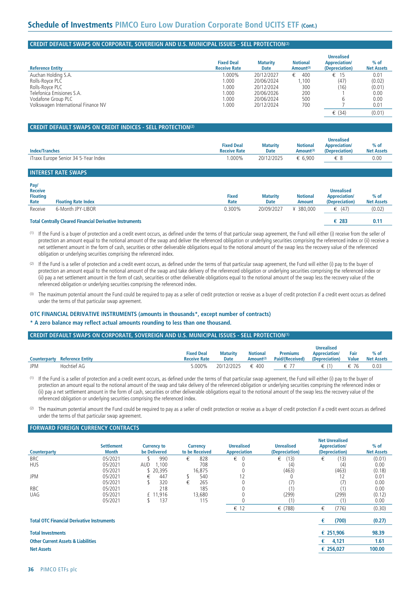## **Schedule of Investments PIMCO Euro Low Duration Corporate Bond UCITS ETF (Cont.)**

### **CREDIT DEFAULT SWAPS ON CORPORATE, SOVEREIGN AND U.S. MUNICIPAL ISSUES - SELL PROTECTION<sup>(2)</sup>**

|                                     |                                          |                 |                                          | <b>Unrealised</b> |                   |
|-------------------------------------|------------------------------------------|-----------------|------------------------------------------|-------------------|-------------------|
|                                     | <b>Fixed Deal</b><br><b>Receive Rate</b> | <b>Maturity</b> | <b>Notional</b><br>Amount <sup>(3)</sup> | Appreciation/     | $%$ of            |
| <b>Reference Entity</b>             |                                          | <b>Date</b>     |                                          | (Depreciation)    | <b>Net Assets</b> |
| Auchan Holding S.A.                 | 1.000%                                   | 20/12/2027      | 400<br>€                                 | € 15              | 0.01              |
| Rolls-Royce PLC                     | 1.000                                    | 20/06/2024      | l.100                                    | (47)              | (0.02)            |
| Rolls-Royce PLC                     | 1.000                                    | 20/12/2024      | 300                                      | (16)              | (0.01)            |
| Telefonica Emisiones S.A.           | 1.000                                    | 20/06/2026      | 200                                      |                   | 0.00              |
| Vodafone Group PLC                  | 1.000                                    | 20/06/2024      | 500                                      |                   | 0.00              |
| Volkswagen International Finance NV | 1.000                                    | 20/12/2024      | 700                                      |                   | 0.01              |
|                                     |                                          |                 |                                          | $\epsilon$ (34)   | (0.01)            |

#### **CREDIT DEFAULT SWAPS ON CREDIT INDICES - SELL PROTECTION(2)**

|                                      | <b>Fixed Deal</b>   | <b>Maturity</b> | <b>Notional</b>       | Appreciation/  | $%$ of            |
|--------------------------------------|---------------------|-----------------|-----------------------|----------------|-------------------|
| <b>Index/Tranches</b>                | <b>Receive Rate</b> | <b>Date</b>     | Amount <sup>(3)</sup> | (Depreciation) | <b>Net Assets</b> |
| iTraxx Europe Senior 34 5-Year Index | $.000\%$            | 20/12/2025      | € 6.900               |                | 0.00              |

#### **INTEREST RATE SWAPS**

| Pay/<br><b>Receive</b><br><b>Floating</b><br>Rate | <b>Floating Rate Index</b> | <b>Fixed</b><br>Rate | <b>Maturity</b><br><b>Date</b> | <b>Notional</b><br><b>Amount</b> | <b>Unrealised</b><br><b>Appreciation/</b><br>(Depreciation) | $%$ of<br><b>Net Assets</b> |
|---------------------------------------------------|----------------------------|----------------------|--------------------------------|----------------------------------|-------------------------------------------------------------|-----------------------------|
| Receive                                           | 6-Month JPY-LIBOR          | 0.300%               | 20/09/2027                     | ¥ 380.000                        | $\epsilon$ (47)                                             | (0.02)                      |

#### **Total Centrally Cleared Financial Derivative Instruments € 283 0.11**

- (1) If the Fund is a buyer of protection and a credit event occurs, as defined under the terms of that particular swap agreement, the Fund will either (i) receive from the seller of protection an amount equal to the notional amount of the swap and deliver the referenced obligation or underlying securities comprising the referenced index or (ii) receive a net settlement amount in the form of cash, securities or other deliverable obligations equal to the notional amount of the swap less the recovery value of the referenced obligation or underlying securities comprising the referenced index.
- (2) If the Fund is a seller of protection and a credit event occurs, as defined under the terms of that particular swap agreement, the Fund will either (i) pay to the buyer of protection an amount equal to the notional amount of the swap and take delivery of the referenced obligation or underlying securities comprising the referenced index or (ii) pay a net settlement amount in the form of cash, securities or other deliverable obligations equal to the notional amount of the swap less the recovery value of the referenced obligation or underlying securities comprising the referenced index.
- (3) The maximum potential amount the Fund could be required to pay as a seller of credit protection or receive as a buyer of credit protection if a credit event occurs as defined under the terms of that particular swap agreement.

#### **OTC FINANCIAL DERIVATIVE INSTRUMENTS (amounts in thousands\*, except number of contracts)**

#### **\* A zero balance may reflect actual amounts rounding to less than one thousand.**

#### **CREDIT DEFAULT SWAPS ON CORPORATE, SOVEREIGN AND U.S. MUNICIPAL ISSUES - SELL PROTECTION(1)**

|            |                                      | <b>Fixed Deal</b>   | <b>Maturity</b> | <b>Notional</b>       | <b>Premiums</b> | <b>Unrealised</b><br>Appreciation/ | Fair         | $%$ of            |
|------------|--------------------------------------|---------------------|-----------------|-----------------------|-----------------|------------------------------------|--------------|-------------------|
|            | <b>Counterparty Reference Entity</b> | <b>Receive Rate</b> | <b>Date</b>     | Amount <sup>(2)</sup> | Paid/(Received) | (Depreciation)                     | <b>Value</b> | <b>Net Assets</b> |
| <b>JPM</b> | Hochtief AG                          | 5.000%              | 20/12/2025      | $\epsilon$ 400        | $\epsilon$ 77   |                                    | € 76         | 0.03              |

(1) If the Fund is a seller of protection and a credit event occurs, as defined under the terms of that particular swap agreement, the Fund will either (i) pay to the buyer of protection an amount equal to the notional amount of the swap and take delivery of the referenced obligation or underlying securities comprising the referenced index or (ii) pay a net settlement amount in the form of cash, securities or other deliverable obligations equal to the notional amount of the swap less the recovery value of the referenced obligation or underlying securities comprising the referenced index.

(2) The maximum potential amount the Fund could be required to pay as a seller of credit protection or receive as a buyer of credit protection if a credit event occurs as defined under the terms of that particular swap agreement.

#### **FORWARD FOREIGN CURRENCY CONTRACTS**

| Counterparty                                      | <b>Settlement</b><br><b>Month</b> | <b>Currency to</b><br>be Delivered | <b>Currency</b><br>to be Received | <b>Unrealised</b><br><b>Appreciation</b> | <b>Unrealised</b><br>(Depreciation) | <b>Net Unrealised</b><br><b>Appreciation/</b><br>(Depreciation) | $%$ of<br><b>Net Assets</b> |
|---------------------------------------------------|-----------------------------------|------------------------------------|-----------------------------------|------------------------------------------|-------------------------------------|-----------------------------------------------------------------|-----------------------------|
| <b>BRC</b>                                        | 05/2021                           | 990                                | 828<br>€                          | €<br>$\Omega$                            | €<br>(13)                           | (13)<br>€                                                       | (0.01)                      |
| <b>HUS</b>                                        | 05/2021                           | ,100<br>AUD                        | 708                               |                                          | (4)                                 | (4)                                                             | 0.00                        |
|                                                   | 05/2021                           | 20,395                             | 16,875                            |                                          | (463)                               | (463)                                                           | (0.18)                      |
| <b>JPM</b>                                        | 05/2021                           | 447<br>€                           | 540                               | 12                                       |                                     | 12                                                              | 0.01                        |
|                                                   | 05/2021                           | 320                                | €<br>265                          |                                          |                                     | (7)                                                             | 0.00                        |
| <b>RBC</b>                                        | 05/2021                           | 218                                | 185                               |                                          |                                     | (1)                                                             | 0.00                        |
| <b>UAG</b>                                        | 05/2021                           | £ 11,916                           | 13,680                            |                                          | (299)                               | (299)                                                           | (0.12)                      |
|                                                   | 05/2021                           | 137                                | 115                               |                                          |                                     | (1)                                                             | 0.00                        |
|                                                   |                                   |                                    |                                   | $\epsilon$ 12                            | € $(788)$                           | (776)<br>€                                                      | (0.30)                      |
| <b>Total OTC Financial Derivative Instruments</b> |                                   |                                    |                                   |                                          |                                     | (700)                                                           | (0.27)                      |
| <b>Total Investments</b>                          |                                   |                                    |                                   |                                          |                                     | € 251,906                                                       | 98.39                       |
| <b>Other Current Assets &amp; Liabilities</b>     |                                   |                                    |                                   |                                          |                                     | 4,121<br>€                                                      | 1.61                        |

**Net Assets € 256,027 100.00**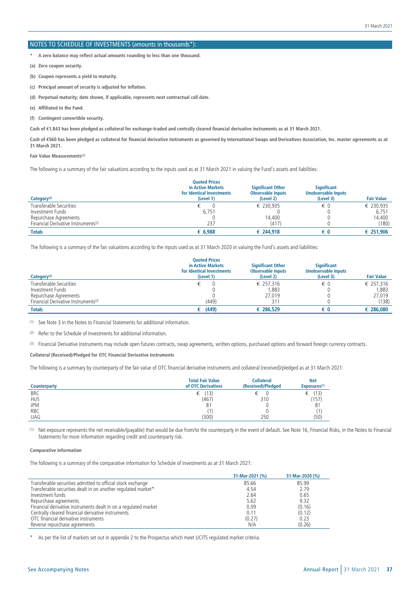### NOTES TO SCHEDULE OF INVESTMENTS (amounts in thousands\*):

**\* A zero balance may reflect actual amounts rounding to less than one thousand.**

**(a) Zero coupon security.**

**(b) Coupon represents a yield to maturity.**

**(c) Principal amount of security is adjusted for inflation.**

**(d) Perpetual maturity; date shown, if applicable, represents next contractual call date.**

**(e) Affiliated to the Fund.**

**(f) Contingent convertible security.**

**Cash of €1,843 has been pledged as collateral for exchange-traded and centrally cleared financial derivative instruments as at 31 March 2021.**

**Cash of €560 has been pledged as collateral for financial derivative instruments as governed by International Swaps and Derivatives Association, Inc. master agreements as at 31 March 2021.**

**Fair Value Measurements(1)**

The following is a summary of the fair valuations according to the inputs used as at 31 March 2021 in valuing the Fund's assets and liabilities:

|                                                 | <b>Ouoted Prices</b><br>in Active Markets<br>for Identical Investments | <b>Significant Other</b><br><b>Observable Inputs</b> | <b>Significant</b><br><b>Unobservable Inputs</b> |                   |
|-------------------------------------------------|------------------------------------------------------------------------|------------------------------------------------------|--------------------------------------------------|-------------------|
| Category <sup>(2)</sup>                         | (Level 1)                                                              | (Level 2)                                            | (Level 3)                                        | <b>Fair Value</b> |
| Transferable Securities                         |                                                                        | € 230.935                                            | € 0                                              | € 230.935         |
| Investment Funds                                | 6,751                                                                  |                                                      |                                                  | 6.751             |
| Repurchase Agreements                           |                                                                        | 14.400                                               |                                                  | 14.400            |
| Financial Derivative Instruments <sup>(3)</sup> | 237                                                                    | (417)                                                |                                                  | (180)             |
| <b>Totals</b>                                   | € 6.988                                                                | € 244.918                                            |                                                  | € 251.906         |

The following is a summary of the fair valuations according to the inputs used as at 31 March 2020 in valuing the Fund's assets and liabilities:

|                                                 | <b>Ouoted Prices</b><br>in Active Markets<br>for Identical Investments | <b>Significant Other</b><br><b>Observable Inputs</b> | <b>Significant</b><br><b>Unobservable Inputs</b> |                   |  |
|-------------------------------------------------|------------------------------------------------------------------------|------------------------------------------------------|--------------------------------------------------|-------------------|--|
| Category <sup>(2)</sup>                         | (Level 1)                                                              | (Level 2)                                            | (Level 3)                                        | <b>Fair Value</b> |  |
| Transferable Securities                         |                                                                        | € 257.316                                            | € 0                                              | € 257,316         |  |
| Investment Funds                                |                                                                        | .883,،                                               |                                                  | 1,883             |  |
| Repurchase Agreements                           |                                                                        | 27.019                                               |                                                  | 27.019            |  |
| Financial Derivative Instruments <sup>(3)</sup> | (449)                                                                  | 31                                                   |                                                  | (138)             |  |
| <b>Totals</b>                                   | (449)                                                                  | € 286.529                                            |                                                  | € 286.080         |  |

(1) See Note 3 in the Notes to Financial Statements for additional information.

(2) Refer to the Schedule of Investments for additional information.

(3) Financial Derivative Instruments may include open futures contracts, swap agreements, written options, purchased options and forward foreign currency contracts.

**Collateral (Received)/Pledged for OTC Financial Derivative Instruments**

The following is a summary by counterparty of the fair value of OTC financial derivative instruments and collateral (received)/pledged as at 31 March 2021:

|                     | <b>Total Fair Value</b> | <b>Collateral</b>  | Net                      |
|---------------------|-------------------------|--------------------|--------------------------|
| <b>Counterparty</b> | of OTC Derivatives      | (Received)/Pledged | Exposures <sup>(1)</sup> |
| <b>BRC</b>          | 13)                     |                    | (13)                     |
| <b>HUS</b>          | (467)                   | 310                | (157)                    |
| <b>JPM</b>          | 81                      |                    | 81                       |
| <b>RBC</b>          |                         |                    |                          |
| <b>UAG</b>          | (300)                   | 250                | (50)                     |

(1) Net exposure represents the net receivable/(payable) that would be due from/to the counterparty in the event of default. See Note 16, Financial Risks, in the Notes to Financial Statements for more information regarding credit and counterparty risk.

#### **Comparative Information**

The following is a summary of the comparative information for Schedule of Investments as at 31 March 2021:

|                                                                 | 31-Mar-2021 (%) | 31-Mar-2020 (%) |
|-----------------------------------------------------------------|-----------------|-----------------|
| Transferable securities admitted to official stock exchange     | 85.66           | 85.99           |
| Transferable securities dealt in on another regulated market*   | 4.54            | 2.79            |
| Investment funds                                                | 2.64            | 0.65            |
| Repurchase agreements                                           | 5.62            | 9.32            |
| Financial derivative instruments dealt in on a regulated market | 0.09            | (0.16)          |
| Centrally cleared financial derivative instruments              | 0.11            | (0.12)          |
| OTC financial derivative instruments                            | (0.27)          | 0.23            |
| Reverse repurchase agreements                                   | N/A             | (0.26)          |

As per the list of markets set out in appendix 2 to the Prospectus which meet UCITS regulated market criteria.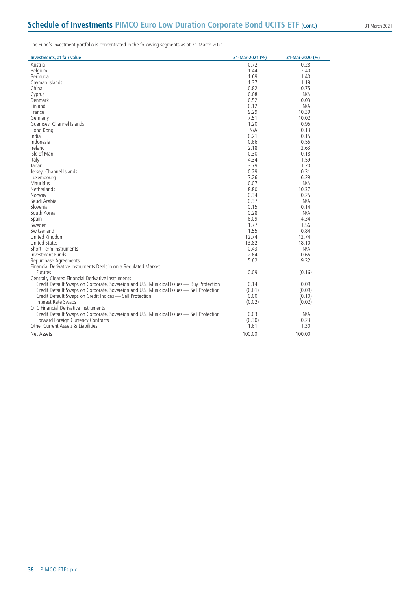The Fund's investment portfolio is concentrated in the following segments as at 31 March 2021:

| <b>Investments, at fair value</b>                                                        | 31-Mar-2021 (%) | 31-Mar-2020 (%) |
|------------------------------------------------------------------------------------------|-----------------|-----------------|
| Austria                                                                                  | 0.72            | 0.28            |
| Belgium                                                                                  | 1.44            | 2.40            |
| Bermuda                                                                                  | 1.69            | 1.40            |
| Cayman Islands                                                                           | 1.37            | 1.19            |
| China                                                                                    | 0.82            | 0.75            |
| Cyprus                                                                                   | 0.08            | N/A             |
| Denmark                                                                                  | 0.52            | 0.03            |
| Finland                                                                                  | 0.12            | N/A             |
|                                                                                          | 9.29            |                 |
| France                                                                                   |                 | 10.39           |
| Germany                                                                                  | 7.51            | 10.02           |
| Guernsey, Channel Islands                                                                | 1.20            | 0.95            |
| Hong Kong                                                                                | N/A             | 0.13            |
| India                                                                                    | 0.21            | 0.15            |
| Indonesia                                                                                | 0.66            | 0.55            |
| Ireland                                                                                  | 2.18            | 2.63            |
| Isle of Man                                                                              | 0.30            | 0.18            |
| Italy                                                                                    | 4.34            | 1.59            |
| Japan                                                                                    | 3.79            | 1.20            |
| Jersey, Channel Islands                                                                  | 0.29            | 0.31            |
| Luxembourg                                                                               | 7.26            | 6.29            |
| Mauritius                                                                                | 0.07            | N/A             |
| Netherlands                                                                              | 8.80            | 10.37           |
|                                                                                          | 0.34            |                 |
| Norway                                                                                   |                 | 0.25            |
| Saudi Arabia                                                                             | 0.37            | N/A             |
| Slovenia                                                                                 | 0.15            | 0.14            |
| South Korea                                                                              | 0.28            | N/A             |
| Spain                                                                                    | 6.09            | 4.34            |
| Sweden                                                                                   | 1.77            | 1.56            |
| Switzerland                                                                              | 1.55            | 0.84            |
| United Kingdom                                                                           | 12.74           | 12.74           |
| <b>United States</b>                                                                     | 13.82           | 18.10           |
| Short-Term Instruments                                                                   | 0.43            | N/A             |
| <b>Investment Funds</b>                                                                  | 2.64            | 0.65            |
| Repurchase Agreements                                                                    | 5.62            | 9.32            |
| Financial Derivative Instruments Dealt in on a Regulated Market                          |                 |                 |
| <b>Futures</b>                                                                           | 0.09            | (0.16)          |
| Centrally Cleared Financial Derivative Instruments                                       |                 |                 |
| Credit Default Swaps on Corporate, Sovereign and U.S. Municipal Issues - Buy Protection  | 0.14            | 0.09            |
| Credit Default Swaps on Corporate, Sovereign and U.S. Municipal Issues - Sell Protection | (0.01)          | (0.09)          |
| Credit Default Swaps on Credit Indices - Sell Protection                                 | 0.00            | (0.10)          |
| Interest Rate Swaps                                                                      | (0.02)          |                 |
|                                                                                          |                 | (0.02)          |
| OTC Financial Derivative Instruments                                                     |                 |                 |
| Credit Default Swaps on Corporate, Sovereign and U.S. Municipal Issues - Sell Protection | 0.03            | N/A             |
| Forward Foreign Currency Contracts                                                       | (0.30)          | 0.23            |
| Other Current Assets & Liabilities                                                       | 1.61            | 1.30            |
| Net Assets                                                                               | 100.00          | 100.00          |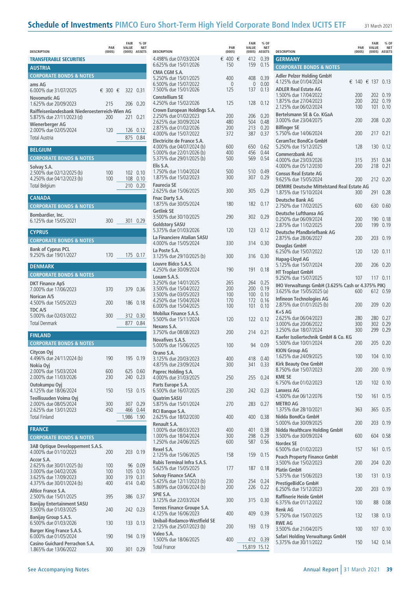## **Schedule of Investments PIMCO Euro Short-Term High Yield Corporate Bond Index UCITS ETF** 31 March 2021

| <b>DESCRIPTION</b>                                                          | PAR<br>(000S)       | FAIR<br>VALUE | % OF<br><b>NET</b><br>(000S) ASSETS |
|-----------------------------------------------------------------------------|---------------------|---------------|-------------------------------------|
| <b>TRANSFERABLE SECURITIES</b>                                              |                     |               |                                     |
| <b>AUSTRIA</b>                                                              |                     |               |                                     |
| <b>CORPORATE BONDS &amp; NOTES</b>                                          |                     |               |                                     |
| ams AG<br>6.000% due 31/07/2025                                             | $\epsilon$ 300<br>€ | 322           | 0.31                                |
| <b>Novomatic AG</b><br>1.625% due 20/09/2023                                | 215                 | 206           | 0.20                                |
| Raiffeisenlandesbank Niederoesterreich-Wien AG<br>5.875% due 27/11/2023 (d) | 200                 | 221           | 0.21                                |
| Wienerberger AG<br>2.000% due 02/05/2024                                    | 120                 | 126           | 0.12                                |
| <b>Total Austria</b>                                                        |                     | 875           | 0.84                                |
| <b>BELGIUM</b>                                                              |                     |               |                                     |
| <b>CORPORATE BONDS &amp; NOTES</b>                                          |                     |               |                                     |
| Solvay S.A.<br>2.500% due 02/12/2025 (b)                                    | 100                 | 102           | 0.10                                |
| 4.250% due 04/12/2023 (b)                                                   | 100                 | 108           | 0.10                                |
| <b>Total Belgium</b>                                                        |                     | 210           | 0.20                                |
| <b>CANADA</b>                                                               |                     |               |                                     |
| <b>CORPORATE BONDS &amp; NOTES</b>                                          |                     |               |                                     |
| Bombardier, Inc.<br>6.125% due 15/05/2021                                   | 300                 | 301           | 0.29                                |
| <b>CYPRUS</b>                                                               |                     |               |                                     |
| <b>CORPORATE BONDS &amp; NOTES</b>                                          |                     |               |                                     |
| <b>Bank of Cyprus PCL</b>                                                   |                     |               |                                     |
| 9.250% due 19/01/2027                                                       | 170                 | 175           | 0.17                                |
| <b>DENMARK</b>                                                              |                     |               |                                     |
| <b>CORPORATE BONDS &amp; NOTES</b>                                          |                     |               |                                     |
| <b>DKT Finance ApS</b><br>7.000% due 17/06/2023                             | 370                 | 379           | 0.36                                |
| <b>Norican A/S</b><br>4.500% due 15/05/2023                                 | 200                 | 186           | 0.18                                |
| <b>TDC A/S</b>                                                              |                     |               |                                     |
| 5.000% due 02/03/2022<br><b>Total Denmark</b>                               | 300                 | 312<br>877    | 0.30<br>0.84                        |
|                                                                             |                     |               |                                     |
| <b>FINLAND</b>                                                              |                     |               |                                     |
| <b>CORPORATE BONDS &amp; NOTES</b><br>Citycon Oyj                           |                     |               |                                     |
| 4.496% due 24/11/2024 (b)                                                   | 190                 | 195           | 0.19                                |
| Nokia Oyj<br>2.000% due 15/03/2024                                          | 600                 | 625           | 0.60                                |
| 2.000% due 11/03/2026<br>Outokumpu Oyj                                      | 230                 | 240           | 0.23                                |
| 4.125% due 18/06/2024<br>Teollisuuden Voima Oyj                             | 150                 | 153           | 0.15                                |
| 2.000% due 08/05/2024                                                       | 300                 | 307           | 0.29                                |
| 2.625% due 13/01/2023<br><b>Total Finland</b>                               | 450                 | 466<br>1,986  | 0.44<br>1.90                        |
|                                                                             |                     |               |                                     |
| <b>FRANCE</b><br><b>CORPORATE BONDS &amp; NOTES</b>                         |                     |               |                                     |
| <b>3AB Optique Developpement S.A.S.</b><br>4.000% due 01/10/2023            |                     |               |                                     |
| Accor S.A.                                                                  | 200                 | 203           | 0.19                                |
| 2.625% due 30/01/2025 (b)                                                   | 100                 | 96            | 0.09                                |
| 3.000% due 04/02/2026<br>3.625% due 17/09/2023                              | 100<br>300          | 105<br>319    | 0.10<br>0.31                        |
| 4.375% due 30/01/2024 (b)                                                   | 400                 | 414           | 0.40                                |
| <b>Altice France S.A.</b><br>2.500% due 15/01/2025                          | 395                 | 386           | 0.37                                |
| <b>Banijay Entertainment SASU</b><br>3.500% due 01/03/2025                  | 240                 | 242           | 0.23                                |
| <b>Banijay Group S.A.S.</b><br>6.500% due 01/03/2026                        | 130                 | 133           | 0.13                                |
| <b>Burger King France S.A.S.</b>                                            |                     |               |                                     |
| 6.000% due 01/05/2024<br>Casino Guichard Perrachon S.A.                     | 190                 | 194           | 0.19                                |

|                                                         | PAR                                 | FAIR<br>VALUE   | % OF<br><b>NET</b>    |                                                              | PAR              | <b>FAIR</b><br>VALUE | % OF<br><b>NET</b> |
|---------------------------------------------------------|-------------------------------------|-----------------|-----------------------|--------------------------------------------------------------|------------------|----------------------|--------------------|
| <b>DESCRIPTION</b><br>4.498% due 07/03/2024             | (000S)<br>$\epsilon$ 400 $\epsilon$ | 412             | (000S) ASSETS<br>0.39 | <b>DESCRIPTION</b><br><b>GERMANY</b>                         | (000S)           |                      | (000S) ASSETS      |
| 6.625% due 15/01/2026                                   | 150                                 | 159             | 0.15                  | <b>CORPORATE BONDS &amp; NOTES</b>                           |                  |                      |                    |
| CMA CGM S.A.                                            |                                     |                 |                       | <b>Adler Pelzer Holding GmbH</b>                             |                  |                      |                    |
| 5.250% due 15/01/2025<br>6.500% due 15/07/2022          | 400<br>0                            | 408<br>$\theta$ | 0.39<br>0.00          | 4.125% due 01/04/2024                                        | € 140 € 137 0.13 |                      |                    |
| 7.500% due 15/01/2026                                   | 125                                 | 137             | 0.13                  | <b>ADLER Real Estate AG</b>                                  |                  |                      | 202 0.19           |
| <b>Constellium SE</b><br>4.250% due 15/02/2026          | 125                                 | 128             | 0.12                  | 1.500% due 17/04/2022<br>1.875% due 27/04/2023               | 200<br>200       |                      | 202 0.19           |
| Crown European Holdings S.A.                            |                                     |                 |                       | 2.125% due 06/02/2024                                        | 100              | 101                  | 0.10               |
| 2.250% due 01/02/2023                                   | 200                                 | 206             | 0.20                  | Bertelsmann SE & Co. KGaA<br>3.000% due 23/04/2075           | 200              | 208                  | 0.20               |
| 2.625% due 30/09/2024<br>2.875% due 01/02/2026          | 480<br>200                          | 504<br>213      | 0.48<br>0.20          | <b>Bilfinger SE</b>                                          |                  |                      |                    |
| 4.000% due 15/07/2022                                   | 372                                 | 387             | 0.37                  | 5.750% due 14/06/2024                                        | 200              | 217                  | 0.21               |
| Electricite de France S.A.<br>4.000% due 04/07/2024 (b) | 600                                 | 650             | 0.62                  | <b>CeramTec BondCo GmbH</b><br>5.250% due 15/12/2025         | 128              | 130                  | 0.12               |
| 5.000% due 22/01/2026 (b)                               | 400                                 | 456             | 0.44                  | <b>Commerzbank AG</b>                                        |                  |                      |                    |
| 5.375% due 29/01/2025 (b)<br>Elis S.A.                  | 500                                 | 569             | 0.54                  | 4.000% due 23/03/2026<br>4.000% due 05/12/2030               | 315<br>200       | 351<br>218           | 0.34<br>0.21       |
| 1.750% due 11/04/2024                                   | 500                                 | 510             | 0.49                  | <b>Consus Real Estate AG</b>                                 |                  |                      |                    |
| 1.875% due 15/02/2023                                   | 300                                 | 307             | 0.29                  | 9.625% due 15/05/2024                                        | 200              |                      | 212 0.20           |
| <b>Faurecia SE</b><br>2.625% due 15/06/2025             | 300                                 | 305             | 0.29                  | <b>DEMIRE Deutsche Mittelstand Real Estate AG</b>            |                  |                      | 291 0.28           |
| Fnac Darty S.A.                                         |                                     |                 |                       | 1.875% due 15/10/2024<br>Deutsche Bank AG                    | 300              |                      |                    |
| 1.875% due 30/05/2024                                   | 180                                 | 182             | 0.17                  | 2.750% due 17/02/2025                                        | 600              | 630                  | 0.60               |
| <b>Getlink SE</b><br>3.500% due 30/10/2025              | 290                                 | 302             | 0.29                  | Deutsche Lufthansa AG<br>0.250% due 06/09/2024               |                  |                      | 0.18               |
| <b>Goldstory SASU</b>                                   |                                     |                 |                       | 2.875% due 11/02/2025                                        | 200<br>200       | 190<br>199           | 0.19               |
| 5.375% due 01/03/2026                                   | 120                                 | 123             | 0.12                  | Deutsche Pfandbriefbank AG                                   |                  |                      |                    |
| La Financiere Atalian SASU<br>4.000% due 15/05/2024     | 330                                 | 314             | 0.30                  | 2.875% due 28/06/2027                                        | 200              | 203                  | 0.19               |
| La Poste S.A.                                           |                                     |                 |                       | Douglas GmbH<br>6.250% due 15/07/2022                        | 120              | 120                  | 0.11               |
| 3.125% due 29/10/2025 (b)                               | 300                                 | 316             | 0.30                  | Hapag-Lloyd AG                                               |                  |                      |                    |
| Louvre Bidco S.A.S.<br>4.250% due 30/09/2024            | 190                                 | 191             | 0.18                  | 5.125% due 15/07/2024                                        | 200              |                      | 206 0.20           |
| Loxam S.A.S.                                            |                                     |                 |                       | <b>HT Troplast GmbH</b><br>9.250% due 15/07/2025             | 107              |                      | 117 0.11           |
| 3.250% due 14/01/2025<br>3.500% due 15/04/2022          | 265<br>200                          | 264<br>200      | 0.25<br>0.19          | IHO Verwaltungs GmbH (3.625% Cash or 4.375% PIK)             |                  |                      |                    |
| 3.500% due 03/05/2023                                   | 100                                 | 100             | 0.10                  | 3.625% due 15/05/2025 (a)                                    | 600              |                      | 612 0.59           |
| 4.250% due 15/04/2024<br>6.000% due 15/04/2025          | 170<br>100                          | 172<br>101      | 0.16<br>0.10          | <b>Infineon Technologies AG</b><br>2.875% due 01/01/2025 (b) | 200              | 209                  | 0.20               |
| <b>Mobilux Finance S.A.S.</b>                           |                                     |                 |                       | $K+SAG$                                                      |                  |                      |                    |
| 5.500% due 15/11/2024                                   | 120                                 | 122             | 0.12                  | 2.625% due 06/04/2023<br>3.000% due 20/06/2022               | 280<br>300       | 280                  | 0.27<br>302 0.29   |
| Nexans S.A.<br>3.750% due 08/08/2023                    | 200                                 | 214             | 0.21                  | 3.250% due 18/07/2024                                        | 300              | 299                  | 0.29               |
| Novafives S.A.S.                                        |                                     |                 |                       | Kaefer Isoliertechnik GmbH & Co. KG<br>5.500% due 10/01/2024 | 200              |                      | 205 0.20           |
| 5.000% due 15/06/2025                                   | 100                                 | 94              | 0.09                  | <b>KION Group AG</b>                                         |                  |                      |                    |
| Orano S.A.<br>3.125% due 20/03/2023                     | 400                                 | 418             | 0.40                  | 1.625% due 24/09/2025                                        | 100              |                      | 104 0.10           |
| 4.875% due 23/09/2024                                   | 300                                 | 341             | 0.33                  | <b>Kirk Beauty One GmbH</b><br>8.750% due 15/07/2023         | 200              |                      | 200 0.19           |
| Paprec Holding S.A.<br>4.000% due 31/03/2025            | 250                                 | 255             | 0.24                  | <b>KME SE</b>                                                |                  |                      |                    |
| Parts Europe S.A.                                       |                                     |                 |                       | 6.750% due 01/02/2023                                        | 120              |                      | 102 0.10           |
| 6.500% due 16/07/2025                                   | 230                                 | 242             | 0.23                  | Lanxess AG<br>4.500% due 06/12/2076                          | 150              |                      | 161 0.15           |
| <b>Ouatrim SASU</b><br>5.875% due 15/01/2024            | 270                                 | 283             | 0.27                  | <b>METRO AG</b>                                              |                  |                      |                    |
| RCI Banque S.A.                                         |                                     |                 |                       | 1.375% due 28/10/2021                                        | 363              |                      | 365 0.35           |
| 2.625% due 18/02/2030<br>Renault S.A.                   | 400                                 | 400             | 0.38                  | Nidda BondCo GmbH<br>5.000% due 30/09/2025                   | 200              |                      | 203 0.19           |
| 1.000% due 08/03/2023                                   | 400                                 | 401             | 0.38                  | Nidda Healthcare Holding GmbH                                |                  |                      |                    |
| 1.000% due 18/04/2024                                   | 300                                 | 298             | 0.29                  | 3.500% due 30/09/2024                                        | 600              |                      | 604 0.58           |
| 1.250% due 24/06/2025<br>Rexel S.A.                     | 600                                 | 587             | 0.56                  | <b>Nordex SE</b><br>6.500% due 01/02/2023                    | 157              |                      | 161 0.15           |
| 2.125% due 15/06/2025                                   | 158                                 | 159             | 0.15                  | <b>Peach Property Finance GmbH</b>                           |                  |                      |                    |
| Rubis Terminal Infra S.A.S.<br>5.625% due 15/05/2025    | 177                                 | 187             | 0.18                  | 3.500% due 15/02/2023                                        | 200              |                      | 204 0.20           |
| <b>Solvay Finance SACA</b>                              |                                     |                 |                       | <b>Platin GmbH</b><br>5.375% due 15/06/2023                  | 130              |                      | 131 0.13           |
| 5.425% due 12/11/2023 (b)                               | 230                                 | 254             | 0.24                  | <b>PrestigeBidCo GmbH</b>                                    |                  |                      |                    |
| 5.869% due 03/06/2024 (b)<br>SPIE S.A.                  | 200                                 | 226             | 0.22                  | 6.250% due 15/12/2023                                        | 200              |                      | 203 0.19           |
| 3.125% due 22/03/2024                                   | 300                                 | 315             | 0.30                  | <b>Raffinerie Heide GmbH</b><br>6.375% due 01/12/2022        | 100              | 88                   | 0.08               |
| Tereos Finance Groupe S.A.<br>4.125% due 16/06/2023     | 400                                 | 409             | 0.39                  | <b>Renk AG</b>                                               |                  |                      |                    |
| Unibail-Rodamco-Westfield SE                            |                                     |                 |                       | 5.750% due 15/07/2025                                        | 132              |                      | 138 0.13           |
| 2.125% due 25/07/2023 (b)                               | 200                                 | 193             | 0.19                  | <b>RWE AG</b><br>3.500% due 21/04/2075                       | 100              |                      | 107 0.10           |
| Valeo S.A.<br>1.500% due 18/06/2025                     | 400                                 | 412             | 0.39                  | Safari Holding Verwaltungs GmbH                              |                  |                      |                    |
| <b>Total France</b>                                     |                                     | 15,819 15.12    |                       | 5.375% due 30/11/2022                                        | 150              |                      | 142 0.14           |

1.865% due 13/06/2022 300 301 0.29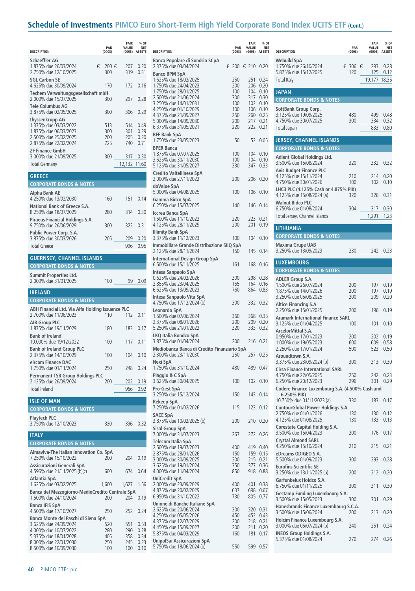# **Schedule of Investments PIMCO Euro Short-Term High Yield Corporate Bond Index UCITS ETF (Cont.)**

|                                                                                                                     |   |                          | FAIR                     | % OF                         |
|---------------------------------------------------------------------------------------------------------------------|---|--------------------------|--------------------------|------------------------------|
| <b>DESCRIPTION</b>                                                                                                  |   | <b>PAR</b><br>(000S)     | VALUE<br>(000S)          | <b>NET</b><br><b>ASSETS</b>  |
| Schaeffler AG<br>1.875% due 26/03/2024<br>2.750% due 12/10/2025                                                     | € | 200 €<br>300             | 207<br>319               | 0.20<br>0.31                 |
| <b>SGL Carbon SE</b><br>4.625% due 30/09/2024                                                                       |   | 170                      | 172                      | 0.16                         |
| Techem Verwaltungsgesellschaft mbH<br>2.000% due 15/07/2025                                                         |   | 300                      | 297                      | 0.28                         |
| <b>Tele Columbus AG</b><br>3.875% due 02/05/2025                                                                    |   | 300                      | 306                      | 0.29                         |
| thyssenkrupp AG<br>1.375% due 03/03/2022<br>1.875% due 06/03/2023<br>2.500% due 25/02/2025<br>2.875% due 22/02/2024 |   | 513<br>300<br>200<br>725 | 514<br>301<br>205<br>740 | 0.49<br>0.29<br>0.20<br>0.71 |
| <b>ZF Finance GmbH</b><br>3.000% due 21/09/2025                                                                     |   | 300                      | 317                      | 0.30                         |
| <b>Total Germany</b>                                                                                                |   |                          | 12.132 11.60             |                              |

| <b>GREECE</b>                                            |     |     |      |
|----------------------------------------------------------|-----|-----|------|
| <b>CORPORATE BONDS &amp; NOTES</b>                       |     |     |      |
| Alpha Bank AE<br>4.250% due 13/02/2030                   | 160 | 151 | 0.14 |
| National Bank of Greece S.A.<br>8.250% due 18/07/2029    | 280 | 314 | 0.30 |
| Piraeus Financial Holdings S.A.<br>9.750% due 26/06/2029 | 300 | 322 | 0.31 |
| Public Power Corp. S.A.<br>3.875% due 30/03/2026         | 205 | 209 | 0.20 |
| Total Greece                                             |     | 996 | 0.95 |
|                                                          |     |     |      |

| <b>GUERNSEY, CHANNEL ISLANDS</b>                                          |            |            |              |
|---------------------------------------------------------------------------|------------|------------|--------------|
| <b>CORPORATE BONDS &amp; NOTES</b>                                        |            |            |              |
| <b>Summit Properties Ltd.</b><br>2.000% due 31/01/2025                    | 100        | 99         | 0.09         |
| <b>IRELAND</b>                                                            |            |            |              |
| <b>CORPORATE BONDS &amp; NOTES</b>                                        |            |            |              |
| ABH Financial Ltd. Via Alfa Holding Issuance PLC<br>2.700% due 11/06/2023 | 110        | 112        | 0.11         |
| <b>AIB Group PLC</b><br>1.875% due 19/11/2029<br><b>Bank of Ireland</b>   | 180        | 183        | 0.17         |
| 10.000% due 19/12/2022                                                    | 100        | 117        | 0.11         |
| <b>Bank of Ireland Group PLC</b><br>2.375% due 14/10/2029                 | 100        | 104        | 0.10         |
| eircom Finance DAC<br>1.750% due 01/11/2024                               | 250        | 248        | 0.24         |
| <b>Permanent TSB Group Holdings PLC</b><br>2.125% due 26/09/2024          | 200        | 202        | 0.19         |
| <b>Total Ireland</b>                                                      |            | 966        | 0.92         |
| <b>ISLE OF MAN</b>                                                        |            |            |              |
|                                                                           |            |            |              |
| <b>CORPORATE BONDS &amp; NOTES</b>                                        |            |            |              |
| <b>Playtech PLC</b><br>3.750% due 12/10/2023                              | 330        | 336        | 0.32         |
| <b>ITALY</b>                                                              |            |            |              |
| <b>CORPORATE BONDS &amp; NOTES</b>                                        |            |            |              |
| Almaviva-The Italian Innovation Co. SpA<br>7.250% due 15/10/2022          | 200        | 204        | 0.19         |
| Assicurazioni Generali SpA<br>4.596% due 21/11/2025 (b)(c)                | 600        | 674        | 0.64         |
| <b>Atlantia SpA</b><br>1.625% due 03/02/2025                              | 1,600      | 1,627      | 1.56         |
| Banca del Mezzogiorno-MedioCredito Centrale SpA<br>1.500% due 24/10/2024  | 200        | 204        | 0.19         |
| <b>Banca IFIS SpA</b><br>4.500% due 17/10/2027                            | 250        | 252        | 0.24         |
| Banca Monte dei Paschi di Siena SpA                                       |            |            |              |
| 3.625% due 24/09/2024<br>4.000% due 10/07/2022                            | 520<br>280 | 551<br>290 | 0.53<br>0.28 |

8.000% due 22/01/2030 250 245 0.23 8.500% due 10/09/2030 100 100 0.10

| <b>DESCRIPTION</b>                                                                               | PAR<br>(000S)            | FAIR<br>VALUE            | % OF<br><b>NET</b><br>(000S) ASSETS |
|--------------------------------------------------------------------------------------------------|--------------------------|--------------------------|-------------------------------------|
| Banca Popolare di Sondrio SCpA<br>2.375% due 03/04/2024                                          | €                        | 200 € 210                | 0.20                                |
| <b>Banco BPM SpA</b><br>1.625% due 18/02/2025<br>1.750% due 24/04/2023<br>1.750% due 28/01/2025  | 250<br>200<br>100        | 251<br>206<br>104        | 0.24<br>0.20<br>0.10                |
| 2.500% due 21/06/2024<br>3.250% due 14/01/2031                                                   | 300<br>100               | 317<br>102               | 0.30<br>0.10                        |
| 4.250% due 01/10/2029<br>4.375% due 21/09/2027<br>5.000% due 14/09/2030<br>6.375% due 31/05/2021 | 100<br>250<br>200<br>220 | 106<br>260<br>217<br>222 | 0.10<br>0.25<br>0.21<br>0.21        |
| <b>BFF Bank SpA</b><br>1.750% due 23/05/2023<br><b>BPER Banca</b>                                | 50                       | 52                       | 0.05                                |
| 1.875% due 07/07/2025<br>3.625% due 30/11/2030<br>5.125% due 31/05/2027                          | 100<br>100<br>330        | 104<br>104<br>347        | 0.10<br>0.10<br>0.33                |
| Credito Valtellinese SpA<br>2.000% due 27/11/2022                                                | 200                      | 206                      | 0.20                                |
| doValue SpA<br>5.000% due 04/08/2025<br>Gamma Bidco SpA                                          | 100                      | 106                      | 0.10                                |
| 6.250% due 15/07/2025<br>Iccrea Banca SpA                                                        | 140                      | 146                      | 0.14                                |
| 1.500% due 11/10/2022<br>4.125% due 28/11/2029                                                   | 220<br>200               | 223<br>201               | 0.21<br>0.19                        |
| <b>Illimity Bank SpA</b><br>3.375% due 11/12/2023<br>Immobiliare Grande Distribuzione SIIQ SpA   | 100                      | 104                      | 0.10                                |
| 2.125% due 28/11/2024<br><b>International Design Group SpA</b>                                   | 150                      | 145                      | 0.14                                |
| 6.500% due 15/11/2025<br>Intesa Sanpaolo SpA                                                     | 161                      | 168                      | 0.16                                |
| 0.625% due 24/02/2026<br>2.855% due 23/04/2025<br>6.625% due 13/09/2023                          | 300<br>155<br>760        | 298<br>164<br>864        | 0.28<br>0.16<br>0.83                |
| Intesa Sanpaolo Vita SpA<br>4.750% due 17/12/2024 (b)<br>Leonardo SpA                            | 300                      | 332                      | 0.32                                |
| 1.500% due 07/06/2024<br>2.375% due 08/01/2026<br>5.250% due 21/01/2022                          | 360<br>200<br>320        | 368<br>209<br>333        | 0.35<br>0.20<br>0.32                |
| LKQ Italia Bondco SpA<br>3.875% due 01/04/2024                                                   | 200                      | 216                      | 0.21                                |
| Mediobanca Banca di Credito Finanziario SpA<br>2.300% due 23/11/2030<br>Nexi SpA                 | 250                      | 257                      | 0.25                                |
| 1.750% due 31/10/2024<br>Piaggio & C SpA                                                         | 480                      | 489                      | 0.47                                |
| 3.625% due 30/04/2025<br>Pro-Gest SpA                                                            | 100                      | 102                      | 0.10                                |
| 3.250% due 15/12/2024<br>Rekeep SpA                                                              | 150                      | 143                      | 0.14                                |
| 7.250% due 01/02/2026<br><b>SACE SpA</b>                                                         | 115                      | 123                      | 0.12                                |
| 3.875% due 10/02/2025 (b)<br><b>Sisal Group SpA</b><br>7.000% due 31/07/2023                     | 200<br>267               | 210<br>272               | 0.20<br>0.26                        |
| <b>Telecom Italia SpA</b><br>2.500% due 19/07/2023                                               | 400                      | 419                      | 0.40                                |
| 2.875% due 28/01/2026                                                                            | 150                      | 159                      | 0.15                                |
| 3.000% due 30/09/2025                                                                            | 200                      |                          | 215 0.21                            |
| 3.625% due 19/01/2024<br>4.000% due 11/04/2024                                                   | 350<br>850               | 377<br>918               | 0.36<br>0.88                        |
| UniCredit SpA<br>2.000% due 23/09/2029                                                           | 400                      | 401                      | 0.38                                |
| 4.875% due 20/02/2029<br>6.950% due 31/10/2022                                                   | 637<br>730               | 698<br>805               | 0.67<br>0.77                        |
| Unione di Banche Italiane SpA                                                                    |                          |                          |                                     |
| 2.625% due 20/06/2024                                                                            | 300                      | 320                      | 0.31                                |
| 4.250% due 05/05/2026<br>4.375% due 12/07/2029                                                   | 450<br>200               | 452<br>218               | 0.43<br>0.21                        |
| 4.450% due 15/09/2027                                                                            | 200                      | 211                      | 0.20                                |
| 5.875% due 04/03/2029                                                                            | 160                      | 181                      | 0.17                                |
| UnipolSai Assicurazioni SpA<br>5.750% due 18/06/2024 (b)                                         | 550                      | 599                      | 0.57                                |

| F<br>T<br>S | <b>DESCRIPTION</b>                                                                                 | PAR<br>(000S)     |   | FAIR<br>VALUE              | % OF<br><b>NET</b><br>(000S) ASSETS |
|-------------|----------------------------------------------------------------------------------------------------|-------------------|---|----------------------------|-------------------------------------|
|             | Webuild SpA<br>1.750% due 26/10/2024<br>5.875% due 15/12/2025<br><b>Total Italy</b>                | € 306<br>120      | € | 293<br>125<br>19,177 18.35 | 0.28<br>0.12                        |
|             | <b>JAPAN</b>                                                                                       |                   |   |                            |                                     |
|             | <b>CORPORATE BONDS &amp; NOTES</b>                                                                 |                   |   |                            |                                     |
|             | SoftBank Group Corp.<br>3.125% due 19/09/2025<br>4.750% due 30/07/2025<br>Total Japan              | 480<br>300        |   | 499<br>334<br>833          | 0.48<br>0.32<br>0.80                |
|             | <b>JERSEY, CHANNEL ISLANDS</b>                                                                     |                   |   |                            |                                     |
|             | <b>CORPORATE BONDS &amp; NOTES</b>                                                                 |                   |   |                            |                                     |
|             | Adient Global Holdings Ltd.<br>3.500% due 15/08/2024                                               | 320               |   | 332                        | 0.32                                |
|             | <b>Avis Budget Finance PLC</b><br>4.125% due 15/11/2024                                            | 210               |   | 214                        | 0.20                                |
|             | 4.750% due 30/01/2026<br>LHC3 PLC (4.125% Cash or 4.875% PIK)                                      | 100               |   | 102                        | 0.10                                |
|             | 4.125% due 15/08/2024 (a)<br><b>Walnut Bidco PLC</b>                                               | 320               |   | 326                        | 0.31                                |
|             | 6.750% due 01/08/2024                                                                              | 304               |   | 317                        | 0.30<br>1.23                        |
|             | Total Jersey, Channel Islands                                                                      |                   |   | 1,291                      |                                     |
|             | LITHUANIA<br><b>CORPORATE BONDS &amp; NOTES</b>                                                    |                   |   |                            |                                     |
|             | <b>Maxima Grupe UAB</b><br>3.250% due 13/09/2023                                                   | 230               |   | 242                        | 0.23                                |
|             | <b>LUXEMBOURG</b>                                                                                  |                   |   |                            |                                     |
|             | <b>CORPORATE BONDS &amp; NOTES</b>                                                                 |                   |   |                            |                                     |
|             | <b>ADLER Group S.A.</b><br>1.500% due 26/07/2024<br>1.875% due 14/01/2026<br>3.250% due 05/08/2025 | 200<br>200<br>200 |   | 197<br>197<br>209          | 0.19<br>0.19<br>0.20                |
|             | <b>Altice Financing S.A.</b><br>2.250% due 15/01/2025                                              | 200               |   | 196                        | 0.19                                |
|             | <b>Aramark International Finance SARL</b><br>3.125% due 01/04/2025                                 | 100               |   | 101                        | 0.10                                |
|             | ArcelorMittal S.A.<br>0.950% due 17/01/2023                                                        | 200               |   | 202                        | 0.19                                |
|             | 1.000% due 19/05/2023<br>2.250% due 17/01/2024                                                     | 600<br>500        |   | 609<br>523                 | 0.58<br>0.50                        |
|             | Aroundtown S.A.                                                                                    |                   |   |                            |                                     |
|             | 3.375% due 23/09/2024 (b)<br><b>Cirsa Finance International SARL</b>                               | 300               |   | 313                        | 0.30                                |
|             | 4.750% due 22/05/2025<br>6.250% due 20/12/2023                                                     | 250<br>296        |   | 242<br>301                 | 0.23<br>0.29                        |
|             | Codere Finance Luxembourg S.A. (4.500% Cash and<br>6.250% PIK)                                     |                   |   |                            |                                     |
|             | 10.750% due 01/11/2023 (a)                                                                         | 330               |   | 183                        | 0.17                                |
|             | <b>ContourGlobal Power Holdings S.A.</b><br>2.750% due 01/01/2026<br>4.125% due 01/08/2025         | 130<br>130        |   | 130<br>133                 | 0.12<br>0.13                        |
|             | <b>Corestate Capital Holding S.A.</b><br>3.500% due 15/04/2023                                     | 200               |   | 176                        | 0.17                                |
|             | <b>Crystal Almond SARL</b><br>4.250% due 15/10/2024                                                | 210               |   | 215                        | 0.21                                |
|             | eDreams ODIGEO S.A.<br>5.500% due 01/09/2023                                                       | 300               |   | 293                        | 0.28                                |
|             | <b>Eurofins Scientific SE</b><br>3.250% due 13/11/2025 (b)                                         | 200               |   | 212                        | 0.20                                |
|             | Garfunkelux Holdco S.A.<br>6.750% due 01/11/2025                                                   | 300               |   | 311                        | 0.30                                |
|             | <b>Gestamp Funding Luxembourg S.A.</b><br>3.500% due 15/05/2023                                    | 300               |   | 301                        | 0.29                                |
|             | Hanesbrands Finance Luxembourg S.C.A.<br>3.500% due 15/06/2024                                     | 200               |   | 213                        | 0.20                                |
|             | <b>Holcim Finance Luxembourg S.A.</b><br>3.000% due 05/07/2024 (b)                                 | 240               |   | 251                        | 0.24                                |
|             | <b>INEOS Group Holdings S.A.</b><br>5.375% due 01/08/2024                                          | 270               |   | 274                        | 0.26                                |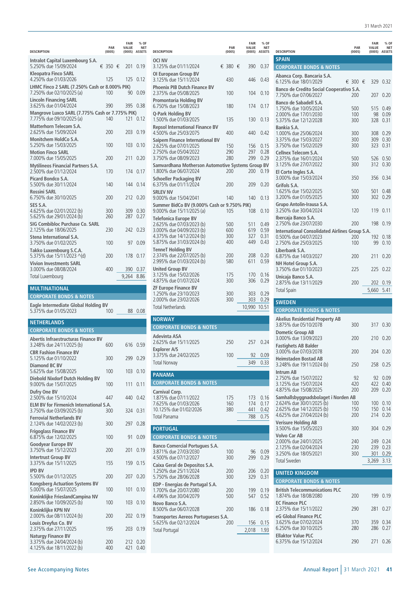| <b>DESCRIPTION</b>                                                           | PAR<br>(000S) | FAIR<br>VALUE<br>(000S) | % OF<br><b>NET</b><br><b>ASSETS</b> |
|------------------------------------------------------------------------------|---------------|-------------------------|-------------------------------------|
| <b>Intralot Capital Luxembourg S.A.</b><br>5.250% due 15/09/2024             | € 350 $∈$     | 201                     | 0.19                                |
| <b>Kleopatra Finco SARL</b><br>4.250% due 01/03/2026                         | 125           | 125                     | 0.12                                |
| LHMC Finco 2 SARL (7.250% Cash or 8.000% PIK)<br>7.250% due 02/10/2025 (a)   | 100           | 90                      | 0.09                                |
| <b>Lincoln Financing SARL</b><br>3.625% due 01/04/2024                       | 390           | 395                     | 0.38                                |
| Mangrove Luxco SARL (7.775% Cash or 7.775% PIK)<br>7.775% due 09/10/2025 (a) | 140           | 121                     | 0.12                                |
| <b>Matterhorn Telecom S.A.</b><br>2.625% due 15/09/2024                      | 200           | 203                     | 0.19                                |
| Monitchem HoldCo S.A.<br>5.250% due 15/03/2025                               | 100           | 103                     | 0.10                                |
| <b>Motion Finco SARL</b><br>7.000% due 15/05/2025                            | 200           | 211                     | 0.20                                |
| <b>Mytilineos Financial Partners S.A.</b><br>2.500% due 01/12/2024           | 170           | 174                     | 0.17                                |
| Picard Bondco S.A.<br>5.500% due 30/11/2024                                  | 140           | 144                     | 0.14                                |
| <b>Rossini SARL</b><br>6.750% due 30/10/2025                                 | 200           | 212                     | 0.20                                |
| SES S.A.<br>4.625% due 02/01/2022 (b)                                        | 300           | 309                     | 0.30                                |
| 5.625% due 29/01/2024 (b)<br>SIG Combibloc Purchase Co. SARL                 | 260           | 287                     | 0.27                                |
| 2.125% due 18/06/2025<br>Stena International S.A.                            | 230           | 242                     | 0.23                                |
| 3.750% due 01/02/2025                                                        | 100           | 97                      | 0.09                                |
| Takko Luxembourg S.C.A.<br>5.375% due 15/11/2023 ^(d)                        | 200           | 178                     | 0.17                                |
| <b>Vivion Investments SARL</b><br>3.000% due 08/08/2024                      | 400           | 390                     | 0.37                                |
| Total Luxembourg                                                             |               | 9,264                   | 8.86                                |
|                                                                              |               |                         |                                     |

### **MULTINATIONAL**

**CORPORATE BONDS & NOTES**

| Eagle Intermediate Global Holding BV |     |         |
|--------------------------------------|-----|---------|
| 5.375% due 01/05/2023                | 100 | 88 0.08 |

| <b>NETHERLANDS</b>                                                                  |            |            |              |
|-------------------------------------------------------------------------------------|------------|------------|--------------|
| <b>CORPORATE BONDS &amp; NOTES</b>                                                  |            |            |              |
| Abertis Infraestructuras Finance BV<br>3.248% due 24/11/2025 (b)                    | 600        | 616        | 0.59         |
| <b>CBR Fashion Finance BV</b><br>5.125% due 01/10/2022                              | 300        | 299        | 0.29         |
| <b>Diamond BC BV</b><br>5.625% due 15/08/2025                                       | 100        | 103        | 0.10         |
| Diebold Nixdorf Dutch Holding BV<br>9.000% due 15/07/2025                           | 100        | 111        | 0.11         |
| Dufry One BV<br>2.500% due 15/10/2024                                               | 447        | 440        | 0.42         |
| <b>ELM BV for Firmenich International S.A.</b><br>3.750% due 03/09/2025 (b)         | 300        | 324        | 0.31         |
| <b>Ferrovial Netherlands BV</b><br>2.124% due 14/02/2023 (b)                        | 300        | 297        | 0.28         |
| <b>Frigoglass Finance BV</b><br>6.875% due 12/02/2025                               | 100        | 91         | 0.09         |
| Goodyear Europe BV<br>3.750% due 15/12/2023                                         | 200        | 201        | 0.19         |
| <b>Intertrust Group BV</b><br>3.375% due 15/11/2025                                 | 155        | 159        | 0.15         |
| <b>IPD BV</b><br>5.500% due 01/12/2025                                              | 200        | 207        | 0.20         |
| <b>Kongsberg Actuation Systems BV</b><br>5.000% due 15/07/2025                      | 100        | 101        | 0.10         |
| Koninklijke FrieslandCampina NV<br>2.850% due 10/09/2025 (b)                        | 100        | 103        | 0.10         |
| Koninklijke KPN NV<br>2.000% due 08/11/2024 (b)                                     | 200        | 202        | 0.19         |
| Louis Dreyfus Co. BV<br>2.375% due 27/11/2025                                       | 195        | 203        | 0.19         |
| <b>Naturgy Finance BV</b><br>3.375% due 24/04/2024 (b)<br>4.125% due 18/11/2022 (b) | 200<br>400 | 212<br>421 | 0.20<br>0.40 |

| <b>DESCRIPTION</b>                                                                                         |         | PAR<br>(000S)     | FAIR<br>VALUE<br>(000S) | % OF<br><b>NET</b><br><b>ASSETS</b> |
|------------------------------------------------------------------------------------------------------------|---------|-------------------|-------------------------|-------------------------------------|
| <b>OCI NV</b><br>3.125% due 01/11/2024                                                                     | € 380 € |                   | 390                     | 0.37                                |
| OI European Group BV<br>3.125% due 15/11/2024                                                              | 430     |                   | 446                     | 0.43                                |
| <b>Phoenix PIB Dutch Finance BV</b><br>2.375% due 05/08/2025                                               |         | 100               | 104                     | 0.10                                |
| Promontoria Holding BV<br>6.750% due 15/08/2023                                                            |         | 180               | 174                     | 0.17                                |
| Q-Park Holding BV<br>1.500% due 01/03/2025                                                                 |         | 135               | 130                     | 0.13                                |
| <b>Repsol International Finance BV</b><br>4.500% due 25/03/2075                                            |         | 400               | 440                     | 0.42                                |
| Saipem Finance International BV<br>2.625% due 07/01/2025<br>2.750% due 05/04/2022<br>3.750% due 08/09/2023 |         | 150<br>290<br>280 | 156<br>297<br>299       | 0.15<br>0.28<br>0.29                |
| Samvardhana Motherson Automotive Systems Group BV<br>1.800% due 06/07/2024                                 |         | 200               | 200                     | 0.19                                |
| <b>Schoeller Packaging BV</b><br>6.375% due 01/11/2024                                                     |         | 200               | 209                     | 0.20                                |
| <b>SRLEV NV</b><br>9.000% due 15/04/2041                                                                   |         | 140               | 140                     | 0.13                                |
| Summer BidCo BV (9.000% Cash or 9.750% PIK)<br>9.000% due 15/11/2025 (a)                                   |         | 105               | 108                     | 0.10                                |
| <b>Telefonica Europe BV</b><br>2.625% due 07/03/2023 (b)                                                   |         | 500               | 511                     | 0.49                                |
| 3.000% due 04/09/2023 (b)                                                                                  |         | 600               | 619                     | 0.59                                |
| 4.375% due 14/12/2024 (b)<br>5.875% due 31/03/2024 (b)                                                     |         | 300<br>400        | 327<br>449              | 0.31<br>0.43                        |
| <b>TenneT Holding BV</b>                                                                                   |         |                   |                         |                                     |
| 2.374% due 22/07/2025 (b)<br>2.995% due 01/03/2024 (b)                                                     |         | 200<br>580        | 208<br>611              | 0.20<br>0.59                        |
| <b>United Group BV</b><br>3.125% due 15/02/2026<br>4.875% due 01/07/2024                                   |         | 175<br>300        | 170<br>306              | 0.16<br>0.29                        |
| <b>ZF Europe Finance BV</b><br>1.250% due 23/10/2023                                                       | 300     |                   | 303                     | 0.29                                |
| 2.000% due 23/02/2026<br><b>Total Netherlands</b>                                                          | 300     |                   | 303<br>10,990           | 0.29<br>10.51                       |
|                                                                                                            |         |                   |                         |                                     |

| <b>NORWAY</b>                                                                                                       |                   |                          |                              |
|---------------------------------------------------------------------------------------------------------------------|-------------------|--------------------------|------------------------------|
| <b>CORPORATE BONDS &amp; NOTES</b>                                                                                  |                   |                          |                              |
| <b>Adevinta ASA</b><br>2.625% due 15/11/2025<br><b>Explorer A/S</b><br>3.375% due 24/02/2025<br><b>Total Norway</b> | 250<br>100        | 257<br>92<br>349         | 0.24<br>0.09<br>0.33         |
| <b>PANAMA</b>                                                                                                       |                   |                          |                              |
| <b>CORPORATE BONDS &amp; NOTES</b>                                                                                  |                   |                          |                              |
| Carnival Corp.<br>1.875% due 07/11/2022<br>7.625% due 01/03/2026<br>10.125% due 01/02/2026<br><b>Total Panama</b>   | 175<br>160<br>380 | 173<br>174<br>441<br>788 | 0.16<br>0.17<br>0.42<br>0.75 |
| <b>PORTUGAL</b>                                                                                                     |                   |                          |                              |
| <b>CORPORATE BONDS &amp; NOTES</b>                                                                                  |                   |                          |                              |
|                                                                                                                     |                   |                          |                              |
| <b>Banco Comercial Portugues S.A.</b><br>3.871% due 27/03/2030<br>4.500% due 07/12/2027                             | 100<br>300        | 96<br>299                | 0.09<br>0.29                 |
| Caixa Geral de Depositos S.A.<br>1.250% due 25/11/2024<br>5.750% due 28/06/2028                                     | 200<br>300        | 206<br>329               | 0.20<br>0.31                 |
| EDP - Energias de Portugal S.A.<br>1.700% due 20/07/2080<br>4.496% due 30/04/2079                                   | 200<br>500        | 199<br>547               | 0.19<br>0.52                 |
| Novo Banco S.A.<br>8.500% due 06/07/2028                                                                            | 200               | 186                      | 0.18                         |
| Transportes Aereos Portugueses S.A.                                                                                 |                   |                          |                              |
| 5.625% due 02/12/2024<br><b>Total Portugal</b>                                                                      | 200               | 156<br>2,018             | 0.15<br>1.93                 |

| <b>DESCRIPTION</b><br>(000S)<br>(000S)                                                                                                         | <b>ASSETS</b>        |
|------------------------------------------------------------------------------------------------------------------------------------------------|----------------------|
| <b>SPAIN</b>                                                                                                                                   |                      |
| <b>CORPORATE BONDS &amp; NOTES</b>                                                                                                             |                      |
| Abanca Corp. Bancaria S.A.<br>6.125% due 18/01/2029<br>$\epsilon$ 300 $\epsilon$<br>329                                                        | 0.32                 |
| Banco de Credito Social Cooperativo S.A.<br>7.750% due 07/06/2027<br>207<br>200                                                                | 0.20                 |
| Banco de Sabadell S.A.<br>1.750% due 10/05/2024<br>500<br>515<br>2.000% due 17/01/2030<br>100<br>98<br>5.375% due 12/12/2028<br>$300 -$<br>328 | 0.49<br>0.09<br>0.31 |
| Bankia S.A.<br>1.000% due 25/06/2024<br>300<br>308<br>3.375% due 15/03/2027<br>300<br>309<br>3.750% due 15/02/2029<br>323<br>300               | 0.29<br>0.30<br>0.31 |
| Cellnex Telecom S.A.<br>2.375% due 16/01/2024<br>500<br>526<br>3.125% due 27/07/2022<br>300<br>312                                             | 0.50<br>0.30         |
| El Corte Ingles S.A.<br>3.000% due 15/03/2024<br>350<br>356                                                                                    | 0.34                 |
| Grifols S.A.<br>1.625% due 15/02/2025<br>501<br>500<br>3.200% due 01/05/2025<br>300<br>302                                                     | 0.48<br>0.29         |
| Grupo Antolin-Irausa S.A.<br>3.250% due 30/04/2024<br>119<br>120                                                                               | 0.11                 |
| Ibercaja Banco S.A.<br>2.750% due 23/07/2030<br>200<br>198                                                                                     | 0.19                 |
| <b>International Consolidated Airlines Group S.A.</b>                                                                                          |                      |
| 0.500% due 04/07/2023<br>192<br>200<br>2.750% due 25/03/2025<br>100<br>99                                                                      | 0.18<br>0.10         |
| Liberbank S.A.<br>6.875% due 14/03/2027<br>211<br>200                                                                                          | 0.20                 |
| NH Hotel Group S.A.<br>3.750% due 01/10/2023<br>225<br>225                                                                                     | 0.22                 |
| Unicaja Banco S.A.<br>2.875% due 13/11/2029<br>200<br>202                                                                                      | 0.19                 |
| <b>Total Spain</b><br>5,660                                                                                                                    | 5.41                 |

## **SWEDEN**

| <b>CORPORATE BONDS &amp; NOTES</b>                                                                                         |                   |                   |                      |
|----------------------------------------------------------------------------------------------------------------------------|-------------------|-------------------|----------------------|
| <b>Akelius Residential Property AB</b><br>3.875% due 05/10/2078                                                            | 300               | 317               | 0.30                 |
| <b>Dometic Group AB</b><br>3.000% due 13/09/2023                                                                           | 200               | 210               | 0.20                 |
| <b>Fastighets AB Balder</b><br>3.000% due 07/03/2078                                                                       | 200               | 204               | 0.20                 |
| <b>Heimstaden Bostad AB</b><br>3.248% due 19/11/2024 (b)                                                                   | 250               | 258               | 0.25                 |
| <b>Intrum AB</b><br>2.750% due 15/07/2022<br>3.125% due 15/07/2024<br>4.875% due 15/08/2025                                | 92<br>420<br>200  | 92<br>422<br>209  | 0.09<br>0.40<br>0.20 |
| Samhallsbyggnadsbolaget i Norden AB<br>2.624% due 30/01/2025 (b)<br>2.625% due 14/12/2025 (b)<br>4.625% due 27/04/2024 (b) | 100<br>150<br>200 | 100<br>150<br>214 | 0.10<br>0.14<br>0.20 |
| <b>Verisure Holding AB</b><br>3.500% due 15/05/2023                                                                        | 300               | 304               | 0.29                 |
| <b>Volvo Car AB</b><br>2.000% due 24/01/2025<br>2.125% due 02/04/2024<br>3.250% due 18/05/2021                             | 240<br>230<br>300 | 249<br>239<br>301 | 0.24<br>0.23<br>0.29 |
| <b>Total Sweden</b>                                                                                                        |                   | 3,269             | 3.13                 |
| UNITED KINGDOM                                                                                                             |                   |                   |                      |
|                                                                                                                            |                   |                   |                      |

| <b>CORPORATE BONDS &amp; NOTES</b>                                      |            |     |                  |
|-------------------------------------------------------------------------|------------|-----|------------------|
| <b>British Telecommunications PLC</b><br>1.874% due 18/08/2080          | 200        | 199 | በ 19             |
| <b>EC Finance PLC</b><br>2.375% due 15/11/2022                          | 290        | 281 | 0.27             |
| eG Global Finance PLC<br>3.625% due 07/02/2024<br>6.250% due 30/10/2025 | 370<br>280 | 359 | 0.34<br>286 0.27 |
| <b>Ellaktor Value PLC</b><br>6.375% due 15/12/2024                      |            |     |                  |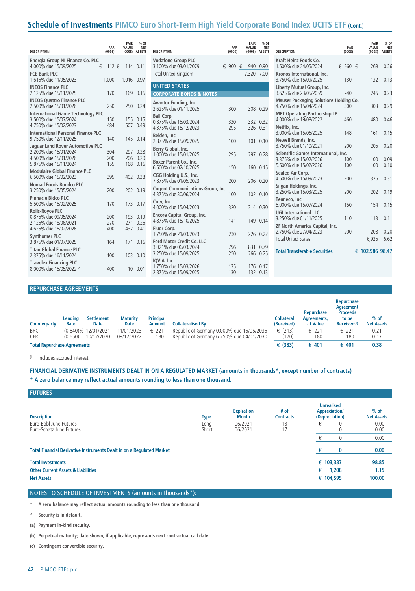## **Schedule of Investments PIMCO Euro Short-Term High Yield Corporate Bond Index UCITS ETF (Cont.)**

| <b>DESCRIPTION</b>                                                      | PAR<br>(000S)     | FAIR<br>VALUE | % OF<br><b>NET</b><br>(000S) ASSETS | <b>DESCRIPTION</b>                                                                  | PAR<br>(000S)       | <b>FAIR</b><br>VALUE | % OF<br><b>NET</b><br>(000S) ASSETS | <b>DESCRIPTION</b>                                                                     | PAR<br>(000S) |                 | <b>FAIR</b><br>VALUE<br>(000S) ASSETS | % OF<br><b>NET</b> |
|-------------------------------------------------------------------------|-------------------|---------------|-------------------------------------|-------------------------------------------------------------------------------------|---------------------|----------------------|-------------------------------------|----------------------------------------------------------------------------------------|---------------|-----------------|---------------------------------------|--------------------|
| Energia Group NI Finance Co. PLC<br>4.000% due 15/09/2025<br>€          | 112 €             |               | 114 0.11                            | <b>Vodafone Group PLC</b><br>3.100% due 03/01/2079                                  | $\epsilon$ 900<br>€ |                      | 940 0.90                            | Kraft Heinz Foods Co.<br>1.500% due 24/05/2024                                         | € 260 €       |                 | 269                                   | 0.26               |
| <b>FCE Bank PLC</b><br>1.615% due 11/05/2023                            | 1,000             | 1,016 0.97    |                                     | <b>Total United Kingdom</b>                                                         |                     | 7,320 7.00           |                                     | Kronos International, Inc.<br>3.750% due 15/09/2025                                    | 130           |                 | 132                                   | 0.13               |
| <b>INEOS Finance PLC</b><br>2.125% due 15/11/2025                       | 170               |               | 169 0.16                            | <b>UNITED STATES</b><br><b>CORPORATE BONDS &amp; NOTES</b>                          |                     |                      |                                     | Liberty Mutual Group, Inc.<br>3.625% due 23/05/2059                                    | 240           |                 | 246                                   | 0.23               |
| <b>INEOS Quattro Finance PLC</b><br>2.500% due 15/01/2026               | 250               |               | 250 0.24                            | <b>Avantor Funding, Inc.</b><br>2.625% due 01/11/2025                               | 300                 |                      | 308 0.29                            | <b>Mauser Packaging Solutions Holding Co.</b><br>4.750% due 15/04/2024                 | 300           |                 | 303                                   | 0.29               |
| <b>International Game Technology PLC</b><br>3.500% due 15/07/2024       | 150               |               | 155 0.15                            | <b>Ball Corp.</b><br>0.875% due 15/03/2024                                          | 330                 |                      | 332 0.32                            | <b>MPT Operating Partnership LP</b><br>4.000% due 19/08/2022                           | 460           |                 | 480                                   | 0.46               |
| 4.750% due 15/02/2023<br><b>International Personal Finance PLC</b>      | 484               |               | 507 0.49                            | 4.375% due 15/12/2023<br>Belden, Inc.                                               | 295                 | 326 0.31             |                                     | Netflix, Inc.<br>3.000% due 15/06/2025                                                 | 148           |                 | 161                                   | 0.15               |
| 9.750% due 12/11/2025<br>Jaquar Land Rover Automotive PLC               | 140               |               | 145 0.14                            | 2.875% due 15/09/2025<br>Berry Global, Inc.                                         | 100                 |                      | 101 0.10                            | Newell Brands, Inc.<br>3.750% due 01/10/2021                                           | 200           |                 | 205                                   | 0.20               |
| 2.200% due 15/01/2024<br>4.500% due 15/01/2026<br>5.875% due 15/11/2024 | 304<br>200<br>155 |               | 297 0.28<br>206 0.20<br>168 0.16    | 1.000% due 15/01/2025<br><b>Boxer Parent Co., Inc.</b>                              | 295                 |                      | 297 0.28                            | Scientific Games International, Inc.<br>3.375% due 15/02/2026<br>5.500% due 15/02/2026 | 100<br>100    |                 | 100<br>100                            | 0.09<br>0.10       |
| <b>Modulaire Global Finance PLC</b><br>6.500% due 15/02/2023            | 395               |               | 402 0.38                            | 6.500% due 02/10/2025<br>CGG Holding U.S., Inc.                                     | 150                 |                      | 160 0.15                            | Sealed Air Corp.<br>4.500% due 15/09/2023                                              | 300           |                 | 326                                   | 0.31               |
| <b>Nomad Foods Bondco PLC</b><br>3.250% due 15/05/2024                  | 200               |               | 202 0.19                            | 7.875% due 01/05/2023<br><b>Cogent Communications Group, Inc.</b>                   | 200                 |                      | 206 0.20                            | Silgan Holdings, Inc.<br>3.250% due 15/03/2025                                         | 200           |                 | 202                                   | 0.19               |
| <b>Pinnacle Bidco PLC</b><br>5.500% due 15/02/2025                      | 170               |               | 173 0.17                            | 4.375% due 30/06/2024<br>Coty, Inc.                                                 | 100                 |                      | 102 0.10                            | Tenneco, Inc.<br>5.000% due 15/07/2024                                                 | 150           |                 | 154                                   | 0.15               |
| <b>Rolls-Royce PLC</b><br>0.875% due 09/05/2024                         | 200               |               | 193 0.19                            | 4.000% due 15/04/2023<br><b>Encore Capital Group, Inc.</b><br>4.875% due 15/10/2025 | 320<br>141          |                      | 314 0.30<br>149 0.14                | <b>UGI International LLC</b><br>3.250% due 01/11/2025                                  | 110           |                 | 113                                   | 0.11               |
| 2.125% due 18/06/2021<br>4.625% due 16/02/2026                          | 270<br>400        | 271           | 0.26<br>432 0.41                    | Fluor Corp.<br>1.750% due 21/03/2023                                                | 230                 |                      | 226 0.22                            | ZF North America Capital, Inc.<br>2.750% due 27/04/2023                                | 200           |                 | 208                                   | 0.20               |
| <b>Synthomer PLC</b><br>3.875% due 01/07/2025                           | 164               |               | 171 0.16                            | <b>Ford Motor Credit Co. LLC</b><br>3.021% due 06/03/2024                           | 796                 | 831                  | 0.79                                | <b>Total United States</b>                                                             |               |                 | 6,925                                 | 6.62               |
| <b>Titan Global Finance PLC</b><br>2.375% due 16/11/2024                | 100               |               | 103 0.10                            | 3.250% due 15/09/2025                                                               | 250                 |                      | 266 0.25                            | <b>Total Transferable Securities</b>                                                   |               | € 102,986 98.47 |                                       |                    |
| <b>Travelex Financing PLC</b><br>8.000% due 15/05/2022 ^                | 400               |               | 10 0.01                             | IQVIA, Inc.<br>1.750% due 15/03/2026<br>2.875% due 15/09/2025                       | 175<br>130          | 176                  | 0.17<br>132 0.13                    |                                                                                        |               |                 |                                       |                    |

### **REPURCHASE AGREEMENTS**

| <b>Counterparty</b>                | Lending<br>Rate | <b>Settlement</b><br><b>Date</b> | <b>Maturity</b><br><b>Date</b> | <b>Principal</b><br><b>Amount</b> | <b>Collateralised By</b>                  | <b>Collateral</b><br>(Received) | <b>Repurchase</b><br>Agreements,<br>at Value | <b>Repurchase</b><br><b>Agreement</b><br><b>Proceeds</b><br>to be<br>Received <sup>(1)</sup> | $%$ of<br><b>Net Assets</b> |
|------------------------------------|-----------------|----------------------------------|--------------------------------|-----------------------------------|-------------------------------------------|---------------------------------|----------------------------------------------|----------------------------------------------------------------------------------------------|-----------------------------|
| <b>BRC</b>                         |                 | (0.640)% 12/01/2021              | 11/01/2023                     | € 221                             | Republic of Germany 0.000% due 15/05/2035 | € (213)                         | € 221                                        | € 221                                                                                        | 0.21                        |
| <b>CFR</b>                         | (0.650)         | 10/12/2020                       | 09/12/2022                     | 180                               | Republic of Germany 6.250% due 04/01/2030 | (170)                           | 180                                          | 180                                                                                          | 0.17                        |
| <b>Total Repurchase Agreements</b> |                 |                                  |                                |                                   | $\epsilon$ (383)                          | $\epsilon$ 401                  | $\epsilon$ 401                               | 0.38                                                                                         |                             |

(1) Includes accrued interest.

**FINANCIAL DERIVATIVE INSTRUMENTS DEALT IN ON A REGULATED MARKET (amounts in thousands\*, except number of contracts) \* A zero balance may reflect actual amounts rounding to less than one thousand.**

| <b>FUTURES</b>                                                               |               |                                   |                          |           |                                                      |                             |
|------------------------------------------------------------------------------|---------------|-----------------------------------|--------------------------|-----------|------------------------------------------------------|-----------------------------|
| <b>Description</b>                                                           | <b>Type</b>   | <b>Expiration</b><br><b>Month</b> | # of<br><b>Contracts</b> |           | <b>Unrealised</b><br>Appreciation/<br>(Depreciation) | $%$ of<br><b>Net Assets</b> |
| Euro-Bobl June Futures<br>Euro-Schatz June Futures                           | Long<br>Short | 06/2021<br>06/2021                | 13<br>17                 | €         |                                                      | 0.00<br>0.00                |
|                                                                              |               |                                   |                          | €         | 0                                                    | 0.00                        |
| <b>Total Financial Derivative Instruments Dealt in on a Regulated Market</b> |               |                                   |                          | ŧ.        | 0                                                    | 0.00                        |
| <b>Total Investments</b>                                                     |               |                                   |                          | € 103,387 |                                                      | 98.85                       |
| <b>Other Current Assets &amp; Liabilities</b>                                |               |                                   |                          | €         | 1,208                                                | 1.15                        |
| <b>Net Assets</b>                                                            |               |                                   |                          |           | € 104,595                                            | 100.00                      |
|                                                                              |               |                                   |                          |           |                                                      |                             |

## NOTES TO SCHEDULE OF INVESTMENTS (amounts in thousands\*):

**\* A zero balance may reflect actual amounts rounding to less than one thousand.**

**^ Security is in default.**

**(a) Payment in-kind security.**

**(b) Perpetual maturity; date shown, if applicable, represents next contractual call date.**

**(c) Contingent convertible security.**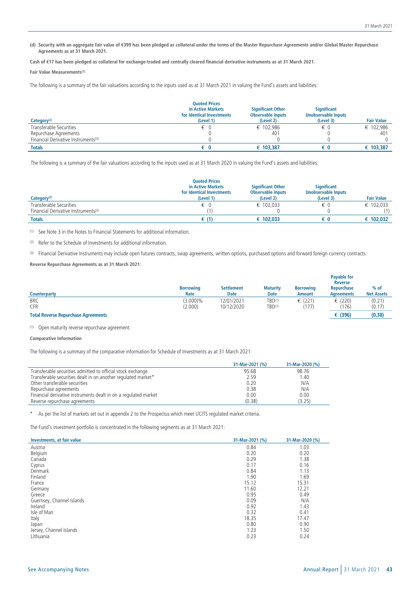**(d) Security with an aggregate fair value of €399 has been pledged as collateral under the terms of the Master Repurchase Agreements and/or Global Master Repurchase Agreements as at 31 March 2021.**

**Cash of €17 has been pledged as collateral for exchange-traded and centrally cleared financial derivative instruments as at 31 March 2021.**

**Fair Value Measurements(1)**

The following is a summary of the fair valuations according to the inputs used as at 31 March 2021 in valuing the Fund's assets and liabilities:

|                                                 | <b>Quoted Prices</b><br>in Active Markets<br>for Identical Investments | <b>Significant Other</b><br><b>Observable Inputs</b> | <b>Significant</b><br>Unobservable Inputs |                   |
|-------------------------------------------------|------------------------------------------------------------------------|------------------------------------------------------|-------------------------------------------|-------------------|
| Category <sup>(2)</sup>                         | (Level 1)                                                              | (Level 2)                                            | (Level 3)                                 | <b>Fair Value</b> |
| Transferable Securities                         | € 0                                                                    | € 102.986                                            | € 0                                       | € 102.986         |
| Repurchase Agreements                           |                                                                        | 40                                                   |                                           | 40.               |
| Financial Derivative Instruments <sup>(3)</sup> |                                                                        |                                                      |                                           |                   |
| <b>Totals</b>                                   | € 0                                                                    | € 103.387                                            |                                           | € 103,387         |

The following is a summary of the fair valuations according to the inputs used as at 31 March 2020 in valuing the Fund's assets and liabilities:

|                                                 | <b>Ouoted Prices</b><br>in Active Markets<br>for Identical Investments | <b>Significant Other</b><br><b>Observable Inputs</b> | <b>Significant</b><br><b>Unobservable Inputs</b> |                   |
|-------------------------------------------------|------------------------------------------------------------------------|------------------------------------------------------|--------------------------------------------------|-------------------|
| Category <sup>(2)</sup>                         | (Level 1)                                                              | (Level 2)                                            | (Level 3)                                        | <b>Fair Value</b> |
| Transferable Securities                         | € 0                                                                    | € 102.033                                            |                                                  | € 102.033         |
| Financial Derivative Instruments <sup>(3)</sup> |                                                                        |                                                      |                                                  |                   |
| <b>Totals</b>                                   | $\epsilon$ (1)                                                         | € 102.033                                            |                                                  | € 102.032         |

(1) See Note 3 in the Notes to Financial Statements for additional information.

(2) Refer to the Schedule of Investments for additional information.

(3) Financial Derivative Instruments may include open futures contracts, swap agreements, written options, purchased options and forward foreign currency contracts.

**Reverse Repurchase Agreements as at 31 March 2021:**

|                                            | <b>Borrowing</b> | <b>Settlement</b> | <b>Maturity</b> | <b>Borrowing</b> | <b>Payable for</b><br><b>Reverse</b><br>Repurchase | $%$ of            |
|--------------------------------------------|------------------|-------------------|-----------------|------------------|----------------------------------------------------|-------------------|
| <b>Counterparty</b>                        | Rate             | <b>Date</b>       | <b>Date</b>     | <b>Amount</b>    | <b>Agreements</b>                                  | <b>Net Assets</b> |
| <b>BRC</b>                                 | (3.000)%         | 12/01/2021        | $TBD^{(1)}$     | € $(221)$        | € $(220)$                                          | (0.21)            |
| <b>CFR</b>                                 | (2.000)          | 10/12/2020        | $TBD^{(1)}$     | (177)            | (176)                                              | (0.17)            |
| <b>Total Reverse Repurchase Agreements</b> |                  |                   |                 |                  | € (396)                                            | (0.38)            |

(1) Open maturity reverse repurchase agreement.

**Comparative Information**

The following is a summary of the comparative information for Schedule of Investments as at 31 March 2021:

|                                                                 | 31-Mar-2021 (%) | 31-Mar-2020 (%) |
|-----------------------------------------------------------------|-----------------|-----------------|
| Transferable securities admitted to official stock exchange     | 95.68           | 98.76           |
| Transferable securities dealt in on another regulated market*   | 2.59            | 1.40            |
| Other transferable securities                                   | 0.20            | N/A             |
| Repurchase agreements                                           | 0.38            | N/A             |
| Financial derivative instruments dealt in on a regulated market | 0.00            | 0.00            |
| Reverse repurchase agreements                                   | (0.38)          | (3.25)          |

\* As per the list of markets set out in appendix 2 to the Prospectus which meet UCITS regulated market criteria.

The Fund's investment portfolio is concentrated in the following segments as at 31 March 2021:

| Investments, at fair value | 31-Mar-2021 (%) | 31-Mar-2020 (%) |
|----------------------------|-----------------|-----------------|
| Austria                    | 0.84            | 1.03            |
| Belgium                    | 0.20            | 0.20            |
| Canada                     | 0.29            | 1.38            |
| Cyprus                     | 0.17            | 0.16            |
| Denmark                    | 0.84            | 1.13            |
| Finland                    | 1.90            | 1.69            |
| France                     | 15.12           | 15.31           |
| Germany                    | 11.60           | 12.21           |
| Greece                     | 0.95            | 0.49            |
| Guernsey, Channel Islands  | 0.09            | N/A             |
| Ireland                    | 0.92            | 1.43            |
| Isle of Man                | 0.32            | 0.41            |
| Italy                      | 18.35           | 17.47           |
| Japan                      | 0.80            | 0.90            |
| Jersey, Channel Islands    | 1.23            | 1.50            |
| Lithuania                  | 0.23            | 0.24            |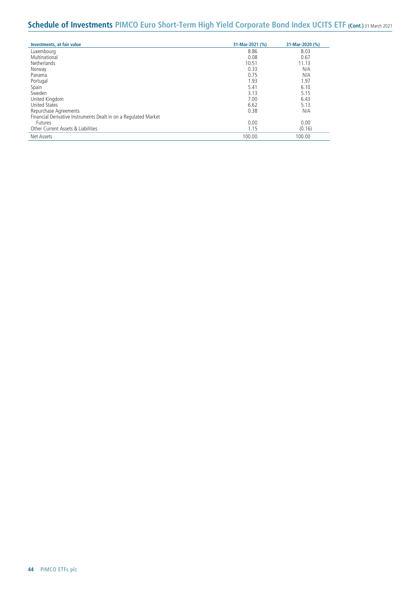# **Schedule of Investments PIMCO Euro Short-Term High Yield Corporate Bond Index UCITS ETF (Cont.)** 31 March 2021

| <b>Investments, at fair value</b>                               | 31-Mar-2021 (%) | 31-Mar-2020 (%) |
|-----------------------------------------------------------------|-----------------|-----------------|
| Luxembourg                                                      | 8.86            | 8.03            |
| Multinational                                                   | 0.08            | 0.67            |
| Netherlands                                                     | 10.51           | 11.13           |
| Norway                                                          | 0.33            | N/A             |
| Panama                                                          | 0.75            | N/A             |
| Portugal                                                        | 1.93            | 1.97            |
| Spain                                                           | 5.41            | 6.10            |
| Sweden                                                          | 3.13            | 5.15            |
| United Kingdom                                                  | 7.00            | 6.43            |
| <b>United States</b>                                            | 6.62            | 5.13            |
| Repurchase Agreements                                           | 0.38            | N/A             |
| Financial Derivative Instruments Dealt in on a Regulated Market |                 |                 |
| <b>Futures</b>                                                  | 0.00            | 0.00            |
| Other Current Assets & Liabilities                              | 1.15            | (0.16)          |
| Net Assets                                                      | 100.00          | 100.00          |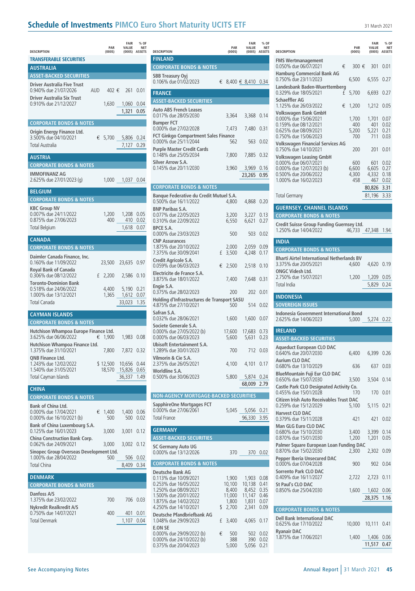## **Schedule of Investments PIMCO Euro Short Maturity UCITS ETF** 31 March 2021

| <b>DESCRIPTION</b><br><b>TRANSFERABLE SECURITIES</b>                                                                       |            | PAR<br>(000S)      | FAIR<br>VALUE         | % OF<br><b>NET</b><br>(000S) ASSETS |
|----------------------------------------------------------------------------------------------------------------------------|------------|--------------------|-----------------------|-------------------------------------|
| <b>AUSTRALIA</b>                                                                                                           |            |                    |                       |                                     |
|                                                                                                                            |            |                    |                       |                                     |
| ASSET-BACKED SECURITIES<br><b>Driver Australia Five Trust</b><br>0.940% due 21/07/2026                                     | <b>AUD</b> | 402 €              | 261                   | 0.01                                |
| <b>Driver Australia Six Trust</b><br>0.910% due 21/12/2027                                                                 |            | 1,630              | 1,060<br>1,321        | 0.04<br>0.05                        |
|                                                                                                                            |            |                    |                       |                                     |
| <b>CORPORATE BONDS &amp; NOTES</b><br><b>Origin Energy Finance Ltd.</b><br>3.500% due 04/10/2021<br><b>Total Australia</b> | €          | 5,700              | 5,806<br>7,127        | 0.24<br>0.29                        |
| <b>AUSTRIA</b>                                                                                                             |            |                    |                       |                                     |
| <b>CORPORATE BONDS &amp; NOTES</b>                                                                                         |            |                    |                       |                                     |
| <b>IMMOFINANZ AG</b><br>2.625% due 27/01/2023 (q)                                                                          |            | 1,000              | 1,037                 | 0.04                                |
| <b>BELGIUM</b>                                                                                                             |            |                    |                       |                                     |
| <b>CORPORATE BONDS &amp; NOTES</b>                                                                                         |            |                    |                       |                                     |
| <b>KBC Group NV</b><br>0.007% due 24/11/2022<br>0.875% due 27/06/2023<br>Total Belgium                                     |            | 1,200<br>400       | 1,208<br>410<br>1,618 | 0.05<br>0.02<br>0.07                |
| <b>CANADA</b>                                                                                                              |            |                    |                       |                                     |
| <b>CORPORATE BONDS &amp; NOTES</b>                                                                                         |            |                    |                       |                                     |
| Daimler Canada Finance, Inc.<br>0.160% due 11/09/2022                                                                      |            | 23,500             | 23,635                | 0.97                                |
| <b>Royal Bank of Canada</b><br>0.306% due 08/12/2022                                                                       | £          | 2,200              | 2,586                 | 0.10                                |
| <b>Toronto-Dominion Bank</b><br>0.518% due 24/06/2022<br>1.000% due 13/12/2021                                             |            | 4,400<br>1,365     | 5,190<br>1,612        | 0.21<br>0.07                        |
| <b>Total Canada</b>                                                                                                        |            |                    | 33,023                | 1.35                                |
| <b>CAYMAN ISLANDS</b>                                                                                                      |            |                    |                       |                                     |
| <b>CORPORATE BONDS &amp; NOTES</b>                                                                                         |            |                    |                       |                                     |
| Hutchison Whampoa Europe Finance Ltd.                                                                                      |            |                    |                       |                                     |
| 3.625% due 06/06/2022<br>Hutchison Whampoa Finance Ltd.                                                                    | €          | 1,900              | 1.983                 | 0.08                                |
| 1.375% due 31/10/2021<br><b>QNB Finance Ltd.</b>                                                                           |            | 7,800              | 7,872                 | 0.32                                |
| 1.243% due 12/02/2022<br>1.540% due 31/05/2021                                                                             |            | \$12,500<br>18,570 | 10,656<br>15,826      | 0.44<br>0.65                        |
| Total Cayman Islands                                                                                                       |            |                    | 36,337                | 1.49                                |
| <b>CHINA</b>                                                                                                               |            |                    |                       |                                     |
| <b>CORPORATE BONDS &amp; NOTES</b>                                                                                         |            |                    |                       |                                     |
| <b>Bank of China Ltd.</b><br>0.000% due 17/04/2021<br>0.000% due 16/10/2021 (b)                                            | €          | 1,400<br>500       | 1,400<br>500          | 0.06<br>0.02                        |
| <b>Bank of China Luxembourg S.A.</b><br>0.125% due 16/01/2023                                                              |            | 3,000              | 3,001                 | 0.12                                |
| <b>China Construction Bank Corp.</b><br>0.062% due 24/09/2021                                                              |            | 3,000              | 3,002                 | 0.12                                |
| Sinopec Group Overseas Development Ltd.<br>1.000% due 28/04/2022<br><b>Total China</b>                                     |            | 500                | 506                   | 0.02                                |
|                                                                                                                            |            |                    | 8,409                 | 0.34                                |
| <b>DENMARK</b>                                                                                                             |            |                    |                       |                                     |
| <b>CORPORATE BONDS &amp; NOTES</b>                                                                                         |            |                    |                       |                                     |
| Danfoss A/S<br>1.375% due 23/02/2022                                                                                       |            | 700                | 706                   | 0.03                                |
| Nykredit Realkredit A/S<br>0.750% due 14/07/2021                                                                           |            | 400                | 401                   | 0.01                                |

| <b>DESCRIPTION</b>                                                              |    | PAR<br>(000S)       | FAIR<br>VALUE<br>(000S) | % OF<br><b>NET</b><br><b>ASSETS</b> |
|---------------------------------------------------------------------------------|----|---------------------|-------------------------|-------------------------------------|
| <b>FINLAND</b>                                                                  |    |                     |                         |                                     |
| <b>CORPORATE BONDS &amp; NOTES</b>                                              |    |                     |                         |                                     |
| <b>SBB Treasury Oyj</b><br>0.106% due 01/02/2023                                | €  |                     | 8,400 € 8,410           | 0.34                                |
| <b>FRANCE</b>                                                                   |    |                     |                         |                                     |
| <b>ASSET-BACKED SECURITIES</b>                                                  |    |                     |                         |                                     |
| <b>Auto ABS French Leases</b><br>0.017% due 28/05/2030                          |    | 3,364               | 3,368                   | 0.14                                |
| <b>Bumper FCT</b><br>0.000% due 27/02/2028                                      |    | 7,473               | 7,480                   | 0.31                                |
| <b>FCT Ginkgo Compartment Sales Finance</b><br>0.000% due 25/11/2044            |    | 562                 | 563                     | 0.02                                |
| <b>Purple Master Credit Cards</b>                                               |    |                     |                         |                                     |
| 0.148% due 25/05/2034<br><b>Silver Arrow S.A.</b>                               |    | 7,800               | 7,885                   | 0.32                                |
| 0.145% due 20/11/2030                                                           |    | 3,960               | 3,969<br>23,265         | 0.16<br>0.95                        |
| <b>CORPORATE BONDS &amp; NOTES</b>                                              |    |                     |                         |                                     |
| Banque Federative du Credit Mutuel S.A.                                         |    |                     |                         |                                     |
| 0.500% due 16/11/2022<br><b>BNP Paribas S.A.</b>                                |    | 4.800               | 4,868                   | 0.20                                |
| 0.077% due 22/05/2023<br>0.310% due 22/09/2022                                  |    | 3.200<br>6,550      | 3,227<br>6,621          | 0.13<br>0.27                        |
| <b>BPCE S.A.</b><br>0.000% due 23/03/2023                                       |    | 500                 | 503                     | 0.02                                |
| <b>CNP Assurances</b><br>1.875% due 20/10/2022                                  |    | 2,000               | 2,059                   | 0.09                                |
| 7.375% due 30/09/2041<br>Credit Agricole S.A.                                   | £  | 3,500               | 4,248                   | 0.17                                |
| 0.059% due 06/03/2023<br>Electricite de France S.A.                             | €  | 2,500               | 2,518                   | 0.10                                |
| 3.875% due 18/01/2022<br>Engie S.A.                                             |    | 7,400               | 7,648                   | 0.31                                |
| 0.375% due 28/02/2023<br>Holding d'Infrastructures de Transport SASU            |    | 200                 | 202                     | 0.01                                |
| 4.875% due 27/10/2021<br>Safran S.A.                                            |    | 500                 | 514                     | 0.02                                |
| 0.032% due 28/06/2021<br>Societe Generale S.A.                                  |    | 1,600               | 1,600                   | 0.07                                |
| 0.000% due 27/05/2022 (b)<br>0.000% due 06/03/2023                              |    | 17,600<br>5,600     | 17,683<br>5.631         | 0.73<br>0.23                        |
| <b>Ubisoft Entertainment S.A.</b><br>1.289% due 30/01/2023                      |    | 700                 | 712                     | 0.03                                |
| Vilmorin & Cie S.A.<br>2.375% due 26/05/2021                                    |    | 4,100               | 4.101                   | 0.17                                |
| Worldline S.A.<br>0.500% due 30/06/2023                                         |    | 5,800               | 5,874                   | 0.24                                |
|                                                                                 |    |                     | 68,009                  | 2.79                                |
| NON-AGENCY MORTGAGE-BACKED SECURITIES                                           |    |                     |                         |                                     |
| SapphireOne Mortgages FCT<br>0.000% due 27/06/2061                              |    | 5,045               | 5,056                   | 0.21                                |
| <b>Total France</b>                                                             |    |                     | 96,330                  | 3.95                                |
| <b>GERMANY</b>                                                                  |    |                     |                         |                                     |
| <b>ASSET-BACKED SECURITIES</b>                                                  |    |                     |                         |                                     |
| <b>SC Germany Auto UG</b><br>0.000% due 13/12/2026                              |    | 370                 | 370                     | 0.02                                |
| <b>CORPORATE BONDS &amp; NOTES</b>                                              |    |                     |                         |                                     |
| <b>Deutsche Bank AG</b>                                                         |    |                     |                         |                                     |
| 0.113% due 10/09/2021                                                           |    | 1,900               | 1,903                   | 0.08                                |
| 0.253% due 16/05/2022<br>1.250% due 08/09/2021                                  |    | 10,100<br>8,400     | 10,138<br>8,452         | 0.41<br>0.35                        |
| 1.500% due 20/01/2022                                                           |    | 11,000              | 11,147                  | 0.46                                |
| 1.875% due 14/02/2022<br>4.250% due 14/10/2021                                  | \$ | 1,800<br>2,700      | 1,831<br>2,341          | 0.07<br>0.09                        |
| <b>Deutsche Pfandbriefbank AG</b>                                               |    |                     |                         |                                     |
| 1.048% due 29/09/2023<br><b>E.ON SE</b>                                         | £  | 3,400               | 4,065                   | 0.17                                |
| 0.000% due 29/09/2022 (b)<br>0.000% due 24/10/2022 (b)<br>0.375% due 20/04/2023 | €  | 500<br>388<br>5,000 | 502<br>390<br>5,056     | 0.02<br>0.02<br>0.21                |
|                                                                                 |    |                     |                         |                                     |

| <b>DESCRIPTION</b>                                                                | PAR<br>(000S)  | FAIR<br>VALUE  | % OF<br><b>NET</b><br>(000S) ASSETS |
|-----------------------------------------------------------------------------------|----------------|----------------|-------------------------------------|
| <b>FMS Wertmanagement</b><br>0.050% due 06/07/2021<br>€                           |                | 300 €<br>301   | 0.01                                |
| <b>Hamburg Commercial Bank AG</b><br>0.750% due 23/11/2023                        | 6,500          | 6,555          | 0.27                                |
| Landesbank Baden-Wuerttemberg<br>0.329% due 18/05/2021<br>£                       | 5,700          | 6,693          | 0.27                                |
| <b>Schaeffler AG</b><br>1.125% due 26/03/2022<br>€                                | 1,200          | 1,212          | 0.05                                |
| Volkswagen Bank GmbH<br>0.000% due 15/06/2021                                     | 1,700          | 1,701          | 0.07                                |
| 0.159% due 08/12/2021<br>0.625% due 08/09/2021                                    | 400<br>5,200   | 401<br>5,221   | 0.02<br>0.21                        |
| 0.750% due 15/06/2023<br><b>Volkswagen Financial Services AG</b>                  | 700            | 711            | 0.03                                |
| 0.750% due 14/10/2021<br><b>Volkswagen Leasing GmbH</b>                           | 200            | 201            | 0.01                                |
| 0.000% due 06/07/2021<br>0.000% due 12/07/2023 (b)                                | 600<br>6,600   | 601<br>6,605   | 0.02<br>0.27                        |
| 0.500% due 20/06/2022<br>1.000% due 16/02/2023                                    | 4,300<br>458   | 4,332<br>467   | 0.18<br>0.02                        |
|                                                                                   |                | 80,826         | 3.31                                |
| <b>Total Germany</b>                                                              |                | 81,196         | 3.33                                |
| <b>GUERNSEY, CHANNEL ISLANDS</b><br><b>CORPORATE BONDS &amp; NOTES</b>            |                |                |                                     |
| Credit Suisse Group Funding Guernsey Ltd.                                         |                |                |                                     |
| 1.250% due 14/04/2022                                                             | 46.733         | 47,348         | 1.94                                |
| <b>INDIA</b><br><b>CORPORATE BONDS &amp; NOTES</b>                                |                |                |                                     |
| <b>Bharti Airtel International Netherlands BV</b><br>3.375% due 20/05/2021        | 4,600          | 4,620          | 0.19                                |
| <b>ONGC Videsh Ltd.</b><br>2.750% due 15/07/2021                                  | 1,200          | 1,209          | 0.05                                |
| Total India                                                                       |                | 5,829          | 0.24                                |
|                                                                                   |                |                |                                     |
| <b>INDONESIA</b>                                                                  |                |                |                                     |
| <b>SOVEREIGN ISSUES</b><br><b>Indonesia Government International Bond</b>         |                |                |                                     |
| 2.625% due 14/06/2023                                                             | 5,000          | 5,274 0.22     |                                     |
| <b>IRELAND</b><br><b>ASSET-BACKED SECURITIES</b>                                  |                |                |                                     |
| <b>Aqueduct European CLO DAC</b>                                                  |                |                |                                     |
| 0.640% due 20/07/2030<br><b>Aurium CLO DAC</b>                                    | 6,400          | 6,399          | 0.26                                |
| 0.680% due 13/10/2029<br><b>BlueMountain Fuji Eur CLO DAC</b>                     | 636            | 637            | 0.03                                |
| 0.650% due 15/07/2030<br>Castle Park CLO Designated Activity Co.                  | 3,500          | 3,504          | 0.14                                |
| 0.455% due 15/01/2028<br><b>Citizen Irish Auto Receivables Trust DAC</b>          | 170            | 170            | 0.01                                |
| 0.259% due 15/12/2029<br><b>Harvest CLO DAC</b>                                   | 5,100          | 5,115          | 0.21                                |
| 0.379% due 15/11/2028<br>Man GLG Euro CLO DAC                                     | 421            | 421            | 0.02                                |
| 0.680% due 15/10/2030<br>0.870% due 15/01/2030                                    | 3,400<br>1,200 | 3,399<br>1,201 | 0.14<br>0.05                        |
| Palmer Square European Loan Funding DAC<br>0.870% due 15/02/2030                  | 2,300          | 2,302          | 0.09                                |
| <b>Pepper Iberia Unsecured DAC</b><br>0.000% due 07/04/2028                       | 900            | 902            | 0.04                                |
| <b>Sorrento Park CLO DAC</b><br>0.409% due 16/11/2027                             | 2,722          | 2,723          | 0.11                                |
| <b>St Paul's CLO DAC</b><br>0.850% due 25/04/2030                                 | 1,600          | 1,602          | 0.06                                |
|                                                                                   |                | 28,375         | 1.16                                |
| <b>CORPORATE BONDS &amp; NOTES</b>                                                |                |                |                                     |
| <b>Dell Bank International DAC</b><br>0.625% due 17/10/2022<br><b>Ryanair DAC</b> | 10,000         | 10,111         | 0.41                                |

Total Denmark 1,107 0.04

11,517 0.47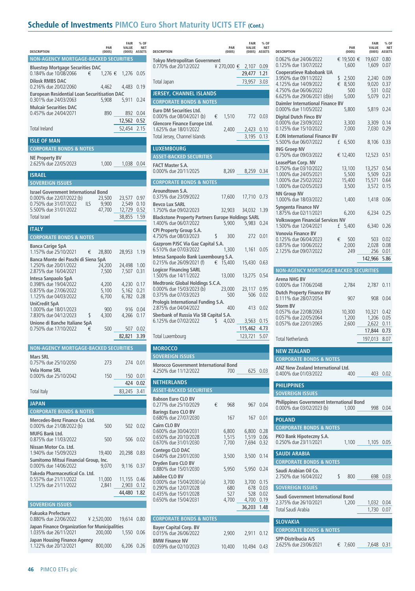## **Schedule of Investments PIMCO Euro Short Maturity UCITS ETF (Cont.)**

| <b>DESCRIPTION</b>                                  | PAR<br>(000S) | <b>FAIR</b><br>VALUE<br>(000S) | % OF<br><b>NET</b><br><b>ASSETS</b> |
|-----------------------------------------------------|---------------|--------------------------------|-------------------------------------|
| NON-AGENCY MORTGAGE-BACKED SECURITIES               |               |                                |                                     |
| <b>Bluestep Mortgage Securities DAC</b>             |               |                                |                                     |
| 0.184% due 10/08/2066 €                             |               | $1.276 \t∈ 1.276$              | 0.05                                |
| <b>Dilosk RMBS DAC</b><br>0.216% due 20/02/2060     | 4.462         | 4.483                          | 0.19                                |
| <b>European Residential Loan Securitisation DAC</b> |               |                                |                                     |
| 0.301% due 24/03/2063                               | 5.908         | 5.911                          | 0.24                                |
| <b>Mulcair Securities DAC</b>                       |               |                                |                                     |
| 0.457% due 24/04/2071                               | 890           | 892                            | 0.04                                |
|                                                     |               | 12.562 0.52                    |                                     |
| <b>Total Ireland</b>                                |               | 52.454 2.15                    |                                     |

## **ISLE OF MAN**

| <b>CORPORATE BONDS &amp; NOTES</b>             |       |            |  |
|------------------------------------------------|-------|------------|--|
| <b>NE Property BV</b><br>2.625% due 22/05/2023 | 1.000 | 1.038 0.04 |  |

#### **ISRAEL SOVEREIGN ISSUE**

| <b>BUVENERIN BBULD</b>                      |     |        |             |  |
|---------------------------------------------|-----|--------|-------------|--|
| <b>Israel Government International Bond</b> |     |        |             |  |
| 0.000% due 22/07/2022 (b)                   |     | 23,500 | 23.577 0.97 |  |
| 0.750% due 31/07/2022                       | IΙS | 9.900  | 2.549 0.10  |  |
| 5.500% due 31/01/2022                       |     | 47.700 | 12.729 0.52 |  |
| Total Israel                                |     |        | 38.855 1.59 |  |

### **ITALY**

| <b>CORPORATE BONDS &amp; NOTES</b>               |    |        |        |      |
|--------------------------------------------------|----|--------|--------|------|
| <b>Banca Carige SpA</b><br>1.157% due 25/10/2021 | €  | 28,800 | 28.953 | 1.19 |
| Banca Monte dei Paschi di Siena SpA              |    |        |        |      |
| 1.250% due 20/01/2022                            |    | 24,200 | 24,498 | 1.00 |
| 2.875% due 16/04/2021                            |    | 7,500  | 7.507  | 0.31 |
| Intesa Sanpaolo SpA                              |    |        |        |      |
| 0.398% due 19/04/2022                            |    | 4.200  | 4.230  | 0.17 |
| 0.875% due 27/06/2022                            |    | 5,100  | 5,162  | 0.21 |
| 1.125% due 04/03/2022                            |    | 6.700  | 6.782  | 0.28 |
| UniCredit SpA                                    |    |        |        |      |
| 1.000% due 18/01/2023                            |    | 900    | 916    | 0.04 |
| 7.830% due 04/12/2023                            | \$ | 4,300  | 4.266  | 0.17 |
| Unione di Banche Italiane SpA                    |    |        |        |      |
| 0.750% due 17/10/2022                            | €  | 500    | 507    | 0.02 |
|                                                  |    |        | 82,821 | 3.39 |

| NON-AGENCY MORTGAGE-BACKED SECURITIES         |     |             |      |
|-----------------------------------------------|-----|-------------|------|
| <b>Mars SRL</b><br>0.757% due 25/10/2050      | 273 | 274 0.01    |      |
| <b>Vela Home SRL</b><br>0.000% due 25/10/2042 | 150 | 150         | 0.01 |
|                                               |     | 424         | 0.02 |
| Total Italy                                   |     | 83,245 3.41 |      |

#### **JAPAN**

| <b>CORPORATE BONDS &amp; NOTES</b>                                               |                 |                 |              |
|----------------------------------------------------------------------------------|-----------------|-----------------|--------------|
| Mercedes-Benz Finance Co. Ltd.<br>0.000% due 21/08/2022 (b)                      | 500             |                 | 502 0.02     |
| <b>MUFG Bank Ltd.</b><br>0.875% due 11/03/2022                                   | 500             | 506             | 0.02         |
| Nissan Motor Co. Ltd.<br>1.940% due 15/09/2023                                   | 19,400          | 20.298          | 0.83         |
| Sumitomo Mitsui Financial Group, Inc.<br>0.000% due 14/06/2022                   | 9.070           | 9.116 0.37      |              |
| Takeda Pharmaceutical Co. Ltd.<br>0.557% due 21/11/2022<br>1.125% due 21/11/2022 | 11,000<br>2.841 | 11,155<br>2.903 | 0.46<br>0.12 |
|                                                                                  |                 | 44,480          | 1.82         |

## **SOVEREIGN ISSUES**

| <b>Fukuoka Prefecture</b>                     |             |             |  |  |  |  |  |  |
|-----------------------------------------------|-------------|-------------|--|--|--|--|--|--|
| 0.880% due 22/06/2022                         | ¥ 2.520.000 | 19.614 0.80 |  |  |  |  |  |  |
| Japan Finance Organization for Municipalities |             |             |  |  |  |  |  |  |
| 1.035% due 26/11/2021                         | 200.000     | 1.550 0.06  |  |  |  |  |  |  |
| <b>Japan Housing Finance Agency</b>           |             |             |  |  |  |  |  |  |
| 1.122% due 20/12/2021                         | 800.000     | 6.206 0.26  |  |  |  |  |  |  |
|                                               |             |             |  |  |  |  |  |  |

| <b>DESCRIPTION</b>                                                                            |    | PAR<br>(000S)     | FAIR<br>VALUE<br>(000S) | % OF<br><b>NET</b><br><b>ASSETS</b> |
|-----------------------------------------------------------------------------------------------|----|-------------------|-------------------------|-------------------------------------|
| <b>Tokyo Metropolitan Government</b><br>0.770% due 20/12/2022                                 |    | ¥ 270,000 € 2,107 |                         | 0.09                                |
|                                                                                               |    |                   | 29,477                  | 1.21                                |
| Total Japan                                                                                   |    |                   | 73,957                  | 3.03                                |
| <b>JERSEY, CHANNEL ISLANDS</b>                                                                |    |                   |                         |                                     |
| <b>CORPORATE BONDS &amp; NOTES</b>                                                            |    |                   |                         |                                     |
| <b>Euro DM Securities Ltd.</b><br>0.000% due 08/04/2021 (b)                                   | €  | 1,510             | 772                     | 0.03                                |
| <b>Glencore Finance Europe Ltd.</b><br>1.625% due 18/01/2022                                  |    | 2,400             | 2,423                   | 0.10                                |
| Total Jersey, Channel Islands                                                                 |    |                   | 3,195                   | 0.13                                |
| <b>LUXEMBOURG</b>                                                                             |    |                   |                         |                                     |
| <b>ASSET-BACKED SECURITIES</b>                                                                |    |                   |                         |                                     |
| <b>FACT Master S.A.</b><br>0.000% due 20/11/2025                                              |    | 8,269             | 8,259                   | 0.34                                |
| <b>CORPORATE BONDS &amp; NOTES</b>                                                            |    |                   |                         |                                     |
| Aroundtown S.A.<br>0.375% due 23/09/2022                                                      |    | 17,600            | 17,710                  | 0.73                                |
| <b>Bevco Lux SARL</b><br>1.750% due 09/02/2023                                                |    | 32,903            | 34,032                  | 1.39                                |
| <b>Blackstone Property Partners Europe Holdings SARL</b><br>1.400% due 06/07/2022             |    | 5,900             | 5,983                   | 0.24                                |
| CPI Property Group S.A.<br>4.750% due 08/03/2023                                              | \$ | 300               | 272                     | 0.01                                |
| Gazprom PJSC Via Gaz Capital S.A.<br>6.510% due 07/03/2022                                    |    | 1,300             | 1,161                   | 0.05                                |
| Intesa Sanpaolo Bank Luxembourg S.A.<br>0.215% due 26/09/2021 (f)                             | €  | 15,400            | 15,430                  | 0.63                                |
| <b>Logicor Financing SARL</b><br>1.500% due 14/11/2022                                        |    | 13,000            | 13,275                  | 0.54                                |
| <b>Medtronic Global Holdings S.C.A.</b><br>0.000% due 15/03/2023 (b)<br>0.375% due 07/03/2023 |    | 23,000<br>500     | 23,117<br>506           | 0.95<br>0.02                        |
| Prologis International Funding S.A.<br>2.875% due 04/04/2022                                  |    | 400               | 413                     | 0.02                                |
| Sberbank of Russia Via SB Capital S.A.<br>6.125% due 07/02/2022                               | S  | 4,020             | 3,563                   | 0.15                                |
|                                                                                               |    |                   | 115,462                 | 4.73                                |
| Total Luxembourg                                                                              |    |                   | 123,721                 | 5.07                                |

### **MOROCCO SOVEREIGN ISSUES Morocco Government International Bond**<br>4.250% due 11/12/2022 700 4.250% due 11/12/2022 700 625 0.03

**BMW Finance NV**

| <b>NETHERLANDS</b>                                     |   |       |        |              |
|--------------------------------------------------------|---|-------|--------|--------------|
| <b>ASSET-BACKED SECURITIES</b>                         |   |       |        |              |
| <b>Babson Euro CLO BV</b>                              |   |       |        |              |
| 0.277% due 25/10/2029                                  | € | 968   | 967    | 0.04         |
| <b>Barings Euro CLO BV</b><br>0.680% due 27/07/2030    |   | 167   | 167    | 0.01         |
| Cairn CLO BV                                           |   |       |        |              |
| 0.600% due 30/04/2031                                  |   | 6,800 | 6,800  | 0.28         |
| 0.650% due 20/10/2028<br>0.670% due 31/01/2030         |   | 1,515 | 1,519  | 0.06<br>0.32 |
|                                                        |   | 7,700 | 7,694  |              |
| Contego CLO DAC<br>0.640% due 23/01/2030               |   | 3,500 | 3,500  | 0.14         |
| Dryden Euro CLO BV                                     |   |       |        |              |
| 0.880% due 15/01/2030                                  |   | 5,950 | 5.950  | 0.24         |
| Jubilee CLO BV                                         |   |       |        |              |
| 0.000% due 15/04/2030 (a)                              |   | 3,700 | 3,700  | 0.15         |
| 0.290% due 12/07/2028                                  |   | 680   | 678    | 0.03         |
| 0.435% due 15/01/2028                                  |   | 527   | 528    | 0.02         |
| 0.650% due 15/04/2031                                  |   | 4,700 | 4,700  | 0.19         |
|                                                        |   |       | 36,203 | 1.48         |
|                                                        |   |       |        |              |
| <b>CORPORATE BONDS &amp; NOTES</b>                     |   |       |        |              |
| <b>Bayer Capital Corp. BV</b><br>0.015% due 26/06/2022 |   | 2,900 | 2,911  | 0.12         |

0.059% due 02/10/2023 10,400 10,494 0.43

|                                                                  |         |                | FAIR            | % OF                        |
|------------------------------------------------------------------|---------|----------------|-----------------|-----------------------------|
| <b>DESCRIPTION</b>                                               |         | PAR<br>(000S)  | VALUE<br>(000S) | <b>NET</b><br><b>ASSETS</b> |
| 0.062% due 24/06/2022                                            |         | € 19,500 €     | 19,607          | 0.80                        |
| 0.125% due 13/07/2022                                            |         | 1.600          | 1.609           | 0.07                        |
| <b>Cooperatieve Rabobank UA</b><br>3.950% due 09/11/2022         |         |                |                 |                             |
| 4.125% due 14/09/2022                                            | \$<br>€ | 2,500<br>8,500 | 2,240<br>9,020  | 0.09<br>0.37                |
| 4.750% due 06/06/2022                                            |         | 500            | 531             | 0.02                        |
| 6.625% due 29/06/2021 (d)(e)                                     |         | 5.000          | 5,079           | 0.21                        |
| <b>Daimler International Finance BV</b><br>0.000% due 11/05/2022 |         | 5,800          | 5,819           | 0.24                        |
| <b>Digital Dutch Finco BV</b>                                    |         |                |                 |                             |
| 0.000% due 23/09/2022                                            |         | 3,300          | 3,309           | 0.14                        |
| 0.125% due 15/10/2022                                            |         | 7,000          | 7,030           | 0.29                        |
| <b>E.ON International Finance BV</b><br>5.500% due 06/07/2022    | £       | 6,500          | 8,106           | 0.33                        |
| <b>ING Groep NV</b>                                              |         |                |                 |                             |
| 0.750% due 09/03/2022                                            |         | € 12,400       | 12,523          | 0.51                        |
| LeasePlan Corp. NV<br>0.750% due 03/10/2022                      |         | 13,100         | 13,257          | 0.54                        |
| 1.000% due 24/05/2021                                            |         | 5,500          | 5,509           | 0.23                        |
| 1.000% due 25/02/2022                                            |         | 15,400         | 15,571          | 0.64                        |
| 1.000% due 02/05/2023                                            |         | 3.500          | 3,572           | 0.15                        |
| <b>NN Group NV</b>                                               |         |                |                 |                             |
| 1.000% due 18/03/2022                                            |         | 1,400          | 1.418           | 0.06                        |
| <b>Syngenta Finance NV</b>                                       |         |                |                 |                             |
| 1.875% due 02/11/2021                                            |         | 6,200          | 6,234           | 0.25                        |
| <b>Volkswagen Financial Services NV</b><br>1.500% due 12/04/2021 | £       | 5,400          | 6,340           | 0.26                        |
| <b>Vonovia Finance BV</b>                                        |         |                |                 |                             |
| 0.125% due 06/04/2023                                            | €       | 500            | 503             | 0.02                        |
| 0.875% due 10/06/2022                                            |         | 2,000          | 2,028           | 0.08                        |
| 2.125% due 09/07/2022                                            |         | 249            | 256             | 0.01                        |
|                                                                  |         |                | 142,966         | 5.86                        |
| NON-AGENCY MORTGAGE-BACKED SECURITIES                            |         |                |                 |                             |
| Arena NHG BV                                                     |         |                |                 |                             |
| 0.000% due 17/06/2048                                            |         | 2,784          | 2,787           | 0.11                        |
| <b>Dutch Property Finance BV</b>                                 |         |                |                 |                             |
| 0.111% due 28/07/2054                                            |         | 907            | 908             | 0.04                        |
| <b>Storm BV</b><br>0.057% due 22/08/2063                         |         | 10,300         | 10,321          | 0.42                        |
| 0.057% due 22/05/2064                                            |         | 1,200          | 1,206           | 0.05                        |
|                                                                  |         |                |                 |                             |

## Total Netherlands 197,013 8.07 **NEW ZEALAND CORPORATE BONDS & NOTES**

| COM ONATE DONDS & NOTES                                                            |       |                |              |
|------------------------------------------------------------------------------------|-------|----------------|--------------|
| <b>ANZ New Zealand International Ltd.</b><br>0.400% due 01/03/2022                 | 400   | 403            | 0.02         |
| <b>PHILIPPINES</b>                                                                 |       |                |              |
| <b>SOVEREIGN ISSUES</b>                                                            |       |                |              |
| <b>Philippines Government International Bond</b><br>0.000% due 03/02/2023 (b)      | 1,000 | 998            | 0.04         |
| <b>POLAND</b>                                                                      |       |                |              |
| <b>CORPORATE BONDS &amp; NOTES</b>                                                 |       |                |              |
| PKO Bank Hipoteczny S.A.<br>0.250% due 23/11/2021                                  | 1,100 | 1,105          | 0.05         |
| <b>SAUDI ARABIA</b>                                                                |       |                |              |
| <b>CORPORATE BONDS &amp; NOTES</b>                                                 |       |                |              |
| Saudi Arabian Oil Co.<br>2.750% due 16/04/2022<br>\$                               | 800   | 698            | 0.03         |
| <b>SOVEREIGN ISSUES</b>                                                            |       |                |              |
| Saudi Government International Bond<br>2.375% due 26/10/2021<br>Total Saudi Arabia | 1,200 | 1,032<br>1,730 | 0.04<br>0.07 |
| <b>CLOVIA I/LA</b>                                                                 |       |                |              |

0.057% due 22/01/2065 2,600 2,622 0.11

17,844 0.73

# **SLOVAKIA CORPORATE BONDS & NOTES SPP-Distribucia A/S**<br>2.625% due 23/06/2021 € 7,600 7,648 0.31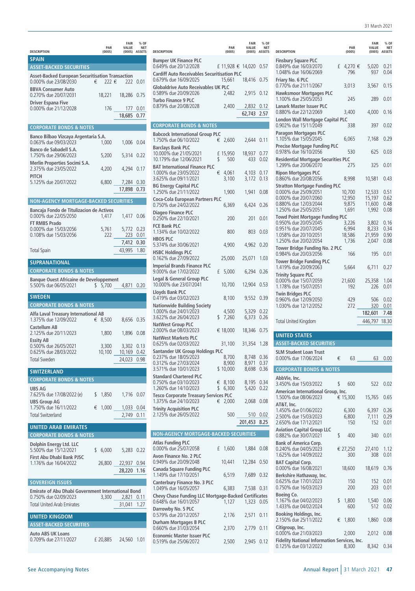|                                                                                           | PAR          | FAIR<br>VALUE | % OF<br><b>NET</b> |
|-------------------------------------------------------------------------------------------|--------------|---------------|--------------------|
| <b>DESCRIPTION</b><br><b>SPAIN</b>                                                        | (000S)       | (000S)        | <b>ASSETS</b>      |
| <b>ASSET-BACKED SECURITIES</b>                                                            |              |               |                    |
| <b>Asset-Backed European Securitisation Transaction</b><br>0.000% due 23/08/2030          | €<br>222 €   | 222           | 0.01               |
| <b>BBVA Consumer Auto</b><br>0.270% due 20/07/2031                                        | 18,221       | 18,286        | 0.75               |
| <b>Driver Espana Five</b><br>0.000% due 21/12/2028                                        | 176          | 177<br>18,685 | 0.01<br>0.77       |
|                                                                                           |              |               |                    |
| <b>CORPORATE BONDS &amp; NOTES</b>                                                        |              |               |                    |
| Banco Bilbao Vizcaya Argentaria S.A.<br>0.063% due 09/03/2023<br>Banco de Sabadell S.A.   | 1,000        | 1,006         | 0.04               |
| 1.750% due 29/06/2023<br>Merlin Properties Socimi S.A.                                    | 5,200        | 5,314         | 0.22               |
| 2.375% due 23/05/2022<br><b>PITCH</b>                                                     | 4,200        | 4,294         | 0.17               |
| 5.125% due 20/07/2022                                                                     | 6.800        | 7,284         | 0.30               |
|                                                                                           |              | 17,898        | 0.73               |
| <b>NON-AGENCY MORTGAGE-BACKED SECURITIES</b>                                              |              |               |                    |
| Bancaja Fondo de Titulizacion de Activos<br>0.000% due 22/05/2050<br><b>FT RMBS Prado</b> | 1,417        | 1,417         | 0.06               |
| 0.000% due 15/03/2056<br>0.108% due 15/03/2056                                            | 5,761<br>222 | 5,772<br>223  | 0.23<br>0.01       |
|                                                                                           |              | 7,412         | 0.30               |
| <b>Total Spain</b>                                                                        |              | 43,995        | 1.80               |
| <b>SUPRANATIONAL</b>                                                                      |              |               |                    |
| <b>CORPORATE BONDS &amp; NOTES</b>                                                        |              |               |                    |
| <b>Banque Ouest Africaine de Developpement</b><br>5.500% due 06/05/2021                   | 5,700<br>S   | 4,871         | 0.20               |
| <b>SWEDEN</b>                                                                             |              |               |                    |
| <b>CORPORATE BONDS &amp; NOTES</b>                                                        |              |               |                    |
| Alfa Laval Treasury International AB<br>1.375% due 12/09/2022                             | 8,500<br>€   | 8,656         | 0.35               |
| <b>Castellum AB</b><br>2.125% due 20/11/2023                                              | 1,800        | 1,896         | 0.08               |
| <b>Essity AB</b><br>0.500% due 26/05/2021                                                 | 3,300        | 3,302 0.13    |                    |
| 0.625% due 28/03/2022                                                                     | 10,100       | 10,169 0.42   |                    |
| <b>Total Sweden</b>                                                                       |              | 24,023        | 0.98               |
| <b>SWITZERLAND</b>                                                                        |              |               |                    |
| <b>CORPORATE BONDS &amp; NOTES</b>                                                        |              |               |                    |
| <b>UBS AG</b><br>7.625% due 17/08/2022 (e)                                                | \$<br>1,850  | 1,716         | 0.07               |
| <b>UBS Group AG</b><br>1.750% due 16/11/2022                                              | €<br>1,000   | 1,033         | 0.04               |
| <b>Total Switzerland</b>                                                                  |              | 2,749         | 0.11               |
| <b>UNITED ARAB EMIRATES</b>                                                               |              |               |                    |
| <b>CORPORATE BONDS &amp; NOTES</b>                                                        |              |               |                    |
| Dolphin Energy Ltd. LLC<br>5.500% due 15/12/2021                                          | \$<br>6,000  | 5,283         | 0.22               |
| <b>First Abu Dhabi Bank PJSC</b><br>1.176% due 16/04/2022                                 | 26,800       | 22,937        | 0.94               |
|                                                                                           |              | 28,220        | 1.16               |
| <b>SOVEREIGN ISSUES</b>                                                                   |              |               |                    |
| <b>Emirate of Abu Dhabi Government International Bond</b>                                 |              |               |                    |
| 0.750% due 02/09/2023                                                                     | 3,300        | 2,821         | 0.11               |
| <b>Total United Arab Emirates</b>                                                         |              | 31,041        | 1.27               |
| <b>UNITED KINGDOM</b>                                                                     |              |               |                    |
| <b>ASSET-BACKED SECURITIES</b>                                                            |              |               |                    |

| <b>DESCRIPTION</b>                                                                     |         | PAR<br>(000S)  | <b>FAIR</b><br>VALUE<br>(000S) | % OF<br><b>NET</b><br><b>ASSETS</b> |  |  |  |  |  |  |  |
|----------------------------------------------------------------------------------------|---------|----------------|--------------------------------|-------------------------------------|--|--|--|--|--|--|--|
| <b>Bumper UK Finance PLC</b><br>0.649% due 20/12/2028                                  |         |                | £ 11,928 € 14,020              | 0.57                                |  |  |  |  |  |  |  |
| <b>Cardiff Auto Receivables Securitisation PLC</b><br>0.679% due 16/09/2025            |         | 15,661         | 18.416                         | 0.75                                |  |  |  |  |  |  |  |
| <b>Globaldrive Auto Receivables UK PLC</b><br>0.589% due 20/09/2026                    |         | 2,482          | 2,915                          | 0.12                                |  |  |  |  |  |  |  |
| <b>Turbo Finance 9 PLC</b><br>0.879% due 20/08/2028                                    |         | 2,400          | 2,832<br>62,743                | 0.12<br>2.57                        |  |  |  |  |  |  |  |
| <b>CORPORATE BONDS &amp; NOTES</b>                                                     |         |                |                                |                                     |  |  |  |  |  |  |  |
| <b>Babcock International Group PLC</b><br>1.750% due 06/10/2022                        | €       | 2,600          | 2,644                          | 0.11                                |  |  |  |  |  |  |  |
| <b>Barclays Bank PLC</b><br>10.000% due 21/05/2021<br>10.179% due 12/06/2021           | \$      | £15,950<br>500 | 18,937<br>433                  | 0.77<br>0.02                        |  |  |  |  |  |  |  |
| <b>BAT International Finance PLC</b><br>1.000% due 23/05/2022<br>3.625% due 09/11/2021 | €       | 4,061<br>3,100 | 4,103<br>3,172                 | 0.17<br>0.13                        |  |  |  |  |  |  |  |
| <b>BG Energy Capital PLC</b><br>1.250% due 21/11/2022                                  |         | 1,900          | 1,941                          | 0.08                                |  |  |  |  |  |  |  |
| Coca-Cola European Partners PLC<br>0.750% due 24/02/2022                               |         | 6,369          | 6,424                          | 0.26                                |  |  |  |  |  |  |  |
| <b>Diageo Finance PLC</b><br>0.250% due 22/10/2021                                     |         | 200            | 201                            | 0.01                                |  |  |  |  |  |  |  |
| <b>FCE Bank PLC</b><br>1.134% due 10/02/2022                                           |         | 800            | 803                            | 0.03                                |  |  |  |  |  |  |  |
| <b>HBOS PLC</b><br>5.374% due 30/06/2021                                               |         | 4,900          | 4,962                          | 0.20                                |  |  |  |  |  |  |  |
| <b>HSBC Holdings PLC</b><br>0.162% due 27/09/2022                                      |         | 25,000         | 25,071                         | 1.03                                |  |  |  |  |  |  |  |
| <b>Imperial Brands Finance PLC</b><br>9.000% due 17/02/2022                            | £       | 5,000          | 6,294                          | 0.26                                |  |  |  |  |  |  |  |
| Legal & General Group PLC<br>10.000% due 23/07/2041                                    |         | 10,700         | 12,904                         | 0.53                                |  |  |  |  |  |  |  |
| <b>Lloyds Bank PLC</b><br>0.419% due 03/02/2023<br><b>Nationwide Building Society</b>  |         | 8,100          | 9,552                          | 0.39                                |  |  |  |  |  |  |  |
| 1.000% due 24/01/2023<br>3.622% due 26/04/2023                                         | \$      | 4,500<br>7,260 | 5,329<br>6,373                 | 0.22<br>0.26                        |  |  |  |  |  |  |  |
| <b>NatWest Group PLC</b><br>2.000% due 08/03/2023                                      |         | € 18,000       | 18,346                         | 0.75                                |  |  |  |  |  |  |  |
| <b>NatWest Markets PLC</b><br>0.625% due 02/03/2022                                    |         | 31,100         | 31,354                         | 1.28                                |  |  |  |  |  |  |  |
| Santander UK Group Holdings PLC<br>0.237% due 18/05/2023                               |         | 8,700          | 8,748 0.36                     |                                     |  |  |  |  |  |  |  |
| 0.312% due 27/03/2024                                                                  |         | 8,900          | 8,971                          | 0.37                                |  |  |  |  |  |  |  |
| 3.571% due 10/01/2023                                                                  |         | \$10,000       | 8,698                          | 0.36                                |  |  |  |  |  |  |  |
| <b>Standard Chartered PLC</b><br>0.750% due 03/10/2023<br>1.260% due 14/10/2023        | €<br>\$ | 8,100<br>6,300 | 8,195<br>5,420                 | 0.34<br>0.22                        |  |  |  |  |  |  |  |
| <b>Tesco Corporate Treasury Services PLC</b><br>1.375% due 24/10/2023                  | €       | 2,000          | 2,068                          | 0.08                                |  |  |  |  |  |  |  |
| <b>Trinity Acquisition PLC</b><br>2.125% due 26/05/2022                                |         | 500            | 510                            | 0.02                                |  |  |  |  |  |  |  |
|                                                                                        |         |                | 201,453                        | 8.25                                |  |  |  |  |  |  |  |
| NON-AGENCY MORTGAGE-BACKED SECURITIES                                                  |         |                |                                |                                     |  |  |  |  |  |  |  |
| <b>Atlas Funding PLC</b><br>0.000% due 25/07/2058                                      | £       | 1,600          | 1,884                          | 0.08                                |  |  |  |  |  |  |  |
| Avon Finance No. 2 PLC<br>0.949% due 20/09/2048                                        |         | 10,441         | 12,284 0.50                    |                                     |  |  |  |  |  |  |  |
| <b>Canada Square Funding PLC</b><br>1.149% due 17/10/2051                              |         | 6,519          | 7,689                          | 0.32                                |  |  |  |  |  |  |  |
| <b>Canterbury Finance No. 3 PLC</b><br>1.049% due 16/05/2057                           |         | 6,383          | 7,538                          | 0.31                                |  |  |  |  |  |  |  |
| <b>Chevy Chase Funding LLC Mortgage-Backed Certificates</b><br>0.648% due 16/01/2057   |         | 1,127          | 1,323                          | 0.05                                |  |  |  |  |  |  |  |
| Darrowby No. 5 PLC<br>0.579% due 20/12/2057                                            |         | 2,176          | 2,571                          | 0.11                                |  |  |  |  |  |  |  |
| <b>Durham Mortgages B PLC</b><br>0.660% due 31/03/2054                                 |         | 2,370          | 2,779 0.11                     |                                     |  |  |  |  |  |  |  |
| <b>Economic Master Issuer PLC</b><br>0.519% due 25/06/2072                             |         | 2,500          | 2,945 0.12                     |                                     |  |  |  |  |  |  |  |

| <b>DESCRIPTION</b>                                                                                                                       | PAR<br>(000S)                      | FAIR<br>VALUE                       | % OF<br><b>NET</b><br>(000S) ASSETS |
|------------------------------------------------------------------------------------------------------------------------------------------|------------------------------------|-------------------------------------|-------------------------------------|
| <b>Finsbury Square PLC</b>                                                                                                               |                                    |                                     |                                     |
| 0.849% due 16/03/2070<br>1.048% due 16/06/2069                                                                                           | 4,270 €<br>£<br>796                | 5,020<br>937                        | 0.21<br>0.04                        |
| Friary No. 6 PLC<br>0.770% due 21/11/2067                                                                                                | 3,013                              | 3,567                               | 0.15                                |
| <b>Hawksmoor Mortgages PLC</b><br>1.100% due 25/05/2053                                                                                  | 245                                | 289                                 | 0.01                                |
| <b>Lanark Master Issuer PLC</b><br>0.880% due 22/12/2069                                                                                 | 3.400                              | 4,000                               | 0.16                                |
| <b>London Wall Mortgage Capital PLC</b><br>0.902% due 15/11/2049                                                                         | 338                                | 397                                 | 0.02                                |
| <b>Paragon Mortgages PLC</b><br>1.105% due 15/05/2045                                                                                    | 6,065                              | 7,168                               | 0.29                                |
| <b>Precise Mortgage Funding PLC</b><br>0.978% due 16/10/2056                                                                             | 530                                | 625                                 | 0.03                                |
| <b>Residential Mortgage Securities PLC</b><br>1.299% due 20/06/2070                                                                      | 275                                | 325                                 | 0.01                                |
| <b>Ripon Mortgages PLC</b><br>0.860% due 20/08/2056                                                                                      | 8,998                              | 10,581                              | 0.43                                |
| <b>Stratton Mortgage Funding PLC</b><br>0.000% due 25/09/2051<br>0.000% due 20/07/2060<br>0.880% due 12/03/2044<br>1.250% due 25/05/2051 | 10.700<br>12,950<br>9,875<br>1.691 | 12,533<br>15,197<br>11,600<br>1.992 | 0.51<br>0.62<br>0.48<br>0.08        |
| <b>Towd Point Mortgage Funding PLC</b>                                                                                                   |                                    |                                     |                                     |
| 0.950% due 20/05/2045<br>0.951% due 20/07/2045                                                                                           | 3.226<br>6,994                     | 3,802<br>8,233                      | 0.16<br>0.34                        |
| 1.058% due 20/10/2051<br>1.250% due 20/02/2054                                                                                           | 18,586<br>1.736                    | 21,959<br>2.047                     | 0.90<br>0.08                        |
| <b>Tower Bridge Funding No. 2 PLC</b>                                                                                                    |                                    |                                     |                                     |
| 0.984% due 20/03/2056                                                                                                                    | 166                                | 195                                 | 0.01                                |
| <b>Tower Bridge Funding PLC</b><br>1.419% due 20/09/2063                                                                                 | 5,664                              | 6,711                               | 0.27                                |
| <b>Trinity Square PLC</b><br>0.000% due 15/07/2059<br>1.178% due 15/07/2051                                                              | 21,600<br>192                      | 25,358<br>226                       | 1.04<br>0.01                        |
| <b>Twin Bridges PLC</b><br>0.960% due 12/09/2050<br>1.030% due 12/12/2052                                                                | 429<br>272                         | 506<br>320                          | 0.02<br>0.01                        |
|                                                                                                                                          |                                    | 182,601                             | 7.48                                |
| <b>Total United Kingdom</b>                                                                                                              |                                    | 446,797                             | 18.30                               |
|                                                                                                                                          |                                    |                                     |                                     |

## **UNITED STATES**

| <b>ASSET-BACKED SECURITIES</b>                                                        |    |                       |                       |                      |
|---------------------------------------------------------------------------------------|----|-----------------------|-----------------------|----------------------|
| <b>SLM Student Loan Trust</b><br>0.000% due 17/06/2024                                | €  | 63                    | 63                    | 0.00                 |
| <b>CORPORATE BONDS &amp; NOTES</b>                                                    |    |                       |                       |                      |
| AbbVie, Inc.<br>3.450% due 15/03/2022                                                 | \$ | 600                   | 522                   | 0.02                 |
| American International Group, Inc.<br>1.500% due 08/06/2023                           |    | € 15,300              | 15,765                | 0.65                 |
| AT&T, Inc.<br>1.450% due 01/06/2022<br>2.500% due 15/03/2023<br>2.650% due 17/12/2021 |    | 6,300<br>6,800<br>150 | 6,397<br>7,111<br>152 | 0.26<br>0.29<br>0.01 |
| <b>Aviation Capital Group LLC</b><br>0.882% due 30/07/2021                            | \$ | 400                   | 340                   | 0.01                 |
| <b>Bank of America Corp.</b><br>0.240% due 04/05/2023<br>1.625% due 14/09/2022        |    | € 27,250<br>300       | 27,410<br>308         | 1.12<br>0.01         |
| <b>BAT Capital Corp.</b><br>0.000% due 16/08/2021                                     |    | 18,600                | 18,619                | 0.76                 |
| Berkshire Hathaway, Inc.<br>0.625% due 17/01/2023<br>0.750% due 16/03/2023            |    | 150<br>200            | 152<br>203            | 0.01<br>0.01         |
| Boeing Co.<br>1.167% due 04/02/2023<br>1.433% due 04/02/2024                          | S  | 1,800<br>600          | 1,540<br>512          | 0.06<br>0.02         |
| <b>Booking Holdings, Inc.</b><br>2.150% due 25/11/2022                                | €  | 1,800                 | 1,860                 | 0.08                 |
| Citigroup, Inc.<br>0.000% due 21/03/2023                                              |    | 2,000                 | 2,012                 | 0.08                 |
| <b>Fidelity National Information Services, Inc.</b><br>0.125% due 03/12/2022          |    | 8,300                 | 8,342                 | 0.34                 |

**Auto ABS UK Loans**

0.709% due 27/11/2027 £ 20,885 24,560 1.01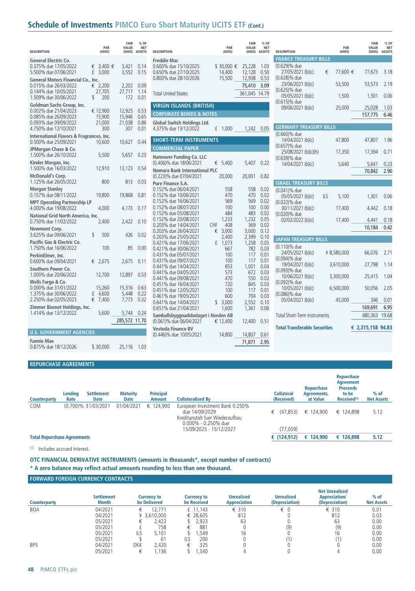## **Schedule of Investments PIMCO Euro Short Maturity UCITS ETF (Cont.)**

| <b>DESCRIPTION</b>                                                                                                            |         | PAR<br>(000S)                       | FAIR<br>VALUE                     | % OF<br><b>NET</b><br>(000S) ASSETS | <b>DESCR</b>                      |
|-------------------------------------------------------------------------------------------------------------------------------|---------|-------------------------------------|-----------------------------------|-------------------------------------|-----------------------------------|
| <b>General Electric Co.</b><br>0.375% due 17/05/2022<br>5.500% due 07/06/2021                                                 | €<br>£  | 3,400 €<br>3,000                    | 3,421<br>3,552                    | 0.14<br>0.15                        | Fred<br>0.60<br>0.65              |
| General Motors Financial Co., Inc.<br>0.015% due 26/03/2022<br>0.144% due 10/05/2021<br>1.509% due 30/06/2022                 | €<br>\$ | 2,200<br>27,705<br>200              | 2,202<br>27,717<br>172            | 0.09<br>1.14<br>0.01                | 0.80<br>Total                     |
| Goldman Sachs Group, Inc.<br>0.002% due 21/04/2023<br>0.085% due 26/09/2023<br>0.093% due 09/09/2022<br>4.750% due 12/10/2021 |         | € 12,900<br>15,900<br>21,000<br>300 | 12,925<br>15,946<br>21,038<br>307 | 0.53<br>0.65<br>0.86<br>0.01        | <b>VIR</b><br>COR<br>Glob<br>4.37 |
| International Flavors & Fragrances, Inc.<br>0.500% due 25/09/2021                                                             |         | 10.600                              | 10,627                            | 0.44                                | <b>SHO</b>                        |
| JPMorgan Chase & Co.<br>1.500% due 26/10/2022                                                                                 |         | 5,500                               | 5,657                             | 0.23                                | CON<br>Hanr                       |
| Kinder Morgan, Inc.<br>1.500% due 16/03/2022                                                                                  |         | 12,910                              | 13,123                            | 0.54                                | (0.40)<br>Nom                     |
| McDonald's Corp.<br>1.125% due 26/05/2022<br><b>Morgan Stanley</b>                                                            |         | 800                                 | 813                               | 0.03                                | (0.22)<br>Pure<br>0.15            |
| 0.157% due 08/11/2022<br><b>MPT Operating Partnership LP</b>                                                                  |         | 19,800                              | 19,868                            | 0.81                                | 0.15<br>0.15                      |
| 4.000% due 19/08/2022<br>National Grid North America, Inc.                                                                    |         | 4,000                               | 4,173                             | 0.17                                | 0.15<br>0.15                      |
| 0.750% due 11/02/2022<br>Newmont Corp.                                                                                        |         | 2,400                               | 2,422                             | 0.10                                | 0.15<br>0.20<br>0.20              |
| 3.625% due 09/06/2021<br>Pacific Gas & Electric Co.                                                                           | \$      | 500                                 | 426                               | 0.02                                | 0.201<br>0.42                     |
| 1.750% due 16/06/2022<br>PerkinElmer, Inc.                                                                                    |         | 100                                 | 85                                | 0.00                                | 0.42<br>0.43                      |
| 0.600% due 09/04/2021<br>Southern Power Co.                                                                                   | €       | 2,675                               | 2,675                             | 0.11                                | 0.43<br>0.44<br>0.44              |
| 1.000% due 20/06/2022<br>Wells Fargo & Co.                                                                                    |         | 12,700                              | 12,897                            | 0.53                                | 0.44<br>0.45                      |
| 0.000% due 31/01/2022<br>1.375% due 30/06/2022<br>2.250% due 02/05/2023                                                       | £<br>€  | 15,260<br>4,600<br>7.400            | 15,316<br>5,448<br>7,773          | 0.63<br>0.22<br>0.32                | 0.45<br>0.46<br>0.64              |
| Zimmer Biomet Holdings, Inc.<br>1.414% due 13/12/2022                                                                         |         | 5,600                               | 5,744<br>285,572 11.70            | 0.24                                | 0.65<br>Sam                       |
|                                                                                                                               |         |                                     |                                   |                                     | (0.06)<br>Vest                    |
| <b>U.S. GOVERNMENT AGENCIES</b>                                                                                               |         |                                     |                                   |                                     | (0.44)                            |
| <b>Fannie Mae</b>                                                                                                             |         |                                     |                                   |                                     |                                   |

| <b>DESCRIPTION</b>                                                                                                                                                                                                                                                                                                                                                                                                                                                                                                                                                                                                                       |                            | PAR<br>(000S)                                                                                                                                                           | FAIR<br>VALUE<br>(000S)                                                                                                                                                 | % OF<br><b>NET</b><br><b>ASSETS</b>                                                                                                                                          |  |
|------------------------------------------------------------------------------------------------------------------------------------------------------------------------------------------------------------------------------------------------------------------------------------------------------------------------------------------------------------------------------------------------------------------------------------------------------------------------------------------------------------------------------------------------------------------------------------------------------------------------------------------|----------------------------|-------------------------------------------------------------------------------------------------------------------------------------------------------------------------|-------------------------------------------------------------------------------------------------------------------------------------------------------------------------|------------------------------------------------------------------------------------------------------------------------------------------------------------------------------|--|
| <b>Freddie Mac</b><br>0.600% due 15/10/2025<br>0.650% due 27/10/2025<br>0.800% due 28/10/2026                                                                                                                                                                                                                                                                                                                                                                                                                                                                                                                                            |                            | \$ 30,000 €<br>14,400<br>15,500                                                                                                                                         | 25,228<br>12,128<br>12,938<br>75,410                                                                                                                                    | 1.03<br>0.50<br>0.53<br>3.09                                                                                                                                                 |  |
| <b>Total United States</b>                                                                                                                                                                                                                                                                                                                                                                                                                                                                                                                                                                                                               |                            |                                                                                                                                                                         | 361,045 14.79                                                                                                                                                           |                                                                                                                                                                              |  |
| <b>VIRGIN ISLANDS (BRITISH)</b>                                                                                                                                                                                                                                                                                                                                                                                                                                                                                                                                                                                                          |                            |                                                                                                                                                                         |                                                                                                                                                                         |                                                                                                                                                                              |  |
| <b>CORPORATE BONDS &amp; NOTES</b>                                                                                                                                                                                                                                                                                                                                                                                                                                                                                                                                                                                                       |                            |                                                                                                                                                                         |                                                                                                                                                                         |                                                                                                                                                                              |  |
| <b>Global Switch Holdings Ltd.</b><br>4.375% due 13/12/2022                                                                                                                                                                                                                                                                                                                                                                                                                                                                                                                                                                              | £                          | 1,000                                                                                                                                                                   | 1,242                                                                                                                                                                   | 0.05                                                                                                                                                                         |  |
| <b>SHORT-TERM INSTRUMENTS</b>                                                                                                                                                                                                                                                                                                                                                                                                                                                                                                                                                                                                            |                            |                                                                                                                                                                         |                                                                                                                                                                         |                                                                                                                                                                              |  |
| <b>COMMERCIAL PAPER</b>                                                                                                                                                                                                                                                                                                                                                                                                                                                                                                                                                                                                                  |                            |                                                                                                                                                                         |                                                                                                                                                                         |                                                                                                                                                                              |  |
| <b>Hannover Funding Co. LLC</b><br>(0.406)% due 18/06/2021                                                                                                                                                                                                                                                                                                                                                                                                                                                                                                                                                                               | €                          | 5,400                                                                                                                                                                   | 5,407                                                                                                                                                                   | 0.22                                                                                                                                                                         |  |
| <b>Nomura Bank International PLC</b><br>(0.223)% due 07/04/2021<br>Pure Finance S.A.                                                                                                                                                                                                                                                                                                                                                                                                                                                                                                                                                     |                            | 20,000                                                                                                                                                                  | 20,001                                                                                                                                                                  | 0.82                                                                                                                                                                         |  |
| 0.152% due 06/04/2021<br>0.152% due 10/06/2021<br>0.152% due 16/06/2021<br>0.152% due 08/07/2021<br>0.152% due 05/08/2021<br>0.152% due 20/08/2021<br>0.203% due 14/04/2021<br>0.203% due 26/04/2021<br>0.203% due 25/05/2021<br>0.421% due 17/06/2021<br>0.421% due 30/06/2021<br>0.431% due 05/07/2021<br>0.431% due 09/07/2021<br>0.441% due 14/04/2021<br>0.441% due 04/05/2021<br>0.441% due 09/08/2021<br>0.451% due 16/04/2021<br>0.451% due 12/05/2021<br>0.461% due 19/05/2021<br>0.641% due 14/04/2021<br>0.651% due 21/04/2021<br>Samhallsbyggnadsbolaget i Norden AB<br>(0.061)% due 06/04/2021<br><b>Vesteda Finance BV</b> | <b>CHF</b><br>€<br>£<br>\$ | 558<br>470<br>569<br>100<br>484<br>1,233<br>408<br>3,000<br>2,400<br>1.073<br>667<br>100<br>100<br>853<br>573<br>470<br>720<br>100<br>600<br>3,000<br>1,600<br>€ 12.400 | 558<br>470<br>569<br>100<br>483<br>1,232<br>369<br>3,000<br>2,399<br>1,258<br>782<br>117<br>117<br>1,001<br>672<br>550<br>845<br>117<br>704<br>2,552<br>1,361<br>12,400 | 0.02<br>0.02<br>0.02<br>0.00<br>0.02<br>0.05<br>0.02<br>0.12<br>0.10<br>0.05<br>0.03<br>0.01<br>0.01<br>0.04<br>0.03<br>0.02<br>0.03<br>0.01<br>0.03<br>0.10<br>0.06<br>0.51 |  |
| (0.446)% due 10/05/2021                                                                                                                                                                                                                                                                                                                                                                                                                                                                                                                                                                                                                  |                            | 14,800                                                                                                                                                                  | 14,807<br>71,871                                                                                                                                                        | 0.61<br>2.95                                                                                                                                                                 |  |
|                                                                                                                                                                                                                                                                                                                                                                                                                                                                                                                                                                                                                                          |                            |                                                                                                                                                                         |                                                                                                                                                                         |                                                                                                                                                                              |  |

| 0F<br>JΕT<br>ETS                       | <b>DESCRIPTION</b>                                |            | PAR<br>(000S) | FAIR<br>VALUE<br>(000S) | % OF<br><b>NET</b><br><b>ASSETS</b> |
|----------------------------------------|---------------------------------------------------|------------|---------------|-------------------------|-------------------------------------|
|                                        | <b>FRANCE TREASURY BILLS</b>                      |            |               |                         |                                     |
| )3<br>50                               | (0.629)% due<br>27/05/2021 (b)(c)<br>(0.628)% due | €          | 77,600 €      | 77,673                  | 3.18                                |
| 53<br>09                               | 23/06/2021 (b)(c)                                 |            | 53,500        | 53,573                  | 2.19                                |
| 79                                     | (0.625)% due<br>05/05/2021 (b)(c)<br>(0.615)% due |            | 1,500         | 1,501                   | 0.06                                |
|                                        | 09/06/2021 (b)(c)                                 |            | 25,000        | 25,028<br>157,775       | 1.03<br>6.46                        |
| )5                                     | <b>GERMANY TREASURY BILLS</b>                     |            |               |                         |                                     |
|                                        | (0.660)% due<br>14/04/2021 (b)(c)                 |            | 47,800        | 47,807                  | 1.96                                |
|                                        | (0.657)% due<br>25/08/2021 (b)(c)(h)              |            | 17,350        | 17,394                  | 0.71                                |
| 22                                     | (0.639)% due<br>14/04/2021 (b)(c)                 |            | 5,640         | 5,641                   | 0.23                                |
| 32                                     |                                                   |            |               | 70,842                  | 2.90                                |
|                                        | <b>ISRAEL TREASURY BILLS</b>                      |            |               |                         |                                     |
| 02<br>02<br>02                         | (0.041)% due<br>05/05/2021 (b)(c)<br>(0.022)% due | <b>ILS</b> | 5,100         | 1,301                   | 0.06                                |
| ЭO<br>02                               | 30/11/2021 (b)(c)<br>(0.020)% due                 |            | 17,400        | 4,442                   | 0.18                                |
| )5<br>)2                               | $02/02/2022$ (b)(c)                               |            | 17,400        | 4,441                   | 0.18                                |
| 12                                     |                                                   |            |               | 10,184                  | 0.42                                |
| 10                                     | <b>JAPAN TREASURY BILLS</b>                       |            |               |                         |                                     |
| $\overline{5}$<br>)3<br>$\overline{1}$ | (0.110)% due<br>24/05/2021 (b)(c)                 |            | ¥ 8,580,000   | 66,076                  | 2.71                                |
| 01<br>)4                               | (0.094)% due<br>19/04/2021 (b)(c)                 |            | 3,610,000     | 27,798                  | 1.14                                |
| )3<br>)2                               | (0.093)% due<br>10/06/2021 (b)(c)                 |            | 3,300,000     | 25,415                  | 1.04                                |
| )3<br>)1                               | (0.092)% due<br>10/05/2021 (b)(c)<br>(0.086)% due |            | 6,500,000     | 50,056                  | 2.05                                |
| )3<br>10                               | 05/04/2021 (b)(c)                                 |            | 45,000        | 346                     | 0.01                                |
| 06                                     |                                                   |            |               | 169,691                 | 6.95                                |
| $\overline{51}$                        | Total Short-Term Instruments                      |            |               | 480,363                 | 19.68                               |
| 51                                     | <b>Total Transferable Securities</b>              |            |               | € 2,315,158 94.83       |                                     |

### **REPURCHASE AGREEMENTS**

0.875% due 18/12/2026 \$ 30,000 25,116 1.03

| Counterparty                       | Lending<br>Rate | <b>Settlement</b><br><b>Date</b> | <b>Maturity</b><br><b>Date</b> | <b>Principal</b><br><b>Amount</b> | <b>Collateralised By</b>                                                                                                               | <b>Collateral</b><br>(Received) | Repurchase<br>Agreements.<br>at Value | Repurchase<br>Agreement<br><b>Proceeds</b><br>to be<br>Received <sup>(1)</sup> | $%$ of<br><b>Net Assets</b> |
|------------------------------------|-----------------|----------------------------------|--------------------------------|-----------------------------------|----------------------------------------------------------------------------------------------------------------------------------------|---------------------------------|---------------------------------------|--------------------------------------------------------------------------------|-----------------------------|
| COM                                |                 | (0.700)% 31/03/2021              | 01/04/2021                     | € 124.900                         | European Investment Bank 0.250%<br>due 14/09/2029<br>Kreditanstalt fuer Wiederaufbau<br>0.000% - 0.250% due<br>15/09/2025 - 15/12/2027 | (47,853)<br>€<br>(77,059)       | € 124.900                             | € 124.898                                                                      | 5.12                        |
| <b>Total Repurchase Agreements</b> |                 |                                  |                                |                                   |                                                                                                                                        | € $(124, 912)$                  | € 124,900                             | € 124,898                                                                      | 5.12                        |

(1) Includes accrued interest.

### **OTC FINANCIAL DERIVATIVE INSTRUMENTS (amounts in thousands\*, except number of contracts) \* A zero balance may reflect actual amounts rounding to less than one thousand.**

## **FORWARD FOREIGN CURRENCY CONTRACTS**

| <b>Counterparty</b> | <b>Settlement</b><br><b>Month</b> |     | <b>Currency to</b><br>be Delivered |     | Currency to<br>be Received | <b>Unrealised</b><br>Appreciation | <b>Unrealised</b><br>(Depreciation) | <b>Net Unrealised</b><br><b>Appreciation/</b><br>(Depreciation) | $%$ of<br><b>Net Assets</b> |
|---------------------|-----------------------------------|-----|------------------------------------|-----|----------------------------|-----------------------------------|-------------------------------------|-----------------------------------------------------------------|-----------------------------|
| <b>BOA</b>          | 04/2021                           |     |                                    |     | £ 11.143                   | € 310                             | $\epsilon$ 0                        | € 310                                                           | 0.01                        |
|                     | 04/2021                           |     | ¥ 3,610,000                        |     | € 28,605                   | 812                               |                                     | 812                                                             | 0.03                        |
|                     | 05/2021                           |     | 2,422                              |     | 2,923                      | 63                                |                                     | 63                                                              | 0.00                        |
|                     | 05/2021                           |     | 758                                |     | 881                        |                                   | (9)                                 | (9)                                                             | 0.00                        |
|                     | 05/2021                           | ILS | 5.101                              |     | .549                       | 16                                |                                     | 16                                                              | 0.00                        |
|                     | 05/2021                           |     | 61                                 | ils | 200                        |                                   |                                     |                                                                 | 0.00                        |
| <b>BPS</b>          | 04/2021                           | DKK | 2.420                              |     | 325                        |                                   |                                     |                                                                 | 0.00                        |
|                     | 05/2021                           |     | 136                                |     | ,340                       |                                   |                                     |                                                                 | 0.00                        |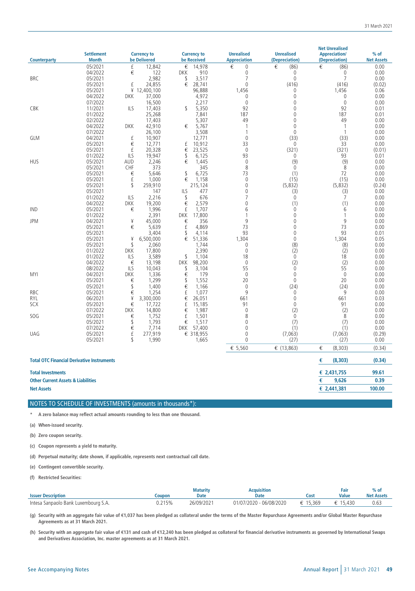| Counterparty                                  | <b>Settlement</b><br><b>Month</b>                 | <b>Currency to</b><br>be Delivered                        | <b>Currency to</b><br>be Received   | <b>Unrealised</b><br><b>Appreciation</b> | <b>Unrealised</b><br>(Depreciation) | <b>Net Unrealised</b><br><b>Appreciation/</b><br>(Depreciation) | $%$ of<br><b>Net Assets</b> |
|-----------------------------------------------|---------------------------------------------------|-----------------------------------------------------------|-------------------------------------|------------------------------------------|-------------------------------------|-----------------------------------------------------------------|-----------------------------|
|                                               | 05/2021                                           | £<br>12,842                                               | €<br>14,978                         | 0<br>€                                   | €<br>(86)                           | €<br>(86)                                                       | 0.00                        |
|                                               | 04/2022                                           | €<br>122                                                  | 910<br>DKK                          | $\mathbf 0$                              | 0                                   | 0                                                               | 0.00                        |
| <b>BRC</b>                                    | 05/2021                                           | 2,982                                                     | 3,517<br>\$                         | $\overline{7}$<br>$\theta$               | $\mathbf 0$                         | 7                                                               | 0.00                        |
|                                               | 05/2021<br>05/2021                                | £<br>24,855<br>¥<br>12,400,100                            | €<br>28,741<br>96,888               | 1,456                                    | (416)<br>0                          | (416)<br>1,456                                                  | (0.02)<br>0.06              |
|                                               | 04/2022                                           | 37,000<br><b>DKK</b>                                      | 4,972                               | $\mathbf 0$                              | 0                                   | 0                                                               | 0.00                        |
|                                               | 07/2022                                           | 16,500                                                    | 2.217                               | $\mathbf{0}$                             | 0                                   | 0                                                               | 0.00                        |
| CBK                                           | 11/2021                                           | ILS<br>17,403                                             | \$<br>5,350                         | 92                                       | 0                                   | 92                                                              | 0.01                        |
|                                               | 01/2022                                           | 25,268                                                    | 7.841                               | 187                                      | 0                                   | 187                                                             | 0.01                        |
|                                               | 02/2022                                           | 17,403                                                    | 5,307                               | 49                                       | 0                                   | 49                                                              | 0.00                        |
|                                               | 04/2022<br>07/2022                                | DKK<br>42,910<br>26,100                                   | 5,767<br>€<br>3,508                 | $\mathbf{1}$<br>1                        | $\overline{0}$<br>0                 | -1<br>-1                                                        | 0.00<br>0.00                |
| <b>GLM</b>                                    | 04/2021                                           | £<br>10,907                                               | 12,771                              | $\mathbf 0$                              | (33)                                | (33)                                                            | 0.00                        |
|                                               | 05/2021                                           | €<br>12,771                                               | £<br>10,912                         | 33                                       | 0                                   | 33                                                              | 0.00                        |
|                                               | 05/2021                                           | £<br>20,328                                               | €<br>23,525                         | $\mathbf{0}$                             | (321)                               | (321)                                                           | (0.01)                      |
|                                               | 01/2022                                           | <b>ILS</b><br>19,947                                      | \$<br>6.125                         | 93                                       | 0                                   | 93                                                              | 0.01                        |
| <b>HUS</b>                                    | 05/2021                                           | <b>AUD</b><br>2,246                                       | €<br>1,445                          | $\mathbf 0$                              | (9)                                 | (9)                                                             | 0.00                        |
|                                               | 05/2021<br>05/2021                                | <b>CHF</b><br>373<br>€<br>5,646                           | 345<br>\$<br>6,725                  | 8<br>73                                  | 0<br>(1)                            | 8<br>72                                                         | 0.00<br>0.00                |
|                                               | 05/2021                                           | £<br>1,000                                                | €<br>1,158                          | $\mathbf 0$                              | (15)                                | (15)                                                            | 0.00                        |
|                                               | 05/2021                                           | \$<br>259,910                                             | 215,124                             | $\overline{0}$                           | (5,832)                             | (5,832)                                                         | (0.24)                      |
|                                               | 05/2021                                           | 147                                                       | ILS<br>477                          | $\overline{0}$                           | (3)                                 | (3)                                                             | 0.00                        |
|                                               | 01/2022                                           | ILS<br>2,216                                              | \$<br>676                           | 7                                        | $\theta$                            | 7                                                               | 0.00                        |
|                                               | 04/2022                                           | <b>DKK</b><br>19,200                                      | €<br>2,579                          | $\overline{0}$                           | (1)                                 | (1)                                                             | 0.00                        |
| IND                                           | 05/2021                                           | 1,996<br>€<br>2,391                                       | £<br>1,707<br>DKK<br>17,800         | 6<br>1                                   | 0<br>0                              | 6<br>1                                                          | 0.00<br>0.00                |
| <b>JPM</b>                                    | 01/2022<br>04/2021                                | ¥<br>45,000                                               | €<br>356                            | 9                                        | 0                                   | 9                                                               | 0.00                        |
|                                               | 05/2021                                           | €<br>5,639                                                | £<br>4,869                          | 73                                       | 0                                   | 73                                                              | 0.00                        |
|                                               | 05/2021                                           | 3,404                                                     | \$<br>4,114                         | 93                                       | 0                                   | 93                                                              | 0.01                        |
|                                               | 05/2021                                           | ¥<br>6,500,000                                            | €<br>51,336                         | 1,304                                    | 0                                   | 1,304                                                           | 0.05                        |
|                                               | 05/2021                                           | \$<br>2,060                                               | 1,744                               | $\theta$                                 | (8)                                 | (8)                                                             | 0.00                        |
|                                               | 01/2022                                           | 17,800<br>DKK                                             | 2,390                               | $\mathbf{0}$                             | (2)                                 | (2)                                                             | 0.00                        |
|                                               | 01/2022<br>04/2022                                | ILS<br>3,589<br>€<br>13,198                               | \$<br>1.104<br><b>DKK</b><br>98,200 | 18<br>$\mathbf 0$                        | $\theta$<br>(2)                     | 18<br>(2)                                                       | 0.00<br>0.00                |
|                                               | 08/2022                                           | ILS<br>10,043                                             | \$<br>3,104                         | 55                                       | 0                                   | 55                                                              | 0.00                        |
| MYI                                           | 04/2021                                           | <b>DKK</b><br>1,336                                       | €<br>179                            | $\mathbf 0$                              | $\mathbf 0$                         | $\mathbf{0}$                                                    | 0.00                        |
|                                               | 05/2021                                           | €<br>1,299                                                | \$<br>1,552                         | 20                                       | $\mathbf 0$                         | 20                                                              | 0.00                        |
|                                               | 05/2021                                           | \$<br>1,400                                               | €<br>1,166                          | 0                                        | (24)                                | (24)                                                            | 0.00                        |
| <b>RBC</b>                                    | 05/2021                                           | €<br>1,254                                                | £<br>1,077                          | 9                                        | 0                                   | 9                                                               | 0.00                        |
| RYL<br>SCX                                    | 06/2021<br>05/2021                                | ¥<br>3,300,000<br>€<br>17,722                             | €<br>26,051<br>£<br>15,185          | 661<br>91                                | 0<br>$\mathbf 0$                    | 661<br>91                                                       | 0.03<br>0.00                |
|                                               | 07/2022                                           | DKK<br>14,800                                             | €<br>1.987                          | $\mathbf{0}$                             | (2)                                 | (2)                                                             | 0.00                        |
| SO <sub>G</sub>                               | 05/2021                                           | 1,752<br>€                                                | £<br>1.501                          | 8                                        | 0                                   | 8                                                               | 0.00                        |
|                                               | 05/2021                                           | \$<br>1,793                                               | €<br>1.517                          | $\overline{0}$                           | (7)                                 | (7)                                                             | 0.00                        |
|                                               | 07/2022                                           | €<br>7,714                                                | <b>DKK</b><br>57.400                | $\overline{0}$                           | (1)                                 | (1)                                                             | 0.00                        |
| UAG                                           | 05/2021                                           | £<br>277,919                                              | € 318,955                           | $\mathbf{0}$                             | (7,063)                             | (7,063)                                                         | (0.29)                      |
|                                               | 05/2021                                           | \$<br>1,990                                               | 1,665                               | $\mathbf{0}$                             | (27)                                | (27)                                                            | 0.00                        |
|                                               |                                                   |                                                           |                                     | € 5,560                                  | € $(13,863)$                        | €<br>(8, 303)                                                   | (0.34)                      |
|                                               | <b>Total OTC Financial Derivative Instruments</b> |                                                           |                                     |                                          |                                     | €<br>(8, 303)                                                   | (0.34)                      |
| <b>Total Investments</b>                      |                                                   |                                                           |                                     |                                          |                                     | € 2,431,755                                                     | 99.61                       |
| <b>Other Current Assets &amp; Liabilities</b> |                                                   |                                                           |                                     |                                          |                                     | 9,626<br>€                                                      | 0.39                        |
| <b>Net Assets</b>                             |                                                   |                                                           |                                     |                                          |                                     | € 2,441,381                                                     | 100.00                      |
|                                               |                                                   | NOTES TO SCHEDULE OF INVESTMENTS (amounts in thousands*): |                                     |                                          |                                     |                                                                 |                             |

**\* A zero balance may reflect actual amounts rounding to less than one thousand.**

- **(a) When-issued security.**
- **(b) Zero coupon security.**

**(c) Coupon represents a yield to maturity.**

**(d) Perpetual maturity; date shown, if applicable, represents next contractual call date.**

- **(e) Contingent convertible security.**
- **(f) Restricted Securities:**

|                                      |            | <b>Maturity</b> | Acquisition                           |        | Fair         | 70 UI             |
|--------------------------------------|------------|-----------------|---------------------------------------|--------|--------------|-------------------|
| <b>Issuer Description</b>            | ioupon     | <b>Date</b>     | <b>Date</b>                           | Cos    | <b>Value</b> | <b>Net Assets</b> |
| Intesa Sanpaolo Bank Luxembourg S.A. | 15%<br>U.Z | 26/09/2021      | 06/08/2020<br>01/07/2020<br>1 L V L V | 15,369 | 5,430        | 0.63              |

**(g) Security with an aggregate fair value of €1,037 has been pledged as collateral under the terms of the Master Repurchase Agreements and/or Global Master Repurchase Agreements as at 31 March 2021.**

**(h) Security with an aggregate fair value of €131 and cash of €12,240 has been pledged as collateral for financial derivative instruments as governed by International Swaps and Derivatives Association, Inc. master agreements as at 31 March 2021.**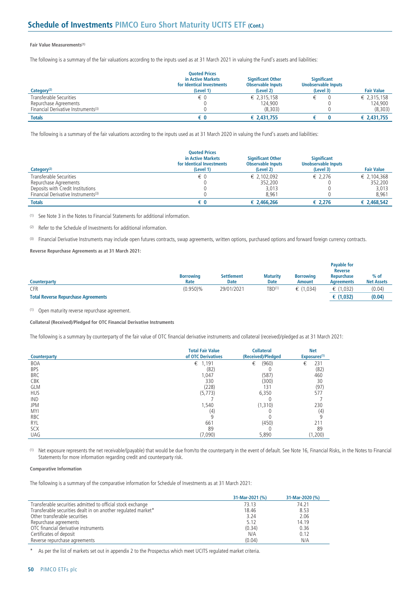#### **Fair Value Measurements(1)**

The following is a summary of the fair valuations according to the inputs used as at 31 March 2021 in valuing the Fund's assets and liabilities:

|                                                 | <b>Ouoted Prices</b><br>in Active Markets<br>for Identical Investments | <b>Significant Other</b><br><b>Observable Inputs</b> | <b>Significant</b><br><b>Unobservable Inputs</b> |                   |
|-------------------------------------------------|------------------------------------------------------------------------|------------------------------------------------------|--------------------------------------------------|-------------------|
| Category <sup>(2)</sup>                         | (Level 1)                                                              | (Level 2)                                            | (Level 3)                                        | <b>Fair Value</b> |
| Transferable Securities                         | € 0                                                                    | € 2,315,158                                          |                                                  | € 2,315,158       |
| Repurchase Agreements                           |                                                                        | 124,900                                              |                                                  | 124,900           |
| Financial Derivative Instruments <sup>(3)</sup> |                                                                        | (8,303)                                              |                                                  | (8,303)           |
| <b>Totals</b>                                   |                                                                        | € 2,431,755                                          |                                                  | € 2,431,755       |

The following is a summary of the fair valuations according to the inputs used as at 31 March 2020 in valuing the Fund's assets and liabilities:

|                                                 | <b>Ouoted Prices</b><br>in Active Markets<br>for Identical Investments | <b>Significant Other</b><br><b>Observable Inputs</b> | <b>Significant</b><br><b>Unobservable Inputs</b> |                   |
|-------------------------------------------------|------------------------------------------------------------------------|------------------------------------------------------|--------------------------------------------------|-------------------|
| Category <sup>(2)</sup>                         | (Level 1)                                                              | (Level 2)                                            | (Level 3)                                        | <b>Fair Value</b> |
| Transferable Securities                         | € 0                                                                    | € 2,102,092                                          | € 2.276                                          | € 2,104,368       |
| Repurchase Agreements                           |                                                                        | 352,200                                              |                                                  | 352,200           |
| Deposits with Credit Institutions               |                                                                        | 3,013                                                |                                                  | 3,013             |
| Financial Derivative Instruments <sup>(3)</sup> |                                                                        | 8.961                                                |                                                  | 8,961             |
| <b>Totals</b>                                   | € 0                                                                    | € 2,466,266                                          | € 2.276                                          | € 2,468,542       |

(1) See Note 3 in the Notes to Financial Statements for additional information.

(2) Refer to the Schedule of Investments for additional information.

(3) Financial Derivative Instruments may include open futures contracts, swap agreements, written options, purchased options and forward foreign currency contracts.

**Reverse Repurchase Agreements as at 31 March 2021:**

|                                            |                          |                                  |                                |                                   | <b>Pavable for</b><br><b>Reverse</b>   |                             |
|--------------------------------------------|--------------------------|----------------------------------|--------------------------------|-----------------------------------|----------------------------------------|-----------------------------|
| Counterparty                               | <b>Borrowing</b><br>Rate | <b>Settlement</b><br><b>Date</b> | <b>Maturity</b><br><b>Date</b> | <b>Borrowing</b><br><b>Amount</b> | <b>Repurchase</b><br><b>Agreements</b> | $%$ of<br><b>Net Assets</b> |
| <b>CFR</b>                                 | $(0.950)\%$              | 29/01/2021                       | TBD <sup>(1)</sup>             | € $(1.034)$                       | € $(1.032)$                            | (0.04)                      |
| <b>Total Reverse Repurchase Agreements</b> |                          |                                  |                                |                                   | € $(1,032)$                            | (0.04)                      |

(1) Open maturity reverse repurchase agreement.

**Collateral (Received)/Pledged for OTC Financial Derivative Instruments**

The following is a summary by counterparty of the fair value of OTC financial derivative instruments and collateral (received)/pledged as at 31 March 2021:

|              | <b>Total Fair Value</b> | <b>Collateral</b>  | <b>Net</b>               |
|--------------|-------------------------|--------------------|--------------------------|
| Counterparty | of OTC Derivatives      | (Received)/Pledged | Exposures <sup>(1)</sup> |
| <b>BOA</b>   | 1,191<br>€              | (960)<br>€         | 231<br>€                 |
| <b>BPS</b>   | (82)                    |                    | (82)                     |
| <b>BRC</b>   | 1,047                   | (587)              | 460                      |
| <b>CBK</b>   | 330                     | (300)              | 30                       |
| <b>GLM</b>   | (228)                   | 131                | (97)                     |
| <b>HUS</b>   | (5, 773)                | 6,350              | 577                      |
| <b>IND</b>   |                         |                    |                          |
| <b>JPM</b>   | 1,540                   | (1,310)            | 230                      |
| <b>MYI</b>   | (4)                     |                    | (4)                      |
| <b>RBC</b>   | 9                       |                    | 9                        |
| RYL          | 661                     | (450)              | 211                      |
| SCX          | 89                      |                    | 89                       |
| <b>UAG</b>   | (7,090)                 | 5,890              | (1,200)                  |

(1) Net exposure represents the net receivable/(payable) that would be due from/to the counterparty in the event of default. See Note 16, Financial Risks, in the Notes to Financial Statements for more information regarding credit and counterparty risk.

#### **Comparative Information**

The following is a summary of the comparative information for Schedule of Investments as at 31 March 2021:

|                                                               | 31-Mar-2021 (%) | 31-Mar-2020 (%) |
|---------------------------------------------------------------|-----------------|-----------------|
| Transferable securities admitted to official stock exchange   | 73.13           | 74.21           |
| Transferable securities dealt in on another regulated market* | 18.46           | 8.53            |
| Other transferable securities                                 | 3.24            | 2.06            |
| Repurchase agreements                                         | 5.12            | 14.19           |
| OTC financial derivative instruments                          | (0.34)          | 0.36            |
| Certificates of deposit                                       | N/A             | 0.12            |
| Reverse repurchase agreements                                 | (0.04)          | N/A             |

As per the list of markets set out in appendix 2 to the Prospectus which meet UCITS regulated market criteria.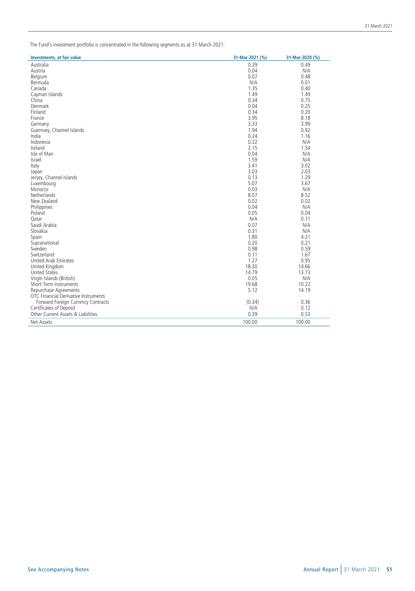The Fund's investment portfolio is concentrated in the following segments as at 31 March 2021:

| <b>Investments, at fair value</b>    | 31-Mar-2021 (%) | 31-Mar-2020 (%) |
|--------------------------------------|-----------------|-----------------|
| Australia                            | 0.29            | 0.49            |
| Austria                              | 0.04            | N/A             |
| Belgium                              | 0.07            | 0.48            |
| Bermuda                              | N/A             | 0.01            |
| Canada                               | 1.35            | 0.40            |
| Cayman Islands                       | 1.49            | 1.49            |
| China                                | 0.34            | 0.75            |
| Denmark                              | 0.04            | 0.25            |
| Finland                              | 0.34            | 0.20            |
| France                               | 3.95            | 8.18            |
| Germany                              | 3.33            | 3.99            |
| Guernsey, Channel Islands            | 1.94            | 0.92            |
| India                                | 0.24            | 1.16            |
| Indonesia                            | 0.22            | N/A             |
| Ireland                              | 2.15            | 1.54            |
| Isle of Man                          | 0.04            | N/A             |
| Israel                               | 1.59            | N/A             |
| Italy                                | 3.41            | 3.02            |
| Japan                                | 3.03            | 2.03            |
| Jersey, Channel Islands              | 0.13            | 1.29            |
| Luxembourg                           | 5.07            | 3.67            |
| Morocco                              | 0.03            | N/A             |
| Netherlands                          | 8.07            | 8.52            |
| New Zealand                          | 0.02            | 0.02            |
| Philippines                          | 0.04            | N/A             |
| Poland                               | 0.05            | 0.04            |
| Qatar                                | N/A             | 0.11            |
| Saudi Arabia                         | 0.07            | N/A             |
| Slovakia                             | 0.31            | N/A             |
| Spain                                | 1.80            | 4.21            |
| Supranational                        | 0.20            | 0.21            |
| Sweden                               | 0.98            | 0.59            |
| Switzerland                          | 0.11            | 1.67            |
| United Arab Emirates                 | 1.27            | 0.95            |
| United Kingdom                       | 18.30           | 14.66           |
| <b>United States</b>                 | 14.79           | 13.73           |
| Virgin Islands (British)             | 0.05            | N/A             |
| Short-Term Instruments               | 19.68           | 10.22           |
| Repurchase Agreements                | 5.12            | 14.19           |
| OTC Financial Derivative Instruments |                 |                 |
| Forward Foreign Currency Contracts   | (0.34)          | 0.36            |
| Certificates of Deposit              | N/A             | 0.12            |
| Other Current Assets & Liabilities   | 0.39            | 0.53            |
| Net Assets                           | 100.00          | 100.00          |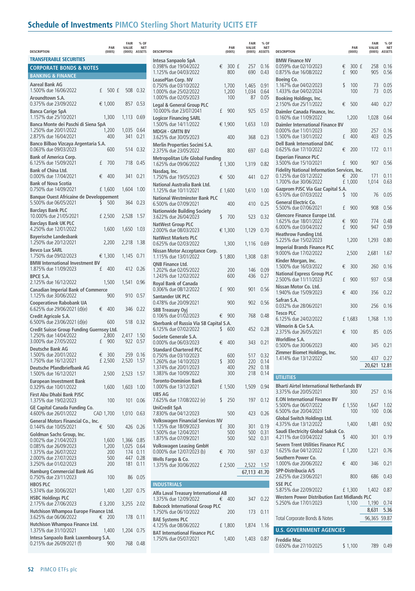# **Schedule of Investments PIMCO Sterling Short Maturity UCITS ETF**

| <b>DESCRIPTION</b>                                                                    |           | PAR<br>(000S)  | FAIR<br>VALUE<br>(000S) | % OF<br><b>NET</b><br><b>ASSETS</b> |
|---------------------------------------------------------------------------------------|-----------|----------------|-------------------------|-------------------------------------|
| <b>TRANSFERABLE SECURITIES</b>                                                        |           |                |                         |                                     |
| <b>CORPORATE BONDS &amp; NOTES</b><br><b>BANKING &amp; FINANCE</b>                    |           |                |                         |                                     |
| <b>Aareal Bank AG</b><br>1.500% due 16/06/2022                                        | £         | 500 £          | 508                     | 0.32                                |
| Aroundtown S.A.<br>0.375% due 23/09/2022                                              |           | € 1,000        | 857                     | 0.53                                |
| <b>Banca Carige SpA</b><br>1.157% due 25/10/2021                                      |           | 1.300          | 1,113                   | 0.69                                |
| Banca Monte dei Paschi di Siena SpA<br>1.250% due 20/01/2022<br>2.875% due 16/04/2021 |           | 1,200<br>400   | 1.035<br>341            | 0.64<br>0.21                        |
| Banco Bilbao Vizcaya Argentaria S.A.<br>0.063% due 09/03/2023                         |           | 600            | 514                     | 0.32                                |
| <b>Bank of America Corp.</b><br>6.125% due 15/09/2021                                 | £         | 700            | 718                     | 0.45                                |
| <b>Bank of China Ltd.</b><br>0.000% due 17/04/2021                                    | €         | 400            | 341                     | 0.21                                |
| <b>Bank of Nova Scotia</b><br>0.750% due 14/09/2021                                   |           | £ 1,600        | 1.604                   | 1.00                                |
| <b>Banque Ouest Africaine de Developpement</b><br>5.500% due 06/05/2021               | S         | 500            | 364                     | 0.23                                |
| <b>Barclays Bank PLC</b><br>10.000% due 21/05/2021                                    |           | £ 2,500        | 2,528                   | 1.57                                |
| <b>Barclays Bank UK PLC</b><br>4.250% due 12/01/2022                                  |           | 1,600          | 1,650                   | 1.03                                |
| <b>Bayerische Landesbank</b><br>1.250% due 20/12/2021                                 |           | 2,200          | 2,218                   | 1.38                                |
| <b>Bevco Lux SARL</b><br>1.750% due 09/02/2023                                        |           | € 1,300        | 1,145                   | 0.71                                |
| <b>BMW International Investment BV</b><br>1.875% due 11/09/2023                       | £         | 400            | 412                     | 0.26                                |
| <b>BPCE S.A.</b><br>2.125% due 16/12/2022                                             |           | 1,500          | 1,541                   | 0.96                                |
| <b>Canadian Imperial Bank of Commerce</b><br>1.125% due 30/06/2022                    |           | 900            | 910                     | 0.57                                |
| <b>Cooperatieve Rabobank UA</b><br>6.625% due 29/06/2021 (d)(e)                       | €         | 400            | 346                     | 0.22                                |
| Credit Agricole S.A.<br>6.500% due 23/06/2021 (d)(e)                                  |           | 600            | 518                     | 0.32                                |
| Credit Suisse Group Funding Guernsey Ltd.                                             |           |                |                         |                                     |
| 1.250% due 14/04/2022<br>3.000% due 27/05/2022                                        | £         | 2,800<br>900   | 2.417<br>922            | 1.50<br>0.57                        |
| <b>Deutsche Bank AG</b><br>1.500% due 20/01/2022<br>1.750% due 16/12/2021             | €         | 300<br>£ 2,500 | 259<br>2,520            | 0.16<br>1.57                        |
| <b>Deutsche Pfandbriefbank AG</b><br>1.500% due 16/12/2021                            |           | 2,500          | 2,523                   | 1.57                                |
| European Investment Bank<br>0.329% due 10/01/2022                                     |           | 1,600          | 1,603                   | 1.00                                |
| <b>First Abu Dhabi Bank PJSC</b><br>1.375% due 19/02/2023                             |           | 100            | 101                     | 0.06                                |
| <b>GE Capital Canada Funding Co.</b><br>4.600% due 26/01/2022                         | CAD 1,700 |                | 1,010                   | 0.63                                |
| General Motors Financial Co., Inc.<br>0.144% due 10/05/2021                           | €         | 500            | 426                     | 0.26                                |
| Goldman Sachs Group, Inc.<br>0.002% due 21/04/2023                                    |           | 1,600          | 1,366                   | 0.85                                |
| 0.085% due 26/09/2023                                                                 |           | 1,200          | 1,025                   | 0.64                                |
| 1.375% due 26/07/2022                                                                 |           | 200            | 174                     | 0.11                                |
| 2.000% due 27/07/2023<br>3.250% due 01/02/2023                                        |           | 500<br>200     | 447<br>181              | 0.28<br>0.11                        |
| <b>Hamburg Commercial Bank AG</b><br>0.750% due 23/11/2023                            |           | 100            | 86                      | 0.05                                |
| <b>HBOS PLC</b><br>5.374% due 30/06/2021                                              |           | 1,400          | 1,207                   | 0.75                                |
| <b>HSBC Holdings PLC</b><br>2.175% due 27/06/2023                                     |           | £ 3,200        | 3,255                   | 2.02                                |
| Hutchison Whampoa Europe Finance Ltd.<br>3.625% due 06/06/2022                        | €         | 200            | 178                     | 0.11                                |
| Hutchison Whampoa Finance Ltd.<br>1.375% due 31/10/2021                               |           | 1,400          | 1,204                   | 0.75                                |
| Intesa Sanpaolo Bank Luxembourg S.A.<br>0.215% due 26/09/2021 (f)                     |           | 900            | 768                     | 0.48                                |

| <b>DESCRIPTION</b>                                                                            |    | PAR<br>(000S)         | FAIR<br>VALUE<br>(000S) | % OF<br><b>NET</b><br><b>ASSETS</b> |
|-----------------------------------------------------------------------------------------------|----|-----------------------|-------------------------|-------------------------------------|
|                                                                                               |    |                       |                         |                                     |
| Intesa Sanpaolo SpA<br>0.398% due 19/04/2022<br>1.125% due 04/03/2022                         | €  | 300 £<br>800          | 257<br>690              | 0.16<br>0.43                        |
| LeasePlan Corp. NV<br>0.750% due 03/10/2022<br>1.000% due 25/02/2022<br>1.000% due 02/05/2023 |    | 1,700<br>1,200<br>100 | 1,465<br>1,034<br>87    | 0.91<br>0.64<br>0.05                |
| Legal & General Group PLC<br>10.000% due 23/07/2041                                           | £  | 900                   | 925                     | 0.57                                |
| <b>Logicor Financing SARL</b><br>1.500% due 14/11/2022                                        |    | € 1,900               | 1,653                   | 1.03                                |
| <b>MDGH - GMTN BV</b><br>3.625% due 30/05/2023                                                |    | 400                   | 368                     | 0.23                                |
| <b>Merlin Properties Socimi S.A.</b><br>2.375% due 23/05/2022                                 |    | 800                   | 697                     | 0.43                                |
| <b>Metropolitan Life Global Funding</b><br>1.625% due 09/06/2022                              |    | £ 1,300               | 1,319                   | 0.82                                |
| Nasdaq, Inc.<br>1.750% due 19/05/2023                                                         | €  | 500                   | 441                     | 0.27                                |
| National Australia Bank Ltd.<br>1.125% due 10/11/2021                                         |    | £ 1,600               | 1,610                   | 1.00                                |
| <b>National Westminster Bank PLC</b><br>6.500% due 07/09/2021                                 |    | 400                   | 410                     | 0.25                                |
| <b>Nationwide Building Society</b><br>3.622% due 26/04/2023                                   | \$ | 700                   | 523                     | 0.32                                |
| <b>NatWest Group PLC</b><br>2.000% due 08/03/2023                                             |    | € 1,300               | 1,129                   | 0.70                                |
| <b>NatWest Markets PLC</b><br>0.625% due 02/03/2022                                           |    | 1,300                 | 1,116                   | 0.69                                |
| Nissan Motor Acceptance Corp.<br>1.115% due 13/01/2022                                        | S  | 1,800                 | 1,308                   | 0.81                                |
| QNB Finance Ltd.<br>1.202% due 02/05/2022                                                     |    | 200                   | 146                     | 0.09                                |
| 1.243% due 12/02/2022<br><b>Royal Bank of Canada</b>                                          |    | 600                   | 436                     | 0.27                                |
| 0.306% due 08/12/2022<br><b>Santander UK PLC</b>                                              | £  | 900                   | 901                     | 0.56                                |
| 0.478% due 20/09/2021<br><b>SBB Treasury Oyj</b>                                              |    | 900                   | 902                     | 0.56                                |
| 0.106% due 01/02/2023<br>Sberbank of Russia Via SB Capital S.A.                               | €  | 900                   | 768                     | 0.48                                |
| 6.125% due 07/02/2022                                                                         | \$ | 600                   | 452                     | 0.28                                |
| Societe Generale S.A.<br>0.000% due 06/03/2023                                                | €  | 400                   | 343                     | 0.21                                |
| <b>Standard Chartered PLC</b><br>0.750% due 03/10/2023                                        |    | 600                   | 517                     | 0.32                                |
| 1.260% due 14/10/2023                                                                         | \$ | 300                   | 220                     | 0.14                                |
| 1.374% due 20/01/2023                                                                         |    | 400                   | 292                     | 0.18                                |
| 1.383% due 10/09/2022<br><b>Toronto-Dominion Bank</b>                                         |    | 300                   | 218                     | 0.14                                |
| 1.000% due 13/12/2021<br><b>UBS AG</b>                                                        |    | £ 1,500               | 1,509                   | 0.94                                |
| 7.625% due 17/08/2022 (e)<br><b>UniCredit SpA</b>                                             | \$ | 250                   | 197                     | 0.12                                |
| 7.830% due 04/12/2023<br><b>Volkswagen Financial Services NV</b>                              |    | 500                   | 423                     | 0.26                                |
| 1.125% due 18/09/2023                                                                         | £  | 300                   | 301                     | 0.19                                |
| 1.500% due 12/04/2021<br>1.875% due 07/09/2021                                                |    | 500<br>500            | 500<br>502              | 0.31<br>0.31                        |
| <b>Volkswagen Leasing GmbH</b><br>0.000% due 12/07/2023 (b)                                   | €  | 700                   | 597                     | 0.37                                |
| Wells Fargo & Co.<br>1.375% due 30/06/2022                                                    |    | £ 2,500               | 2,522                   | 1.57                                |
|                                                                                               |    |                       | 67,113 41.70            |                                     |
| <b>INDUSTRIALS</b>                                                                            |    |                       |                         |                                     |
| Alfa Laval Treasury International AB                                                          |    |                       |                         |                                     |
| 1.375% due 12/09/2022                                                                         | €  | 400                   | 347                     | 0.22                                |

| <b>Babcock International Group PLC</b><br>1.750% due 06/10/2022<br>173 0.11<br>200<br><b>BAE Systems PLC</b><br>4.125% due 08/06/2022<br>£ 1.800<br>1,874 1.16<br><b>BAT International Finance PLC</b><br>1.750% due 05/07/2021<br>1,403 0.87<br>1.400 | Alfa Laval Treasury International AB<br>1.375% due 12/09/2022 | € | 400 | 347 | 0.22 |
|--------------------------------------------------------------------------------------------------------------------------------------------------------------------------------------------------------------------------------------------------------|---------------------------------------------------------------|---|-----|-----|------|
|                                                                                                                                                                                                                                                        |                                                               |   |     |     |      |
|                                                                                                                                                                                                                                                        |                                                               |   |     |     |      |
|                                                                                                                                                                                                                                                        |                                                               |   |     |     |      |

| % OF<br><b>NET</b><br>SETS | <b>DESCRIPTION</b>                                                                        |        | PAR<br>(000S) | FAIR<br>VALUE | % OF<br><b>NET</b><br>(000S) ASSETS |
|----------------------------|-------------------------------------------------------------------------------------------|--------|---------------|---------------|-------------------------------------|
| ).16<br>).43               | <b>BMW Finance NV</b><br>0.059% due 02/10/2023<br>0.875% due 16/08/2022                   | €<br>£ | 300 £<br>900  | 258<br>905    | 0.16<br>0.56                        |
| .91<br>).64                | Boeing Co.<br>1.167% due 04/02/2023<br>1.433% due 04/02/2024                              | \$     | 100<br>100    | 73<br>73      | 0.05<br>0.05                        |
| ).05                       | <b>Booking Holdings, Inc.</b><br>2.150% due 25/11/2022                                    | €      | 500           | 440           | 0.27                                |
| .57                        | Daimler Canada Finance, Inc.<br>0.160% due 11/09/2022                                     |        | 1,200         | 1,028         | 0.64                                |
| 1.03<br>).23               | <b>Daimler International Finance BV</b><br>0.000% due 11/01/2023<br>1.500% due 13/01/2022 | £      | 300<br>400    | 257<br>403    | 0.16<br>0.25                        |
| .43                        | <b>Dell Bank International DAC</b><br>0.625% due 17/10/2022                               | €      | 200           | 172           | 0.11                                |
| ).82                       | <b>Experian Finance PLC</b><br>3.500% due 15/10/2021                                      | £      | 900           | 907           | 0.56                                |
| ).27                       | <b>Fidelity National Information Services, Inc.</b><br>0.125% due 03/12/2022              | €      | 200           | 171           | 0.11                                |
|                            | 1.700% due 30/06/2022<br>Gazprom PJSC Via Gaz Capital S.A.                                |        | £ 1,000       | 1,014         | 0.63                                |
| 0.00                       | 6.510% due 07/03/2022                                                                     | \$     | 100           | 76            | 0.05                                |
| .25                        | <b>General Electric Co.</b><br>5.500% due 07/06/2021                                      | £      | 900           | 908           | 0.56                                |
| ).32                       | <b>Glencore Finance Europe Ltd.</b><br>1.625% due 18/01/2022                              | €      | 900           | 774           | 0.48                                |
| 2.70                       | 6.000% due 03/04/2022<br><b>Heathrow Funding Ltd.</b>                                     | £      | 900           | 947           | 0.59                                |
| ).69                       | 5.225% due 15/02/2023                                                                     |        | 1,200         | 1,293         | 0.80                                |
| ).81                       | <b>Imperial Brands Finance PLC</b><br>9.000% due 17/02/2022                               |        | 2,500         | 2,681         | 1.67                                |
| ).09                       | Kinder Morgan, Inc.<br>1.500% due 16/03/2022                                              | €      | 300           | 260           | 0.16                                |
| ).27                       | <b>National Express Group PLC</b><br>2.500% due 11/11/2023                                | £      | 900           | 937           | 0.58                                |
| ).56                       | Nissan Motor Co. Ltd.<br>1.940% due 15/09/2023                                            | €      | 400           | 356           | 0.22                                |
| ).56                       | Safran S.A.<br>0.032% due 28/06/2021                                                      |        | 300           | 256           | 0.16                                |
| 0.48                       | <b>Tesco PLC</b><br>6.125% due 24/02/2022                                                 |        | £ 1,683       | 1,768         | 1.10                                |
| ).28                       | Vilmorin & Cie S.A.<br>2.375% due 26/05/2021                                              | €      | 100           | 85            | 0.05                                |
| ).21                       | Worldline S.A.<br>0.500% due 30/06/2023                                                   |        | 400           | 345           | 0.21                                |
| ).32                       | Zimmer Biomet Holdings, Inc.<br>1.414% due 13/12/2022                                     |        | 500           | 437           | 0.27                                |
| .14<br>).18                |                                                                                           |        |               | 20,621        | 12.81                               |
| .14                        | <b>UTILITIES</b>                                                                          |        |               |               |                                     |
| ).94                       | <b>Bharti Airtel International Netherlands BV</b><br>3.375% due 20/05/2021                |        | 300           | 257           | 0.16                                |
| ).12                       | <b>E.ON International Finance BV</b>                                                      |        |               |               |                                     |

| 3.375% due 20/05/2021                                                                  |   | 300            | 257          | 0.16         |
|----------------------------------------------------------------------------------------|---|----------------|--------------|--------------|
| <b>E.ON International Finance BV</b><br>5.500% due 06/07/2022<br>6.500% due 20/04/2021 |   | £ 1,550<br>100 | 1,647<br>100 | 1.02<br>0.06 |
| Global Switch Holdings Ltd.<br>4.375% due 13/12/2022                                   |   | 1,400          | 1,481        | 0.92         |
| Saudi Electricity Global Sukuk Co.<br>4.211% due 03/04/2022                            | S | 400            | 301          | 0.19         |
| <b>Severn Trent Utilities Finance PLC</b><br>1.625% due 04/12/2022                     |   | £ 1,200        | 1,221        | 0.76         |
| Southern Power Co.<br>1.000% due 20/06/2022                                            | € | 400            | 346          | 0.21         |
| SPP-Distribucia A/S<br>2.625% due 23/06/2021                                           |   | 800            | 686          | 0.43         |
| <b>SSE PLC</b><br>5.875% due 22/09/2022                                                |   | £ 1,300        | 1,402        | 0.87         |
| <b>Western Power Distribution East Midlands PLC</b>                                    |   |                |              |              |
| 5.250% due 17/01/2023                                                                  |   | 1,100          | 1,190        | 0.74         |
|                                                                                        |   |                | 8,631        | 5.36         |
| Total Corporate Bonds & Notes                                                          |   |                | 96,365 59.87 |              |
| <b>U.S. GOVERNMENT AGENCIES</b>                                                        |   |                |              |              |
| <b>Freddie Mac</b><br>0.650% due 27/10/2025                                            |   | \$1,100        | 789          | 0.49         |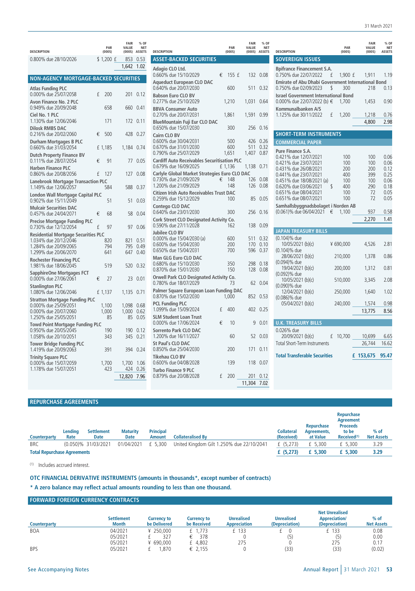| <b>DESCRIPTION</b>                                                 |   | PAR<br>(000S) | FAIR<br>VALUE<br>(000S) | % OF<br><b>NFT</b><br><b>ASSETS</b> | <b>DESCR</b>         |
|--------------------------------------------------------------------|---|---------------|-------------------------|-------------------------------------|----------------------|
| 0.800% due 28/10/2026                                              |   | \$1,200 f     | 853                     | 0.53                                | <b>ASS</b>           |
|                                                                    |   |               | 1,642                   | 1.02                                | Adao                 |
|                                                                    |   |               |                         |                                     | 0.66                 |
| <b>NON-AGENCY MORTGAGE-BACKED SECURITIES</b>                       |   |               |                         |                                     | Aque                 |
| <b>Atlas Funding PLC</b><br>0.000% due 25/07/2058                  | £ | 200           | 201                     | 0.12                                | 0.640<br><b>Babs</b> |
| <b>Avon Finance No. 2 PLC</b><br>0.949% due 20/09/2048             |   | 658           | 660                     | 0.41                                | 0.27<br>BBV/         |
| Ciel No. 1 PLC<br>1.130% due 12/06/2046                            |   | 171           | 172                     | 0.11                                | 0.270<br>Blue        |
| <b>Dilosk RMBS DAC</b><br>0.216% due 20/02/2060                    | € | 500           | 428                     | 0.27                                | 0.65(<br>Cairr       |
| <b>Durham Mortgages B PLC</b><br>0.660% due 31/03/2054             |   | £ 1,185       | 1,184                   | 0.74                                | 0.60(<br>0.670       |
| <b>Dutch Property Finance BV</b><br>0.111% due 28/07/2054          | € | 91            | 77                      | 0.05                                | 0.790<br>Card        |
| <b>Harben Finance PLC</b><br>0.860% due 20/08/2056                 | £ | 127           | 127                     | 0.08                                | 0.679<br>Carly       |
| <b>Lanebrook Mortgage Transaction PLC</b><br>1.149% due 12/06/2057 |   | 584           | 588                     | 0.37                                | 0.73(<br>1.200       |
| <b>London Wall Mortgage Capital PLC</b><br>0.902% due 15/11/2049   |   | 51            | 51                      | 0.03                                | Citiz<br>0.259       |
| <b>Mulcair Securities DAC</b><br>0.457% due 24/04/2071             | € | 68            | 58                      | 0.04                                | Cont<br>0.64(        |
| <b>Precise Mortgage Funding PLC</b><br>0.730% due 12/12/2054       | £ | 97            | 97                      | 0.06                                | Cork<br>0.590        |
| <b>Residential Mortgage Securities PLC</b>                         |   |               |                         |                                     | Jubil                |
| 1.034% due 20/12/2046                                              |   | 820           | 821                     | 0.51                                | 0.00(<br>0.60(       |
| 1.284% due 20/09/2065<br>1.299% due 20/06/2070                     |   | 794<br>641    | 795<br>647              | 0.49<br>0.40                        | 0.65(                |
| <b>Rochester Financing PLC</b>                                     |   |               |                         |                                     | Man                  |
| 1.981% due 18/06/2045<br>SapphireOne Mortgages FCT                 |   | 519           | 520                     | 0.32                                | 0.680<br>0.87(       |
| 0.000% due 27/06/2061<br><b>Stanlington PLC</b>                    | € | 27            | 23                      | 0.01                                | Orw<br>0.780         |
| 1.080% due 12/06/2046                                              |   | £ 1,137       | 1,135                   | 0.71                                | Palm<br>0.87(        |
| <b>Stratton Mortgage Funding PLC</b><br>0.000% due 25/09/2051      |   | 1,100         | 1,098                   | 0.68                                | PCL I                |
| 0.000% due 20/07/2060                                              |   | 1,000         | 1,000                   | 0.62                                | 1.099                |
| 1.250% due 25/05/2051                                              |   | 85            | 85                      | 0.05                                | <b>SLM</b>           |
| <b>Towd Point Mortgage Funding PLC</b>                             |   |               |                         |                                     | 0.00(                |
| 0.950% due 20/05/2045<br>1.058% due 20/10/2051                     |   | 190<br>343    | 190<br>345              | 0.12<br>0.21                        | Sorre<br>1.20        |
| <b>Tower Bridge Funding PLC</b><br>1.419% due 20/09/2063           |   | 391           | 394                     | 0.24                                | St Pa<br>0.850       |
| <b>Trinity Square PLC</b>                                          |   |               |                         |                                     | <b>Tikel</b>         |
| 0.000% due 15/07/2059                                              |   | 1,700         | 1,700                   | 1.06                                | 0.60(                |
| 1.178% due 15/07/2051                                              |   | 423           | 424                     | 0.26                                | Turb                 |
|                                                                    |   |               | 12,820                  | 7.96                                | 0.879                |

| <b>DESCRIPTION</b>                                                       |   | PAR<br>(000S) | FAIR<br>VALUE<br>(000S) | % OF<br><b>NET</b><br><b>ASSETS</b> |
|--------------------------------------------------------------------------|---|---------------|-------------------------|-------------------------------------|
| <b>ASSET-BACKED SECURITIES</b>                                           |   |               |                         |                                     |
| Adagio CLO Ltd.<br>0.660% due 15/10/2029                                 | € | 155f          | 132                     | 0.08                                |
| <b>Aqueduct European CLO DAC</b><br>0.640% due 20/07/2030                |   | 600           | 511                     | 0.32                                |
| <b>Babson Euro CLO BV</b><br>0.277% due 25/10/2029                       |   | 1,210         | 1,031                   | 0.64                                |
| <b>BBVA Consumer Auto</b><br>0.270% due 20/07/2031                       |   | 1,861         | 1,591                   | 0.99                                |
| <b>BlueMountain Fuji Eur CLO DAC</b><br>0.650% due 15/07/2030            |   | 300           | 256                     | 0.16                                |
| <b>Cairn CLO BV</b><br>0.600% due 30/04/2031                             |   | 500           | 426                     | 0.26                                |
| 0.670% due 31/01/2030                                                    |   | 600           | 511                     | 0.32                                |
| 0.790% due 25/07/2029                                                    |   | 1,651         | 1,407                   | 0.87                                |
| <b>Cardiff Auto Receivables Securitisation PLC</b>                       |   |               |                         |                                     |
| 0.679% due 16/09/2025                                                    |   | £ 1,136       | 1,138                   | 0.71                                |
| Carlyle Global Market Strategies Euro CLO DAC<br>0.730% due 21/09/2029   | € | 148           | 126                     | 0.08                                |
| 1.200% due 21/09/2029                                                    |   | 148           | 126                     | 0.08                                |
| <b>Citizen Irish Auto Receivables Trust DAC</b><br>0.259% due 15/12/2029 |   | 100           | 85                      | 0.05                                |
| Contego CLO DAC<br>0.640% due 23/01/2030                                 |   | 300           | 256                     | 0.16                                |
| <b>Cork Street CLO Designated Activity Co.</b><br>0.590% due 27/11/2028  |   | 162           | 138                     | 0.09                                |
| <b>Jubilee CLO BV</b>                                                    |   |               |                         |                                     |
| 0.000% due 15/04/2030 (a)<br>0.600% due 15/04/2030                       |   | 600<br>200    | 511<br>170              | 0.32<br>0.10                        |
| 0.650% due 15/04/2031                                                    |   | 700           | 596                     | 0.37                                |
| <b>Man GLG Euro CLO DAC</b>                                              |   |               |                         |                                     |
| 0.680% due 15/10/2030<br>0.870% due 15/01/2030                           |   | 350<br>150    | 298<br>128              | 0.18<br>0.08                        |
| <b>Orwell Park CLO Designated Activity Co.</b>                           |   |               |                         |                                     |
| 0.780% due 18/07/2029                                                    |   | 73            | 62                      | 0.04                                |
| Palmer Square European Loan Funding DAC<br>0.870% due 15/02/2030         |   | 1,000         | 852                     | 0.53                                |
| <b>PCL Funding PLC</b><br>1.099% due 15/09/2024                          | £ | 400           | 402                     | 0.25                                |
| <b>SLM Student Loan Trust</b><br>0.000% due 17/06/2024                   | € | 10            | 9                       | 0.01                                |
| <b>Sorrento Park CLO DAC</b><br>1.200% due 16/11/2027                    |   | 60            | 52                      | 0.03                                |
| <b>St Paul's CLO DAC</b><br>0.850% due 25/04/2030                        |   | 200           | 171                     | 0.11                                |
| <b>Tikehau CLO BV</b><br>0.600% due 04/08/2028                           |   | 139           | 118                     | 0.07                                |
| <b>Turbo Finance 9 PLC</b>                                               |   |               |                         |                                     |
| 0.879% due 20/08/2028                                                    | £ | 200           | 201                     | 0.12                                |
|                                                                          |   |               | 11,304                  | 7.02                                |

| Ś | <b>DESCRIPTION</b>                                                                                                                  | PAR<br>(000S)                   | FAIR<br>VALUE<br>(000S)       | % OF<br><b>NET</b><br><b>ASSETS</b>  |
|---|-------------------------------------------------------------------------------------------------------------------------------------|---------------------------------|-------------------------------|--------------------------------------|
|   | <b>SOVEREIGN ISSUES</b>                                                                                                             |                                 |                               |                                      |
|   | <b>Bpifrance Financement S.A.</b><br>0.750% due 22/07/2022<br>£<br>Emirate of Abu Dhabi Government International Bond               | 1,900 f                         | 1,911                         | 1.19                                 |
|   | 0.750% due 02/09/2023<br>\$<br><b>Israel Government International Bond</b><br>0.000% due 22/07/2022 (b) €                           | 300<br>1.700                    | 218<br>1.453                  | 0.13<br>0.90                         |
|   | Kommunalbanken A/S<br>1.125% due 30/11/2022<br>£                                                                                    | 1,200                           | 1,218                         | 0.76                                 |
|   |                                                                                                                                     |                                 | 4,800                         | 2.98                                 |
|   | <b>SHORT-TERM INSTRUMENTS</b>                                                                                                       |                                 |                               |                                      |
|   | <b>COMMERCIAL PAPER</b>                                                                                                             |                                 |                               |                                      |
|   | Pure Finance S.A.<br>0.421% due 12/07/2021<br>0.421% due 23/07/2021<br>0.431% due 26/08/2021                                        | 100<br>100<br>200               | 100<br>100<br>200             | 0.06<br>0.06<br>0.12                 |
|   | 0.441% due 23/07/2021<br>0.451% due 18/08/2021 (a)<br>0.620% due 03/06/2021<br>\$<br>0.651% due 08/04/2021<br>0.651% due 08/07/2021 | 400<br>100<br>400<br>100<br>100 | 399<br>100<br>290<br>72<br>72 | 0.25<br>0.06<br>0.18<br>0.05<br>0.05 |
|   | Samhallsbyggnadsbolaget i Norden AB<br>(0.061)% due 06/04/2021<br>€                                                                 | 1,100                           | 937                           | 0.58                                 |
|   |                                                                                                                                     |                                 | 2,270                         | 1.41                                 |
|   | <b>JAPAN TREASURY BILLS</b>                                                                                                         |                                 |                               |                                      |
|   | (0.104)% due<br>10/05/2021 (b)(c)<br>(0.104)% due                                                                                   | ¥ 690,000                       | 4,526                         | 2.81                                 |
|   | 28/06/2021 (b)(c)                                                                                                                   | 210,000                         | 1,378                         | 0.86                                 |
|   | (0.094)% due<br>19/04/2021 (b)(c)<br>(0.092)% due                                                                                   | 200,000                         | 1,312                         | 0.81                                 |
|   | 10/05/2021 (b)(c)<br>(0.090)% due                                                                                                   | 510,000                         | 3.345                         | 2.08                                 |
|   | 12/04/2021 (b)(c)<br>(0.086)% due                                                                                                   | 250,000                         | 1,640                         | 1.02                                 |
|   | 05/04/2021 (b)(c)                                                                                                                   | 240,000                         | 1,574<br>13,775               | 0.98<br>8.56                         |
|   | <b>U.K. TREASURY BILLS</b>                                                                                                          |                                 |                               |                                      |
|   | 0.026% due                                                                                                                          |                                 |                               |                                      |
|   | 20/09/2021 (b)(c)<br>£                                                                                                              | 10,700                          | 10,699                        | 6.65                                 |
|   | <b>Total Short-Term Instruments</b>                                                                                                 |                                 | 26,744                        | 16.62                                |
|   | <b>Total Transferable Securities</b>                                                                                                |                                 | £<br>153,675                  | 95.47                                |
|   |                                                                                                                                     |                                 |                               |                                      |

## **REPURCHASE AGREEMENTS**

| <b>Counterparty</b>                | Lendina<br>Rate | <b>Settlement</b><br><b>Date</b> | <b>Maturity</b><br><b>Date</b> | Principal<br><b>Amount</b> | <b>Collateralised By</b>                  | <b>Collateral</b><br>(Received) | Repurchase<br>Agreements,<br>at Value | Repurchase<br>Agreement<br><b>Proceeds</b><br>to be<br>Received <sup>(1)</sup> | $%$ of<br><b>Net Assets</b> |
|------------------------------------|-----------------|----------------------------------|--------------------------------|----------------------------|-------------------------------------------|---------------------------------|---------------------------------------|--------------------------------------------------------------------------------|-----------------------------|
| <b>BRC</b>                         |                 | (0.050)% 31/03/2021              | 01/04/2021                     | £ 5.300                    | United Kingdom Gilt 1.250% due 22/10/2041 | f(5.273)                        | £ 5.300                               | £ 5.300                                                                        | 3.29                        |
| <b>Total Repurchase Agreements</b> |                 |                                  |                                |                            |                                           | £ (5,273)                       | £ 5,300                               | £ 5.300                                                                        | 3.29                        |

(1) Includes accrued interest.

### **OTC FINANCIAL DERIVATIVE INSTRUMENTS (amounts in thousands\*, except number of contracts)**

**\* A zero balance may reflect actual amounts rounding to less than one thousand.**

## **FORWARD FOREIGN CURRENCY CONTRACTS**

| Counterparty | <b>Settlement</b><br><b>Month</b> | <b>Currency to</b><br>be Delivered | <b>Currency to</b><br>be Received | <b>Unrealised</b><br><b>Appreciation</b> | <b>Unrealised</b><br>(Depreciation) | <b>Net Unrealised</b><br>Appreciation/<br>(Depreciation) | $%$ of<br><b>Net Assets</b> |
|--------------|-----------------------------------|------------------------------------|-----------------------------------|------------------------------------------|-------------------------------------|----------------------------------------------------------|-----------------------------|
| BOA          | 04/2021                           | ¥ 250.000                          | 1.773                             | £ 133                                    |                                     | . 133                                                    | 0.08                        |
|              | 05/2021                           | 327                                | 378                               |                                          | (5)                                 | (5)                                                      | 0.00                        |
|              | 05/2021                           | ¥ 690.000                          | 4.802                             | 275                                      |                                     | 275                                                      | 0.17                        |
| <b>BPS</b>   | 05/2021                           | .870                               | € 2.155                           |                                          | (33)                                | (33)                                                     | (0.02)                      |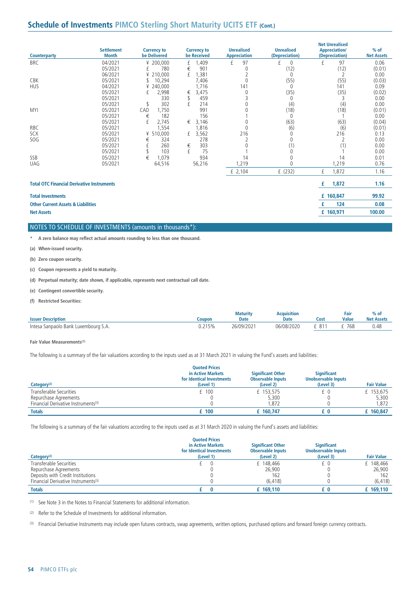## **Schedule of Investments PIMCO Sterling Short Maturity UCITS ETF (Cont.)**

| Counterparty                                      | <b>Settlement</b><br><b>Month</b> | <b>Currency to</b><br>be Delivered | <b>Currency to</b><br>be Received | <b>Unrealised</b><br><b>Appreciation</b> | <b>Unrealised</b><br>(Depreciation) | <b>Net Unrealised</b><br><b>Appreciation/</b><br>(Depreciation) | $%$ of<br><b>Net Assets</b> |
|---------------------------------------------------|-----------------------------------|------------------------------------|-----------------------------------|------------------------------------------|-------------------------------------|-----------------------------------------------------------------|-----------------------------|
| <b>BRC</b>                                        | 04/2021<br>05/2021                | ¥ 200,000<br>780<br>£              | 1,409<br>£<br>€<br>901            | 97<br>£<br>$\mathbf{0}$                  | £<br>$\theta$<br>(12)               | 97<br>£<br>(12)                                                 | 0.06<br>(0.01)              |
|                                                   | 06/2021                           | ¥ 210,000                          | £<br>1,381                        | $\overline{2}$                           | $\theta$                            | 2                                                               | 0.00                        |
| <b>CBK</b>                                        | 05/2021                           | 10,294                             | 7,406                             | $\Omega$                                 | (55)                                | (55)                                                            | (0.03)                      |
| <b>HUS</b>                                        | 04/2021                           | ¥<br>240,000                       | 1,716                             | 141                                      | 0                                   | 141                                                             | 0.09                        |
|                                                   | 05/2021                           | 2,998<br>£                         | 3,475<br>€                        | $\mathbf{0}$                             | (35)                                | (35)                                                            | (0.02)                      |
|                                                   | 05/2021                           | 330                                | \$<br>459                         | 3                                        | $\Omega$                            | 3                                                               | 0.00                        |
|                                                   | 05/2021                           | \$<br>302                          | £<br>214                          | $\mathbf{0}$                             | (4)                                 | (4)                                                             | 0.00                        |
| <b>MYI</b>                                        | 05/2021                           | CAD<br>1,750                       | 991                               |                                          | (18)                                | (18)                                                            | (0.01)                      |
|                                                   | 05/2021                           | 182<br>€                           | 156                               |                                          | $\Omega$                            |                                                                 | 0.00                        |
|                                                   | 05/2021<br>05/2021                | £<br>2,745                         | 3,146<br>€                        | $\mathbf{0}$                             | (63)                                | (63)                                                            | (0.04)                      |
| RBC<br>SCX                                        | 05/2021                           | 1,554<br>¥ 510,000                 | 1,816<br>3,562<br>£               | 216                                      | (6)<br>0                            | (6)<br>216                                                      | (0.01)<br>0.13              |
| SOG                                               | 05/2021                           | 324<br>€                           | 278                               | 2                                        | 0                                   | 2                                                               | 0.00                        |
|                                                   | 05/2021                           | £<br>260                           | 303<br>€                          | $\theta$                                 | (1)                                 | (1)                                                             | 0.00                        |
|                                                   | 05/2021                           | 103                                | £<br>75                           |                                          | 0                                   |                                                                 | 0.00                        |
| SSB                                               | 05/2021                           | €<br>1,079                         | 934                               | 14                                       | 0                                   | 14                                                              | 0.01                        |
| <b>UAG</b>                                        | 05/2021                           | 64,516                             | 56,216                            | 1,219                                    | 0                                   | 1,219                                                           | 0.76                        |
|                                                   |                                   |                                    |                                   | £ 2,104                                  | £ (232)                             | 1,872<br>£                                                      | 1.16                        |
| <b>Total OTC Financial Derivative Instruments</b> |                                   |                                    |                                   |                                          |                                     | 1,872<br>£                                                      | 1.16                        |
| <b>Total Investments</b>                          |                                   |                                    |                                   |                                          |                                     | £ 160,847                                                       | 99.92                       |
| <b>Other Current Assets &amp; Liabilities</b>     |                                   |                                    |                                   |                                          |                                     | 124<br>£                                                        | 0.08                        |
| <b>Net Assets</b>                                 |                                   |                                    |                                   |                                          |                                     | £ 160,971                                                       | 100.00                      |
|                                                   |                                   |                                    |                                   |                                          |                                     |                                                                 |                             |

## NOTES TO SCHEDULE OF INVESTMENTS (amounts in thousands\*):

**\* A zero balance may reflect actual amounts rounding to less than one thousand.**

- **(a) When-issued security.**
- **(b) Zero coupon security.**

**(c) Coupon represents a yield to maturity.**

**(d) Perpetual maturity; date shown, if applicable, represents next contractual call date.**

**(e) Contingent convertible security.**

**(f) Restricted Securities:**

|                                      |        | <b>Maturity</b> | <b>Acquisition</b> |      | Fair             | $%$ ot            |
|--------------------------------------|--------|-----------------|--------------------|------|------------------|-------------------|
| <b>Issuer Description</b>            | Coupon | <b>Date</b>     | Date               | Cost | <b>Value</b>     | <b>Net Assets</b> |
| Intesa Sanpaolo Bank Luxembourg S.A. | 0.215% | 26/09/2021      | 06/08/2020         | £ 81 | <sup>-</sup> 768 | 0.48              |

**Fair Value Measurements(1)**

The following is a summary of the fair valuations according to the inputs used as at 31 March 2021 in valuing the Fund's assets and liabilities:

|                                                 | <b>Ouoted Prices</b><br>in Active Markets<br>for Identical Investments | <b>Significant Other</b><br><b>Observable Inputs</b> | <b>Significant</b><br><b>Unobservable Inputs</b> |                   |
|-------------------------------------------------|------------------------------------------------------------------------|------------------------------------------------------|--------------------------------------------------|-------------------|
| Category <sup>(2)</sup>                         | (Level 1)                                                              | (Level 2)                                            | (Level 3)                                        | <b>Fair Value</b> |
| Transferable Securities                         | £100                                                                   | £ 153.575                                            |                                                  | £ 153.675         |
| Repurchase Agreements                           |                                                                        | 5,300                                                |                                                  | 5,300             |
| Financial Derivative Instruments <sup>(3)</sup> |                                                                        | 1.872                                                |                                                  | 1.872             |
| <b>Totals</b>                                   | £ 100                                                                  | £ 160,747                                            |                                                  | £ 160,847         |

The following is a summary of the fair valuations according to the inputs used as at 31 March 2020 in valuing the Fund's assets and liabilities:

| <b>Ouoted Prices</b>                            |                                        |                                       |                                         |                   |  |  |
|-------------------------------------------------|----------------------------------------|---------------------------------------|-----------------------------------------|-------------------|--|--|
|                                                 | in Active Markets                      | <b>Significant Other</b>              | <b>Significant</b>                      |                   |  |  |
| Category <sup>(2)</sup>                         | for Identical Investments<br>(Level 1) | <b>Observable Inputs</b><br>(Level 2) | <b>Unobservable Inputs</b><br>(Level 3) | <b>Fair Value</b> |  |  |
| Transferable Securities                         |                                        | £ 148.466                             |                                         | £ 148.466         |  |  |
| Repurchase Agreements                           |                                        | 26,900                                |                                         | 26.900            |  |  |
| Deposits with Credit Institutions               |                                        | 162                                   |                                         | 162               |  |  |
| Financial Derivative Instruments <sup>(3)</sup> |                                        | (6, 418)                              |                                         | (6, 418)          |  |  |
| <b>Totals</b>                                   |                                        | £ 169,110                             |                                         | £ 169,110         |  |  |

(1) See Note 3 in the Notes to Financial Statements for additional information.

(2) Refer to the Schedule of Investments for additional information.

(3) Financial Derivative Instruments may include open futures contracts, swap agreements, written options, purchased options and forward foreign currency contracts.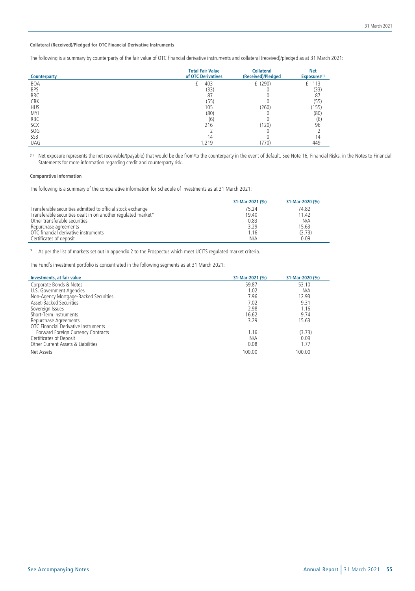### **Collateral (Received)/Pledged for OTC Financial Derivative Instruments**

The following is a summary by counterparty of the fair value of OTC financial derivative instruments and collateral (received)/pledged as at 31 March 2021:

|              | <b>Total Fair Value</b><br>of OTC Derivatives | <b>Collateral</b>  | <b>Net</b>               |
|--------------|-----------------------------------------------|--------------------|--------------------------|
| Counterparty |                                               | (Received)/Pledged | Exposures <sup>(1)</sup> |
| <b>BOA</b>   | 403<br>£                                      | £ (290)            | 113<br>£.                |
| <b>BPS</b>   | (33)                                          |                    | (33)                     |
| <b>BRC</b>   | 87                                            |                    | 87                       |
| <b>CBK</b>   | (55)                                          |                    | (55)                     |
| <b>HUS</b>   | 105                                           | (260)              | (155)                    |
| <b>MYI</b>   | (80)                                          |                    | (80)                     |
| <b>RBC</b>   | (6)                                           |                    | (6)                      |
| <b>SCX</b>   | 216                                           | (120)              | 96                       |
| SOG          |                                               |                    |                          |
| SSB          | 14                                            |                    | 14                       |
| <b>UAG</b>   | 1,219                                         | (770)              | 449                      |

(1) Net exposure represents the net receivable/(payable) that would be due from/to the counterparty in the event of default. See Note 16, Financial Risks, in the Notes to Financial Statements for more information regarding credit and counterparty risk.

#### **Comparative Information**

The following is a summary of the comparative information for Schedule of Investments as at 31 March 2021:

|                                                               | 31-Mar-2021 (%) | 31-Mar-2020 (%) |
|---------------------------------------------------------------|-----------------|-----------------|
| Transferable securities admitted to official stock exchange   | 75.24           | 74.82           |
| Transferable securities dealt in on another regulated market* | 19.40           | 11.42           |
| Other transferable securities                                 | 0.83            | N/A             |
| Repurchase agreements                                         | 3.29            | 15.63           |
| OTC financial derivative instruments                          | 1.16            | (3.73)          |
| Certificates of deposit                                       | N/A             | 0.09            |

\* As per the list of markets set out in appendix 2 to the Prospectus which meet UCITS regulated market criteria.

The Fund's investment portfolio is concentrated in the following segments as at 31 March 2021:

| Investments, at fair value            | 31-Mar-2021 (%) | 31-Mar-2020 (%) |
|---------------------------------------|-----------------|-----------------|
| Corporate Bonds & Notes               | 59.87           | 53.10           |
| U.S. Government Agencies              | 1.02            | N/A             |
| Non-Agency Mortgage-Backed Securities | 7.96            | 12.93           |
| Asset-Backed Securities               | 7.02            | 9.31            |
| Sovereign Issues                      | 2.98            | 1.16            |
| Short-Term Instruments                | 16.62           | 9.74            |
| Repurchase Agreements                 | 3.29            | 15.63           |
| OTC Financial Derivative Instruments  |                 |                 |
| Forward Foreign Currency Contracts    | 1.16            | (3.73)          |
| Certificates of Deposit               | N/A             | 0.09            |
| Other Current Assets & Liabilities    | 0.08            | 1.77            |
| Net Assets                            | 100.00          | 100.00          |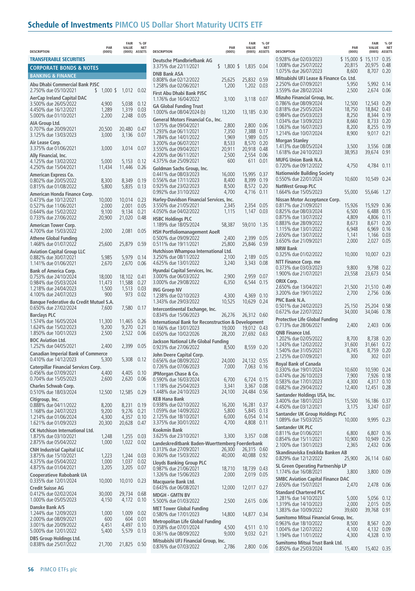## **Schedule of Investments PIMCO US Dollar Short Maturity UCITS ETF**

**FAIR VALUE (000S) % OF NET ASSETS**

\$ 15,000 \$ 15,117 0.35<br>20,815 20,975 0.48 1.008% due 25/07/2022 20,815 20,975 0.48 8,707 0.20

> 5,950 5,992 0.14<br>2,500 2,674 0.06 2,674 0.06

0.786% due 08/09/2024 12,500 12,543 0.29 18,842 0.43 8,250 8,344 0.19<br>8.660 8.733 0.20 8,660 8,733 0.20<br>8,200 8,255 0.19 8,255 0.19 8,900 9,017 0.21

1.500 3,556 0.08<br>38,953 39,674 0.91 1.618% due 24/10/2023 38,953 39,674 0.91

4,750 4,784 0.11

10,600 10,549 0.24

55,000 55,646 1.27

15,926 15,929 0.36<br>6.500 6.488 0.15 6,500 6,488 0.15<br>4,809 4,806 0.11 4,806 0.11

8,673 8,671 0.20<br>6,948 6,969 0.16 6,948 6,969 0.16<br>1,141 1,166 0.03 1,141 1,166 0.03<br>2.000 2.027 0.05  $2,027$  0.05

10,000 10,007 0.23

0.373% due 03/03/2023 9,800 9,798 0.22 23,673 0.54

2.650% due 13/04/2021 21,500 21,510 0.49 2,756 0.06

25,150 25,204 0.58<br>34,000 34,046 0.78 34,046 0.78

2,400 2,403 0.06

8,700 8,738 0.20<br>31,600 31,661 0.72 1,600 31,661 0.72<br>8,745 8,759 0.20 1.540% due 31/05/2021 8,745 8,759 0.20  $302$  0.01

0.600 10,590 0.24<br>7,900 7,926 0.18 7,900 7,926 0.18<br>4.300 4.317 0.10 4,300 4,317 0.10<br>12,400 12,451 0.28 12,451 0.28

15,500 16,186 0.37 3,175 3,247 0.07

0.800 6,807 0.16<br>10,900 10,949 0.25 0.854% due 15/11/2021 10,900 10,949 0.25 2,432 0.06

9,995 0.23

26,114 0.60

3,800 0.09

2,478 0.06

1.000 5,056 0.12<br>2,000 2,015 0.05 2,000 2,015 0.05<br>39,600 39,768 0.91 39,768 0.91

8,500 8,567 0.20<br>4,100 4,132 0.09 4,100 4,132 0.09<br>4,300 4,328 0.10 4,328 0.10

15,400 15,402 0.35

|                                                                    | PAR             | FAIR<br>VALUE             | % OF<br><b>NET</b> |                                                                                         | PAR             | FAIR<br>VALUE             | % OF<br><b>NET</b> |                                                                   | PAR                |
|--------------------------------------------------------------------|-----------------|---------------------------|--------------------|-----------------------------------------------------------------------------------------|-----------------|---------------------------|--------------------|-------------------------------------------------------------------|--------------------|
| <b>DESCRIPTION</b>                                                 | (000S)          |                           | (000S) ASSETS      | <b>DESCRIPTION</b>                                                                      | (000S)          |                           | (000S) ASSETS      | <b>DESCRIPTION</b>                                                | (000S)             |
| <b>TRANSFERABLE SECURITIES</b>                                     |                 |                           |                    | Deutsche Pfandbriefbank AG                                                              |                 |                           |                    | 0.928% due 02/03/2023<br>1.008% due 25/07/2022                    | \$15,000<br>20,815 |
| <b>CORPORATE BONDS &amp; NOTES</b><br><b>BANKING &amp; FINANCE</b> |                 |                           |                    | 3.375% due 22/11/2021<br><b>DNB Bank ASA</b>                                            | $$1,800$ \$     | 1,835 0.04                |                    | 1.075% due 26/07/2023                                             | 8,600              |
| <b>Abu Dhabi Commercial Bank PJSC</b>                              |                 |                           |                    | 0.808% due 02/12/2022                                                                   | 25,625          | 25,832                    | 0.59               | Mitsubishi UFJ Lease & Finance Co. Ltd.<br>2.250% due 07/09/2021  | 5,950              |
| 2.750% due 05/10/2021                                              | $$1,000$ \$     | 1,012                     | 0.02               | 1.258% due 02/06/2021<br>First Abu Dhabi Bank PJSC                                      | 1,200           | 1,202                     | 0.03               | 3.559% due 28/02/2024                                             | 2,500              |
| <b>AerCap Ireland Capital DAC</b><br>3.500% due 26/05/2022         | 4,900           | 5,038                     | 0.12               | 1.176% due 16/04/2022                                                                   | 3,100           | 3,118                     | 0.07               | Mizuho Financial Group, Inc.<br>0.786% due 08/09/2024             | 12,500             |
| 4.450% due 16/12/2021                                              | 1,289           | 1,319                     | 0.03               | <b>GA Global Funding Trust</b><br>1.000% due 08/04/2024 (b)                             | 13,200          | 13,185 0.30               |                    | 0.818% due 25/05/2024                                             | 18,750             |
| 5.000% due 01/10/2021                                              | 2,200           | 2,248                     | 0.05               | General Motors Financial Co., Inc.                                                      |                 |                           |                    | 0.984% due 05/03/2023                                             | 8,250              |
| AIA Group Ltd.<br>0.707% due 20/09/2021                            |                 |                           |                    | 1.075% due 09/04/2021                                                                   | 2,800           | 2,800 0.06                |                    | 1.034% due 13/09/2023<br>1.063% due 16/07/2023                    | 8,660<br>8,200     |
| 3.125% due 13/03/2023                                              | 20,500<br>3,000 | 20,480<br>3,136           | 0.47<br>0.07       | 1.293% due 06/11/2021                                                                   | 7,350           | 7,388 0.17                |                    | 1.214% due 10/07/2024                                             | 8,900              |
| Air Lease Corp.                                                    |                 |                           |                    | 1.784% due 14/01/2022<br>3.200% due 06/07/2021                                          | 1,969<br>8,533  | 1,989<br>8,570            | 0.05<br>0.20       | <b>Morgan Stanley</b>                                             |                    |
| 3.375% due 01/06/2021                                              | 3,000           | 3,014                     | 0.07               | 3.550% due 09/04/2021                                                                   | 20,911          | 20,918                    | 0.48               | 1.413% due 08/05/2024<br>1.618% due 24/10/2023                    | 3,500<br>38,953    |
| Ally Financial, Inc.                                               |                 |                           |                    | 4.200% due 06/11/2021                                                                   | 2,500           | 2,554                     | 0.06               | <b>MUFG Union Bank N.A.</b>                                       |                    |
| 4.125% due 13/02/2022<br>4.250% due 15/04/2021                     | 5,000<br>11,434 | 5,153<br>11,446           | 0.12<br>0.26       | 4.375% due 25/09/2021<br>Goldman Sachs Group, Inc.                                      | 600             | 611                       | 0.01               | 0.720% due 09/12/2022                                             | 4,750              |
| American Express Co.                                               |                 |                           |                    | 0.441% due 08/03/2023                                                                   | 16,000          | 15,995                    | 0.37               | <b>Nationwide Building Society</b>                                |                    |
| 0.802% due 20/05/2022                                              | 8,300           | 8,349                     | 0.19               | 0.556% due 17/11/2023                                                                   | 8,400           | 8,399                     | 0.19               | 0.550% due 22/01/2024                                             | 10,600             |
| 0.815% due 01/08/2022                                              | 5,800           | 5,835                     | 0.13               | 0.925% due 23/02/2023<br>0.992% due 31/10/2022                                          | 8.500<br>4,700  | 8,572<br>4,716            | 0.20<br>0.11       | <b>NatWest Group PLC</b><br>1.664% due 15/05/2023                 | 55,000             |
| American Honda Finance Corp.<br>0.473% due 10/12/2021              | 10,000          | 10,014                    | 0.23               | Harley-Davidson Financial Services, Inc.                                                |                 |                           |                    | Nissan Motor Acceptance Corp.                                     |                    |
| 0.527% due 11/06/2021                                              | 2,000           | 2,001                     | 0.05               | 3.550% due 21/05/2021                                                                   | 2,345           | 2,354                     | 0.05               | 0.817% due 21/09/2021                                             | 15,926             |
| 0.644% due 15/02/2022                                              | 9,100           | 9,134                     | 0.21               | 4.050% due 04/02/2022                                                                   | 1,115           | 1,147 0.03                |                    | 0.825% due 08/03/2024                                             | 6,500              |
| 0.733% due 27/06/2022                                              | 20,900          | 21,020                    | 0.48               | <b>HSBC Holdings PLC</b>                                                                |                 |                           |                    | 0.875% due 13/07/2022<br>0.883% due 28/09/2022                    | 4,809<br>8,673     |
| <b>American Tower Corp.</b><br>4.700% due 15/03/2022               | 2,000           | 2,081                     | 0.05               | 1.189% due 18/05/2024<br><b>HSH Portfoliomanagement AoeR</b>                            | 58,387          | 59,010 1.35               |                    | 1.115% due 13/01/2022                                             | 6,948              |
| <b>Athene Global Funding</b>                                       |                 |                           |                    | 0.500% due 09/09/2022                                                                   | 2,400           | 2,399                     | 0.05               | 2.650% due 13/07/2022                                             | 1,141              |
| 1.468% due 01/07/2022                                              | 25,600          | 25,879                    | 0.59               | 0.511% due 19/11/2021                                                                   | 25,800          | 25,846                    | 0.59               | 3.650% due 21/09/2021                                             | 2,000              |
| <b>Aviation Capital Group LLC</b>                                  |                 |                           |                    | Hutchison Whampoa International Ltd.                                                    |                 |                           |                    | <b>NRW Bank</b><br>0.325% due 01/02/2022                          | 10,000             |
| 0.882% due 30/07/2021<br>1.141% due 01/06/2021                     | 5,985<br>2,670  | 5,979<br>2,670            | 0.14<br>0.06       | 3.250% due 08/11/2022<br>4.625% due 13/01/2022                                          | 2,100<br>3,240  | 2,189<br>3,343            | 0.05<br>0.08       | <b>NTT Finance Corp. me</b>                                       |                    |
| <b>Bank of America Corp.</b>                                       |                 |                           |                    | Hyundai Capital Services, Inc.                                                          |                 |                           |                    | 0.373% due 03/03/2023                                             | 9,800              |
| 0.753% due 24/10/2024                                              | 18,000          | 18,102                    | 0.41               | 3.000% due 06/03/2022                                                                   | 2.900           | 2,959                     | 0.07               | 1.900% due 21/07/2021                                             | 23,558             |
| 0.984% due 05/03/2024                                              | 11,473          | 11,588                    | 0.27               | 3.000% due 29/08/2022                                                                   | 6,350           | 6,544                     | 0.15               | ORIX Corp.<br>2.650% due 13/04/2021                               | 21,500             |
| 1.218% due 24/04/2023<br>4.100% due 24/07/2023                     | 1,500<br>900    | 1,513<br>973              | 0.03<br>0.02       | <b>ING Groep NV</b><br>1.238% due 02/10/2023                                            | 4,300           | 4,369                     | 0.10               | 3.200% due 19/01/2022                                             | 2,700              |
| Banque Federative du Credit Mutuel S.A.                            |                 |                           |                    | 1.343% due 29/03/2022                                                                   | 10,525          | 10,629                    | 0.24               | PNC Bank N.A.                                                     |                    |
| 0.650% due 27/02/2024                                              | 7.600           | 7,580                     | 0.17               | Intercontinental Exchange, Inc.                                                         |                 |                           |                    | 0.501% due 24/02/2023<br>0.672% due 22/07/2022                    | 25,150<br>34,000   |
| <b>Barclays PLC</b><br>1.574% due 16/05/2024                       | 11.300          | 11,465                    | 0.26               | 0.834% due 15/06/2023                                                                   | 26,276          | 26,312 0.60               |                    | <b>Protective Life Global Funding</b>                             |                    |
| 1.624% due 15/02/2023                                              | 9,200           | 9,270                     | 0.21               | <b>International Bank for Reconstruction &amp; Development</b><br>0.166% due 13/01/2023 | 19,000          | 19,012 0.43               |                    | 0.713% due 28/06/2021                                             | 2,400              |
| 1.850% due 10/01/2023                                              | 2,500           | 2,522                     | 0.06               | 0.650% due 10/02/2026                                                                   | 28,200          | 27,692 0.63               |                    | <b>ONB Finance Ltd.</b>                                           |                    |
| <b>BOC Aviation Ltd.</b><br>1.252% due 04/05/2021                  |                 |                           |                    | Jackson National Life Global Funding                                                    |                 |                           |                    | 1.202% due 02/05/2022<br>1.243% due 12/02/2022                    | 8,700<br>31,600    |
| <b>Canadian Imperial Bank of Commerce</b>                          | 2,400           | 2,399                     | 0.05               | 0.923% due 27/06/2022                                                                   | 8,500           | 8,559 0.20                |                    | 1.540% due 31/05/2021                                             | 8,745              |
| 0.410% due 14/12/2023                                              | 5,300           | 5,308                     | 0.12               | John Deere Capital Corp.<br>0.656% due 08/09/2022                                       | 24,000          | 24,132 0.55               |                    | 2.125% due 07/09/2021                                             | 300                |
| <b>Caterpillar Financial Services Corp.</b>                        |                 |                           |                    | 0.726% due 07/06/2023                                                                   | 7,000           | 7,063 0.16                |                    | <b>Royal Bank of Canada</b><br>0.330% due 19/01/2024              | 10,600             |
| 0.456% due 07/09/2021                                              | 4,400           | 4,405                     | 0.10               | JPMorgan Chase & Co.                                                                    |                 |                           |                    | 0.474% due 26/10/2023                                             | 7,900              |
| 0.704% due 15/05/2023<br><b>Charles Schwab Corp.</b>               | 2,600           | 2,620                     | 0.06               | 0.590% due 16/03/2024<br>1.118% due 25/04/2023                                          | 6,700<br>3,341  | 6,724 0.15<br>3,367 0.08  |                    | 0.583% due 17/01/2023                                             | 4,300              |
| 0.510% due 18/03/2024                                              | 12,500          | 12,585                    | 0.29               | 1.448% due 24/10/2023                                                                   | 24,100          | 24,484 0.56               |                    | 0.682% due 29/04/2022<br>Santander Holdings USA, Inc.             | 12,400             |
| Citigroup, Inc.                                                    |                 |                           |                    | <b>KEB Hana Bank</b>                                                                    |                 |                           |                    | 3.400% due 18/01/2023                                             | 15,500             |
| 0.888% due 04/11/2022<br>1.168% due 24/07/2023                     | 8,200<br>9,200  | 8,231<br>9,276            | 0.19<br>0.21       | 0.938% due 02/10/2022<br>1.059% due 14/09/2022                                          | 16,200<br>5,800 | 16,281 0.37<br>5,845 0.13 |                    | 4.450% due 03/12/2021                                             | 3,175              |
| 1.214% due 01/06/2024                                              | 4,300           | 4,357                     | 0.10               | 2.125% due 18/10/2021                                                                   | 6,000           | 6,054 0.14                |                    | Santander UK Group Holdings PLC<br>1.089% due 15/03/2025          | 10,000             |
| 1.621% due 01/09/2023                                              | 20,300          | 20,628                    | 0.47               | 3.375% due 30/01/2022                                                                   | 4,700           | 4,808 0.11                |                    | Santander UK PLC                                                  |                    |
| <b>CK Hutchison International Ltd.</b><br>1.875% due 03/10/2021    |                 |                           |                    | <b>Kookmin Bank</b><br>3.625% due 23/10/2021                                            | 3,300           | 3,357 0.08                |                    | 0.811% due 01/06/2021                                             | 6,800              |
| 2.875% due 05/04/2022                                              | 1,248<br>1,000  | 1,255<br>1,022            | 0.03<br>0.02       | Landeskreditbank Baden-Wuerttemberg Foerderbank                                         |                 |                           |                    | 0.854% due 15/11/2021                                             | 10,900             |
| <b>CNH Industrial Capital LLC</b>                                  |                 |                           |                    | 0.313% due 27/09/2021                                                                   | 26,300          | 26,315 0.60               |                    | 2.100% due 13/01/2023<br>Skandinaviska Enskilda Banken AB         | 2,365              |
| 3.875% due 15/10/2021                                              | 1,223           | 1,244                     | 0.03               | 0.360% due 15/03/2022                                                                   | 40,000          | 40,088 0.92               |                    | 0.829% due 12/12/2022                                             | 25,900             |
| 4.375% due 05/04/2022<br>4.875% due 01/04/2021                     | 1,000<br>3,205  | 1,037<br>3,205            | 0.02<br>0.07       | <b>Lloyds Banking Group PLC</b><br>0.987% due 21/06/2021                                | 18,710          | 18,739 0.43               |                    | <b>SL Green Operating Partnership LP</b>                          |                    |
| <b>Cooperatieve Rabobank UA</b>                                    |                 |                           |                    | 1.326% due 15/06/2023                                                                   | 2,000           | 2,019 0.05                |                    | 1.174% due 16/08/2021                                             | 3,800              |
| 0.335% due 12/01/2024                                              | 10,000          | 10,010                    | 0.23               | <b>Macquarie Bank Ltd.</b>                                                              |                 |                           |                    | <b>SMBC Aviation Capital Finance DAC</b><br>2.650% due 15/07/2021 | 2,470              |
| <b>Credit Suisse AG</b>                                            |                 |                           |                    | 0.643% due 06/08/2021                                                                   | 12,000          | 12,017 0.27               |                    | <b>Standard Chartered PLC</b>                                     |                    |
| 0.412% due 02/02/2024<br>1.000% due 05/05/2023                     | 30,000<br>4,150 | 29,734 0.68<br>4,172 0.10 |                    | <b>MDGH - GMTN BV</b><br>5.500% due 01/03/2022                                          | 2,500           | 2,615 0.06                |                    | 1.281% due 14/10/2023                                             | 5,000              |
| Danske Bank A/S                                                    |                 |                           |                    | <b>MET Tower Global Funding</b>                                                         |                 |                           |                    | 1.319% due 14/10/2023                                             | 2,000<br>39,600    |
| 1.244% due 12/09/2023                                              | 1,000           | 1,009                     | 0.02               | 0.580% due 17/01/2023                                                                   | 14,800          | 14,877 0.34               |                    | 1.383% due 10/09/2022<br>Sumitomo Mitsui Financial Group, Inc.    |                    |
| 2.000% due 08/09/2021<br>3.001% due 20/09/2022                     | 600<br>4,451    | 4,497                     | 604 0.01<br>0.10   | <b>Metropolitan Life Global Funding</b>                                                 |                 |                           |                    | 0.963% due 18/10/2022                                             | 8,500              |
| 5.000% due 12/01/2022                                              | 5,400           | 5,579                     | 0.13               | 0.358% due 07/01/2024<br>0.361% due 08/09/2022                                          | 4,500<br>9,000  | 4,511 0.10<br>9,032 0.21  |                    | 1.004% due 12/07/2022                                             | 4,100              |
| <b>DBS Group Holdings Ltd.</b>                                     |                 |                           |                    | Mitsubishi UFJ Financial Group, Inc.                                                    |                 |                           |                    | 1.194% due 11/01/2022<br>Sumitomo Mitsui Trust Bank Ltd.          | 4,300              |
| 0.838% due 25/07/2022                                              | 21,700          | 21,825                    | 0.50               | 0.876% due 07/03/2022                                                                   | 2,786           | 2,800 0.06                |                    | 0.850% due 25/03/2024                                             | 15,400             |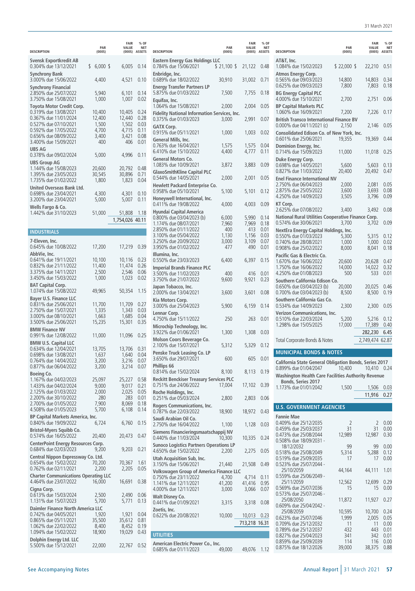| <b>DESCRIPTION</b>                                                   | PAR<br>(000S)    | FAIR<br>VALUE   | % OF<br><b>NET</b><br>(000S) ASSETS |
|----------------------------------------------------------------------|------------------|-----------------|-------------------------------------|
| <b>Svensk Exportkredit AB</b>                                        |                  |                 |                                     |
| 0.304% due 13/12/2021<br><b>Synchrony Bank</b>                       | \$<br>$6,000$ \$ | 6,005           | 0.14                                |
| 3.000% due 15/06/2022<br><b>Synchrony Financial</b>                  | 4,400            | 4,521           | 0.10                                |
| 2.850% due 25/07/2022<br>3.750% due 15/08/2021                       | 5,940<br>1,000   | 6,101<br>1,007  | 0.14<br>0.02                        |
| <b>Toyota Motor Credit Corp.</b><br>0.319% due 13/08/2021            | 10,400           | 10,405          | 0.24                                |
| 0.367% due 11/01/2024                                                | 12,400           | 12,440          | 0.28                                |
| 0.527% due 07/10/2021<br>0.592% due 17/05/2022                       | 1,500<br>4,700   | 1,502<br>4,715  | 0.03<br>0.11                        |
| 0.656% due 08/09/2022                                                | 3,400            | 3,421           | 0.08                                |
| 3.400% due 15/09/2021<br><b>UBS AG</b>                               | 400              | 406             | 0.01                                |
| 0.378% due 09/02/2024<br><b>UBS Group AG</b>                         | 5,000            | 4,996           | 0.11                                |
| 1.144% due 15/08/2023                                                | 20,600           | 20,792          | 0.48                                |
| 1.395% due 23/05/2023<br>1.735% due 01/02/2022                       | 30,545<br>1,800  | 30,896<br>1,823 | 0.71<br>0.04                        |
| United Overseas Bank Ltd.                                            |                  |                 |                                     |
| 0.698% due 23/04/2021<br>3.200% due 23/04/2021                       | 4,300<br>5.000   | 4,301<br>5,007  | 0.10<br>0.11                        |
| Wells Fargo & Co.<br>1.442% due 31/10/2023                           |                  | 51,808          |                                     |
|                                                                      | 51,000           | 1,754,026 40.11 | 1.18                                |
|                                                                      |                  |                 |                                     |
| <b>INDUSTRIALS</b>                                                   |                  |                 |                                     |
| 7-Eleven, Inc.<br>0.645% due 10/08/2022                              | 17,200           | 17,219          | 0.39                                |
| AbbVie, Inc.<br>0.641% due 19/11/2021                                | 10,100           | 10,116          | 0.23                                |
| 0.832% due 21/11/2022                                                | 11,400           | 11,474          | 0.26                                |
| 3.375% due 14/11/2021<br>3.450% due 15/03/2022                       | 2,500<br>1,000   | 2,546<br>1,023  | 0.06<br>0.02                        |
| <b>BAT Capital Corp.</b>                                             |                  |                 |                                     |
| 1.074% due 15/08/2022<br><b>Bayer U.S. Finance LLC</b>               | 49,965           | 50,354          | 1.15                                |
| 0.831% due 25/06/2021                                                | 11,700           | 11,709          | 0.27                                |
| 2.750% due 15/07/2021                                                | 1,335            | 1,343           | 0.03                                |
| 3.000% due 08/10/2021<br>3.500% due 25/06/2021                       | 1,663<br>15,235  | 1,685<br>15,301 | 0.04<br>0.35                        |
| <b>BMW Finance NV</b>                                                |                  |                 |                                     |
| 0.991% due 12/08/2022                                                | 11,000           | 11,096          | 0.25                                |
| <b>BMW U.S. Capital LLC</b><br>0.634% due 12/04/2021                 | 13,705           | 13,706          | 0.31                                |
| 0.698% due 13/08/2021                                                | 1,637            | 1,640           | 0.04                                |
| 0.764% due 14/04/2022<br>0.877% due 06/04/2022                       | 3,200<br>3,200   | 3,216<br>3,214  | 0.07<br>0.07                        |
| <b>Boeing Co.</b>                                                    |                  |                 |                                     |
| 1.167% due 04/02/2023<br>1.433% due 04/02/2024                       | 25,097<br>9,000  | 25,227<br>9,017 | 0.58<br>0.21                        |
| 2.125% due 01/03/2022                                                | 2,000            | 2,025           | 0.05                                |
| 2.200% due 30/10/2022                                                | 280              | 283             | 0.01                                |
| 2.700% due 01/05/2022<br>4.508% due 01/05/2023                       | 7,900<br>5,700   | 8,069<br>6,108  | 0.18<br>0.14                        |
| BP Capital Markets America, Inc.                                     |                  |                 |                                     |
| 0.840% due 19/09/2022<br>Bristol-Myers Squibb Co.                    | 6,724            | 6,760           | 0.15                                |
| 0.574% due 16/05/2022                                                | 20,400           | 20,473          | 0.47                                |
| <b>CenterPoint Energy Resources Corp.</b><br>0.684% due 02/03/2023   | 9,200            | 9,203           | 0.21                                |
| Central Nippon Expressway Co. Ltd.<br>0.654% due 15/02/2022          | 70,200           | 70,367          | 1.61                                |
| 0.762% due 02/11/2021                                                | 2,200            | 2,205           | 0.05                                |
| <b>Charter Communications Operating LLC</b><br>4.464% due 23/07/2022 | 16,000           | 16,691          | 0.38                                |
| Cigna Corp.<br>0.613% due 15/03/2024                                 | 2,500            | 2,490           | 0.06                                |
| 1.131% due 15/07/2023                                                | 5,700            | 5,771           | 0.13                                |
| <b>Daimler Finance North America LLC</b><br>0.742% due 04/05/2021    | 1,920            | 1,921           | 0.04                                |
| 0.865% due 05/11/2021                                                | 35,500           | 35,612          | 0.81                                |
| 1.062% due 22/02/2022<br>1.094% due 15/02/2022                       | 8,400<br>18,900  | 8,452<br>19,029 | 0.19<br>0.43                        |
| Dolphin Energy Ltd. LLC                                              |                  |                 |                                     |
| 5.500% due 15/12/2021                                                | 22,000           | 22,767          | 0.52                                |

| OF<br>VET<br>ETS | <b>DESCRIPTION</b>                                                                                           | PAR<br>(000S)   | FAIR<br>VALUE<br>(000S) | % OF<br><b>NET</b><br><b>ASSETS</b> |
|------------------|--------------------------------------------------------------------------------------------------------------|-----------------|-------------------------|-------------------------------------|
| 14               | Eastern Energy Gas Holdings LLC<br>0.784% due 15/06/2021                                                     | $$21,100$ \$    | 21,122                  | 0.48                                |
| 10               | Enbridge, Inc.<br>0.689% due 18/02/2022                                                                      | 30,910          | 31,002                  | 0.71                                |
| 14               | <b>Energy Transfer Partners LP</b><br>5.875% due 01/03/2022                                                  | 7,500           | 7,755                   | 0.18                                |
| 02               | Equifax, Inc.<br>1.064% due 15/08/2021                                                                       | 2,000           | 2,004                   | 0.05                                |
| 24<br>28<br>03   | Fidelity National Information Services, Inc.<br>0.375% due 01/03/2023                                        | 3,000           | 2,991                   | 0.07                                |
| 11<br>08         | GATX Corp.<br>0.915% due 05/11/2021                                                                          | 1,000           | 1,003                   | 0.02                                |
| 01<br>11         | General Mills, Inc.<br>0.763% due 16/04/2021<br>6.410% due 15/10/2022                                        | 1,575<br>4,400  | 1,575<br>4,777          | 0.04<br>0.11                        |
| 48               | <b>General Motors Co.</b><br>1.083% due 10/09/2021                                                           | 3,872           | 3,883                   | 0.09                                |
| 71<br>04         | <b>GlaxoSmithKline Capital PLC</b><br>0.544% due 14/05/2021                                                  | 2,000           | 2,001                   | 0.05                                |
| 10               | <b>Hewlett Packard Enterprise Co.</b><br>0.958% due 05/10/2021                                               | 5,100           | 5.101                   | 0.12                                |
| 11               | Honeywell International, Inc.<br>0.411% due 19/08/2022                                                       | 4,000           | 4,003                   | 0.09                                |
| 18<br>11         | Hyundai Capital America<br>0.800% due 03/04/2023 (b)                                                         | 6,000           | 5,990                   | 0.14                                |
|                  | 1.174% due 08/07/2021<br>2.850% due 01/11/2022                                                               | 7,960<br>400    | 7,969<br>413            | 0.18<br>0.01                        |
|                  | 3.100% due 05/04/2022                                                                                        | 1,130           | 1,156                   | 0.03                                |
| 39               | 3.250% due 20/09/2022<br>3.950% due 01/02/2022                                                               | 3,000<br>477    | 3,109<br>490            | 0.07<br>0.01                        |
| 23<br>26         | Illumina, Inc.<br>0.550% due 23/03/2023<br><b>Imperial Brands Finance PLC</b>                                | 6,400           | 6,397                   | 0.15                                |
| 06<br>02         | 3.500% due 11/02/2023<br>3.750% due 21/07/2022                                                               | 400<br>9,600    | 416<br>9,921            | 0.01<br>0.23                        |
| 15               | Japan Tobacco, Inc.<br>2.000% due 13/04/2021                                                                 | 3,600           | 3,601                   | 0.08                                |
| 27<br>03         | Kia Motors Corp.<br>3.000% due 25/04/2023                                                                    | 5,900           | 6,159                   | 0.14                                |
| 04<br>35         | Lennar Corp.<br>4.750% due 15/11/2022                                                                        | 250             | 263                     | 0.01                                |
| 25               | Microchip Technology, Inc.<br>3.922% due 01/06/2021                                                          | 1,300           | 1,308                   | 0.03                                |
| 31               | <b>Molson Coors Beverage Co.</b><br>2.100% due 15/07/2021                                                    | 5,312           | 5,329                   | 0.12                                |
| J4<br>07<br>07   | <b>Penske Truck Leasing Co. LP</b><br>3.650% due 29/07/2021<br>Phillips 66                                   | 600             | 605                     | 0.01                                |
|                  | 0.814% due 15/02/2024                                                                                        | 8,100           | 8,113                   | 0.19                                |
| 58<br>21         | <b>Reckitt Benckiser Treasury Services PLC</b><br>0.751% due 24/06/2022                                      | 17.004          | 17,102                  | 0.39                                |
| 05<br>01<br>18   | Roche Holdings, Inc.<br>0.251% due 05/03/2024                                                                | 2,800           | 2,803                   | 0.06                                |
| 14               | <b>Rogers Communications, Inc.</b><br>0.787% due 22/03/2022                                                  | 18,900          | 18,972                  | 0.43                                |
| 15               | Saudi Arabian Oil Co.<br>2.750% due 16/04/2022                                                               | 1,100           | 1,128                   | 0.03                                |
| 47               | Siemens Financieringsmaatschappij NV<br>0.440% due 11/03/2024                                                | 10,300          | 10,335                  | 0.24                                |
| 21               | <b>Sunoco Logistics Partners Operations LP</b><br>4.650% due 15/02/2022<br><b>Utah Acquisition Sub, Inc.</b> | 2,200           | 2,275                   | 0.05                                |
| 51<br>05         | 3.150% due 15/06/2021<br><b>Volkswagen Group of America Finance LLC</b>                                      | 21,440          | 21,508                  | 0.49                                |
| 38               | 0.750% due 23/11/2022<br>1.141% due 12/11/2021                                                               | 4,700<br>41,200 | 4,714<br>41,416         | 0.11<br>0.95                        |
| 06               | 4.000% due 12/11/2021<br><b>Walt Disney Co.</b>                                                              | 3,000           | 3,066                   | 0.07                                |
| 13               | 0.441% due 01/09/2021<br>Zoetis, Inc.                                                                        | 3,315           | 3,318                   | 0.08                                |
| 04<br>81<br>19   | 0.622% due 20/08/2021                                                                                        | 10,000          | 10,013<br>713,218 16.31 | 0.23                                |
| 43               | <b>UTILITIES</b>                                                                                             |                 |                         |                                     |
| 52               | American Electric Power Co., Inc.                                                                            |                 |                         |                                     |
|                  | 0.685% due 01/11/2023                                                                                        | 49,000          | 49,076                  | 1.12                                |

| S | <b>DESCRIPTION</b>                                                                       | PAR<br>(000S)     | FAIR<br>VALUE     | % OF<br><b>NET</b><br>(000S) ASSETS |
|---|------------------------------------------------------------------------------------------|-------------------|-------------------|-------------------------------------|
|   | AT&T, Inc.<br>1.084% due 15/02/2023                                                      | $$22,000$ \$      | 22,210            | 0.51                                |
|   | Atmos Energy Corp.<br>0.565% due 09/03/2023<br>0.625% due 09/03/2023                     | 14,800<br>7,800   | 14,803<br>7,803   | 0.34<br>0.18                        |
| ξ | <b>BG Energy Capital PLC</b><br>4.000% due 15/10/2021                                    | 2,700             | 2,751             | 0.06                                |
|   | <b>BP Capital Markets PLC</b><br>1.060% due 16/09/2021                                   | 7.200             | 7,226             | 0.17                                |
|   | <b>British Transco International Finance BV</b><br>0.000% due 04/11/2021 (c)             | 2,150             | 2,146             | 0.05                                |
|   | <b>Consolidated Edison Co. of New York, Inc.</b><br>0.601% due 25/06/2021                | 19,355            | 19,369            | 0.44                                |
|   | Dominion Energy, Inc.<br>0.714% due 15/09/2023                                           | 11,000            | 11,018            | 0.25                                |
|   | Duke Energy Corp.<br>0.698% due 14/05/2021<br>0.827% due 11/03/2022                      | 5,600<br>20,400   | 5,603<br>20,492   | 0.13<br>0.47                        |
|   | <b>Enel Finance International NV</b><br>2.750% due 06/04/2023                            | 2,000             | 2,081             | 0.05                                |
|   | 2.875% due 25/05/2022<br>4.250% due 14/09/2023                                           | 3,600<br>3,505    | 3,693<br>3,796    | 0.08<br>0.09                        |
|   | KT Corp.<br>2.625% due 07/08/2022                                                        | 3,400             | 3,492             | 0.08                                |
|   | National Rural Utilities Cooperative Finance Corp.<br>0.574% due 30/06/2021              | 3,700             | 3,702             | 0.09                                |
|   | NextEra Energy Capital Holdings, Inc.<br>0.550% due 01/03/2023                           | 5,300             | 5,315             | 0.12                                |
|   | 0.740% due 28/08/2021<br>0.908% due 25/02/2022                                           | 1,000<br>8,000    | 1,000<br>8,041    | 0.02<br>0.18                        |
|   | Pacific Gas & Electric Co.<br>1.670% due 16/06/2022                                      | 20,600            | 20,628            | 0.47                                |
|   | 1.750% due 16/06/2022<br>4.250% due 01/08/2023                                           | 14,000<br>500     | 14,022<br>533     | 0.32<br>0.01                        |
|   | Southern California Edison Co.<br>0.650% due 03/04/2023 (b)<br>0.700% due 03/04/2023 (b) | 20,000<br>8,500   | 20,025<br>8,500   | 0.46<br>0.19                        |
|   | Southern California Gas Co.<br>0.534% due 14/09/2023                                     | 2,300             | 2,300             | 0.05                                |
|   | <b>Verizon Communications, Inc.</b><br>0.510% due 22/03/2024                             | 5,200             | 5,216             | 0.12                                |
|   | 1.298% due 15/05/2025                                                                    | 17.000            | 17,389<br>282,230 | 0.40<br>6.45                        |
|   | Total Corporate Bonds & Notes                                                            |                   | 2,749,474 62.87   |                                     |
|   | <b>MUNICIPAL BONDS &amp; NOTES</b>                                                       |                   |                   |                                     |
|   | California State General Obligation Bonds, Series 2017<br>0.899% due 01/04/2047          | 10,400            | 10.410            | 0.24                                |
|   | <b>Washington Health Care Facilities Authority Revenue</b><br>Bonds, Series 2017         |                   |                   |                                     |
| ) | 1.173% due 01/01/2042                                                                    | 1,500             | 1,506<br>11,916   | 0.03<br>0.27                        |
| ; | <b>U.S. GOVERNMENT AGENCIES</b>                                                          |                   |                   |                                     |
| S | <b>Fannie Mae</b>                                                                        |                   |                   |                                     |
| S | 0.409% due 25/12/2035<br>0.459% due 25/03/2037                                           | 2<br>31           | 2<br>31           | 0.00<br>0.00                        |
| ļ | 0.473% due 25/08/2044<br>0.508% due 18/09/2031 -                                         | 12,989            | 12,987            | 0.30                                |
| 5 | 18/12/2032<br>0.518% due 25/08/2049<br>0.519% due 25/09/2035                             | 99<br>5,314<br>17 | 99<br>5,288<br>17 | 0.00<br>0.12<br>0.00                |
| € | 0.523% due 25/07/2044 -<br>25/10/2059                                                    | 44,164            | 44,111            | 1.01                                |
| , | 0.559% due 25/06/2049 -<br>25/11/2059                                                    | 12,562            | 12,699            | 0.29                                |
| 7 | 0.569% due 25/07/2036<br>0.573% due 25/07/2046 -                                         | 15                | 15                | 0.00                                |
| ξ | 25/08/2050<br>0.609% due 25/04/2042 -                                                    | 11,872            | 11,927            | 0.27                                |

25/08/2059 10,595 10,700 0.24 0.623% due 25/07/2046 1,999 2,005 0.05 0.709% due 25/12/2032 11 11 0.00 0.789% due 25/12/2037 432 443 0.01 0.827% due 25/04/2023 341 342 0.01 0.859% due 25/09/2039 114 116 0.00 0.789% due 25/12/2037<br>
0.827% due 25/04/2023<br>
0.859% due 25/04/2023<br>
0.875% due 25/09/2039<br>
0.875% due 18/12/2026<br>
39,000<br>
38,375<br>
0.88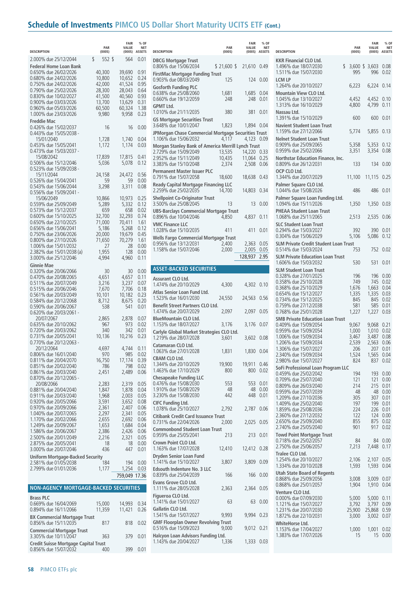## **Schedule of Investments PIMCO US Dollar Short Maturity UCITS ETF (Cont.)**

|                                                                      | PAR                    | FAIR<br>VALUE    | % OF<br><b>NET</b>    |
|----------------------------------------------------------------------|------------------------|------------------|-----------------------|
| <b>DESCRIPTION</b><br>2.000% due 25/12/2044                          | (000S)<br>\$<br>552 \$ | (000S)<br>564    | <b>ASSETS</b><br>0.01 |
| <b>Federal Home Loan Bank</b>                                        |                        |                  |                       |
| 0.650% due 26/02/2026<br>0.680% due 24/02/2026                       | 40,300<br>10,800       | 39,690<br>10,652 | 0.91<br>0.24          |
| 0.750% due 24/02/2026                                                | 42,000                 | 41,524           | 0.95                  |
| 0.790% due 25/02/2026<br>0.830% due 10/02/2027                       | 28,300                 | 28,043<br>40,560 | 0.64                  |
| 0.900% due 03/03/2026                                                | 41,500<br>13,700       | 13,629           | 0.93<br>0.31          |
| 0.960% due 05/03/2026                                                | 60,500                 | 60,324           | 1.38                  |
| 1.000% due 23/03/2026<br><b>Freddie Mac</b>                          | 9,980                  | 9,958            | 0.23                  |
| 0.426% due 15/02/2037                                                | 16                     | 16               | 0.00                  |
| 0.443% due 15/05/2038 -<br>15/01/2040                                | 1,728                  | 1,740            | 0.04                  |
| 0.453% due 15/05/2041                                                | 1,172                  | 1,174            | 0.03                  |
| 0.473% due 15/03/2037 -                                              |                        |                  |                       |
| 15/08/2042<br>0.506% due 15/12/2046                                  | 17,839<br>5,036        | 17,815<br>5,078  | 0.41<br>0.12          |
| 0.523% due 15/09/2038 -                                              |                        |                  |                       |
| 15/11/2044<br>0.526% due 15/04/2041                                  | 24,158<br>59           | 24,472<br>59     | 0.56<br>0.00          |
| 0.543% due 15/06/2044                                                | 3,298                  | 3,311            | 0.08                  |
| 0.556% due 15/09/2041 -<br>15/06/2049                                | 10,866                 | 10,973           | 0.25                  |
| 0.559% due 25/09/2049                                                | 5,289                  | 5,332            | 0.12                  |
| 0.573% due 15/12/2037<br>0.600% due 15/10/2025                       | 659<br>32,700          | 658<br>32,293    | 0.02<br>0.74          |
| 0.650% due 22/10/2025                                                | 71.000                 | 70,411           | 1.61                  |
| 0.656% due 15/06/2041                                                | 5,186                  | 5,268            | 0.12                  |
| 0.750% due 23/06/2026<br>0.800% due 27/10/2026                       | 20,000<br>71,650       | 19,679<br>70,279 | 0.45<br>1.61          |
| 1.006% due 15/01/2032                                                | 27                     | 28               | 0.00                  |
| 2.382% due 15/01/2038 (a)                                            | 1,955                  | 128              | 0.00                  |
| 3.000% due 25/12/2046                                                | 4,994                  | 4,960            | 0.11                  |
| <b>Ginnie Mae</b><br>0.320% due 20/06/2066                           | 30                     | 30               | 0.00                  |
| 0.470% due 20/08/2065                                                | 4,651                  | 4,657            | 0.11                  |
| 0.511% due 20/07/2049                                                | 3,216                  | 3,237            | 0.07                  |
| 0.515% due 20/06/2046<br>0.561% due 20/03/2049                       | 7,670<br>10,101        | 7,706<br>10,182  | 0.18<br>0.23          |
| 0.584% due 20/12/2068                                                | 8,712                  | 8,675            | 0.20                  |
| 0.590% due 20/06/2067                                                | 538                    | 541              | 0.01                  |
| 0.620% due 20/03/2061 -<br>20/07/2067                                | 2,865                  | 2,878            | 0.07                  |
| 0.635% due 20/10/2062                                                | 967                    | 973              | 0.02                  |
| 0.720% due 20/03/2062<br>0.731% due 20/05/2041                       | 340<br>10,136          | 342<br>10,216    | 0.01<br>0.23          |
| 0.770% due 20/12/2063 -                                              |                        |                  |                       |
| 20/12/2064                                                           | 4,697                  | 4,744            | 0.11                  |
| 0.806% due 16/01/2040<br>0.811% due 20/04/2070                       | 970<br>16,750          | -985<br>17,174   | 0.02<br>0.39          |
| 0.851% due 20/02/2040                                                | 786                    | 798              | 0.02                  |
| 0.861% due 20/03/2040                                                | 2,451                  | 2,489            | 0.06                  |
| 0.870% due 20/12/2065 -<br>20/08/2066                                | 2,283                  | 2,319            | 0.05                  |
| 0.881% due 20/04/2040                                                | 1,847                  | 1,878            | 0.04                  |
| 0.911% due 20/03/2040                                                | 1,968                  | 2,003            | 0.05                  |
| 0.920% due 20/05/2066<br>0.970% due 20/09/2066                       | 3,591<br>2,361         | 3,652            | 0.08                  |
| 1.040% due 20/07/2065                                                | 2,297                  | 2,407<br>2,341   | 0.06<br>0.05          |
| 1.170% due 20/02/2066                                                | 2,655                  | 2,692            | 0.06                  |
| 1.249% due 20/09/2067                                                | 1,653                  | 1,684            | 0.04                  |
| 1.586% due 20/06/2067<br>2.500% due 20/01/2049                       | 2,386<br>2,216         | 2,426<br>2,321   | 0.06<br>0.05          |
| 2.875% due 20/05/2041                                                | 18                     | 18               | 0.00                  |
| 3.000% due 20/07/2046                                                | 436                    | 447              | 0.01                  |
| <b>Uniform Mortgage-Backed Security</b><br>2.581% due 01/05/2038     |                        |                  |                       |
|                                                                      |                        |                  |                       |
| 2.799% due 01/01/2036                                                | 184<br>1,177           | 194<br>1,254     | 0.00<br>0.03          |
|                                                                      |                        | 759,049          | 17.36                 |
| NON-AGENCY MORTGAGE-BACKED SECURITIES                                |                        |                  |                       |
| <b>Brass PLC</b>                                                     |                        |                  |                       |
| 0.669% due 16/04/2069                                                | 15,000                 | 14,993           | 0.34                  |
| 0.894% due 16/11/2066                                                | 11,359                 | 11,421           | 0.26                  |
| <b>BX Commercial Mortgage Trust</b><br>0.856% due 15/11/2035         | 817                    | 818              | 0.02                  |
| <b>Commercial Mortgage Trust</b>                                     |                        |                  |                       |
| 3.305% due 10/11/2047<br><b>Credit Suisse Mortgage Capital Trust</b> | 363                    | 379              | 0.01                  |

|                                                                      | PAR                    | FAIR<br>VALUE    | % OF<br><b>NET</b>    |                                                                                     | PAR            | FAIR<br>VALUE       | % OF<br><b>NET</b>  |
|----------------------------------------------------------------------|------------------------|------------------|-----------------------|-------------------------------------------------------------------------------------|----------------|---------------------|---------------------|
| <b>DESCRIPTION</b><br>2.000% due 25/12/2044                          | (000S)<br>552 \$<br>\$ | 564              | (000S) ASSETS<br>0.01 | <b>DESCRIPTION</b>                                                                  | (000S)         |                     | (000S) ASSETS       |
| <b>Federal Home Loan Bank</b><br>0.650% due 26/02/2026               | 40,300                 | 39,690           | 0.91                  | <b>DBCG Mortgage Trust</b><br>0.806% due 15/06/2034                                 | $$21,600$ \$   | 21,610 0.49         |                     |
| 0.680% due 24/02/2026<br>0.750% due 24/02/2026                       | 10,800<br>42,000       | 10,652<br>41,524 | 0.24<br>0.95          | <b>FirstMac Mortgage Funding Trust</b><br>0.903% due 08/03/2049                     | 125            | 124                 | 0.00                |
| 0.790% due 25/02/2026<br>0.830% due 10/02/2027                       | 28,300<br>41,500       | 28,043<br>40,560 | 0.64<br>0.93          | <b>Gosforth Funding PLC</b><br>0.638% due 25/08/2060                                | 1,681          | 1,685 0.04          |                     |
| 0.900% due 03/03/2026                                                | 13,700                 | 13,629           | 0.31                  | 0.660% due 19/12/2059<br><b>GPMT Ltd.</b>                                           | 248            | 248                 | 0.01                |
| 0.960% due 05/03/2026<br>1.000% due 23/03/2026                       | 60,500<br>9,980        | 60,324<br>9,958  | 1.38<br>0.23          | 1.010% due 21/11/2035                                                               | 380            | 381                 | 0.01                |
| <b>Freddie Mac</b><br>0.426% due 15/02/2037                          | 16                     | 16               | 0.00                  | <b>GS Mortgage Securities Trust</b><br>3.648% due 10/01/2047                        | 1,823          | 1.894 0.04          |                     |
| 0.443% due 15/05/2038 -<br>15/01/2040                                | 1,728                  | 1.740            | 0.04                  | <b>JPMorgan Chase Commercial Mortgage Securities Trust</b><br>1.106% due 15/06/2032 | 4,117          | 4,123 0.09          |                     |
| 0.453% due 15/05/2041<br>0.473% due 15/03/2037 -                     | 1,172                  | 1,174            | 0.03                  | Morgan Stanley Bank of America Merrill Lynch Trust<br>2.729% due 15/09/2049         | 13,535         | 14,220 0.33         |                     |
| 15/08/2042<br>0.506% due 15/12/2046                                  | 17,839<br>5,036        | 17,815<br>5,078  | 0.41<br>0.12          | 2.952% due 15/11/2049<br>3.383% due 15/10/2048                                      | 10,435         | 11,064 0.25         |                     |
| 0.523% due 15/09/2038 -                                              |                        |                  |                       | <b>Permanent Master Issuer PLC</b>                                                  | 2,374          | 2,508 0.06          |                     |
| 15/11/2044<br>0.526% due 15/04/2041                                  | 24,158<br>59           | 24,472<br>59     | 0.56<br>0.00          | 0.791% due 15/07/2058                                                               | 18,600         | 18,638              | 0.43                |
| 0.543% due 15/06/2044<br>0.556% due 15/09/2041 -                     | 3,298                  | 3,311            | 0.08                  | <b>Ready Capital Mortgage Financing LLC</b><br>2.259% due 25/02/2035                | 14,700         | 14,803 0.34         |                     |
| 15/06/2049                                                           | 10,866                 | 10,973           | 0.25                  | <b>Shellpoint Co-Originator Trust</b><br>3.500% due 25/08/2045                      | 13             | 13                  | 0.00                |
| 0.559% due 25/09/2049<br>0.573% due 15/12/2037                       | 5,289<br>659           | 5,332<br>658     | 0.12<br>0.02          | <b>UBS-Barclays Commercial Mortgage Trust</b>                                       |                |                     |                     |
| 0.600% due 15/10/2025<br>0.650% due 22/10/2025                       | 32,700<br>71,000       | 32,293<br>70,411 | 0.74<br>1.61          | 0.896% due 10/04/2046                                                               | 4.850          | 4,837               | 0.11                |
| 0.656% due 15/06/2041                                                | 5,186                  | 5,268            | 0.12                  | <b>VMC Finance LLC</b><br>1.028% due 15/10/2035                                     | 411            | 411                 | 0.01                |
| 0.750% due 23/06/2026<br>0.800% due 27/10/2026                       | 20,000<br>71.650       | 19,679<br>70,279 | 0.45<br>1.61          | <b>Wells Fargo Commercial Mortgage Trust</b>                                        |                |                     |                     |
| 1.006% due 15/01/2032<br>2.382% due 15/01/2038 (a)                   | 27<br>1,955            | 28<br>128        | 0.00<br>0.00          | 0.956% due 13/12/2031<br>1.158% due 15/07/2046                                      | 2,400<br>2,000 | 2,363<br>2,005 0.05 | 0.05                |
| 3.000% due 25/12/2046                                                | 4,994                  | 4,960            | 0.11                  |                                                                                     |                | 128,937 2.95        |                     |
| <b>Ginnie Mae</b><br>0.320% due 20/06/2066                           | 30                     | 30               | 0.00                  | <b>ASSET-BACKED SECURITIES</b>                                                      |                |                     |                     |
| 0.470% due 20/08/2065                                                | 4,651                  | 4,657            | 0.11                  | Assurant CLO Ltd.                                                                   |                |                     |                     |
| 0.511% due 20/07/2049<br>0.515% due 20/06/2046                       | 3,216<br>7,670         | 3,237<br>7,706   | 0.07<br>0.18          | 1.474% due 20/10/2029<br>Atlas Senior Loan Fund Ltd.                                | 4,300          | 4,302 0.10          |                     |
| 0.561% due 20/03/2049<br>0.584% due 20/12/2068                       | 10,101<br>8,712        | 10,182<br>8,675  | 0.23<br>0.20          | 1.523% due 16/01/2030                                                               | 24,550         | 24,563              | 0.56                |
| 0.590% due 20/06/2067                                                | 538                    | 541              | 0.01                  | <b>Benefit Street Partners CLO Ltd.</b><br>1.474% due 20/07/2029                    | 2,097          | 2,097               | 0.05                |
| 0.620% due 20/03/2061 -<br>20/07/2067                                | 2,865                  | 2,878            | 0.07                  | <b>BlueMountain CLO Ltd.</b>                                                        |                |                     |                     |
| 0.635% due 20/10/2062<br>0.720% due 20/03/2062                       | 967<br>340             | 973<br>342       | 0.02<br>0.01          | 1.153% due 18/07/2027<br>Carlyle Global Market Strategies CLO Ltd.                  | 3,176          | 3,176 0.07          |                     |
| 0.731% due 20/05/2041<br>0.770% due 20/12/2063 -                     | 10,136                 | 10,216           | 0.23                  | 1.219% due 28/07/2028                                                               | 3,601          | 3,602 0.08          |                     |
| 20/12/2064                                                           | 4,697                  | 4,744            | 0.11                  | Catamaran CLO Ltd.<br>1.063% due 27/01/2028                                         | 1,831          | 1,830 0.04          |                     |
| 0.806% due 16/01/2040<br>0.811% due 20/04/2070                       | 970<br>16,750          | 985<br>17,174    | 0.02<br>0.39          | CBAM CLO Ltd.                                                                       |                |                     |                     |
| 0.851% due 20/02/2040<br>0.861% due 20/03/2040                       | 786<br>2,451           | 798<br>2,489     | 0.02<br>0.06          | 1.344% due 20/10/2029<br>1.463% due 17/10/2029                                      | 19,900<br>800  | 19,911 0.46<br>800  | 0.02                |
| 0.870% due 20/12/2065 -                                              |                        |                  |                       | <b>Chesapeake Funding LLC</b>                                                       |                |                     |                     |
| 20/08/2066<br>0.881% due 20/04/2040                                  | 2,283<br>1,847         | 2,319<br>1,878   | 0.05<br>0.04          | 0.476% due 15/08/2030<br>1.910% due 15/08/2029                                      | 553<br>48      |                     | 553 0.01<br>48 0.00 |
| 0.911% due 20/03/2040<br>0.920% due 20/05/2066                       | 1,968<br>3,591         | 2,003<br>3,652   | 0.05<br>0.08          | 3.230% due 15/08/2030                                                               | 442            | 448                 | 0.01                |
| 0.970% due 20/09/2066                                                | 2,361                  | 2,407            | 0.06                  | <b>CIFC Funding Ltd.</b><br>1.078% due 25/10/2027                                   | 2,792          | 2,787 0.06          |                     |
| 1.040% due 20/07/2065<br>1.170% due 20/02/2066                       | 2,297<br>2,655         | 2,341<br>2,692   | 0.05<br>0.06          | <b>Citibank Credit Card Issuance Trust</b>                                          |                |                     |                     |
| 1.249% due 20/09/2067                                                | 1,653                  | 1.684<br>2,426   | 0.04                  | 0.731% due 22/04/2026<br><b>Commonbond Student Loan Trust</b>                       | 2,000          | 2,025 0.05          |                     |
| 1.586% due 20/06/2067<br>2.500% due 20/01/2049                       | 2,386<br>2,216         | 2,321            | 0.06<br>0.05          | 0.959% due 25/05/2041                                                               | 213            |                     | 213 0.01            |
| 2.875% due 20/05/2041<br>3.000% due 20/07/2046                       | 18<br>436              | 18<br>447        | 0.00<br>0.01          | Crown Point CLO Ltd.<br>1.163% due 17/07/2028                                       | 12,410         | 12,412 0.28         |                     |
| <b>Uniform Mortgage-Backed Security</b><br>2.581% due 01/05/2038     | 184                    | 194              | 0.00                  | Dryden Senior Loan Fund<br>1.141% due 15/10/2027                                    | 3,807          | 3,809               | 0.09                |
| 2.799% due 01/01/2036                                                | 1,177                  | 1,254            | 0.03                  | Edsouth Indenture No. 3 LLC                                                         |                |                     |                     |
|                                                                      |                        | 759,049 17.36    |                       | 0.839% due 25/04/2039<br>Evans Grove CLO Ltd.                                       | 166            |                     | 166 0.00            |
| <b>NON-AGENCY MORTGAGE-BACKED SECURITIES</b>                         |                        |                  |                       | 1.111% due 28/05/2028                                                               | 2,363          | 2,364 0.05          |                     |
| <b>Brass PLC</b><br>0.669% due 16/04/2069                            | 15,000                 | 14,993           | 0.34                  | Figueroa CLO Ltd.<br>1.141% due 15/01/2027                                          | 63             |                     | 63 0.00             |
| 0.894% due 16/11/2066                                                | 11,359                 | 11,421           | 0.26                  | Gallatin CLO Ltd.<br>1.541% due 15/07/2027                                          |                |                     |                     |
| <b>BX Commercial Mortgage Trust</b><br>0.856% due 15/11/2035         | 817                    | 818              | 0.02                  | <b>GMF Floorplan Owner Revolving Trust</b>                                          | 9,993          | 9,994 0.23          |                     |
| <b>Commercial Mortgage Trust</b>                                     |                        |                  |                       | 0.516% due 15/09/2023                                                               | 9,000          | 9,012 0.21          |                     |
| 3.305% due 10/11/2047<br><b>Credit Suisse Mortgage Capital Trust</b> | 363                    | 379              | 0.01                  | Halcyon Loan Advisors Funding Ltd.<br>1.143% due 20/04/2027                         | 1,336          | 1,333 0.03          |                     |
| 0.856% due 15/07/2032                                                | 400                    | 399              | 0.01                  |                                                                                     |                |                     |                     |

| <b>DESCRIPTION</b>                                                                                                                                                                                                                                                                           | PAR<br>(000S)                                                     | FAIR<br>VALUE                                                     | % OF<br><b>NET</b><br>(000S) ASSETS                                          |
|----------------------------------------------------------------------------------------------------------------------------------------------------------------------------------------------------------------------------------------------------------------------------------------------|-------------------------------------------------------------------|-------------------------------------------------------------------|------------------------------------------------------------------------------|
| <b>KKR Financial CLO Ltd.</b><br>1.496% due 18/07/2030<br>\$<br>1.511% due 15/07/2030                                                                                                                                                                                                        | 995                                                               | 3,600 \$ 3,603<br>996                                             | 0.08<br>0.02                                                                 |
| <b>LCM LP</b><br>1.264% due 20/10/2027                                                                                                                                                                                                                                                       | 6,223                                                             | 6,224                                                             | 0.14                                                                         |
| <b>Mountain View CLO Ltd.</b><br>1.045% due 13/10/2027<br>1.313% due 16/10/2029                                                                                                                                                                                                              | 4,452<br>4,800                                                    | 4,452<br>4,799                                                    | 0.10<br>0.11                                                                 |
| Nassau Ltd.<br>1.391% due 15/10/2029                                                                                                                                                                                                                                                         | 600                                                               | 600                                                               | 0.01                                                                         |
| <b>Navient Student Loan Trust</b><br>1.159% due 27/12/2066                                                                                                                                                                                                                                   | 5,774                                                             | 5,855                                                             | 0.13                                                                         |
| <b>Nelnet Student Loan Trust</b><br>0.909% due 25/09/2065<br>0.959% due 25/02/2066                                                                                                                                                                                                           | 5,358<br>3,351                                                    | 5,353<br>3,354                                                    | 0.12<br>0.08                                                                 |
| <b>Northstar Education Finance, Inc.</b><br>0.809% due 26/12/2031                                                                                                                                                                                                                            | 133                                                               | 134                                                               | 0.00                                                                         |
| OCP CLO Ltd.<br>1.344% due 20/07/2029                                                                                                                                                                                                                                                        | 11,100                                                            | 11,115                                                            | 0.25                                                                         |
| Palmer Square CLO Ltd.<br>1.044% due 15/08/2026                                                                                                                                                                                                                                              | 486                                                               | 486                                                               | 0.01                                                                         |
| Palmer Square Loan Funding Ltd.<br>1.094% due 15/11/2026                                                                                                                                                                                                                                     | 1,350                                                             | 1,350                                                             | 0.03                                                                         |
| <b>PHEAA Student Loan Trust</b><br>1.068% due 25/11/2065                                                                                                                                                                                                                                     | 2,513                                                             | 2,535                                                             | 0.06                                                                         |
| <b>SLC Student Loan Trust</b><br>0.294% due 15/03/2027<br>0.304% due 15/06/2029                                                                                                                                                                                                              | 392<br>5,106                                                      | 390<br>5,086                                                      | 0.01<br>0.12                                                                 |
| <b>SLM Private Credit Student Loan Trust</b><br>0.514% due 15/03/2024                                                                                                                                                                                                                        | 753                                                               | 752                                                               | 0.02                                                                         |
| <b>SLM Private Education Loan Trust</b><br>1.606% due 15/03/2032                                                                                                                                                                                                                             | 530                                                               | 531                                                               | 0.01                                                                         |
| <b>SLM Student Loan Trust</b><br>0.328% due 27/01/2025<br>0.358% due 25/10/2028<br>0.368% due 25/10/2029<br>0.654% due 15/12/2027<br>0.734% due 15/12/2025<br>0.759% due 27/12/2038<br>0.768% due 25/01/2028                                                                                 | 196<br>749<br>1,676<br>1,335<br>845<br>581<br>1,227               | 196<br>745<br>1,663<br>1,335<br>845<br>585<br>1.227               | 0.00<br>0.02<br>0.04<br>0.03<br>0.02<br>0.01<br>0.03                         |
| <b>SMB Private Education Loan Trust</b><br>0.409% due 15/09/2054<br>0.959% due 15/09/2054<br>1.006% due 15/09/2034<br>1.206% due 15/09/2034<br>1.306% due 15/07/2027<br>2.340% due 15/09/2034<br>2.980% due 15/07/2027                                                                       | 9,067<br>1,000<br>3,467<br>2.539<br>206<br>1,524<br>824           | 9,068<br>1,010<br>3,487<br>2.563<br>207<br>1,565<br>837           | 0.21<br>0.02<br>0.08<br>0.06<br>0.01<br>0.04<br>0.02                         |
| SoFi Professional Loan Program LLC<br>0.459% due 25/02/2042<br>0.709% due 25/07/2040<br>0.809% due 26/03/2040<br>0.959% due 25/07/2039<br>1.209% due 27/10/2036<br>1.409% due 25/02/2040<br>1.859% due 25/08/2036<br>2.360% due 27/12/2032<br>2.650% due 25/09/2040<br>2.740% due 25/05/2040 | 194<br>121<br>214<br>48<br>305<br>197<br>224<br>122<br>855<br>901 | 193<br>121<br>215<br>48<br>307<br>199<br>226<br>124<br>875<br>917 | 0.00<br>0.00<br>0.01<br>0.00<br>0.01<br>0.01<br>0.01<br>0.00<br>0.02<br>0.02 |
| <b>Towd Point Mortgage Trust</b><br>0.718% due 25/02/2057<br>2.750% due 25/06/2057                                                                                                                                                                                                           | 84<br>7,213                                                       | 84<br>7,448                                                       | 0.00<br>0.17                                                                 |
| Tralee CLO Ltd.<br>1.254% due 20/10/2027<br>1.334% due 20/10/2028                                                                                                                                                                                                                            | 2,106<br>1,593                                                    | 2,107<br>1,593                                                    | 0.05<br>0.04                                                                 |
| <b>Utah State Board of Regents</b><br>0.868% due 25/09/2056<br>0.868% due 25/01/2057                                                                                                                                                                                                         | 3,008<br>1,904                                                    | 3,009<br>1,910                                                    | 0.07<br>0.04                                                                 |
| Venture CLO Ltd.<br>0.000% due 07/09/2030<br>1.121% due 15/07/2027<br>1.231% due 20/07/2030<br>1.872% due 22/10/2031                                                                                                                                                                         | 5,000<br>3,792<br>25,900<br>3,000                                 | 5,000<br>3,797<br>25,868<br>3,002                                 | 0.11<br>0.09<br>0.59<br>0.07                                                 |
| WhiteHorse Ltd.<br>1.153% due 17/04/2027<br>1.383% due 17/07/2026                                                                                                                                                                                                                            | 1,000<br>15                                                       | 1,001<br>15                                                       | 0.02<br>0.00                                                                 |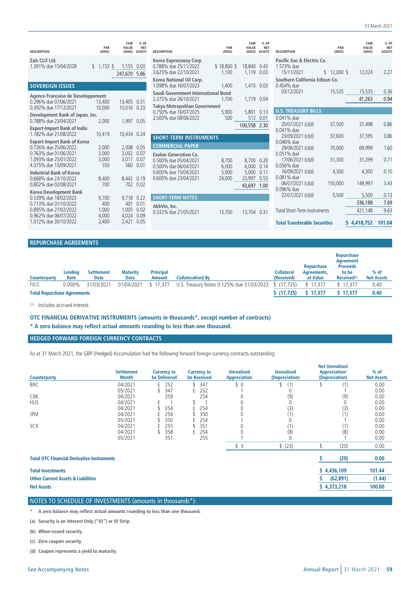| <b>DESCRIPTION</b>                                                                                                                                         | PAR<br>(000S)                           | <b>FAIR</b><br>VALUE<br>(000S)          | % OF<br><b>NET</b><br><b>ASSETS</b>  |  |
|------------------------------------------------------------------------------------------------------------------------------------------------------------|-----------------------------------------|-----------------------------------------|--------------------------------------|--|
| Zais CLO Ltd.<br>1.391% due 15/04/2028                                                                                                                     | \$<br>$1,153$ \$                        | 1,155                                   | 0.03                                 |  |
|                                                                                                                                                            |                                         | 247.670                                 | 5.66                                 |  |
| <b>SOVEREIGN ISSUES</b>                                                                                                                                    |                                         |                                         |                                      |  |
| <b>Agence Francaise de Developpement</b>                                                                                                                   |                                         |                                         |                                      |  |
| 0.296% due 07/06/2021                                                                                                                                      | 13,400                                  | 13,405                                  | 0.31                                 |  |
| 0.392% due 17/12/2021                                                                                                                                      | 10,000                                  | 10.016                                  | 0.23                                 |  |
| Development Bank of Japan, Inc.<br>0.788% due 23/04/2021                                                                                                   | 2,000                                   | 1,997                                   | 0.05                                 |  |
| <b>Export-Import Bank of India</b><br>1.182% due 21/08/2022                                                                                                | 10,419                                  | 10,434                                  | 0.24                                 |  |
| <b>Export-Import Bank of Korea</b><br>0.726% due 25/06/2022<br>0.763% due 01/06/2021<br>1.093% due 25/01/2022<br>4.375% due 15/09/2021                     | 2.000<br>3,000<br>3,000<br>550          | 2.008<br>3,002<br>3.017<br>560          | 0.05<br>0.07<br>0.07<br>0.01         |  |
| <b>Industrial Bank of Korea</b><br>0.668% due 23/10/2022<br>0.802% due 02/08/2021                                                                          | 8,400<br>700                            | 8,442<br>702                            | 0.19<br>0.02                         |  |
| <b>Korea Development Bank</b><br>0.539% due 18/02/2023<br>0.713% due 01/10/2022<br>0.895% due 27/02/2022<br>0.962% due 06/07/2022<br>1.012% due 30/10/2022 | 9,700<br>400<br>1,000<br>4.000<br>2,400 | 9,718<br>401<br>1,005<br>4.024<br>2,421 | 0.22<br>0.01<br>0.02<br>0.09<br>0.05 |  |

| <b>DESCRIPTION</b>                             | PAR<br>(000S) | <b>FAIR</b><br>VALUE<br>(000S) | % OF<br><b>NET</b><br><b>ASSETS</b> |
|------------------------------------------------|---------------|--------------------------------|-------------------------------------|
| Korea Expressway Corp.                         |               |                                |                                     |
| 0.788% due 25/11/2022                          | $$18,800$ \$  | 18,840                         | 0.43                                |
| 3.625% due 22/10/2021                          | 1,100         | 1,119                          | 0.03                                |
| Korea National Oil Corp.                       |               |                                |                                     |
| 1.098% due 16/07/2023                          | 1,400         | 1,415                          | 0.03                                |
| Saudi Government International Bond            |               |                                |                                     |
| 2.375% due 26/10/2021                          | 1,700         | 1,719                          | 0.04                                |
| <b>Tokyo Metropolitan Government</b>           |               |                                |                                     |
| 0.750% due 16/07/2025                          | 5,900         | 5,801                          | 0.13                                |
| 2.500% due 08/06/2022                          | 500           | 512                            | 0.01                                |
|                                                |               | 100,558                        | 2.30                                |
| <b>SHORT-TERM INSTRUMENTS</b>                  |               |                                |                                     |
|                                                |               |                                |                                     |
| <b>COMMERCIAL PAPER</b>                        |               |                                |                                     |
| <b>Exelon Generation Co.</b>                   |               |                                |                                     |
| 0.500% due 05/04/2021                          | 8,700         | 8,700                          | 0.20                                |
| 0.500% due 06/04/2021<br>0.600% due 15/04/2021 | 6,000         | 6,000                          | 0.14<br>0.11                        |
|                                                | 5,000         | 5,000                          |                                     |

| 0.600% due 23/04/2021                 | 24,000 | 23,997      | 0.55 |
|---------------------------------------|--------|-------------|------|
|                                       |        | 43,697      | 1.00 |
|                                       |        |             |      |
| <b>SHORT-TERM NOTES</b>               |        |             |      |
| AbbVie, Inc.<br>0.532% due 21/05/2021 | 13,700 | 13.704 0.31 |      |

| <b>DESCRIPTION</b>                           | PAR<br>(000S)   | FAIR<br>VALUE<br>(000S) | % OF<br><b>NET</b><br><b>ASSETS</b> |
|----------------------------------------------|-----------------|-------------------------|-------------------------------------|
| Pacific Gas & Electric Co.<br>1.573% due     |                 |                         |                                     |
| 15/11/2021                                   | 12,000 \$<br>\$ | 12.024                  | 0.27                                |
| Southern California Edison Co.<br>0.454% due |                 |                         |                                     |
| 03/12/2021                                   | 15,525          | 15,535                  | 0.36                                |
|                                              |                 | 41,263                  | 0.94                                |
|                                              |                 |                         |                                     |
| <b>U.S. TREASURY BILLS</b><br>0.041% due     |                 |                         |                                     |
| 20/07/2021 (c)(d)                            | 37,500          | 37,498                  | 0.86                                |
| 0.041% due                                   |                 |                         |                                     |
| 23/09/2021 (c)(d)<br>0.046% due              | 37,600          | 37.595                  | 0.86                                |
| 29/06/2021 (c)(d)                            | 70,000          | 69.999                  | 1.60                                |
| 0.051% due                                   |                 |                         |                                     |
| 17/06/2021 (c)(d)<br>0.056% due              | 31,300          | 31.299                  | 0.71                                |
| 16/09/2021 (c)(d)                            | 4.300           | 4.300                   | 0.10                                |
| 0.081% due                                   |                 |                         |                                     |
| 06/07/2021 (c)(d)<br>0.096% due              | 150,000         | 149,997                 | 3.43                                |
| 22/07/2021 (c)(d)                            | 5,500           | 5,500                   | 0.13                                |
|                                              |                 | 336,188                 | 7.69                                |
| <b>Total Short-Term Instruments</b>          | 421,148         | 9.63                    |                                     |
|                                              |                 |                         |                                     |
| <b>Total Transferable Securities</b>         |                 | \$4,418,752             | 101.04                              |

### **REPURCHASE AGREEMENTS**

| Counterparty                       | Lending<br>Rate | <b>Settlement</b><br>Date | <b>Maturity</b><br><b>Date</b> | Principal<br><b>Amount</b> | <b>Collateralised By</b>                              | <b>Collateral</b><br>(Received) | Repurchase<br>Agreements,<br>at Value | Repurchase<br><b>Agreement</b><br><b>Proceeds</b><br>to be<br>Received <sup>(1)</sup> | $%$ of<br><b>Net Assets</b> |
|------------------------------------|-----------------|---------------------------|--------------------------------|----------------------------|-------------------------------------------------------|---------------------------------|---------------------------------------|---------------------------------------------------------------------------------------|-----------------------------|
| <b>FICC</b>                        | 0.000%          | 31/03/2021                | 01/04/2021                     | \$17.377                   | U.S. Treasury Notes 0.125% due 31/03/2023 \$ (17,725) |                                 | 17.377                                | 17,377                                                                                | 0.40                        |
| <b>Total Repurchase Agreements</b> |                 |                           |                                |                            |                                                       | \$(17.725)                      | \$17.377                              | \$17.377                                                                              | 0.40                        |

(1) Includes accrued interest.

### **OTC FINANCIAL DERIVATIVE INSTRUMENTS (amounts in thousands\*, except number of contracts)**

**\* A zero balance may reflect actual amounts rounding to less than one thousand.**

## **HEDGED FORWARD FOREIGN CURRENCY CONTRACTS**

As at 31 March 2021, the GBP (Hedged) Accumulation had the following forward foreign currency contracts outstanding:

| Counterparty                                      | <b>Settlement</b><br><b>Month</b> |   | <b>Currency to</b><br>be Delivered |      | <b>Currency to</b><br>be Received | <b>Unrealised</b><br><b>Appreciation</b> | <b>Unrealised</b><br>(Depreciation) | <b>Net Unrealised</b><br><b>Appreciation/</b><br>(Depreciation) | $%$ of<br><b>Net Assets</b> |
|---------------------------------------------------|-----------------------------------|---|------------------------------------|------|-----------------------------------|------------------------------------------|-------------------------------------|-----------------------------------------------------------------|-----------------------------|
| <b>BRC</b>                                        | 04/2021                           | £ | 252                                |      | 347                               | \$0                                      | (1)                                 | (1)                                                             | 0.00                        |
|                                                   | 05/2021                           |   | 347                                | f.   | 252                               |                                          |                                     |                                                                 | 0.00                        |
| CBK                                               | 04/2021                           |   | 359                                |      | 254                               |                                          | (9)                                 | (9)                                                             | 0.00                        |
| <b>HUS</b>                                        | 04/2021                           |   |                                    |      |                                   |                                          |                                     |                                                                 | 0.00                        |
|                                                   | 04/2021                           |   | 354                                |      | 254                               |                                          | (3)                                 | (3)                                                             | 0.00                        |
| <b>JPM</b>                                        | 04/2021                           |   | 254                                |      | 350                               |                                          | (1)                                 |                                                                 | 0.00                        |
|                                                   | 05/2021                           |   | 350                                |      | 254                               |                                          |                                     |                                                                 | 0.00                        |
| SCX                                               | 04/2021                           |   | 255                                |      | 351                               |                                          | (1)                                 |                                                                 | 0.00                        |
|                                                   | 04/2021                           |   | 358                                | $^+$ | 254                               |                                          | (8)                                 | (8)                                                             | 0.00                        |
|                                                   | 05/2021                           |   | 351                                |      | 255                               |                                          | 0                                   |                                                                 | 0.00                        |
|                                                   |                                   |   |                                    |      |                                   | \$3                                      | \$ (23)                             | (20)                                                            | 0.00                        |
| <b>Total OTC Financial Derivative Instruments</b> |                                   |   |                                    |      |                                   |                                          |                                     | (20)                                                            | 0.00                        |
| <b>Total Investments</b>                          |                                   |   |                                    |      |                                   |                                          |                                     | \$4,436,109                                                     | 101.44                      |
| <b>Other Current Assets &amp; Liabilities</b>     |                                   |   |                                    |      |                                   |                                          |                                     | (62, 891)                                                       | (1.44)                      |
| <b>Net Assets</b>                                 |                                   |   |                                    |      |                                   |                                          |                                     | \$4,373,218                                                     | 100.00                      |

### NOTES TO SCHEDULE OF INVESTMENTS (amounts in thousands\*):

**\* A zero balance may reflect actual amounts rounding to less than one thousand.**

**(a) Security is an Interest Only ("IO") or IO Strip.**

- **(b) When-issued security.**
- **(c) Zero coupon security.**
- **(d) Coupon represents a yield to maturity.**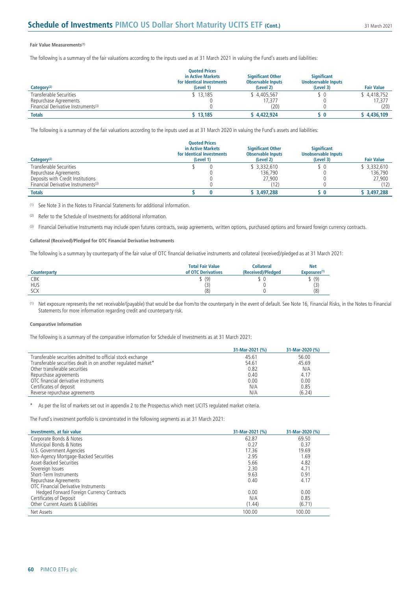**Fair Value Measurements(1)**

The following is a summary of the fair valuations according to the inputs used as at 31 March 2021 in valuing the Fund's assets and liabilities:

|                                                 | <b>Quoted Prices</b><br>in Active Markets<br>for Identical Investments | <b>Significant Other</b><br><b>Observable Inputs</b> | <b>Significant</b><br><b>Unobservable Inputs</b> |                   |
|-------------------------------------------------|------------------------------------------------------------------------|------------------------------------------------------|--------------------------------------------------|-------------------|
| Category <sup>(2)</sup>                         | (Level 1)                                                              | (Level 2)                                            | (Level 3)                                        | <b>Fair Value</b> |
| Transferable Securities                         | \$13.185                                                               | \$4,405,567                                          | SΟ                                               | \$4,418,752       |
| Repurchase Agreements                           |                                                                        | 17,377                                               |                                                  | 17.377            |
| Financial Derivative Instruments <sup>(3)</sup> |                                                                        | (20)                                                 |                                                  | (20)              |
| <b>Totals</b>                                   | \$13.185                                                               | \$4.422,924                                          | 50                                               | \$4,436,109       |

The following is a summary of the fair valuations according to the inputs used as at 31 March 2020 in valuing the Fund's assets and liabilities:

|                                                 | <b>Ouoted Prices</b><br>in Active Markets<br>for Identical Investments | <b>Significant Other</b><br><b>Observable Inputs</b> | <b>Significant</b><br><b>Unobservable Inputs</b> |                   |
|-------------------------------------------------|------------------------------------------------------------------------|------------------------------------------------------|--------------------------------------------------|-------------------|
| Category <sup>(2)</sup>                         | (Level 1)                                                              | (Level 2)                                            | (Level 3)                                        | <b>Fair Value</b> |
| Transferable Securities                         |                                                                        | \$3,332,610                                          | SΟ                                               | \$3,332,610       |
| Repurchase Agreements                           |                                                                        | 136,790                                              |                                                  | 136.790           |
| Deposits with Credit Institutions               |                                                                        | 27,900                                               |                                                  | 27,900            |
| Financial Derivative Instruments <sup>(3)</sup> |                                                                        |                                                      |                                                  | (12)              |
| <b>Totals</b>                                   |                                                                        | \$3,497,288                                          | S 0                                              | \$3,497,288       |

(1) See Note 3 in the Notes to Financial Statements for additional information.

(2) Refer to the Schedule of Investments for additional information.

(3) Financial Derivative Instruments may include open futures contracts, swap agreements, written options, purchased options and forward foreign currency contracts.

#### **Collateral (Received)/Pledged for OTC Financial Derivative Instruments**

The following is a summary by counterparty of the fair value of OTC financial derivative instruments and collateral (received)/pledged as at 31 March 2021:

| Counterparty | <b>Total Fair Value</b><br>of OTC Derivatives | Collateral<br>(Received)/Pledged | <b>Net</b><br>Exposures <sup>(1)</sup> |
|--------------|-----------------------------------------------|----------------------------------|----------------------------------------|
| CBK          | (9)                                           |                                  | (9)                                    |
| <b>HUS</b>   | (3                                            |                                  |                                        |
| SCX          | (8)                                           |                                  | (8)                                    |

(1) Net exposure represents the net receivable/(payable) that would be due from/to the counterparty in the event of default. See Note 16, Financial Risks, in the Notes to Financial Statements for more information regarding credit and counterparty risk.

#### **Comparative Information**

The following is a summary of the comparative information for Schedule of Investments as at 31 March 2021:

|                                                               | 31-Mar-2021 (%) | 31-Mar-2020 (%) |
|---------------------------------------------------------------|-----------------|-----------------|
| Transferable securities admitted to official stock exchange   | 45.61           | 56.00           |
| Transferable securities dealt in on another regulated market* | 54.61           | 45.69           |
| Other transferable securities                                 | 0.82            | N/A             |
| Repurchase agreements                                         | 0.40            | 4.17            |
| OTC financial derivative instruments                          | 0.00            | 0.00            |
| Certificates of deposit                                       | N/A             | 0.85            |
| Reverse repurchase agreements                                 | N/A             | (6.24)          |

\* As per the list of markets set out in appendix 2 to the Prospectus which meet UCITS regulated market criteria.

The Fund's investment portfolio is concentrated in the following segments as at 31 March 2021:

| Investments, at fair value                | 31-Mar-2021 (%) | 31-Mar-2020 (%) |
|-------------------------------------------|-----------------|-----------------|
| Corporate Bonds & Notes                   | 62.87           | 69.50           |
| Municipal Bonds & Notes                   | 0.27            | 0.37            |
| U.S. Government Agencies                  | 17.36           | 19.69           |
| Non-Agency Mortgage-Backed Securities     | 2.95            | 1.69            |
| Asset-Backed Securities                   | 5.66            | 4.82            |
| Sovereign Issues                          | 2.30            | 4.71            |
| Short-Term Instruments                    | 9.63            | 0.91            |
| Repurchase Agreements                     | 0.40            | 4.17            |
| OTC Financial Derivative Instruments      |                 |                 |
| Hedged Forward Foreign Currency Contracts | 0.00            | 0.00            |
| Certificates of Deposit                   | N/A             | 0.85            |
| Other Current Assets & Liabilities        | (1.44)          | (6.71)          |
| Net Assets                                | 100.00          | 100.00          |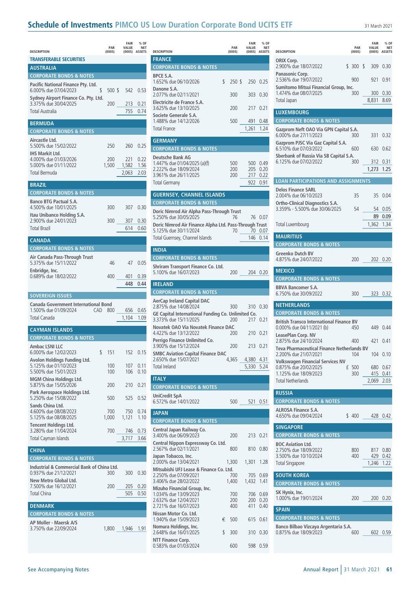## **Schedule of Investments PIMCO US Low Duration Corporate Bond UCITS ETF** 31 March 2021

| <b>DESCRIPTION</b>                                               | <b>PAR</b><br>(000S) | <b>FAIR</b><br>VALUE<br>(000S) | % OF<br><b>NET</b><br><b>ASSETS</b> |
|------------------------------------------------------------------|----------------------|--------------------------------|-------------------------------------|
| <b>TRANSFERABLE SECURITIES</b>                                   |                      |                                |                                     |
| <b>AUSTRALIA</b>                                                 |                      |                                |                                     |
| <b>CORPORATE BONDS &amp; NOTES</b>                               |                      |                                |                                     |
| Pacific National Finance Pty. Ltd.<br>6.000% due 07/04/2023<br>٢ | 500 <sup>5</sup>     | 542                            | 0.53                                |
| Sydney Airport Finance Co. Pty. Ltd.<br>3.375% due 30/04/2025    | 200                  | 213                            | 0.21                                |
| Total Australia                                                  |                      | 755                            | 0.74                                |

| <b>BERMUDA</b>                                                           |              |              |              |
|--------------------------------------------------------------------------|--------------|--------------|--------------|
| <b>CORPORATE BONDS &amp; NOTES</b>                                       |              |              |              |
| Aircastle Ltd.<br>5.500% due 15/02/2022                                  | 250          | 260          | <u>በ 25</u>  |
| <b>IHS Markit Ltd.</b><br>4.000% due 01/03/2026<br>5.000% due 01/11/2022 | 200<br>1.500 | 221<br>1.582 | 0.22<br>1.56 |
| Total Bermuda                                                            |              |              | 2.03         |

| <b>BRAZIL</b>                                          |     |     |      |
|--------------------------------------------------------|-----|-----|------|
| <b>CORPORATE BONDS &amp; NOTES</b>                     |     |     |      |
| <b>Banco BTG Pactual S.A.</b><br>4.500% due 10/01/2025 | 300 | 307 | 0.30 |
| Itau Unibanco Holding S.A.<br>2.900% due 24/01/2023    | 300 | 307 | 0.30 |
| <b>Total Brazil</b>                                    |     | 614 | 0.60 |
|                                                        |     |     |      |

| <b>CANADA</b>                                          |     |     |      |
|--------------------------------------------------------|-----|-----|------|
| <b>CORPORATE BONDS &amp; NOTES</b>                     |     |     |      |
| Air Canada Pass-Through Trust<br>5.375% due 15/11/2022 | 46  | 47  | 0.05 |
| Enbridge, Inc.<br>0.689% due 18/02/2022                | 400 | 401 | 0.39 |
|                                                        |     |     | 0 44 |

## **SOVEREIGN ISSUES**

| <b>Canada Government International Bond</b><br>1.500% due 01/09/2024<br>Total Canada | CAD | 800          | 656<br>1,104 | 0.65<br>1.09 |
|--------------------------------------------------------------------------------------|-----|--------------|--------------|--------------|
| <b>CAYMAN ISLANDS</b>                                                                |     |              |              |              |
| <b>CORPORATE BONDS &amp; NOTES</b>                                                   |     |              |              |              |
| Ambac LSNI LLC<br>6.000% due 12/02/2023                                              | S   | 151          | 152          | 0.15         |
| Avolon Holdings Funding Ltd.<br>5.125% due 01/10/2023<br>5.500% due 15/01/2023       |     | 100<br>100   | 107<br>106   | 0.11<br>0.10 |
| MGM China Holdings Ltd.<br>5.875% due 15/05/2026                                     |     | 200          | 210          | 0.21         |
| Park Aerospace Holdings Ltd.<br>5.250% due 15/08/2022                                |     | 500          | 525          | 0.52         |
| Sands China Ltd.<br>4.600% due 08/08/2023<br>5.125% due 08/08/2025                   |     | 700<br>1,000 | 750<br>1,121 | 0.74<br>1.10 |
| <b>Tencent Holdings Ltd.</b><br>3.280% due 11/04/2024                                |     | 700          | 746          | 0.73         |
| Total Cayman Islands                                                                 |     |              | 3,717        | 3.66         |

### **CHINA**

| <b>CORPORATE BONDS &amp; NOTES</b>                                  |     |     |          |
|---------------------------------------------------------------------|-----|-----|----------|
| Industrial & Commercial Bank of China Ltd.<br>0.937% due 21/12/2021 | 300 | 300 | 0.30     |
| New Metro Global Ltd.<br>7.500% due 16/12/2021                      | 200 |     | 205 0.20 |
| <b>Total China</b>                                                  |     | 505 | 0.50     |
|                                                                     |     |     |          |

| <b>DENMARK</b>                                  |                  |  |
|-------------------------------------------------|------------------|--|
| <b>CORPORATE BONDS &amp; NOTES</b>              |                  |  |
| AP Moller - Maersk A/S<br>3.750% due 22/09/2024 | 1,800 1,946 1.91 |  |

| <b>DESCRIPTION</b>                                                                        |    | PAR<br>(000S) | <b>FAIR</b><br>VALUE<br>(000S) | % OF<br><b>NET</b><br><b>ASSETS</b> |
|-------------------------------------------------------------------------------------------|----|---------------|--------------------------------|-------------------------------------|
| <b>FRANCE</b>                                                                             |    |               |                                |                                     |
| <b>CORPORATE BONDS &amp; NOTES</b>                                                        |    |               |                                |                                     |
| <b>BPCE S.A.</b><br>1.652% due 06/10/2026                                                 | \$ | 250 S         | 250                            | 0.25                                |
| Danone S.A.<br>2.077% due 02/11/2021                                                      |    | 300           | 303                            | 0.30                                |
| Electricite de France S.A.<br>3.625% due 13/10/2025                                       |    | 200           | 217                            | 0.21                                |
| Societe Generale S.A.<br>1.488% due 14/12/2026<br><b>Total France</b>                     |    | 500           | 491                            | 0.48                                |
|                                                                                           |    |               | 1,261                          | 1.24                                |
| <b>GERMANY</b>                                                                            |    |               |                                |                                     |
| <b>CORPORATE BONDS &amp; NOTES</b>                                                        |    |               |                                |                                     |
| <b>Deutsche Bank AG</b>                                                                   |    |               |                                |                                     |
| 1.447% due 01/04/2025 (a)(f)<br>2.222% due 18/09/2024                                     |    | 500<br>200    | 500<br>205                     | 0.49<br>0.20                        |
| 3.961% due 26/11/2025                                                                     |    | 200           | 217                            | 0.22                                |
| <b>Total Germany</b>                                                                      |    |               | 922                            | 0.91                                |
| <b>GUERNSEY, CHANNEL ISLANDS</b>                                                          |    |               |                                |                                     |
| <b>CORPORATE BONDS &amp; NOTES</b>                                                        |    |               |                                |                                     |
| Doric Nimrod Air Alpha Pass-Through Trust                                                 |    |               |                                |                                     |
| 5.250% due 30/05/2025                                                                     |    | 76            | 76                             | 0.07                                |
| Doric Nimrod Air Finance Alpha Ltd. Pass-Through Trust                                    |    |               |                                |                                     |
| 5.125% due 30/11/2024                                                                     |    | 70            | 70                             | 0.07                                |
| Total Guernsey, Channel Islands                                                           |    |               | 146                            | 0.14                                |
| <b>INDIA</b><br><b>CORPORATE BONDS &amp; NOTES</b>                                        |    |               |                                |                                     |
|                                                                                           |    |               |                                |                                     |
| Shriram Transport Finance Co. Ltd.<br>5.100% due 16/07/2023                               |    | 200           | 204                            | 0.20                                |
| <b>IRELAND</b>                                                                            |    |               |                                |                                     |
| <b>CORPORATE BONDS &amp; NOTES</b>                                                        |    |               |                                |                                     |
| AerCap Ireland Capital DAC<br>2.875% due 14/08/2024                                       |    | 300           | 310                            | 0.30                                |
| GE Capital International Funding Co. Unlimited Co.<br>3.373% due 15/11/2025               |    | 200           | 217                            | 0.21                                |
| Novatek OAO Via Novatek Finance DAC<br>4.422% due 13/12/2022                              |    | 200           | 210                            | 0.21                                |
| Perrigo Finance Unlimited Co.<br>3.900% due 15/12/2024                                    |    | 200           |                                | 213 0.21                            |
| <b>SMBC Aviation Capital Finance DAC</b><br>2.650% due 15/07/2021                         |    | 4,365         | 4,380 4.31                     |                                     |
| <b>Total Ireland</b>                                                                      |    |               | 5,330                          | 5.24                                |
| <b>ITALY</b>                                                                              |    |               |                                |                                     |
| <b>CORPORATE BONDS &amp; NOTES</b>                                                        |    |               |                                |                                     |
| <b>UniCredit SpA</b>                                                                      |    |               |                                |                                     |
| 6.572% due 14/01/2022                                                                     |    |               | 500 521 0.51                   |                                     |
| <b>JAPAN</b>                                                                              |    |               |                                |                                     |
| <b>CORPORATE BONDS &amp; NOTES</b>                                                        |    |               |                                |                                     |
| Central Japan Railway Co.<br>3.400% due 06/09/2023                                        |    | 200           | 213                            | 0.21                                |
| Central Nippon Expressway Co. Ltd.<br>2.567% due 02/11/2021                               |    | 800           | 810                            | 0.80                                |
| Japan Tobacco, Inc.<br>2.000% due 13/04/2021                                              |    | 1,300         | 1,301                          | 1.28                                |
| Mitsubishi UFJ Lease & Finance Co. Ltd.<br>2.250% due 07/09/2021<br>3.406% due 28/02/2022 |    | 700<br>1,400  | 705<br>1,432                   | 0.69<br>1.41                        |
| Mizuho Financial Group, Inc.                                                              |    |               |                                |                                     |
| 1.034% due 13/09/2023                                                                     |    | 700           | 706                            | 0.69                                |
| 2.632% due 12/04/2021<br>2.721% due 16/07/2023                                            |    | 200<br>400    | 200<br>411                     | 0.20<br>0.40                        |
| Nissan Motor Co. Ltd.                                                                     |    |               |                                |                                     |
| 1.940% due 15/09/2023<br>Nomura Holdings, Inc.                                            | €  | 500           | 615                            | 0.61                                |

2.648% due 16/01/2025 \$ 300 310 0.30

0.583% due 01/03/2024 600 598 0.59

**NTT Finance Corp.**

|                                                                          |               | FAIR        | % OF                        |
|--------------------------------------------------------------------------|---------------|-------------|-----------------------------|
| <b>DESCRIPTION</b>                                                       | PAR<br>(000S) | VALUE       | <b>NET</b><br>(000S) ASSETS |
| ORIX Corp.<br>2.900% due 18/07/2022                                      | \$300         | \$<br>309   | 0.30                        |
| Panasonic Corp.<br>2.536% due 19/07/2022                                 | 900           | 921         | 0.91                        |
| Sumitomo Mitsui Financial Group, Inc.<br>1.474% due 08/07/2025           | 300           | 300         | 0.30                        |
| Total Japan                                                              |               | 8,831       | 8.69                        |
| <b>LUXEMBOURG</b><br><b>CORPORATE BONDS &amp; NOTES</b>                  |               |             |                             |
| Gazprom Neft OAO Via GPN Capital S.A.<br>6.000% due 27/11/2023           | 300           | 331         | 0.32                        |
| Gazprom PJSC Via Gaz Capital S.A.<br>6.510% due 07/03/2022               | 600           | 630         | 0.62                        |
| Sberbank of Russia Via SB Capital S.A.<br>6.125% due 07/02/2022          | 300           | 312         | 0.31                        |
|                                                                          |               | 1,273       | 1.25                        |
| <b>LOAN PARTICIPATIONS AND ASSIGNMENTS</b>                               |               |             |                             |
| <b>Delos Finance SARL</b><br>2.004% due 06/10/2023                       | 35            | 35          | 0.04                        |
| <b>Ortho-Clinical Diagnostics S.A.</b><br>3.359% - 5.500% due 30/06/2025 | 54            | 54          | 0.05                        |
| Total Luxembourg                                                         |               | 89<br>1,362 | 0.09<br>1.34                |
| <b>MAURITIUS</b>                                                         |               |             |                             |
| <b>CORPORATE BONDS &amp; NOTES</b>                                       |               |             |                             |
| <b>Greenko Dutch BV</b><br>4.875% due 24/07/2022                         | 200           | 202         | 0.20                        |
| <b>MEXICO</b>                                                            |               |             |                             |
| <b>CORPORATE BONDS &amp; NOTES</b><br><b>BBVA Bancomer S.A.</b>          |               |             |                             |
| 6.750% due 30/09/2022                                                    | 300           | 323         | 0.32                        |
| <b>NETHERLANDS</b><br><b>CORPORATE BONDS &amp; NOTES</b>                 |               |             |                             |
| <b>British Transco International Finance BV</b>                          |               |             |                             |
| 0.000% due 04/11/2021 (b)<br>LeasePlan Corp. NV<br>2.875% due 24/10/2024 | 450<br>400    | 449<br>421  | 0.44<br>0.41                |
| <b>Teva Pharmaceutical Finance Netherlands BV</b>                        |               |             |                             |
| 2.200% due 21/07/2021<br><b>Volkswagen Financial Services NV</b>         | 104           | 104         | 0.10                        |
| 0.875% due 20/02/2025<br>£<br>1.125% due 18/09/2023                      | 500<br>300    | 680<br>415  | 0.67<br>0.41                |
| <b>Total Netherlands</b>                                                 |               | 2,069       | 2.03                        |
| <b>RUSSIA</b>                                                            |               |             |                             |
| <b>CORPORATE BONDS &amp; NOTES</b><br><b>ALROSA Finance S.A.</b>         |               |             |                             |
| 4.650% due 09/04/2024                                                    | \$400         | 428         | 0.42                        |
| <b>SINGAPORE</b><br><b>CORPORATE BONDS &amp; NOTES</b>                   |               |             |                             |
| <b>BOC Aviation Ltd.</b>                                                 |               |             |                             |
| 2.750% due 18/09/2022<br>3.500% due 10/10/2024                           | 800<br>400    | 817<br>429  | 0.80<br>0.42                |
| <b>Total Singapore</b>                                                   |               | 1,246       | 1.22                        |
| <b>SOUTH KOREA</b><br><b>CORPORATE BONDS &amp; NOTES</b>                 |               |             |                             |
| SK Hynix, Inc.                                                           |               |             |                             |
| 1.000% due 19/01/2024<br><b>SPAIN</b>                                    | 200           | 200         | 0.20                        |
| <b>CORPORATE BONDS &amp; NOTES</b>                                       |               |             |                             |
| Banco Bilbao Vizcaya Argentaria S.A.<br>0.875% due 18/09/2023            | 600           | 602         | 0.59                        |
|                                                                          |               |             |                             |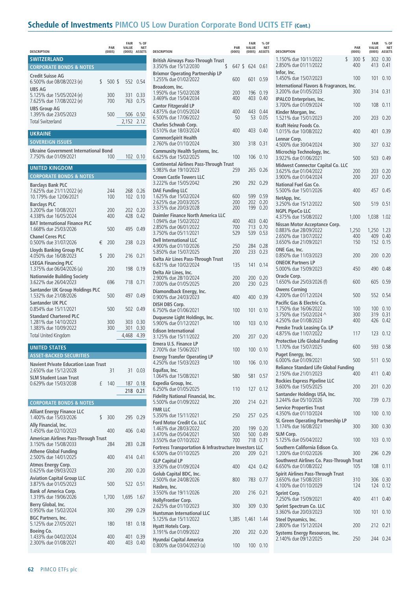# **Schedule of Investments PIMCO US Low Duration Corporate Bond UCITS ETF (Cont.)**

| <b>DESCRIPTION</b>                                             | PAR<br>(000S)     | <b>FAIR</b><br>VALUE<br>(000S) | % OF<br><b>NET</b><br><b>ASSETS</b> |  |
|----------------------------------------------------------------|-------------------|--------------------------------|-------------------------------------|--|
| <b>SWITZERLAND</b>                                             |                   |                                |                                     |  |
| <b>CORPORATE BONDS &amp; NOTES</b>                             |                   |                                |                                     |  |
| Credit Suisse AG<br>6.500% due 08/08/2023 (e)<br>UBS AG        | \$<br>$500 \,$ \$ | 552                            | 0.54                                |  |
| 5.125% due 15/05/2024 (e)<br>7.625% due 17/08/2022 (e)         | 300<br>700        | 331<br>763                     | 0.33<br>0.75                        |  |
| <b>UBS Group AG</b><br>1.395% due 23/05/2023                   | 500               | 506                            | 0.50                                |  |
| <b>Total Switzerland</b>                                       |                   | 2,152 2.12                     |                                     |  |
| <b>UKRAINE</b>                                                 |                   |                                |                                     |  |
|                                                                |                   |                                |                                     |  |
| <b>SOVEREIGN ISSUES</b>                                        |                   |                                |                                     |  |
| Ukraine Government International Bond<br>7.750% due 01/09/2021 | 100               | 102                            | 0.10                                |  |
| <b>UNITED KINGDOM</b>                                          |                   |                                |                                     |  |
| <b>CORPORATE BONDS &amp; NOTES</b>                             |                   |                                |                                     |  |
| <b>Barclavs Bank PLC</b>                                       |                   |                                |                                     |  |

| <b>Barclays Bank PLC</b>             |    |     |       |      |
|--------------------------------------|----|-----|-------|------|
| 7.625% due 21/11/2022 (e)            |    | 244 | 268   | 0.26 |
| 10.179% due 12/06/2021               |    | 100 | 102   | 0.10 |
| <b>Barclays PLC</b>                  |    |     |       |      |
| 3.200% due 10/08/2021                |    | 200 | 202   | 0.20 |
| 4.338% due 16/05/2024                |    | 400 | 428   | 0.42 |
| <b>BAT International Finance PLC</b> |    |     |       |      |
| 1.668% due 25/03/2026                |    | 500 | 495   | 0.49 |
| <b>Chanel Ceres PLC</b>              |    |     |       |      |
| 0.500% due 31/07/2026                | €  | 200 | 238   | 0.23 |
| <b>Lloyds Banking Group PLC</b>      |    |     |       |      |
| 4.050% due 16/08/2023                | \$ | 200 | 216   | 0.21 |
| <b>LSEGA Financing PLC</b>           |    |     |       |      |
| 1.375% due 06/04/2026 (a)            |    | 200 | 198   | 0.19 |
| <b>Nationwide Building Society</b>   |    |     |       |      |
| 3.622% due 26/04/2023                |    | 696 | 718   | 0.71 |
| Santander UK Group Holdings PLC      |    |     |       |      |
| 1.532% due 21/08/2026                |    | 500 | 497   | 0.49 |
| Santander UK PLC                     |    |     |       |      |
| 0.854% due 15/11/2021                |    | 500 | 502   | 0.49 |
| <b>Standard Chartered PLC</b>        |    |     |       |      |
| 1.281% due 14/10/2023                |    | 300 | 303   | 0.30 |
| 1.383% due 10/09/2022                |    | 300 | 301   | 0.30 |
| <b>Total United Kingdom</b>          |    |     | 4.468 | 4.39 |

## **UNITED STATES**

| <b>ASSET-BACKED SECURITIES</b>                                       |       |          |          |
|----------------------------------------------------------------------|-------|----------|----------|
| <b>Navient Private Education Loan Trust</b><br>2.650% due 15/12/2028 | 31    |          | 31 0.03  |
| <b>SLM Student Loan Trust</b><br>0.629% due 15/03/2038               | £ 140 |          | 187 0.18 |
|                                                                      |       | 218 0.21 |          |

| <b>CORPORATE BONDS &amp; NOTES</b>                                   |            |            |              |
|----------------------------------------------------------------------|------------|------------|--------------|
| <b>Alliant Energy Finance LLC</b><br>1.400% due 15/03/2026           | \$<br>300  | 295        | 0.29         |
| Ally Financial, Inc.<br>1.450% due 02/10/2023                        | 400        | 406        | 0.40         |
| <b>American Airlines Pass-Through Trust</b><br>3.150% due 15/08/2033 | 284        | 283        | 0.28         |
| <b>Athene Global Funding</b><br>2.500% due 14/01/2025                | 400        | 414        | 0.41         |
| Atmos Energy Corp.<br>0.625% due 09/03/2023                          | 200        | 200        | 0.20         |
| <b>Aviation Capital Group LLC</b><br>3.875% due 01/05/2023           | 500        | 522        | 0.51         |
| <b>Bank of America Corp.</b><br>1.319% due 19/06/2026                | 1,700      | 1,695      | 1.67         |
| Berry Global, Inc.<br>0.950% due 15/02/2024                          | 300        | 299        | 0.29         |
| <b>BGC Partners, Inc.</b><br>5.125% due 27/05/2021                   | 180        | 181        | 0.18         |
| Boeing Co.<br>1.433% due 04/02/2024<br>2.300% due 01/08/2021         | 400<br>400 | 401<br>403 | 0.39<br>0.40 |
|                                                                      |            |            |              |

| <b>DESCRIPTION</b>                                                                                | PAR<br>(000S)     | <b>FAIR</b><br>VALUE<br>(000S) | % OF<br><b>NET</b><br><b>ASSETS</b> |
|---------------------------------------------------------------------------------------------------|-------------------|--------------------------------|-------------------------------------|
| British Airways Pass-Through Trust<br>3.350% due 15/12/2030<br>\$                                 | 647 \$            | 624                            | 0.61                                |
| <b>Brixmor Operating Partnership LP</b><br>1.255% due 01/02/2022                                  | 600               | 601                            | 0.59                                |
| Broadcom, Inc.<br>1.950% due 15/02/2028<br>3.469% due 15/04/2034                                  | 200<br>400        | 196<br>403                     | 0.19<br>0.40                        |
| <b>Cantor Fitzgerald LP</b><br>4.875% due 01/05/2024<br>6.500% due 17/06/2022                     | 400<br>50         | 443<br>53                      | 0.44<br>0.05                        |
| <b>Charles Schwab Corp.</b><br>0.510% due 18/03/2024                                              | 400               | 403                            | 0.40                                |
| <b>CommonSpirit Health</b><br>2.760% due 01/10/2024                                               | 300               | 318                            | 0.31                                |
| <b>Community Health Systems, Inc.</b><br>6.625% due 15/02/2025                                    | 100               | 106                            | 0.10                                |
| <b>Continental Airlines Pass-Through Trust</b><br>5.983% due 19/10/2023                           | 259               | 265                            | 0.26                                |
| <b>Crown Castle Towers LLC</b><br>3.222% due 15/05/2042                                           | 290               | 292                            | 0.29                                |
| <b>DAE Funding LLC</b><br>1.625% due 15/02/2024<br>2.625% due 20/03/2025<br>3.375% due 20/03/2028 | 600<br>200<br>200 | 599<br>202<br>199              | 0.59<br>0.20<br>0.20                |
| <b>Daimler Finance North America LLC</b><br>1.094% due 15/02/2022                                 | 400               | 403                            | 0.40                                |
| 2.850% due 06/01/2022<br>3.750% due 05/11/2021                                                    | 700<br>529        | 713<br>539                     | 0.70<br>0.53                        |
| <b>Dell International LLC</b><br>4.900% due 01/10/2026<br>5.850% due 15/07/2025                   | 250<br>200        | 284<br>233                     | 0.28<br>0.23                        |
| Delta Air Lines Pass-Through Trust<br>6.821% due 10/02/2024                                       | 135               | 141                            | 0.14                                |
| Delta Air Lines, Inc.<br>2.900% due 28/10/2024<br>7.000% due 01/05/2025                           | 200<br>200        | 200<br>230                     | 0.20<br>0.23                        |
| Diamondback Energy, Inc.<br>0.900% due 24/03/2023                                                 | 400               | 400                            | 0.39                                |
| DISH DBS Corp.<br>6.750% due 01/06/2021                                                           | 100               | 101                            | 0.10                                |
| Duquesne Light Holdings, Inc.<br>5.900% due 01/12/2021                                            | 100               | 103                            | 0.10                                |
| <b>Edison International</b><br>3.125% due 15/11/2022                                              | 200               | 207                            | 0.20                                |
| Emera U.S. Finance LP<br>2.700% due 15/06/2021                                                    | 100               | 100                            | 0.10                                |
| <b>Energy Transfer Operating LP</b><br>4.250% due 15/03/2023                                      | 100               | 106                            | 0.10                                |
| Equifax, Inc.<br>1.064% due 15/08/2021                                                            | 580               | 581                            | 0.57                                |
| Expedia Group, Inc.<br>6.250% due 01/05/2025                                                      | 110               | 127                            | 0.12                                |
| <b>Fidelity National Financial, Inc.</b><br>5.500% due 01/09/2022                                 | 200               | 214                            | 0.21                                |
| <b>FMR LLC</b><br>5.350% due 15/11/2021                                                           | 250               | 257                            | 0.25                                |
| <b>Ford Motor Credit Co. LLC</b><br>1.463% due 28/03/2022                                         | 200               | 199                            | 0.20                                |
| 3.470% due 05/04/2021<br>3.550% due 07/10/2022                                                    | 500<br>700        | 500<br>718                     | 0.49<br>0.71                        |
| Fortress Transportation & Infrastructure Investors LLC<br>6.500% due 01/10/2025                   | 200               | 209                            | 0.21                                |
| <b>GLP Capital LP</b><br>3.350% due 01/09/2024                                                    | 400               | 424                            | 0.42                                |
| <b>Golub Capital BDC, Inc.</b><br>2.500% due 24/08/2026                                           | 800               | 783                            | 0.77                                |
| Hasbro, Inc.<br>3.550% due 19/11/2026                                                             | 200               | 216                            | 0.21                                |
| <b>HollyFrontier Corp.</b><br>2.625% due 01/10/2023                                               | 300               | 309                            | 0.30                                |
| <b>Huntsman International LLC</b><br>5.125% due 15/11/2022                                        | 1,385             | 1,461                          | 1.44                                |
| <b>Hyatt Hotels Corp.</b><br>3.191% due 01/09/2022                                                | 200               | 202                            | 0.20                                |
| Hyundai Capital America<br>0.800% due 03/04/2023 (a)                                              | 100               | 100                            | 0.10                                |

| <b>DESCRIPTION</b>                                                                          | PAR<br>(000S) | FAIR<br>VALUE<br>(000S) | % OF<br><b>NET</b><br><b>ASSETS</b> |
|---------------------------------------------------------------------------------------------|---------------|-------------------------|-------------------------------------|
| 1.150% due 10/11/2022<br>\$<br>2.850% due 01/11/2022                                        | 300 \$<br>400 | 302<br>413              | 0.30<br>0.41                        |
| Infor, Inc.<br>1.450% due 15/07/2023                                                        | 100           | 101                     | 0.10                                |
| International Flavors & Fragrances, Inc.<br>3.200% due 01/05/2023                           | 300           | 314                     | 0.31                                |
| <b>IPALCO Enterprises, Inc.</b><br>3.700% due 01/09/2024                                    | 100           | 108                     | 0.11                                |
| Kinder Morgan, Inc.<br>1.521% due 15/01/2023                                                | 200           | 203                     | 0.20                                |
| Kraft Heinz Foods Co.<br>1.015% due 10/08/2022                                              | 400           | 401                     | 0.39                                |
| Lennar Corp.<br>4.500% due 30/04/2024                                                       | 300           | 327                     | 0.32                                |
| Microchip Technology, Inc.<br>3.922% due 01/06/2021                                         | 500           | 503                     | 0.49                                |
| <b>Midwest Connector Capital Co. LLC</b><br>3.625% due 01/04/2022<br>3.900% due 01/04/2024  | 200<br>200    | 203<br>207              | 0.20<br>0.20                        |
| National Fuel Gas Co.<br>5.500% due 15/01/2026                                              | 400           | 457                     | 0.45                                |
| NetApp, Inc.<br>3.250% due 15/12/2022                                                       | 500           | 519                     | 0.51                                |
| <b>NGPL PipeCo LLC</b><br>4.375% due 15/08/2022                                             | 1,000         | 1,038                   | 1.02                                |
| Nissan Motor Acceptance Corp.<br>0.883% due 28/09/2022                                      | 1,250         | 1,250                   | 1.23                                |
| 2.650% due 13/07/2022<br>3.650% due 21/09/2021                                              | 400<br>150    | 409<br>152              | 0.40<br>0.15                        |
| ONE Gas, Inc.<br>0.850% due 11/03/2023                                                      | 200           | 200                     | 0.20                                |
| <b>ONEOK Partners LP</b><br>5.000% due 15/09/2023                                           | 450           | 490                     | 0.48                                |
| Oracle Corp.<br>1.650% due 25/03/2026 (f)                                                   | 600           | 605                     | 0.59                                |
| <b>Owens Corning</b><br>4.200% due 01/12/2024                                               | 500           | 552                     | 0.54                                |
| Pacific Gas & Electric Co.<br>1.750% due 16/06/2022                                         | 100           | 100                     | 0.10                                |
| 3.750% due 15/02/2024 ^<br>4.250% due 01/08/2023                                            | 300<br>400    | 319<br>426              | 0.31<br>0.42                        |
| Penske Truck Leasing Co. LP<br>4.875% due 11/07/2022                                        | 117           | 123                     | 0.12                                |
| <b>Protective Life Global Funding</b><br>1.170% due 15/07/2025                              | 600           | 593                     | 0.58                                |
| Puget Energy, Inc.<br>6.000% due 01/09/2021                                                 | 500           | 511                     | 0.50                                |
| <b>Reliance Standard Life Global Funding</b><br>2.150% due 21/01/2023                       | 400           | 411                     | 0.40                                |
| <b>Rockies Express Pipeline LLC</b><br>3.600% due 15/05/2025                                | 200           | 201                     | 0.20                                |
| Santander Holdings USA, Inc.<br>3.244% due 05/10/2026                                       | 700           | 739                     | 0.73                                |
| <b>Service Properties Trust</b><br>4.350% due 01/10/2024                                    | 100           | 100                     | 0.10                                |
| <b>SL Green Operating Partnership LP</b><br>1.174% due 16/08/2021                           | 300           | 300                     | 0.30                                |
| SLM Corp.<br>5.125% due 05/04/2022                                                          | 100           | 103                     | 0.10                                |
| Southern California Edison Co.<br>1.200% due 01/02/2026                                     | 300           | 296                     | 0.29                                |
| Southwest Airlines Co. Pass-Through Trust<br>6.650% due 01/08/2022                          | 105           | 108                     | 0.11                                |
| <b>Spirit Airlines Pass-Through Trust</b><br>3.650% due 15/08/2031<br>4.100% due 01/10/2029 | 310<br>124    | 306<br>124              | 0.30<br>0.12                        |
| Sprint Corp.<br>7.250% due 15/09/2021                                                       | 400           | 411                     | 0.40                                |
| <b>Sprint Spectrum Co. LLC</b><br>3.360% due 20/03/2023                                     | 100           | 101                     | 0.10                                |
| <b>Steel Dynamics, Inc.</b><br>2.800% due 15/12/2024                                        | 200           | 212                     | 0.21                                |
| Systems Energy Resources, Inc.<br>2.140% due 09/12/2025                                     | 250           | 244                     | 0.24                                |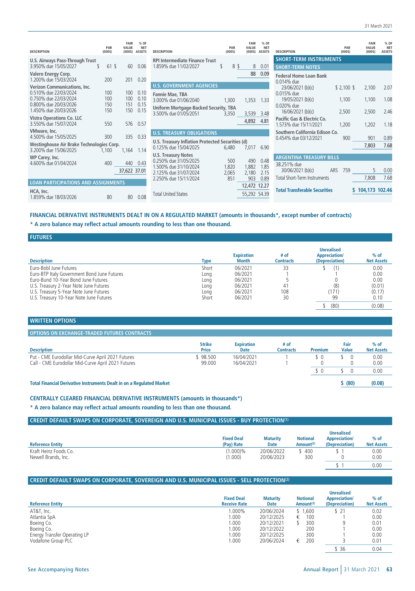| <b>DESCRIPTION</b>                                              | PAR<br>(000S) | FAIR<br>VALUE | % OF<br><b>NET</b><br>(000S) ASSETS | <b>DESCRIPTION</b>                                                        | PAR<br>(000S) | <b>FAIR</b><br>VALUE | % OF<br><b>NET</b><br>(000S) ASSETS | DE                                         |
|-----------------------------------------------------------------|---------------|---------------|-------------------------------------|---------------------------------------------------------------------------|---------------|----------------------|-------------------------------------|--------------------------------------------|
| <b>U.S. Airways Pass-Through Trust</b><br>3.950% due 15/05/2027 | 61 \$<br>S    | 60            | 0.06                                | <b>RPI Intermediate Finance Trust</b><br>1.859% due 11/02/2027            | \$<br>8\$     | 8                    | 0.01                                | $\vert S \vert$<br>$\overline{\mathsf{S}}$ |
| Valero Energy Corp.<br>1.200% due 15/03/2024                    | 200           | 201           | 0.20                                |                                                                           |               | 88                   | 0.09                                | F <sub>6</sub><br>0.                       |
| Verizon Communications, Inc.                                    |               |               |                                     | <b>U.S. GOVERNMENT AGENCIES</b>                                           |               |                      |                                     |                                            |
| 0.510% due 22/03/2024<br>0.750% due 22/03/2024                  | 100<br>100    | 100<br>100    | 0.10<br>0.10                        | Fannie Mae, TBA                                                           |               |                      |                                     | 0.                                         |
| 0.800% due 20/03/2026                                           | 150           | 151           | 0.15                                | 3.000% due 01/06/2040                                                     | 1,300         | 1,353                | 1.33                                | 0.                                         |
| 1.450% due 20/03/2026                                           | 150           | 150           | 0.15                                | <b>Uniform Mortgage-Backed Security, TBA</b><br>3.500% due 01/05/2051     | 3,350         | 3,539                | 3.48                                |                                            |
| <b>Vistra Operations Co. LLC</b><br>3.550% due 15/07/2024       | 550           | 576           | 0.57                                |                                                                           |               | 4,892                | 4.81                                | $P_i$<br>1.                                |
| VMware, Inc.<br>4.500% due 15/05/2025                           | 300           | 335           | 0.33                                | <b>U.S. TREASURY OBLIGATIONS</b>                                          |               |                      |                                     | S <sub>0</sub><br>$\overline{0}$           |
| Westinghouse Air Brake Technologies Corp.                       |               |               |                                     | U.S. Treasury Inflation Protected Securities (d)<br>0.125% due 15/04/2025 | 6.480         | 7.017                | 6.90                                |                                            |
| 3.200% due 15/06/2025                                           | 1,100         | 1,164         | 1.14                                | <b>U.S. Treasury Notes</b>                                                |               |                      |                                     |                                            |
| WP Carey, Inc.<br>4.600% due 01/04/2024                         | 400           | 440           | 0.43                                | 0.250% due 31/05/2025                                                     | 500           | 490                  | 0.48                                | A                                          |
|                                                                 |               | 37,622 37.01  |                                     | 1.500% due 31/10/2024                                                     | 1,820         | 1,882                | 1.85                                | 38                                         |
|                                                                 |               |               |                                     | 2.125% due 31/07/2024<br>2.250% due 15/11/2024                            | 2,065<br>851  | 2,180<br>903         | 2.15<br>0.89                        | Τo                                         |
| <b>LOAN PARTICIPATIONS AND ASSIGNMENTS</b>                      |               |               |                                     |                                                                           |               | 12,472 12.27         |                                     |                                            |
| HCA, Inc.<br>1.859% due 18/03/2026                              | 80            | 80            | 0.08                                | <b>Total United States</b>                                                |               | 55.292 54.39         |                                     | T)                                         |
|                                                                 |               |               |                                     |                                                                           |               |                      |                                     |                                            |

| <b>DESCRIPTION</b>                                      | PAR<br>(000S) |   | FAIR<br>VALUE<br>(000S) | % OF<br><b>NET</b><br><b>ASSETS</b> |
|---------------------------------------------------------|---------------|---|-------------------------|-------------------------------------|
| <b>SHORT-TERM INSTRUMENTS</b>                           |               |   |                         |                                     |
| <b>SHORT-TERM NOTES</b>                                 |               |   |                         |                                     |
| Federal Home Loan Bank<br>0.014% due                    |               |   |                         |                                     |
| 23/06/2021 (b)(c)<br>0.015% due                         | $$2,100$ \$   |   | 2,100                   | 2.07                                |
| 19/05/2021 (b)(c)<br>0.020% due                         | 1,100         |   | 1,100                   | 1.08                                |
| 16/06/2021 (b)(c)                                       | 2,500         |   | 2,500                   | 2.46                                |
| Pacific Gas & Electric Co.<br>1.573% due 15/11/2021     | 1,200         |   | 1,202                   | 1.18                                |
| Southern California Edison Co.<br>0.454% due 03/12/2021 | 900           |   | 901                     | 0.89                                |
|                                                         |               |   | 7,803                   | 7.68                                |
| <b>ARGENTINA TREASURY BILLS</b>                         |               |   |                         |                                     |
| 38.251% due<br>30/06/2021 (b)(c)                        | ARS<br>759    |   | 5                       | 0.00                                |
| Total Short-Term Instruments                            |               |   | 7,808                   | 7.68                                |
| <b>Total Transferable Securities</b>                    |               | S | 104,173 102.46          |                                     |

### **FINANCIAL DERIVATIVE INSTRUMENTS DEALT IN ON A REGULATED MARKET (amounts in thousands\*, except number of contracts)**

**\* A zero balance may reflect actual amounts rounding to less than one thousand.**

### **FUTURES**

| <b>Description</b>                          | Type  | <b>Expiration</b><br><b>Month</b> | # of<br>Contracts | <b>Unrealised</b><br><b>Appreciation/</b><br>(Depreciation) | $%$ of<br><b>Net Assets</b> |
|---------------------------------------------|-------|-----------------------------------|-------------------|-------------------------------------------------------------|-----------------------------|
| Euro-Bobl June Futures                      | Short | 06/2021                           | 33                | (1)                                                         | 0.00                        |
| Euro-BTP Italy Government Bond June Futures | Long  | 06/2021                           |                   |                                                             | 0.00                        |
| Euro-Bund 10-Year Bond June Futures         | Long  | 06/2021                           |                   |                                                             | 0.00                        |
| U.S. Treasury 2-Year Note June Futures      | Long  | 06/2021                           | $4^{\circ}$       | (8)                                                         | (0.01)                      |
| U.S. Treasury 5-Year Note June Futures      | Long  | 06/2021                           | 108               | (171)                                                       | (0.17)                      |
| U.S. Treasury 10-Year Note June Futures     | Short | 06/2021                           | 30                | 99                                                          | 0.10                        |
|                                             |       |                                   |                   | (80)                                                        | (0.08)                      |

### **WRITTEN OPTIONS**

### **OPTIONS ON EXCHANGE-TRADED FUTURES CONTRACTS**

| <b>Description</b>                                                                                      | <b>Strike</b><br><b>Price</b> | <b>Expiration</b><br><b>Date</b> | # of<br><b>Contracts</b> | <b>Premium</b> | Fair<br><b>Value</b> | $%$ of<br><b>Net Assets</b> |
|---------------------------------------------------------------------------------------------------------|-------------------------------|----------------------------------|--------------------------|----------------|----------------------|-----------------------------|
| Put - CME Eurodollar Mid-Curve April 2021 Futures<br>Call - CME Eurodollar Mid-Curve April 2021 Futures | 98.500<br>99.000              | 16/04/2021<br>16/04/2021         |                          |                |                      | 0.00<br>0.00                |
|                                                                                                         |                               |                                  |                          |                |                      | 0.00                        |
| <b>Total Financial Derivative Instruments Dealt in on a Regulated Market</b>                            |                               |                                  |                          |                | \$ (80)              | (0.08)                      |

## **CENTRALLY CLEARED FINANCIAL DERIVATIVE INSTRUMENTS (amounts in thousands\*)**

**\* A zero balance may reflect actual amounts rounding to less than one thousand.**

### **CREDIT DEFAULT SWAPS ON CORPORATE, SOVEREIGN AND U.S. MUNICIPAL ISSUES - BUY PROTECTION(1)**

|                         |                   |                 |                       | <b>Unrealised</b>    |                   |  |
|-------------------------|-------------------|-----------------|-----------------------|----------------------|-------------------|--|
|                         | <b>Fixed Deal</b> | <b>Maturity</b> | <b>Notional</b>       | <b>Appreciation/</b> | $%$ of            |  |
| <b>Reference Entity</b> | (Pay) Rate        | <b>Date</b>     | Amount <sup>(3)</sup> | (Depreciation)       | <b>Net Assets</b> |  |
| Kraft Heinz Foods Co.   | $(1.000)\%$       | 20/06/2022      | 400                   |                      | 0.00              |  |
| Newell Brands, Inc.     | (1.000)           | 20/06/2023      | 300                   |                      | 0.00              |  |
|                         |                   |                 |                       |                      | 0.00              |  |

## **CREDIT DEFAULT SWAPS ON CORPORATE, SOVEREIGN AND U.S. MUNICIPAL ISSUES - SELL PROTECTION(2)**

| <b>Reference Entity</b>      | <b>Fixed Deal</b><br><b>Receive Rate</b> | <b>Maturity</b><br><b>Date</b> | <b>Notional</b><br>Amount <sup>(3)</sup> | <b>Unrealised</b><br>Appreciation/<br>(Depreciation) | $%$ of<br><b>Net Assets</b> |
|------------------------------|------------------------------------------|--------------------------------|------------------------------------------|------------------------------------------------------|-----------------------------|
| AT&T, Inc.                   | $0.000\%$                                | 20/06/2024                     | \$1,600                                  | \$21                                                 | 0.02                        |
| Atlantia SpA                 | .000                                     | 20/12/2025                     | 100<br>ŧ.                                |                                                      | 0.00                        |
| Boeing Co.                   | 000.1                                    | 20/12/2021                     | 300                                      |                                                      | 0.01                        |
| Boeing Co.                   | 000.1                                    | 20/12/2022                     | 200                                      |                                                      | 0.00                        |
| Energy Transfer Operating LP | .000                                     | 20/12/2025                     | 300                                      |                                                      | 0.00                        |
| Vodafone Group PLC           | .000                                     | 20/06/2024                     | 200<br>€                                 |                                                      | 0.01                        |
|                              |                                          |                                |                                          | \$ 36                                                | 0.04                        |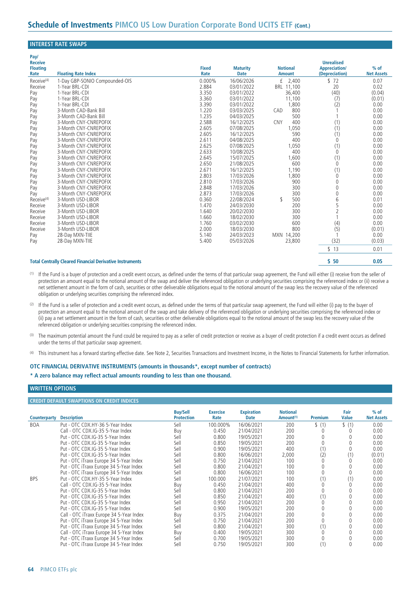## **Schedule of Investments PIMCO US Low Duration Corporate Bond UCITS ETF (Cont.)**

### **INTEREST RATE SWAPS**

| Pay/<br><b>Receive</b>  |                                |                      |                                |                                  | <b>Unrealised</b>                      |                             |
|-------------------------|--------------------------------|----------------------|--------------------------------|----------------------------------|----------------------------------------|-----------------------------|
| <b>Floating</b><br>Rate | <b>Floating Rate Index</b>     | <b>Fixed</b><br>Rate | <b>Maturity</b><br><b>Date</b> | <b>Notional</b><br><b>Amount</b> | <b>Appreciation/</b><br>(Depreciation) | $%$ of<br><b>Net Assets</b> |
| Receive <sup>(4)</sup>  | 1-Day GBP-SONIO Compounded-OIS | 0.000%               | 16/06/2026                     | 2,400<br>£                       | \$72                                   | 0.07                        |
| Receive                 | 1-Year BRL-CDI                 | 2.884                | 03/01/2022                     | BRL 11,100                       | 20                                     | 0.02                        |
| Pay                     | 1-Year BRL-CDI                 | 3.350                | 03/01/2022                     | 36,400                           | (40)                                   | (0.04)                      |
| Pay                     | 1-Year BRL-CDI                 | 3.360                | 03/01/2022                     | 11,100                           | (7)                                    | (0.01)                      |
| Pay                     | 1-Year BRL-CDI                 | 3.390                | 03/01/2022                     | 1,800                            | (2)                                    | 0.00                        |
| Pay                     | 3-Month CAD-Bank Bill          | 1.220                | 03/03/2025                     | 800<br>CAD                       |                                        | 0.00                        |
| Pay                     | 3-Month CAD-Bank Bill          | 1.235                | 04/03/2025                     | 500                              |                                        | 0.00                        |
| Pay                     | 3-Month CNY-CNREPOFIX          | 2.588                | 16/12/2025                     | <b>CNY</b><br>400                | (1)                                    | 0.00                        |
| Pay                     | 3-Month CNY-CNREPOFIX          | 2.605                | 07/08/2025                     | 1,050                            | (1)                                    | 0.00                        |
| Pay                     | 3-Month CNY-CNREPOFIX          | 2.605                | 16/12/2025                     | 590                              | (1)                                    | 0.00                        |
| Pay                     | 3-Month CNY-CNREPOFIX          | 2.611                | 04/08/2025                     | 400                              | 0                                      | 0.00                        |
| Pay                     | 3-Month CNY-CNREPOFIX          | 2.625                | 07/08/2025                     | 1,050                            | (1)                                    | 0.00                        |
| Pay                     | 3-Month CNY-CNREPOFIX          | 2.633                | 10/08/2025                     | 400                              | 0                                      | 0.00                        |
| Pay                     | 3-Month CNY-CNREPOFIX          | 2.645                | 15/07/2025                     | 1,600                            | (1)                                    | 0.00                        |
| Pay                     | 3-Month CNY-CNREPOFIX          | 2.650                | 21/08/2025                     | 600                              | 0                                      | 0.00                        |
| Pay                     | 3-Month CNY-CNREPOFIX          | 2.671                | 16/12/2025                     | 1,190                            | (1)                                    | 0.00                        |
| Pay                     | 3-Month CNY-CNREPOFIX          | 2.803                | 17/03/2026                     | 1,800                            | 0                                      | 0.00                        |
| Pay                     | 3-Month CNY-CNREPOFIX          | 2.810                | 17/03/2026                     | 900                              | 0                                      | 0.00                        |
| Pay                     | 3-Month CNY-CNREPOFIX          | 2.848                | 17/03/2026                     | 300                              | $\Omega$                               | 0.00                        |
| Pay                     | 3-Month CNY-CNREPOFIX          | 2.873                | 17/03/2026                     | 300                              | $\Omega$                               | 0.00                        |
| Receive <sup>(4)</sup>  | 3-Month USD-LIBOR              | 0.360                | 22/08/2024                     | 500<br>\$                        | 6                                      | 0.01                        |
| Receive                 | 3-Month USD-LIBOR              | 1.470                | 24/03/2030                     | 200                              | 5                                      | 0.00                        |
| Receive                 | 3-Month USD-LIBOR              | 1.640                | 20/02/2030                     | 300                              | $\overline{2}$                         | 0.00                        |
| Receive                 | 3-Month USD-LIBOR              | 1.660                | 18/02/2030                     | 300                              |                                        | 0.00                        |
| Receive                 | 3-Month USD-LIBOR              | 1.760                | 03/02/2030                     | 600                              | (4)                                    | 0.00                        |
| Receive                 | 3-Month USD-LIBOR              | 2.000                | 18/03/2030                     | 800                              | (5)                                    | (0.01)                      |
| Pay                     | 28-Day MXN-TIIE                | 5.140                | 24/03/2023                     | MXN 14,200                       |                                        | 0.00                        |
| Pay                     | 28-Day MXN-TIIE                | 5.400                | 05/03/2026                     | 23,800                           | (32)                                   | (0.03)                      |
|                         |                                |                      |                                |                                  | \$13                                   | 0.01                        |
|                         |                                |                      |                                |                                  |                                        |                             |

### **Total Centrally Cleared Financial Derivative Instruments \$ 50 0.05**

- (1) If the Fund is a buyer of protection and a credit event occurs, as defined under the terms of that particular swap agreement, the Fund will either (i) receive from the seller of protection an amount equal to the notional amount of the swap and deliver the referenced obligation or underlying securities comprising the referenced index or (ii) receive a net settlement amount in the form of cash, securities or other deliverable obligations equal to the notional amount of the swap less the recovery value of the referenced obligation or underlying securities comprising the referenced index.
- (2) If the Fund is a seller of protection and a credit event occurs, as defined under the terms of that particular swap agreement, the Fund will either (i) pay to the buyer of protection an amount equal to the notional amount of the swap and take delivery of the referenced obligation or underlying securities comprising the referenced index or (ii) pay a net settlement amount in the form of cash, securities or other deliverable obligations equal to the notional amount of the swap less the recovery value of the referenced obligation or underlying securities comprising the referenced index.
- (3) The maximum potential amount the Fund could be required to pay as a seller of credit protection or receive as a buyer of credit protection if a credit event occurs as defined under the terms of that particular swap agreement.
- (4) This instrument has a forward starting effective date. See Note 2, Securities Transactions and Investment Income, in the Notes to Financial Statements for further information.

#### **OTC FINANCIAL DERIVATIVE INSTRUMENTS (amounts in thousands\*, except number of contracts)**

#### **\* A zero balance may reflect actual amounts rounding to less than one thousand.**

#### **WRITTEN OPTIONS**

### **CREDIT DEFAULT SWAPTIONS ON CREDIT INDICES**

|              |                                          | <b>Buy/Sell</b>   | <b>Exercise</b> | <b>Expiration</b> | <b>Notional</b>       |                | Fair         | $%$ of            |
|--------------|------------------------------------------|-------------------|-----------------|-------------------|-----------------------|----------------|--------------|-------------------|
| Counterparty | <b>Description</b>                       | <b>Protection</b> | Rate            | <b>Date</b>       | Amount <sup>(1)</sup> | <b>Premium</b> | <b>Value</b> | <b>Net Assets</b> |
| <b>BOA</b>   | Put - OTC CDX.HY-36 5-Year Index         | Sell              | 100.000%        | 16/06/2021        | 200                   | \$(1)          | \$(1)        | 0.00              |
|              | Call - OTC CDX.IG-35 5-Year Index        | Buy               | 0.450           | 21/04/2021        | 200                   | 0              |              | 0.00              |
|              | Put - OTC CDX.IG-35 5-Year Index         | Sell              | 0.800           | 19/05/2021        | 200                   | 0              |              | 0.00              |
|              | Put - OTC CDX.IG-35 5-Year Index         | Sell              | 0.850           | 19/05/2021        | 200                   | 0              |              | 0.00              |
|              | Put - OTC CDX.IG-35 5-Year Index         | Sell              | 0.900           | 19/05/2021        | 400                   | (1)            |              | 0.00              |
|              | Put - OTC CDX.IG-35 5-Year Index         | Sell              | 0.800           | 16/06/2021        | 2,000                 | (2)            | (1)          | (0.01)            |
|              | Put - OTC iTraxx Europe 34 5-Year Index  | Sell              | 0.750           | 21/04/2021        | 100                   | 0              |              | 0.00              |
|              | Put - OTC iTraxx Europe 34 5-Year Index  | Sell              | 0.800           | 21/04/2021        | 100                   | 0              |              | 0.00              |
|              | Put - OTC iTraxx Europe 34 5-Year Index  | Sell              | 0.800           | 16/06/2021        | 100                   |                |              | 0.00              |
| <b>BPS</b>   | Put - OTC CDX.HY-35 5-Year Index         | Sell              | 100.000         | 21/07/2021        | 100                   | (1)            | (1)          | 0.00              |
|              | Call - OTC CDX.IG-35 5-Year Index        | Buy               | 0.450           | 21/04/2021        | 400                   | 0              |              | 0.00              |
|              | Put - OTC CDX.IG-35 5-Year Index         | Sell              | 0.800           | 21/04/2021        | 200                   | 0              |              | 0.00              |
|              | Put - OTC CDX.IG-35 5-Year Index         | Sell              | 0.850           | 21/04/2021        | 400                   | (1)            |              | 0.00              |
|              | Put - OTC CDX.IG-35 5-Year Index         | Sell              | 0.950           | 21/04/2021        | 200                   | 0              |              | 0.00              |
|              | Put - OTC CDX.IG-35 5-Year Index         | Sell              | 0.900           | 19/05/2021        | 200                   | 0              |              | 0.00              |
|              | Call - OTC iTraxx Europe 34 5-Year Index | Buy               | 0.375           | 21/04/2021        | 200                   | 0              |              | 0.00              |
|              | Put - OTC iTraxx Europe 34 5-Year Index  | Sell              | 0.750           | 21/04/2021        | 200                   | 0              |              | 0.00              |
|              | Put - OTC iTraxx Europe 34 5-Year Index  | Sell              | 0.800           | 21/04/2021        | 300                   | (1)            |              | 0.00              |
|              | Call - OTC iTraxx Europe 34 5-Year Index | Buy               | 0.400           | 19/05/2021        | 300                   | 0              |              | 0.00              |
|              | Put - OTC iTraxx Europe 34 5-Year Index  | Sell              | 0.700           | 19/05/2021        | 300                   | 0              |              | 0.00              |
|              | Put - OTC iTraxx Europe 34 5-Year Index  | Sell              | 0.750           | 19/05/2021        | 300                   | (1)            |              | 0.00              |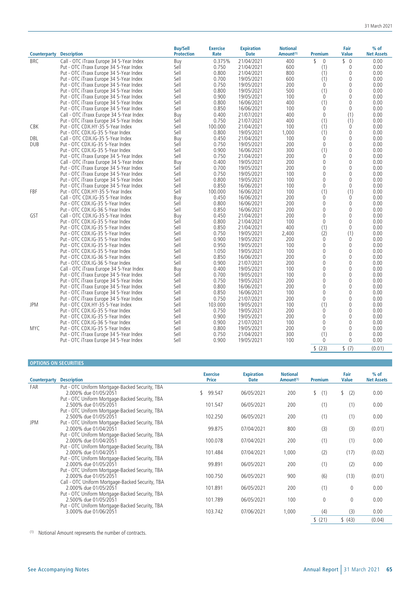| <b>Counterparty</b> | <b>Description</b>                                                                 | <b>Buy/Sell</b><br><b>Protection</b> | <b>Exercise</b><br>Rate | <b>Expiration</b><br><b>Date</b> | <b>Notional</b><br>Amount <sup>(1)</sup> | <b>Premium</b>              | Fair<br><b>Value</b> | $%$ of<br><b>Net Assets</b> |
|---------------------|------------------------------------------------------------------------------------|--------------------------------------|-------------------------|----------------------------------|------------------------------------------|-----------------------------|----------------------|-----------------------------|
| <b>BRC</b>          | Call - OTC iTraxx Europe 34 5-Year Index                                           | Buy                                  | 0.375%                  | 21/04/2021                       | 400                                      | \$<br>$\mathbf 0$           | \$0                  | 0.00                        |
|                     | Put - OTC iTraxx Europe 34 5-Year Index                                            | Sell                                 | 0.750                   | 21/04/2021                       | 600                                      | (1)                         | $\mathbf{0}$         | 0.00                        |
|                     | Put - OTC iTraxx Europe 34 5-Year Index                                            | Sell                                 | 0.800                   | 21/04/2021                       | 800                                      | (1)                         | $\mathbf{0}$         | 0.00                        |
|                     | Put - OTC iTraxx Europe 34 5-Year Index                                            | Sell                                 | 0.700                   | 19/05/2021                       | 600                                      | (1)                         | $\mathbf{0}$         | 0.00                        |
|                     | Put - OTC iTraxx Europe 34 5-Year Index                                            | Sell                                 | 0.750                   | 19/05/2021                       | 200                                      | $\Omega$                    | $\mathbf{0}$         | 0.00                        |
|                     | Put - OTC iTraxx Europe 34 5-Year Index                                            | Sell                                 | 0.800                   | 19/05/2021                       | 500                                      | (1)                         | $\overline{0}$       | 0.00                        |
|                     | Put - OTC iTraxx Europe 34 5-Year Index                                            | Sell                                 | 0.900                   | 19/05/2021                       | 100                                      | $\mathbf 0$                 | 0                    | 0.00                        |
|                     | Put - OTC iTraxx Europe 34 5-Year Index                                            | Sell                                 | 0.800                   | 16/06/2021                       | 400                                      | (1)                         | $\overline{0}$       | 0.00                        |
|                     | Put - OTC iTraxx Europe 34 5-Year Index                                            | Sell                                 | 0.850                   | 16/06/2021                       | 100                                      | $\mathbf{0}$                | $\Omega$             | 0.00                        |
|                     | Call - OTC iTraxx Europe 34 5-Year Index                                           | Buv                                  | 0.400                   | 21/07/2021                       | 400                                      | $\Omega$                    | (1)                  | 0.00                        |
|                     | Put - OTC iTraxx Europe 34 5-Year Index                                            | Sell                                 | 0.750                   | 21/07/2021                       | 400                                      | (1)                         | (1)                  | 0.00                        |
| <b>CBK</b>          | Put - OTC CDX.HY-35 5-Year Index                                                   | Sell                                 | 100.000                 | 21/04/2021                       | 100                                      | (1)                         | $\Omega$             | 0.00                        |
|                     | Put - OTC CDX.IG-35 5-Year Index                                                   | Sell                                 | 0.800                   | 19/05/2021                       | 1,000                                    | (1)                         | $\mathbf{0}$         | 0.00                        |
| DBL                 | Call - OTC CDX.IG-35 5-Year Index                                                  | Buy                                  | 0.450                   | 21/04/2021                       | 100                                      | $\mathbf 0$                 | $\mathbf{0}$         | 0.00                        |
| <b>DUB</b>          | Put - OTC CDX.IG-35 5-Year Index                                                   | Sell                                 | 0.750                   | 19/05/2021                       | 200                                      | $\mathbf{0}$                | 0                    | 0.00                        |
|                     | Put - OTC CDX.IG-35 5-Year Index                                                   | Sell                                 | 0.900                   | 16/06/2021                       | 300                                      | (1)                         | $\overline{0}$       | 0.00                        |
|                     | Put - OTC iTraxx Europe 34 5-Year Index                                            | Sell                                 | 0.750                   | 21/04/2021                       | 200                                      | $\mathbf{0}$                | 0                    | 0.00                        |
|                     | Call - OTC iTraxx Europe 34 5-Year Index                                           | Buy                                  | 0.400                   | 19/05/2021                       | 200                                      | $\mathbf{0}$                | 0                    | 0.00                        |
|                     | Put - OTC iTraxx Europe 34 5-Year Index                                            | Sell                                 | 0.700                   | 19/05/2021                       | 200                                      | $\mathbf 0$                 | $\mathbf{0}$         | 0.00                        |
|                     | Put - OTC iTraxx Europe 34 5-Year Index                                            | Sell                                 | 0.750                   | 19/05/2021                       | 100<br>100                               | $\mathbf{0}$<br>$\mathbf 0$ | $\overline{0}$       | 0.00<br>0.00                |
|                     | Put - OTC iTraxx Europe 34 5-Year Index<br>Put - OTC iTraxx Europe 34 5-Year Index | Sell<br>Sell                         | 0.800<br>0.850          | 19/05/2021<br>16/06/2021         | 100                                      | $\mathbf{0}$                | $\mathbf 0$<br>0     | 0.00                        |
| FBF                 | Put - OTC CDX.HY-35 5-Year Index                                                   | Sell                                 | 100.000                 | 16/06/2021                       | 100                                      | (1)                         | (1)                  | 0.00                        |
|                     | Call - OTC CDX.IG-35 5-Year Index                                                  | Buy                                  | 0.450                   | 16/06/2021                       | 200                                      | $\mathbf{0}$                | $\Omega$             | 0.00                        |
|                     | Put - OTC CDX.IG-35 5-Year Index                                                   | Sell                                 | 0.800                   | 16/06/2021                       | 200                                      | $\mathbf 0$                 | $\mathbf 0$          | 0.00                        |
|                     | Put - OTC CDX.IG-36 5-Year Index                                                   | Sell                                 | 0.850                   | 16/06/2021                       | 200                                      | $\mathbf 0$                 | $\mathbf{0}$         | 0.00                        |
| GST                 | Call - OTC CDX.IG-35 5-Year Index                                                  | Buy                                  | 0.450                   | 21/04/2021                       | 200                                      | $\mathbf{0}$                | $\mathbf{0}$         | 0.00                        |
|                     | Put - OTC CDX.IG-35 5-Year Index                                                   | Sell                                 | 0.800                   | 21/04/2021                       | 100                                      | $\mathbf{0}$                | $\mathbf{0}$         | 0.00                        |
|                     | Put - OTC CDX.IG-35 5-Year Index                                                   | Sell                                 | 0.850                   | 21/04/2021                       | 400                                      | (1)                         | $\Omega$             | 0.00                        |
|                     | Put - OTC CDX.IG-35 5-Year Index                                                   | Sell                                 | 0.750                   | 19/05/2021                       | 2,400                                    | (2)                         | (1)                  | 0.00                        |
|                     | Put - OTC CDX.IG-35 5-Year Index                                                   | Sell                                 | 0.900                   | 19/05/2021                       | 200                                      | $\mathbf{0}$                | $\mathbf{0}$         | 0.00                        |
|                     | Put - OTC CDX.IG-35 5-Year Index                                                   | Sell                                 | 0.950                   | 19/05/2021                       | 100                                      | $\mathbf 0$                 | $\mathbf{0}$         | 0.00                        |
|                     | Put - OTC CDX.IG-35 5-Year Index                                                   | Sell                                 | 1.050                   | 19/05/2021                       | 100                                      | 0                           | $\mathbf{0}$         | 0.00                        |
|                     | Put - OTC CDX.IG-36 5-Year Index                                                   | Sell                                 | 0.850                   | 16/06/2021                       | 200                                      | 0                           | $\mathbf{0}$         | 0.00                        |
|                     | Put - OTC CDX.IG-36 5-Year Index                                                   | Sell                                 | 0.900                   | 21/07/2021                       | 200                                      | $\mathbf 0$                 | $\mathbf{0}$         | 0.00                        |
|                     | Call - OTC iTraxx Europe 34 5-Year Index                                           | Buv                                  | 0.400                   | 19/05/2021                       | 100                                      | 0                           | 0                    | 0.00                        |
|                     | Put - OTC iTraxx Europe 34 5-Year Index                                            | Sell                                 | 0.700                   | 19/05/2021                       | 100                                      | $\mathbf 0$                 | $\mathbf{0}$         | 0.00                        |
|                     | Put - OTC iTraxx Europe 34 5-Year Index                                            | Sell                                 | 0.750                   | 19/05/2021                       | 200                                      | $\mathbf 0$                 | $\mathbf{0}$         | 0.00                        |
|                     | Put - OTC iTraxx Europe 34 5-Year Index                                            | Sell                                 | 0.800                   | 16/06/2021                       | 200                                      | 0                           | $\mathbf{0}$         | 0.00                        |
|                     | Put - OTC iTraxx Europe 34 5-Year Index                                            | Sell                                 | 0.850                   | 16/06/2021                       | 100                                      | $\mathbf{0}$                | $\mathbf{0}$         | 0.00                        |
|                     | Put - OTC iTraxx Europe 34 5-Year Index                                            | Sell                                 | 0.750                   | 21/07/2021                       | 200                                      | $\mathbf{0}$                | $\mathbf{0}$         | 0.00                        |
| <b>JPM</b>          | Put - OTC CDX.HY-35 5-Year Index                                                   | Sell                                 | 103.000                 | 19/05/2021                       | 100                                      | (1)                         | $\mathbf{0}$         | 0.00                        |
|                     | Put - OTC CDX.IG-35 5-Year Index                                                   | Sell                                 | 0.750                   | 19/05/2021                       | 200                                      | $\mathbf{0}$                | $\Omega$             | 0.00                        |
|                     | Put - OTC CDX.IG-35 5-Year Index                                                   | Sell                                 | 0.900                   | 19/05/2021                       | 200                                      | $\mathbf{0}$                | $\mathbf{0}$         | 0.00                        |
|                     | Put - OTC CDX.IG-36 5-Year Index                                                   | Sell                                 | 0.900                   | 21/07/2021                       | 100                                      | $\mathbf{0}$                | $\mathbf{0}$         | 0.00                        |
| <b>MYC</b>          | Put - OTC CDX.IG-35 5-Year Index                                                   | Sell                                 | 0.800                   | 19/05/2021                       | 200                                      | $\mathbf{0}$                | $\mathbf 0$          | 0.00                        |
|                     | Put - OTC iTraxx Europe 34 5-Year Index                                            | Sell                                 | 0.750                   | 21/04/2021                       | 300                                      | (1)                         | $\Omega$             | 0.00                        |
|                     | Put - OTC iTraxx Europe 34 5-Year Index                                            | Sell                                 | 0.900                   | 19/05/2021                       | 100                                      | $\mathbf{0}$                | $\mathbf{0}$         | 0.00                        |
|                     |                                                                                    |                                      |                         |                                  |                                          | \$ (23)                     | \$ (7)               | (0.01)                      |

### **OPTIONS ON SECURITIES**

| Counterparty | <b>Description</b>                                                       | <b>Exercise</b><br><b>Price</b> | <b>Expiration</b><br>Date | <b>Notional</b><br>Amount <sup>(1)</sup> | <b>Premium</b> | Fair<br><b>Value</b> | $%$ of<br><b>Net Assets</b> |
|--------------|--------------------------------------------------------------------------|---------------------------------|---------------------------|------------------------------------------|----------------|----------------------|-----------------------------|
| <b>FAR</b>   | Put - OTC Uniform Mortgage-Backed Security, TBA                          |                                 |                           |                                          |                |                      |                             |
|              | 2.000% due 01/05/2051                                                    | \$<br>99.547                    | 06/05/2021                | 200                                      | (1)<br>\$      | (2)<br>\$            | 0.00                        |
|              | Put - OTC Uniform Mortgage-Backed Security, TBA<br>2.500% due 01/05/2051 | 101.547                         | 06/05/2021                | 200                                      | (1)            | (1)                  | 0.00                        |
|              | Put - OTC Uniform Mortgage-Backed Security, TBA                          |                                 |                           |                                          |                |                      |                             |
|              | 2.500% due 01/05/2051                                                    | 102.250                         | 06/05/2021                | 200                                      | (1)            | (1)                  | 0.00                        |
| <b>JPM</b>   | Put - OTC Uniform Mortgage-Backed Security, TBA                          |                                 |                           |                                          |                |                      |                             |
|              | 2.000% due 01/04/2051                                                    | 99.875                          | 07/04/2021                | 800                                      | (3)            | (3)                  | (0.01)                      |
|              | Put - OTC Uniform Mortgage-Backed Security, TBA                          |                                 |                           |                                          |                |                      |                             |
|              | 2.000% due 01/04/2051                                                    | 100.078                         | 07/04/2021                | 200                                      | (1)            | (1)                  | 0.00                        |
|              | Put - OTC Uniform Mortgage-Backed Security, TBA                          |                                 |                           |                                          |                |                      |                             |
|              | 2.000% due 01/04/2051                                                    | 101.484                         | 07/04/2021                | 1.000                                    | (2)            | (17)                 | (0.02)                      |
|              | Put - OTC Uniform Mortgage-Backed Security, TBA                          |                                 |                           |                                          |                |                      |                             |
|              | 2.000% due 01/05/2051                                                    | 99.891                          | 06/05/2021                | 200                                      | (1)            | (2)                  | 0.00                        |
|              | Put - OTC Uniform Mortgage-Backed Security, TBA                          |                                 |                           |                                          |                |                      |                             |
|              | 2.000% due 01/05/2051                                                    | 100.750                         | 06/05/2021                | 900                                      | (6)            | (13)                 | (0.01)                      |
|              | Call - OTC Uniform Mortgage-Backed Security, TBA                         |                                 |                           |                                          |                |                      |                             |
|              | 2.000% due 01/05/2051                                                    | 101.891                         | 06/05/2021                | 200                                      | (1)            | $\Omega$             | 0.00                        |
|              | Put - OTC Uniform Mortgage-Backed Security, TBA<br>2.500% due 01/05/2051 | 101.789                         | 06/05/2021                | 100                                      | $\mathbf{0}$   | $\Omega$             | 0.00                        |
|              | Put - OTC Uniform Mortgage-Backed Security, TBA                          |                                 |                           |                                          |                |                      |                             |
|              | 3.000% due 01/06/2051                                                    | 103.742                         | 07/06/2021                | 1,000                                    | (4)            | (3)                  | 0.00                        |
|              |                                                                          |                                 |                           |                                          |                |                      |                             |
|              |                                                                          |                                 |                           |                                          | (21)           | \$ (43)              | (0.04)                      |

(1) Notional Amount represents the number of contracts.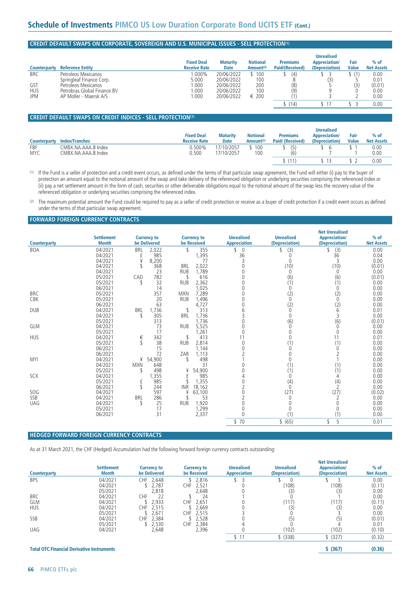## **Schedule of Investments PIMCO US Low Duration Corporate Bond UCITS ETF (Cont.)**

### **CREDIT DEFAULT SWAPS ON CORPORATE, SOVEREIGN AND U.S. MUNICIPAL ISSUES - SELL PROTECTION(1)**

| Counterparty | <b>Reference Entity</b>     | <b>Fixed Deal</b><br><b>Receive Rate</b> | <b>Maturity</b><br><b>Date</b> | <b>Notional</b><br>Amount <sup>(2)</sup> | <b>Premiums</b><br>Paid/(Received) | <b>Unrealised</b><br><b>Appreciation/</b><br>(Depreciation) | Fair<br><b>Value</b> | % of<br><b>Net Assets</b> |
|--------------|-----------------------------|------------------------------------------|--------------------------------|------------------------------------------|------------------------------------|-------------------------------------------------------------|----------------------|---------------------------|
| <b>BRC</b>   | Petroleos Mexicanos         | $0.000\%$                                | 20/06/2022                     | 100                                      | (4)                                |                                                             |                      | 0.00                      |
|              | Springleaf Finance Corp.    | 5.000                                    | 20/06/2022                     | 100                                      |                                    | (3                                                          |                      | 0.01                      |
| GST          | Petroleos Mexicanos         | 1.000                                    | 20/06/2022                     | 200                                      | (8)                                |                                                             | (3)                  | (0.01)                    |
| <b>HUS</b>   | Petrobras Global Finance BV | 1.000                                    | 20/06/2022                     | 100                                      | (9)                                | Ω                                                           |                      | 0.00                      |
| JPM          | AP Moller - Maersk A/S      | 1.000                                    | 20/06/2022                     | $\epsilon$ 200                           |                                    |                                                             |                      | 0.00                      |
|              |                             |                                          |                                |                                          | (14)                               |                                                             |                      | 0.00                      |

### **CREDIT DEFAULT SWAPS ON CREDIT INDICES - SELL PROTECTION(1)**

| Counterparty      | <b>Index/Tranches</b>                      | <b>Fixed Deal</b><br><b>Receive Rate</b> | <b>Maturity</b><br><b>Date</b> | <b>Notional</b><br>Amount <sup>(2)</sup> | <b>Premiums</b><br>Paid/ (Received) | <b>Unrealised</b><br>Appreciation/<br>(Depreciation) | Fair<br><b>Value</b> | $%$ of<br><b>Net Assets</b> |
|-------------------|--------------------------------------------|------------------------------------------|--------------------------------|------------------------------------------|-------------------------------------|------------------------------------------------------|----------------------|-----------------------------|
| FBF<br><b>MYC</b> | CMBX.NA.AAA.8 Index<br>CMBX.NA.AAA.8 Index | 0.500%<br>0.500                          | 17/10/2057<br>17/10/2057       | 100<br>100                               | (5)<br>(6)                          | b                                                    |                      | 0.00<br>0.00                |
|                   |                                            |                                          |                                |                                          | (11)                                |                                                      |                      | 0.00                        |

(1) If the Fund is a seller of protection and a credit event occurs, as defined under the terms of that particular swap agreement, the Fund will either (i) pay to the buyer of protection an amount equal to the notional amount of the swap and take delivery of the referenced obligation or underlying securities comprising the referenced index or (ii) pay a net settlement amount in the form of cash, securities or other deliverable obligations equal to the notional amount of the swap less the recovery value of the referenced obligation or underlying securities comprising the referenced index.

(2) The maximum potential amount the Fund could be required to pay as a seller of credit protection or receive as a buyer of credit protection if a credit event occurs as defined under the terms of that particular swap agreement.

### **FORWARD FOREIGN CURRENCY CONTRACTS**

| Counterparty | <b>Settlement</b><br><b>Month</b> | <b>Currency to</b><br>be Delivered | <b>Currency to</b><br>be Received | <b>Unrealised</b><br><b>Appreciation</b> | <b>Unrealised</b><br>(Depreciation) | <b>Net Unrealised</b><br><b>Appreciation/</b><br>(Depreciation) | $%$ of<br><b>Net Assets</b> |
|--------------|-----------------------------------|------------------------------------|-----------------------------------|------------------------------------------|-------------------------------------|-----------------------------------------------------------------|-----------------------------|
| <b>BOA</b>   | 04/2021                           | <b>BRL</b><br>2,022                | \$<br>355                         | 0                                        | (3)                                 | (3)<br>\$                                                       | 0.00                        |
|              | 04/2021                           | 985<br>£                           | 1,395                             | 36                                       | 0                                   | 36                                                              | 0.04                        |
|              | 04/2021                           | ¥<br>8,200                         | 77                                | 3                                        | 0                                   | 3                                                               | 0.00                        |
|              | 04/2021                           | 368                                | 2,022<br><b>BRL</b>               | 0                                        | (10)                                | (10)                                                            | (0.01)                      |
|              | 04/2021                           | 23                                 | 1.789<br><b>RUB</b>               |                                          | 0                                   | $\Omega$                                                        | 0.00                        |
|              | 05/2021                           | CAD<br>782                         | 616<br>S                          |                                          | (6)                                 | (6)                                                             | (0.01)                      |
|              | 05/2021                           | 32                                 | 2,362<br><b>RUB</b>               |                                          | (1)                                 | (1)                                                             | 0.00                        |
|              | 06/2021                           | 14                                 | 1,025                             |                                          | 0                                   | 0                                                               | 0.00                        |
| <b>BRC</b>   | 05/2021                           | 357                                | 7,289<br><b>MXN</b>               |                                          | (2)                                 | (2)                                                             | 0.00                        |
| CBK          | 05/2021                           | 20                                 | 1,496<br><b>RUB</b>               |                                          | 0                                   | $\mathbf{0}$                                                    | 0.00                        |
|              | 06/2021                           | 63                                 | 4,727                             | 0                                        | (2)                                 | $\binom{2}{6}$                                                  | 0.00                        |
| <b>DUB</b>   | 04/2021                           | <b>BRL</b><br>1,736                | $\mathsf S$<br>313                | 6                                        | 0                                   |                                                                 | 0.01                        |
|              | 04/2021                           | 305                                | <b>BRL</b><br>1,736               | 3                                        | 0                                   | 3                                                               | 0.00                        |
|              | 05/2021                           | 313                                | 1,736                             | 0                                        | (6)                                 | (6)                                                             | (0.01)                      |
| GLM          | 04/2021                           | 73                                 | 5,525<br><b>RUB</b>               | 0                                        | 0                                   | 0                                                               | 0.00                        |
|              | 05/2021                           | 17                                 | 1,261                             | 0                                        | 0                                   | 0                                                               | 0.00                        |
| <b>HUS</b>   | 04/2021                           | €<br>342                           | $\mathsf S$<br>413                | 11                                       | 0                                   | 11                                                              | 0.01                        |
|              | 05/2021                           | \$<br>38                           | 2,814<br><b>RUB</b>               | $\mathbf 0$                              | (1)                                 | (1)                                                             | 0.00                        |
|              | 06/2021                           | 15                                 | 1,144                             |                                          | 0                                   | $\Omega$                                                        | 0.00                        |
|              | 06/2021                           | 72                                 | ZAR<br>1,113                      |                                          |                                     |                                                                 | 0.00                        |
| <b>MYI</b>   | 04/2021                           | ¥<br>54,900                        | \$<br>498                         |                                          | 0                                   |                                                                 | 0.00                        |
|              | 04/2021                           | <b>MXN</b><br>648                  | 31                                |                                          | (1)                                 | (1)                                                             | 0.00                        |
|              | 05/2021                           | 498<br>\$                          | 54,900<br>¥                       |                                          | (1)                                 | (1)                                                             | 0.00                        |
| SCX          | 04/2021                           | 1,355                              | 985<br>£                          |                                          | 0                                   | 4                                                               | 0.00                        |
|              | 05/2021                           | £<br>985                           | \$<br>1.355                       |                                          | (4)                                 | (4)                                                             | 0.00                        |
|              | 06/2021                           | $\mathsf{\$}$<br>244               | <b>INR</b><br>18,162              |                                          | $\Omega$                            | $\overline{2}$                                                  | 0.00                        |
| SOG          | 04/2021                           | 597                                | ¥<br>63,100                       |                                          | (27)                                | $(2\bar{7})$                                                    | (0.02)                      |
| SSB          | 04/2021                           | <b>BRL</b><br>286                  | 53<br>\$                          |                                          | 0                                   | 2                                                               | 0.00                        |
| <b>UAG</b>   | 04/2021                           | 25<br>S                            | 1,920<br><b>RUB</b>               |                                          | 0                                   | $\mathbf 0$                                                     | 0.00                        |
|              | 05/2021                           | 17                                 | 1,299                             |                                          | 0                                   | $\theta$                                                        | 0.00                        |
|              | 06/2021                           | 31                                 | 2,337                             | 0                                        | (1)                                 | (1)                                                             | 0.00                        |
|              |                                   |                                    |                                   | \$70                                     | \$ (65)                             | 5<br>\$                                                         | 0.01                        |
|              |                                   |                                    |                                   |                                          |                                     |                                                                 |                             |

### **HEDGED FORWARD FOREIGN CURRENCY CONTRACTS**

As at 31 March 2021, the CHF (Hedged) Accumulation had the following forward foreign currency contracts outstanding:

| Counterparty | <b>Settlement</b><br><b>Month</b> | <b>Currency to</b><br>be Delivered | <b>Currency to</b><br>be Received | <b>Unrealised</b><br>Appreciation | <b>Unrealised</b><br>(Depreciation) | <b>Net Unrealised</b><br><b>Appreciation/</b><br>(Depreciation) | $%$ of<br><b>Net Assets</b> |
|--------------|-----------------------------------|------------------------------------|-----------------------------------|-----------------------------------|-------------------------------------|-----------------------------------------------------------------|-----------------------------|
| <b>BPS</b>   | 04/2021<br>04/2021                | 2,648<br>CHF<br>2.787              | 2,816<br>2.521<br>CHF             |                                   | (108)                               | (108)                                                           | 0.00<br>(0.11)              |
|              | 05/2021                           | 2,818                              | 2,648                             |                                   |                                     |                                                                 | 0.00                        |
| <b>BRC</b>   | 04/2021                           | CHF.<br>22                         | 24                                |                                   |                                     |                                                                 | 0.00                        |
| GLM          | 04/2021                           | 2.933                              | 2.651<br>CHF                      |                                   | (117)                               | (117)                                                           | (0.11)                      |
| <b>HUS</b>   | 04/2021                           | 2.515<br>CHF                       | 2,669                             |                                   | (3)                                 |                                                                 | 0.00                        |
|              | 05/2021                           | 2,671                              | 2.515<br>CHF                      |                                   |                                     |                                                                 | 0.00                        |
| SSB          | 04/2021                           | 2,384<br>CHF                       | 2.528                             |                                   | 5)                                  |                                                                 | (0.01)                      |
|              | 05/2021                           | 2.530                              | CHF<br>2.384                      |                                   |                                     |                                                                 | 0.01                        |
| <b>UAG</b>   | 04/2021                           | 2,648                              | 2,396                             |                                   | (102)                               | (102)                                                           | (0.10)                      |
|              |                                   |                                    |                                   |                                   | \$ (338)                            | \$ (327)                                                        | (0.32)                      |
|              |                                   |                                    |                                   |                                   |                                     |                                                                 |                             |

#### **Total OTC Financial Derivative Instruments \$ (367) (0.36)**

**66** PIMCO ETFs plc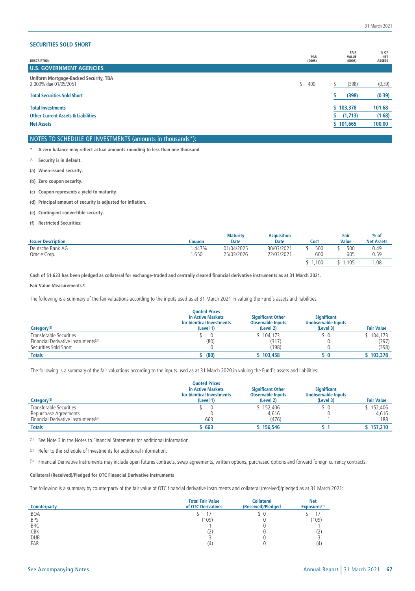### **SECURITIES SOLD SHORT**

|    | PAR<br>(000S) | FAIR<br>VALUE<br>(000S) | % OF<br><b>NET</b><br><b>ASSETS</b> |
|----|---------------|-------------------------|-------------------------------------|
|    |               |                         |                                     |
| S. | 400           | (398)                   | (0.39)                              |
|    |               | (398)                   | (0.39)                              |
|    |               | (1, 713)                | 101.68<br>(1.68)<br>100.00          |
|    |               |                         | \$103,378<br>\$101,665              |

### NOTES TO SCHEDULE OF INVESTMENTS (amounts in thousands\*):

**\* A zero balance may reflect actual amounts rounding to less than one thousand.**

**^ Security is in default.**

**(a) When-issued security.**

**(b) Zero coupon security.**

**(c) Coupon represents a yield to maturity.**

**(d) Principal amount of security is adjusted for inflation.**

**(e) Contingent convertible security.**

**(f) Restricted Securities:**

| <b>Issuer Description</b>        | Coupon        | <b>Maturity</b><br><b>Date</b> | <b>Acquisition</b><br><b>Date</b> | Cost       | Fair<br><b>Value</b> | $%$ of<br><b>Net Assets</b> |
|----------------------------------|---------------|--------------------------------|-----------------------------------|------------|----------------------|-----------------------------|
| Deutsche Bank AG<br>Oracle Corp. | .447%<br>.650 | 01/04/2025<br>25/03/2026       | 30/03/2021<br>22/03/2021          | 500<br>600 | 500<br>605           | 0.49<br>0.59                |
|                                  |               |                                |                                   | .100       | 1.105                | 1.08                        |

**Cash of \$1,623 has been pledged as collateral for exchange-traded and centrally cleared financial derivative instruments as at 31 March 2021.**

**Fair Value Measurements(1)**

The following is a summary of the fair valuations according to the inputs used as at 31 March 2021 in valuing the Fund's assets and liabilities:

|                                                 | <b>Ouoted Prices</b><br>in Active Markets<br>for Identical Investments | <b>Significant Other</b><br><b>Observable Inputs</b> | <b>Significant</b><br><b>Unobservable Inputs</b> |                   |
|-------------------------------------------------|------------------------------------------------------------------------|------------------------------------------------------|--------------------------------------------------|-------------------|
| Category <sup>(2)</sup>                         | (Level 1)                                                              | (Level 2)                                            | (Level 3)                                        | <b>Fair Value</b> |
| Transferable Securities                         |                                                                        | \$104.173                                            |                                                  | \$104,173         |
| Financial Derivative Instruments <sup>(3)</sup> | (80)                                                                   | (317)                                                |                                                  | (397)             |
| Securities Sold Short                           |                                                                        | (398)                                                |                                                  | (398)             |
| <b>Totals</b>                                   | (80)                                                                   | \$103.458                                            |                                                  | \$103.378         |

The following is a summary of the fair valuations according to the inputs used as at 31 March 2020 in valuing the Fund's assets and liabilities:

|                                                 | <b>Quoted Prices</b><br>in Active Markets<br>for Identical Investments | <b>Significant Other</b><br><b>Observable Inputs</b> | <b>Significant</b><br><b>Unobservable Inputs</b> |                   |
|-------------------------------------------------|------------------------------------------------------------------------|------------------------------------------------------|--------------------------------------------------|-------------------|
| Category <sup>(2)</sup>                         | (Level 1)                                                              | (Level 2)                                            | (Level 3)                                        | <b>Fair Value</b> |
| Transferable Securities                         |                                                                        | \$152.406                                            |                                                  | \$152,406         |
| Repurchase Agreements                           |                                                                        | 4,616                                                |                                                  | 4,616             |
| Financial Derivative Instruments <sup>(3)</sup> | 663                                                                    | (476)                                                |                                                  | 188               |
| <b>Totals</b>                                   | \$ 663                                                                 | \$156.546                                            |                                                  | \$157.210         |

(1) See Note 3 in the Notes to Financial Statements for additional information.

(2) Refer to the Schedule of Investments for additional information.

(3) Financial Derivative Instruments may include open futures contracts, swap agreements, written options, purchased options and forward foreign currency contracts.

#### **Collateral (Received)/Pledged for OTC Financial Derivative Instruments**

The following is a summary by counterparty of the fair value of OTC financial derivative instruments and collateral (received)/pledged as at 31 March 2021:

| Counterparty | <b>Total Fair Value</b><br>of OTC Derivatives | <b>Collateral</b><br>(Received)/Pledged | <b>Net</b><br>Exposures <sup>(1)</sup> |
|--------------|-----------------------------------------------|-----------------------------------------|----------------------------------------|
|              |                                               |                                         |                                        |
| <b>BOA</b>   |                                               |                                         |                                        |
| <b>BPS</b>   | (109)                                         |                                         | (109)                                  |
| <b>BRC</b>   |                                               |                                         |                                        |
| <b>CBK</b>   | lZ.                                           |                                         | lΖ.                                    |
| <b>DUB</b>   |                                               |                                         |                                        |
| FAR          | (4)                                           |                                         | (4)                                    |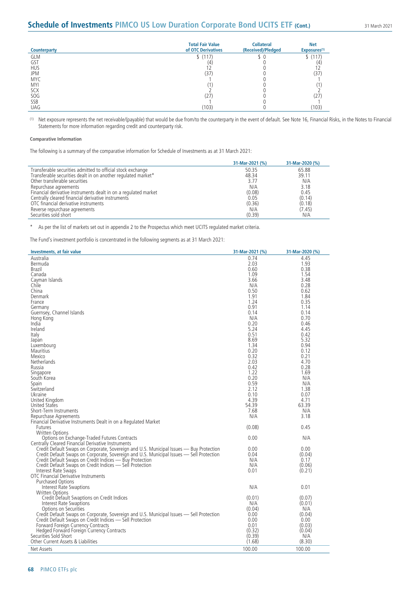## **Schedule of Investments PIMCO US Low Duration Corporate Bond UCITS ETF (Cont.)** 31 March 2021

| <b>Counterparty</b> | <b>Total Fair Value</b><br>of OTC Derivatives | <b>Collateral</b><br>(Received)/Pledged | <b>Net</b><br>Exposures <sup>(1)</sup> |
|---------------------|-----------------------------------------------|-----------------------------------------|----------------------------------------|
| <b>GLM</b>          | \$(117)                                       |                                         | \$(117)                                |
| GST                 | (4)                                           |                                         |                                        |
| <b>HUS</b>          |                                               |                                         |                                        |
| <b>JPM</b>          | (37)                                          |                                         | (37)                                   |
| <b>MYC</b>          |                                               |                                         |                                        |
| <b>MYI</b>          |                                               |                                         |                                        |
| <b>SCX</b>          |                                               |                                         |                                        |
| SO <sub>G</sub>     | (27)                                          |                                         | 27                                     |
| SSB                 |                                               |                                         |                                        |
| <b>UAG</b>          | (103)                                         |                                         | (103)                                  |

(1) Net exposure represents the net receivable/(payable) that would be due from/to the counterparty in the event of default. See Note 16, Financial Risks, in the Notes to Financial Statements for more information regarding credit and counterparty risk.

### **Comparative Information**

The following is a summary of the comparative information for Schedule of Investments as at 31 March 2021:

|                                                                 | 31-Mar-2021 (%) | 31-Mar-2020 (%) |
|-----------------------------------------------------------------|-----------------|-----------------|
| Transferable securities admitted to official stock exchange     | 50.35           | 65.88           |
| Transferable securities dealt in on another regulated market*   | 48.34           | 39.11           |
| Other transferable securities                                   | 3.77            | N/A             |
| Repurchase agreements                                           | N/A             | 3.18            |
| Financial derivative instruments dealt in on a regulated market | (0.08)          | 0.45            |
| Centrally cleared financial derivative instruments              | 0.05            | (0.14)          |
| OTC financial derivative instruments                            | (0.36)          | (0.18)          |
| Reverse repurchase agreements                                   | N/A             | (7.45)          |
| Securities sold short                                           | (0.39)          | N/A             |

\* As per the list of markets set out in appendix 2 to the Prospectus which meet UCITS regulated market criteria.

The Fund's investment portfolio is concentrated in the following segments as at 31 March 2021:

| Investments, at fair value                                                               | 31-Mar-2021 (%) | 31-Mar-2020 (%) |
|------------------------------------------------------------------------------------------|-----------------|-----------------|
| Australia                                                                                | 0.74            | 4.45            |
| Bermuda                                                                                  | 2.03            | 1.93            |
| <b>Brazil</b>                                                                            | 0.60            | 0.38            |
| Canada                                                                                   | 1.09            | 1.54            |
| Cayman Islands                                                                           | 3.66            | 3.48            |
| Chile                                                                                    | N/A             | 0.28            |
| China                                                                                    | 0.50            | 0.62            |
| Denmark                                                                                  | 1.91            | 1.84            |
| France                                                                                   | 1.24            | 0.35            |
| Germany                                                                                  | 0.91            | 1.14            |
| Guernsey, Channel Islands                                                                | 0.14            | 0.14            |
| Hong Kong                                                                                | N/A             | 0.70            |
| India                                                                                    | 0.20            | 0.46            |
| Ireland                                                                                  | 5.24            | 4.45            |
| Italy                                                                                    | 0.51            | 0.42            |
| Japan                                                                                    | 8.69            | 5.32            |
| Luxembourg                                                                               | 1.34            | 0.94            |
| Mauritius                                                                                | 0.20            | 0.12            |
| Mexico                                                                                   | 0.32            | 0.21            |
| Netherlands                                                                              | 2.03            | 4.70            |
| Russia                                                                                   | 0.42            | 0.28            |
| Singapore                                                                                | 1.22            | 1.69            |
| South Korea                                                                              | 0.20            | N/A             |
| Spain                                                                                    | 0.59            | N/A             |
| Switzerland                                                                              | 2.12            | 1.38            |
| Ukraine                                                                                  | 0.10            | 0.07            |
| United Kingdom                                                                           | 4.39            | 4.71            |
| <b>United States</b>                                                                     | 54.39           | 63.39           |
| Short-Term Instruments                                                                   | 7.68            | N/A             |
| Repurchase Agreements                                                                    | N/A             | 3.18            |
| Financial Derivative Instruments Dealt in on a Regulated Market                          |                 |                 |
| Futures                                                                                  | (0.08)          | 0.45            |
| <b>Written Options</b>                                                                   |                 |                 |
| Options on Exchange-Traded Futures Contracts                                             | 0.00            | N/A             |
| Centrally Cleared Financial Derivative Instruments                                       |                 |                 |
| Credit Default Swaps on Corporate, Sovereign and U.S. Municipal Issues - Buy Protection  | 0.00            | 0.00            |
| Credit Default Swaps on Corporate, Sovereign and U.S. Municipal Issues - Sell Protection | 0.04            | (0.04)          |
| Credit Default Swaps on Credit Indices - Buy Protection                                  | N/A             | 0.17            |
| Credit Default Swaps on Credit Indices - Sell Protection                                 | N/A             | (0.06)          |
| Interest Rate Swaps<br>OTC Financial Derivative Instruments                              | 0.01            | (0.21)          |
| <b>Purchased Options</b>                                                                 |                 |                 |
| Interest Rate Swaptions                                                                  | N/A             | 0.01            |
| <b>Written Options</b>                                                                   |                 |                 |
| Credit Default Swaptions on Credit Indices                                               | (0.01)          | (0.07)          |
| Interest Rate Swaptions                                                                  | N/A             | (0.01)          |
| Options on Securities                                                                    | (0.04)          | N/A             |
| Credit Default Swaps on Corporate, Sovereign and U.S. Municipal Issues - Sell Protection | 0.00            | (0.04)          |
| Credit Default Swaps on Credit Indices - Sell Protection                                 | 0.00            | 0.00            |
| Forward Foreign Currency Contracts                                                       | 0.01            | (0.03)          |
| Hedged Forward Foreign Currency Contracts                                                | (0.32)          | (0.04)          |
| Securities Sold Short                                                                    | (0.39)          | N/A             |
| Other Current Assets & Liabilities                                                       | (1.68)          | (8.30)          |
|                                                                                          |                 |                 |
| Net Assets                                                                               | 100.00          | 100.00          |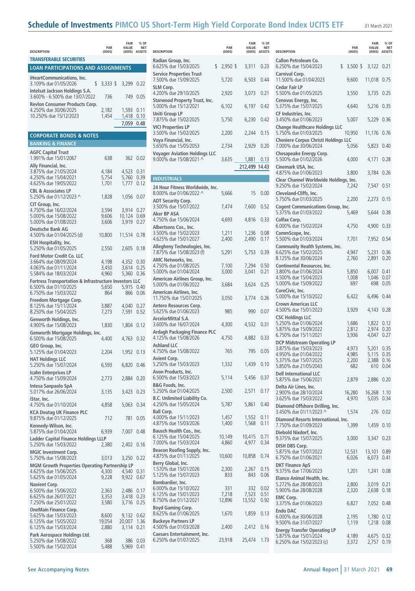# **Schedule of Investments PIMCO US Short-Term High Yield Corporate Bond Index UCITS ETF**

| 31 March 2021 |  |
|---------------|--|
|---------------|--|

| <b>DESCRIPTION</b><br><b>TRANSFERABLE SECURITIES</b>              | PAR<br>(000S)   | FAIR<br>VALUE<br>(000S) | % OF<br><b>NET</b><br><b>ASSETS</b> |
|-------------------------------------------------------------------|-----------------|-------------------------|-------------------------------------|
| <b>LOAN PARTICIPATIONS AND ASSIGNMENTS</b>                        |                 |                         |                                     |
| iHeartCommunications, Inc.                                        |                 |                         |                                     |
| \$<br>3.109% due 01/05/2026<br>Intelsat Jackson Holdings S.A.     | $3,333$ \$      | 3,299                   | 0.22                                |
| 3.600% - 6.500% due 13/07/2022<br>Revlon Consumer Products Corp.  | 736             | 749                     | 0.05                                |
| 4.250% due 30/06/2025<br>10.250% due 15/12/2023                   | 2,182<br>1,454  | 1,593<br>1,418          | 0.11<br>0.10                        |
|                                                                   |                 | 7,059                   | 0.48                                |
| <b>CORPORATE BONDS &amp; NOTES</b>                                |                 |                         |                                     |
| <b>BANKING &amp; FINANCE</b>                                      |                 |                         |                                     |
| <b>AGFC Capital Trust</b><br>1.991% due 15/01/2067                | 638             | 362                     | 0.02                                |
| Ally Financial, Inc.<br>3.875% due 21/05/2024                     | 4,184           | 4,523                   | 0.31                                |
| 4.250% due 15/04/2021                                             | 5,754           | 5,760                   | 0.39                                |
| 4.625% due 19/05/2022<br><b>CBL &amp; Associates LP</b>           | 1,701           | 1,777                   | 0.12                                |
| 5.250% due 01/12/2023 ^<br>CIT Group, Inc.                        | 1,828           | 1,056                   | 0.07                                |
| 4.750% due 16/02/2024                                             | 3.594           | 3,914                   | 0.27                                |
| 5.000% due 15/08/2022<br>5.000% due 01/08/2023                    | 9,606<br>3,606  | 10,124<br>3,919         | 0.69<br>0.27                        |
| <b>Deutsche Bank AG</b>                                           |                 |                         |                                     |
| 4.500% due 01/04/2025 (d)<br><b>ESH Hospitality, Inc.</b>         | 10,800          | 11,514                  | 0.78                                |
| 5.250% due 01/05/2025<br><b>Ford Motor Credit Co. LLC</b>         | 2,550           | 2,605                   | 0.18                                |
| 3.664% due 08/09/2024                                             | 4,198           | 4,352                   | 0.30                                |
| 4.063% due 01/11/2024<br>5.584% due 18/03/2024                    | 3,450<br>4,960  | 3,614<br>5,360          | 0.25<br>0.36                        |
| <b>Fortress Transportation &amp; Infrastructure Investors LLC</b> |                 |                         |                                     |
| 6.500% due 01/10/2025<br>6.750% due 15/03/2022                    | 5,650<br>864    | 5,915<br>866            | 0.40<br>0.06                        |
| Freedom Mortgage Corp.                                            |                 |                         |                                     |
| 8.125% due 15/11/2024<br>8.250% due 15/04/2025                    | 3,887<br>7,273  | 4.040<br>7,591          | 0.27<br>0.52                        |
| Genworth Holdings, Inc.<br>4.900% due 15/08/2023                  | 1,830           | 1,804                   | 0.12                                |
| Genworth Mortgage Holdings, Inc.<br>6.500% due 15/08/2025         | 4.400           | 4.763                   | 0.32                                |
| GEO Group, Inc.<br>5.125% due 01/04/2023                          | 2,204           | 1,952                   | 0.13                                |
| <b>HAT Holdings LLC</b>                                           |                 |                         |                                     |
| 5.250% due 15/07/2024<br><b>Icahn Enterprises LP</b>              | 6,593           | 6,820                   | 0.46                                |
| 4.750% due 15/09/2024<br>Intesa Sanpaolo SpA                      | 2,773           | 2,884                   | 0.20                                |
| 5.017% due 26/06/2024                                             | 3,135           | 3,423                   | 0.23                                |
| iStar, Inc.<br>4.750% due 01/10/2024                              | 4,858           | 5,063                   | 0.34                                |
| <b>KCA Deutag UK Finance PLC</b><br>9.875% due 01/12/2025         | 712             | 781                     | 0.05                                |
| Kennedy-Wilson, Inc.<br>5.875% due 01/04/2024                     | 6,939           | 7,007                   | 0.48                                |
| Ladder Capital Finance Holdings LLLP<br>5.250% due 15/03/2022     | 2,380           | 2,402                   | 0.16                                |
| <b>MGIC Investment Corp.</b><br>5.750% due 15/08/2023             | 3,013           | 3,250                   | 0.22                                |
| <b>MGM Growth Properties Operating Partnership LP</b>             |                 |                         |                                     |
| 4.625% due 15/06/2025<br>5.625% due 01/05/2024                    | 4,300<br>9,228  | 4,540<br>9,922          | 0.31<br>0.67                        |
| Navient Corp.<br>6.500% due 15/06/2022                            | 2,363           | 2,486                   | 0.17                                |
| 6.625% due 26/07/2021<br>7.250% due 25/01/2022                    | 3,353<br>3,580  | 3,418<br>3,716          | 0.23<br>0.25                        |
| <b>OneMain Finance Corp.</b>                                      |                 |                         |                                     |
| 5.625% due 15/03/2023<br>6.125% due 15/05/2022                    | 8,600<br>19,054 | 9,132<br>20,007         | 0.62<br>1.36                        |
| 6.125% due 15/03/2024<br>Park Aerospace Holdings Ltd.             | 2,880           | 3,114                   | 0.21                                |
|                                                                   |                 |                         |                                     |

| <b>DESCRIPTION</b>                                                   | PAR<br>(000S)   | <b>FAIR</b><br>VALUE<br>(000S) | % OF<br><b>NET</b><br><b>ASSETS</b> |
|----------------------------------------------------------------------|-----------------|--------------------------------|-------------------------------------|
| Radian Group, Inc.<br>6.625% due 15/03/2025                          | 2,950 \$<br>\$  | 3,311                          | 0.23                                |
| <b>Service Properties Trust</b><br>7.500% due 15/09/2025             | 5,720           | 6,503                          | 0.44                                |
| <b>SLM Corp.</b><br>4.200% due 29/10/2025                            | 2,920           | 3,073                          | 0.21                                |
| <b>Starwood Property Trust, Inc.</b><br>5.000% due 15/12/2021        | 6,102           | 6,197                          | 0.42                                |
| <b>Uniti Group LP</b><br>7.875% due 15/02/2025                       | 5,750           | 6,230                          | 0.42                                |
| <b>VICI Properties LP</b><br>3.500% due 15/02/2025                   | 2,200           | 2,244                          | 0.15                                |
| Voya Financial, Inc.<br>5.650% due 15/05/2053                        | 2,734           | 2,929                          | 0.20                                |
| <b>Voyager Aviation Holdings LLC</b><br>9.000% due 15/08/2021 ^      | 3,635           | 1,881                          | 0.13                                |
|                                                                      |                 | 212,499 14.43                  |                                     |
| <b>INDUSTRIALS</b>                                                   |                 |                                |                                     |
| 24 Hour Fitness Worldwide, Inc.<br>8.000% due 01/06/2022 ^           | 5,666           | 15                             | 0.00                                |
| <b>ADT Security Corp.</b><br>3.500% due 15/07/2022                   | 7,474           | 7,600                          | 0.52                                |
| Aker BP ASA<br>4.750% due 15/06/2024                                 | 4,693           | 4,816                          | 0.33                                |
| Albertsons Cos., Inc.<br>3.500% due 15/02/2023                       | 1.211           | 1.236                          | 0.08                                |
| 4.625% due 15/01/2027<br>Allegheny Technologies, Inc.                | 2,400           | 2,490                          | 0.17                                |
| 7.875% due 15/08/2023 (f)<br>AMC Networks, Inc.                      | 5,291           | 5,753                          | 0.39                                |
| 4.750% due 01/08/2025<br>5.000% due 01/04/2024                       | 7,100<br>3,000  | 7,294<br>3,041                 | 0.50<br>0.21                        |
| American Airlines Group, Inc.<br>5.000% due 01/06/2022               | 3,684           | 3,624                          | 0.25                                |
| American Airlines, Inc.<br>11.750% due 15/07/2025                    | 3,050           | 3,774                          | 0.26                                |
| Antero Resources Corp.<br>5.625% due 01/06/2023                      | 985             | 990                            | 0.07                                |
| ArcelorMittal S.A.<br>3.600% due 16/07/2024                          | 4,300           | 4,532                          | 0.31                                |
| <b>Ardagh Packaging Finance PLC</b><br>4.125% due 15/08/2026         | 4,750           | 4,882                          | 0.33                                |
| <b>Ashland LLC</b><br>4.750% due 15/08/2022                          | 765             | 795                            | 0.05                                |
| Avient Corp.<br>5.250% due 15/03/2023                                | 1,332           | 1,439                          | 0.10                                |
| Avon Products, Inc.<br>6.500% due 15/03/2023                         | 5,114           | 5,456                          | 0.37                                |
| B&G Foods, Inc.<br>5.250% due 01/04/2025                             | 2,500           | 2,571                          | 0.17                                |
| <b>B.C. Unlimited Liability Co.</b><br>4.250% due 15/05/2024         | 5,787           | 5,861                          | 0.40                                |
| <b>Ball Corp.</b><br>4.000% due 15/11/2023                           | 1,457           | 1,552                          | 0.11                                |
| 4.875% due 15/03/2026<br><b>Bausch Health Cos., Inc.</b>             | 1,400           | 1,568                          | 0.11                                |
| 6.125% due 15/04/2025<br>7.000% due 15/03/2024                       | 10,149<br>4,860 | 10,415<br>4,977                | 0.71<br>0.34                        |
| Beacon Roofing Supply, Inc.<br>4.875% due 01/11/2025                 | 10,600          | 10,858                         | 0.74                                |
| Berry Global, Inc.<br>1.570% due 15/01/2026<br>5.125% due 15/07/2023 | 2,300<br>833    | 2,267<br>843                   | 0.15<br>0.06                        |
| Bombardier, Inc.<br>6.000% due 15/10/2022                            | 331             | 332                            | 0.02                                |
| 6.125% due 15/01/2023<br>8.750% due 01/12/2021                       | 7,218<br>12,896 | 7,523<br>13,552                | 0.51<br>0.92                        |
| <b>Boyd Gaming Corp.</b><br>8.625% due 01/06/2025                    | 1,670           | 1,859                          | 0.13                                |
| <b>Buckeye Partners LP</b><br>4.500% due 01/03/2028                  | 2,400           | 2,412                          | 0.16                                |
| Caesars Entertainment, Inc.<br>6.250% due 01/07/2025                 | 23,918          | 25,474                         | 1.73                                |

| OF<br>IET<br>:TS      | <b>DESCRIPTION</b>                                                                      | PAR<br>(000S)    | FAIR<br>VALUE<br>(000S) | % OF<br><b>NET</b><br><b>ASSETS</b> |
|-----------------------|-----------------------------------------------------------------------------------------|------------------|-------------------------|-------------------------------------|
| $\frac{2}{3}$         | <b>Callon Petroleum Co.</b><br>6.250% due 15/04/2023                                    | \$<br>$3,500$ \$ | 3,122                   | 0.21                                |
| 14                    | Carnival Corp.<br>11.500% due 01/04/2023                                                | 9,600            | 11,018                  | 0.75                                |
| $\overline{21}$       | <b>Cedar Fair LP</b><br>5.500% due 01/05/2025                                           | 3,550            | 3,735                   | 0.25                                |
| 12                    | Cenovus Energy, Inc.<br>5.375% due 15/07/2025                                           | 4,640            | 5,216                   | 0.35                                |
| 12                    | CF Industries, Inc.<br>3.450% due 01/06/2023                                            | 5,007            | 5,229                   | 0.36                                |
| 15                    | <b>Change Healthcare Holdings LLC</b><br>5.750% due 01/03/2025                          | 10,950           | 11,176                  | 0.76                                |
| $\overline{20}$       | <b>Cheniere Corpus Christi Holdings LLC</b><br>7.000% due 30/06/2024                    | 5,056            | 5,823                   | 0.40                                |
| 13                    | Chesapeake Energy Corp.<br>5.500% due 01/02/2026                                        | 4,000            | 4,171                   | 0.28                                |
| 13                    | Cinemark USA, Inc.<br>4.875% due 01/06/2023                                             | 3,800            | 3,784                   | 0.26                                |
|                       | Clear Channel Worldwide Holdings, Inc.<br>9.250% due 15/02/2024                         | 7,242            | 7,547                   | 0.51                                |
| 0                     | Cleveland-Cliffs, Inc.<br>5.750% due 01/03/2025                                         | 2,200            | 2,273                   | 0.15                                |
| 52                    | <b>Cogent Communications Group, Inc.</b><br>5.375% due 01/03/2022                       | 5,469            | 5,644                   | 0.38                                |
| 33                    | Colfax Corp.<br>6.000% due 15/02/2024                                                   | 4,750            | 4,900                   | 0.33                                |
| )8<br>17              | CommScope, Inc.<br>5.500% due 01/03/2024                                                | 7,701            | 7,952                   | 0.54                                |
| 39                    | <b>Community Health Systems, Inc.</b><br>6.625% due 15/02/2025<br>8.125% due 30/06/2024 | 4,947<br>2,760   | 5,231<br>2,891          | 0.36<br>0.20                        |
| 50<br>$\overline{21}$ | <b>Continental Resources, Inc.</b><br>3.800% due 01/06/2024                             | 5,850            | 6,007                   | 0.41                                |
| 25                    | 4.500% due 15/04/2023<br>5.000% due 15/09/2022                                          | 1,008<br>697     | 1,046<br>698            | 0.07<br>0.05                        |
| 26                    | CoreCivic, Inc.<br>5.000% due 15/10/2022                                                | 6,422            | 6,496                   | 0.44                                |
| )7                    | <b>Crown Americas LLC</b><br>4.500% due 15/01/2023                                      | 3,929            | 4,143                   | 0.28                                |
| 31                    | <b>CSC Holdings LLC</b><br>5.250% due 01/06/2024<br>5.875% due 15/09/2022               | 1,686            | 1,822                   | 0.12                                |
| 33                    | 6.750% due 15/11/2021<br><b>DCP Midstream Operating LP</b>                              | 2,812<br>3,936   | 2,974<br>4,047          | 0.20<br>0.27                        |
| )5                    | 3.875% due 15/03/2023<br>4.950% due 01/04/2022                                          | 4,973<br>4,985   | 5,201 0.35<br>5,115     | 0.35                                |
| 10                    | 5.375% due 15/07/2025<br>5.850% due 21/05/2043                                          | 2,200<br>682     | 2,388<br>610            | 0.16<br>0.04                        |
| 37                    | <b>Dell International LLC</b><br>5.875% due 15/06/2021                                  | 2,879            | 2,886                   | 0.20                                |
| 17                    | Delta Air Lines, Inc.<br>2.900% due 28/10/2024                                          | 16,280           | 16,268                  | 1.10                                |
| 10                    | 3.625% due 15/03/2022<br>Diamond Offshore Drilling, Inc.                                | 4.970            | 5,035                   | 0.34                                |
| $\vert$ 1             | 3.450% due 01/11/2023 ^<br>Diamond Resorts International, Inc.                          | 1,574            | 276                     | 0.02                                |
| 1<br>71               | 7.750% due 01/09/2023<br>Diebold Nixdorf, Inc.                                          | 1,399            | 1,459                   | 0.10                                |
| 34                    | 9.375% due 15/07/2025<br>DISH DBS Corp.                                                 | 3,000            | 3,347                   | 0.23                                |
| 74                    | 5.875% due 15/07/2022<br>6.750% due 01/06/2021                                          | 12,531<br>6,026  | 13,101<br>6,073         | 0.89<br>0.41                        |
| 15<br>Об              | <b>DKT Finance ApS</b><br>9.375% due 17/06/2023                                         | 1,201            | 1,241                   | 0.08                                |
| $\overline{2}$        | Elanco Animal Health, Inc.<br>5.272% due 28/08/2023                                     | 2,800            | 3,019                   | 0.21                                |
| 51<br>92              | 5.900% due 28/08/2028<br><b>EMC Corp.</b><br>3.375% due 01/06/2023                      | 2,320<br>6,827   | 2,638<br>7,052          | 0.18<br>0.48                        |
| 13                    | <b>Endo DAC</b><br>6.000% due 30/06/2028                                                | 2,195            | 1,780                   | 0.12                                |
| 16                    | 9.500% due 31/07/2027<br><b>Energy Transfer Operating LP</b>                            | 1,119            | 1,218                   | 0.08                                |
| 73                    | 5.875% due 15/01/2024<br>6.250% due 15/02/2023 (c)                                      | 4,189<br>3,372   | 4,675<br>2,757          | 0.32<br>0.19                        |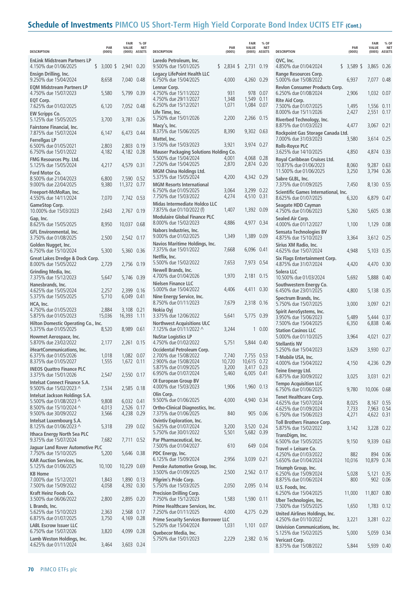# **Schedule of Investments PIMCO US Short-Term High Yield Corporate Bond Index UCITS ETF (Cont.)**

|                                                                                       | PAR             | FAIR<br>VALUE             | % OF<br><b>NET</b> |                                                                                                 | PAR             | FAIR<br>VALUE             | % OF<br><b>NET</b> |                                                                                     | PAR            | FAIR<br>VALUE            | % OF<br><b>NET</b> |
|---------------------------------------------------------------------------------------|-----------------|---------------------------|--------------------|-------------------------------------------------------------------------------------------------|-----------------|---------------------------|--------------------|-------------------------------------------------------------------------------------|----------------|--------------------------|--------------------|
| <b>DESCRIPTION</b>                                                                    | (000S)          |                           | (000S) ASSETS      | <b>DESCRIPTION</b>                                                                              | (000S)          |                           | (000S) ASSETS      | <b>DESCRIPTION</b>                                                                  | (000S)         |                          | (000S) ASSETS      |
| <b>EnLink Midstream Partners LP</b><br>4.150% due 01/06/2025<br>Ensign Drilling, Inc. | $$3,000$ \$     | 2,941 0.20                |                    | Laredo Petroleum, Inc.<br>9.500% due 15/01/2025<br><b>Legacy LifePoint Health LLC</b>           | $$2,834$ \$     | 2,731 0.19                |                    | QVC, Inc.<br>4.850% due 01/04/2024<br>Range Resources Corp.                         | $$3,589$ \$    | 3,865                    | 0.26               |
| 9.250% due 15/04/2024                                                                 | 8,658           | 7,040 0.48                |                    | 6.750% due 15/04/2025                                                                           | 4,000           | 4,260 0.29                |                    | 5.000% due 15/08/2022                                                               | 6,937          | 7,077                    | 0.48               |
| <b>EQM Midstream Partners LP</b><br>4.750% due 15/07/2023                             | 5,580           | 5,799 0.39                |                    | Lennar Corp.<br>4.750% due 15/11/2022<br>4.750% due 29/11/2027                                  | 931<br>1,348    | 1,549 0.11                | 978 0.07           | <b>Revion Consumer Products Corp.</b><br>6.250% due 01/08/2024                      | 2,906          | 1,032 0.07               |                    |
| EQT Corp.<br>7.625% due 01/02/2025<br><b>EW Scripps Co.</b>                           | 6,120           | 7,052 0.48                |                    | 6.250% due 15/12/2021<br>Life Time, Inc.                                                        | 1,071           | 1,084 0.07                |                    | Rite Aid Corp.<br>7.500% due 01/07/2025<br>8.000% due 15/11/2026                    | 1,495<br>2,427 | 1,556<br>2,551           | 0.11<br>0.17       |
| 5.125% due 15/05/2025                                                                 | 3,700           | 3.781 0.26                |                    | 5.750% due 15/01/2026                                                                           | 2,200           | 2,266 0.15                |                    | Riverbed Technology, Inc.                                                           |                |                          |                    |
| <b>Fairstone Financial, Inc.</b><br>7.875% due 15/07/2024                             | 6,147           | 6,473 0.44                |                    | Macy's, Inc.<br>8.375% due 15/06/2025<br>Mattel, Inc.                                           | 8,390           | 9,302 0.63                |                    | 8.875% due 01/03/2023<br>Rockpoint Gas Storage Canada Ltd.<br>7.000% due 31/03/2023 | 4,477<br>3,580 | 3,067<br>3,614           | 0.21<br>0.25       |
| <b>Ferrellgas LP</b><br>6.500% due 01/05/2021                                         | 2,803           | 2,803 0.19                |                    | 3.150% due 15/03/2023                                                                           | 3,921           | 3,974 0.27                |                    | Rolls-Royce PLC                                                                     |                |                          |                    |
| 6.750% due 15/01/2022<br>FMG Resources Pty. Ltd.                                      | 4,182           | 4,182 0.28                |                    | <b>Mauser Packaging Solutions Holding Co.</b><br>5.500% due 15/04/2024<br>7.250% due 15/04/2025 | 4,001<br>2,870  | 4,068 0.28<br>2,874 0.20  |                    | 3.625% due 14/10/2025<br>Royal Caribbean Cruises Ltd.                               | 4,850          | 4,874 0.33               |                    |
| 5.125% due 15/05/2024<br>Ford Motor Co.                                               | 4,217           | 4,579 0.31                |                    | <b>MGM China Holdings Ltd.</b>                                                                  |                 |                           |                    | 10.875% due 01/06/2023<br>11.500% due 01/06/2025                                    | 8,060<br>3,250 | 9,287<br>3,794           | 0.63<br>0.26       |
| 8.500% due 21/04/2023<br>9.000% due 22/04/2025                                        | 6,800<br>9,380  | 7,590 0.52<br>11,372 0.77 |                    | 5.375% due 15/05/2024<br><b>MGM Resorts International</b>                                       | 4,200           | 4,342 0.29                |                    | Sabre GLBL, Inc.<br>7.375% due 01/09/2025                                           | 7,450          | 8,130 0.55               |                    |
| Freeport-McMoRan, Inc.<br>4.550% due 14/11/2024                                       | 7,070           | 7,742 0.53                |                    | 6.750% due 01/05/2025<br>7.750% due 15/03/2022                                                  | 3,064<br>4,274  | 3.299 0.22<br>4,510 0.31  |                    | Scientific Games International, Inc.<br>8.625% due 01/07/2025                       | 6,320          | 6,879                    | 0.47               |
| GameStop Corp.<br>10.000% due 15/03/2023                                              | 2,643           | 2,767 0.19                |                    | Midas Intermediate Holdco LLC<br>7.875% due 01/10/2022 (f)                                      | 1,407           | 1,392 0.09                |                    | Seagate HDD Cayman<br>4.750% due 01/06/2023                                         | 5,260          | 5,605 0.38               |                    |
| Gap, Inc.<br>8.625% due 15/05/2025                                                    | 8,950           | 10,037 0.68               |                    | <b>Modulaire Global Finance PLC</b><br>8.000% due 15/02/2023                                    | 4,886           | 4,977 0.34                |                    | Sealed Air Corp.<br>4.000% due 01/12/2027                                           | 1,100          | 1,129                    | 0.08               |
| <b>GFL Environmental, Inc.</b><br>3.750% due 01/08/2025                               | 2,500           | 2,542 0.17                |                    | Nabors Industries, Inc.<br>9.000% due 01/02/2025                                                | 1,349           | 1,389 0.09                |                    | <b>Sensata Technologies BV</b><br>4.875% due 15/10/2023                             | 3,364          | 3,612 0.25               |                    |
| Golden Nugget, Inc.<br>6.750% due 15/10/2024                                          | 5,300           | 5,360 0.36                |                    | Navios Maritime Holdings, Inc.<br>7.375% due 15/01/2022                                         | 7,668           | 6,096 0.41                |                    | Sirius XM Radio, Inc.<br>4.625% due 15/07/2024                                      | 4,948          | 5,103                    | 0.35               |
| Great Lakes Dredge & Dock Corp.<br>8.000% due 15/05/2022                              | 2,729           | 2,756 0.19                |                    | Netflix, Inc.<br>5.500% due 15/02/2022                                                          | 7,653           | 7,973 0.54                |                    | Six Flags Entertainment Corp.<br>4.875% due 31/07/2024                              | 4,420          | 4,470                    | 0.30               |
| Grinding Media, Inc.<br>7.375% due 15/12/2023                                         | 5,647           | 5,746 0.39                |                    | Newell Brands, Inc.<br>4.700% due 01/04/2026                                                    | 1,970           | 2,181 0.15                |                    | Solera LLC<br>10.500% due 01/03/2024                                                | 5,692          | 5,888                    | 0.40               |
| Hanesbrands, Inc.<br>4.625% due 15/05/2024                                            | 2,257           | 2,399 0.16                |                    | <b>Nielsen Finance LLC</b><br>5.000% due 15/04/2022                                             | 4,406           | 4,411 0.30                |                    | Southwestern Energy Co.<br>6.450% due 23/01/2025                                    | 4,800          | 5,138                    | 0.35               |
| 5.375% due 15/05/2025<br>HCA, Inc.                                                    | 5,710           | 6,049 0.41                |                    | Nine Energy Service, Inc.<br>8.750% due 01/11/2023                                              | 7,679           | 2,318 0.16                |                    | Spectrum Brands, Inc.<br>5.750% due 15/07/2025                                      | 3,000          | 3,097 0.21               |                    |
| 4.750% due 01/05/2023<br>5.875% due 01/05/2023                                        | 2,884<br>15,036 | 3,108 0.21<br>16,393 1.11 |                    | Nokia Ovi<br>3.375% due 12/06/2022                                                              | 5,641           | 5,775 0.39                |                    | Spirit AeroSystems, Inc.<br>3.950% due 15/06/2023                                   | 5,489          | 5,444 0.37               |                    |
| Hilton Domestic Operating Co., Inc.<br>5.375% due 01/05/2025                          | 8,520           | 8,989 0.61                |                    | <b>Northwest Acquisitions ULC</b><br>7.125% due 01/11/2022 ^                                    | 3,244           |                           | $1 \t0.00$         | 7.500% due 15/04/2025<br><b>Station Casinos LLC</b>                                 | 6,350          | 6,838                    | 0.46               |
| Howmet Aerospace, Inc.<br>5.870% due 23/02/2022                                       | 2,177           | 2,261 0.15                |                    | <b>NuStar Logistics LP</b><br>4.750% due 01/02/2022                                             | 5,751           | 5,844 0.40                |                    | 5.000% due 01/10/2025<br><b>Stellantis NV</b>                                       | 3,964          | 4,021 0.27               |                    |
| iHeartCommunications, Inc.<br>6.375% due 01/05/2026                                   | 1,018           | 1,082 0.07                |                    | Occidental Petroleum Corp.<br>2.700% due 15/08/2022                                             | 7,740           | 7,755 0.53                |                    | 5.250% due 15/04/2023<br>T-Mobile USA, Inc.                                         | 3,629          | 3,930 0.27               |                    |
| 8.375% due 01/05/2027<br><b>INEOS Quattro Finance PLC</b>                             | 1,555           | 1,672 0.11                |                    | 2.900% due 15/08/2024<br>5.875% due 01/09/2025                                                  | 10,720<br>3,200 | 10,615 0.72<br>3,417 0.23 |                    | 4.000% due 15/04/2022<br>Teine Energy Ltd.                                          | 4,150          | 4,236 0.29               |                    |
| 3.375% due 15/01/2026<br><b>Intelsat Connect Finance S.A.</b>                         | 2,547           | 2,550 0.17                |                    | 6.950% due 01/07/2024<br>OI European Group BV                                                   | 5,460           | 6,005 0.41                |                    | 6.875% due 30/09/2022<br><b>Tempo Acquisition LLC</b>                               | 3,025          | 3,031 0.21               |                    |
| 9.500% due 15/02/2023 ^<br>Intelsat Jackson Holdings S.A.                             | 7,534           | 2,585 0.18                |                    | 4.000% due 15/03/2023<br>Olin Corp.                                                             | 1,906           | 1,960 0.13                |                    | 6.750% due 01/06/2025<br><b>Tenet Healthcare Corp.</b>                              | 9,780          | 10,006 0.68              |                    |
| 5.500% due 01/08/2023 ^<br>8.500% due 15/10/2024 ^                                    | 9,808<br>4,013  | 6,032 0.41<br>2,526 0.17  |                    | 9.500% due 01/06/2025<br><b>Ortho-Clinical Diagnostics, Inc.</b>                                | 4,000           | 4,940 0.34                |                    | 4.625% due 15/07/2024<br>4.625% due 01/09/2024                                      | 8,025<br>7,733 | 8,167 0.55<br>7,963 0.54 |                    |
| 9.500% due 30/09/2022<br>Intelsat Luxembourg S.A.                                     | 3,566           | 4,238 0.29                |                    | 7.375% due 01/06/2025<br><b>Ovintiv Exploration, Inc.</b>                                       | 840             |                           | 905 0.06           | 6.750% due 15/06/2023                                                               | 4,271          | 4,622 0.31               |                    |
| 8.125% due 01/06/2023 ^<br>Ithaca Energy North Sea PLC                                | 5,318           |                           | 239 0.02           | 5.625% due 01/07/2024<br>5.750% due 30/01/2022                                                  | 3,200<br>5,501  | 3,520 0.24<br>5,682 0.39  |                    | <b>Toll Brothers Finance Corp.</b><br>5.875% due 15/02/2022                         | 3,142          | 3,228 0.22               |                    |
| 9.375% due 15/07/2024<br>Jaguar Land Rover Automotive PLC                             | 7,682           | 7,711 0.52                |                    | Par Pharmaceutical, Inc.<br>7.500% due 01/04/2027                                               | 610             | 649 0.04                  |                    | TransDigm, Inc.<br>6.500% due 15/05/2025                                            | 9,150          | 9,339 0.63               |                    |
| 7.750% due 15/10/2025<br><b>KAR Auction Services, Inc.</b>                            | 5,200           | 5,646 0.38                |                    | PDC Energy, Inc.<br>6.125% due 15/09/2024                                                       | 2,956           | 3,039 0.21                |                    | Travel + Leisure Co.<br>4.250% due 01/03/2022<br>5.650% due 01/04/2024              | 882<br>10,016  | 10,879                   | 894 0.06<br>0.74   |
| 5.125% due 01/06/2025<br><b>KB Home</b>                                               | 10,100          | 10,229 0.69               |                    | Penske Automotive Group, Inc.<br>3.500% due 01/09/2025                                          | 2,500           | 2,562 0.17                |                    | Triumph Group, Inc.<br>6.250% due 15/09/2024                                        | 5,028          | 5,121 0.35               |                    |
| 7.000% due 15/12/2021<br>7.500% due 15/09/2022                                        | 1,843<br>4,058  | 1,890 0.13<br>4,392 0.30  |                    | Pilgrim's Pride Corp.<br>5.750% due 15/03/2025                                                  | 2,050           | 2,095 0.14                |                    | 8.875% due 01/06/2024<br>U.S. Foods, Inc.                                           | 800            |                          | 902 0.06           |
| Kraft Heinz Foods Co.<br>3.500% due 06/06/2022                                        | 2,800           | 2,895 0.20                |                    | <b>Precision Drilling Corp.</b><br>7.750% due 15/12/2023                                        | 1,583           | 1,590 0.11                |                    | 6.250% due 15/04/2025<br>Uber Technologies, Inc.                                    | 11,000         | 11,807 0.80              |                    |
| L Brands, Inc.<br>5.625% due 15/10/2023                                               | 2,363           | 2,568 0.17                |                    | Prime Healthcare Services, Inc.<br>7.250% due 01/11/2025                                        | 4,000           | 4,275 0.29                |                    | 7.500% due 15/05/2025                                                               | 1,650          | 1,783 0.12               |                    |
| 6.875% due 01/07/2025<br><b>LABL Escrow Issuer LLC</b>                                | 3,750           | 4,169 0.28                |                    | <b>Prime Security Services Borrower LLC</b><br>5.250% due 15/04/2024                            | 1,031           | 1,101 0.07                |                    | United Airlines Holdings, Inc.<br>4.250% due 01/10/2022                             | 3,221          | 3,281 0.22               |                    |
| 6.750% due 15/07/2026                                                                 | 3,820           | 4,099 0.28                |                    | Quebecor Media, Inc.<br>5.750% due 15/01/2023                                                   |                 | 2,382 0.16                |                    | <b>Univision Communications, Inc.</b><br>5.125% due 15/02/2025                      | 5,000          | 5,059 0.34               |                    |
| Lamb Weston Holdings, Inc.<br>4.625% due 01/11/2024                                   | 3,464           | 3,603 0.24                |                    |                                                                                                 | 2,229           |                           |                    | Vericast Corp.<br>8.375% due 15/08/2022                                             | 5,844          | 5,939 0.40               |                    |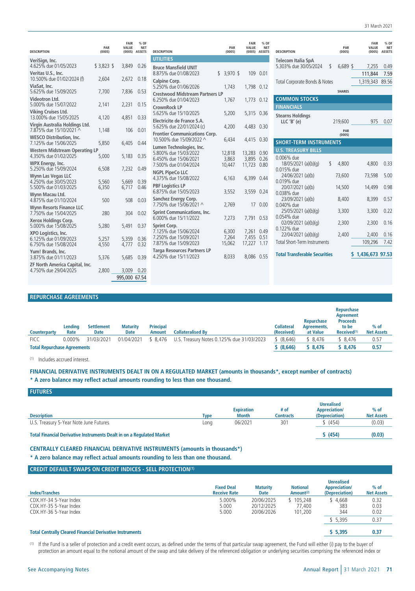| <b>DESCRIPTION</b>                                             | PAR<br>(000S)  | FAIR<br>VALUE  | % OF<br><b>NET</b><br>(000S) ASSETS | <b>DESCRIPTION</b>                                               | PAR<br>(000S)   | <b>FAIR</b><br>VALUE | % OF<br><b>NET</b><br>(000S) ASSETS |
|----------------------------------------------------------------|----------------|----------------|-------------------------------------|------------------------------------------------------------------|-----------------|----------------------|-------------------------------------|
| VeriSign, Inc.                                                 |                |                |                                     | <b>UTILITIES</b>                                                 |                 |                      |                                     |
| 4.625% due 01/05/2023                                          | $$3,823$ \$    | 3.849          | 0.26                                | <b>Bruce Mansfield UNIT</b>                                      |                 |                      |                                     |
| Veritas U.S., Inc.<br>10.500% due 01/02/2024 (f)               | 2.604          | 2.672          | 0.18                                | 8.875% due 01/08/2023                                            | 3,970 \$<br>\$  |                      | 109 0.01                            |
| ViaSat, Inc.                                                   |                |                |                                     | Calpine Corp.<br>5.250% due 01/06/2026                           | 1,743           | 1,798 0.12           |                                     |
| 5.625% due 15/09/2025                                          | 7,700          | 7.836          | 0.53                                | <b>Crestwood Midstream Partners LP</b>                           |                 |                      |                                     |
| Videotron Ltd.                                                 |                |                |                                     | 6.250% due 01/04/2023                                            | 1,767           | 1,773 0.12           |                                     |
| 5.000% due 15/07/2022                                          | 2,141          | 2.231          | 0.15                                | <b>CrownRock LP</b>                                              |                 |                      |                                     |
| <b>Viking Cruises Ltd.</b><br>13.000% due 15/05/2025           | 4,120          | 4,851          | 0.33                                | 5.625% due 15/10/2025                                            | 5,200           | 5,315 0.36           |                                     |
| Virgin Australia Holdings Ltd.                                 |                |                |                                     | Electricite de France S.A.                                       |                 |                      |                                     |
| 7.875% due 15/10/2021 ^                                        | 1,148          | 106            | 0.01                                | 5.625% due 22/01/2024 (c)                                        | 4,200           | 4,483 0.30           |                                     |
| <b>WESCO Distribution, Inc.</b>                                |                |                |                                     | <b>Frontier Communications Corp.</b><br>10.500% due 15/09/2022 ^ | 6,434           | 4.415 0.30           |                                     |
| 7.125% due 15/06/2025                                          | 5,850          | 6,405          | 0.44                                | Lumen Technologies, Inc.                                         |                 |                      |                                     |
| <b>Western Midstream Operating LP</b><br>4.350% due 01/02/2025 | 5,000          | 5,183          | 0.35                                | 5.800% due 15/03/2022                                            | 12,818          | 13,283 0.90          |                                     |
| WPX Energy, Inc.                                               |                |                |                                     | 6.450% due 15/06/2021<br>7.500% due 01/04/2024                   | 3.863<br>10,447 | 3.895<br>11,723      | 0.26<br>0.80                        |
| 5.250% due 15/09/2024                                          | 6,508          | 7,232          | 0.49                                | <b>NGPL PipeCo LLC</b>                                           |                 |                      |                                     |
| Wynn Las Vegas LLC                                             |                |                |                                     | 4.375% due 15/08/2022                                            | 6,163           | 6,399                | 0.44                                |
| 4.250% due 30/05/2023<br>5.500% due 01/03/2025                 | 5,560<br>6,350 | 5.669<br>6,717 | 0.39<br>0.46                        | <b>PBF Logistics LP</b>                                          |                 |                      |                                     |
| Wynn Macau Ltd.                                                |                |                |                                     | 6.875% due 15/05/2023                                            | 3,552           | 3,559 0.24           |                                     |
| 4.875% due 01/10/2024                                          | 500            | 508            | 0.03                                | Sanchez Energy Corp.<br>7.750% due 15/06/2021 ^                  |                 |                      |                                     |
| <b>Wynn Resorts Finance LLC</b>                                |                |                |                                     | <b>Sprint Communications, Inc.</b>                               | 2,769           | 17                   | 0.00                                |
| 7.750% due 15/04/2025                                          | 280            | 304            | 0.02                                | 6.000% due 15/11/2022                                            | 7,273           | 7,791                | 0.53                                |
| Xerox Holdings Corp.<br>5.000% due 15/08/2025                  | 5,280          | 5.491          | 0.37                                | Sprint Corp.                                                     |                 |                      |                                     |
| XPO Logistics, Inc.                                            |                |                |                                     | 7.125% due 15/06/2024                                            | 6.300           | 7.261                | 0.49                                |
| 6.125% due 01/09/2023                                          | 5.257          | 5.359          | 0.36                                | 7.250% due 15/09/2021<br>7.875% due 15/09/2023                   | 7,264<br>15,062 | 7,455<br>17,227      | 0.51<br>1.17                        |
| 6.750% due 15/08/2024                                          | 4,550          | 4,777          | 0.32                                | <b>Targa Resources Partners LP</b>                               |                 |                      |                                     |
| Yum! Brands, Inc.<br>3.875% due 01/11/2023                     | 5,376          | 5.685          | 0.39                                | 4.250% due 15/11/2023                                            | 8,033           | 8,086 0.55           |                                     |
| <b>ZF North America Capital, Inc.</b>                          |                |                |                                     |                                                                  |                 |                      |                                     |
| 4.750% due 29/04/2025                                          | 2,800          | 3.009          | 0.20                                |                                                                  |                 |                      |                                     |
|                                                                |                | 995,000 67.54  |                                     |                                                                  |                 |                      |                                     |

| <b>DESCRIPTION</b>                                 | PAR<br>(000S)    |   | <b>FAIR</b><br>VALUE<br>(000S) | % OF<br><b>NET</b><br><b>ASSETS</b> |
|----------------------------------------------------|------------------|---|--------------------------------|-------------------------------------|
| <b>Telecom Italia SpA</b><br>5.303% due 30/05/2024 | \$<br>$6,689$ \$ |   | 7,255                          | 0.49                                |
|                                                    |                  |   | 111,844                        | 7.59                                |
| Total Corporate Bonds & Notes                      |                  |   | 1,319,343                      | 89.56                               |
|                                                    | <b>SHARES</b>    |   |                                |                                     |
| <b>COMMON STOCKS</b>                               |                  |   |                                |                                     |
| <b>FINANCIALS</b>                                  |                  |   |                                |                                     |
| <b>Stearns Holdings</b>                            |                  |   |                                |                                     |
| LLC'B'(e)                                          | 219,600          |   | 975                            | 0.07                                |
|                                                    | PAR<br>(000S)    |   |                                |                                     |
| <b>SHORT-TERM INSTRUMENTS</b>                      |                  |   |                                |                                     |
| <b>U.S. TREASURY BILLS</b>                         |                  |   |                                |                                     |
| 0.006% due<br>18/05/2021 (a)(b)(g)                 | \$<br>4,800      |   | 4,800                          | 0.33                                |
| 0.015% due                                         |                  |   |                                |                                     |
| 24/06/2021 (a)(b)<br>0.019% due                    | 73,600           |   | 73,598                         | 5.00                                |
| 20/07/2021 (a)(b)                                  | 14,500           |   | 14,499                         | 0.98                                |
| 0.038% due<br>23/09/2021 (a)(b)                    | 8,400            |   | 8,399                          | 0.57                                |
| 0.040% due<br>25/05/2021 (a)(b)(g)                 | 3,300            |   | 3,300                          | 0.22                                |
| 0.054% due                                         |                  |   |                                |                                     |
| 02/09/2021 (a)(b)(q)<br>0.122% due                 | 2,300            |   | 2,300                          | 0.16                                |
| 22/04/2021 (a)(b)(g)                               | 2,400            |   | 2,400                          | 0.16                                |
| <b>Total Short-Term Instruments</b>                |                  |   | 109,296                        | 7.42                                |
| <b>Total Transferable Securities</b>               |                  | S | 1,436,673 97.53                |                                     |

# **REPURCHASE AGREEMENTS**

| Counterparty                       | Lending<br>Rate | <b>Settlement</b><br>Date | <b>Maturity</b><br><b>Date</b> | <b>Principal</b><br>Amount | <b>Collateralised By</b>                  | Collateral<br>(Received) | Repurchase<br>Agreements,<br>at Value | Repurchase<br>Agreement<br><b>Proceeds</b><br>to be<br>Received <sup>(1)</sup> | $%$ of<br><b>Net Assets</b> |
|------------------------------------|-----------------|---------------------------|--------------------------------|----------------------------|-------------------------------------------|--------------------------|---------------------------------------|--------------------------------------------------------------------------------|-----------------------------|
| <b>FICC</b>                        | 0.000%          | 31/03/2021                | 01/04/2021                     | \$ 8.476                   | U.S. Treasury Notes 0.125% due 31/03/2023 | \$ (8,646)               | \$ 8.476                              | \$ 8.476                                                                       | 0.57                        |
| <b>Total Repurchase Agreements</b> |                 |                           |                                |                            |                                           | \$ (8,646)               | \$ 8,476                              | \$ 8.476                                                                       | 0.57                        |

(1) Includes accrued interest.

# **FINANCIAL DERIVATIVE INSTRUMENTS DEALT IN ON A REGULATED MARKET (amounts in thousands\*, except number of contracts) \* A zero balance may reflect actual amounts rounding to less than one thousand.**

| <b>FUTURES</b>                                                               |             |                                   |                          |                                                      |                             |
|------------------------------------------------------------------------------|-------------|-----------------------------------|--------------------------|------------------------------------------------------|-----------------------------|
| <b>Description</b>                                                           | <b>Type</b> | <b>Expiration</b><br><b>Month</b> | # of<br><b>Contracts</b> | <b>Unrealised</b><br>Appreciation/<br>(Depreciation) | $%$ of<br><b>Net Assets</b> |
| U.S. Treasury 5-Year Note June Futures                                       | Long        | 06/2021                           | 301                      | \$ (454)                                             | (0.03)                      |
| <b>Total Financial Derivative Instruments Dealt in on a Regulated Market</b> |             |                                   |                          | \$ (454)                                             | (0.03)                      |

#### **CENTRALLY CLEARED FINANCIAL DERIVATIVE INSTRUMENTS (amounts in thousands\*)**

**\* A zero balance may reflect actual amounts rounding to less than one thousand.**

# **CREDIT DEFAULT SWAPS ON CREDIT INDICES - SELL PROTECTION(1)**

| <b>Index/Tranches</b>                                                      | <b>Fixed Deal</b><br><b>Receive Rate</b> | <b>Maturity</b><br><b>Date</b>         | <b>Notional</b><br>Amount <sup>(2)</sup> | <b>Unrealised</b><br>Appreciation/<br>(Depreciation) | $%$ of<br><b>Net Assets</b> |
|----------------------------------------------------------------------------|------------------------------------------|----------------------------------------|------------------------------------------|------------------------------------------------------|-----------------------------|
| CDX.HY-34 5-Year Index<br>CDX.HY-35 5-Year Index<br>CDX.HY-36 5-Year Index | 5.000%<br>5.000<br>5.000                 | 20/06/2025<br>20/12/2025<br>20/06/2026 | 105.248<br>77.400<br>101,200             | \$4,668<br>383<br>344                                | 0.32<br>0.03<br>0.02        |
|                                                                            |                                          |                                        |                                          | \$5,395                                              | 0.37                        |
| <b>Total Centrally Cleared Financial Derivative Instruments</b>            |                                          |                                        |                                          | \$5.395                                              | 0.37                        |

(1) If the Fund is a seller of protection and a credit event occurs, as defined under the terms of that particular swap agreement, the Fund will either (i) pay to the buyer of protection an amount equal to the notional amount of the swap and take delivery of the referenced obligation or underlying securities comprising the referenced index or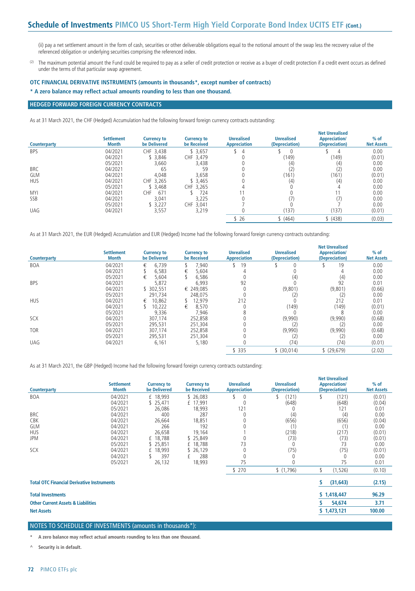# **Schedule of Investments PIMCO US Short-Term High Yield Corporate Bond Index UCITS ETF (Cont.)**

(ii) pay a net settlement amount in the form of cash, securities or other deliverable obligations equal to the notional amount of the swap less the recovery value of the referenced obligation or underlying securities comprising the referenced index.

(2) The maximum potential amount the Fund could be required to pay as a seller of credit protection or receive as a buyer of credit protection if a credit event occurs as defined under the terms of that particular swap agreement.

#### **OTC FINANCIAL DERIVATIVE INSTRUMENTS (amounts in thousands\*, except number of contracts)**

**\* A zero balance may reflect actual amounts rounding to less than one thousand.**

# **HEDGED FORWARD FOREIGN CURRENCY CONTRACTS**

As at 31 March 2021, the CHF (Hedged) Accumulation had the following forward foreign currency contracts outstanding:

| Counterparty | <b>Settlement</b><br><b>Month</b> | <b>Currency to</b><br>be Delivered | <b>Currency to</b><br>be Received | <b>Unrealised</b><br><b>Appreciation</b> | <b>Unrealised</b><br>(Depreciation) | <b>Net Unrealised</b><br>Appreciation/<br>(Depreciation) | $%$ of<br><b>Net Assets</b> |
|--------------|-----------------------------------|------------------------------------|-----------------------------------|------------------------------------------|-------------------------------------|----------------------------------------------------------|-----------------------------|
| <b>BPS</b>   | 04/2021                           | CHF 3,438                          | \$3,657                           |                                          |                                     | 4                                                        | 0.00                        |
|              | 04/2021                           | \$ 3,846                           | CHF 3.479                         |                                          | (149)                               | (149)                                                    | (0.01)                      |
|              | 05/2021                           | 3,660                              | 3,438                             |                                          | (4)                                 | (4, 4)                                                   | 0.00                        |
| <b>BRC</b>   | 04/2021                           | 65                                 | 59                                |                                          | (2)                                 |                                                          | 0.00                        |
| <b>GLM</b>   | 04/2021                           | 4,048                              | 3,658                             |                                          | (161)                               | (161)                                                    | (0.01)                      |
| <b>HUS</b>   | 04/2021                           | CHF 3,265                          | 3,465                             |                                          | (4)                                 | (4)                                                      | 0.00                        |
|              | 05/2021                           | \$3.468                            | CHF 3,265                         |                                          |                                     |                                                          | 0.00                        |
| <b>MYI</b>   | 04/2021                           | 671<br>CHF                         | 724                               |                                          |                                     |                                                          | 0.00                        |
| SSB          | 04/2021                           | 3.041                              | 3.225                             |                                          |                                     |                                                          | 0.00                        |
|              | 05/2021                           | \$3,227                            | CHF 3.041                         |                                          |                                     |                                                          | 0.00                        |
| <b>UAG</b>   | 04/2021                           | 3,557                              | 3,219                             |                                          | (137)                               | (137)                                                    | (0.01)                      |
|              |                                   |                                    |                                   | - 26                                     | \$(464)                             | \$ (438)                                                 | (0.03)                      |

As at 31 March 2021, the EUR (Hedged) Accumulation and EUR (Hedged) Income had the following forward foreign currency contracts outstanding:

|              |                                   |                                    |                                   |                                          |                                     | <b>NEL UIII CAIISCU</b>                |                             |  |
|--------------|-----------------------------------|------------------------------------|-----------------------------------|------------------------------------------|-------------------------------------|----------------------------------------|-----------------------------|--|
| Counterparty | <b>Settlement</b><br><b>Month</b> | <b>Currency to</b><br>be Delivered | <b>Currency to</b><br>be Received | <b>Unrealised</b><br><b>Appreciation</b> | <b>Unrealised</b><br>(Depreciation) | <b>Appreciation/</b><br>(Depreciation) | $%$ of<br><b>Net Assets</b> |  |
| <b>BOA</b>   | 04/2021                           | 6,739<br>€                         | 7,940                             | 19                                       | 0                                   | 19                                     | 0.00                        |  |
|              | 04/2021                           | 6,583                              | €<br>5,604                        |                                          |                                     |                                        | 0.00                        |  |
|              | 05/2021                           | 5,604<br>€                         | 6,586                             |                                          | (4)                                 | (4)                                    | 0.00                        |  |
| <b>BPS</b>   | 04/2021                           | 5.872                              | 6,993                             | 92                                       |                                     | 92                                     | 0.01                        |  |
|              | 04/2021                           | \$302.551                          | € 249,085                         |                                          | (9,801)                             | (9,801)                                | (0.66)                      |  |
|              | 05/2021                           | 291.734                            | 248.075                           |                                          | (2)                                 | (2)                                    | 0.00                        |  |
| <b>HUS</b>   | 04/2021                           | 10,862<br>€                        | 12,979                            | 212                                      |                                     | 212                                    | 0.01                        |  |
|              | 04/2021                           | 10,222                             | 8,570<br>€                        |                                          | (149)                               | (149)                                  | (0.01)                      |  |
|              | 05/2021                           | 9,336                              | 7,946                             | አ                                        |                                     | 8                                      | 0.00                        |  |
| SCX          | 04/2021                           | 307.174                            | 252,858                           |                                          | (9,990)                             | (9,990)                                | (0.68)                      |  |
|              | 05/2021                           | 295.531                            | 251,304                           |                                          | (2)                                 | (2)                                    | 0.00                        |  |
| <b>TOR</b>   | 04/2021                           | 307.174                            | 252,858                           |                                          | (9,990)                             | (9,990)                                | (0.68)                      |  |
|              | 05/2021                           | 295,531                            | 251,304                           |                                          | (2)                                 | (2)                                    | 0.00                        |  |
| <b>UAG</b>   | 04/2021                           | 6,161                              | 5,180                             |                                          | (74)                                | (74)                                   | (0.01)                      |  |
|              |                                   |                                    |                                   | \$335                                    | $$$ (30,014)                        | \$(29, 679)                            | (2.02)                      |  |

**Net Unrealised**

As at 31 March 2021, the GBP (Hedged) Income had the following forward foreign currency contracts outstanding:

|                                                   | <b>Settlement</b>             | <b>Currency to</b>             | <b>Currency to</b>             | <b>Unrealised</b>   | <b>Unrealised</b>        | <b>Net Unrealised</b><br><b>Appreciation/</b> | $%$ of                   |
|---------------------------------------------------|-------------------------------|--------------------------------|--------------------------------|---------------------|--------------------------|-----------------------------------------------|--------------------------|
| Counterparty                                      | <b>Month</b>                  | be Delivered                   | be Received                    | <b>Appreciation</b> | (Depreciation)           | (Depreciation)                                | <b>Net Assets</b>        |
| <b>BOA</b>                                        | 04/2021<br>04/2021<br>05/2021 | £ 18,993<br>\$25,471<br>26,086 | \$26,083<br>£ 17,991<br>18,993 | 0<br>0<br>121       | (121)<br>S<br>(648)<br>0 | (121)<br>(648)<br>121                         | (0.01)<br>(0.04)<br>0.01 |
| <b>BRC</b>                                        | 04/2021                       | 400                            | 287                            | 0                   | (4)                      | (4)                                           | 0.00                     |
| CBK                                               | 04/2021                       | 26,664                         | 18,851                         | 0                   | (656)                    | (656)                                         | (0.04)                   |
| <b>GLM</b>                                        | 04/2021                       | 266                            | 192                            |                     | (1)                      | (1)                                           | 0.00                     |
| <b>HUS</b>                                        | 04/2021                       | 26,658                         | 19,164                         |                     | (218)                    | (217)                                         | (0.01)                   |
| <b>JPM</b>                                        | 04/2021                       | £ 18,788                       | \$25,849                       |                     | (73)                     | (73)                                          | (0.01)                   |
|                                                   | 05/2021                       | \$25,851                       | £ 18,788                       | 73                  | $\theta$                 | 73                                            | 0.00                     |
| SCX                                               | 04/2021                       | £ 18,993                       | \$26,129                       | 0                   | (75)                     | (75)                                          | (0.01)                   |
|                                                   | 04/2021<br>05/2021            | 397<br>26,132                  | 288<br>f<br>18,993             | 0<br>75             | 0<br>$\mathbf 0$         | 75                                            | 0.00<br>0.01             |
|                                                   |                               |                                |                                | \$ 270              | \$(1,796)                | (1, 526)                                      | (0.10)                   |
| <b>Total OTC Financial Derivative Instruments</b> |                               |                                |                                |                     |                          | (31, 643)                                     | (2.15)                   |
| <b>Total Investments</b>                          |                               |                                |                                |                     |                          | \$1,418,447                                   | 96.29                    |
| <b>Other Current Assets &amp; Liabilities</b>     |                               |                                |                                |                     |                          | 54,674                                        | 3.71                     |
| <b>Net Assets</b>                                 |                               |                                |                                |                     |                          | \$1,473,121                                   | 100.00                   |

# NOTES TO SCHEDULE OF INVESTMENTS (amounts in thousands\*):

**\* A zero balance may reflect actual amounts rounding to less than one thousand.**

**^ Security is in default.**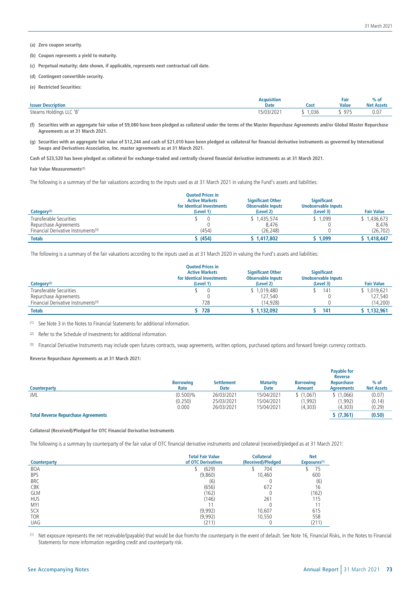**(a) Zero coupon security.**

**(b) Coupon represents a yield to maturity.**

- **(c) Perpetual maturity; date shown, if applicable, represents next contractual call date.**
- **(d) Contingent convertible security.**
- **(e) Restricted Securities:**

|                                                                 | <b>cauisition</b> |      | Fair<br>Value | 70 OI<br>Net Asset |
|-----------------------------------------------------------------|-------------------|------|---------------|--------------------|
| <b>Issuer Description</b>                                       | <b>Date</b>       | Cos  |               |                    |
| Stearns Holdings LLC 'B'<br>the contract of the contract of the | 5/03/<br>1 L U L  | ,036 | 975           | 0.07               |

**(f) Securities with an aggregate fair value of \$9,080 have been pledged as collateral under the terms of the Master Repurchase Agreements and/or Global Master Repurchase Agreements as at 31 March 2021.**

**(g) Securities with an aggregate fair value of \$12,244 and cash of \$21,010 have been pledged as collateral for financial derivative instruments as governed by International Swaps and Derivatives Association, Inc. master agreements as at 31 March 2021.**

**Cash of \$23,520 has been pledged as collateral for exchange-traded and centrally cleared financial derivative instruments as at 31 March 2021.**

**Fair Value Measurements(1)**

The following is a summary of the fair valuations according to the inputs used as at 31 March 2021 in valuing the Fund's assets and liabilities:

|                                                 | <b>Ouoted Prices in</b><br><b>Active Markets</b><br>for Identical Investments | <b>Significant Other</b><br><b>Observable Inputs</b> | <b>Significant</b><br>Unobservable Inputs |                   |
|-------------------------------------------------|-------------------------------------------------------------------------------|------------------------------------------------------|-------------------------------------------|-------------------|
| Category <sup>(2)</sup>                         | (Level 1)                                                                     | (Level 2)                                            | (Level 3)                                 | <b>Fair Value</b> |
| Transferable Securities                         |                                                                               | \$1,435,574                                          | \$1.099                                   | 1,436,673         |
| Repurchase Agreements                           |                                                                               | 8.476                                                |                                           | 8.476             |
| Financial Derivative Instruments <sup>(3)</sup> | (454)                                                                         | (26, 248)                                            |                                           | (26, 702)         |
| <b>Totals</b>                                   | \$ (454)                                                                      | \$1,417,802                                          | \$1.099                                   | \$1,418,447       |

The following is a summary of the fair valuations according to the inputs used as at 31 March 2020 in valuing the Fund's assets and liabilities:

|                                                 | <b>Quoted Prices in</b><br><b>Active Markets</b><br>for Identical Investments | <b>Significant Other</b><br><b>Observable Inputs</b> | <b>Significant</b><br><b>Unobservable Inputs</b> |                   |
|-------------------------------------------------|-------------------------------------------------------------------------------|------------------------------------------------------|--------------------------------------------------|-------------------|
| Category <sup>(2)</sup>                         | (Level 1)                                                                     | (Level 2)                                            | (Level 3)                                        | <b>Fair Value</b> |
| Transferable Securities                         |                                                                               | \$1,019,480                                          | 141                                              | 1,019,621         |
| Repurchase Agreements                           |                                                                               | 127.540                                              |                                                  | 127.540           |
| Financial Derivative Instruments <sup>(3)</sup> | 728                                                                           | (14, 928)                                            |                                                  | (14,200)          |
| <b>Totals</b>                                   | 728                                                                           | \$1,132,092                                          | 141                                              | \$1,132,961       |

(1) See Note 3 in the Notes to Financial Statements for additional information.

(2) Refer to the Schedule of Investments for additional information.

(3) Financial Derivative Instruments may include open futures contracts, swap agreements, written options, purchased options and forward foreign currency contracts.

**Reverse Repurchase Agreements as at 31 March 2021:**

|                                            |                  |                   |                 |                  | <b>Pavable for</b><br><b>Reverse</b> |                   |
|--------------------------------------------|------------------|-------------------|-----------------|------------------|--------------------------------------|-------------------|
| <b>Counterparty</b>                        | <b>Borrowing</b> | <b>Settlement</b> | <b>Maturity</b> | <b>Borrowing</b> | Repurchase                           | $%$ of            |
|                                            | Rate             | Date              | Date            | <b>Amount</b>    | <b>Agreements</b>                    | <b>Net Assets</b> |
| JML                                        | $(0.500)\%$      | 26/03/2021        | 15/04/2021      | \$(1.067)        | \$(1.066)                            | (0.07)            |
|                                            | (0.250)          | 25/03/2021        | 15/04/2021      | (1.992)          | (1.992)                              | (0.14)            |
|                                            | 0.000            | 26/03/2021        | 15/04/2021      | (4.303)          | (4,303)                              | (0.29)            |
| <b>Total Reverse Repurchase Agreements</b> |                  |                   |                 |                  | \$(7,361)                            | (0.50)            |

**Collateral (Received)/Pledged for OTC Financial Derivative Instruments**

The following is a summary by counterparty of the fair value of OTC financial derivative instruments and collateral (received)/pledged as at 31 March 2021:

|              | <b>Total Fair Value</b> | <b>Collateral</b>  | <b>Net</b>               |
|--------------|-------------------------|--------------------|--------------------------|
| Counterparty | of OTC Derivatives      | (Received)/Pledged | Exposures <sup>(1)</sup> |
| <b>BOA</b>   | (629)                   | 704                | 75                       |
| <b>BPS</b>   | (9,860)                 | 10.460             | 600                      |
| <b>BRC</b>   | (6)                     |                    | (6)                      |
| <b>CBK</b>   | (656)                   | 672                | 16                       |
| <b>GLM</b>   | (162)                   |                    | (162)                    |
| <b>HUS</b>   | (146)                   | 261                | 115                      |
| <b>MYI</b>   |                         |                    |                          |
| SCX          | (9,992)                 | 10.607             | 615                      |
| <b>TOR</b>   | (9,992)                 | 10.550             | 558                      |
| <b>UAG</b>   | (211)                   |                    | (211)                    |

(1) Net exposure represents the net receivable/(payable) that would be due from/to the counterparty in the event of default. See Note 16, Financial Risks, in the Notes to Financial Statements for more information regarding credit and counterparty risk.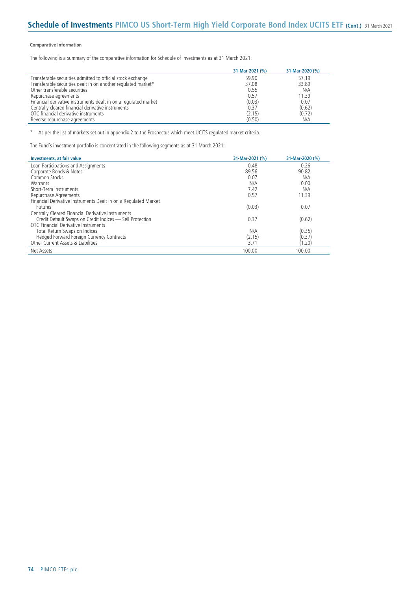**Comparative Information**

The following is a summary of the comparative information for Schedule of Investments as at 31 March 2021:

|                                                                 | 31-Mar-2021 (%) | 31-Mar-2020 (%) |
|-----------------------------------------------------------------|-----------------|-----------------|
| Transferable securities admitted to official stock exchange     | 59.90           | 57.19           |
| Transferable securities dealt in on another regulated market*   | 37.08           | 33.89           |
| Other transferable securities                                   | 0.55            | N/A             |
| Repurchase agreements                                           | 0.57            | 11.39           |
| Financial derivative instruments dealt in on a regulated market | (0.03)          | 0.07            |
| Centrally cleared financial derivative instruments              | 0.37            | (0.62)          |
| OTC financial derivative instruments                            | (2.15)          | (0.72)          |
| Reverse repurchase agreements                                   | (0.50)          | N/A             |

\* As per the list of markets set out in appendix 2 to the Prospectus which meet UCITS regulated market criteria.

The Fund's investment portfolio is concentrated in the following segments as at 31 March 2021:

| Investments, at fair value                                      | 31-Mar-2021 (%) | 31-Mar-2020 (%) |
|-----------------------------------------------------------------|-----------------|-----------------|
| Loan Participations and Assignments                             | 0.48            | 0.26            |
| Corporate Bonds & Notes                                         | 89.56           | 90.82           |
| Common Stocks                                                   | 0.07            | N/A             |
| <b>Warrants</b>                                                 | N/A             | 0.00            |
| Short-Term Instruments                                          | 7.42            | N/A             |
| Repurchase Agreements                                           | 0.57            | 11.39           |
| Financial Derivative Instruments Dealt in on a Regulated Market |                 |                 |
| <b>Futures</b>                                                  | (0.03)          | 0.07            |
| Centrally Cleared Financial Derivative Instruments              |                 |                 |
| Credit Default Swaps on Credit Indices - Sell Protection        | 0.37            | (0.62)          |
| OTC Financial Derivative Instruments                            |                 |                 |
| Total Return Swaps on Indices                                   | N/A             | (0.35)          |
| Hedged Forward Foreign Currency Contracts                       | (2.15)          | (0.37)          |
| Other Current Assets & Liabilities                              | 3.71            | (1.20)          |
| Net Assets                                                      | 100.00          | 100.00          |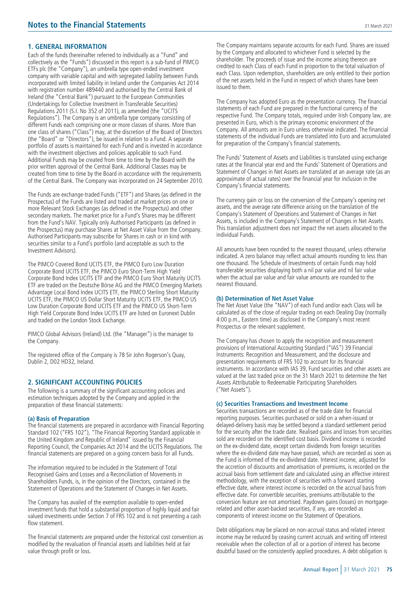# **1. GENERAL INFORMATION**

Each of the funds (hereinafter referred to individually as a "Fund" and collectively as the "Funds") discussed in this report is a sub-fund of PIMCO ETFs plc (the "Company"), an umbrella type open-ended investment company with variable capital and with segregated liability between Funds incorporated with limited liability in Ireland under the Companies Act 2014 with registration number 489440 and authorised by the Central Bank of Ireland (the "Central Bank") pursuant to the European Communities (Undertakings for Collective Investment in Transferable Securities) Regulations 2011 (S.I. No 352 of 2011), as amended (the "UCITS Regulations"). The Company is an umbrella type company consisting of different Funds each comprising one or more classes of shares. More than one class of shares ("Class") may, at the discretion of the Board of Directors (the "Board" or "Directors"), be issued in relation to a Fund. A separate portfolio of assets is maintained for each Fund and is invested in accordance with the investment objectives and policies applicable to such Fund. Additional Funds may be created from time to time by the Board with the prior written approval of the Central Bank. Additional Classes may be created from time to time by the Board in accordance with the requirements of the Central Bank. The Company was incorporated on 24 September 2010.

The Funds are exchange-traded Funds ("ETF") and Shares (as defined in the Prospectus) of the Funds are listed and traded at market prices on one or more Relevant Stock Exchanges (as defined in the Prospectus) and other secondary markets. The market price for a Fund's Shares may be different from the Fund's NAV. Typically only Authorised Participants (as defined in the Prospectus) may purchase Shares at Net Asset Value from the Company. Authorised Participants may subscribe for Shares in cash or in kind with securities similar to a Fund's portfolio (and acceptable as such to the Investment Advisors).

The PIMCO Covered Bond UCITS ETF, the PIMCO Euro Low Duration Corporate Bond UCITS ETF, the PIMCO Euro Short-Term High Yield Corporate Bond Index UCITS ETF and the PIMCO Euro Short Maturity UCITS ETF are traded on the Deutsche Börse AG and the PIMCO Emerging Markets Advantage Local Bond Index UCITS ETF, the PIMCO Sterling Short Maturity UCITS ETF, the PIMCO US Dollar Short Maturity UCITS ETF, the PIMCO US Low Duration Corporate Bond UCITS ETF and the PIMCO US Short-Term High Yield Corporate Bond Index UCITS ETF are listed on Euronext Dublin and traded on the London Stock Exchange.

PIMCO Global Advisors (Ireland) Ltd. (the "Manager") is the manager to the Company.

The registered office of the Company is 78 Sir John Rogerson's Quay, Dublin 2, D02 HD32, Ireland.

# **2. SIGNIFICANT ACCOUNTING POLICIES**

The following is a summary of the significant accounting policies and estimation techniques adopted by the Company and applied in the preparation of these financial statements:

## **(a) Basis of Preparation**

The financial statements are prepared in accordance with Financial Reporting Standard 102 ("FRS 102"), "The Financial Reporting Standard applicable in the United Kingdom and Republic of Ireland" issued by the Financial Reporting Council, the Companies Act 2014 and the UCITS Regulations. The financial statements are prepared on a going concern basis for all Funds.

The information required to be included in the Statement of Total Recognised Gains and Losses and a Reconciliation of Movements in Shareholders Funds, is, in the opinion of the Directors, contained in the Statement of Operations and the Statement of Changes in Net Assets.

The Company has availed of the exemption available to open-ended investment funds that hold a substantial proportion of highly liquid and fair valued investments under Section 7 of FRS 102 and is not presenting a cash flow statement.

The financial statements are prepared under the historical cost convention as modified by the revaluation of financial assets and liabilities held at fair value through profit or loss.

The Company maintains separate accounts for each Fund. Shares are issued by the Company and allocated to whichever Fund is selected by the shareholder. The proceeds of issue and the income arising thereon are credited to each Class of each Fund in proportion to the total valuation of each Class. Upon redemption, shareholders are only entitled to their portion of the net assets held in the Fund in respect of which shares have been issued to them.

The Company has adopted Euro as the presentation currency. The financial statements of each Fund are prepared in the functional currency of the respective Fund. The Company totals, required under Irish Company law, are presented in Euro, which is the primary economic environment of the Company. All amounts are in Euro unless otherwise indicated. The financial statements of the individual Funds are translated into Euro and accumulated for preparation of the Company's financial statements.

The Funds' Statement of Assets and Liabilities is translated using exchange rates at the financial year end and the Funds' Statement of Operations and Statement of Changes in Net Assets are translated at an average rate (as an approximate of actual rates) over the financial year for inclusion in the Company's financial statements.

The currency gain or loss on the conversion of the Company's opening net assets, and the average rate difference arising on the translation of the Company's Statement of Operations and Statement of Changes in Net Assets, is included in the Company's Statement of Changes in Net Assets. This translation adjustment does not impact the net assets allocated to the individual Funds.

All amounts have been rounded to the nearest thousand, unless otherwise indicated. A zero balance may reflect actual amounts rounding to less than one thousand. The Schedule of Investments of certain Funds may hold transferable securities displaying both a nil par value and nil fair value when the actual par value and fair value amounts are rounded to the nearest thousand.

#### **(b) Determination of Net Asset Value**

The Net Asset Value (the "NAV") of each Fund and/or each Class will be calculated as of the close of regular trading on each Dealing Day (normally 4:00 p.m., Eastern time) as disclosed in the Company's most recent Prospectus or the relevant supplement.

The Company has chosen to apply the recognition and measurement provisions of International Accounting Standard ("IAS") 39 Financial Instruments: Recognition and Measurement, and the disclosure and presentation requirements of FRS 102 to account for its financial instruments. In accordance with IAS 39, Fund securities and other assets are valued at the last traded price on the 31 March 2021 to determine the Net Assets Attributable to Redeemable Participating Shareholders ("Net Assets").

## **(c) Securities Transactions and Investment Income**

Securities transactions are recorded as of the trade date for financial reporting purposes. Securities purchased or sold on a when-issued or delayed-delivery basis may be settled beyond a standard settlement period for the security after the trade date. Realised gains and losses from securities sold are recorded on the identified cost basis. Dividend income is recorded on the ex-dividend date, except certain dividends from foreign securities where the ex-dividend date may have passed, which are recorded as soon as the Fund is informed of the ex-dividend date. Interest income, adjusted for the accretion of discounts and amortisation of premiums, is recorded on the accrual basis from settlement date and calculated using an effective interest methodology, with the exception of securities with a forward starting effective date, where interest income is recorded on the accrual basis from effective date. For convertible securities, premiums attributable to the conversion feature are not amortised. Paydown gains (losses) on mortgagerelated and other asset-backed securities, if any, are recorded as components of interest income on the Statement of Operations.

Debt obligations may be placed on non-accrual status and related interest income may be reduced by ceasing current accruals and writing off interest receivable when the collection of all or a portion of interest has become doubtful based on the consistently applied procedures. A debt obligation is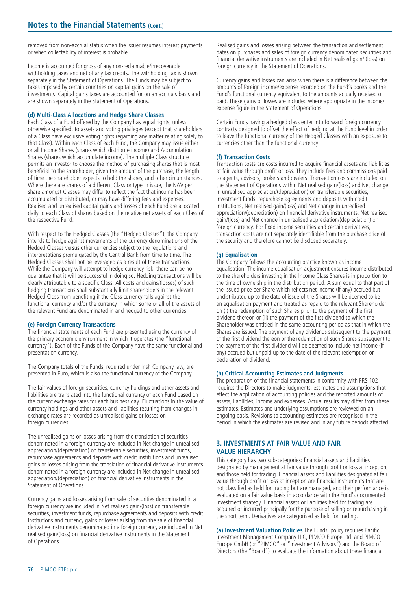removed from non-accrual status when the issuer resumes interest payments or when collectability of interest is probable.

Income is accounted for gross of any non-reclaimable/irrecoverable withholding taxes and net of any tax credits. The withholding tax is shown separately in the Statement of Operations. The Funds may be subject to taxes imposed by certain countries on capital gains on the sale of investments. Capital gains taxes are accounted for on an accruals basis and are shown separately in the Statement of Operations.

#### **(d) Multi-Class Allocations and Hedge Share Classes**

Each Class of a Fund offered by the Company has equal rights, unless otherwise specified, to assets and voting privileges (except that shareholders of a Class have exclusive voting rights regarding any matter relating solely to that Class). Within each Class of each Fund, the Company may issue either or all Income Shares (shares which distribute income) and Accumulation Shares (shares which accumulate income). The multiple Class structure permits an investor to choose the method of purchasing shares that is most beneficial to the shareholder, given the amount of the purchase, the length of time the shareholder expects to hold the shares, and other circumstances. Where there are shares of a different Class or type in issue, the NAV per share amongst Classes may differ to reflect the fact that income has been accumulated or distributed, or may have differing fees and expenses. Realised and unrealised capital gains and losses of each Fund are allocated daily to each Class of shares based on the relative net assets of each Class of the respective Fund.

With respect to the Hedged Classes (the "Hedged Classes"), the Company intends to hedge against movements of the currency denominations of the Hedged Classes versus other currencies subject to the regulations and interpretations promulgated by the Central Bank from time to time. The Hedged Classes shall not be leveraged as a result of these transactions. While the Company will attempt to hedge currency risk, there can be no guarantee that it will be successful in doing so. Hedging transactions will be clearly attributable to a specific Class. All costs and gains/(losses) of such hedging transactions shall substantially limit shareholders in the relevant Hedged Class from benefiting if the Class currency falls against the functional currency and/or the currency in which some or all of the assets of the relevant Fund are denominated in and hedged to other currencies.

## **(e) Foreign Currency Transactions**

The financial statements of each Fund are presented using the currency of the primary economic environment in which it operates (the "functional currency"). Each of the Funds of the Company have the same functional and presentation currency.

The Company totals of the Funds, required under Irish Company law, are presented in Euro, which is also the functional currency of the Company.

The fair values of foreign securities, currency holdings and other assets and liabilities are translated into the functional currency of each Fund based on the current exchange rates for each business day. Fluctuations in the value of currency holdings and other assets and liabilities resulting from changes in exchange rates are recorded as unrealised gains or losses on foreign currencies.

The unrealised gains or losses arising from the translation of securities denominated in a foreign currency are included in Net change in unrealised appreciation/(depreciation) on transferable securities, investment funds, repurchase agreements and deposits with credit institutions and unrealised gains or losses arising from the translation of financial derivative instruments denominated in a foreign currency are included in Net change in unrealised appreciation/(depreciation) on financial derivative instruments in the Statement of Operations.

Currency gains and losses arising from sale of securities denominated in a foreign currency are included in Net realised gain/(loss) on transferable securities, investment funds, repurchase agreements and deposits with credit institutions and currency gains or losses arising from the sale of financial derivative instruments denominated in a foreign currency are included in Net realised gain/(loss) on financial derivative instruments in the Statement of Operations.

Realised gains and losses arising between the transaction and settlement dates on purchases and sales of foreign currency denominated securities and financial derivative instruments are included in Net realised gain/ (loss) on foreign currency in the Statement of Operations.

Currency gains and losses can arise when there is a difference between the amounts of foreign income/expense recorded on the Fund's books and the Fund's functional currency equivalent to the amounts actually received or paid. These gains or losses are included where appropriate in the income/ expense figure in the Statement of Operations.

Certain Funds having a hedged class enter into forward foreign currency contracts designed to offset the effect of hedging at the Fund level in order to leave the functional currency of the Hedged Classes with an exposure to currencies other than the functional currency.

#### **(f) Transaction Costs**

Transaction costs are costs incurred to acquire financial assets and liabilities at fair value through profit or loss. They include fees and commissions paid to agents, advisors, brokers and dealers. Transaction costs are included on the Statement of Operations within Net realised gain/(loss) and Net change in unrealised appreciation/(depreciation) on transferable securities, investment funds, repurchase agreements and deposits with credit institutions, Net realised gain/(loss) and Net change in unrealised appreciation/(depreciation) on financial derivative instruments, Net realised gain/(loss) and Net change in unrealised appreciation/(depreciation) on foreign currency. For fixed income securities and certain derivatives, transaction costs are not separately identifiable from the purchase price of the security and therefore cannot be disclosed separately.

#### **(g) Equalisation**

The Company follows the accounting practice known as income equalisation. The income equalisation adjustment ensures income distributed to the shareholders investing in the Income Class Shares is in proportion to the time of ownership in the distribution period. A sum equal to that part of the issued price per Share which reflects net income (if any) accrued but undistributed up to the date of issue of the Shares will be deemed to be an equalisation payment and treated as repaid to the relevant Shareholder on (i) the redemption of such Shares prior to the payment of the first dividend thereon or (ii) the payment of the first dividend to which the Shareholder was entitled in the same accounting period as that in which the Shares are issued. The payment of any dividends subsequent to the payment of the first dividend thereon or the redemption of such Shares subsequent to the payment of the first dividend will be deemed to include net income (if any) accrued but unpaid up to the date of the relevant redemption or declaration of dividend.

#### **(h) Critical Accounting Estimates and Judgments**

The preparation of the financial statements in conformity with FRS 102 requires the Directors to make judgments, estimates and assumptions that effect the application of accounting policies and the reported amounts of assets, liabilities, income and expenses. Actual results may differ from these estimates. Estimates and underlying assumptions are reviewed on an ongoing basis. Revisions to accounting estimates are recognised in the period in which the estimates are revised and in any future periods affected.

# **3. INVESTMENTS AT FAIR VALUE AND FAIR VALUE HIERARCHY**

This category has two sub-categories: financial assets and liabilities designated by management at fair value through profit or loss at inception, and those held for trading. Financial assets and liabilities designated at fair value through profit or loss at inception are financial instruments that are not classified as held for trading but are managed, and their performance is evaluated on a fair value basis in accordance with the Fund's documented investment strategy. Financial assets or liabilities held for trading are acquired or incurred principally for the purpose of selling or repurchasing in the short term. Derivatives are categorised as held for trading.

**(a) Investment Valuation Policies** The Funds' policy requires Pacific Investment Management Company LLC, PIMCO Europe Ltd. and PIMCO Europe GmbH (or "PIMCO" or "Investment Advisors") and the Board of Directors (the "Board") to evaluate the information about these financial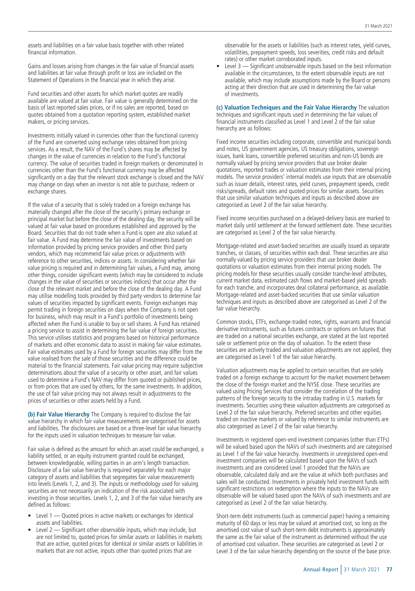assets and liabilities on a fair value basis together with other related financial information.

Gains and losses arising from changes in the fair value of financial assets and liabilities at fair value through profit or loss are included on the Statement of Operations in the financial year in which they arise.

Fund securities and other assets for which market quotes are readily available are valued at fair value. Fair value is generally determined on the basis of last reported sales prices, or if no sales are reported, based on quotes obtained from a quotation reporting system, established market makers, or pricing services.

Investments initially valued in currencies other than the functional currency of the Fund are converted using exchange rates obtained from pricing services. As a result, the NAV of the Fund's shares may be affected by changes in the value of currencies in relation to the Fund's functional currency. The value of securities traded in foreign markets or denominated in currencies other than the Fund's functional currency may be affected significantly on a day that the relevant stock exchange is closed and the NAV may change on days when an investor is not able to purchase, redeem or exchange shares.

If the value of a security that is solely traded on a foreign exchange has materially changed after the close of the security's primary exchange or principal market but before the close of the dealing day, the security will be valued at fair value based on procedures established and approved by the Board. Securities that do not trade when a Fund is open are also valued at fair value. A Fund may determine the fair value of investments based on information provided by pricing service providers and other third party vendors, which may recommend fair value prices or adjustments with reference to other securities, indices or assets. In considering whether fair value pricing is required and in determining fair values, a Fund may, among other things, consider significant events (which may be considered to include changes in the value of securities or securities indices) that occur after the close of the relevant market and before the close of the dealing day. A Fund may utilise modelling tools provided by third party vendors to determine fair values of securities impacted by significant events. Foreign exchanges may permit trading in foreign securities on days when the Company is not open for business, which may result in a Fund's portfolio of investments being affected when the Fund is unable to buy or sell shares. A Fund has retained a pricing service to assist in determining the fair value of foreign securities. This service utilises statistics and programs based on historical performance of markets and other economic data to assist in making fair value estimates. Fair value estimates used by a Fund for foreign securities may differ from the value realised from the sale of those securities and the difference could be material to the financial statements. Fair value pricing may require subjective determinations about the value of a security or other asset, and fair values used to determine a Fund's NAV may differ from quoted or published prices, or from prices that are used by others, for the same investments. In addition, the use of fair value pricing may not always result in adjustments to the prices of securities or other assets held by a Fund.

**(b) Fair Value Hierarchy** The Company is required to disclose the fair value hierarchy in which fair value measurements are categorised for assets and liabilities. The disclosures are based on a three-level fair value hierarchy for the inputs used in valuation techniques to measure fair value.

Fair value is defined as the amount for which an asset could be exchanged, a liability settled, or an equity instrument granted could be exchanged, between knowledgeable, willing parties in an arm's length transaction. Disclosure of a fair value hierarchy is required separately for each major category of assets and liabilities that segregates fair value measurements into levels (Levels 1, 2, and 3). The inputs or methodology used for valuing securities are not necessarily an indication of the risk associated with investing in those securities. Levels 1, 2, and 3 of the fair value hierarchy are defined as follows:

- Level 1 Quoted prices in active markets or exchanges for identical assets and liabilities.
- Level 2 Significant other observable inputs, which may include, but are not limited to, quoted prices for similar assets or liabilities in markets that are active, quoted prices for identical or similar assets or liabilities in markets that are not active, inputs other than quoted prices that are

observable for the assets or liabilities (such as interest rates, yield curves, volatilities, prepayment speeds, loss severities, credit risks and default rates) or other market corroborated inputs.

• Level 3 — Significant unobservable inputs based on the best information available in the circumstances, to the extent observable inputs are not available, which may include assumptions made by the Board or persons acting at their direction that are used in determining the fair value of investments.

**(c) Valuation Techniques and the Fair Value Hierarchy** The valuation techniques and significant inputs used in determining the fair values of financial instruments classified as Level 1 and Level 2 of the fair value hierarchy are as follows:

Fixed income securities including corporate, convertible and municipal bonds and notes, US government agencies, US treasury obligations, sovereign issues, bank loans, convertible preferred securities and non-US bonds are normally valued by pricing service providers that use broker dealer quotations, reported trades or valuation estimates from their internal pricing models. The service providers' internal models use inputs that are observable such as issuer details, interest rates, yield curves, prepayment speeds, credit risks/spreads, default rates and quoted prices for similar assets. Securities that use similar valuation techniques and inputs as described above are categorised as Level 2 of the fair value hierarchy.

Fixed income securities purchased on a delayed-delivery basis are marked to market daily until settlement at the forward settlement date. These securities are categorised as Level 2 of the fair value hierarchy.

Mortgage-related and asset-backed securities are usually issued as separate tranches, or classes, of securities within each deal. These securities are also normally valued by pricing service providers that use broker dealer quotations or valuation estimates from their internal pricing models. The pricing models for these securities usually consider tranche-level attributes, current market data, estimated cash flows and market-based yield spreads for each tranche, and incorporates deal collateral performance, as available. Mortgage-related and asset-backed securities that use similar valuation techniques and inputs as described above are categorised as Level 2 of the fair value hierarchy.

Common stocks, ETFs, exchange-traded notes, rights, warrants and financial derivative instruments, such as futures contracts or options on futures that are traded on a national securities exchange, are stated at the last reported sale or settlement price on the day of valuation. To the extent these securities are actively traded and valuation adjustments are not applied, they are categorised as Level 1 of the fair value hierarchy.

Valuation adjustments may be applied to certain securities that are solely traded on a foreign exchange to account for the market movement between the close of the foreign market and the NYSE close. These securities are valued using Pricing Services that consider the correlation of the trading patterns of the foreign security to the intraday trading in U.S. markets for investments. Securities using these valuation adjustments are categorised as Level 2 of the fair value hierarchy. Preferred securities and other equities traded on inactive markets or valued by reference to similar instruments are also categorised as Level 2 of the fair value hierarchy.

Investments in registered open-end investment companies (other than ETFs) will be valued based upon the NAVs of such investments and are categorised as Level 1 of the fair value hierarchy. Investments in unregistered open-end investment companies will be calculated based upon the NAVs of such investments and are considered Level 1 provided that the NAVs are observable, calculated daily and are the value at which both purchases and sales will be conducted. Investments in privately held investment funds with significant restrictions on redemption where the inputs to the NAVs are observable will be valued based upon the NAVs of such investments and are categorised as Level 2 of the fair value hierarchy.

Short-term debt instruments (such as commercial paper) having a remaining maturity of 60 days or less may be valued at amortised cost, so long as the amortised cost value of such short-term debt instruments is approximately the same as the fair value of the instrument as determined without the use of amortised cost valuation. These securities are categorised as Level 2 or Level 3 of the fair value hierarchy depending on the source of the base price.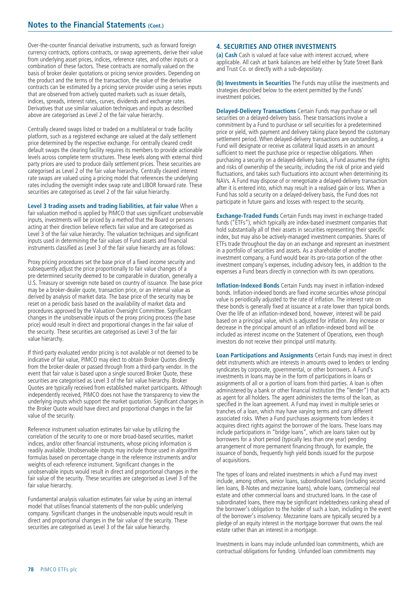Over-the-counter financial derivative instruments, such as forward foreign currency contracts, options contracts, or swap agreements, derive their value from underlying asset prices, indices, reference rates, and other inputs or a combination of these factors. These contracts are normally valued on the basis of broker dealer quotations or pricing service providers. Depending on the product and the terms of the transaction, the value of the derivative contracts can be estimated by a pricing service provider using a series inputs that are observed from actively quoted markets such as issuer details, indices, spreads, interest rates, curves, dividends and exchange rates. Derivatives that use similar valuation techniques and inputs as described above are categorised as Level 2 of the fair value hierarchy.

Centrally cleared swaps listed or traded on a multilateral or trade facility platform, such as a registered exchange are valued at the daily settlement price determined by the respective exchange. For centrally cleared credit default swaps the clearing facility requires its members to provide actionable levels across complete term structures. These levels along with external third party prices are used to produce daily settlement prices. These securities are categorised as Level 2 of the fair value hierarchy. Centrally cleared interest rate swaps are valued using a pricing model that references the underlying rates including the overnight index swap rate and LIBOR forward rate. These securities are categorised as Level 2 of the fair value hierarchy.

**Level 3 trading assets and trading liabilities, at fair value** When a fair valuation method is applied by PIMCO that uses significant unobservable inputs, investments will be priced by a method that the Board or persons acting at their direction believe reflects fair value and are categorised as Level 3 of the fair value hierarchy. The valuation techniques and significant inputs used in determining the fair values of Fund assets and financial instruments classified as Level 3 of the fair value hierarchy are as follows:

Proxy pricing procedures set the base price of a fixed income security and subsequently adjust the price proportionally to fair value changes of a pre-determined security deemed to be comparable in duration, generally a U.S. Treasury or sovereign note based on country of issuance. The base price may be a broker-dealer quote, transaction price, or an internal value as derived by analysis of market data. The base price of the security may be reset on a periodic basis based on the availability of market data and procedures approved by the Valuation Oversight Committee. Significant changes in the unobservable inputs of the proxy pricing process (the base price) would result in direct and proportional changes in the fair value of the security. These securities are categorised as Level 3 of the fair value hierarchy.

If third-party evaluated vendor pricing is not available or not deemed to be indicative of fair value, PIMCO may elect to obtain Broker Quotes directly from the broker-dealer or passed through from a third-party vendor. In the event that fair value is based upon a single sourced Broker Quote, these securities are categorised as Level 3 of the fair value hierarchy. Broker Quotes are typically received from established market participants. Although independently received, PIMCO does not have the transparency to view the underlying inputs which support the market quotation. Significant changes in the Broker Quote would have direct and proportional changes in the fair value of the security.

Reference instrument valuation estimates fair value by utilizing the correlation of the security to one or more broad-based securities, market indices, and/or other financial instruments, whose pricing information is readily available. Unobservable inputs may include those used in algorithm formulas based on percentage change in the reference instruments and/or weights of each reference instrument. Significant changes in the unobservable inputs would result in direct and proportional changes in the fair value of the security. These securities are categorised as Level 3 of the fair value hierarchy.

Fundamental analysis valuation estimates fair value by using an internal model that utilises financial statements of the non-public underlying company. Significant changes in the unobservable inputs would result in direct and proportional changes in the fair value of the security. These securities are categorised as Level 3 of the fair value hierarchy.

# **4. SECURITIES AND OTHER INVESTMENTS**

**(a) Cash** Cash is valued at face value with interest accrued, where applicable. All cash at bank balances are held either by State Street Bank and Trust Co. or directly with a sub-depositary.

**(b) Investments in Securities** The Funds may utilise the investments and strategies described below to the extent permitted by the Funds' investment policies.

**Delayed-Delivery Transactions** Certain Funds may purchase or sell securities on a delayed-delivery basis. These transactions involve a commitment by a Fund to purchase or sell securities for a predetermined price or yield, with payment and delivery taking place beyond the customary settlement period. When delayed-delivery transactions are outstanding, a Fund will designate or receive as collateral liquid assets in an amount sufficient to meet the purchase price or respective obligations. When purchasing a security on a delayed-delivery basis, a Fund assumes the rights and risks of ownership of the security, including the risk of price and yield fluctuations, and takes such fluctuations into account when determining its NAVs. A Fund may dispose of or renegotiate a delayed-delivery transaction after it is entered into, which may result in a realised gain or loss. When a Fund has sold a security on a delayed-delivery basis, the Fund does not participate in future gains and losses with respect to the security.

**Exchange-Traded Funds** Certain Funds may invest in exchange-traded funds ("ETFs"), which typically are index-based investment companies that hold substantially all of their assets in securities representing their specific index, but may also be actively-managed investment companies. Shares of ETFs trade throughout the day on an exchange and represent an investment in a portfolio of securities and assets. As a shareholder of another investment company, a Fund would bear its pro-rata portion of the other investment company's expenses, including advisory fees, in addition to the expenses a Fund bears directly in connection with its own operations.

**Inflation-Indexed Bonds** Certain Funds may invest in inflation-indexed bonds. Inflation-indexed bonds are fixed income securities whose principal value is periodically adjusted to the rate of inflation. The interest rate on these bonds is generally fixed at issuance at a rate lower than typical bonds. Over the life of an inflation-indexed bond, however, interest will be paid based on a principal value, which is adjusted for inflation. Any increase or decrease in the principal amount of an inflation-indexed bond will be included as interest income on the Statement of Operations, even though investors do not receive their principal until maturity.

**Loan Participations and Assignments** Certain Funds may invest in direct debt instruments which are interests in amounts owed to lenders or lending syndicates by corporate, governmental, or other borrowers. A Fund's investments in loans may be in the form of participations in loans or assignments of all or a portion of loans from third parties. A loan is often administered by a bank or other financial institution (the "lender") that acts as agent for all holders. The agent administers the terms of the loan, as specified in the loan agreement. A Fund may invest in multiple series or tranches of a loan, which may have varying terms and carry different associated risks. When a Fund purchases assignments from lenders it acquires direct rights against the borrower of the loans. These loans may include participations in "bridge loans", which are loans taken out by borrowers for a short period (typically less than one year) pending arrangement of more permanent financing through, for example, the issuance of bonds, frequently high yield bonds issued for the purpose of acquisitions.

The types of loans and related investments in which a Fund may invest include, among others, senior loans, subordinated loans (including second lien loans, B-Notes and mezzanine loans), whole loans, commercial real estate and other commercial loans and structured loans. In the case of subordinated loans, there may be significant indebtedness ranking ahead of the borrower's obligation to the holder of such a loan, including in the event of the borrower's insolvency. Mezzanine loans are typically secured by a pledge of an equity interest in the mortgage borrower that owns the real estate rather than an interest in a mortgage.

Investments in loans may include unfunded loan commitments, which are contractual obligations for funding. Unfunded loan commitments may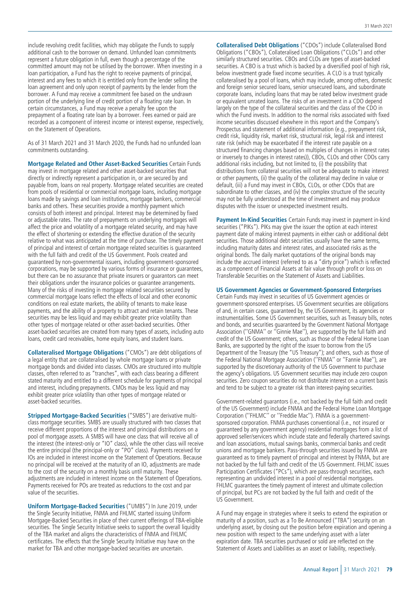include revolving credit facilities, which may obligate the Funds to supply additional cash to the borrower on demand. Unfunded loan commitments represent a future obligation in full, even though a percentage of the committed amount may not be utilised by the borrower. When investing in a loan participation, a Fund has the right to receive payments of principal, interest and any fees to which it is entitled only from the lender selling the loan agreement and only upon receipt of payments by the lender from the borrower. A Fund may receive a commitment fee based on the undrawn portion of the underlying line of credit portion of a floating rate loan. In certain circumstances, a Fund may receive a penalty fee upon the prepayment of a floating rate loan by a borrower. Fees earned or paid are recorded as a component of interest income or interest expense, respectively, on the Statement of Operations.

As of 31 March 2021 and 31 March 2020, the Funds had no unfunded loan commitments outstanding.

**Mortgage Related and Other Asset-Backed Securities** Certain Funds may invest in mortgage related and other asset-backed securities that directly or indirectly represent a participation in, or are secured by and payable from, loans on real property. Mortgage related securities are created from pools of residential or commercial mortgage loans, including mortgage loans made by savings and loan institutions, mortgage bankers, commercial banks and others. These securities provide a monthly payment which consists of both interest and principal. Interest may be determined by fixed or adjustable rates. The rate of prepayments on underlying mortgages will affect the price and volatility of a mortgage related security, and may have the effect of shortening or extending the effective duration of the security relative to what was anticipated at the time of purchase. The timely payment of principal and interest of certain mortgage related securities is guaranteed with the full faith and credit of the US Government. Pools created and guaranteed by non-governmental issuers, including government-sponsored corporations, may be supported by various forms of insurance or guarantees, but there can be no assurance that private insurers or guarantors can meet their obligations under the insurance policies or guarantee arrangements. Many of the risks of investing in mortgage related securities secured by commercial mortgage loans reflect the effects of local and other economic conditions on real estate markets, the ability of tenants to make lease payments, and the ability of a property to attract and retain tenants. These securities may be less liquid and may exhibit greater price volatility than other types of mortgage related or other asset-backed securities. Other asset-backed securities are created from many types of assets, including auto loans, credit card receivables, home equity loans, and student loans.

**Collateralised Mortgage Obligations** ("CMOs") are debt obligations of a legal entity that are collateralised by whole mortgage loans or private mortgage bonds and divided into classes. CMOs are structured into multiple classes, often referred to as "tranches", with each class bearing a different stated maturity and entitled to a different schedule for payments of principal and interest, including prepayments. CMOs may be less liquid and may exhibit greater price volatility than other types of mortgage related or asset-backed securities.

**Stripped Mortgage-Backed Securities** ("SMBS") are derivative multiclass mortgage securities. SMBS are usually structured with two classes that receive different proportions of the interest and principal distributions on a pool of mortgage assets. A SMBS will have one class that will receive all of the interest (the interest-only or "IO" class), while the other class will receive the entire principal (the principal-only or "PO" class). Payments received for IOs are included in interest income on the Statement of Operations. Because no principal will be received at the maturity of an IO, adjustments are made to the cost of the security on a monthly basis until maturity. These adjustments are included in interest income on the Statement of Operations. Payments received for POs are treated as reductions to the cost and par value of the securities.

**Uniform Mortgage-Backed Securities** ("UMBS") In June 2019, under the Single Security Initiative, FNMA and FHLMC started issuing Uniform Mortgage-Backed Securities in place of their current offerings of TBA-eligible securities. The Single Security Initiative seeks to support the overall liquidity of the TBA market and aligns the characteristics of FNMA and FHLMC certificates. The effects that the Single Security Initiative may have on the market for TBA and other mortgage-backed securities are uncertain.

**Collateralised Debt Obligations** ("CDOs") include Collateralised Bond Obligations ("CBOs"), Collateralised Loan Obligations ("CLOs") and other similarly structured securities. CBOs and CLOs are types of asset-backed securities. A CBO is a trust which is backed by a diversified pool of high risk, below investment grade fixed income securities. A CLO is a trust typically collateralised by a pool of loans, which may include, among others, domestic and foreign senior secured loans, senior unsecured loans, and subordinate corporate loans, including loans that may be rated below investment grade or equivalent unrated loans. The risks of an investment in a CDO depend largely on the type of the collateral securities and the class of the CDO in which the Fund invests. In addition to the normal risks associated with fixed income securities discussed elsewhere in this report and the Company's Prospectus and statement of additional information (e.g., prepayment risk, credit risk, liquidity risk, market risk, structural risk, legal risk and interest rate risk (which may be exacerbated if the interest rate payable on a structured financing changes based on multiples of changes in interest rates or inversely to changes in interest rates)), CBOs, CLOs and other CDOs carry additional risks including, but not limited to, (i) the possibility that distributions from collateral securities will not be adequate to make interest or other payments, (ii) the quality of the collateral may decline in value or default, (iii) a Fund may invest in CBOs, CLOs, or other CDOs that are subordinate to other classes, and (iv) the complex structure of the security may not be fully understood at the time of investment and may produce disputes with the issuer or unexpected investment results.

**Payment In-Kind Securities** Certain Funds may invest in payment in-kind securities ("PIKs"). PIKs may give the issuer the option at each interest payment date of making interest payments in either cash or additional debt securities. Those additional debt securities usually have the same terms, including maturity dates and interest rates, and associated risks as the original bonds. The daily market quotations of the original bonds may include the accrued interest (referred to as a "dirty price") which is reflected as a component of Financial Assets at fair value through profit or loss on Transferable Securities on the Statement of Assets and Liabilities.

#### **US Government Agencies or Government-Sponsored Enterprises**

Certain Funds may invest in securities of US Government agencies or government-sponsored enterprises. US Government securities are obligations of and, in certain cases, guaranteed by, the US Government, its agencies or instrumentalities. Some US Government securities, such as Treasury bills, notes and bonds, and securities guaranteed by the Government National Mortgage Association (''GNMA'' or ''Ginnie Mae''), are supported by the full faith and credit of the US Government; others, such as those of the Federal Home Loan Banks, are supported by the right of the issuer to borrow from the US Department of the Treasury (the "US Treasury"); and others, such as those of the Federal National Mortgage Association (''FNMA'' or ''Fannie Mae''), are supported by the discretionary authority of the US Government to purchase the agency's obligations. US Government securities may include zero coupon securities. Zero coupon securities do not distribute interest on a current basis and tend to be subject to a greater risk than interest-paying securities.

Government-related guarantors (i.e., not backed by the full faith and credit of the US Government) include FNMA and the Federal Home Loan Mortgage Corporation (''FHLMC'' or ''Freddie Mac''). FNMA is a governmentsponsored corporation. FNMA purchases conventional (i.e., not insured or guaranteed by any government agency) residential mortgages from a list of approved seller/servicers which include state and federally chartered savings and loan associations, mutual savings banks, commercial banks and credit unions and mortgage bankers. Pass-through securities issued by FNMA are guaranteed as to timely payment of principal and interest by FNMA, but are not backed by the full faith and credit of the US Government. FHLMC issues Participation Certificates ("PCs"), which are pass-through securities, each representing an undivided interest in a pool of residential mortgages. FHLMC guarantees the timely payment of interest and ultimate collection of principal, but PCs are not backed by the full faith and credit of the US Government.

A Fund may engage in strategies where it seeks to extend the expiration or maturity of a position, such as a To Be Announced ("TBA") security on an underlying asset, by closing out the position before expiration and opening a new position with respect to the same underlying asset with a later expiration date. TBA securities purchased or sold are reflected on the Statement of Assets and Liabilities as an asset or liability, respectively.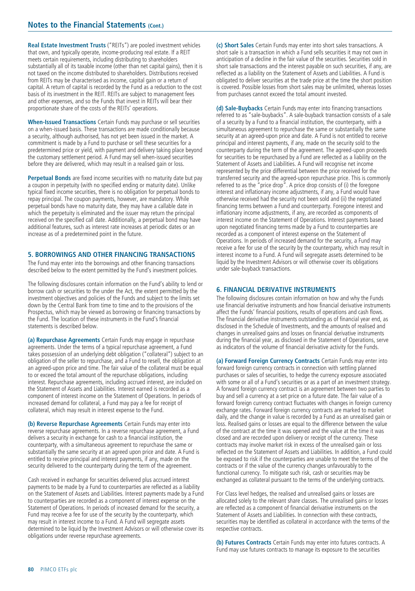**Real Estate Investment Trusts** ("REITs") are pooled investment vehicles that own, and typically operate, income-producing real estate. If a REIT meets certain requirements, including distributing to shareholders substantially all of its taxable income (other than net capital gains), then it is not taxed on the income distributed to shareholders. Distributions received from REITs may be characterised as income, capital gain or a return of capital. A return of capital is recorded by the Fund as a reduction to the cost basis of its investment in the REIT. REITs are subject to management fees and other expenses, and so the Funds that invest in REITs will bear their proportionate share of the costs of the REITs' operations.

**When-Issued Transactions** Certain Funds may purchase or sell securities on a when-issued basis. These transactions are made conditionally because a security, although authorised, has not yet been issued in the market. A commitment is made by a Fund to purchase or sell these securities for a predetermined price or yield, with payment and delivery taking place beyond the customary settlement period. A Fund may sell when-issued securities before they are delivered, which may result in a realised gain or loss.

**Perpetual Bonds** are fixed income securities with no maturity date but pay a coupon in perpetuity (with no specified ending or maturity date). Unlike typical fixed income securities, there is no obligation for perpetual bonds to repay principal. The coupon payments, however, are mandatory. While perpetual bonds have no maturity date, they may have a callable date in which the perpetuity is eliminated and the issuer may return the principal received on the specified call date. Additionally, a perpetual bond may have additional features, such as interest rate increases at periodic dates or an increase as of a predetermined point in the future.

# **5. BORROWINGS AND OTHER FINANCING TRANSACTIONS**

The Fund may enter into the borrowings and other financing transactions described below to the extent permitted by the Fund's investment policies.

The following disclosures contain information on the Fund's ability to lend or borrow cash or securities to the under the Act, the extent permitted by the investment objectives and policies of the Funds and subject to the limits set down by the Central Bank from time to time and to the provisions of the Prospectus, which may be viewed as borrowing or financing transactions by the Fund. The location of these instruments in the Fund's financial statements is described below.

**(a) Repurchase Agreements** Certain Funds may engage in repurchase agreements. Under the terms of a typical repurchase agreement, a Fund takes possession of an underlying debt obligation ("collateral") subject to an obligation of the seller to repurchase, and a Fund to resell, the obligation at an agreed-upon price and time. The fair value of the collateral must be equal to or exceed the total amount of the repurchase obligations, including interest. Repurchase agreements, including accrued interest, are included on the Statement of Assets and Liabilities. Interest earned is recorded as a component of interest income on the Statement of Operations. In periods of increased demand for collateral, a Fund may pay a fee for receipt of collateral, which may result in interest expense to the Fund.

**(b) Reverse Repurchase Agreements** Certain Funds may enter into reverse repurchase agreements. In a reverse repurchase agreement, a Fund delivers a security in exchange for cash to a financial institution, the counterparty, with a simultaneous agreement to repurchase the same or substantially the same security at an agreed upon price and date. A Fund is entitled to receive principal and interest payments, if any, made on the security delivered to the counterparty during the term of the agreement.

Cash received in exchange for securities delivered plus accrued interest payments to be made by a Fund to counterparties are reflected as a liability on the Statement of Assets and Liabilities. Interest payments made by a Fund to counterparties are recorded as a component of interest expense on the Statement of Operations. In periods of increased demand for the security, a Fund may receive a fee for use of the security by the counterparty, which may result in interest income to a Fund. A Fund will segregate assets determined to be liquid by the Investment Advisors or will otherwise cover its obligations under reverse repurchase agreements.

**(c) Short Sales** Certain Funds may enter into short sales transactions. A short sale is a transaction in which a Fund sells securities it may not own in anticipation of a decline in the fair value of the securities. Securities sold in short sale transactions and the interest payable on such securities, if any, are reflected as a liability on the Statement of Assets and Liabilities. A Fund is obligated to deliver securities at the trade price at the time the short position is covered. Possible losses from short sales may be unlimited, whereas losses from purchases cannot exceed the total amount invested.

**(d) Sale-Buybacks** Certain Funds may enter into financing transactions referred to as "sale-buybacks". A sale-buyback transaction consists of a sale of a security by a Fund to a financial institution, the counterparty, with a simultaneous agreement to repurchase the same or substantially the same security at an agreed-upon price and date. A Fund is not entitled to receive principal and interest payments, if any, made on the security sold to the counterparty during the term of the agreement. The agreed-upon proceeds for securities to be repurchased by a Fund are reflected as a liability on the Statement of Assets and Liabilities. A Fund will recognise net income represented by the price differential between the price received for the transferred security and the agreed-upon repurchase price. This is commonly referred to as the "price drop". A price drop consists of (i) the foregone interest and inflationary income adjustments, if any, a Fund would have otherwise received had the security not been sold and (ii) the negotiated financing terms between a Fund and counterparty. Foregone interest and inflationary income adjustments, if any, are recorded as components of interest income on the Statement of Operations. Interest payments based upon negotiated financing terms made by a Fund to counterparties are recorded as a component of interest expense on the Statement of Operations. In periods of increased demand for the security, a Fund may receive a fee for use of the security by the counterparty, which may result in interest income to a Fund. A Fund will segregate assets determined to be liquid by the Investment Advisors or will otherwise cover its obligations under sale-buyback transactions.

# **6. FINANCIAL DERIVATIVE INSTRUMENTS**

The following disclosures contain information on how and why the Funds use financial derivative instruments and how financial derivative instruments affect the Funds' financial positions, results of operations and cash flows. The financial derivative instruments outstanding as of financial year end, as disclosed in the Schedule of Investments, and the amounts of realised and changes in unrealised gains and losses on financial derivative instruments during the financial year, as disclosed in the Statement of Operations, serve as indicators of the volume of financial derivative activity for the Funds.

**(a) Forward Foreign Currency Contracts** Certain Funds may enter into forward foreign currency contracts in connection with settling planned purchases or sales of securities, to hedge the currency exposure associated with some or all of a Fund's securities or as a part of an investment strategy. A forward foreign currency contract is an agreement between two parties to buy and sell a currency at a set price on a future date. The fair value of a forward foreign currency contract fluctuates with changes in foreign currency exchange rates. Forward foreign currency contracts are marked to market daily, and the change in value is recorded by a Fund as an unrealised gain or loss. Realised gains or losses are equal to the difference between the value of the contract at the time it was opened and the value at the time it was closed and are recorded upon delivery or receipt of the currency. These contracts may involve market risk in excess of the unrealised gain or loss reflected on the Statement of Assets and Liabilities. In addition, a Fund could be exposed to risk if the counterparties are unable to meet the terms of the contracts or if the value of the currency changes unfavourably to the functional currency. To mitigate such risk, cash or securities may be exchanged as collateral pursuant to the terms of the underlying contracts.

For Class level hedges, the realised and unrealised gains or losses are allocated solely to the relevant share classes. The unrealised gains or losses are reflected as a component of financial derivative instruments on the Statement of Assets and Liabilities. In connection with these contracts, securities may be identified as collateral in accordance with the terms of the respective contracts.

**(b) Futures Contracts** Certain Funds may enter into futures contracts. A Fund may use futures contracts to manage its exposure to the securities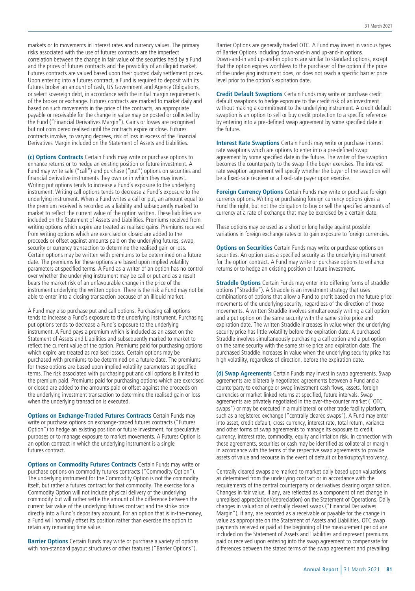markets or to movements in interest rates and currency values. The primary risks associated with the use of futures contracts are the imperfect correlation between the change in fair value of the securities held by a Fund and the prices of futures contracts and the possibility of an illiquid market. Futures contracts are valued based upon their quoted daily settlement prices. Upon entering into a futures contract, a Fund is required to deposit with its futures broker an amount of cash, US Government and Agency Obligations, or select sovereign debt, in accordance with the initial margin requirements of the broker or exchange. Futures contracts are marked to market daily and based on such movements in the price of the contracts, an appropriate payable or receivable for the change in value may be posted or collected by the Fund ("Financial Derivatives Margin"). Gains or losses are recognised but not considered realised until the contracts expire or close. Futures contracts involve, to varying degrees, risk of loss in excess of the Financial Derivatives Margin included on the Statement of Assets and Liabilities.

**(c) Options Contracts** Certain Funds may write or purchase options to enhance returns or to hedge an existing position or future investment. A Fund may write sale ("call") and purchase ("put") options on securities and financial derivative instruments they own or in which they may invest. Writing put options tends to increase a Fund's exposure to the underlying instrument. Writing call options tends to decrease a Fund's exposure to the underlying instrument. When a Fund writes a call or put, an amount equal to the premium received is recorded as a liability and subsequently marked to market to reflect the current value of the option written. These liabilities are included on the Statement of Assets and Liabilities. Premiums received from writing options which expire are treated as realised gains. Premiums received from writing options which are exercised or closed are added to the proceeds or offset against amounts paid on the underlying futures, swap, security or currency transaction to determine the realised gain or loss. Certain options may be written with premiums to be determined on a future date. The premiums for these options are based upon implied volatility parameters at specified terms. A Fund as a writer of an option has no control over whether the underlying instrument may be call or put and as a result bears the market risk of an unfavourable change in the price of the instrument underlying the written option. There is the risk a Fund may not be able to enter into a closing transaction because of an illiquid market.

A Fund may also purchase put and call options. Purchasing call options tends to increase a Fund's exposure to the underlying instrument. Purchasing put options tends to decrease a Fund's exposure to the underlying instrument. A Fund pays a premium which is included as an asset on the Statement of Assets and Liabilities and subsequently marked to market to reflect the current value of the option. Premiums paid for purchasing options which expire are treated as realised losses. Certain options may be purchased with premiums to be determined on a future date. The premiums for these options are based upon implied volatility parameters at specified terms. The risk associated with purchasing put and call options is limited to the premium paid. Premiums paid for purchasing options which are exercised or closed are added to the amounts paid or offset against the proceeds on the underlying investment transaction to determine the realised gain or loss when the underlying transaction is executed.

**Options on Exchange-Traded Futures Contracts** Certain Funds may write or purchase options on exchange-traded futures contracts ("Futures Option") to hedge an existing position or future investment, for speculative purposes or to manage exposure to market movements. A Futures Option is an option contract in which the underlying instrument is a single futures contract.

**Options on Commodity Futures Contracts** Certain Funds may write or purchase options on commodity futures contracts ("Commodity Option"). The underlying instrument for the Commodity Option is not the commodity itself, but rather a futures contract for that commodity. The exercise for a Commodity Option will not include physical delivery of the underlying commodity but will rather settle the amount of the difference between the current fair value of the underlying futures contract and the strike price directly into a Fund's depositary account. For an option that is in-the-money, a Fund will normally offset its position rather than exercise the option to retain any remaining time value.

**Barrier Options** Certain Funds may write or purchase a variety of options with non-standard payout structures or other features ("Barrier Options").

Barrier Options are generally traded OTC. A Fund may invest in various types of Barrier Options including down-and-in and up-and-in options. Down-and-in and up-and-in options are similar to standard options, except that the option expires worthless to the purchaser of the option if the price of the underlying instrument does, or does not reach a specific barrier price level prior to the option's expiration date.

**Credit Default Swaptions** Certain Funds may write or purchase credit default swaptions to hedge exposure to the credit risk of an investment without making a commitment to the underlying instrument. A credit default swaption is an option to sell or buy credit protection to a specific reference by entering into a pre-defined swap agreement by some specified date in the future.

**Interest Rate Swaptions** Certain Funds may write or purchase interest rate swaptions which are options to enter into a pre-defined swap agreement by some specified date in the future. The writer of the swaption becomes the counterparty to the swap if the buyer exercises. The interest rate swaption agreement will specify whether the buyer of the swaption will be a fixed-rate receiver or a fixed-rate payer upon exercise.

**Foreign Currency Options** Certain Funds may write or purchase foreign currency options. Writing or purchasing foreign currency options gives a Fund the right, but not the obligation to buy or sell the specified amounts of currency at a rate of exchange that may be exercised by a certain date.

These options may be used as a short or long hedge against possible variations in foreign exchange rates or to gain exposure to foreign currencies.

**Options on Securities** Certain Funds may write or purchase options on securities. An option uses a specified security as the underlying instrument for the option contract. A Fund may write or purchase options to enhance returns or to hedge an existing position or future investment.

**Straddle Options** Certain Funds may enter into differing forms of straddle options ("Straddle"). A Straddle is an investment strategy that uses combinations of options that allow a Fund to profit based on the future price movements of the underlying security, regardless of the direction of those movements. A written Straddle involves simultaneously writing a call option and a put option on the same security with the same strike price and expiration date. The written Straddle increases in value when the underlying security price has little volatility before the expiration date. A purchased Straddle involves simultaneously purchasing a call option and a put option on the same security with the same strike price and expiration date. The purchased Straddle increases in value when the underlying security price has high volatility, regardless of direction, before the expiration date.

**(d) Swap Agreements** Certain Funds may invest in swap agreements. Swap agreements are bilaterally negotiated agreements between a Fund and a counterparty to exchange or swap investment cash flows, assets, foreign currencies or market-linked returns at specified, future intervals. Swap agreements are privately negotiated in the over-the-counter market ("OTC swaps") or may be executed in a multilateral or other trade facility platform, such as a registered exchange ("centrally cleared swaps"). A Fund may enter into asset, credit default, cross-currency, interest rate, total return, variance and other forms of swap agreements to manage its exposure to credit, currency, interest rate, commodity, equity and inflation risk. In connection with these agreements, securities or cash may be identified as collateral or margin in accordance with the terms of the respective swap agreements to provide assets of value and recourse in the event of default or bankruptcy/insolvency.

Centrally cleared swaps are marked to market daily based upon valuations as determined from the underlying contract or in accordance with the requirements of the central counterparty or derivatives clearing organisation. Changes in fair value, if any, are reflected as a component of net change in unrealised appreciation/(depreciation) on the Statement of Operations. Daily changes in valuation of centrally cleared swaps ("Financial Derivatives Margin"), if any, are recorded as a receivable or payable for the change in value as appropriate on the Statement of Assets and Liabilities. OTC swap payments received or paid at the beginning of the measurement period are included on the Statement of Assets and Liabilities and represent premiums paid or received upon entering into the swap agreement to compensate for differences between the stated terms of the swap agreement and prevailing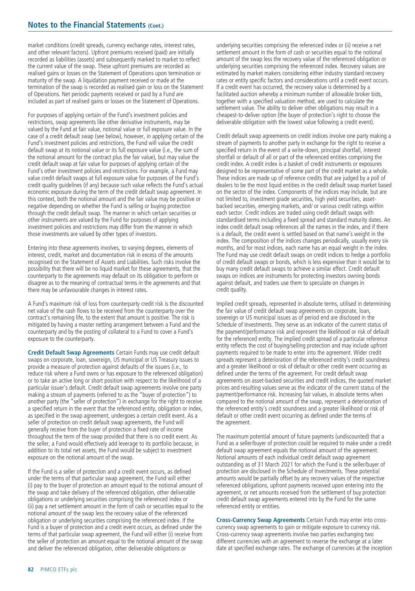market conditions (credit spreads, currency exchange rates, interest rates, and other relevant factors). Upfront premiums received (paid) are initially recorded as liabilities (assets) and subsequently marked to market to reflect the current value of the swap. These upfront premiums are recorded as realised gains or losses on the Statement of Operations upon termination or maturity of the swap. A liquidation payment received or made at the termination of the swap is recorded as realised gain or loss on the Statement of Operations. Net periodic payments received or paid by a Fund are included as part of realised gains or losses on the Statement of Operations.

For purposes of applying certain of the Fund's investment policies and restrictions, swap agreements like other derivative instruments, may be valued by the Fund at fair value, notional value or full exposure value. In the case of a credit default swap (see below), however, in applying certain of the Fund's investment policies and restrictions, the Fund will value the credit default swap at its notional value or its full exposure value (i.e., the sum of the notional amount for the contract plus the fair value), but may value the credit default swap at fair value for purposes of applying certain of the Fund's other investment policies and restrictions. For example, a Fund may value credit default swaps at full exposure value for purposes of the Fund's credit quality guidelines (if any) because such value reflects the Fund's actual economic exposure during the term of the credit default swap agreement. In this context, both the notional amount and the fair value may be positive or negative depending on whether the Fund is selling or buying protection through the credit default swap. The manner in which certain securities or other instruments are valued by the Fund for purposes of applying investment policies and restrictions may differ from the manner in which those investments are valued by other types of investors.

Entering into these agreements involves, to varying degrees, elements of interest, credit, market and documentation risk in excess of the amounts recognised on the Statement of Assets and Liabilities. Such risks involve the possibility that there will be no liquid market for these agreements, that the counterparty to the agreements may default on its obligation to perform or disagree as to the meaning of contractual terms in the agreements and that there may be unfavourable changes in interest rates.

A Fund's maximum risk of loss from counterparty credit risk is the discounted net value of the cash flows to be received from the counterparty over the contract's remaining life, to the extent that amount is positive. The risk is mitigated by having a master netting arrangement between a Fund and the counterparty and by the posting of collateral to a Fund to cover a Fund's exposure to the counterparty.

**Credit Default Swap Agreements** Certain Funds may use credit default swaps on corporate, loan, sovereign, US municipal or US Treasury issues to provide a measure of protection against defaults of the issuers (i.e., to reduce risk where a Fund owns or has exposure to the referenced obligation) or to take an active long or short position with respect to the likelihood of a particular issuer's default. Credit default swap agreements involve one party making a stream of payments (referred to as the "buyer of protection") to another party (the "seller of protection") in exchange for the right to receive a specified return in the event that the referenced entity, obligation or index, as specified in the swap agreement, undergoes a certain credit event. As a seller of protection on credit default swap agreements, the Fund will generally receive from the buyer of protection a fixed rate of income throughout the term of the swap provided that there is no credit event. As the seller, a Fund would effectively add leverage to its portfolio because, in addition to its total net assets, the Fund would be subject to investment exposure on the notional amount of the swap.

If the Fund is a seller of protection and a credit event occurs, as defined under the terms of that particular swap agreement, the Fund will either (i) pay to the buyer of protection an amount equal to the notional amount of the swap and take delivery of the referenced obligation, other deliverable obligations or underlying securities comprising the referenced index or (ii) pay a net settlement amount in the form of cash or securities equal to the notional amount of the swap less the recovery value of the referenced obligation or underlying securities comprising the referenced index. If the Fund is a buyer of protection and a credit event occurs, as defined under the terms of that particular swap agreement, the Fund will either (i) receive from the seller of protection an amount equal to the notional amount of the swap and deliver the referenced obligation, other deliverable obligations or

underlying securities comprising the referenced index or (ii) receive a net settlement amount in the form of cash or securities equal to the notional amount of the swap less the recovery value of the referenced obligation or underlying securities comprising the referenced index. Recovery values are estimated by market makers considering either industry standard recovery rates or entity specific factors and considerations until a credit event occurs. If a credit event has occurred, the recovery value is determined by a facilitated auction whereby a minimum number of allowable broker bids, together with a specified valuation method, are used to calculate the settlement value. The ability to deliver other obligations may result in a cheapest-to-deliver option (the buyer of protection's right to choose the deliverable obligation with the lowest value following a credit event).

Credit default swap agreements on credit indices involve one party making a stream of payments to another party in exchange for the right to receive a specified return in the event of a write-down, principal shortfall, interest shortfall or default of all or part of the referenced entities comprising the credit index. A credit index is a basket of credit instruments or exposures designed to be representative of some part of the credit market as a whole. These indices are made up of reference credits that are judged by a poll of dealers to be the most liquid entities in the credit default swap market based on the sector of the index. Components of the indices may include, but are not limited to, investment grade securities, high yield securities, assetbacked securities, emerging markets, and/ or various credit ratings within each sector. Credit indices are traded using credit default swaps with standardised terms including a fixed spread and standard maturity dates. An index credit default swap references all the names in the index, and if there is a default, the credit event is settled based on that name's weight in the index. The composition of the indices changes periodically, usually every six months, and for most indices, each name has an equal weight in the index. The Fund may use credit default swaps on credit indices to hedge a portfolio of credit default swaps or bonds, which is less expensive than it would be to buy many credit default swaps to achieve a similar effect. Credit default swaps on indices are instruments for protecting investors owning bonds against default, and traders use them to speculate on changes in credit quality.

Implied credit spreads, represented in absolute terms, utilised in determining the fair value of credit default swap agreements on corporate, loan, sovereign or US municipal issues as of period end are disclosed in the Schedule of Investments. They serve as an indicator of the current status of the payment/performance risk and represent the likelihood or risk of default for the referenced entity. The implied credit spread of a particular reference entity reflects the cost of buying/selling protection and may include upfront payments required to be made to enter into the agreement. Wider credit spreads represent a deterioration of the referenced entity's credit soundness and a greater likelihood or risk of default or other credit event occurring as defined under the terms of the agreement. For credit default swap agreements on asset-backed securities and credit indices, the quoted market prices and resulting values serve as the indicator of the current status of the payment/performance risk. Increasing fair values, in absolute terms when compared to the notional amount of the swap, represent a deterioration of the referenced entity's credit soundness and a greater likelihood or risk of default or other credit event occurring as defined under the terms of the agreement.

The maximum potential amount of future payments (undiscounted) that a Fund as a seller/buyer of protection could be required to make under a credit default swap agreement equals the notional amount of the agreement. Notional amounts of each individual credit default swap agreement outstanding as of 31 March 2021 for which the Fund is the seller/buyer of protection are disclosed in the Schedule of Investments. These potential amounts would be partially offset by any recovery values of the respective referenced obligations, upfront payments received upon entering into the agreement, or net amounts received from the settlement of buy protection credit default swap agreements entered into by the Fund for the same referenced entity or entities.

**Cross-Currency Swap Agreements** Certain Funds may enter into crosscurrency swap agreements to gain or mitigate exposure to currency risk. Cross-currency swap agreements involve two parties exchanging two different currencies with an agreement to reverse the exchange at a later date at specified exchange rates. The exchange of currencies at the inception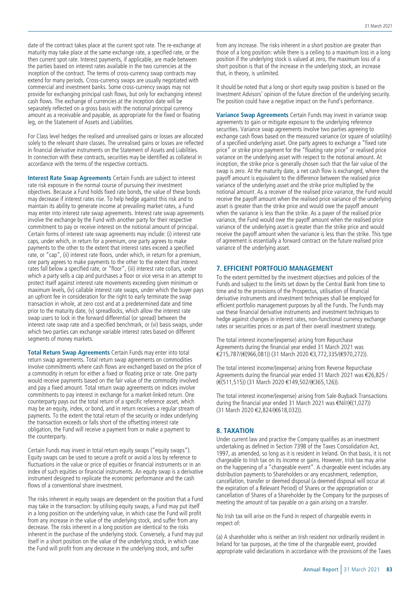date of the contract takes place at the current spot rate. The re-exchange at maturity may take place at the same exchange rate, a specified rate, or the then current spot rate. Interest payments, if applicable, are made between the parties based on interest rates available in the two currencies at the inception of the contract. The terms of cross-currency swap contracts may extend for many periods. Cross-currency swaps are usually negotiated with commercial and investment banks. Some cross-currency swaps may not provide for exchanging principal cash flows, but only for exchanging interest cash flows. The exchange of currencies at the inception date will be separately reflected on a gross basis with the notional principal currency amount as a receivable and payable, as appropriate for the fixed or floating leg, on the Statement of Assets and Liabilities.

For Class level hedges the realised and unrealised gains or losses are allocated solely to the relevant share classes. The unrealised gains or losses are reflected in financial derivative instruments on the Statement of Assets and Liabilities. In connection with these contracts, securities may be identified as collateral in accordance with the terms of the respective contracts.

**Interest Rate Swap Agreements** Certain Funds are subject to interest rate risk exposure in the normal course of pursuing their investment objectives. Because a Fund holds fixed rate bonds, the value of these bonds may decrease if interest rates rise. To help hedge against this risk and to maintain its ability to generate income at prevailing market rates, a Fund may enter into interest rate swap agreements. Interest rate swap agreements involve the exchange by the Fund with another party for their respective commitment to pay or receive interest on the notional amount of principal. Certain forms of interest rate swap agreements may include: (i) interest rate caps, under which, in return for a premium, one party agrees to make payments to the other to the extent that interest rates exceed a specified rate, or "cap", (ii) interest rate floors, under which, in return for a premium, one party agrees to make payments to the other to the extent that interest rates fall below a specified rate, or "floor", (iii) interest rate collars, under which a party sells a cap and purchases a floor or vice versa in an attempt to protect itself against interest rate movements exceeding given minimum or maximum levels, (iv) callable interest rate swaps, under which the buyer pays an upfront fee in consideration for the right to early terminate the swap transaction in whole, at zero cost and at a predetermined date and time prior to the maturity date, (v) spreadlocks, which allow the interest rate swap users to lock in the forward differential (or spread) between the interest rate swap rate and a specified benchmark, or (vi) basis swaps, under which two parties can exchange variable interest rates based on different segments of money markets.

**Total Return Swap Agreements** Certain Funds may enter into total return swap agreements. Total return swap agreements on commodities involve commitments where cash flows are exchanged based on the price of a commodity in return for either a fixed or floating price or rate. One party would receive payments based on the fair value of the commodity involved and pay a fixed amount. Total return swap agreements on indices involve commitments to pay interest in exchange for a market-linked return. One counterparty pays out the total return of a specific reference asset, which may be an equity, index, or bond, and in return receives a regular stream of payments. To the extent the total return of the security or index underlying the transaction exceeds or falls short of the offsetting interest rate obligation, the Fund will receive a payment from or make a payment to the counterparty.

Certain Funds may invest in total return equity swaps ("equity swaps"). Equity swaps can be used to secure a profit or avoid a loss by reference to fluctuations in the value or price of equities or financial instruments or in an index of such equities or financial instruments. An equity swap is a derivative instrument designed to replicate the economic performance and the cash flows of a conventional share investment.

The risks inherent in equity swaps are dependent on the position that a Fund may take in the transaction: by utilising equity swaps, a Fund may put itself in a long position on the underlying value, in which case the Fund will profit from any increase in the value of the underlying stock, and suffer from any decrease. The risks inherent in a long position are identical to the risks inherent in the purchase of the underlying stock. Conversely, a Fund may put itself in a short position on the value of the underlying stock, in which case the Fund will profit from any decrease in the underlying stock, and suffer

from any increase. The risks inherent in a short position are greater than those of a long position: while there is a ceiling to a maximum loss in a long position if the underlying stock is valued at zero, the maximum loss of a short position is that of the increase in the underlying stock, an increase that, in theory, is unlimited.

It should be noted that a long or short equity swap position is based on the Investment Advisors' opinion of the future direction of the underlying security. The position could have a negative impact on the Fund's performance.

**Variance Swap Agreements** Certain Funds may invest in variance swap agreements to gain or mitigate exposure to the underlying reference securities. Variance swap agreements involve two parties agreeing to exchange cash flows based on the measured variance (or square of volatility) of a specified underlying asset. One party agrees to exchange a "fixed rate price" or strike price payment for the "floating rate price" or realised price variance on the underlying asset with respect to the notional amount. At inception, the strike price is generally chosen such that the fair value of the swap is zero. At the maturity date, a net cash flow is exchanged, where the payoff amount is equivalent to the difference between the realised price variance of the underlying asset and the strike price multiplied by the notional amount. As a receiver of the realised price variance, the Fund would receive the payoff amount when the realised price variance of the underlying asset is greater than the strike price and would owe the payoff amount when the variance is less than the strike. As a payer of the realised price variance, the Fund would owe the payoff amount when the realised price variance of the underlying asset is greater than the strike price and would receive the payoff amount when the variance is less than the strike. This type of agreement is essentially a forward contract on the future realised price variance of the underlying asset.

# **7. EFFICIENT PORTFOLIO MANAGEMENT**

To the extent permitted by the investment objectives and policies of the Funds and subject to the limits set down by the Central Bank from time to time and to the provisions of the Prospectus, utilisation of financial derivative instruments and investment techniques shall be employed for efficient portfolio management purposes by all the Funds. The Funds may use these financial derivative instruments and investment techniques to hedge against changes in interest rates, non-functional currency exchange rates or securities prices or as part of their overall investment strategy.

The total interest income/(expense) arising from Repurchase Agreements during the financial year ended 31 March 2021 was €215,787/(€(966,081)) (31 March 2020 €3,772,335/(€970,272)).

The total interest income/(expense) arising from Reverse Repurchase Agreements during the financial year ended 31 March 2021 was €26,825 / (€(511,515)) (31 March 2020 €149,502/(€365,126)).

The total interest income/(expense) arising from Sale-Buyback Transactions during the financial year ended 31 March 2021 was €Nil/(€(1,027)) (31 March 2020 €2,824/(€618,032)).

# **8. TAXATION**

Under current law and practice the Company qualifies as an investment undertaking as defined in Section 739B of the Taxes Consolidation Act, 1997, as amended, so long as it is resident in Ireland. On that basis, it is not chargeable to Irish tax on its income or gains. However, Irish tax may arise on the happening of a "chargeable event". A chargeable event includes any distribution payments to Shareholders or any encashment, redemption, cancellation, transfer or deemed disposal (a deemed disposal will occur at the expiration of a Relevant Period) of Shares or the appropriation or cancellation of Shares of a Shareholder by the Company for the purposes of meeting the amount of tax payable on a gain arising on a transfer.

No Irish tax will arise on the Fund in respect of chargeable events in respect of:

(a) A shareholder who is neither an Irish resident nor ordinarily resident in Ireland for tax purposes, at the time of the chargeable event, provided appropriate valid declarations in accordance with the provisions of the Taxes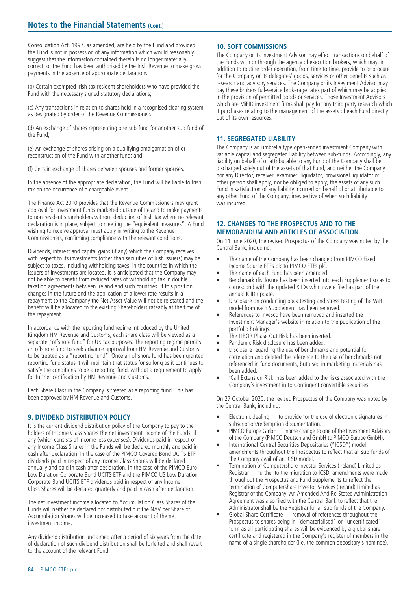# **Notes to the Financial Statements (Cont.)**

Consolidation Act, 1997, as amended, are held by the Fund and provided the Fund is not in possession of any information which would reasonably suggest that the information contained therein is no longer materially correct, or the Fund has been authorised by the Irish Revenue to make gross payments in the absence of appropriate declarations;

(b) Certain exempted Irish tax resident shareholders who have provided the Fund with the necessary signed statutory declarations;

(c) Any transactions in relation to shares held in a recognised clearing system as designated by order of the Revenue Commissioners;

(d) An exchange of shares representing one sub-fund for another sub-fund of the Fund;

(e) An exchange of shares arising on a qualifying amalgamation of or reconstruction of the Fund with another fund; and

(f) Certain exchange of shares between spouses and former spouses.

In the absence of the appropriate declaration, the Fund will be liable to Irish tax on the occurrence of a chargeable event.

The Finance Act 2010 provides that the Revenue Commissioners may grant approval for investment funds marketed outside of Ireland to make payments to non-resident shareholders without deduction of Irish tax where no relevant declaration is in place, subject to meeting the "equivalent measures". A Fund wishing to receive approval must apply in writing to the Revenue Commissioners, confirming compliance with the relevant conditions.

Dividends, interest and capital gains (if any) which the Company receives with respect to its investments (other than securities of Irish issuers) may be subject to taxes, including withholding taxes, in the countries in which the issuers of investments are located. It is anticipated that the Company may not be able to benefit from reduced rates of withholding tax in double taxation agreements between Ireland and such countries. If this position changes in the future and the application of a lower rate results in a repayment to the Company the Net Asset Value will not be re-stated and the benefit will be allocated to the existing Shareholders rateably at the time of the repayment.

In accordance with the reporting fund regime introduced by the United Kingdom HM Revenue and Customs, each share class will be viewed as a separate "offshore fund" for UK tax purposes. The reporting regime permits an offshore fund to seek advance approval from HM Revenue and Customs to be treated as a "reporting fund". Once an offshore fund has been granted reporting fund status it will maintain that status for so long as it continues to satisfy the conditions to be a reporting fund, without a requirement to apply for further certification by HM Revenue and Customs.

Each Share Class in the Company is treated as a reporting fund. This has been approved by HM Revenue and Customs.

# **9. DIVIDEND DISTRIBUTION POLICY**

It is the current dividend distribution policy of the Company to pay to the holders of Income Class Shares the net investment income of the Funds, if any (which consists of income less expenses). Dividends paid in respect of any Income Class Shares in the Funds will be declared monthly and paid in cash after declaration. In the case of the PIMCO Covered Bond UCITS ETF dividends paid in respect of any Income Class Shares will be declared annually and paid in cash after declaration. In the case of the PIMCO Euro Low Duration Corporate Bond UCITS ETF and the PIMCO US Low Duration Corporate Bond UCITS ETF dividends paid in respect of any Income Class Shares will be declared quarterly and paid in cash after declaration.

The net investment income allocated to Accumulation Class Shares of the Funds will neither be declared nor distributed but the NAV per Share of Accumulation Shares will be increased to take account of the net investment income.

Any dividend distribution unclaimed after a period of six years from the date of declaration of such dividend distribution shall be forfeited and shall revert to the account of the relevant Fund.

### **10. SOFT COMMISSIONS**

The Company or its Investment Advisor may effect transactions on behalf of the Funds with or through the agency of execution brokers, which may, in addition to routine order execution, from time to time, provide to or procure for the Company or its delegates' goods, services or other benefits such as research and advisory services. The Company or its Investment Advisor may pay these brokers full-service brokerage rates part of which may be applied in the provision of permitted goods or services. Those Investment Advisors which are MiFID investment firms shall pay for any third party research which it purchases relating to the management of the assets of each Fund directly out of its own resources.

# **11. SEGREGATED LIABILITY**

The Company is an umbrella type open-ended investment Company with variable capital and segregated liability between sub-funds. Accordingly, any liability on behalf of or attributable to any Fund of the Company shall be discharged solely out of the assets of that Fund, and neither the Company nor any Director, receiver, examiner, liquidator, provisional liquidator or other person shall apply, nor be obliged to apply, the assets of any such Fund in satisfaction of any liability incurred on behalf of or attributable to any other Fund of the Company, irrespective of when such liability was incurred.

# **12. CHANGES TO THE PROSPECTUS AND TO THE MEMORANDUM AND ARTICLES OF ASSOCIATION**

On 11 June 2020, the revised Prospectus of the Company was noted by the Central Bank, including:

- The name of the Company has been changed from PIMCO Fixed Income Source ETFs plc to PIMCO ETFs plc.
- The name of each Fund has been amended.
- Benchmark disclosure has been inserted into each Supplement so as to correspond with the updated KIIDs which were filed as part of the annual KIID update.
- Disclosure on conducting back testing and stress testing of the VaR model from each Supplement has been removed.
- References to Invesco have been removed and inserted the Investment Manager's website in relation to the publication of the portfolio holdings.
- The LIBOR Phase Out Risk has been inserted.
- Pandemic Risk disclosure has been added.
- Disclosure regarding the use of benchmarks and potential for correlation and deleted the reference to the use of benchmarks not referenced in fund documents, but used in marketing materials has been added.
- 'Call Extension Risk' has been added to the risks associated with the Company's investment in to Contingent convertible securities.

On 27 October 2020, the revised Prospectus of the Company was noted by the Central Bank, including:

- Electronic dealing to provide for the use of electronic signatures in subscription/redemption documentation.
- PIMCO Europe GmbH name change to one of the Investment Advisors of the Company (PIMCO Deutschland GmbH to PIMCO Europe GmbH).
- International Central Securities Depositaries ("ICSD") model amendments throughout the Prospectus to reflect that all sub-funds of the Company avail of an ICSD model.
- Termination of Computershare Investor Services (Ireland) Limited as Registrar — further to the migration to ICSD, amendments were made throughout the Prospectus and Fund Supplements to reflect the termination of Computershare Investor Services (Ireland) Limited as Registrar of the Company. An Amended And Re-Stated Administration Agreement was also filed with the Central Bank to reflect that the Administrator shall be the Registrar for all sub-funds of the Company.
- Global Share Certificate removal of references throughout the Prospectus to shares being in "dematerialised" or "uncertificated" form as all participating shares will be evidenced by a global share certificate and registered in the Company's register of members in the name of a single shareholder (i.e. the common depositary's nominee).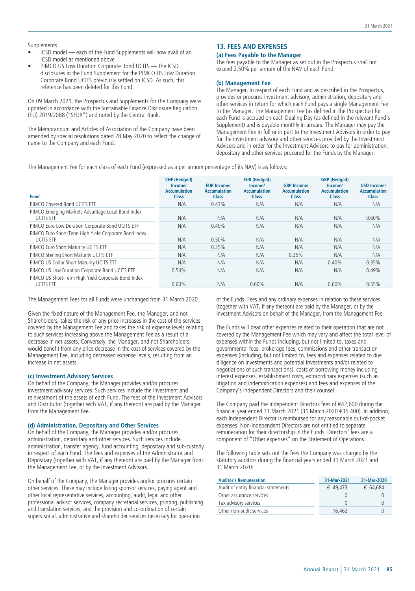#### Supplements

- ICSD model each of the Fund Supplements will now avail of an ICSD model as mentioned above.
- PIMCO US Low Duration Corporate Bond UCITS the ICSD disclosures in the Fund Supplement for the PIMCO US Low Duration Corporate Bond UCITS previously settled on ICSD. As such, this reference has been deleted for this Fund.

On 09 March 2021, the Prospectus and Supplements for the Company were updated in accordance with the Sustainable Finance Disclosure Regulation (EU) 2019/2088 ("SFDR") and noted by the Central Bank.

The Memorandum and Articles of Association of the Company have been amended by special resolutions dated 28 May 2020 to reflect the change of name to the Company and each Fund.

## **13. FEES AND EXPENSES**

# **(a) Fees Payable to the Manager**

The fees payable to the Manager as set out in the Prospectus shall not exceed 2.50% per annum of the NAV of each Fund.

#### **(b) Management Fee**

The Manager, in respect of each Fund and as described in the Prospectus, provides or procures investment advisory, administration, depositary and other services in return for which each Fund pays a single Management Fee to the Manager. The Management Fee (as defined in the Prospectus) for each Fund is accrued on each Dealing Day (as defined in the relevant Fund's Supplement) and is payable monthly in arrears. The Manager may pay the Management Fee in full or in part to the Investment Advisors in order to pay for the investment advisory and other services provided by the Investment Advisors and in order for the Investment Advisors to pay for administration, depositary and other services procured for the Funds by the Manager.

The Management Fee for each class of each Fund (expressed as a per annum percentage of its NAV) is as follows:

|                                                                           | <b>CHF (Hedged)</b><br>Income/<br><b>Accumulation</b> | <b>EUR Income/</b><br><b>Accumulation</b> | <b>EUR (Hedged)</b><br>Income/<br><b>Accumulation</b> | <b>GBP</b> Income/<br><b>Accumulation</b> | <b>GBP</b> (Hedged)<br>Income/<br><b>Accumulation</b> | <b>USD Income/</b><br><b>Accumulation</b> |
|---------------------------------------------------------------------------|-------------------------------------------------------|-------------------------------------------|-------------------------------------------------------|-------------------------------------------|-------------------------------------------------------|-------------------------------------------|
| <b>Fund</b>                                                               | <b>Class</b>                                          | <b>Class</b>                              | <b>Class</b>                                          | <b>Class</b>                              | <b>Class</b>                                          | <b>Class</b>                              |
| PIMCO Covered Bond UCITS ETF                                              | N/A                                                   | 0.43%                                     | N/A                                                   | N/A                                       | N/A                                                   | N/A                                       |
| PIMCO Emerging Markets Advantage Local Bond Index<br><b>UCITS ETF</b>     | N/A                                                   | N/A                                       | N/A                                                   | N/A                                       | N/A                                                   | 0.60%                                     |
| PIMCO Euro Low Duration Corporate Bond UCITS ETF                          | N/A                                                   | 0.49%                                     | N/A                                                   | N/A                                       | N/A                                                   | N/A                                       |
| PIMCO Euro Short-Term High Yield Corporate Bond Index<br><b>UCITS ETF</b> | N/A                                                   | 0.50%                                     | N/A                                                   | N/A                                       | N/A                                                   | N/A                                       |
| PIMCO Euro Short Maturity UCITS ETF                                       | N/A                                                   | 0.35%                                     | N/A                                                   | N/A                                       | N/A                                                   | N/A                                       |
| PIMCO Sterling Short Maturity UCITS ETF                                   | N/A                                                   | N/A                                       | N/A                                                   | 0.35%                                     | N/A                                                   | N/A                                       |
| PIMCO US Dollar Short Maturity UCITS ETF                                  | N/A                                                   | N/A                                       | N/A                                                   | N/A                                       | 0.40%                                                 | 0.35%                                     |
| PIMCO US Low Duration Corporate Bond UCITS ETF                            | 0.54%                                                 | N/A                                       | N/A                                                   | N/A                                       | N/A                                                   | 0.49%                                     |
| PIMCO US Short-Term High Yield Corporate Bond Index<br><b>UCITS ETF</b>   | 0.60%                                                 | N/A                                       | 0.60%                                                 | N/A                                       | 0.60%                                                 | 0.55%                                     |

The Management Fees for all Funds were unchanged from 31 March 2020.

Given the fixed nature of the Management Fee, the Manager, and not Shareholders, takes the risk of any price increases in the cost of the services covered by the Management Fee and takes the risk of expense levels relating to such services increasing above the Management Fee as a result of a decrease in net assets. Conversely, the Manager, and not Shareholders, would benefit from any price decrease in the cost of services covered by the Management Fee, including decreased expense levels, resulting from an increase in net assets.

#### **(c) Investment Advisory Services**

On behalf of the Company, the Manager provides and/or procures investment advisory services. Such services include the investment and reinvestment of the assets of each Fund. The fees of the Investment Advisors and Distributor (together with VAT, if any thereon) are paid by the Manager from the Management Fee.

#### **(d) Administration, Depositary and Other Services**

On behalf of the Company, the Manager provides and/or procures administration, depositary and other services. Such services include administration, transfer agency, fund accounting, depositary and sub-custody in respect of each Fund. The fees and expenses of the Administrator and Depositary (together with VAT, if any thereon) are paid by the Manager from the Management Fee, or by the Investment Advisors.

On behalf of the Company, the Manager provides and/or procures certain other services. These may include listing sponsor services, paying agent and other local representative services, accounting, audit, legal and other professional advisor services, company secretarial services, printing, publishing and translation services, and the provision and co-ordination of certain supervisorial, administrative and shareholder services necessary for operation

of the Funds. Fees and any ordinary expenses in relation to these services (together with VAT, if any thereon) are paid by the Manager, or by the Investment Advisors on behalf of the Manager, from the Management Fee.

The Funds will bear other expenses related to their operation that are not covered by the Management Fee which may vary and affect the total level of expenses within the Funds including, but not limited to, taxes and governmental fees, brokerage fees, commissions and other transaction expenses (including, but not limited to, fees and expenses related to due diligence on investments and potential investments and/or related to negotiations of such transactions), costs of borrowing money including interest expenses, establishment costs, extraordinary expenses (such as litigation and indemnification expenses) and fees and expenses of the Company's Independent Directors and their counsel.

The Company paid the Independent Directors fees of €42,600 during the financial year ended 31 March 2021 (31 March 2020 €35,400). In addition, each Independent Director is reimbursed for any reasonable out-of-pocket expenses. Non-Independent Directors are not entitled to separate remuneration for their directorship in the Funds. Directors' fees are a component of "Other expenses" on the Statement of Operations.

The following table sets out the fees the Company was charged by the statutory auditors during the financial years ended 31 March 2021 and 31 March 2020:

| <b>Auditor's Remuneration</b>        | 31-Mar-2021 | 31-Mar-2020 |
|--------------------------------------|-------------|-------------|
| Audit of entity financial statements | € 49.473    | € 64,684    |
| Other assurance services             |             |             |
| Tax advisory services                |             |             |
| Other non-audit services             | 16.462      |             |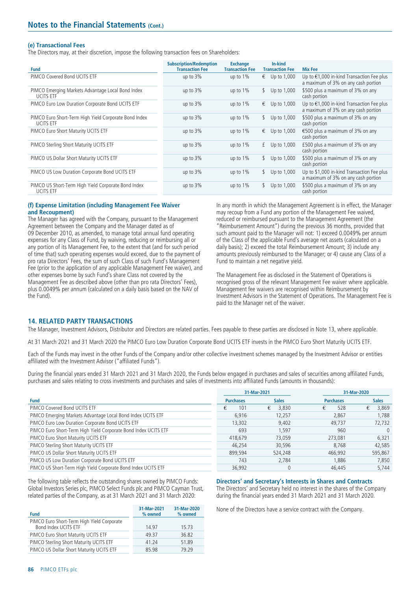## **(e) Transactional Fees**

The Directors may, at their discretion, impose the following transaction fees on Shareholders:

| <b>Fund</b>                                                               | <b>Subscription/Redemption</b><br><b>Transaction Fee</b> | <b>Exchange</b><br><b>Transaction Fee</b> | In-kind<br><b>Transaction Fee</b> | <b>Mix Fee</b>                                                                             |
|---------------------------------------------------------------------------|----------------------------------------------------------|-------------------------------------------|-----------------------------------|--------------------------------------------------------------------------------------------|
| PIMCO Covered Bond UCITS ETF                                              | up to $3%$                                               | up to $1\%$                               | $\epsilon$ Up to 1,000            | Up to $€1,000$ in-kind Transaction Fee plus<br>a maximum of 3% on any cash portion         |
| PIMCO Emerging Markets Advantage Local Bond Index<br>UCITS ETF            | up to $3\%$                                              | up to $1\%$                               | Up to 1,000<br>S.                 | \$500 plus a maximum of 3% on any<br>cash portion                                          |
| PIMCO Euro Low Duration Corporate Bond UCITS ETF                          | up to $3%$                                               | up to $1\%$                               | €<br>Up to 1,000                  | Up to $\epsilon$ 1,000 in-kind Transaction Fee plus<br>a maximum of 3% on any cash portion |
| PIMCO Euro Short-Term High Yield Corporate Bond Index<br><b>UCITS ETF</b> | up to $3%$                                               | up to $1\%$                               | Up to 1,000<br>S.                 | \$500 plus a maximum of 3% on any<br>cash portion                                          |
| PIMCO Euro Short Maturity UCITS ETF                                       | up to $3%$                                               | up to $1\%$                               | Up to 1,000<br>€                  | €500 plus a maximum of 3% on any<br>cash portion                                           |
| PIMCO Sterling Short Maturity UCITS ETF                                   | up to $3%$                                               | up to $1\%$                               | $f$ Up to 1,000                   | £500 plus a maximum of 3% on any<br>cash portion                                           |
| PIMCO US Dollar Short Maturity UCITS ETF                                  | up to $3\%$                                              | up to $1\%$                               | Up to 1,000<br>S.                 | \$500 plus a maximum of 3% on any<br>cash portion                                          |
| PIMCO US Low Duration Corporate Bond UCITS ETF                            | up to $3%$                                               | up to $1\%$                               | Up to 1,000<br>S.                 | Up to \$1,000 in-kind Transaction Fee plus<br>a maximum of 3% on any cash portion          |
| PIMCO US Short-Term High Yield Corporate Bond Index<br>UCITS ETF          | up to $3%$                                               | up to $1\%$                               | Up to 1,000<br>s.                 | \$500 plus a maximum of 3% on any<br>cash portion                                          |

#### **(f) Expense Limitation (including Management Fee Waiver and Recoupment)**

The Manager has agreed with the Company, pursuant to the Management Agreement between the Company and the Manager dated as of 09 December 2010, as amended, to manage total annual fund operating expenses for any Class of Fund, by waiving, reducing or reimbursing all or any portion of its Management Fee, to the extent that (and for such period of time that) such operating expenses would exceed, due to the payment of pro rata Directors' Fees, the sum of such Class of such Fund's Management Fee (prior to the application of any applicable Management Fee waiver), and other expenses borne by such Fund's share Class not covered by the Management Fee as described above (other than pro rata Directors' Fees), plus 0.0049% per annum (calculated on a daily basis based on the NAV of the Fund).

In any month in which the Management Agreement is in effect, the Manager may recoup from a Fund any portion of the Management Fee waived, reduced or reimbursed pursuant to the Management Agreement (the "Reimbursement Amount") during the previous 36 months, provided that such amount paid to the Manager will not: 1) exceed 0.0049% per annum of the Class of the applicable Fund's average net assets (calculated on a daily basis); 2) exceed the total Reimbursement Amount; 3) include any amounts previously reimbursed to the Manager; or 4) cause any Class of a Fund to maintain a net negative yield.

The Management Fee as disclosed in the Statement of Operations is recognised gross of the relevant Management Fee waiver where applicable. Management fee waivers are recognised within Reimbursement by Investment Advisors in the Statement of Operations. The Management Fee is paid to the Manager net of the waiver.

## **14. RELATED PARTY TRANSACTIONS**

The Manager, Investment Advisors, Distributor and Directors are related parties. Fees payable to these parties are disclosed in Note 13, where applicable.

At 31 March 2021 and 31 March 2020 the PIMCO Euro Low Duration Corporate Bond UCITS ETF invests in the PIMCO Euro Short Maturity UCITS ETF.

Each of the Funds may invest in the other Funds of the Company and/or other collective investment schemes managed by the Investment Advisor or entities affiliated with the Investment Advisor ("affiliated Funds").

During the financial years ended 31 March 2021 and 31 March 2020, the Funds below engaged in purchases and sales of securities among affiliated Funds, purchases and sales relating to cross investments and purchases and sales of investments into affiliated Funds (amounts in thousands):

|                                                                 |                  | 31-Mar-2021  |                  | 31-Mar-2020  |  |
|-----------------------------------------------------------------|------------------|--------------|------------------|--------------|--|
| <b>Fund</b>                                                     | <b>Purchases</b> | <b>Sales</b> | <b>Purchases</b> | <b>Sales</b> |  |
| PIMCO Covered Bond UCITS ETF                                    | 101              | 3,830<br>€   | 528              | 3,869<br>€   |  |
| PIMCO Emerging Markets Advantage Local Bond Index UCITS ETF     | 6.916            | 12,257       | 2,867            | 1,788        |  |
| PIMCO Euro Low Duration Corporate Bond UCITS ETF                | 13,302           | 9,402        | 49,737           | 72,732       |  |
| PIMCO Euro Short-Term High Yield Corporate Bond Index UCITS ETF | 693              | 1.597        | 960              | 0            |  |
| PIMCO Euro Short Maturity UCITS ETF                             | 418,679          | 73,059       | 273,081          | 6,321        |  |
| PIMCO Sterling Short Maturity UCITS ETF                         | 46,254           | 30,596       | 8.768            | 42,585       |  |
| PIMCO US Dollar Short Maturity UCITS ETF                        | 899,594          | 524,248      | 466,992          | 595,867      |  |
| PIMCO US Low Duration Corporate Bond UCITS ETF                  | 743              | 2.784        | 1,886            | 7,850        |  |
| PIMCO US Short-Term High Yield Corporate Bond Index UCITS ETF   | 36,992           |              | 46,445           | 5,744        |  |
|                                                                 |                  |              |                  |              |  |

The following table reflects the outstanding shares owned by PIMCO Funds: Global Investors Series plc, PIMCO Select Funds plc and PIMCO Cayman Trust, related parties of the Company, as at 31 March 2021 and 31 March 2020:

| <b>Fund</b>                                                        | 31-Mar-2021<br>% owned | 31-Mar-2020<br>% owned |
|--------------------------------------------------------------------|------------------------|------------------------|
| PIMCO Euro Short-Term High Yield Corporate<br>Bond Index UCITS ETF | 14.97                  | 15.73                  |
| PIMCO Euro Short Maturity UCITS ETF                                | 49.37                  | 36.82                  |
| PIMCO Sterling Short Maturity UCITS ETF                            | 41.24                  | 51.89                  |
| PIMCO US Dollar Short Maturity UCITS ETF                           | 85.98                  | 79.29                  |

|   |                  | 31-Mar-2021  |                  | 31-Mar-2020  |
|---|------------------|--------------|------------------|--------------|
|   | <b>Purchases</b> | <b>Sales</b> | <b>Purchases</b> | <b>Sales</b> |
| € | 101              | 3,830<br>€   | €<br>528         | €<br>3,869   |
|   | 6,916            | 12,257       | 2,867            | 1,788        |
|   | 13,302           | 9,402        | 49,737           | 72,732       |
|   | 693              | 1,597        | 960              | $\Omega$     |
|   | 418,679          | 73,059       | 273,081          | 6,321        |
|   | 46,254           | 30,596       | 8,768            | 42,585       |
|   | 899,594          | 524,248      | 466,992          | 595,867      |
|   | 743              | 2,784        | 1,886            | 7,850        |
|   | 36,992           | 0            | 46.445           | 5.744        |

## **Directors' and Secretary's Interests in Shares and Contracts**

The Directors' and Secretary held no interest in the shares of the Company during the financial years ended 31 March 2021 and 31 March 2020.

None of the Directors have a service contract with the Company.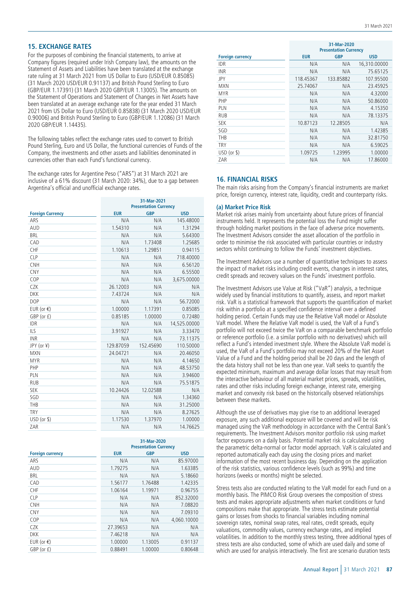# **15. EXCHANGE RATES**

For the purposes of combining the financial statements, to arrive at Company figures (required under Irish Company law), the amounts on the Statement of Assets and Liabilities have been translated at the exchange rate ruling at 31 March 2021 from US Dollar to Euro (USD/EUR 0.85085) (31 March 2020 USD/EUR 0.91137) and British Pound Sterling to Euro (GBP/EUR 1.17391) (31 March 2020 GBP/EUR 1.13005). The amounts on the Statement of Operations and Statement of Changes in Net Assets have been translated at an average exchange rate for the year ended 31 March 2021 from US Dollar to Euro (USD/EUR 0.85838) (31 March 2020 USD/EUR 0.90006) and British Pound Sterling to Euro (GBP/EUR 1.12086) (31 March 2020 GBP/EUR 1.14435).

The following tables reflect the exchange rates used to convert to British Pound Sterling, Euro and US Dollar, the functional currencies of Funds of the Company, the investments and other assets and liabilities denominated in currencies other than each Fund's functional currency.

The exchange rates for Argentine Peso ("ARS") at 31 March 2021 are inclusive of a 61% discount (31 March 2020: 34%), due to a gap between Argentina's official and unofficial exchange rates.

**31-Mar-2021**

|                         | J FMdFZUZ I<br><b>Presentation Currency</b> |            |              |  |
|-------------------------|---------------------------------------------|------------|--------------|--|
| <b>Foreign Currency</b> | <b>EUR</b>                                  | <b>GBP</b> | <b>USD</b>   |  |
| ARS                     | N/A                                         | N/A        | 145.48000    |  |
| <b>AUD</b>              | 1.54310                                     | N/A        | 1.31294      |  |
| <b>BRL</b>              | N/A                                         | N/A        | 5.64300      |  |
| CAD                     | N/A                                         | 1.73408    | 1.25685      |  |
| CHF                     | 1.10613                                     | 1.29851    | 0.94115      |  |
| <b>CLP</b>              | N/A                                         | N/A        | 718.40000    |  |
| <b>CNH</b>              | N/A                                         | N/A        | 6.56120      |  |
| <b>CNY</b>              | N/A                                         | N/A        | 6.55500      |  |
| COP                     | N/A                                         | N/A        | 3,675.00000  |  |
| <b>CZK</b>              | 26.12003                                    | N/A        | N/A          |  |
| <b>DKK</b>              | 7.43724                                     | N/A        | N/A          |  |
| <b>DOP</b>              | N/A                                         | N/A        | 56.72000     |  |
| EUR (or $\epsilon$ )    | 1.00000                                     | 1.17391    | 0.85085      |  |
| GBP (or £)              | 0.85185                                     | 1.00000    | 0.72480      |  |
| <b>IDR</b>              | N/A                                         | N/A        | 14,525.00000 |  |
| ILS                     | 3.91927                                     | N/A        | 3.33470      |  |
| <b>INR</b>              | N/A                                         | N/A        | 73.11375     |  |
| JPY (or ¥)              | 129.87059                                   | 152.45690  | 110.50000    |  |
| <b>MXN</b>              | 24.04721                                    | N/A        | 20.46050     |  |
| <b>MYR</b>              | N/A                                         | N/A        | 4.14650      |  |
| PHP                     | N/A                                         | N/A        | 48.53750     |  |
| PLN                     | N/A                                         | N/A        | 3.94600      |  |
| <b>RUB</b>              | N/A                                         | N/A        | 75.51875     |  |
| <b>SEK</b>              | 10.24426                                    | 12.02588   | N/A          |  |
| SGD                     | N/A                                         | N/A        | 1.34360      |  |
| THB                     | N/A                                         | N/A        | 31.25000     |  |
| <b>TRY</b>              | N/A                                         | N/A        | 8.27625      |  |
| USD (or \$)             | 1.17530                                     | 1.37970    | 1.00000      |  |
| ZAR                     | N/A                                         | N/A        | 14.76625     |  |

|                         |            | 31-Mar-2020<br><b>Presentation Currency</b> |             |
|-------------------------|------------|---------------------------------------------|-------------|
| <b>Foreign currency</b> | <b>EUR</b> | <b>GBP</b>                                  | <b>USD</b>  |
| ARS                     | N/A        | N/A                                         | 85.97000    |
| AUD                     | 1.79275    | N/A                                         | 1.63385     |
| <b>BRL</b>              | N/A        | N/A                                         | 5.18660     |
| CAD                     | 1.56177    | 1.76488                                     | 1.42335     |
| CHF                     | 1.06164    | 1.19971                                     | 0.96755     |
| <b>CLP</b>              | N/A        | N/A                                         | 852.32000   |
| <b>CNH</b>              | N/A        | N/A                                         | 7.08820     |
| <b>CNY</b>              | N/A        | N/A                                         | 7.09310     |
| COP                     | N/A        | N/A                                         | 4.060.10000 |
| <b>CZK</b>              | 27.39653   | N/A                                         | N/A         |
| <b>DKK</b>              | 7.46218    | N/A                                         | N/A         |
| EUR (or $\epsilon$ )    | 1.00000    | 1.13005                                     | 0.91137     |
| GBP (or £)              | 0.88491    | 1.00000                                     | 0.80648     |

|                         |            | 31-Mar-2020<br><b>Presentation Currency</b> |              |
|-------------------------|------------|---------------------------------------------|--------------|
| <b>Foreign currency</b> | <b>EUR</b> | <b>GBP</b>                                  | <b>USD</b>   |
| <b>IDR</b>              | N/A        | N/A                                         | 16,310.00000 |
| INR                     | N/A        | N/A                                         | 75.65125     |
| JPY                     | 118.45367  | 133.85882                                   | 107.95500    |
| MXN                     | 25.74067   | N/A                                         | 23.45925     |
| MYR                     | N/A        | N/A                                         | 4.32000      |
| PHP                     | N/A        | N/A                                         | 50.86000     |
| PLN                     | N/A        | N/A                                         | 4.15350      |
| RUB                     | N/A        | N/A                                         | 78.13375     |
| <b>SEK</b>              | 10.87123   | 12.28505                                    | N/A          |
| SGD                     | N/A        | N/A                                         | 1.42385      |
| THB                     | N/A        | N/A                                         | 32.81750     |
| TRY                     | N/A        | N/A                                         | 6.59025      |
| USD (or \$)             | 1.09725    | 1.23995                                     | 1.00000      |
| ZAR                     | N/A        | N/A                                         | 17.86000     |

# **16. FINANCIAL RISKS**

The main risks arising from the Company's financial instruments are market price, foreign currency, interest rate, liquidity, credit and counterparty risks.

## **(a) Market Price Risk**

Market risk arises mainly from uncertainty about future prices of financial instruments held. It represents the potential loss the Fund might suffer through holding market positions in the face of adverse price movements. The Investment Advisors consider the asset allocation of the portfolio in order to minimise the risk associated with particular countries or industry sectors whilst continuing to follow the Funds' investment objectives.

The Investment Advisors use a number of quantitative techniques to assess the impact of market risks including credit events, changes in interest rates, credit spreads and recovery values on the Funds' investment portfolio.

The Investment Advisors use Value at Risk ("VaR") analysis, a technique widely used by financial institutions to quantify, assess, and report market risk. VaR is a statistical framework that supports the quantification of market risk within a portfolio at a specified confidence interval over a defined holding period. Certain Funds may use the Relative VaR model or Absolute VaR model. Where the Relative VaR model is used, the VaR of a Fund's portfolio will not exceed twice the VaR on a comparable benchmark portfolio or reference portfolio (i.e. a similar portfolio with no derivatives) which will reflect a Fund's intended investment style. Where the Absolute VaR model is used, the VaR of a Fund's portfolio may not exceed 20% of the Net Asset Value of a Fund and the holding period shall be 20 days and the length of the data history shall not be less than one year. VaR seeks to quantify the expected minimum, maximum and average dollar losses that may result from the interactive behaviour of all material market prices, spreads, volatilities, rates and other risks including foreign exchange, interest rate, emerging market and convexity risk based on the historically observed relationships between these markets.

Although the use of derivatives may give rise to an additional leveraged exposure, any such additional exposure will be covered and will be risk managed using the VaR methodology in accordance with the Central Bank's requirements. The Investment Advisors monitor portfolio risk using market factor exposures on a daily basis. Potential market risk is calculated using the parametric delta-normal or factor model approach. VaR is calculated and reported automatically each day using the closing prices and market information of the most recent business day. Depending on the application of the risk statistics, various confidence levels (such as 99%) and time horizons (weeks or months) might be selected.

Stress tests also are conducted relating to the VaR model for each Fund on a monthly basis. The PIMCO Risk Group oversees the composition of stress tests and makes appropriate adjustments when market conditions or fund compositions make that appropriate. The stress tests estimate potential gains or losses from shocks to financial variables including nominal sovereign rates, nominal swap rates, real rates, credit spreads, equity valuations, commodity values, currency exchange rates, and implied volatilities. In addition to the monthly stress testing, three additional types of stress tests are also conducted, some of which are used daily and some of which are used for analysis interactively. The first are scenario duration tests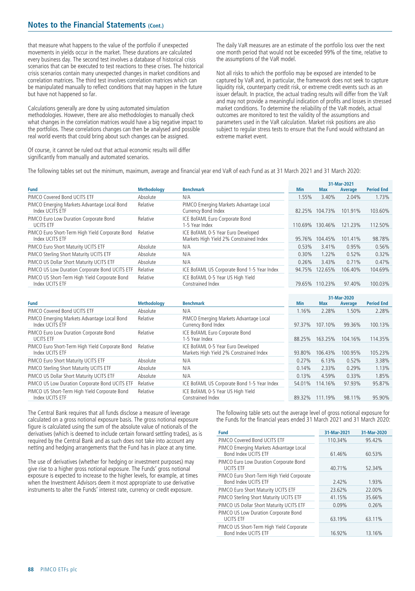that measure what happens to the value of the portfolio if unexpected movements in yields occur in the market. These durations are calculated every business day. The second test involves a database of historical crisis scenarios that can be executed to test reactions to these crises. The historical crisis scenarios contain many unexpected changes in market conditions and correlation matrices. The third test involves correlation matrices which can be manipulated manually to reflect conditions that may happen in the future but have not happened so far.

Calculations generally are done by using automated simulation methodologies. However, there are also methodologies to manually check what changes in the correlation matrices would have a big negative impact to the portfolios. These correlations changes can then be analysed and possible real world events that could bring about such changes can be assigned.

Of course, it cannot be ruled out that actual economic results will differ significantly from manually and automated scenarios.

The daily VaR measures are an estimate of the portfolio loss over the next one month period that would not be exceeded 99% of the time, relative to the assumptions of the VaR model.

Not all risks to which the portfolio may be exposed are intended to be captured by VaR and, in particular, the framework does not seek to capture liquidity risk, counterparty credit risk, or extreme credit events such as an issuer default. In practice, the actual trading results will differ from the VaR and may not provide a meaningful indication of profits and losses in stressed market conditions. To determine the reliability of the VaR models, actual outcomes are monitored to test the validity of the assumptions and parameters used in the VaR calculation. Market risk positions are also subject to regular stress tests to ensure that the Fund would withstand an extreme market event.

The following tables set out the minimum, maximum, average and financial year end VaR of each Fund as at 31 March 2021 and 31 March 2020:

|                                                                    |                    |                                                                               |            |            | 31-Mar-2021 |                   |
|--------------------------------------------------------------------|--------------------|-------------------------------------------------------------------------------|------------|------------|-------------|-------------------|
| <b>Fund</b>                                                        | <b>Methodology</b> | <b>Benchmark</b>                                                              | <b>Min</b> | <b>Max</b> | Average     | <b>Period End</b> |
| PIMCO Covered Bond UCITS ETF                                       | Absolute           | N/A                                                                           | 1.55%      | 3.40%      | 2.04%       | 1.73%             |
| PIMCO Emerging Markets Advantage Local Bond<br>Index UCITS ETF     | Relative           | PIMCO Emerging Markets Advantage Local<br>Currency Bond Index                 | 82.25%     | 104.73%    | 101.91%     | 103.60%           |
| PIMCO Euro Low Duration Corporate Bond<br>UCITS ETF                | Relative           | ICE BofAML Euro Corporate Bond<br>1-5 Year Index                              | 110.69%    | 130.46%    | 121.23%     | 112.50%           |
| PIMCO Euro Short-Term High Yield Corporate Bond<br>Index UCITS ETF | Relative           | ICE BofAML 0-5 Year Euro Developed<br>Markets High Yield 2% Constrained Index | 95.76%     | 104.45%    | 101.41%     | 98.78%            |
| PIMCO Euro Short Maturity UCITS ETF                                | Absolute           | N/A                                                                           | 0.53%      | 3.41%      | 0.95%       | 0.56%             |
| PIMCO Sterling Short Maturity UCITS ETF                            | Absolute           | N/A                                                                           | 0.30%      | $1.22\%$   | 0.52%       | 0.32%             |
| PIMCO US Dollar Short Maturity UCITS ETF                           | Absolute           | N/A                                                                           | 0.26%      | 3.43%      | 0.71%       | 0.47%             |
| PIMCO US Low Duration Corporate Bond UCITS ETF                     | Relative           | ICE BofAML US Corporate Bond 1-5 Year Index                                   | 94.75%     | 122.65%    | 106.40%     | 104.69%           |
| PIMCO US Short-Term High Yield Corporate Bond<br>Index UCITS ETF   | Relative           | ICE BofAML 0-5 Year US High Yield<br>Constrained Index                        | 79.65%     | 110.23%    | 97.40%      | 100.03%           |

|                                                                    |                    |                                                                               |            |            | 31-Mar-2020 |                   |
|--------------------------------------------------------------------|--------------------|-------------------------------------------------------------------------------|------------|------------|-------------|-------------------|
| <b>Fund</b>                                                        | <b>Methodology</b> | <b>Benchmark</b>                                                              | <b>Min</b> | <b>Max</b> | Average     | <b>Period End</b> |
| PIMCO Covered Bond UCITS ETF                                       | Absolute           | N/A                                                                           | 1.16%      | 2.28%      | 1.50%       | 2.28%             |
| PIMCO Emerging Markets Advantage Local Bond<br>Index UCITS ETF     | Relative           | PIMCO Emerging Markets Advantage Local<br>Currency Bond Index                 | 97.37%     | 107.10%    | 99.36%      | 100.13%           |
| PIMCO Euro Low Duration Corporate Bond<br><b>UCITS ETF</b>         | Relative           | ICE BofAML Euro Corporate Bond<br>1-5 Year Index                              | 88.25%     | 163.25%    | 104.16%     | 114.35%           |
| PIMCO Euro Short-Term High Yield Corporate Bond<br>Index UCITS ETF | Relative           | ICE BofAML 0-5 Year Euro Developed<br>Markets High Yield 2% Constrained Index | 93.80%     | 106.43%    | 100.95%     | 105.23%           |
| PIMCO Euro Short Maturity UCITS ETF                                | Absolute           | N/A                                                                           | 0.27%      | 6.13%      | 0.52%       | 3.38%             |
| PIMCO Sterling Short Maturity UCITS ETF                            | Absolute           | N/A                                                                           | 0.14%      | 2.33%      | 0.29%       | 1.13%             |
| PIMCO US Dollar Short Maturity UCITS ETF                           | Absolute           | N/A                                                                           | 0.13%      | 4.59%      | $0.33\%$    | 1.85%             |
| PIMCO US Low Duration Corporate Bond UCITS ETF                     | Relative           | ICE BofAML US Corporate Bond 1-5 Year Index                                   | 54.01%     | 114.16%    | 97.93%      | 95.87%            |
| PIMCO US Short-Term High Yield Corporate Bond<br>Index UCITS ETF   | Relative           | ICE BofAML 0-5 Year US High Yield<br>Constrained Index                        | 89.32%     | 111.19%    | 98.11%      | 95.90%            |

The Central Bank requires that all funds disclose a measure of leverage calculated on a gross notional exposure basis. The gross notional exposure figure is calculated using the sum of the absolute value of notionals of the derivatives (which is deemed to include certain forward settling trades), as is required by the Central Bank and as such does not take into account any netting and hedging arrangements that the Fund has in place at any time.

The use of derivatives (whether for hedging or investment purposes) may give rise to a higher gross notional exposure. The Funds' gross notional exposure is expected to increase to the higher levels, for example, at times when the Investment Advisors deem it most appropriate to use derivative instruments to alter the Funds' interest rate, currency or credit exposure.

The following table sets out the average level of gross notional exposure for the Funds for the financial years ended 31 March 2021 and 31 March 2020:

| <b>Fund</b>                                                        | 31-Mar-2021 | 31-Mar-2020 |
|--------------------------------------------------------------------|-------------|-------------|
| PIMCO Covered Bond UCITS ETF                                       | 110.34%     | 95.42%      |
| PIMCO Emerging Markets Advantage Local<br>Bond Index UCITS FTF     | 61.46%      | 60.53%      |
| PIMCO Euro Low Duration Corporate Bond<br><b>UCITS ETF</b>         | 40.71%      | 52.34%      |
| PIMCO Euro Short-Term High Yield Corporate<br>Bond Index UCITS ETF | 2.42%       | 1.93%       |
| PIMCO Euro Short Maturity UCITS ETF                                | 23.62%      | 22.00%      |
| PIMCO Sterling Short Maturity UCITS ETF                            | 41.15%      | 35.66%      |
| PIMCO US Dollar Short Maturity UCITS ETF                           | 0.09%       | 0.26%       |
| PIMCO US Low Duration Corporate Bond<br><b>UCITS ETF</b>           | 63.19%      | 63.11%      |
| PIMCO US Short-Term High Yield Corporate<br>Bond Index UCITS ETF   | 16.92%      | 13.16%      |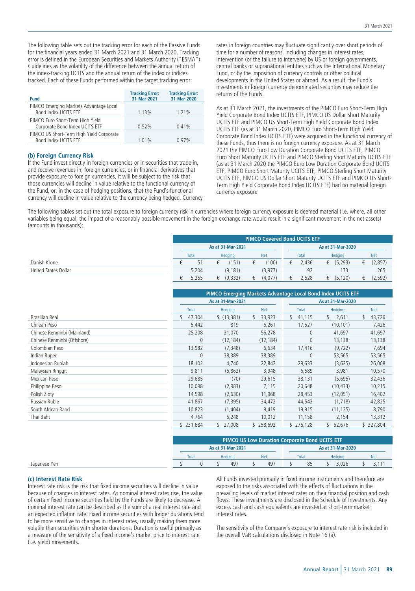| <b>Fund</b>                                                        | <b>Tracking Error:</b><br>31-Mar-2021 | <b>Tracking Error:</b><br>31-Mar-2020 |
|--------------------------------------------------------------------|---------------------------------------|---------------------------------------|
| PIMCO Emerging Markets Advantage Local<br>Bond Index UCITS ETF     | 1.13%                                 | 1.21%                                 |
| PIMCO Euro Short-Term High Yield<br>Corporate Bond Index UCITS ETF | 0.52%                                 | 0.41%                                 |
| PIMCO US Short-Term High Yield Corporate<br>Bond Index UCITS ETF   | 1.01%                                 | 0.97%                                 |

#### **(b) Foreign Currency Risk**

If the Fund invest directly in foreign currencies or in securities that trade in, and receive revenues in, foreign currencies, or in financial derivatives that provide exposure to foreign currencies, it will be subject to the risk that those currencies will decline in value relative to the functional currency of the Fund, or, in the case of hedging positions, that the Fund's functional currency will decline in value relative to the currency being hedged. Currency rates in foreign countries may fluctuate significantly over short periods of time for a number of reasons, including changes in interest rates, intervention (or the failure to intervene) by US or foreign governments, central banks or supranational entities such as the International Monetary Fund, or by the imposition of currency controls or other political developments in the United States or abroad. As a result, the Fund's investments in foreign currency denominated securities may reduce the returns of the Funds.

As at 31 March 2021, the investments of the PIMCO Euro Short-Term High Yield Corporate Bond Index UCITS ETF, PIMCO US Dollar Short Maturity UCITS ETF and PIMCO US Short-Term High Yield Corporate Bond Index UCITS ETF (as at 31 March 2020, PIMCO Euro Short-Term High Yield Corporate Bond Index UCITS ETF) were acquired in the functional currency of these Funds, thus there is no foreign currency exposure. As at 31 March 2021 the PIMCO Euro Low Duration Corporate Bond UCITS ETF, PIMCO Euro Short Maturity UCITS ETF and PIMCO Sterling Short Maturity UCITS ETF (as at 31 March 2020 the PIMCO Euro Low Duration Corporate Bond UCITS ETF, PIMCO Euro Short Maturity UCITS ETF, PIMCO Sterling Short Maturity UCITS ETF, PIMCO US Dollar Short Maturity UCITS ETF and PIMCO US Short-Term High Yield Corporate Bond Index UCITS ETF) had no material foreign currency exposure.

The following tables set out the total exposure to foreign currency risk in currencies where foreign currency exposure is deemed material (i.e. where, all other variables being equal, the impact of a reasonably possible movement in the foreign exchange rate would result in a significant movement in the net assets) (amounts in thousands):

|                      | <b>PIMCO Covered Bond UCITS ETF</b> |                   |  |          |   |            |   |                   |             |   |            |
|----------------------|-------------------------------------|-------------------|--|----------|---|------------|---|-------------------|-------------|---|------------|
|                      |                                     | As at 31-Mar-2021 |  |          |   |            |   | As at 31-Mar-2020 |             |   |            |
|                      |                                     | Total             |  | Hedaina  |   | <b>Net</b> |   | Total             | Hedging     |   | <b>Net</b> |
| Danish Krone         |                                     | 51                |  | (151)    | € | (100)      | € | 2,436             | € $(5,293)$ | € | (2, 857)   |
| United States Dollar |                                     | 5.204             |  | (9, 181) |   | (3, 977)   |   | 92                | 173         |   | 265        |
|                      |                                     | 5,255             |  | (9, 332) | € | (4,077)    | € | 2,528             | € $(5,120)$ | € | (2, 592)   |

|                             | PIMCO Emerging Markets Advantage Local Bond Index UCITS ETF |                   |              |                        |           |            |  |  |  |  |
|-----------------------------|-------------------------------------------------------------|-------------------|--------------|------------------------|-----------|------------|--|--|--|--|
|                             |                                                             | As at 31-Mar-2021 |              | As at 31-Mar-2020      |           |            |  |  |  |  |
|                             | Hedging<br>Total                                            |                   | <b>Net</b>   | <b>Total</b>           | Hedging   | Net        |  |  |  |  |
| Brazilian Real              | 47,304                                                      | \$(13,381)        | 33,923<br>\$ | 41,115<br>$\mathbb{S}$ | 2,611     | 43,726     |  |  |  |  |
| Chilean Peso                | 5,442                                                       | 819               | 6,261        | 17,527                 | (10, 101) | 7,426      |  |  |  |  |
| Chinese Renminbi (Mainland) | 25,208                                                      | 31,070            | 56,278       | 0                      | 41,697    | 41,697     |  |  |  |  |
| Chinese Renminbi (Offshore) | 0                                                           | (12, 184)         | (12, 184)    | 0                      | 13,138    | 13,138     |  |  |  |  |
| Colombian Peso              | 13,982                                                      | (7, 348)          | 6,634        | 17,416                 | (9, 722)  | 7,694      |  |  |  |  |
| Indian Rupee                | $\Omega$                                                    | 38,389            | 38,389       | 0                      | 53,565    | 53,565     |  |  |  |  |
| Indonesian Rupiah           | 18,102                                                      | 4,740             | 22,842       | 29,633                 | (3,625)   | 26,008     |  |  |  |  |
| Malaysian Ringgit           | 9,811                                                       | (5,863)           | 3,948        | 6,589                  | 3,981     | 10,570     |  |  |  |  |
| Mexican Peso                | 29,685                                                      | (70)              | 29,615       | 38,131                 | (5,695)   | 32,436     |  |  |  |  |
| Philippine Peso             | 10,098                                                      | (2,983)           | 7,115        | 20,648                 | (10, 433) | 10,215     |  |  |  |  |
| Polish Zloty                | 14,598                                                      | (2,630)           | 11,968       | 28,453                 | (12,051)  | 16,402     |  |  |  |  |
| Russian Ruble               | 41,867                                                      | (7, 395)          | 34,472       | 44,543                 | (1,718)   | 42,825     |  |  |  |  |
| South African Rand          | 10,823                                                      | (1,404)           | 9,419        | 19,915                 | (11, 125) | 8,790      |  |  |  |  |
| Thai Baht                   | 4,764                                                       | 5,248             | 10,012       | 11,158                 | 2,154     | 13,312     |  |  |  |  |
|                             | \$231,684                                                   | 27,008            | \$258,692    | \$275,128              | 52,676    | \$ 327,804 |  |  |  |  |

|              | <b>PIMCO US Low Duration Corporate Bond UCITS ETF</b> |       |  |         |                   |            |  |       |  |         |  |            |
|--------------|-------------------------------------------------------|-------|--|---------|-------------------|------------|--|-------|--|---------|--|------------|
|              | As at 31-Mar-2021                                     |       |  |         | As at 31-Mar-2020 |            |  |       |  |         |  |            |
|              |                                                       | Total |  | Hedaina |                   | <b>Net</b> |  | Total |  | Hedaina |  | <b>Net</b> |
| Japanese Yen |                                                       |       |  | 497     |                   | 497        |  | 85    |  | 3.026   |  |            |

#### **(c) Interest Rate Risk**

Interest rate risk is the risk that fixed income securities will decline in value because of changes in interest rates. As nominal interest rates rise, the value of certain fixed income securities held by the Funds are likely to decrease. A nominal interest rate can be described as the sum of a real interest rate and an expected inflation rate. Fixed income securities with longer durations tend to be more sensitive to changes in interest rates, usually making them more volatile than securities with shorter durations. Duration is useful primarily as a measure of the sensitivity of a fixed income's market price to interest rate (i.e. yield) movements.

All Funds invested primarily in fixed income instruments and therefore are exposed to the risks associated with the effects of fluctuations in the prevailing levels of market interest rates on their financial position and cash flows. These investments are disclosed in the Schedule of Investments. Any excess cash and cash equivalents are invested at short-term market interest rates.

The sensitivity of the Company's exposure to interest rate risk is included in the overall VaR calculations disclosed in Note 16 (a).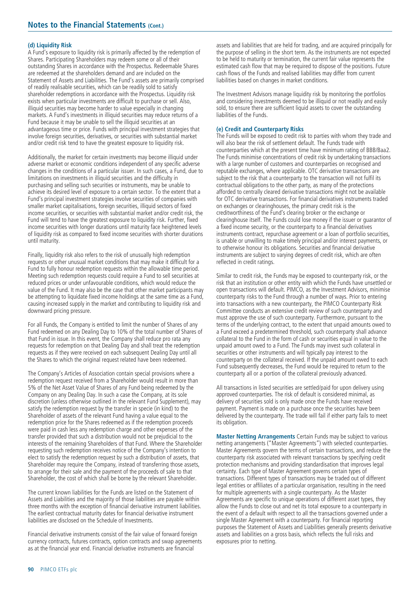## **(d) Liquidity Risk**

A Fund's exposure to liquidity risk is primarily affected by the redemption of Shares. Participating Shareholders may redeem some or all of their outstanding Shares in accordance with the Prospectus. Redeemable Shares are redeemed at the shareholders demand and are included on the Statement of Assets and Liabilities. The Fund's assets are primarily comprised of readily realisable securities, which can be readily sold to satisfy shareholder redemptions in accordance with the Prospectus. Liquidity risk exists when particular investments are difficult to purchase or sell. Also, illiquid securities may become harder to value especially in changing markets. A Fund's investments in illiquid securities may reduce returns of a Fund because it may be unable to sell the illiquid securities at an advantageous time or price. Funds with principal investment strategies that involve foreign securities, derivatives, or securities with substantial market and/or credit risk tend to have the greatest exposure to liquidity risk.

Additionally, the market for certain investments may become illiquid under adverse market or economic conditions independent of any specific adverse changes in the conditions of a particular issuer. In such cases, a Fund, due to limitations on investments in illiquid securities and the difficulty in purchasing and selling such securities or instruments, may be unable to achieve its desired level of exposure to a certain sector. To the extent that a Fund's principal investment strategies involve securities of companies with smaller market capitalisations, foreign securities, illiquid sectors of fixed income securities, or securities with substantial market and/or credit risk, the Fund will tend to have the greatest exposure to liquidity risk. Further, fixed income securities with longer durations until maturity face heightened levels of liquidity risk as compared to fixed income securities with shorter durations until maturity.

Finally, liquidity risk also refers to the risk of unusually high redemption requests or other unusual market conditions that may make it difficult for a Fund to fully honour redemption requests within the allowable time period. Meeting such redemption requests could require a Fund to sell securities at reduced prices or under unfavourable conditions, which would reduce the value of the Fund. It may also be the case that other market participants may be attempting to liquidate fixed income holdings at the same time as a Fund, causing increased supply in the market and contributing to liquidity risk and downward pricing pressure.

For all Funds, the Company is entitled to limit the number of Shares of any Fund redeemed on any Dealing Day to 10% of the total number of Shares of that Fund in issue. In this event, the Company shall reduce pro rata any requests for redemption on that Dealing Day and shall treat the redemption requests as if they were received on each subsequent Dealing Day until all the Shares to which the original request related have been redeemed.

The Company's Articles of Association contain special provisions where a redemption request received from a Shareholder would result in more than 5% of the Net Asset Value of Shares of any Fund being redeemed by the Company on any Dealing Day. In such a case the Company, at its sole discretion (unless otherwise outlined in the relevant Fund Supplement), may satisfy the redemption request by the transfer in specie (in kind) to the Shareholder of assets of the relevant Fund having a value equal to the redemption price for the Shares redeemed as if the redemption proceeds were paid in cash less any redemption charge and other expenses of the transfer provided that such a distribution would not be prejudicial to the interests of the remaining Shareholders of that Fund. Where the Shareholder requesting such redemption receives notice of the Company's intention to elect to satisfy the redemption request by such a distribution of assets, that Shareholder may require the Company, instead of transferring those assets, to arrange for their sale and the payment of the proceeds of sale to that Shareholder, the cost of which shall be borne by the relevant Shareholder.

The current known liabilities for the Funds are listed on the Statement of Assets and Liabilities and the majority of those liabilities are payable within three months with the exception of financial derivative instrument liabilities. The earliest contractual maturity dates for financial derivative instrument liabilities are disclosed on the Schedule of Investments.

Financial derivative instruments consist of the fair value of forward foreign currency contracts, futures contracts, option contracts and swap agreements as at the financial year end. Financial derivative instruments are financial

assets and liabilities that are held for trading, and are acquired principally for the purpose of selling in the short term. As the instruments are not expected to be held to maturity or termination, the current fair value represents the estimated cash flow that may be required to dispose of the positions. Future cash flows of the Funds and realised liabilities may differ from current liabilities based on changes in market conditions.

The Investment Advisors manage liquidity risk by monitoring the portfolios and considering investments deemed to be illiquid or not readily and easily sold, to ensure there are sufficient liquid assets to cover the outstanding liabilities of the Funds.

#### **(e) Credit and Counterparty Risks**

The Funds will be exposed to credit risk to parties with whom they trade and will also bear the risk of settlement default. The Funds trade with counterparties which at the present time have minimum rating of BBB/Baa2. The Funds minimise concentrations of credit risk by undertaking transactions with a large number of customers and counterparties on recognised and reputable exchanges, where applicable. OTC derivative transactions are subject to the risk that a counterparty to the transaction will not fulfil its contractual obligations to the other party, as many of the protections afforded to centrally cleared derivative transactions might not be available for OTC derivative transactions. For financial derivatives instruments traded on exchanges or clearinghouses, the primary credit risk is the creditworthiness of the Fund's clearing broker or the exchange or clearinghouse itself. The Funds could lose money if the issuer or guarantor of a fixed income security, or the counterparty to a financial derivatives instruments contract, repurchase agreement or a loan of portfolio securities, is unable or unwilling to make timely principal and/or interest payments, or to otherwise honour its obligations. Securities and financial derivative instruments are subject to varying degrees of credit risk, which are often reflected in credit ratings.

Similar to credit risk, the Funds may be exposed to counterparty risk, or the risk that an institution or other entity with which the Funds have unsettled or open transactions will default. PIMCO, as the Investment Advisors, minimise counterparty risks to the Fund through a number of ways. Prior to entering into transactions with a new counterparty, the PIMCO Counterparty Risk Committee conducts an extensive credit review of such counterparty and must approve the use of such counterparty. Furthermore, pursuant to the terms of the underlying contract, to the extent that unpaid amounts owed to a Fund exceed a predetermined threshold, such counterparty shall advance collateral to the Fund in the form of cash or securities equal in value to the unpaid amount owed to a Fund. The Funds may invest such collateral in securities or other instruments and will typically pay interest to the counterparty on the collateral received. If the unpaid amount owed to each Fund subsequently decreases, the Fund would be required to return to the counterparty all or a portion of the collateral previously advanced.

All transactions in listed securities are settled/paid for upon delivery using approved counterparties. The risk of default is considered minimal, as delivery of securities sold is only made once the Funds have received payment. Payment is made on a purchase once the securities have been delivered by the counterparty. The trade will fail if either party fails to meet its obligation.

**Master Netting Arrangements** Certain Funds may be subject to various netting arrangements ("Master Agreements") with selected counterparties. Master Agreements govern the terms of certain transactions, and reduce the counterparty risk associated with relevant transactions by specifying credit protection mechanisms and providing standardisation that improves legal certainty. Each type of Master Agreement governs certain types of transactions. Different types of transactions may be traded out of different legal entities or affiliates of a particular organisation, resulting in the need for multiple agreements with a single counterparty. As the Master Agreements are specific to unique operations of different asset types, they allow the Funds to close out and net its total exposure to a counterparty in the event of a default with respect to all the transactions governed under a single Master Agreement with a counterparty. For financial reporting purposes the Statement of Assets and Liabilities generally presents derivative assets and liabilities on a gross basis, which reflects the full risks and exposures prior to netting.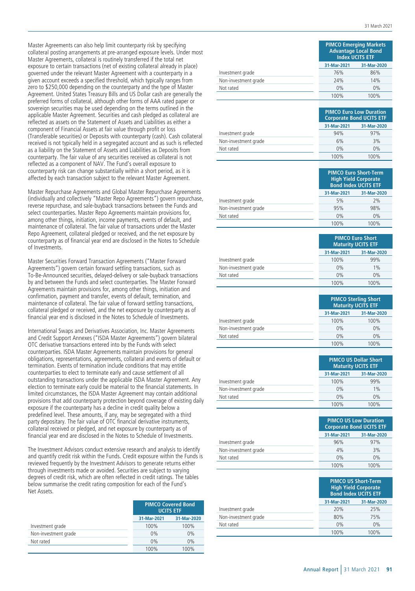Master Agreements can also help limit counterparty risk by specifying collateral posting arrangements at pre-arranged exposure levels. Under most Master Agreements, collateral is routinely transferred if the total net exposure to certain transactions (net of existing collateral already in place) governed under the relevant Master Agreement with a counterparty in a given account exceeds a specified threshold, which typically ranges from zero to \$250,000 depending on the counterparty and the type of Master Agreement. United States Treasury Bills and US Dollar cash are generally the preferred forms of collateral, although other forms of AAA rated paper or sovereign securities may be used depending on the terms outlined in the applicable Master Agreement. Securities and cash pledged as collateral are reflected as assets on the Statement of Assets and Liabilities as either a component of Financial Assets at fair value through profit or loss (Transferable securities) or Deposits with counterparty (cash). Cash collateral received is not typically held in a segregated account and as such is reflected as a liability on the Statement of Assets and Liabilities as Deposits from counterparty. The fair value of any securities received as collateral is not reflected as a component of NAV. The Fund's overall exposure to counterparty risk can change substantially within a short period, as it is affected by each transaction subject to the relevant Master Agreement.

Master Repurchase Agreements and Global Master Repurchase Agreements (individually and collectively "Master Repo Agreements") govern repurchase, reverse repurchase, and sale-buyback transactions between the Funds and select counterparties. Master Repo Agreements maintain provisions for, among other things, initiation, income payments, events of default, and maintenance of collateral. The fair value of transactions under the Master Repo Agreement, collateral pledged or received, and the net exposure by counterparty as of financial year end are disclosed in the Notes to Schedule of Investments.

Master Securities Forward Transaction Agreements ("Master Forward Agreements") govern certain forward settling transactions, such as To-Be-Announced securities, delayed-delivery or sale-buyback transactions by and between the Funds and select counterparties. The Master Forward Agreements maintain provisions for, among other things, initiation and confirmation, payment and transfer, events of default, termination, and maintenance of collateral. The fair value of forward settling transactions, collateral pledged or received, and the net exposure by counterparty as of financial year end is disclosed in the Notes to Schedule of Investments.

International Swaps and Derivatives Association, Inc. Master Agreements and Credit Support Annexes ("ISDA Master Agreements") govern bilateral OTC derivative transactions entered into by the Funds with select counterparties. ISDA Master Agreements maintain provisions for general obligations, representations, agreements, collateral and events of default or termination. Events of termination include conditions that may entitle counterparties to elect to terminate early and cause settlement of all outstanding transactions under the applicable ISDA Master Agreement. Any election to terminate early could be material to the financial statements. In limited circumstances, the ISDA Master Agreement may contain additional provisions that add counterparty protection beyond coverage of existing daily exposure if the counterparty has a decline in credit quality below a predefined level. These amounts, if any, may be segregated with a third party depositary. The fair value of OTC financial derivative instruments, collateral received or pledged, and net exposure by counterparty as of financial year end are disclosed in the Notes to Schedule of Investments.

The Investment Advisors conduct extensive research and analysis to identify and quantify credit risk within the Funds. Credit exposure within the Funds is reviewed frequently by the Investment Advisors to generate returns either through investments made or avoided. Securities are subject to varying degrees of credit risk, which are often reflected in credit ratings. The tables below summarise the credit rating composition for each of the Fund's Net Assets.

|                      |             | <b>PIMCO Covered Bond</b><br><b>UCITS ETF</b> |
|----------------------|-------------|-----------------------------------------------|
|                      | 31-Mar-2021 | 31-Mar-2020                                   |
| Investment grade     | 100%        | 100%                                          |
| Non-investment grade | 0%          | 0%                                            |
| Not rated            | 0%          | 0%                                            |
|                      | 100%        | 100%                                          |

|                                          | <b>PIMCO Emerging Markets</b> | <b>Advantage Local Bond</b><br><b>Index UCITS ETF</b>                                      |
|------------------------------------------|-------------------------------|--------------------------------------------------------------------------------------------|
|                                          | 31-Mar-2021<br>76%            | 31-Mar-2020<br>86%                                                                         |
| Investment grade<br>Non-investment grade | 24%                           | 14%                                                                                        |
| Not rated                                | 0%                            | $0\%$                                                                                      |
|                                          | 100%                          | 100%                                                                                       |
|                                          |                               |                                                                                            |
|                                          |                               | <b>PIMCO Euro Low Duration</b>                                                             |
|                                          |                               | <b>Corporate Bond UCITS ETF</b>                                                            |
|                                          | 31-Mar-2021                   | 31-Mar-2020                                                                                |
| Investment grade                         | 94%                           | 97%                                                                                        |
| Non-investment grade                     | 6%                            | 3%                                                                                         |
| Not rated                                | $0\%$                         | $0\%$                                                                                      |
|                                          | 100%                          | 100%                                                                                       |
|                                          |                               | <b>PIMCO Euro Short-Term</b><br><b>High Yield Corporate</b><br><b>Bond Index UCITS ETF</b> |
|                                          | 31-Mar-2021                   | 31-Mar-2020                                                                                |
| Investment grade                         | 5%                            | 2%                                                                                         |
| Non-investment grade                     | 95%                           | 98%                                                                                        |
| Not rated                                | 0%                            | $0\%$                                                                                      |
|                                          | 100%                          | 100%                                                                                       |
|                                          |                               | <b>PIMCO Euro Short</b><br><b>Maturity UCITS ETF</b>                                       |
|                                          | 31-Mar-2021                   | 31-Mar-2020                                                                                |
| Investment grade<br>Non-investment grade | 100%<br>0%                    | 99%<br>1%                                                                                  |
|                                          |                               |                                                                                            |
|                                          |                               |                                                                                            |
| Not rated                                | $0\%$                         | $0\%$                                                                                      |
|                                          | 100%                          | 100%                                                                                       |
|                                          |                               | <b>PIMCO Sterling Short</b><br><b>Maturity UCITS ETF</b>                                   |
|                                          | 31-Mar-2021                   | 31-Mar-2020                                                                                |
| Investment grade                         | 100%                          | 100%                                                                                       |
| Non-investment grade                     | 0%                            | 0%                                                                                         |
| Not rated                                | $0\%$                         | $0\%$                                                                                      |
|                                          | 100%                          | 100%                                                                                       |
|                                          |                               | <b>PIMCO US Dollar Short</b><br><b>Maturity UCITS ETF</b>                                  |
|                                          | 31-Mar-2021                   | 31-Mar-2020                                                                                |
| Investment grade                         | 100%                          | 99%                                                                                        |
| Non-investment grade                     | 0%                            | $1\%$                                                                                      |
| Not rated                                | 0%                            | $0\%$                                                                                      |
|                                          | 100%                          | 100%                                                                                       |
|                                          |                               | <b>PIMCO US Low Duration</b><br><b>Corporate Bond UCITS ETF</b>                            |
|                                          | 31-Mar-2021                   | 31-Mar-2020                                                                                |
| Investment grade                         | 96%                           | 97%                                                                                        |
| Non-investment grade                     | 4%                            | 3%                                                                                         |
| Not rated                                | 0%                            | 0%                                                                                         |
|                                          | 100%                          | 100%                                                                                       |
|                                          |                               | <b>PIMCO US Short-Term</b><br><b>High Yield Corporate</b><br><b>Bond Index UCITS ETF</b>   |
|                                          | 31-Mar-2021                   | 31-Mar-2020                                                                                |
| Investment grade                         | 20%                           | 25%                                                                                        |
| Non-investment grade                     | 80%                           | 75%                                                                                        |
| Not rated                                | 0%                            | 0%                                                                                         |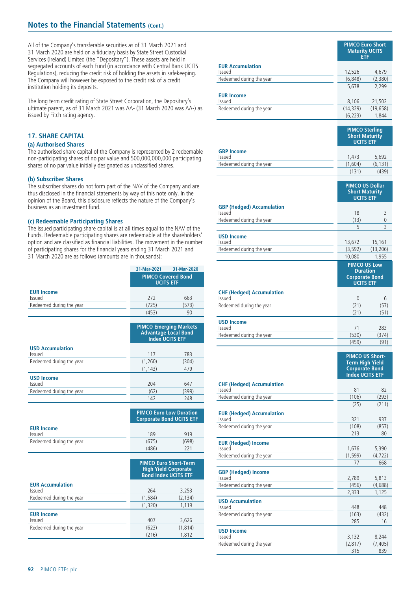# **Notes to the Financial Statements (Cont.)**

All of the Company's transferable securities as of 31 March 2021 and 31 March 2020 are held on a fiduciary basis by State Street Custodial Services (Ireland) Limited (the "Depositary"). These assets are held in segregated accounts of each Fund (in accordance with Central Bank UCITS Regulations), reducing the credit risk of holding the assets in safekeeping. The Company will however be exposed to the credit risk of a credit institution holding its deposits.

The long term credit rating of State Street Corporation, the Depositary's ultimate parent, as of 31 March 2021 was AA- (31 March 2020 was AA-) as issued by Fitch rating agency.

# **17. SHARE CAPITAL**

# **(a) Authorised Shares**

The authorised share capital of the Company is represented by 2 redeemable non-participating shares of no par value and 500,000,000,000 participating shares of no par value initially designated as unclassified shares.

## **(b) Subscriber Shares**

The subscriber shares do not form part of the NAV of the Company and are thus disclosed in the financial statements by way of this note only. In the opinion of the Board, this disclosure reflects the nature of the Company's business as an investment fund.

## **(c) Redeemable Participating Shares**

The issued participating share capital is at all times equal to the NAV of the Funds. Redeemable participating shares are redeemable at the shareholders' option and are classified as financial liabilities. The movement in the number of participating shares for the financial years ending 31 March 2021 and 31 March 2020 are as follows (amounts are in thousands):

|                                   | 31-Mar-2021 | 31-Mar-2020                                                                            |  |  |
|-----------------------------------|-------------|----------------------------------------------------------------------------------------|--|--|
|                                   |             | <b>PIMCO Covered Bond</b><br><b>UCITS ETF</b>                                          |  |  |
| <b>EUR Income</b><br>Issued       | 272         | 663                                                                                    |  |  |
| Redeemed during the year          | (725)       | (573)                                                                                  |  |  |
|                                   | (453)       | 90                                                                                     |  |  |
|                                   |             |                                                                                        |  |  |
|                                   |             | <b>PIMCO Emerging Markets</b><br><b>Advantage Local Bond</b><br><b>Index UCITS ETF</b> |  |  |
| <b>USD Accumulation</b><br>Issued | 117         | 783                                                                                    |  |  |
| Redeemed during the year          | (1,260)     | (304)                                                                                  |  |  |
|                                   | (1, 143)    | 479                                                                                    |  |  |
| <b>USD Income</b>                 |             |                                                                                        |  |  |
| Issued                            | 204         | 647                                                                                    |  |  |
| Redeemed during the year          | (62)        | (399)                                                                                  |  |  |
|                                   | 142         | 248                                                                                    |  |  |
|                                   |             |                                                                                        |  |  |
|                                   |             | <b>PIMCO Euro Low Duration</b><br><b>Corporate Bond UCITS ETF</b>                      |  |  |
| <b>EUR Income</b>                 |             |                                                                                        |  |  |

| Issued                                   | 189                                                                                        | 919      |  |  |
|------------------------------------------|--------------------------------------------------------------------------------------------|----------|--|--|
| Redeemed during the year                 | (675)                                                                                      | (698)    |  |  |
|                                          | (486)                                                                                      | 221      |  |  |
|                                          |                                                                                            |          |  |  |
|                                          | <b>PIMCO Euro Short-Term</b><br><b>High Yield Corporate</b><br><b>Bond Index UCITS ETF</b> |          |  |  |
| <b>EUR Accumulation</b><br><b>Issued</b> | 264                                                                                        | 3,253    |  |  |
|                                          |                                                                                            |          |  |  |
| Redeemed during the year                 | (1, 584)                                                                                   | (2, 134) |  |  |
|                                          | (1,320)                                                                                    | 1,119    |  |  |
| <b>EUR Income</b>                        |                                                                                            |          |  |  |
| <b>Issued</b>                            | 407                                                                                        | 3,626    |  |  |
| Redeemed during the year                 | (623)                                                                                      | (1, 814) |  |  |
|                                          | (216)                                                                                      | 1,812    |  |  |
|                                          |                                                                                            |          |  |  |

|                                            | <b>PIMCO Euro Short</b>                |                   |  |
|--------------------------------------------|----------------------------------------|-------------------|--|
|                                            | <b>Maturity UCITS</b>                  |                   |  |
|                                            | <b>ETF</b>                             |                   |  |
| <b>EUR Accumulation</b>                    |                                        |                   |  |
| <b>Issued</b><br>Redeemed during the year  | 12,526<br>(6, 848)                     | 4,679<br>(2,380)  |  |
|                                            | 5,678                                  | 2,299             |  |
| <b>EUR Income</b>                          |                                        |                   |  |
| Issued                                     | 8,106                                  | 21,502            |  |
| Redeemed during the year                   | (14, 329)                              | (19, 658)         |  |
|                                            | (6, 223)                               | 1,844             |  |
|                                            | <b>PIMCO Sterling</b>                  |                   |  |
|                                            | <b>Short Maturity</b>                  |                   |  |
|                                            | <b>UCITS ETF</b>                       |                   |  |
| <b>GBP</b> Income                          |                                        |                   |  |
| <b>Issued</b>                              | 1,473                                  | 5,692             |  |
| Redeemed during the year                   | (1,604)<br>(131)                       | (6, 131)<br>(439) |  |
|                                            |                                        |                   |  |
|                                            | <b>PIMCO US Dollar</b>                 |                   |  |
|                                            | <b>Short Maturity</b>                  |                   |  |
|                                            | <b>UCITS ETF</b>                       |                   |  |
| <b>GBP (Hedged) Accumulation</b><br>lssued | 18                                     | 3                 |  |
| Redeemed during the year                   | (13)                                   | 0                 |  |
|                                            | 5                                      | 3                 |  |
| <b>USD Income</b>                          |                                        |                   |  |
| <b>Issued</b>                              | 13,672                                 | 15,161            |  |
| Redeemed during the year                   | (3, 592)                               | (13, 206)         |  |
|                                            | 10,080                                 | 1,955             |  |
|                                            | <b>PIMCO US Low</b><br><b>Duration</b> |                   |  |
|                                            | <b>Corporate Bond</b>                  |                   |  |
|                                            | <b>UCITS ETF</b>                       |                   |  |
| <b>CHF (Hedged) Accumulation</b>           |                                        |                   |  |
| <b>Issued</b><br>Redeemed during the year  | 0<br>(21)                              | 6<br>(57)         |  |
|                                            | (21)                                   | (51)              |  |
| <b>USD Income</b>                          |                                        |                   |  |
| <b>Issued</b>                              | 71                                     | 283               |  |
| Redeemed during the year                   | (530)                                  | (374)             |  |
|                                            | (459)                                  | (91)              |  |
|                                            |                                        | PIMCO US Short-   |  |
|                                            | <b>Term High Yield</b>                 |                   |  |
|                                            | <b>Corporate Bond</b>                  |                   |  |
|                                            | <b>Index UCITS ETF</b>                 |                   |  |
| <b>CHF (Hedged) Accumulation</b><br>Issued | 81                                     | 82                |  |
| Redeemed during the year                   | (106)                                  | (293)             |  |
|                                            | (25)                                   | (211)             |  |
| <b>EUR (Hedged) Accumulation</b>           |                                        |                   |  |
| Issued                                     | 321                                    | 937               |  |
| Redeemed during the year                   | (108)                                  | (857)             |  |
|                                            | 213                                    | 80                |  |
| <b>EUR (Hedged) Income</b><br>Issued       | 1,676                                  | 5,390             |  |
| Redeemed during the year                   | (1, 599)                               | (4, 722)          |  |
|                                            | 77                                     | 668               |  |
| <b>GBP (Hedged) Income</b>                 |                                        |                   |  |
| Issued                                     | 2,789                                  | 5,813             |  |
| Redeemed during the year                   | (456)                                  | (4,688)           |  |
|                                            | 2,333                                  | 1,125             |  |
| <b>USD Accumulation</b><br>Issued          | 448                                    | 448               |  |
| Redeemed during the year                   | (163)                                  | (432)             |  |
|                                            | 285                                    | 16                |  |
| <b>USD Income</b>                          |                                        |                   |  |
| Issued                                     | 3,132                                  | 8,244             |  |
| Redeemed during the year                   | (2, 817)                               | (7, 405)          |  |
|                                            | 315                                    | 839               |  |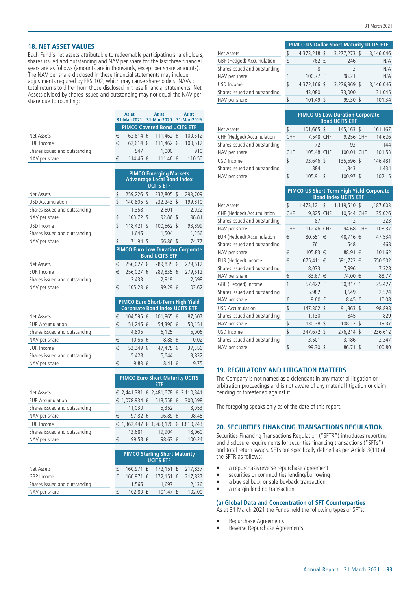### **18. NET ASSET VALUES**

Each Fund's net assets attributable to redeemable participating shareholders, shares issued and outstanding and NAV per share for the last three financial years are as follows (amounts are in thousands, except per share amounts). The NAV per share disclosed in these financial statements may include adjustments required by FRS 102, which may cause shareholders' NAVs or total returns to differ from those disclosed in these financial statements. Net Assets divided by shares issued and outstanding may not equal the NAV per share due to rounding:

|                               |   | As at<br>As at<br>31-Mar-2021 31-Mar-2020 31-Mar-2019 |  |                                     | As at   |
|-------------------------------|---|-------------------------------------------------------|--|-------------------------------------|---------|
|                               |   |                                                       |  | <b>PIMCO Covered Bond UCITS ETF</b> |         |
| Net Assets                    | € |                                                       |  | 62,614 € 111,462 €                  | 100.512 |
| EUR Income                    | € |                                                       |  | 62,614 € 111,462 €                  | 100.512 |
| Shares issued and outstanding |   | 547                                                   |  | 1.000                               | 910     |
| NAV per share                 | € | 114.46 €                                              |  | 111.46 €                            | 110.50  |

|                               | <b>PIMCO Emerging Markets</b><br><b>Advantage Local Bond Index</b><br><b>UCITS ETF</b> |              |  |              |  |         |  |
|-------------------------------|----------------------------------------------------------------------------------------|--------------|--|--------------|--|---------|--|
| Net Assets                    | \$                                                                                     | 259,226 \$   |  | 332,805 \$   |  | 293,709 |  |
| USD Accumulation              | $\mathsf{\$}$                                                                          | 140,805 \$   |  | 232,243 \$   |  | 199,810 |  |
| Shares issued and outstanding |                                                                                        | 1,358        |  | 2,501        |  | 2,022   |  |
| NAV per share                 | \$                                                                                     | 103.72 \$    |  | $92.86$ \$   |  | 98.81   |  |
| USD Income                    | \$                                                                                     | $118,421$ \$ |  | $100,562$ \$ |  | 93,899  |  |
| Shares issued and outstanding |                                                                                        | 1,646        |  | 1,504        |  | 1,256   |  |
| NAV per share                 | \$                                                                                     | 71.94 \$     |  | 66.86 \$     |  | 74.77   |  |
|                               | <b>PIMCO Euro Low Duration Corporate</b><br><b>Bond UCITS ETF</b>                      |              |  |              |  |         |  |
| Net Assets                    | €                                                                                      | 256,027 €    |  | 289,835 €    |  | 279,612 |  |
| <b>EUR</b> Income             | €                                                                                      | 256,027 €    |  | 289,835 €    |  | 279,612 |  |
| Shares issued and outstanding |                                                                                        | 2,433        |  | 2,919        |  | 2,698   |  |
| NAV per share                 | €                                                                                      | 105.23 €     |  | 99.29 €      |  | 103.62  |  |

|                               | <b>PIMCO Euro Short-Term High Yield</b><br><b>Corporate Bond Index UCITS ETF</b> |                      |  |           |  |        |  |  |
|-------------------------------|----------------------------------------------------------------------------------|----------------------|--|-----------|--|--------|--|--|
| Net Assets                    | €                                                                                | 104,595 €            |  | 101,865 € |  | 87,507 |  |  |
| <b>EUR Accumulation</b>       | €                                                                                | 51,246 €             |  | 54,390 €  |  | 50,151 |  |  |
| Shares issued and outstanding |                                                                                  | 4.805                |  | 6,125     |  | 5,006  |  |  |
| NAV per share                 | €                                                                                | $10.66 \text{ } \in$ |  | 8.88 €    |  | 10.02  |  |  |
| <b>EUR</b> Income             | €                                                                                | 53,349 €             |  | 47,475 €  |  | 37,356 |  |  |
| Shares issued and outstanding |                                                                                  | 5,428                |  | 5,644     |  | 3,832  |  |  |
| NAV per share                 | €                                                                                | $9.83 \in$           |  | 8.41€     |  | 9.75   |  |  |

|                               | <b>PIMCO Euro Short Maturity UCITS</b><br><b>ETF</b> |                                     |  |         |  |         |  |
|-------------------------------|------------------------------------------------------|-------------------------------------|--|---------|--|---------|--|
| Net Assets                    |                                                      | € 2,441,381 € 2,481,678 € 2,110,841 |  |         |  |         |  |
| <b>EUR Accumulation</b>       |                                                      | € 1,078,934 € 518,558 €             |  |         |  | 300,598 |  |
| Shares issued and outstanding |                                                      | 11,030                              |  | 5,352   |  | 3,053   |  |
| NAV per share                 | €                                                    | 97.82 $\epsilon$                    |  | 96.89€  |  | 98.45   |  |
| <b>EUR</b> Income             |                                                      | € 1,362,447 € 1,963,120 € 1,810,243 |  |         |  |         |  |
| Shares issued and outstanding |                                                      | 13,681                              |  | 19,904  |  | 18,060  |  |
| NAV per share                 | €                                                    | 99.58 €                             |  | 98.63 € |  | 100.24  |  |

|                               | <b>PIMCO Sterling Short Maturity</b><br><b>UCITS ETF</b> |          |  |                             |  |        |  |
|-------------------------------|----------------------------------------------------------|----------|--|-----------------------------|--|--------|--|
| Net Assets                    |                                                          |          |  | 160,971 £ 172,151 £ 217,837 |  |        |  |
| GBP Income                    |                                                          |          |  | 160,971 £ 172,151 £ 217,837 |  |        |  |
| Shares issued and outstanding |                                                          | 1.566    |  | 1.697                       |  | 2.136  |  |
| NAV per share                 |                                                          | 102.80 f |  | $101.47 \pm$                |  | 102.00 |  |

|                               |   | <b>PIMCO US Dollar Short Maturity UCITS ETF</b> |                    |           |
|-------------------------------|---|-------------------------------------------------|--------------------|-----------|
| Net Assets                    | S | 4,373,218 \$                                    | 3,277,273 \$       | 3,146,046 |
| GBP (Hedged) Accumulation     | f | 762 f                                           | 246                | N/A       |
| Shares issued and outstanding |   | 8                                               | 3                  | N/A       |
| NAV per share                 |   | 100.77 $E$                                      | 98.21              | N/A       |
| USD Income                    | S | 4,372,166 \$                                    | 3,276,969 \$       | 3,146,046 |
| Shares issued and outstanding |   | 43,080                                          | 33,000             | 31,045    |
| NAV per share                 |   | $101.49$ \$                                     | 99.30 <sup>5</sup> | 101.34    |
|                               |   |                                                 |                    |           |

|                               | <b>PIMCO US Low Duration Corporate</b><br><b>Bond UCITS ETF</b> |              |  |            |  |         |  |  |  |
|-------------------------------|-----------------------------------------------------------------|--------------|--|------------|--|---------|--|--|--|
| Net Assets                    | S                                                               | $101,665$ \$ |  | 145,163 \$ |  | 161,167 |  |  |  |
| CHF (Hedged) Accumulation     | <b>CHF</b>                                                      | 7,548 CHF    |  | 9,256 CHF  |  | 14,626  |  |  |  |
| Shares issued and outstanding |                                                                 | 72           |  | 93         |  | 144     |  |  |  |
| NAV per share                 | <b>CHF</b>                                                      | 105.48 CHF   |  | 100.01 CHF |  | 101.53  |  |  |  |
| USD Income                    | S                                                               | 93,646 \$    |  | 135,596 \$ |  | 146,481 |  |  |  |
| Shares issued and outstanding |                                                                 | 884          |  | 1,343      |  | 1,434   |  |  |  |
| NAV per share                 |                                                                 | $105.91$ \$  |  | 100.97 \$  |  | 102.15  |  |  |  |

|                               | <b>PIMCO US Short-Term High Yield Corporate</b><br><b>Bond Index UCITS ETF</b> |                |  |              |  |           |  |  |  |
|-------------------------------|--------------------------------------------------------------------------------|----------------|--|--------------|--|-----------|--|--|--|
| Net Assets                    | \$                                                                             | $1,473,121$ \$ |  | 1,119,510 \$ |  | 1,187,603 |  |  |  |
| CHF (Hedged) Accumulation     | <b>CHF</b>                                                                     | 9,825 CHF      |  | 10,644 CHF   |  | 35,026    |  |  |  |
| Shares issued and outstanding |                                                                                | 87             |  | 112          |  | 323       |  |  |  |
| NAV per share                 | <b>CHF</b>                                                                     | 112.46 CHF     |  | 94.68 CHF    |  | 108.37    |  |  |  |
| EUR (Hedged) Accumulation     | €                                                                              | 80,551 €       |  | 48,716 €     |  | 47,534    |  |  |  |
| Shares issued and outstanding |                                                                                | 761            |  | 548          |  | 468       |  |  |  |
| NAV per share                 | €                                                                              | 105.83 €       |  | 88.91 €      |  | 101.62    |  |  |  |
| EUR (Hedged) Income           | €                                                                              | 675,411 €      |  | 591,723 €    |  | 650,502   |  |  |  |
| Shares issued and outstanding |                                                                                | 8,073          |  | 7,996        |  | 7,328     |  |  |  |
| NAV per share                 | €                                                                              | 83.67 €        |  | 74.00 €      |  | 88.77     |  |  |  |
| GBP (Hedged) Income           | £                                                                              | 57,422 £       |  | 30,817 £     |  | 25,427    |  |  |  |
| Shares issued and outstanding |                                                                                | 5,982          |  | 3,649        |  | 2,524     |  |  |  |
| NAV per share                 | £                                                                              | 9.60 £         |  | 8.45 £       |  | 10.08     |  |  |  |
| <b>USD Accumulation</b>       | \$                                                                             | 147,302 \$     |  | $91,363$ \$  |  | 98,898    |  |  |  |
| Shares issued and outstanding |                                                                                | 1,130          |  | 845          |  | 829       |  |  |  |
| NAV per share                 | \$                                                                             | 130.38 \$      |  | 108.12 \$    |  | 119.37    |  |  |  |
| USD Income                    | \$                                                                             | 347,672 \$     |  | 276,214 \$   |  | 236,612   |  |  |  |
| Shares issued and outstanding |                                                                                | 3,501          |  | 3,186        |  | 2,347     |  |  |  |
| NAV per share                 | \$                                                                             | 99.30 \$       |  | 86.71 \$     |  | 100.80    |  |  |  |

## **19. REGULATORY AND LITIGATION MATTERS**

The Company is not named as a defendant in any material litigation or arbitration proceedings and is not aware of any material litigation or claim pending or threatened against it.

The foregoing speaks only as of the date of this report.

#### **20. SECURITIES FINANCING TRANSACTIONS REGULATION**

Securities Financing Transactions Regulation ("SFTR") introduces reporting and disclosure requirements for securities financing transactions ("SFTs") and total return swaps. SFTs are specifically defined as per Article 3(11) of the SFTR as follows:

- a repurchase/reverse repurchase agreement
- securities or commodities lending/borrowing
- a buy-sellback or sale-buyback transaction
- a margin lending transaction
- **(a) Global Data and Concentration of SFT Counterparties**

As at 31 March 2021 the Funds held the following types of SFTs:

- Repurchase Agreements
- Reverse Repurchase Agreements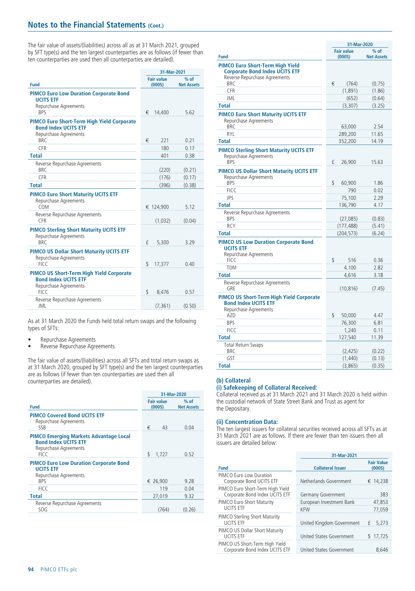The fair value of assets/(liabilities) across all as at 31 March 2021, grouped by SFT type(s) and the ten largest counterparties are as follows (if fewer than ten counterparties are used then all counterparties are detailed).

|                                                                                                                         |    | 31-Mar-2021                 |                             |
|-------------------------------------------------------------------------------------------------------------------------|----|-----------------------------|-----------------------------|
| <b>Fund</b>                                                                                                             |    | <b>Fair value</b><br>(000S) | $%$ of<br><b>Net Assets</b> |
| <b>PIMCO Euro Low Duration Corporate Bond</b><br><b>UCITS ETF</b><br>Repurchase Agreements<br><b>BPS</b>                | €  | 14,400                      | 5.62                        |
| <b>PIMCO Euro Short-Term High Yield Corporate</b><br><b>Bond Index UCITS ETF</b><br>Repurchase Agreements<br><b>BRC</b> | €  | 221                         | 0.21                        |
| <b>CFR</b>                                                                                                              |    | 180                         | 0.17                        |
| <b>Total</b>                                                                                                            |    | 401                         | 0.38                        |
| Reverse Repurchase Agreements<br><b>BRC</b>                                                                             |    | (220)                       | (0.21)                      |
| CFR                                                                                                                     |    | (176)                       | (0.17)                      |
| <b>Total</b>                                                                                                            |    | (396)                       | (0.38)                      |
| <b>PIMCO Euro Short Maturity UCITS ETF</b><br>Repurchase Agreements<br>COM                                              |    | € 124,900                   | 5.12                        |
| Reverse Repurchase Agreements<br><b>CFR</b>                                                                             |    | (1,032)                     | (0.04)                      |
| <b>PIMCO Sterling Short Maturity UCITS ETF</b><br>Repurchase Agreements<br><b>BRC</b>                                   | £  | 5,300                       | 3.29                        |
| <b>PIMCO US Dollar Short Maturity UCITS ETF</b><br>Repurchase Agreements<br><b>FICC</b>                                 | \$ | 17,377                      | 0.40                        |
| <b>PIMCO US Short-Term High Yield Corporate</b><br><b>Bond Index UCITS ETF</b><br>Repurchase Agreements<br><b>FICC</b>  | \$ | 8,476                       | 0.57                        |
| Reverse Repurchase Agreements<br>JML                                                                                    |    | (7, 361)                    | (0.50)                      |

As at 31 March 2020 the Funds held total return swaps and the following types of SFTs:

- Repurchase Agreements
- Reverse Repurchase Agreements

The fair value of assets/(liabilities) across all SFTs and total return swaps as at 31 March 2020, grouped by SFT type(s) and the ten largest counterparties are as follows (if fewer than ten counterparties are used then all counterparties are detailed).

|                                                                                                                      | 31-Mar-2020 |                             |                             |  |  |
|----------------------------------------------------------------------------------------------------------------------|-------------|-----------------------------|-----------------------------|--|--|
| <b>Fund</b>                                                                                                          |             | <b>Fair value</b><br>(000S) | $%$ of<br><b>Net Assets</b> |  |  |
| <b>PIMCO Covered Bond UCITS ETF</b><br>Repurchase Agreements<br>SSB                                                  | €           | 43                          | 0.04                        |  |  |
| <b>PIMCO Emerging Markets Advantage Local</b><br><b>Bond Index UCITS ETF</b><br>Repurchase Agreements<br><b>FICC</b> | S           | 1.727                       | 0.52                        |  |  |
| <b>PIMCO Euro Low Duration Corporate Bond</b><br><b>UCITS ETF</b><br>Repurchase Agreements<br><b>BPS</b>             |             | € 26,900                    | 9.28                        |  |  |
| <b>FICC</b>                                                                                                          |             | 119                         | 0.04                        |  |  |
| <b>Total</b>                                                                                                         |             | 27,019                      | 9.32                        |  |  |
| Reverse Repurchase Agreements<br>SOG                                                                                 |             | (764)                       | (0.26)                      |  |  |

|                                                                                                                                 | 31-Mar-2020 |                             |                             |  |
|---------------------------------------------------------------------------------------------------------------------------------|-------------|-----------------------------|-----------------------------|--|
| <b>Fund</b>                                                                                                                     |             | <b>Fair value</b><br>(000S) | $%$ of<br><b>Net Assets</b> |  |
| <b>PIMCO Euro Short-Term High Yield</b><br><b>Corporate Bond Index UCITS ETF</b><br>Reverse Repurchase Agreements<br><b>BRC</b> | €           | (764)                       | (0.75)                      |  |
| <b>CFR</b>                                                                                                                      |             | (1,891)                     | (1.86)                      |  |
| JML                                                                                                                             |             | (652)                       | (0.64)                      |  |
| <b>Total</b>                                                                                                                    |             | (3, 307)                    | (3.25)                      |  |
| <b>PIMCO Euro Short Maturity UCITS ETF</b><br>Repurchase Agreements<br>BRC                                                      |             | 63,000                      | 2.54                        |  |
| RYI                                                                                                                             |             | 289,200                     | 11.65                       |  |
| <b>Total</b>                                                                                                                    |             | 352,200                     | 14.19                       |  |
| <b>PIMCO Sterling Short Maturity UCITS ETF</b><br>Repurchase Agreements<br><b>BPS</b>                                           | £           | 26,900                      | 15.63                       |  |
| <b>PIMCO US Dollar Short Maturity UCITS ETF</b><br>Repurchase Agreements<br><b>BPS</b>                                          | \$          | 60,900                      | 1.86                        |  |
| <b>FICC</b>                                                                                                                     |             | 790                         | 0.02                        |  |
| JPS                                                                                                                             |             | 75,100                      | 2.29                        |  |
| <b>Total</b>                                                                                                                    |             | 136,790                     | 4.17                        |  |
| Reverse Repurchase Agreements<br><b>BPS</b>                                                                                     |             | (27,085)                    | (0.83)                      |  |
| <b>RCY</b>                                                                                                                      |             | (177, 488)                  | (5.41)                      |  |
| <b>Total</b>                                                                                                                    |             | (204, 573)                  | (6.24)                      |  |
| <b>PIMCO US Low Duration Corporate Bond</b><br><b>UCITS ETF</b><br>Repurchase Agreements<br><b>FICC</b>                         | \$          | 516                         | 0.36                        |  |
| <b>TDM</b>                                                                                                                      |             | 4,100                       | 2.82                        |  |
| <b>Total</b>                                                                                                                    |             | 4,616                       | 3.18                        |  |
| Reverse Repurchase Agreements<br>GRE                                                                                            |             | (10, 816)                   | (7.45)                      |  |
| <b>PIMCO US Short-Term High Yield Corporate</b><br><b>Bond Index UCITS ETF</b><br>Repurchase Agreements                         |             |                             |                             |  |
| <b>AZD</b>                                                                                                                      | \$          | 50,000                      | 4.47                        |  |
| <b>BPS</b>                                                                                                                      |             | 76,300                      | 6.81                        |  |
| <b>FICC</b>                                                                                                                     |             | 1,240                       | 0.11                        |  |
| <b>Total</b>                                                                                                                    |             | 127,540                     | 11.39                       |  |
| <b>Total Return Swaps</b><br>BRC                                                                                                |             | (2, 425)                    | (0.22)                      |  |
| GST                                                                                                                             |             | (1,440)                     | (0.13)                      |  |
| <b>Total</b>                                                                                                                    |             | (3,865)                     | (0.35)                      |  |

#### **(b) Collateral**

#### **(i) Safekeeping of Collateral Received:**

Collateral received as at 31 March 2021 and 31 March 2020 is held within the custodial network of State Street Bank and Trust as agent for the Depositary.

# **(ii) Concentration Data:**

The ten largest issuers for collateral securities received across all SFTs as at 31 March 2021 are as follows. If there are fewer than ten issuers then all issuers are detailed below:

|                                                                    | 31-Mar-2021               |                             |  |  |  |
|--------------------------------------------------------------------|---------------------------|-----------------------------|--|--|--|
| <b>Fund</b>                                                        | <b>Collateral Issuer</b>  | <b>Fair Value</b><br>(000S) |  |  |  |
| PIMCO Euro Low Duration<br>Corporate Bond UCITS ETF                | Netherlands Government    | € 14.238                    |  |  |  |
| PIMCO Euro Short-Term High Yield<br>Corporate Bond Index UCITS ETF | Germany Government        | 383                         |  |  |  |
| PIMCO Euro Short Maturity                                          | European Investment Bank  | 47,853                      |  |  |  |
| <b>UCITS ETF</b>                                                   | <b>KFW</b>                | 77.059                      |  |  |  |
| PIMCO Sterling Short Maturity<br><b>UCITS ETF</b>                  | United Kingdom Government | 5.273<br>£                  |  |  |  |
| PIMCO US Dollar Short Maturity<br><b>UCITS ETF</b>                 | United States Government  | 17.725                      |  |  |  |
| PIMCO US Short-Term High Yield<br>Corporate Bond Index UCITS ETF   | United States Government  | 8.646                       |  |  |  |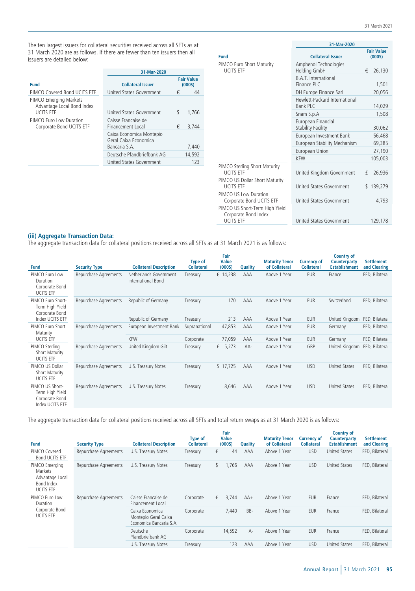The ten largest issuers for collateral securities received across all SFTs as at 31 March 2020 are as follows. If there are fewer than ten issuers then all issuers are detailed below:

|                                                                          | 31-Mar-2020                                                        |   |                             |  |  |  |
|--------------------------------------------------------------------------|--------------------------------------------------------------------|---|-----------------------------|--|--|--|
| <b>Fund</b>                                                              | <b>Collateral Issuer</b>                                           |   | <b>Fair Value</b><br>(000S) |  |  |  |
| PIMCO Covered Bond UCITS ETF                                             | United States Government                                           | € | 44                          |  |  |  |
| PIMCO Emerging Markets<br>Advantage Local Bond Index<br><b>UCITS ETF</b> | United States Government                                           | S | 1.766                       |  |  |  |
| PIMCO Euro Low Duration<br>Corporate Bond UCITS ETF                      | Caisse Francaise de<br>Financement Local                           | € | 3.744                       |  |  |  |
|                                                                          | Caixa Economica Montepio<br>Geral Caixa Economica<br>Bancaria S.A. |   | 7,440                       |  |  |  |
|                                                                          | Deutsche Pfandbriefbank AG                                         |   | 14,592                      |  |  |  |
|                                                                          | United States Government                                           |   | 123                         |  |  |  |
|                                                                          |                                                                    |   |                             |  |  |  |

|                                                                            | 31-Mar-2020                                     |                             |
|----------------------------------------------------------------------------|-------------------------------------------------|-----------------------------|
| <b>Fund</b>                                                                | <b>Collateral Issuer</b>                        | <b>Fair Value</b><br>(000S) |
| PIMCO Euro Short Maturity<br><b>UCITS ETF</b>                              | Amphenol Technologies<br>Holding GmbH           | €<br>26,130                 |
|                                                                            | <b>B.A.T.</b> International<br>Finance PLC      | 1,501                       |
|                                                                            | DH Europe Finance Sarl                          | 20,056                      |
|                                                                            | Hewlett-Packard International<br>Bank PLC       | 14,029                      |
|                                                                            | Snam S.p.A                                      | 1,508                       |
|                                                                            | European Financial<br><b>Stability Facility</b> | 30,062                      |
|                                                                            | European Investment Bank                        | 56,468                      |
|                                                                            | European Stability Mechanism                    | 69,385                      |
|                                                                            | European Union                                  | 27,190                      |
|                                                                            | <b>KFW</b>                                      | 105,003                     |
| PIMCO Sterling Short Maturity<br><b>UCITS FTF</b>                          | United Kingdom Government                       | £<br>26,936                 |
| PIMCO US Dollar Short Maturity<br><b>UCITS ETF</b>                         | United States Government                        | 139,279<br>S.               |
| PIMCO US Low Duration<br>Corporate Bond UCITS ETF                          | United States Government                        | 4,793                       |
| PIMCO US Short-Term High Yield<br>Corporate Bond Index<br><b>UCITS ETF</b> | United States Government                        | 129,178                     |

#### **(iii) Aggregate Transaction Data:**

The aggregate transaction data for collateral positions received across all SFTs as at 31 March 2021 is as follows:

|                                                                         |                          |                                              |                                     | Fair                   |              |                                        |                                         | <b>Country of</b>                           |                                   |
|-------------------------------------------------------------------------|--------------------------|----------------------------------------------|-------------------------------------|------------------------|--------------|----------------------------------------|-----------------------------------------|---------------------------------------------|-----------------------------------|
| <b>Fund</b>                                                             | <b>Security Type</b>     | <b>Collateral Description</b>                | <b>Type of</b><br><b>Collateral</b> | <b>Value</b><br>(000S) | Quality      | <b>Maturity Tenor</b><br>of Collateral | <b>Currency of</b><br><b>Collateral</b> | <b>Counterparty</b><br><b>Establishment</b> | <b>Settlement</b><br>and Clearing |
| PIMCO Euro Low<br>Duration<br>Corporate Bond<br><b>UCITS ETF</b>        | Repurchase Agreements    | Netherlands Government<br>International Bond | Treasury                            | € 14,238               | AAA          | Above 1 Year                           | <b>EUR</b>                              | France                                      | FED, Bilateral                    |
| PIMCO Euro Short-<br>Term High Yield<br>Corporate Bond                  | Repurchase Agreements    | Republic of Germany                          | Treasury                            | 170                    | AAA          | Above 1 Year                           | <b>EUR</b>                              | Switzerland                                 | FED, Bilateral                    |
| Index UCITS ETF                                                         |                          | Republic of Germany                          | Treasury                            | 213                    | AAA          | Above 1 Year                           | <b>EUR</b>                              | United Kingdom                              | FED, Bilateral                    |
| PIMCO Euro Short<br>Repurchase Agreements<br>Maturity                   | European Investment Bank | Supranational                                | 47,853                              | AAA                    | Above 1 Year | <b>EUR</b>                             | Germany                                 | FED, Bilateral                              |                                   |
| <b>UCITS ETF</b>                                                        |                          | <b>KFW</b>                                   | Corporate                           | 77,059                 | AAA          | Above 1 Year                           | <b>EUR</b>                              | Germany                                     | FED, Bilateral                    |
| PIMCO Sterling<br><b>Short Maturity</b><br><b>UCITS ETF</b>             | Repurchase Agreements    | United Kingdom Gilt                          | Treasury                            | 5,273<br>f             | $AA-$        | Above 1 Year                           | GBP                                     | United Kingdom                              | FED, Bilateral                    |
| PIMCO US Dollar<br>Short Maturity<br><b>UCITS ETF</b>                   | Repurchase Agreements    | U.S. Treasury Notes                          | Treasury                            | \$17,725               | AAA          | Above 1 Year                           | <b>USD</b>                              | <b>United States</b>                        | FED, Bilateral                    |
| PIMCO US Short-<br>Term High Yield<br>Corporate Bond<br>Index UCITS ETF | Repurchase Agreements    | U.S. Treasury Notes                          | Treasury                            | 8,646                  | AAA          | Above 1 Year                           | <b>USD</b>                              | <b>United States</b>                        | FED, Bilateral                    |

The aggregate transaction data for collateral positions received across all SFTs and total return swaps as at 31 March 2020 is as follows:

|                                                                                       |                                                                    |                                          | Fair                                                          |   |        |         |                                        | <b>Country of</b>                       |                                             |                                   |  |  |  |
|---------------------------------------------------------------------------------------|--------------------------------------------------------------------|------------------------------------------|---------------------------------------------------------------|---|--------|---------|----------------------------------------|-----------------------------------------|---------------------------------------------|-----------------------------------|--|--|--|
| <b>Fund</b>                                                                           | <b>Security Type</b>                                               | <b>Collateral Description</b>            | <b>Value</b><br><b>Type of</b><br><b>Collateral</b><br>(000S) |   |        | Quality | <b>Maturity Tenor</b><br>of Collateral | <b>Currency of</b><br><b>Collateral</b> | <b>Counterparty</b><br><b>Establishment</b> | <b>Settlement</b><br>and Clearing |  |  |  |
| PIMCO Covered<br>Bond UCITS ETF                                                       | Repurchase Agreements                                              | U.S. Treasury Notes                      | Treasury                                                      | € | 44     | AAA     | Above 1 Year                           | <b>USD</b>                              | <b>United States</b>                        | FED, Bilateral                    |  |  |  |
| PIMCO Emerging<br><b>Markets</b><br>Advantage Local<br>Bond Index<br><b>UCITS ETF</b> | Repurchase Agreements                                              | U.S. Treasury Notes                      | Treasury                                                      | S | .766   | AAA     | Above 1 Year                           | <b>USD</b>                              | <b>United States</b>                        | FED, Bilateral                    |  |  |  |
| PIMCO Euro Low<br>Duration                                                            | Repurchase Agreements                                              | Caisse Francaise de<br>Financement Local | Corporate                                                     | € | 3.744  | $AA+$   | Above 1 Year                           | <b>EUR</b>                              | France                                      | FED, Bilateral                    |  |  |  |
| Corporate Bond<br><b>UCITS ETF</b>                                                    | Caixa Economica<br>Montepio Geral Caixa<br>Economica Bancaria S.A. |                                          | Corporate                                                     |   | 7,440  | BB-     | Above 1 Year                           | <b>EUR</b>                              | France                                      | FED, Bilateral                    |  |  |  |
|                                                                                       |                                                                    | Deutsche<br>Pfandbriefbank AG            | Corporate                                                     |   | 14,592 | $A -$   | Above 1 Year                           | <b>EUR</b>                              | France                                      | FED, Bilateral                    |  |  |  |
|                                                                                       |                                                                    | U.S. Treasury Notes                      | Treasury                                                      |   | 123    | AAA     | Above 1 Year                           | <b>USD</b>                              | <b>United States</b>                        | FED. Bilateral                    |  |  |  |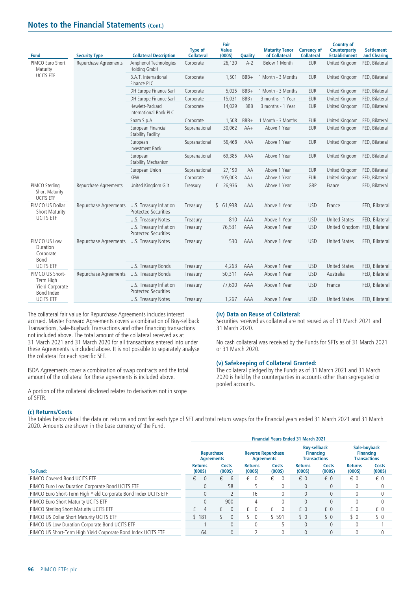# **Notes to the Financial Statements (Cont.)**

| <b>Fund</b>                                          | <b>Security Type</b>  | <b>Collateral Description</b>                          | <b>Type of</b><br><b>Collateral</b> |  | Fair<br><b>Value</b><br>(000S) | Quality    | <b>Maturity Tenor</b><br>of Collateral | <b>Currency of</b><br><b>Collateral</b> | <b>Country of</b><br>Counterparty<br><b>Establishment</b> | <b>Settlement</b><br>and Clearing |
|------------------------------------------------------|-----------------------|--------------------------------------------------------|-------------------------------------|--|--------------------------------|------------|----------------------------------------|-----------------------------------------|-----------------------------------------------------------|-----------------------------------|
| PIMCO Euro Short<br>Maturity                         | Repurchase Agreements | Amphenol Technologies<br>Holding GmbH                  | Corporate                           |  | 26,130                         | $A-2$      | Below 1 Month                          | <b>EUR</b>                              | United Kingdom                                            | FED, Bilateral                    |
| <b>UCITS ETF</b>                                     |                       | <b>B.A.T.</b> International<br>Finance PLC             | Corporate                           |  | 1,501                          | BBB+       | 1 Month - 3 Months                     | <b>EUR</b>                              | United Kingdom                                            | FED, Bilateral                    |
|                                                      |                       | DH Europe Finance Sarl                                 | Corporate                           |  | 5.025                          | $BBB+$     | 1 Month - 3 Months                     | <b>EUR</b>                              | United Kingdom                                            | FED, Bilateral                    |
|                                                      |                       | DH Europe Finance Sarl                                 | Corporate                           |  | 15,031                         | BBB+       | 3 months - 1 Year                      | <b>EUR</b>                              | United Kingdom                                            | FED, Bilateral                    |
|                                                      |                       | Hewlett-Packard<br><b>International Bank PLC</b>       | Corporate                           |  | 14,029                         | <b>BBB</b> | 3 months - 1 Year                      | <b>EUR</b>                              | United Kingdom                                            | FED, Bilateral                    |
|                                                      |                       | Snam S.p.A                                             | Corporate                           |  | 1,508                          | $BBB+$     | 1 Month - 3 Months                     | <b>EUR</b>                              | United Kingdom                                            | FED, Bilateral                    |
|                                                      |                       | European Financial<br><b>Stability Facility</b>        | Supranational                       |  | 30,062                         | $AA+$      | Above 1 Year                           | <b>EUR</b>                              | United Kingdom                                            | FED, Bilateral                    |
|                                                      |                       | European<br><b>Investment Bank</b>                     | Supranational                       |  | 56,468                         | AAA        | Above 1 Year                           | <b>EUR</b>                              | United Kingdom                                            | FED, Bilateral                    |
|                                                      |                       | European<br><b>Stability Mechanism</b>                 | Supranational                       |  | 69,385                         | AAA        | Above 1 Year                           | <b>EUR</b>                              | United Kingdom                                            | FED, Bilateral                    |
|                                                      |                       | European Union                                         | Supranational                       |  | 27,190                         | AA         | Above 1 Year                           | <b>EUR</b>                              | United Kingdom                                            | FED, Bilateral                    |
|                                                      |                       | <b>KFW</b>                                             | Corporate                           |  | 105,003                        | $AA+$      | Above 1 Year                           | <b>EUR</b>                              | United Kingdom                                            | FED, Bilateral                    |
| PIMCO Sterling<br>Short Maturity<br><b>UCITS ETF</b> | Repurchase Agreements | United Kingdom Gilt                                    | Treasury                            |  | £ 26,936                       | AA         | Above 1 Year                           | GBP                                     | France                                                    | FED, Bilateral                    |
| PIMCO US Dollar<br><b>Short Maturity</b>             | Repurchase Agreements | U.S. Treasury Inflation<br><b>Protected Securities</b> | Treasury                            |  | \$61,938                       | AAA        | Above 1 Year                           | <b>USD</b>                              | France                                                    | FED, Bilateral                    |
| <b>UCITS ETF</b>                                     |                       | U.S. Treasury Notes                                    | Treasury                            |  | 810                            | AAA        | Above 1 Year                           | <b>USD</b>                              | <b>United States</b>                                      | FED, Bilateral                    |
|                                                      |                       | U.S. Treasury Inflation<br><b>Protected Securities</b> | Treasury                            |  | 76,531                         | AAA        | Above 1 Year                           | <b>USD</b>                              | United Kingdom FED, Bilateral                             |                                   |
| PIMCO US Low<br>Duration<br>Corporate<br>Bond        | Repurchase Agreements | U.S. Treasury Notes                                    | Treasury                            |  | 530                            | AAA        | Above 1 Year                           | <b>USD</b>                              | <b>United States</b>                                      | FED, Bilateral                    |
| <b>UCITS ETF</b>                                     |                       | U.S. Treasury Bonds                                    | Treasury                            |  | 4,263                          | AAA        | Above 1 Year                           | <b>USD</b>                              | <b>United States</b>                                      | FED, Bilateral                    |
| PIMCO US Short-<br>Term High                         | Repurchase Agreements | U.S. Treasury Bonds                                    | Treasury                            |  | 50,311                         | AAA        | Above 1 Year                           | <b>USD</b>                              | Australia                                                 | FED, Bilateral                    |
| Yield Corporate<br>Bond Index                        |                       | U.S. Treasury Inflation<br><b>Protected Securities</b> | Treasury                            |  | 77,600                         | AAA        | Above 1 Year                           | <b>USD</b>                              | France                                                    | FED, Bilateral                    |
| <b>UCITS ETF</b>                                     |                       | U.S. Treasury Notes                                    | Treasury                            |  | 1,267                          | AAA        | Above 1 Year                           | <b>USD</b>                              | <b>United States</b>                                      | FED, Bilateral                    |

The collateral fair value for Repurchase Agreements includes interest accrued. Master Forward Agreements covers a combination of Buy-sellback Transactions, Sale-Buyback Transactions and other financing transactions not included above. The total amount of the collateral received as at 31 March 2021 and 31 March 2020 for all transactions entered into under these Agreements is included above. It is not possible to separately analyse the collateral for each specific SFT.

ISDA Agreements cover a combination of swap contracts and the total amount of the collateral for these agreements is included above.

A portion of the collateral disclosed relates to derivatives not in scope of SFTR.

## **(iv) Data on Reuse of Collateral:**

Securities received as collateral are not reused as of 31 March 2021 and 31 March 2020.

No cash collateral was received by the Funds for SFTs as of 31 March 2021 or 31 March 2020.

# **(v) Safekeeping of Collateral Granted:**

The collateral pledged by the Funds as of 31 March 2021 and 31 March 2020 is held by the counterparties in accounts other than segregated or pooled accounts.

## **(c) Returns/Costs**

The tables below detail the data on returns and cost for each type of SFT and total return swaps for the financial years ended 31 March 2021 and 31 March 2020. Amounts are shown in the base currency of the Fund.

|                                                                 | <b>Financial Years Ended 31 March 2021</b> |                |                 |              |                                                |                        |                                                                |                 |                                                         |                        |
|-----------------------------------------------------------------|--------------------------------------------|----------------|-----------------|--------------|------------------------------------------------|------------------------|----------------------------------------------------------------|-----------------|---------------------------------------------------------|------------------------|
|                                                                 | <b>Repurchase</b><br><b>Agreements</b>     |                |                 |              | <b>Reverse Repurchase</b><br><b>Agreements</b> |                        | <b>Buy-sellback</b><br><b>Financing</b><br><b>Transactions</b> |                 | Sale-buyback<br><b>Financing</b><br><b>Transactions</b> |                        |
| <b>To Fund:</b>                                                 | <b>Returns</b><br>(000S)                   |                | Costs<br>(000S) |              | <b>Returns</b><br>(000S)                       | <b>Costs</b><br>(000S) | <b>Returns</b><br>(000S)                                       | Costs<br>(000S) | <b>Returns</b><br>(000S)                                | <b>Costs</b><br>(000S) |
| PIMCO Covered Bond UCITS ETF                                    | €                                          | $\cup$         | €               | 6            | $\epsilon$ 0                                   | €<br>0                 | € 0                                                            | € 0             | € 0                                                     | € 0                    |
| PIMCO Euro Low Duration Corporate Bond UCITS ETF                |                                            |                |                 | 58           |                                                |                        | $\Omega$                                                       | 0               |                                                         |                        |
| PIMCO Euro Short-Term High Yield Corporate Bond Index UCITS ETF |                                            |                |                 |              | 16                                             |                        |                                                                | 0               |                                                         |                        |
| PIMCO Euro Short Maturity UCITS ETF                             |                                            | $\theta$       | 900             |              | 4                                              |                        | $\Omega$                                                       | 0               | $\Omega$                                                |                        |
| PIMCO Sterling Short Maturity UCITS ETF                         | $+$                                        | $\overline{4}$ | f.              | $\Omega$     | $f \cap$                                       | $\Omega$<br>$+$        | $f \theta$                                                     | $f \theta$      | $f \theta$                                              | f <sub>0</sub>         |
| PIMCO US Dollar Short Maturity UCITS ETF                        | \$181                                      |                |                 | $\Omega$     | $\Omega$                                       | \$591                  | \$0                                                            | \$0             | \$0                                                     | \$0                    |
| PIMCO US Low Duration Corporate Bond UCITS ETF                  |                                            |                |                 |              |                                                |                        | $\Omega$                                                       | 0               |                                                         |                        |
| PIMCO US Short-Term High Yield Corporate Bond Index UCITS ETF   | 64                                         |                |                 | $\mathbf{0}$ |                                                |                        |                                                                | 0               |                                                         |                        |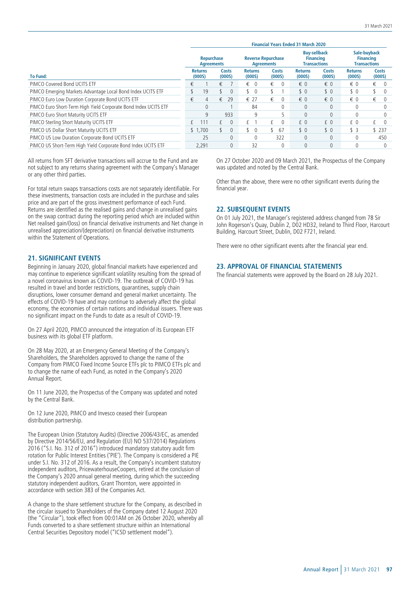|                                                                 | <b>Financial Years Ended 31 March 2020</b> |                        |                          |                                                |                                                         |                        |                                                         |                        |
|-----------------------------------------------------------------|--------------------------------------------|------------------------|--------------------------|------------------------------------------------|---------------------------------------------------------|------------------------|---------------------------------------------------------|------------------------|
|                                                                 | Repurchase<br><b>Agreements</b>            |                        |                          | <b>Reverse Repurchase</b><br><b>Agreements</b> | <b>Buy-sellback</b><br><b>Financing</b><br>Transactions |                        | Sale-buyback<br><b>Financing</b><br><b>Transactions</b> |                        |
| <b>To Fund:</b>                                                 | <b>Returns</b><br>(000S)                   | <b>Costs</b><br>(000S) | <b>Returns</b><br>(000S) | <b>Costs</b><br>(000S)                         | <b>Returns</b><br>(000S)                                | <b>Costs</b><br>(000S) | <b>Returns</b><br>(000S)                                | <b>Costs</b><br>(000S) |
| PIMCO Covered Bond UCITS ETF                                    | €                                          | €                      | $\epsilon$ 0             | €<br>$\Omega$                                  | $\epsilon$ 0                                            | $\epsilon$ 0           | € 0                                                     | €<br>0                 |
| PIMCO Emerging Markets Advantage Local Bond Index UCITS ETF     | 19                                         | $\overline{0}$         | $\Omega$<br>S.           |                                                | \$0                                                     | \$0                    | \$0                                                     | 0                      |
| PIMCO Euro Low Duration Corporate Bond UCITS ETF                | €<br>4                                     | €<br>29                | $\epsilon$ 27            | €<br>$\mathbf{0}$                              | $\epsilon$ 0                                            | € 0                    | $\epsilon$ 0                                            | €<br>$\Omega$          |
| PIMCO Euro Short-Term High Yield Corporate Bond Index UCITS ETF | 0                                          |                        | 84                       | 0                                              | $\Omega$                                                | 0                      | 0                                                       |                        |
| PIMCO Euro Short Maturity UCITS ETF                             | 9                                          | 933                    | 9                        | 5                                              | $\Omega$                                                | 0                      | $\Omega$                                                |                        |
| PIMCO Sterling Short Maturity UCITS ETF                         | 111                                        | $\Omega$               |                          | 0                                              | $f \theta$                                              | f <sub>0</sub>         | £0                                                      |                        |
| PIMCO US Dollar Short Maturity UCITS ETF                        | \$1.700                                    | $\Omega$               | $\mathbf 0$              | 67                                             | \$0                                                     | \$0                    | \$3                                                     | \$237                  |
| PIMCO US Low Duration Corporate Bond UCITS ETF                  | 25                                         | $\Omega$               | $\Omega$                 | 322                                            | $\Omega$                                                | 0                      | $\Omega$                                                | 450                    |
| PIMCO US Short-Term High Yield Corporate Bond Index UCITS ETF   | 2,291                                      | 0                      | 32                       | 0                                              | $\Omega$                                                | 0                      | 0                                                       |                        |

All returns from SFT derivative transactions will accrue to the Fund and are not subject to any returns sharing agreement with the Company's Manager or any other third parties.

For total return swaps transactions costs are not separately identifiable. For these investments, transaction costs are included in the purchase and sales price and are part of the gross investment performance of each Fund. Returns are identified as the realised gains and change in unrealised gains on the swap contract during the reporting period which are included within Net realised gain/(loss) on financial derivative instruments and Net change in unrealised appreciation/(depreciation) on financial derivative instruments within the Statement of Operations.

# **21. SIGNIFICANT EVENTS**

Beginning in January 2020, global financial markets have experienced and may continue to experience significant volatility resulting from the spread of a novel coronavirus known as COVID-19. The outbreak of COVID-19 has resulted in travel and border restrictions, quarantines, supply chain disruptions, lower consumer demand and general market uncertainty. The effects of COVID-19 have and may continue to adversely affect the global economy, the economies of certain nations and individual issuers. There was no significant impact on the Funds to date as a result of COVID-19.

On 27 April 2020, PIMCO announced the integration of its European ETF business with its global ETF platform.

On 28 May 2020, at an Emergency General Meeting of the Company's Shareholders, the Shareholders approved to change the name of the Company from PIMCO Fixed Income Source ETFs plc to PIMCO ETFs plc and to change the name of each Fund, as noted in the Company's 2020 Annual Report.

On 11 June 2020, the Prospectus of the Company was updated and noted by the Central Bank.

On 12 June 2020, PIMCO and Invesco ceased their European distribution partnership.

The European Union (Statutory Audits) (Directive 2006/43/EC, as amended by Directive 2014/56/EU, and Regulation (EU) NO 537/2014) Regulations 2016 ("S.I. No. 312 of 2016") introduced mandatory statutory audit firm rotation for Public Interest Entities ('PIE'). The Company is considered a PIE under S.I. No. 312 of 2016. As a result, the Company's incumbent statutory independent auditors, PricewaterhouseCoopers, retired at the conclusion of the Company's 2020 annual general meeting, during which the succeeding statutory independent auditors, Grant Thornton, were appointed in accordance with section 383 of the Companies Act.

A change to the share settlement structure for the Company, as described in the circular issued to Shareholders of the Company dated 12 August 2020 (the "Circular"), took effect from 00:01AM on 26 October 2020, whereby all Funds converted to a share settlement structure within an International Central Securities Depository model ("ICSD settlement model").

On 27 October 2020 and 09 March 2021, the Prospectus of the Company was updated and noted by the Central Bank.

Other than the above, there were no other significant events during the financial year.

## **22. SUBSEQUENT EVENTS**

On 01 July 2021, the Manager's registered address changed from 78 Sir John Rogerson's Quay, Dublin 2, D02 HD32, Ireland to Third Floor, Harcourt Building, Harcourt Street, Dublin, D02 F721, Ireland.

There were no other significant events after the financial year end.

## **23. APPROVAL OF FINANCIAL STATEMENTS**

The financial statements were approved by the Board on 28 July 2021.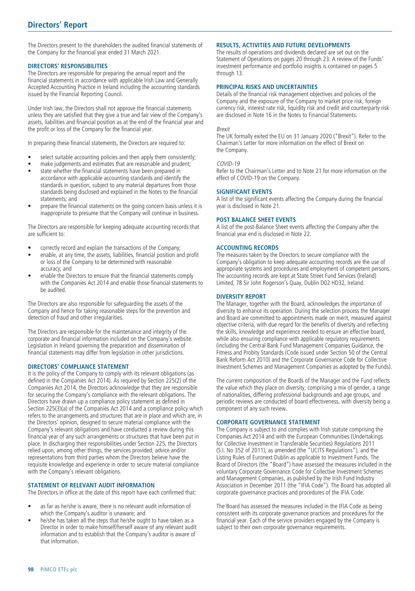The Directors present to the shareholders the audited financial statements of the Company for the financial year ended 31 March 2021.

## **DIRECTORS' RESPONSIBILITIES**

The Directors are responsible for preparing the annual report and the financial statements in accordance with applicable Irish Law and Generally Accepted Accounting Practice in Ireland including the accounting standards issued by the Financial Reporting Council.

Under Irish law, the Directors shall not approve the financial statements unless they are satisfied that they give a true and fair view of the Company's assets, liabilities and financial position as at the end of the financial year and the profit or loss of the Company for the financial year.

In preparing these financial statements, the Directors are required to:

- select suitable accounting policies and then apply them consistently;
- make judgements and estimates that are reasonable and prudent;
- state whether the financial statements have been prepared in accordance with applicable accounting standards and identify the standards in question, subject to any material departures from those standards being disclosed and explained in the Notes to the financial statements; and
- prepare the financial statements on the going concern basis unless it is inappropriate to presume that the Company will continue in business.

The Directors are responsible for keeping adequate accounting records that are sufficient to:

- correctly record and explain the transactions of the Company;
- enable, at any time, the assets, liabilities, financial position and profit or loss of the Company to be determined with reasonable accuracy; and
- enable the Directors to ensure that the financial statements comply with the Companies Act 2014 and enable those financial statements to be audited.

The Directors are also responsible for safeguarding the assets of the Company and hence for taking reasonable steps for the prevention and detection of fraud and other irregularities.

The Directors are responsible for the maintenance and integrity of the corporate and financial information included on the Company's website. Legislation in Ireland governing the preparation and dissemination of financial statements may differ from legislation in other jurisdictions.

## **DIRECTORS' COMPLIANCE STATEMENT**

It is the policy of the Company to comply with its relevant obligations (as defined in the Companies Act 2014). As required by Section 225(2) of the Companies Act 2014, the Directors acknowledge that they are responsible for securing the Company's compliance with the relevant obligations. The Directors have drawn up a compliance policy statement as defined in Section 225(3)(a) of the Companies Act 2014 and a compliance policy which refers to the arrangements and structures that are in place and which are, in the Directors' opinion, designed to secure material compliance with the Company's relevant obligations and have conducted a review during this financial year of any such arrangements or structures that have been put in place. In discharging their responsibilities under Section 225, the Directors relied upon, among other things, the services provided, advice and/or representations from third parties whom the Directors believe have the requisite knowledge and experience in order to secure material compliance with the Company's relevant obligations.

# **STATEMENT OF RELEVANT AUDIT INFORMATION**

The Directors in office at the date of this report have each confirmed that:

- as far as he/she is aware, there is no relevant audit information of which the Company's auditor is unaware; and
- he/she has taken all the steps that he/she ought to have taken as a Director in order to make himself/herself aware of any relevant audit information and to establish that the Company's auditor is aware of that information.

# **RESULTS, ACTIVITIES AND FUTURE DEVELOPMENTS**

The results of operations and dividends declared are set out on the Statement of Operations on pages 20 through 23. A review of the Funds' investment performance and portfolio insights is contained on pages 5 through 13.

## **PRINCIPAL RISKS AND UNCERTAINTIES**

Details of the financial risk management objectives and policies of the Company and the exposure of the Company to market price risk, foreign currency risk, interest rate risk, liquidity risk and credit and counterparty risk are disclosed in Note 16 in the Notes to Financial Statements.

#### Brexit

The UK formally exited the EU on 31 January 2020 ("Brexit"). Refer to the Chairman's Letter for more information on the effect of Brexit on the Company.

## COVID-19

Refer to the Chairman's Letter and to Note 21 for more information on the effect of COVID-19 on the Company.

# **SIGNIFICANT EVENTS**

A list of the significant events affecting the Company during the financial year is disclosed in Note 21.

# **POST BALANCE SHEET EVENTS**

A list of the post-Balance Sheet events affecting the Company after the financial year end is disclosed in Note 22.

# **ACCOUNTING RECORDS**

The measures taken by the Directors to secure compliance with the Company's obligation to keep adequate accounting records are the use of appropriate systems and procedures and employment of competent persons. The accounting records are kept at State Street Fund Services (Ireland) Limited, 78 Sir John Rogerson's Quay, Dublin D02 HD32, Ireland.

## **DIVERSITY REPORT**

The Manager, together with the Board, acknowledges the importance of diversity to enhance its operation. During the selection process the Manager and Board are committed to appointments made on merit, measured against objective criteria, with due regard for the benefits of diversity and reflecting the skills, knowledge and experience needed to ensure an effective board, while also ensuring compliance with applicable regulatory requirements (including the Central Bank Fund Management Companies Guidance, the Fitness and Probity Standards (Code issued under Section 50 of the Central Bank Reform Act 2010) and the Corporate Governance Code for Collective Investment Schemes and Management Companies as adopted by the Funds).

The current composition of the Boards of the Manager and the Fund reflects the value which they place on diversity, comprising a mix of gender, a range of nationalities, differing professional backgrounds and age groups, and periodic reviews are conducted of board effectiveness, with diversity being a component of any such review.

## **CORPORATE GOVERNANCE STATEMENT**

The Company is subject to and complies with Irish statute comprising the Companies Act 2014 and with the European Communities (Undertakings for Collective Investment in Transferable Securities) Regulations 2011 (S.I. No 352 of 2011), as amended (the "UCITS Regulations"), and the Listing Rules of Euronext Dublin as applicable to Investment Funds. The Board of Directors (the "Board") have assessed the measures included in the voluntary Corporate Governance Code for Collective Investment Schemes and Management Companies, as published by the Irish Fund Industry Association in December 2011 (the "IFIA Code"). The Board has adopted all corporate governance practices and procedures of the IFIA Code.

The Board has assessed the measures included in the IFIA Code as being consistent with its corporate governance practices and procedures for the financial year. Each of the service providers engaged by the Company is subject to their own corporate governance requirements.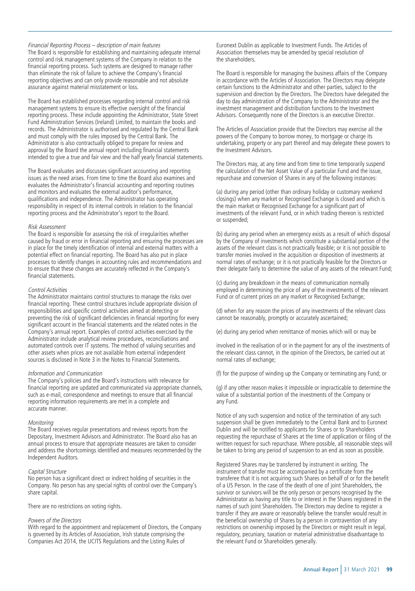Financial Reporting Process – description of main features The Board is responsible for establishing and maintaining adequate internal control and risk management systems of the Company in relation to the financial reporting process. Such systems are designed to manage rather than eliminate the risk of failure to achieve the Company's financial reporting objectives and can only provide reasonable and not absolute assurance against material misstatement or loss.

The Board has established processes regarding internal control and risk management systems to ensure its effective oversight of the financial reporting process. These include appointing the Administrator, State Street Fund Administration Services (Ireland) Limited, to maintain the books and records. The Administrator is authorised and regulated by the Central Bank and must comply with the rules imposed by the Central Bank. The Administrator is also contractually obliged to prepare for review and approval by the Board the annual report including financial statements intended to give a true and fair view and the half yearly financial statements.

The Board evaluates and discusses significant accounting and reporting issues as the need arises. From time to time the Board also examines and evaluates the Administrator's financial accounting and reporting routines and monitors and evaluates the external auditor's performance, qualifications and independence. The Administrator has operating responsibility in respect of its internal controls in relation to the financial reporting process and the Administrator's report to the Board.

#### Risk Assessment

The Board is responsible for assessing the risk of irregularities whether caused by fraud or error in financial reporting and ensuring the processes are in place for the timely identification of internal and external matters with a potential effect on financial reporting. The Board has also put in place processes to identify changes in accounting rules and recommendations and to ensure that these changes are accurately reflected in the Company's financial statements.

#### Control Activities

The Administrator maintains control structures to manage the risks over financial reporting. These control structures include appropriate division of responsibilities and specific control activities aimed at detecting or preventing the risk of significant deficiencies in financial reporting for every significant account in the financial statements and the related notes in the Company's annual report. Examples of control activities exercised by the Administrator include analytical review procedures, reconciliations and automated controls over IT systems. The method of valuing securities and other assets when prices are not available from external independent sources is disclosed in Note 3 in the Notes to Financial Statements.

## Information and Communication

The Company's policies and the Board's instructions with relevance for financial reporting are updated and communicated via appropriate channels, such as e-mail, correspondence and meetings to ensure that all financial reporting information requirements are met in a complete and accurate manner.

#### **Monitoring**

The Board receives regular presentations and reviews reports from the Depositary, Investment Advisors and Administrator. The Board also has an annual process to ensure that appropriate measures are taken to consider and address the shortcomings identified and measures recommended by the Independent Auditors.

#### Capital Structure

No person has a significant direct or indirect holding of securities in the Company. No person has any special rights of control over the Company's share capital.

There are no restrictions on voting rights.

#### Powers of the Directors

With regard to the appointment and replacement of Directors, the Company is governed by its Articles of Association, Irish statute comprising the Companies Act 2014, the UCITS Regulations and the Listing Rules of

Euronext Dublin as applicable to Investment Funds. The Articles of Association themselves may be amended by special resolution of the shareholders.

The Board is responsible for managing the business affairs of the Company in accordance with the Articles of Association. The Directors may delegate certain functions to the Administrator and other parties, subject to the supervision and direction by the Directors. The Directors have delegated the day to day administration of the Company to the Administrator and the investment management and distribution functions to the Investment Advisors. Consequently none of the Directors is an executive Director.

The Articles of Association provide that the Directors may exercise all the powers of the Company to borrow money, to mortgage or charge its undertaking, property or any part thereof and may delegate these powers to the Investment Advisors.

The Directors may, at any time and from time to time temporarily suspend the calculation of the Net Asset Value of a particular Fund and the issue, repurchase and conversion of Shares in any of the following instances:

(a) during any period (other than ordinary holiday or customary weekend closings) when any market or Recognised Exchange is closed and which is the main market or Recognised Exchange for a significant part of investments of the relevant Fund, or in which trading thereon is restricted or suspended;

(b) during any period when an emergency exists as a result of which disposal by the Company of investments which constitute a substantial portion of the assets of the relevant class is not practically feasible; or it is not possible to transfer monies involved in the acquisition or disposition of investments at normal rates of exchange; or it is not practically feasible for the Directors or their delegate fairly to determine the value of any assets of the relevant Fund;

(c) during any breakdown in the means of communication normally employed in determining the price of any of the investments of the relevant Fund or of current prices on any market or Recognised Exchange;

(d) when for any reason the prices of any investments of the relevant class cannot be reasonably, promptly or accurately ascertained;

(e) during any period when remittance of monies which will or may be

involved in the realisation of or in the payment for any of the investments of the relevant class cannot, in the opinion of the Directors, be carried out at normal rates of exchange;

(f) for the purpose of winding up the Company or terminating any Fund; or

(g) if any other reason makes it impossible or impracticable to determine the value of a substantial portion of the investments of the Company or any Fund.

Notice of any such suspension and notice of the termination of any such suspension shall be given immediately to the Central Bank and to Euronext Dublin and will be notified to applicants for Shares or to Shareholders requesting the repurchase of Shares at the time of application or filing of the written request for such repurchase. Where possible, all reasonable steps will be taken to bring any period of suspension to an end as soon as possible.

Registered Shares may be transferred by instrument in writing. The instrument of transfer must be accompanied by a certificate from the transferee that it is not acquiring such Shares on behalf of or for the benefit of a US Person. In the case of the death of one of joint Shareholders, the survivor or survivors will be the only person or persons recognised by the Administrator as having any title to or interest in the Shares registered in the names of such joint Shareholders. The Directors may decline to register a transfer if they are aware or reasonably believe the transfer would result in the beneficial ownership of Shares by a person in contravention of any restrictions on ownership imposed by the Directors or might result in legal, regulatory, pecuniary, taxation or material administrative disadvantage to the relevant Fund or Shareholders generally.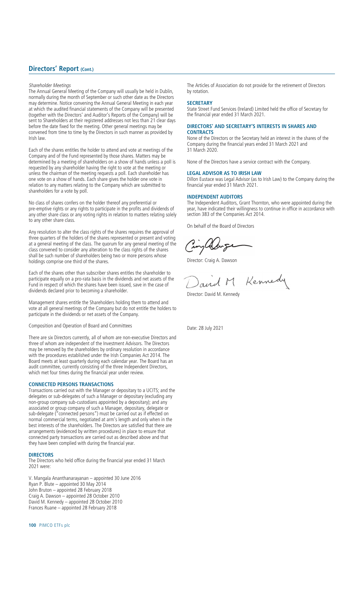#### Shareholder Meetings

The Annual General Meeting of the Company will usually be held in Dublin, normally during the month of September or such other date as the Directors may determine. Notice convening the Annual General Meeting in each year at which the audited financial statements of the Company will be presented (together with the Directors' and Auditor's Reports of the Company) will be sent to Shareholders at their registered addresses not less than 21 clear days before the date fixed for the meeting. Other general meetings may be convened from time to time by the Directors in such manner as provided by Irish law.

Each of the shares entitles the holder to attend and vote at meetings of the Company and of the Fund represented by those shares. Matters may be determined by a meeting of shareholders on a show of hands unless a poll is requested by any shareholder having the right to vote at the meeting or unless the chairman of the meeting requests a poll. Each shareholder has one vote on a show of hands. Each share gives the holder one vote in relation to any matters relating to the Company which are submitted to shareholders for a vote by poll.

No class of shares confers on the holder thereof any preferential or pre-emptive rights or any rights to participate in the profits and dividends of any other share class or any voting rights in relation to matters relating solely to any other share class.

Any resolution to alter the class rights of the shares requires the approval of three quarters of the holders of the shares represented or present and voting at a general meeting of the class. The quorum for any general meeting of the class convened to consider any alteration to the class rights of the shares shall be such number of shareholders being two or more persons whose holdings comprise one third of the shares.

Each of the shares other than subscriber shares entitles the shareholder to participate equally on a pro-rata basis in the dividends and net assets of the Fund in respect of which the shares have been issued, save in the case of dividends declared prior to becoming a shareholder.

Management shares entitle the Shareholders holding them to attend and vote at all general meetings of the Company but do not entitle the holders to participate in the dividends or net assets of the Company.

Composition and Operation of Board and Committees

There are six Directors currently, all of whom are non-executive Directors and three of whom are independent of the Investment Advisors. The Directors may be removed by the shareholders by ordinary resolution in accordance with the procedures established under the Irish Companies Act 2014. The Board meets at least quarterly during each calendar year. The Board has an audit committee, currently consisting of the three Independent Directors, which met four times during the financial year under review.

## **CONNECTED PERSONS TRANSACTIONS**

Transactions carried out with the Manager or depositary to a UCITS; and the delegates or sub-delegates of such a Manager or depositary (excluding any non-group company sub-custodians appointed by a depositary); and any associated or group company of such a Manager, depositary, delegate or sub-delegate ("connected persons") must be carried out as if effected on normal commercial terms, negotiated at arm's length and only when in the best interests of the shareholders. The Directors are satisfied that there are arrangements (evidenced by written procedures) in place to ensure that connected party transactions are carried out as described above and that they have been complied with during the financial year.

## **DIRECTORS**

The Directors who held office during the financial year ended 31 March 2021 were:

V. Mangala Ananthanarayanan – appointed 30 June 2016 Ryan P. Blute – appointed 30 May 2014 John Bruton – appointed 28 February 2018 Craig A. Dawson – appointed 28 October 2010 David M. Kennedy – appointed 28 October 2010 Frances Ruane – appointed 28 February 2018

The Articles of Association do not provide for the retirement of Directors by rotation.

### **SECRETARY**

State Street Fund Services (Ireland) Limited held the office of Secretary for the financial year ended 31 March 2021.

#### **DIRECTORS' AND SECRETARY'S INTERESTS IN SHARES AND CONTRACTS**

None of the Directors or the Secretary held an interest in the shares of the Company during the financial years ended 31 March 2021 and 31 March 2020.

None of the Directors have a service contract with the Company.

#### **LEGAL ADVISOR AS TO IRISH LAW**

Dillon Eustace was Legal Advisor (as to Irish Law) to the Company during the financial year ended 31 March 2021.

#### **INDEPENDENT AUDITORS**

The Independent Auditors, Grant Thornton, who were appointed during the year, have indicated their willingness to continue in office in accordance with section 383 of the Companies Act 2014.

On behalf of the Board of Directors

ythang

Director: Craig A. Dawson

aird M Kennedy

Director: David M. Kennedy

Date: 28 July 2021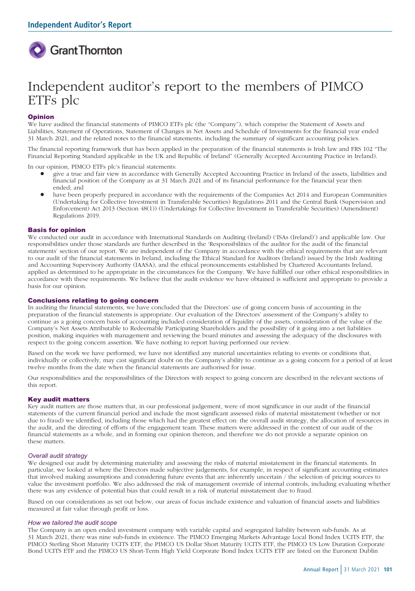

# **Opinion**

We have audited the financial statements of PIMCO ETFs plc (the "Company"), which comprise the Statement of Assets and Liabilities, Statement of Operations, Statement of Changes in Net Assets and Schedule of Investments for the financial year ended 31 March 2021, and the related notes to the financial statements, including the summary of significant accounting policies.

The financial reporting framework that has been applied in the preparation of the financial statements is Irish law and FRS 102 "The Financial Reporting Standard applicable in the UK and Republic of Ireland" (Generally Accepted Accounting Practice in Ireland).

In our opinion, PIMCO ETFs plc's financial statements:

- Š give a true and fair view in accordance with Generally Accepted Accounting Practice in Ireland of the assets, liabilities and financial position of the Company as at 31 March 2021 and of its financial performance for the financial year then ended; and
- have been properly prepared in accordance with the requirements of the Companies Act 2014 and European Communities (Undertaking for Collective Investment in Transferable Securities) Regulations 2011 and the Central Bank (Supervision and Enforcement) Act 2013 (Section 48(1)) (Undertakings for Collective Investment in Transferable Securities) (Amendment) Regulations 2019.

## **Basis for opinion**

We conducted our audit in accordance with International Standards on Auditing (Ireland) ('ISAs (Ireland)') and applicable law. Our responsibilities under those standards are further described in the 'Responsibilities of the auditor for the audit of the financial statements' section of our report. We are independent of the Company in accordance with the ethical requirements that are relevant to our audit of the financial statements in Ireland, including the Ethical Standard for Auditors (Ireland) issued by the Irish Auditing and Accounting Supervisory Authority (IAASA), and the ethical pronouncements established by Chartered Accountants Ireland, applied as determined to be appropriate in the circumstances for the Company. We have fulfilled our other ethical responsibilities in accordance with these requirements. We believe that the audit evidence we have obtained is sufficient and appropriate to provide a basis for our opinion.

#### **Conclusions relating to going concern**

In auditing the financial statements, we have concluded that the Directors' use of going concern basis of accounting in the preparation of the financial statements is appropriate. Our evaluation of the Directors' assessment of the Company's ability to continue as a going concern basis of accounting included consideration of liquidity of the assets, consideration of the value of the Company's Net Assets Attributable to Redeemable Participating Shareholders and the possibility of it going into a net liabilities position, making inquiries with management and reviewing the board minutes and assessing the adequacy of the disclosures with respect to the going concern assertion. We have nothing to report having performed our review.

Based on the work we have performed, we have not identified any material uncertainties relating to events or conditions that, individually or collectively, may cast significant doubt on the Company's ability to continue as a going concern for a period of at least twelve months from the date when the financial statements are authorised for issue.

Our responsibilities and the responsibilities of the Directors with respect to going concern are described in the relevant sections of this report.

#### **Key audit matters**

Key audit matters are those matters that, in our professional judgement, were of most significance in our audit of the financial statements of the current financial period and include the most significant assessed risks of material misstatement (whether or not due to fraud) we identified, including those which had the greatest effect on: the overall audit strategy, the allocation of resources in the audit, and the directing of efforts of the engagement team. These matters were addressed in the context of our audit of the financial statements as a whole, and in forming our opinion thereon, and therefore we do not provide a separate opinion on these matters.

#### *Overall audit strategy*

We designed our audit by determining materiality and assessing the risks of material misstatement in the financial statements. In particular, we looked at where the Directors made subjective judgements, for example, in respect of significant accounting estimates that involved making assumptions and considering future events that are inherently uncertain / the selection of pricing sources to value the investment portfolio. We also addressed the risk of management override of internal controls, including evaluating whether there was any evidence of potential bias that could result in a risk of material misstatement due to fraud.

Based on our considerations as set out below, our areas of focus include existence and valuation of financial assets and liabilities measured at fair value through profit or loss.

#### *How we tailored the audit scope*

The Company is an open ended investment company with variable capital and segregated liability between sub-funds. As at 31 March 2021, there was nine sub-funds in existence. The PIMCO Emerging Markets Advantage Local Bond Index UCITS ETF, the PIMCO Sterling Short Maturity UCITS ETF, the PIMCO US Dollar Short Maturity UCITS ETF, the PIMCO US Low Duration Corporate Bond UCITS ETF and the PIMCO US Short-Term High Yield Corporate Bond Index UCITS ETF are listed on the Euronext Dublin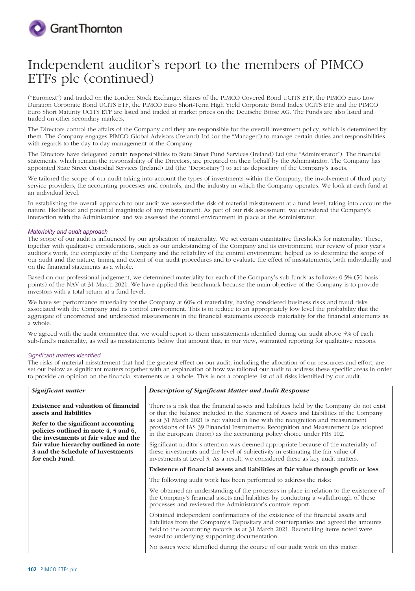

("Euronext") and traded on the London Stock Exchange. Shares of the PIMCO Covered Bond UCITS ETF, the PIMCO Euro Low Duration Corporate Bond UCITS ETF, the PIMCO Euro Short-Term High Yield Corporate Bond Index UCITS ETF and the PIMCO Euro Short Maturity UCITS ETF are listed and traded at market prices on the Deutsche Börse AG. The Funds are also listed and traded on other secondary markets.

The Directors control the affairs of the Company and they are responsible for the overall investment policy, which is determined by them. The Company engages PIMCO Global Advisors (Ireland) Ltd (or the "Manager") to manage certain duties and responsibilities with regards to the day-to-day management of the Company.

The Directors have delegated certain responsibilities to State Street Fund Services (Ireland) Ltd (the "Administrator"). The financial statements, which remain the responsibility of the Directors, are prepared on their behalf by the Administrator. The Company has appointed State Street Custodial Services (Ireland) Ltd (the "Depositary") to act as depositary of the Company's assets.

We tailored the scope of our audit taking into account the types of investments within the Company, the involvement of third party service providers, the accounting processes and controls, and the industry in which the Company operates. We look at each fund at an individual level.

In establishing the overall approach to our audit we assessed the risk of material misstatement at a fund level, taking into account the nature, likelihood and potential magnitude of any misstatement. As part of our risk assessment, we considered the Company's interaction with the Administrator, and we assessed the control environment in place at the Administrator.

#### *Materiality and audit approach*

The scope of our audit is influenced by our application of materiality. We set certain quantitative thresholds for materiality. These, together with qualitative considerations, such as our understanding of the Company and its environment, our review of prior year's auditor's work, the complexity of the Company and the reliability of the control environment, helped us to determine the scope of our audit and the nature, timing and extent of our audit procedures and to evaluate the effect of misstatements, both individually and on the financial statements as a whole.

Based on our professional judgement, we determined materiality for each of the Company's sub-funds as follows: 0.5% (50 basis points) of the NAV at 31 March 2021. We have applied this benchmark because the main objective of the Company is to provide investors with a total return at a fund level.

We have set performance materiality for the Company at 60% of materiality, having considered business risks and fraud risks associated with the Company and its control environment. This is to reduce to an appropriately low level the probability that the aggregate of uncorrected and undetected misstatements in the financial statements exceeds materiality for the financial statements as a whole.

We agreed with the audit committee that we would report to them misstatements identified during our audit above 5% of each sub-fund's materiality, as well as misstatements below that amount that, in our view, warranted reporting for qualitative reasons.

## *Significant matters identified*

The risks of material misstatement that had the greatest effect on our audit, including the allocation of our resources and effort, are set out below as significant matters together with an explanation of how we tailored our audit to address these specific areas in order to provide an opinion on the financial statements as a whole. This is not a complete list of all risks identified by our audit.

| Significant matter                                                                                                                                                                             | <b>Description of Significant Matter and Audit Response</b>                                                                                                                                                                                                                                                                                                                                                                            |
|------------------------------------------------------------------------------------------------------------------------------------------------------------------------------------------------|----------------------------------------------------------------------------------------------------------------------------------------------------------------------------------------------------------------------------------------------------------------------------------------------------------------------------------------------------------------------------------------------------------------------------------------|
| <b>Existence and valuation of financial</b><br>assets and liabilities<br>Refer to the significant accounting<br>policies outlined in note 4, 5 and 6,<br>the investments at fair value and the | There is a risk that the financial assets and liabilities held by the Company do not exist<br>or that the balance included in the Statement of Assets and Liabilities of the Company<br>as at 31 March 2021 is not valued in line with the recognition and measurement<br>provisions of IAS 39 Financial Instruments: Recognition and Measurement (as adopted<br>in the European Union) as the accounting policy choice under FRS 102. |
| fair value hierarchy outlined in note<br>3 and the Schedule of Investments<br>for each Fund.                                                                                                   | Significant auditor's attention was deemed appropriate because of the materiality of<br>these investments and the level of subjectivity in estimating the fair value of<br>investments at Level 3. As a result, we considered these as key audit matters.                                                                                                                                                                              |
|                                                                                                                                                                                                | Existence of financial assets and liabilities at fair value through profit or loss                                                                                                                                                                                                                                                                                                                                                     |
|                                                                                                                                                                                                | The following audit work has been performed to address the risks:                                                                                                                                                                                                                                                                                                                                                                      |
|                                                                                                                                                                                                | We obtained an understanding of the processes in place in relation to the existence of<br>the Company's financial assets and liabilities by conducting a walkthrough of these<br>processes and reviewed the Administrator's controls report.                                                                                                                                                                                           |
|                                                                                                                                                                                                | Obtained independent confirmations of the existence of the financial assets and<br>liabilities from the Company's Depositary and counterparties and agreed the amounts<br>held to the accounting records as at 31 March 2021. Reconciling items noted were<br>tested to underlying supporting documentation.                                                                                                                           |
|                                                                                                                                                                                                | No issues were identified during the course of our audit work on this matter.                                                                                                                                                                                                                                                                                                                                                          |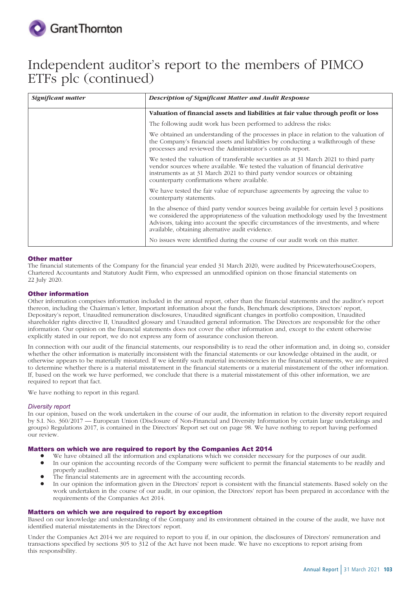

| Significant matter | <b>Description of Significant Matter and Audit Response</b>                                                                                                                                                                                                                                                                       |
|--------------------|-----------------------------------------------------------------------------------------------------------------------------------------------------------------------------------------------------------------------------------------------------------------------------------------------------------------------------------|
|                    | Valuation of financial assets and liabilities at fair value through profit or loss                                                                                                                                                                                                                                                |
|                    | The following audit work has been performed to address the risks:                                                                                                                                                                                                                                                                 |
|                    | We obtained an understanding of the processes in place in relation to the valuation of<br>the Company's financial assets and liabilities by conducting a walkthrough of these<br>processes and reviewed the Administrator's controls report.                                                                                      |
|                    | We tested the valuation of transferable securities as at 31 March 2021 to third party<br>vendor sources where available. We tested the valuation of financial derivative<br>instruments as at 31 March 2021 to third party vendor sources or obtaining<br>counterparty confirmations where available.                             |
|                    | We have tested the fair value of repurchase agreements by agreeing the value to<br>counterparty statements.                                                                                                                                                                                                                       |
|                    | In the absence of third party vendor sources being available for certain level 3 positions<br>we considered the appropriateness of the valuation methodology used by the Investment<br>Advisors, taking into account the specific circumstances of the investments, and where<br>available, obtaining alternative audit evidence. |
|                    | No issues were identified during the course of our audit work on this matter.                                                                                                                                                                                                                                                     |

# **Other matter**

The financial statements of the Company for the financial year ended 31 March 2020, were audited by PricewaterhouseCoopers, Chartered Accountants and Statutory Audit Firm, who expressed an unmodified opinion on those financial statements on 22 July 2020.

#### **Other information**

Other information comprises information included in the annual report, other than the financial statements and the auditor's report thereon, including the Chairman's letter, Important information about the funds, Benchmark descriptions, Directors' report, Depositary's report, Unaudited remuneration disclosures, Unaudited significant changes in portfolio composition, Unaudited shareholder rights directive II, Unaudited glossary and Unaudited general information. The Directors are responsible for the other information. Our opinion on the financial statements does not cover the other information and, except to the extent otherwise explicitly stated in our report, we do not express any form of assurance conclusion thereon.

In connection with our audit of the financial statements, our responsibility is to read the other information and, in doing so, consider whether the other information is materially inconsistent with the financial statements or our knowledge obtained in the audit, or otherwise appears to be materially misstated. If we identify such material inconsistencies in the financial statements, we are required to determine whether there is a material misstatement in the financial statements or a material misstatement of the other information. If, based on the work we have performed, we conclude that there is a material misstatement of this other information, we are required to report that fact.

We have nothing to report in this regard.

#### *Diversity report*

In our opinion, based on the work undertaken in the course of our audit, the information in relation to the diversity report required by S.I. No. 360/2017 — European Union (Disclosure of Non-Financial and Diversity Information by certain large undertakings and groups) Regulations 2017, is contained in the Directors' Report set out on page 98. We have nothing to report having performed our review.

# **Matters on which we are required to report by the Companies Act 2014**<br>• We have obtained all the information and explanations which we consider neces

- We have obtained all the information and explanations which we consider necessary for the purposes of our audit.
- In our opinion the accounting records of the Company were sufficient to permit the financial statements to be readily and properly audited.
- The financial statements are in agreement with the accounting records.
- $\bullet$  In our opinion the information given in the Directors' report is consistent with the financial statements. Based solely on the work undertaken in the course of our audit, in our opinion, the Directors' report has been prepared in accordance with the requirements of the Companies Act 2014.

# **Matters on which we are required to report by exception**

Based on our knowledge and understanding of the Company and its environment obtained in the course of the audit, we have not identified material misstatements in the Directors' report.

Under the Companies Act 2014 we are required to report to you if, in our opinion, the disclosures of Directors' remuneration and transactions specified by sections 305 to 312 of the Act have not been made. We have no exceptions to report arising from this responsibility.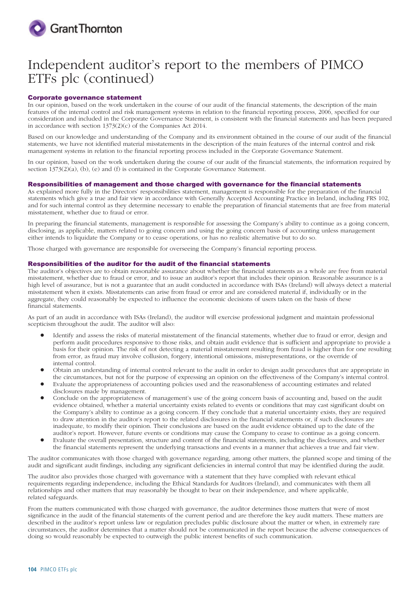

## **Corporate governance statement**

In our opinion, based on the work undertaken in the course of our audit of the financial statements, the description of the main features of the internal control and risk management systems in relation to the financial reporting process, 2006, specified for our consideration and included in the Corporate Governance Statement, is consistent with the financial statements and has been prepared in accordance with section 1373(2)(c) of the Companies Act 2014.

Based on our knowledge and understanding of the Company and its environment obtained in the course of our audit of the financial statements, we have not identified material misstatements in the description of the main features of the internal control and risk management systems in relation to the financial reporting process included in the Corporate Governance Statement.

In our opinion, based on the work undertaken during the course of our audit of the financial statements, the information required by section  $1373(2)(a)$ , (b), (e) and (f) is contained in the Corporate Governance Statement.

## **Responsibilities of management and those charged with governance for the financial statements**

As explained more fully in the Directors' responsibilities statement, management is responsible for the preparation of the financial statements which give a true and fair view in accordance with Generally Accepted Accounting Practice in Ireland, including FRS 102, and for such internal control as they determine necessary to enable the preparation of financial statements that are free from material misstatement, whether due to fraud or error.

In preparing the financial statements, management is responsible for assessing the Company's ability to continue as a going concern, disclosing, as applicable, matters related to going concern and using the going concern basis of accounting unless management either intends to liquidate the Company or to cease operations, or has no realistic alternative but to do so.

Those charged with governance are responsible for overseeing the Company's financial reporting process.

#### **Responsibilities of the auditor for the audit of the financial statements**

The auditor's objectives are to obtain reasonable assurance about whether the financial statements as a whole are free from material misstatement, whether due to fraud or error, and to issue an auditor's report that includes their opinion. Reasonable assurance is a high level of assurance, but is not a guarantee that an audit conducted in accordance with ISAs (Ireland) will always detect a material misstatement when it exists. Misstatements can arise from fraud or error and are considered material if, individually or in the aggregate, they could reasonably be expected to influence the economic decisions of users taken on the basis of these financial statements.

As part of an audit in accordance with ISAs (Ireland), the auditor will exercise professional judgment and maintain professional scepticism throughout the audit. The auditor will also:

- Identify and assess the risks of material misstatement of the financial statements, whether due to fraud or error, design and perform audit procedures responsive to those risks, and obtain audit evidence that is sufficient and appropriate to provide a basis for their opinion. The risk of not detecting a material misstatement resulting from fraud is higher than for one resulting from error, as fraud may involve collusion, forgery, intentional omissions, misrepresentations, or the override of internal control.
- Obtain an understanding of internal control relevant to the audit in order to design audit procedures that are appropriate in the circumstances, but not for the purpose of expressing an opinion on the effectiveness of the Company's internal control.
- Evaluate the appropriateness of accounting policies used and the reasonableness of accounting estimates and related disclosures made by management.
- Conclude on the appropriateness of management's use of the going concern basis of accounting and, based on the audit evidence obtained, whether a material uncertainty exists related to events or conditions that may cast significant doubt on the Company's ability to continue as a going concern. If they conclude that a material uncertainty exists, they are required to draw attention in the auditor's report to the related disclosures in the financial statements or, if such disclosures are inadequate, to modify their opinion. Their conclusions are based on the audit evidence obtained up to the date of the auditor's report. However, future events or conditions may cause the Company to cease to continue as a going concern.
- Evaluate the overall presentation, structure and content of the financial statements, including the disclosures, and whether the financial statements represent the underlying transactions and events in a manner that achieves a true and fair view.

The auditor communicates with those charged with governance regarding, among other matters, the planned scope and timing of the audit and significant audit findings, including any significant deficiencies in internal control that may be identified during the audit.

The auditor also provides those charged with governance with a statement that they have complied with relevant ethical requirements regarding independence, including the Ethical Standards for Auditors (Ireland), and communicates with them all relationships and other matters that may reasonably be thought to bear on their independence, and where applicable, related safeguards.

From the matters communicated with those charged with governance, the auditor determines those matters that were of most significance in the audit of the financial statements of the current period and are therefore the key audit matters. These matters are described in the auditor's report unless law or regulation precludes public disclosure about the matter or when, in extremely rare circumstances, the auditor determines that a matter should not be communicated in the report because the adverse consequences of doing so would reasonably be expected to outweigh the public interest benefits of such communication.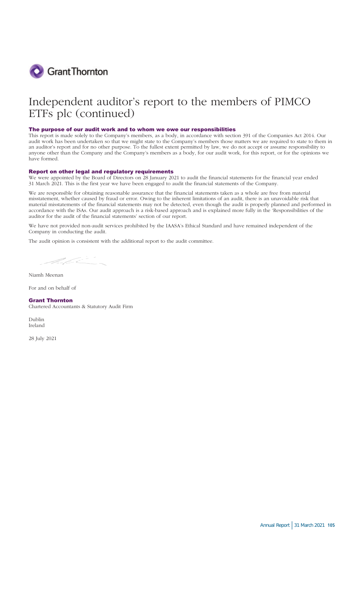

# The purpose of our audit work and to whom we owe our responsibilities

This report is made solely to the Company's members, as a body, in accordance with section 391 of the Companies Act 2014. Our audit work has been undertaken so that we might state to the Company's members those matters we are required to state to them in an auditor's report and for no other purpose. To the fullest extent permitted by law, we do not accept or assume responsibility to anyone other than the Company and the Company's members as a body, for our audit work, for this report, or for the opinions we have formed.

# Report on other legal and regulatory requirements

We were appointed by the Board of Directors on 28 January 2021 to audit the financial statements for the financial year ended 31 March 2021. This is the first year we have been engaged to audit the financial statements of the Company.

We are responsible for obtaining reasonable assurance that the financial statements taken as a whole are free from material misstatement, whether caused by fraud or error. Owing to the inherent limitations of an audit, there is an unavoidable risk that material misstatements of the financial statements may not be detected, even though the audit is properly planned and performed in accordance with the ISAs. Our audit approach is a risk-based approach and is explained more fully in the 'Responsibilities of the auditor for the audit of the financial statements' section of our report.

We have not provided non-audit services prohibited by the IAASA's Ethical Standard and have remained independent of the Company in conducting the audit.

The audit opinion is consistent with the additional report to the audit committee.

Ali C

Niamh Meenan

For and on behalf of

## Grant Thornton

Chartered Accountants & Statutory Audit Firm

Dublin Ireland

28 July 2021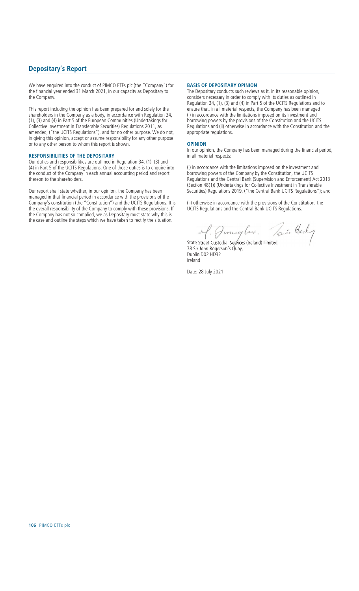We have enquired into the conduct of PIMCO ETFs plc (the "Company") for the financial year ended 31 March 2021, in our capacity as Depositary to the Company.

This report including the opinion has been prepared for and solely for the shareholders in the Company as a body, in accordance with Regulation 34, (1), (3) and (4) in Part 5 of the European Communities (Undertakings for Collective Investment in Transferable Securities) Regulations 2011, as amended, ("the UCITS Regulations"), and for no other purpose. We do not, in giving this opinion, accept or assume responsibility for any other purpose or to any other person to whom this report is shown.

#### **RESPONSIBILITIES OF THE DEPOSITARY**

Our duties and responsibilities are outlined in Regulation 34, (1), (3) and (4) in Part 5 of the UCITS Regulations. One of those duties is to enquire into the conduct of the Company in each annual accounting period and report thereon to the shareholders.

Our report shall state whether, in our opinion, the Company has been managed in that financial period in accordance with the provisions of the Company's constitution (the "Constitution") and the UCITS Regulations. It is the overall responsibility of the Company to comply with these provisions. If the Company has not so complied, we as Depositary must state why this is the case and outline the steps which we have taken to rectify the situation.

#### **BASIS OF DEPOSITARY OPINION**

The Depositary conducts such reviews as it, in its reasonable opinion, considers necessary in order to comply with its duties as outlined in Regulation 34, (1), (3) and (4) in Part 5 of the UCITS Regulations and to ensure that, in all material respects, the Company has been managed (i) in accordance with the limitations imposed on its investment and borrowing powers by the provisions of the Constitution and the UCITS Regulations and (ii) otherwise in accordance with the Constitution and the appropriate regulations.

#### **OPINION**

In our opinion, the Company has been managed during the financial period, in all material respects:

(i) in accordance with the limitations imposed on the investment and borrowing powers of the Company by the Constitution, the UCITS Regulations and the Central Bank (Supervision and Enforcement) Act 2013 (Section 48(1)) (Undertakings for Collective Investment in Transferable Securities) Regulations 2019, ("the Central Bank UCITS Regulations"); and

(ii) otherwise in accordance with the provisions of the Constitution, the UCITS Regulations and the Central Bank UCITS Regulations.

Vf. June of Lex. James Healy

78 Sir John Rogerson's Quay, Dublin D02 HD32 Ireland

Date: 28 July 2021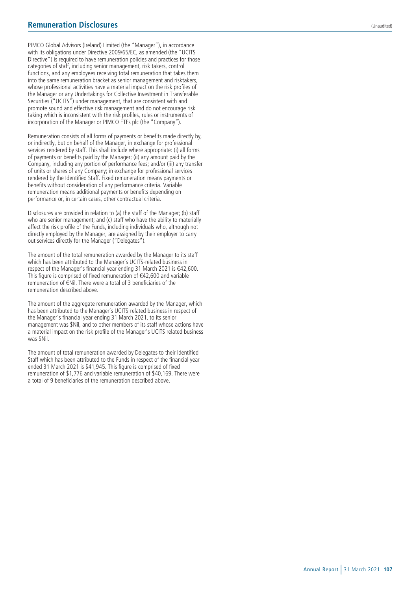PIMCO Global Advisors (Ireland) Limited (the "Manager"), in accordance with its obligations under Directive 2009/65/EC, as amended (the "UCITS Directive") is required to have remuneration policies and practices for those categories of staff, including senior management, risk takers, control functions, and any employees receiving total remuneration that takes them into the same remuneration bracket as senior management and risktakers, whose professional activities have a material impact on the risk profiles of the Manager or any Undertakings for Collective Investment in Transferable Securities ("UCITS") under management, that are consistent with and promote sound and effective risk management and do not encourage risk taking which is inconsistent with the risk profiles, rules or instruments of incorporation of the Manager or PIMCO ETFs plc (the "Company").

Remuneration consists of all forms of payments or benefits made directly by, or indirectly, but on behalf of the Manager, in exchange for professional services rendered by staff. This shall include where appropriate: (i) all forms of payments or benefits paid by the Manager; (ii) any amount paid by the Company, including any portion of performance fees; and/or (iii) any transfer of units or shares of any Company; in exchange for professional services rendered by the Identified Staff. Fixed remuneration means payments or benefits without consideration of any performance criteria. Variable remuneration means additional payments or benefits depending on performance or, in certain cases, other contractual criteria.

Disclosures are provided in relation to (a) the staff of the Manager; (b) staff who are senior management; and (c) staff who have the ability to materially affect the risk profile of the Funds, including individuals who, although not directly employed by the Manager, are assigned by their employer to carry out services directly for the Manager ("Delegates").

The amount of the total remuneration awarded by the Manager to its staff which has been attributed to the Manager's UCITS-related business in respect of the Manager's financial year ending 31 March 2021 is €42,600. This figure is comprised of fixed remuneration of €42,600 and variable remuneration of €Nil. There were a total of 3 beneficiaries of the remuneration described above.

The amount of the aggregate remuneration awarded by the Manager, which has been attributed to the Manager's UCITS-related business in respect of the Manager's financial year ending 31 March 2021, to its senior management was \$Nil, and to other members of its staff whose actions have a material impact on the risk profile of the Manager's UCITS related business was \$Nil.

The amount of total remuneration awarded by Delegates to their Identified Staff which has been attributed to the Funds in respect of the financial year ended 31 March 2021 is \$41,945. This figure is comprised of fixed remuneration of \$1,776 and variable remuneration of \$40,169. There were a total of 9 beneficiaries of the remuneration described above.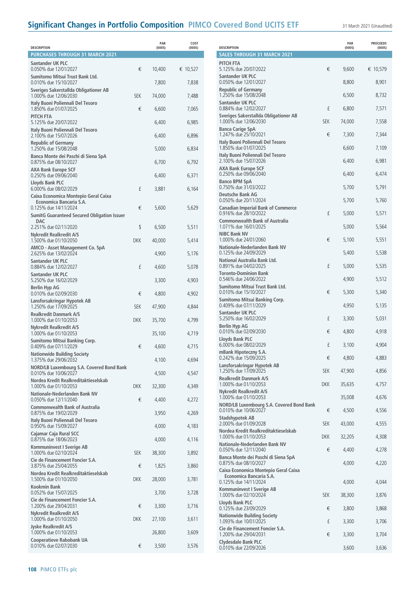# **Significant Changes in Portfolio Composition PIMCO Covered Bond UCITS ETF** 31 March 2021 (Unaudited)

| <b>DESCRIPTION</b>                                                          |            | PAR<br>(000S) | COST<br>(000S) |
|-----------------------------------------------------------------------------|------------|---------------|----------------|
| <b>PURCHASES THROUGH 31 MARCH 2021</b>                                      |            |               |                |
| Santander UK PLC<br>0.050% due 12/01/2027                                   | €          | 10,400        | € 10,527       |
| <b>Sumitomo Mitsui Trust Bank Ltd.</b><br>0.010% due 15/10/2027             |            | 7,800         | 7,838          |
| Sveriges Sakerstallda Obligationer AB<br>1.000% due 12/06/2030              | <b>SEK</b> | 74,000        | 7,488          |
| Italy Buoni Poliennali Del Tesoro<br>1.850% due 01/07/2025                  | €          | 6,600         | 7,065          |
| <b>PITCH FTA</b><br>5.125% due 20/07/2022                                   |            | 6,400         | 6,985          |
| Italy Buoni Poliennali Del Tesoro<br>2.100% due 15/07/2026                  |            | 6,400         | 6,896          |
| <b>Republic of Germany</b><br>1.250% due 15/08/2048                         |            | 5,000         | 6,834          |
| Banca Monte dei Paschi di Siena SpA<br>0.875% due 08/10/2027                |            | 6,700         | 6,792          |
| <b>AXA Bank Europe SCF</b><br>0.250% due 09/06/2040                         |            | 6,400         | 6,371          |
| Lloyds Bank PLC<br>6.000% due 08/02/2029                                    | £          | 3,881         | 6,164          |
| Caixa Economica Montepio Geral Caixa<br>Economica Bancaria S.A.             |            |               |                |
| 0.125% due 14/11/2024<br><b>SumitG Guaranteed Secured Obligation Issuer</b> | €          | 5,600         | 5,629          |
| <b>DAC</b>                                                                  |            |               |                |
| 2.251% due 02/11/2020<br><b>Nykredit Realkredit A/S</b>                     | \$         | 6,500         | 5,511          |
| 1.500% due 01/10/2050<br>AMCO - Asset Management Co. SpA                    | <b>DKK</b> | 40,000        | 5,414          |
| 2.625% due 13/02/2024<br><b>Santander UK PLC</b>                            |            | 4,900         | 5,176          |
| 0.884% due 12/02/2027<br><b>Santander UK PLC</b>                            | £          | 4,600         | 5,078          |
| 5.250% due 16/02/2029<br><b>Berlin Hyp AG</b>                               |            | 3,300         | 4,903          |
| 0.010% due 02/09/2030<br>Lansforsakringar Hypotek AB                        | €          | 4,800         | 4,902          |
| 1.250% due 17/09/2025<br><b>Realkredit Danmark A/S</b>                      | SEK        | 47,900        | 4,844          |
| 1.000% due 01/10/2053<br><b>Nykredit Realkredit A/S</b>                     | DKK        | 35,700        | 4,799          |
| 1.000% due 01/10/2053                                                       |            | 35,100        | 4,719          |
| Sumitomo Mitsui Banking Corp.<br>0.409% due 07/11/2029                      | €          | 4,600         | 4,715          |
| <b>Nationwide Building Society</b><br>1.375% due 29/06/2032                 |            | 4,100         | 4,694          |
| NORD/LB Luxembourg S.A. Covered Bond Bank<br>0.010% due 10/06/2027          |            | 4,500         | 4,547          |
| Nordea Kredit Realkreditaktieselskab<br>1.000% due 01/10/2053               | <b>DKK</b> | 32,300        | 4,349          |
| Nationale-Nederlanden Bank NV<br>0.050% due 12/11/2040                      | €          | 4,400         | 4,272          |
| <b>Commonwealth Bank of Australia</b><br>0.875% due 19/02/2029              |            | 3,950         | 4,269          |
| Italy Buoni Poliennali Del Tesoro<br>0.950% due 15/09/2027                  |            | 4,000         | 4,183          |
| Cajamar Caja Rural SCC<br>0.875% due 18/06/2023                             |            | 4,000         | 4,116          |
| <b>Kommuninvest I Sverige AB</b><br>1.000% due 02/10/2024                   | <b>SEK</b> | 38,300        | 3,892          |
| Cie de Financement Foncier S.A.<br>3.875% due 25/04/2055                    | €          | 1,825         | 3,860          |
| Nordea Kredit Realkreditaktieselskab<br>1.500% due 01/10/2050               | <b>DKK</b> | 28,000        | 3,781          |
| <b>Kookmin Bank</b><br>0.052% due 15/07/2025                                |            | 3,700         | 3,728          |
| Cie de Financement Foncier S.A.<br>1.200% due 29/04/2031                    | €          | 3,300         | 3,716          |
| <b>Nykredit Realkredit A/S</b><br>1.000% due 01/10/2050                     | <b>DKK</b> | 27,100        | 3,611          |
| <b>Jyske Realkredit A/S</b><br>1.000% due 01/10/2053                        |            | 26,800        | 3,609          |
| <b>Cooperatieve Rabobank UA</b><br>0.010% due 02/07/2030                    | €          | 3,500         | 3,576          |
|                                                                             |            |               |                |

| <b>DESCRIPTION</b>                                                                       |            | PAR<br>(000S) | <b>PROCEEDS</b><br>(000S) |
|------------------------------------------------------------------------------------------|------------|---------------|---------------------------|
| <b>SALES THROUGH 31 MARCH 2021</b>                                                       |            |               |                           |
| <b>PITCH FTA</b><br>5.125% due 20/07/2022                                                | €          | 9,600         | € 10,579                  |
| <b>Santander UK PLC</b><br>0.050% due 12/01/2027                                         |            | 8,800         | 8,901                     |
| <b>Republic of Germany</b><br>1.250% due 15/08/2048                                      |            | 6,500         | 8,732                     |
| <b>Santander UK PLC</b><br>0.884% due 12/02/2027                                         | £          | 6,800         | 7,571                     |
| Sveriges Sakerstallda Obligationer AB<br>1.000% due 12/06/2030                           | <b>SEK</b> | 74,000        | 7,558                     |
| <b>Banca Carige SpA</b><br>1.247% due 25/10/2021                                         | €          | 7,300         | 7,344                     |
| Italy Buoni Poliennali Del Tesoro<br>1.850% due 01/07/2025                               |            | 6,600         | 7,109                     |
| Italy Buoni Poliennali Del Tesoro<br>2.100% due 15/07/2026                               |            | 6,400         | 6,981                     |
| <b>AXA Bank Europe SCF</b><br>0.250% due 09/06/2040                                      |            | 6,400         | 6,474                     |
| <b>Banco BPM SpA</b><br>0.750% due 31/03/2022                                            |            | 5,700         | 5,791                     |
| Deutsche Bank AG<br>0.050% due 20/11/2024                                                |            | 5,700         | 5,760                     |
| <b>Canadian Imperial Bank of Commerce</b><br>0.916% due 28/10/2022                       | £          | 5,000         | 5,571                     |
| <b>Commonwealth Bank of Australia</b><br>1.071% due 16/01/2025                           |            | 5,000         | 5,564                     |
| <b>NIBC Bank NV</b><br>1.000% due 24/01/2060                                             | €          | 5,100         | 5,551                     |
| Nationale-Nederlanden Bank NV<br>0.125% due 24/09/2029                                   |            | 5,400         | 5,538                     |
| National Australia Bank Ltd.<br>0.891% due 04/02/2025                                    | £          | 5,000         | 5,535                     |
| <b>Toronto-Dominion Bank</b><br>0.546% due 24/06/2022                                    |            | 4,900         | 5,512                     |
| Sumitomo Mitsui Trust Bank Ltd.<br>0.010% due 15/10/2027                                 | €          | 5,300         | 5,340                     |
| Sumitomo Mitsui Banking Corp.<br>0.409% due 07/11/2029                                   |            | 4,950         | 5,135                     |
| <b>Santander UK PLC</b><br>5.250% due 16/02/2029                                         | £          | 3,300         | 5,031                     |
| <b>Berlin Hyp AG</b><br>0.010% due 02/09/2030                                            | €          | 4,800         | 4,918                     |
| Lloyds Bank PLC<br>6.000% due 08/02/2029                                                 | £          | 3,100         | 4,904                     |
| mBank Hipoteczny S.A.<br>0.242% due 15/09/2025                                           | €          | 4,800         | 4,883                     |
| Lansforsakringar Hypotek AB<br>1.250% due 17/09/2025                                     | <b>SEK</b> | 47,900        | 4,856                     |
| <b>Realkredit Danmark A/S</b><br>1.000% due 01/10/2053                                   | DKK        | 35,635        | 4,757                     |
| <b>Nykredit Realkredit A/S</b><br>1.000% due 01/10/2053                                  |            | 35,008        | 4,676                     |
| NORD/LB Luxembourg S.A. Covered Bond Bank<br>0.010% due 10/06/2027                       | €          | 4,500         | 4,556                     |
| <b>Stadshypotek AB</b><br>2.000% due 01/09/2028                                          | <b>SEK</b> | 43,000        | 4,555                     |
| Nordea Kredit Realkreditaktieselskab<br>1.000% due 01/10/2053                            | DKK        | 32,205        | 4,308                     |
| Nationale-Nederlanden Bank NV<br>0.050% due 12/11/2040                                   | €          | 4,400         | 4,278                     |
| Banca Monte dei Paschi di Siena SpA<br>0.875% due 08/10/2027                             |            | 4,000         | 4,220                     |
| Caixa Economica Montepio Geral Caixa<br>Economica Bancaria S.A.<br>0.125% due 14/11/2024 |            | 4,000         | 4,044                     |
| <b>Kommuninvest I Sverige AB</b><br>1.000% due 02/10/2024                                | <b>SEK</b> | 38,300        | 3,876                     |
| Lloyds Bank PLC<br>0.125% due 23/09/2029                                                 | €          | 3,800         | 3,868                     |
| <b>Nationwide Building Society</b><br>1.093% due 10/01/2025                              | £          | 3,300         | 3,706                     |
| Cie de Financement Foncier S.A.<br>1.200% due 29/04/2031                                 | €          | 3,300         | 3,704                     |
| <b>Clydesdale Bank PLC</b><br>0.010% due 22/09/2026                                      |            | 3,600         | 3,636                     |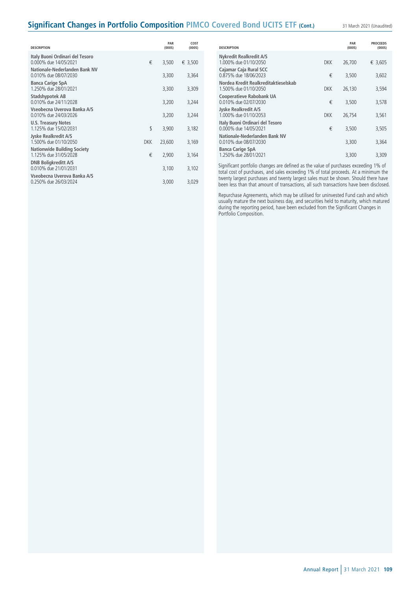## **Significant Changes in Portfolio Composition PIMCO Covered Bond UCITS ETF (Cont.) 31 March 2021 (Unaudited)**

| <b>DESCRIPTION</b>                                          |            | PAR<br>(000S) | COST<br>(000S) |
|-------------------------------------------------------------|------------|---------------|----------------|
| Italy Buoni Ordinari del Tesoro<br>0.000% due 14/05/2021    | €          | 3,500         | € 3,500        |
| Nationale-Nederlanden Bank NV<br>0.010% due 08/07/2030      |            | 3,300         | 3,364          |
| <b>Banca Carige SpA</b><br>1.250% due 28/01/2021            |            | 3,300         | 3,309          |
| Stadshypotek AB<br>0.010% due 24/11/2028                    |            | 3,200         | 3,244          |
| Vseobecna Uverova Banka A/S<br>0.010% due 24/03/2026        |            | 3,200         | 3,244          |
| <b>U.S. Treasury Notes</b><br>1.125% due 15/02/2031         | \$         | 3.900         | 3,182          |
| <b>Jyske Realkredit A/S</b><br>1.500% due 01/10/2050        | <b>DKK</b> | 23,600        | 3,169          |
| <b>Nationwide Building Society</b><br>1.125% due 31/05/2028 | €          | 2,900         | 3,164          |
| <b>DNB Boligkreditt A/S</b><br>0.010% due 21/01/2031        |            | 3,100         | 3,102          |
| Vseobecna Uverova Banka A/S<br>0.250% due 26/03/2024        |            | 3,000         | 3,029          |

| <b>DESCRIPTION</b>                                            |            | PAR<br>(000S) | <b>PROCEEDS</b><br>(000S) |
|---------------------------------------------------------------|------------|---------------|---------------------------|
| <b>Nykredit Realkredit A/S</b><br>1.000% due 01/10/2050       | DKK.       | 26,700        | € 3,605                   |
| Cajamar Caja Rural SCC<br>0.875% due 18/06/2023               | €          | 3,500         | 3,602                     |
| Nordea Kredit Realkreditaktieselskab<br>1.500% due 01/10/2050 | DKK.       | 26.130        | 3,594                     |
| <b>Cooperatieve Rabobank UA</b><br>0.010% due 02/07/2030      | €          | 3.500         | 3,578                     |
| <b>Jyske Realkredit A/S</b><br>1.000% due 01/10/2053          | <b>DKK</b> | 26.754        | 3,561                     |
| Italy Buoni Ordinari del Tesoro<br>0.000% due 14/05/2021      | €          | 3,500         | 3,505                     |
| Nationale-Nederlanden Bank NV<br>0.010% due 08/07/2030        |            | 3,300         | 3.364                     |
| <b>Banca Carige SpA</b><br>1.250% due 28/01/2021              |            | 3,300         | 3.309                     |

Significant portfolio changes are defined as the value of purchases exceeding 1% of total cost of purchases, and sales exceeding 1% of total proceeds. At a minimum the twenty largest purchases and twenty largest sales must be shown. Should there have been less than that amount of transactions, all such transactions have been disclosed.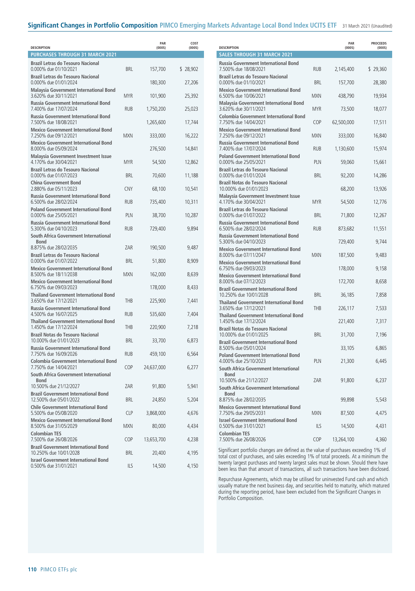#### **Significant Changes in Portfolio Composition PIMCO Emerging Markets Advantage Local Bond Index UCITS ETF** 31 March 2021 (Unaudited)

| <b>DESCRIPTION</b><br>(000S)                                                                                                            | COST<br>(000S) |
|-----------------------------------------------------------------------------------------------------------------------------------------|----------------|
| PURCHASES THROUGH 31 MARCH 2021                                                                                                         |                |
| <b>Brazil Letras do Tesouro Nacional</b><br>0.000% due 01/10/2021<br>BRL<br>157,700                                                     | \$28,902       |
| <b>Brazil Letras do Tesouro Nacional</b><br>0.000% due 01/01/2024<br>180,300                                                            | 27,206         |
| <b>Malaysia Government International Bond</b><br>3.620% due 30/11/2021<br><b>MYR</b><br>101,900                                         | 25,392         |
| <b>Russia Government International Bond</b><br>7.400% due 17/07/2024<br><b>RUB</b><br>1,750,200                                         | 25,023         |
| <b>Russia Government International Bond</b><br>7.500% due 18/08/2021<br>1,265,600                                                       | 17.744         |
| <b>Mexico Government International Bond</b><br>7.250% due 09/12/2021<br><b>MXN</b><br>333,000                                           | 16,222         |
| <b>Mexico Government International Bond</b><br>8.000% due 05/09/2024<br>276,500                                                         | 14,841         |
| <b>Malaysia Government Investment Issue</b><br>4.170% due 30/04/2021<br><b>MYR</b><br>54,500                                            | 12,862         |
| <b>Brazil Letras do Tesouro Nacional</b><br>0.000% due 01/07/2023<br><b>BRL</b><br>70,600                                               | 11,188         |
| <b>China Government Bond</b><br>2.880% due 05/11/2023<br><b>CNY</b><br>68,100                                                           | 10,541         |
| <b>Russia Government International Bond</b><br>6.500% due 28/02/2024<br><b>RUB</b><br>735,400                                           | 10,311         |
| <b>Poland Government International Bond</b><br>0.000% due 25/05/2021<br><b>PLN</b><br>38,700                                            | 10,287         |
| <b>Russia Government International Bond</b><br>5.300% due 04/10/2023<br><b>RUB</b><br>729,400                                           | 9,894          |
| South Africa Government International<br>Bond                                                                                           |                |
| 8.875% due 28/02/2035<br>ZAR<br>190,500<br><b>Brazil Letras do Tesouro Nacional</b>                                                     | 9,487          |
| 0.000% due 01/07/2022<br><b>BRL</b><br>51,800<br><b>Mexico Government International Bond</b>                                            | 8,909          |
| 8.500% due 18/11/2038<br>MXN<br>162,000<br><b>Mexico Government International Bond</b>                                                  | 8,639          |
| 6.750% due 09/03/2023<br>178,000<br><b>Thailand Government International Bond</b>                                                       | 8,433          |
| 3.650% due 17/12/2021<br>225,900<br>THB<br><b>Russia Government International Bond</b>                                                  | 7,441          |
| 4.500% due 16/07/2025<br><b>RUB</b><br>535,600<br><b>Thailand Government International Bond</b>                                         | 7,404          |
| 1.450% due 17/12/2024<br><b>THB</b><br>220,900<br><b>Brazil Notas do Tesouro Nacional</b>                                               | 7,218          |
| 10.000% due 01/01/2023<br><b>BRL</b><br>33,700<br>Russia Government International Bond                                                  | 6,873          |
| 7.750% due 16/09/2026<br>459,100<br>RUB                                                                                                 | 6,564          |
| <b>Colombia Government International Bond</b><br>7.750% due 14/04/2021<br>COP<br>24,637,000                                             | 6,277          |
| South Africa Government International<br>Bond<br>10.500% due 21/12/2027<br>ZAR<br>91,800                                                | 5,941          |
| <b>Brazil Government International Bond</b><br>12.500% due 05/01/2022<br><b>BRL</b><br>24,850                                           | 5,204          |
| <b>Chile Government International Bond</b><br>5.500% due 05/08/2020<br><b>CLP</b><br>3,868,000                                          | 4,676          |
| <b>Mexico Government International Bond</b><br>8.500% due 31/05/2029<br>MXN<br>80,000                                                   | 4,434          |
| <b>Colombian TES</b>                                                                                                                    | 4,238          |
| 7.500% due 26/08/2026<br>COP<br>13,653,700<br><b>Brazil Government International Bond</b>                                               |                |
| 10.250% due 10/01/2028<br><b>BRL</b><br>20,400<br><b>Israel Government International Bond</b><br>0.500% due 31/01/2021<br>ILS<br>14,500 | 4,195<br>4,150 |

| <b>DESCRIPTION</b>                                                            |            | PAR<br>(000S) | <b>PROCEEDS</b><br>(000S) |
|-------------------------------------------------------------------------------|------------|---------------|---------------------------|
| <b>SALES THROUGH 31 MARCH 2021</b>                                            |            |               |                           |
| <b>Russia Government International Bond</b><br>7.500% due 18/08/2021          | <b>RUB</b> | 2,145,400     | \$29,360                  |
| <b>Brazil Letras do Tesouro Nacional</b><br>0.000% due 01/10/2021             | BRL        | 157,700       | 28,380                    |
| <b>Mexico Government International Bond</b><br>6.500% due 10/06/2021          | <b>MXN</b> | 438,790       | 19,934                    |
| Malaysia Government International Bond<br>3.620% due 30/11/2021               | <b>MYR</b> | 73,500        | 18,077                    |
| <b>Colombia Government International Bond</b><br>7.750% due 14/04/2021        | COP        | 62,500,000    | 17,511                    |
| <b>Mexico Government International Bond</b><br>7.250% due 09/12/2021          | MXN        | 333,000       | 16,840                    |
| <b>Russia Government International Bond</b><br>7.400% due 17/07/2024          | <b>RUB</b> | 1,130,600     | 15,974                    |
| <b>Poland Government International Bond</b><br>0.000% due 25/05/2021          | PLN        | 59,060        | 15,661                    |
| <b>Brazil Letras do Tesouro Nacional</b><br>0.000% due 01/01/2024             | <b>BRL</b> | 92,200        | 14,286                    |
| <b>Brazil Notas do Tesouro Nacional</b><br>10.000% due 01/01/2023             |            | 68,200        | 13,926                    |
| <b>Malaysia Government Investment Issue</b><br>4.170% due 30/04/2021          | <b>MYR</b> | 54,500        | 12,776                    |
| <b>Brazil Letras do Tesouro Nacional</b><br>0.000% due 01/07/2022             | <b>BRL</b> | 71,800        | 12,267                    |
| <b>Russia Government International Bond</b><br>6.500% due 28/02/2024          | <b>RUB</b> | 873,682       | 11,551                    |
| <b>Russia Government International Bond</b><br>5.300% due 04/10/2023          |            | 729,400       | 9,744                     |
| <b>Mexico Government International Bond</b><br>8.000% due 07/11/2047          | <b>MXN</b> | 187,500       | 9,483                     |
| <b>Mexico Government International Bond</b><br>6.750% due 09/03/2023          |            | 178,000       | 9,158                     |
| <b>Mexico Government International Bond</b><br>8.000% due 07/12/2023          |            | 172,700       | 8,658                     |
| <b>Brazil Government International Bond</b><br>10.250% due 10/01/2028         | BRL        | 36,185        | 7,858                     |
| <b>Thailand Government International Bond</b><br>3.650% due 17/12/2021        | THB        | 226,117       | 7,533                     |
| <b>Thailand Government International Bond</b><br>1.450% due 17/12/2024        |            | 221,400       | 7,317                     |
| <b>Brazil Notas do Tesouro Nacional</b><br>10.000% due 01/01/2025             | <b>BRL</b> | 31,700        | 7,196                     |
| <b>Brazil Government International Bond</b><br>8.500% due 05/01/2024          |            | 33,105        | 6,865                     |
| <b>Poland Government International Bond</b><br>4.000% due 25/10/2023          | PLN        | 21,300        | 6,445                     |
| South Africa Government International                                         |            |               |                           |
| <b>Bond</b><br>10.500% due 21/12/2027                                         | ZAR        | 91,800        | 6,237                     |
| South Africa Government International<br><b>Bond</b><br>8.875% due 28/02/2035 |            | 99,898        | 5,543                     |
| <b>Mexico Government International Bond</b>                                   |            |               |                           |
| 7.750% due 29/05/2031<br><b>Israel Government International Bond</b>          | <b>MXN</b> | 87,500        | 4,475                     |
| 0.500% due 31/01/2021                                                         | ILS        | 14,500        | 4,431                     |
| <b>Colombian TES</b><br>7.500% due 26/08/2026                                 | <b>COP</b> | 13,264,100    | 4,360                     |

Significant portfolio changes are defined as the value of purchases exceeding 1% of total cost of purchases, and sales exceeding 1% of total proceeds. At a minimum the twenty largest purchases and twenty largest sales must be shown. Should there have been less than that amount of transactions, all such transactions have been disclosed.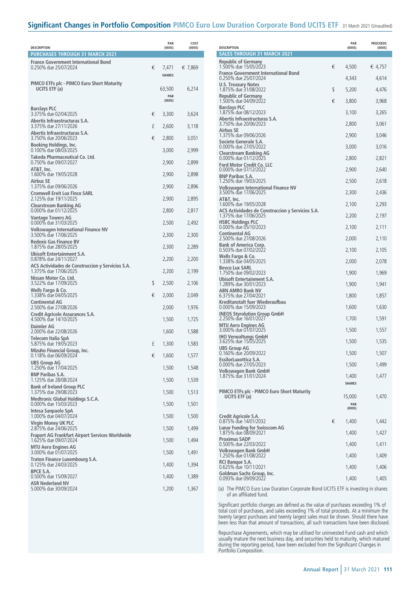### **Significant Changes in Portfolio Composition PIMCO Euro Low Duration Corporate Bond UCITS ETF** 31 March 2021 (Unaudited)

| <b>DESCRIPTION</b>                                                              |    | PAR<br>(000S)          | COST<br>(000S) | <b>DESCRIPTION</b>                                                                                        | PAR<br>(000S) | <b>PROCEEDS</b><br>(000S) |
|---------------------------------------------------------------------------------|----|------------------------|----------------|-----------------------------------------------------------------------------------------------------------|---------------|---------------------------|
| <b>PURCHASES THROUGH 31 MARCH 2021</b>                                          |    |                        |                | <b>SALES THROUGH 31 MARCH 2021</b>                                                                        |               |                           |
| <b>France Government International Bond</b>                                     |    |                        |                | <b>Republic of Germany</b>                                                                                |               |                           |
| 0.250% due 25/07/2024                                                           | €  | 7,471<br><b>SHARES</b> | € 7.869        | 1.500% due 15/05/2023<br>€<br><b>France Government International Bond</b>                                 | 4,500         | € 4,757                   |
| PIMCO ETFs plc - PIMCO Euro Short Maturity                                      |    |                        |                | 0.250% due 25/07/2024                                                                                     | 4,343         | 4,614                     |
| UCITS ETF (a)                                                                   |    | 63,500                 | 6,214          | <b>U.S. Treasury Notes</b><br>1.875% due 31/08/2022<br>\$                                                 | 5,200         | 4,476                     |
|                                                                                 |    | PAR<br>(000S)          |                | <b>Republic of Germany</b><br>1.500% due 04/09/2022<br>€                                                  | 3,800         | 3,968                     |
| <b>Barclays PLC</b>                                                             |    |                        |                | <b>Barclays PLC</b><br>1.875% due 08/12/2023                                                              | 3,100         | 3,265                     |
| 3.375% due 02/04/2025<br>Abertis Infraestructuras S.A.                          | €  | 3,300                  | 3,624          | Abertis Infraestructuras S.A.                                                                             |               |                           |
| 3.375% due 27/11/2026                                                           | £  | 2,600                  | 3,118          | 3.750% due 20/06/2023<br><b>Airbus SE</b>                                                                 | 2,800         | 3,061                     |
| Abertis Infraestructuras S.A.<br>3.750% due 20/06/2023                          | €  | 2,800                  | 3,051          | 1.375% due 09/06/2026                                                                                     | 2,900         | 3,046                     |
| <b>Booking Holdings, Inc.</b><br>0.100% due 08/03/2025                          |    | 3,000                  | 2,999          | Societe Generale S.A.<br>0.000% due 27/05/2022                                                            | 3,000         | 3,016                     |
| Takeda Pharmaceutical Co. Ltd.                                                  |    |                        |                | <b>Clearstream Banking AG</b><br>0.000% due 01/12/2025                                                    | 2,800         | 2,821                     |
| 0.750% due 09/07/2027<br>AT&T, Inc.                                             |    | 2,900                  | 2,899          | <b>Ford Motor Credit Co. LLC</b><br>0.000% due 07/12/2022                                                 | 2,900         | 2,640                     |
| 1.600% due 19/05/2028                                                           |    | 2,900                  | 2,898          | <b>BNP Paribas S.A.</b>                                                                                   |               |                           |
| <b>Airbus SE</b><br>1.375% due 09/06/2026                                       |    | 2,900                  | 2,896          | 1.250% due 19/03/2025<br><b>Volkswagen International Finance NV</b>                                       | 2,500         | 2,618                     |
| <b>Cromwell Ereit Lux Finco SARL</b><br>2.125% due 19/11/2025                   |    | 2,900                  | 2,895          | 3.500% due 17/06/2025<br>AT&T, Inc.                                                                       | 2,300         | 2,436                     |
| <b>Clearstream Banking AG</b>                                                   |    |                        |                | 1.600% due 19/05/2028                                                                                     | 2,100         | 2,293                     |
| 0.000% due 01/12/2025<br><b>Vantage Towers AG</b>                               |    | 2,800                  | 2,817          | ACS Actividades de Construccion y Servicios S.A.<br>1.375% due 17/06/2025                                 | 2,200         | 2,197                     |
| 0.000% due 31/03/2025                                                           |    | 2,500                  | 2,492          | <b>HSBC Holdings PLC</b><br>0.000% due 05/10/2023                                                         | 2,100         | 2,111                     |
| <b>Volkswagen International Finance NV</b><br>3.500% due 17/06/2025             |    | 2,300                  | 2,300          | <b>Continental AG</b><br>2.500% due 27/08/2026                                                            | 2,000         | 2,110                     |
| <b>Redexis Gas Finance BV</b><br>1.875% due 28/05/2025                          |    | 2,300                  | 2,289          | <b>Bank of America Corp.</b><br>0.503% due 07/02/2022                                                     | 2,100         | 2,105                     |
| Ubisoft Entertainment S.A.<br>0.878% due 24/11/2027                             |    | 2,200                  | 2,200          | Wells Fargo & Co.<br>1.338% due 04/05/2025                                                                | 2,000         | 2,078                     |
| ACS Actividades de Construccion y Servicios S.A.<br>1.375% due 17/06/2025       |    | 2,200                  | 2,199          | <b>Bevco Lux SARL</b><br>1.750% due 09/02/2023                                                            | 1,900         | 1,969                     |
| Nissan Motor Co. Ltd.<br>3.522% due 17/09/2025                                  | \$ | 2,500                  | 2,106          | <b>Ubisoft Entertainment S.A.</b><br>1.289% due 30/01/2023                                                | 1,900         | 1,941                     |
| Wells Fargo & Co.<br>1.338% due 04/05/2025                                      | €  | 2,000                  | 2,049          | <b>ABN AMRO Bank NV</b><br>6.375% due 27/04/2021                                                          | 1,800         | 1,857                     |
| <b>Continental AG</b><br>2.500% due 27/08/2026                                  |    | 2,000                  | 1,976          | Kreditanstalt fuer Wiederaufbau<br>0.000% due 15/09/2023                                                  | 1.600         | 1,630                     |
| Credit Agricole Assurances S.A.<br>4.500% due 14/10/2025                        |    | 1,500                  | 1,725          | <b>INEOS Styrolution Group GmbH</b><br>2.250% due 16/01/2027                                              | 1.700         | 1,591                     |
| Daimler AG<br>2.000% due 22/08/2026                                             |    | 1,600                  | 1,588          | <b>MTU Aero Engines AG</b><br>3.000% due 01/07/2025                                                       | 1,500         | 1,557                     |
| Telecom Italia SpA<br>5.875% due 19/05/2023                                     | £  | 1,300                  | 1,583          | <b>IHO Verwaltungs GmbH</b><br>3.625% due 15/05/2025                                                      | 1,500         | 1,535                     |
| Mizuho Financial Group, Inc.<br>0.118% due 06/09/2024                           | €  | 1,600                  | 1,577          | <b>UBS Group AG</b><br>0.160% due 20/09/2022                                                              | 1,500         | 1,507                     |
| <b>UBS Group AG</b><br>1.250% due 17/04/2025                                    |    | 1,500                  | 1,548          | EssilorLuxottica S.A.<br>0.000% due 27/05/2023                                                            | 1,500         | 1,499                     |
| <b>BNP Paribas S.A.</b>                                                         |    |                        |                | Volkswagen Bank GmbH<br>1.875% due 31/01/2024                                                             | 1,400         | 1,477                     |
| 1.125% due 28/08/2024<br><b>Bank of Ireland Group PLC</b>                       |    | 1,500                  | 1,539          |                                                                                                           | <b>SHARES</b> |                           |
| 1.375% due 29/08/2023                                                           |    | 1,500                  | 1,513          | PIMCO ETFs plc - PIMCO Euro Short Maturity<br>UCITS ETF (a)                                               | 15,000        | 1,470                     |
| <b>Medtronic Global Holdings S.C.A.</b><br>0.000% due 15/03/2023                |    | 1,500                  | 1,501          |                                                                                                           | PAR           |                           |
| Intesa Sanpaolo SpA<br>1.000% due 04/07/2024                                    |    | 1,500                  | 1,500          | Credit Agricole S.A.                                                                                      | (000S)        |                           |
| <b>Virgin Money UK PLC</b><br>2.875% due 24/06/2025                             |    | 1,500                  | 1,499          | 0.875% due 14/01/2032<br>€<br><b>Lunar Funding for Swisscom AG</b>                                        | 1,400         | 1,442                     |
| <b>Fraport AG Frankfurt Airport Services Worldwide</b><br>1.625% due 09/07/2024 |    | 1,500                  | 1,494          | 1.875% due 08/09/2021<br><b>Proximus SADP</b>                                                             | 1,400         | 1,427                     |
| <b>MTU Aero Engines AG</b><br>3.000% due 01/07/2025                             |    | 1,500                  | 1,491          | 0.500% due 22/03/2022<br><b>Volkswagen Bank GmbH</b>                                                      | 1,400         | 1,411                     |
| Traton Finance Luxembourg S.A.<br>0.125% due 24/03/2025                         |    | 1,400                  | 1,394          | 1.250% due 01/08/2022<br>RCI Banque S.A.                                                                  | 1,400         | 1,409                     |
| <b>BPCE S.A.</b><br>0.500% due 15/09/2027                                       |    | 1,400                  | 1,389          | 0.625% due 10/11/2021<br>Goldman Sachs Group, Inc.                                                        | 1,400         | 1,406                     |
| <b>ASR Nederland NV</b>                                                         |    |                        |                | 0.093% due 09/09/2022                                                                                     | 1,400         | 1,405                     |
| 5.000% due 30/09/2024                                                           |    | 1,200                  | 1,367          | (a) The PIMCO Euro Low Duration Corporate Bond UCITS ETF is investing in shares<br>of an affiliated fund. |               |                           |

Significant portfolio changes are defined as the value of purchases exceeding 1% of total cost of purchases, and sales exceeding 1% of total proceeds. At a minimum the twenty largest purchases and twenty largest sales must be shown. Should there have been less than that amount of transactions, all such transactions have been disclosed.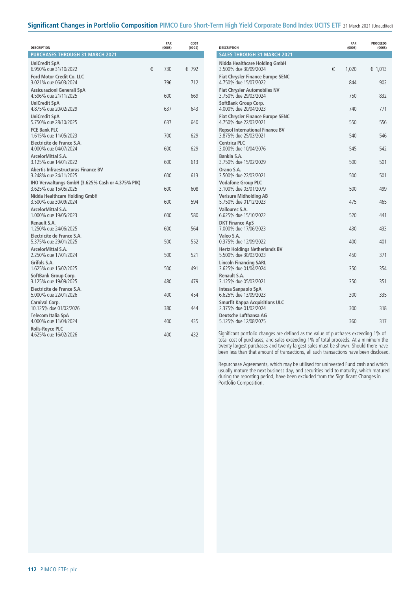#### **Significant Changes in Portfolio Composition PIMCO Euro Short-Term High Yield Corporate Bond Index UCITS ETF** 31 March 2021 (Unaudited)

| <b>DESCRIPTION</b>                                                        |   | PAR<br>(000S) | COST<br>(000S) | <b>DESCRIPTION</b>                                                                                                                                                         | PAR<br>(000S) | <b>PROCEEDS</b><br>(000S) |
|---------------------------------------------------------------------------|---|---------------|----------------|----------------------------------------------------------------------------------------------------------------------------------------------------------------------------|---------------|---------------------------|
| <b>PURCHASES THROUGH 31 MARCH 2021</b>                                    |   |               |                | <b>SALES THROUGH 31 MARCH 2021</b>                                                                                                                                         |               |                           |
| <b>UniCredit SpA</b><br>6.950% due 31/10/2022                             | € | 730           | € 792          | Nidda Healthcare Holding GmbH<br>€<br>3.500% due 30/09/2024                                                                                                                | 1.020         | € 1,013                   |
| <b>Ford Motor Credit Co. LLC</b><br>3.021% due 06/03/2024                 |   | 796           | 712            | Fiat Chrysler Finance Europe SENC<br>4.750% due 15/07/2022                                                                                                                 | 844           | 902                       |
| Assicurazioni Generali SpA<br>4.596% due 21/11/2025                       |   | 600           | 669            | <b>Fiat Chrysler Automobiles NV</b><br>3.750% due 29/03/2024                                                                                                               | 750           | 832                       |
| <b>UniCredit SpA</b><br>4.875% due 20/02/2029                             |   | 637           | 643            | SoftBank Group Corp.<br>4.000% due 20/04/2023                                                                                                                              | 740           | 771                       |
| <b>UniCredit SpA</b><br>5.750% due 28/10/2025                             |   | 637           | 640            | Fiat Chrysler Finance Europe SENC<br>4.750% due 22/03/2021                                                                                                                 | 550           | 556                       |
| <b>FCE Bank PLC</b><br>1.615% due 11/05/2023                              |   | 700           | 629            | <b>Repsol International Finance BV</b><br>3.875% due 25/03/2021                                                                                                            | 540           | 546                       |
| Electricite de France S.A.<br>4.000% due 04/07/2024                       |   | 600           | 629            | <b>Centrica PLC</b><br>3.000% due 10/04/2076                                                                                                                               | 545           | 542                       |
| ArcelorMittal S.A.<br>3.125% due 14/01/2022                               |   | 600           | 613            | Bankia S.A.<br>3.750% due 15/02/2029                                                                                                                                       | 500           | 501                       |
| Abertis Infraestructuras Finance BV<br>3.248% due 24/11/2025              |   | 600           | 613            | Orano S.A.<br>3.500% due 22/03/2021                                                                                                                                        | 500           | 501                       |
| IHO Verwaltungs GmbH (3.625% Cash or 4.375% PIK)<br>3.625% due 15/05/2025 |   | 600           | 608            | <b>Vodafone Group PLC</b><br>3.100% due 03/01/2079                                                                                                                         | 500           | 499                       |
| Nidda Healthcare Holding GmbH<br>3.500% due 30/09/2024                    |   | 600           | 594            | <b>Verisure Midholding AB</b><br>5.750% due 01/12/2023                                                                                                                     | 475           | 465                       |
| ArcelorMittal S.A.<br>1.000% due 19/05/2023                               |   | 600           | 580            | Vallourec S.A.<br>6.625% due 15/10/2022                                                                                                                                    | 520           | 441                       |
| Renault S.A.<br>1.250% due 24/06/2025                                     |   | 600           | 564            | <b>DKT Finance ApS</b><br>7.000% due 17/06/2023                                                                                                                            | 430           | 433                       |
| Electricite de France S.A.<br>5.375% due 29/01/2025                       |   | 500           | 552            | Valeo S.A.<br>0.375% due 12/09/2022                                                                                                                                        | 400           | 401                       |
| ArcelorMittal S.A.<br>2.250% due 17/01/2024                               |   | 500           | 521            | <b>Hertz Holdings Netherlands BV</b><br>5.500% due 30/03/2023                                                                                                              | 450           | 371                       |
| Grifols S.A.<br>1.625% due 15/02/2025                                     |   | 500           | 491            | <b>Lincoln Financing SARL</b><br>3.625% due 01/04/2024                                                                                                                     | 350           | 354                       |
| SoftBank Group Corp.<br>3.125% due 19/09/2025                             |   | 480           | 479            | Renault S.A.<br>3.125% due 05/03/2021                                                                                                                                      | 350           | 351                       |
| Electricite de France S.A.<br>5.000% due 22/01/2026                       |   | 400           | 454            | Intesa Sanpaolo SpA<br>6.625% due 13/09/2023                                                                                                                               | 300           | 335                       |
| Carnival Corp.<br>10.125% due 01/02/2026                                  |   | 380           | 444            | <b>Smurfit Kappa Acquisitions ULC</b><br>2.375% due 01/02/2024                                                                                                             | 300           | 318                       |
| <b>Telecom Italia SpA</b><br>4.000% due 11/04/2024                        |   | 400           | 435            | Deutsche Lufthansa AG<br>5.125% due 12/08/2075                                                                                                                             | 360           | 317                       |
| <b>Rolls-Royce PLC</b><br>4.625% due 16/02/2026                           |   | 400           | 432            | Significant portfolio changes are defined as the value of purchases exceeding 1% of<br>total cost of purchases, and sales exceeding 1% of total proceeds. At a minimum the |               |                           |

total cost of purchases, and sales exceeding 1% of total proceeds. At a minimum the twenty largest purchases and twenty largest sales must be shown. Should there have been less than that amount of transactions, all such transactions have been disclosed.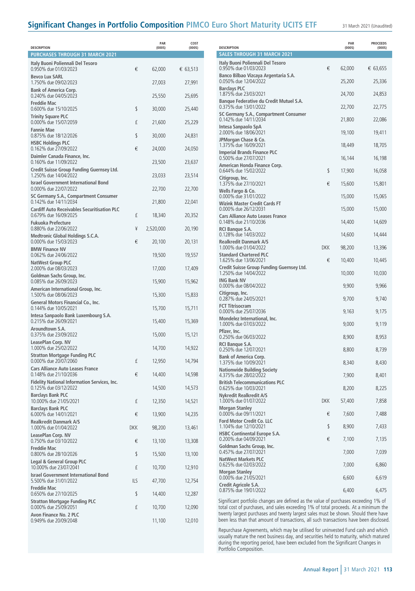| <b>DESCRIPTION</b>                                                           |            | PAR<br>(000S) | COST<br>(000S) |
|------------------------------------------------------------------------------|------------|---------------|----------------|
| PURCHASES THROUGH 31 MARCH 2021                                              |            |               |                |
| Italy Buoni Poliennali Del Tesoro<br>0.950% due 01/03/2023                   | €          | 62,000        | € 63,513       |
| <b>Bevco Lux SARL</b><br>1.750% due 09/02/2023                               |            | 27,003        | 27,991         |
| <b>Bank of America Corp.</b><br>0.240% due 04/05/2023                        |            | 25,550        | 25,695         |
| <b>Freddie Mac</b><br>0.600% due 15/10/2025                                  | \$         | 30,000        | 25,440         |
| <b>Trinity Square PLC</b><br>0.000% due 15/07/2059                           | £          | 21,600        | 25,229         |
| <b>Fannie Mae</b><br>0.875% due 18/12/2026                                   | \$         | 30,000        | 24,831         |
| <b>HSBC Holdings PLC</b><br>0.162% due 27/09/2022                            | €          | 24,000        | 24,050         |
| Daimler Canada Finance, Inc.<br>0.160% due 11/09/2022                        |            | 23,500        | 23,637         |
| Credit Suisse Group Funding Guernsey Ltd.<br>1.250% due 14/04/2022           |            | 23,033        | 23,514         |
| <b>Israel Government International Bond</b><br>0.000% due 22/07/2022         |            | 22,700        | 22,700         |
| SC Germany S.A., Compartment Consumer<br>0.142% due 14/11/2034               |            | 21,800        | 22,041         |
| <b>Cardiff Auto Receivables Securitisation PLC</b><br>0.679% due 16/09/2025  | £          | 18,340        | 20,352         |
| <b>Fukuoka Prefecture</b><br>0.880% due 22/06/2022                           | ¥          | 2,520,000     | 20,190         |
| <b>Medtronic Global Holdings S.C.A.</b><br>0.000% due 15/03/2023             | €          | 20,100        | 20,131         |
| <b>BMW Finance NV</b><br>0.062% due 24/06/2022                               |            | 19,500        | 19,557         |
| <b>NatWest Group PLC</b><br>2.000% due 08/03/2023                            |            | 17,000        | 17,409         |
| Goldman Sachs Group, Inc.<br>0.085% due 26/09/2023                           |            | 15,900        | 15,962         |
| American International Group, Inc.<br>1.500% due 08/06/2023                  |            | 15,300        | 15,833         |
| General Motors Financial Co., Inc.<br>0.144% due 10/05/2021                  |            | 15,700        | 15,711         |
| Intesa Sanpaolo Bank Luxembourg S.A.<br>0.215% due 26/09/2021                |            | 15,400        | 15,369         |
| Aroundtown S.A.<br>0.375% due 23/09/2022                                     |            | 15,000        | 15,121         |
| LeasePlan Corp. NV<br>1.000% due 25/02/2022                                  |            | 14,700        | 14,922         |
| <b>Stratton Mortgage Funding PLC</b><br>0.000% due 20/07/2060                | £          | 12,950        | 14,794         |
| <b>Cars Alliance Auto Leases France</b><br>0.148% due 21/10/2036             | €          | 14,400        | 14,598         |
| <b>Fidelity National Information Services, Inc.</b><br>0.125% due 03/12/2022 |            | 14,500        | 14,573         |
| <b>Barclays Bank PLC</b><br>10.000% due 21/05/2021                           | £          | 12,350        | 14,521         |
| <b>Barclays Bank PLC</b><br>6.000% due 14/01/2021                            | €          | 13,900        | 14,235         |
| <b>Realkredit Danmark A/S</b><br>1.000% due 01/04/2022                       | <b>DKK</b> | 98,200        | 13,461         |
| LeasePlan Corp. NV<br>0.750% due 03/10/2022                                  | €          | 13,100        | 13,308         |
| <b>Freddie Mac</b><br>0.800% due 28/10/2026                                  | \$         | 15,500        | 13,100         |
| Legal & General Group PLC<br>10.000% due 23/07/2041                          | £          | 10,700        | 12,910         |
| <b>Israel Government International Bond</b><br>5.500% due 31/01/2022         | ILS        | 47,700        | 12,754         |
| <b>Freddie Mac</b><br>0.650% due 27/10/2025                                  | \$         | 14,400        | 12,287         |
| <b>Stratton Mortgage Funding PLC</b><br>0.000% due 25/09/2051                | £          | 10,700        | 12,090         |
| <b>Avon Finance No. 2 PLC</b><br>0.949% due 20/09/2048                       |            | 11,100        | 12,010         |

| <b>DESCRIPTION</b>                                                 |            | PAR<br>(000S) | <b>PROCEEDS</b><br>(000S) |
|--------------------------------------------------------------------|------------|---------------|---------------------------|
| <b>SALES THROUGH 31 MARCH 2021</b>                                 |            |               |                           |
| Italy Buoni Poliennali Del Tesoro<br>0.950% due 01/03/2023         | €          | 62,000        | € 63,655                  |
| Banco Bilbao Vizcaya Argentaria S.A.<br>0.050% due 12/04/2022      |            | 25,200        | 25,336                    |
| <b>Barclays PLC</b><br>1.875% due 23/03/2021                       |            | 24,700        | 24,853                    |
| Banque Federative du Credit Mutuel S.A.<br>0.375% due 13/01/2022   |            | 22,700        | 22,775                    |
| SC Germany S.A., Compartment Consumer<br>0.142% due 14/11/2034     |            | 21,800        | 22,086                    |
| Intesa Sanpaolo SpA<br>2.000% due 18/06/2021                       |            | 19,100        | 19,411                    |
| JPMorgan Chase & Co.<br>1.375% due 16/09/2021                      |            | 18,449        | 18,705                    |
| <b>Imperial Brands Finance PLC</b><br>0.500% due 27/07/2021        |            | 16,144        | 16,198                    |
| American Honda Finance Corp.<br>0.644% due 15/02/2022              | \$         | 17,900        | 16,058                    |
| Citigroup, Inc.<br>1.375% due 27/10/2021                           | €          | 15,600        | 15,801                    |
| Wells Fargo & Co.<br>0.000% due 31/01/2022                         |            | 15,000        | 15,065                    |
| <b>Wizink Master Credit Cards FT</b><br>0.000% due 26/12/2031      |            | 15,000        | 15,000                    |
| <b>Cars Alliance Auto Leases France</b><br>0.148% due 21/10/2036   |            | 14,400        | 14,609                    |
| RCI Banque S.A.<br>0.128% due 14/03/2022                           |            | 14,600        | 14,444                    |
| <b>Realkredit Danmark A/S</b><br>1.000% due 01/04/2022             | <b>DKK</b> | 98,200        | 13,396                    |
| <b>Standard Chartered PLC</b><br>1.625% due 13/06/2021             | €          | 10,400        | 10,445                    |
| Credit Suisse Group Funding Guernsey Ltd.<br>1.250% due 14/04/2022 |            | 10,000        | 10,030                    |
| <b>ING Bank NV</b><br>0.000% due 08/04/2022                        |            | 9,900         | 9,966                     |
| Citigroup, Inc.<br>0.287% due 24/05/2021                           |            | 9,700         | 9,740                     |
| <b>FCT Titrisocram</b><br>0.000% due 25/07/2036                    |            | 9,163         | 9,175                     |
| <b>Mondelez International, Inc.</b><br>1.000% due 07/03/2022       |            | 9,000         | 9,119                     |
| Pfizer, Inc.<br>0.250% due 06/03/2022                              |            | 8,900         | 8,953                     |
| RCI Banque S.A.<br>0.250% due 12/07/2021                           |            | 8,800         | 8,739                     |
| <b>Bank of America Corp.</b><br>1.375% due 10/09/2021              |            | 8,340         | 8,430                     |
| <b>Nationwide Building Society</b><br>4.375% due 28/02/2022        |            | 7,900         | 8,401                     |
| <b>British Telecommunications PLC</b><br>0.625% due 10/03/2021     |            | 8,200         | 8,225                     |
| <b>Nykredit Realkredit A/S</b><br>1.000% due 01/07/2022            | <b>DKK</b> | 57,400        | 7,858                     |
| <b>Morgan Stanley</b><br>0.000% due 09/11/2021                     | €          | 7,600         | 7,488                     |
| <b>Ford Motor Credit Co. LLC</b><br>1.104% due 12/10/2021          | \$         | 8,900         | 7,433                     |
| <b>HSBC Continental Europe S.A.</b><br>0.200% due 04/09/2021       | €          | 7,100         | 7,135                     |
| Goldman Sachs Group, Inc.<br>0.457% due 27/07/2021                 |            | 7,000         | 7,039                     |
| <b>NatWest Markets PLC</b><br>0.625% due 02/03/2022                |            | 7,000         | 6,860                     |
| <b>Morgan Stanley</b><br>0.000% due 21/05/2021                     |            | 6,600         | 6,619                     |
| Credit Agricole S.A.<br>0.875% due 19/01/2022                      |            | 6,400         | 6,475                     |

Significant portfolio changes are defined as the value of purchases exceeding 1% of total cost of purchases, and sales exceeding 1% of total proceeds. At a minimum the twenty largest purchases and twenty largest sales must be shown. Should there have been less than that amount of transactions, all such transactions have been disclosed.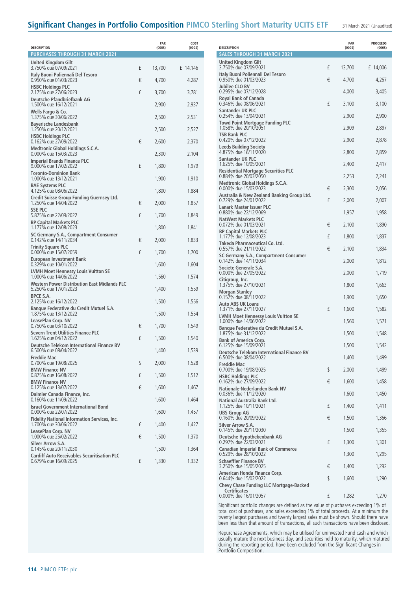| <b>DESCRIPTION</b>                                                           |    | PAR<br>(000S) | COST<br>(000S) |
|------------------------------------------------------------------------------|----|---------------|----------------|
| PURCHASES THROUGH 31 MARCH 2021                                              |    |               |                |
| <b>United Kingdom Gilt</b><br>3.750% due 07/09/2021                          | £  | 13,700        | £ 14,146       |
| Italy Buoni Poliennali Del Tesoro<br>0.950% due 01/03/2023                   | €  | 4,700         | 4,287          |
| <b>HSBC Holdings PLC</b><br>2.175% due 27/06/2023                            | £  | 3,700         | 3,781          |
| <b>Deutsche Pfandbriefbank AG</b><br>1.500% due 16/12/2021                   |    | 2,900         | 2,937          |
| Wells Fargo & Co.<br>1.375% due 30/06/2022                                   |    | 2,500         | 2,531          |
| <b>Bayerische Landesbank</b><br>1.250% due 20/12/2021                        |    | 2,500         | 2,527          |
| <b>HSBC Holdings PLC</b><br>0.162% due 27/09/2022                            | €  | 2,600         | 2,370          |
| <b>Medtronic Global Holdings S.C.A.</b><br>0.000% due 15/03/2023             |    | 2,300         | 2,104          |
| <b>Imperial Brands Finance PLC</b><br>9.000% due 17/02/2022                  | £  | 1,800         | 1,979          |
| <b>Toronto-Dominion Bank</b><br>1.000% due 13/12/2021                        |    | 1,900         | 1,910          |
| <b>BAE Systems PLC</b><br>4.125% due 08/06/2022                              |    | 1,800         | 1,884          |
| <b>Credit Suisse Group Funding Guernsey Ltd.</b><br>1.250% due 14/04/2022    | €  | 2,000         | 1,857          |
| <b>SSE PLC</b><br>5.875% due 22/09/2022                                      | £  | 1,700         | 1,849          |
| <b>BP Capital Markets PLC</b><br>1.177% due 12/08/2023                       |    | 1,800         | 1,841          |
| SC Germany S.A., Compartment Consumer<br>0.142% due 14/11/2034               | €  | 2,000         | 1,833          |
| <b>Trinity Square PLC</b><br>0.000% due 15/07/2059                           | £  | 1,700         | 1,700          |
| <b>European Investment Bank</b><br>0.329% due 10/01/2022                     |    | 1,600         | 1,604          |
| <b>LVMH Moet Hennessy Louis Vuitton SE</b><br>1.000% due 14/06/2022          |    | 1,560         | 1,574          |
| <b>Western Power Distribution East Midlands PLC</b><br>5.250% due 17/01/2023 |    | 1,400         | 1,559          |
| <b>BPCE S.A.</b><br>2.125% due 16/12/2022                                    |    | 1,500         | 1,556          |
| Banque Federative du Credit Mutuel S.A.<br>1.875% due 13/12/2022             |    | 1,500         | 1,554          |
| LeasePlan Corp. NV<br>0.750% due 03/10/2022                                  | €  | 1,700         | 1,549          |
| <b>Severn Trent Utilities Finance PLC</b><br>1.625% due 04/12/2022           | £  | 1,500         | 1,540          |
| Deutsche Telekom International Finance BV<br>6.500% due 08/04/2022           |    | 1,400         | 1,539          |
| <b>Freddie Mac</b><br>0.700% due 19/08/2025                                  | \$ | 2,000         | 1,528          |
| <b>BMW Finance NV</b><br>0.875% due 16/08/2022                               | £  | 1,500         | 1,512          |
| <b>BMW Finance NV</b><br>0.125% due 13/07/2022                               | €  | 1,600         | 1,467          |
| Daimler Canada Finance, Inc.<br>0.160% due 11/09/2022                        |    | 1,600         | 1,464          |
| <b>Israel Government International Bond</b><br>0.000% due 22/07/2022         |    | 1,600         | 1,457          |
| <b>Fidelity National Information Services, Inc.</b><br>1.700% due 30/06/2022 | £  | 1,400         | 1,427          |
| LeasePlan Corp. NV<br>1.000% due 25/02/2022                                  | €  | 1,500         | 1,370          |
| Silver Arrow S.A.<br>0.145% due 20/11/2030                                   |    | 1,500         | 1,364          |
| <b>Cardiff Auto Receivables Securitisation PLC</b><br>0.679% due 16/09/2025  | £  | 1,330         | 1,332          |

| <b>DESCRIPTION</b>                                                    |    | PAR<br>(000S) | <b>PROCEEDS</b><br>(000S) |
|-----------------------------------------------------------------------|----|---------------|---------------------------|
| SALES THROUGH 31 MARCH 2021                                           |    |               |                           |
| United Kingdom Gilt<br>3.750% due 07/09/2021                          | £  | 13,700        | £ 14,006                  |
| Italy Buoni Poliennali Del Tesoro<br>0.950% due 01/03/2023            | €  | 4,700         | 4,267                     |
| Jubilee CLO BV<br>0.295% due 07/12/2028                               |    | 4,000         | 3,405                     |
| Royal Bank of Canada<br>0.346% due 08/06/2021                         | £  | 3,100         | 3,100                     |
| Santander UK PLC<br>0.254% due 13/04/2021                             |    | 2,900         | 2,900                     |
| Towd Point Mortgage Funding PLC<br>1.058% due 20/10/2051              |    | 2,909         | 2,897                     |
| <b>TSB Bank PLC</b><br>0.420% due 07/12/2022                          |    | 2,900         | 2,878                     |
| <b>Leeds Building Society</b><br>4.875% due 16/11/2020                |    | 2,800         | 2,859                     |
| Santander UK PLC<br>1.625% due 10/05/2021                             |    | 2,400         | 2,417                     |
| <b>Residential Mortgage Securities PLC</b>                            |    |               |                           |
| 0.884% due 20/03/2050<br>Medtronic Global Holdings S.C.A.             |    | 2,253         | 2,241                     |
| 0.000% due 15/03/2023<br>Australia & New Zealand Banking Group Ltd.   | €  | 2,300         | 2,056                     |
| 0.729% due 24/01/2022<br>Lanark Master Issuer PLC                     | £  | 2,000         | 2,007                     |
| 0.880% due 22/12/2069                                                 |    | 1,957         | 1,958                     |
| <b>NatWest Markets PLC</b><br>0.072% due 01/03/2021                   | €  | 2,100         | 1,890                     |
| <b>BP Capital Markets PLC</b><br>1.177% due 12/08/2023                | £  | 1,800         | 1,837                     |
| Takeda Pharmaceutical Co. Ltd.<br>0.557% due 21/11/2022               | €  | 2,100         | 1,834                     |
| SC Germany S.A., Compartment Consumer<br>0.142% due 14/11/2034        |    | 2,000         | 1,812                     |
| Societe Generale S.A.<br>0.000% due 27/05/2022                        |    | 2,000         | 1,719                     |
| Citigroup, Inc.<br>1.375% due 27/10/2021                              |    | 1,800         | 1,663                     |
| Morgan Stanley<br>0.157% due 08/11/2022                               |    | 1,900         | 1,650                     |
| <b>Auto ABS UK Loans</b><br>1.371% due 27/11/2027                     | £  | 1,600         | 1,582                     |
| <b>LVMH Moet Hennessy Louis Vuitton SE</b><br>1.000% due 14/06/2022   |    | 1,560         | 1,571                     |
| Banque Federative du Credit Mutuel S.A.<br>1.875% due 31/12/2022      |    | 1,500         | 1,548                     |
| <b>Bank of America Corp.</b><br>6.125% due 15/09/2021                 |    | 1,500         | 1,542                     |
| Deutsche Telekom International Finance BV<br>6.500% due 08/04/2022    |    | 1,400         | 1,499                     |
| <b>Freddie Mac</b><br>0.700% due 19/08/2025                           | \$ | 2,000         | 1,499                     |
| <b>HSBC Holdings PLC</b><br>0.162% due 27/09/2022                     | €  | 1,600         | 1,458                     |
| Nationale-Nederlanden Bank NV<br>0.036% due 11/12/2020                |    | 1,600         | 1,450                     |
| National Australia Bank Ltd.<br>1.125% due 10/11/2021                 | £  | 1,400         | 1,411                     |
| <b>UBS Group AG</b><br>0.160% due 20/09/2022                          | €  | 1,500         | 1,366                     |
| Silver Arrow S.A.<br>0.145% due 20/11/2030                            |    | 1,500         | 1,355                     |
| Deutsche Hypothekenbank AG<br>0.297% due 22/03/2021                   | £  | 1,300         | 1,301                     |
| <b>Canadian Imperial Bank of Commerce</b><br>0.529% due 28/10/2022    |    | 1,300         | 1,295                     |
| <b>Schaeffler Finance BV</b><br>3.250% due 15/05/2025                 | €  | 1,400         | 1,292                     |
| American Honda Finance Corp.<br>0.644% due 15/02/2022                 | \$ | 1,600         | 1,290                     |
| <b>Chevy Chase Funding LLC Mortgage-Backed</b><br><b>Certificates</b> |    |               |                           |
| 0.000% due 16/01/2057                                                 | £  | 1,282         | 1,270                     |

Significant portfolio changes are defined as the value of purchases exceeding 1% of total cost of purchases, and sales exceeding 1% of total proceeds. At a minimum the twenty largest purchases and twenty largest sales must be shown. Should there have been less than that amount of transactions, all such transactions have been disclosed.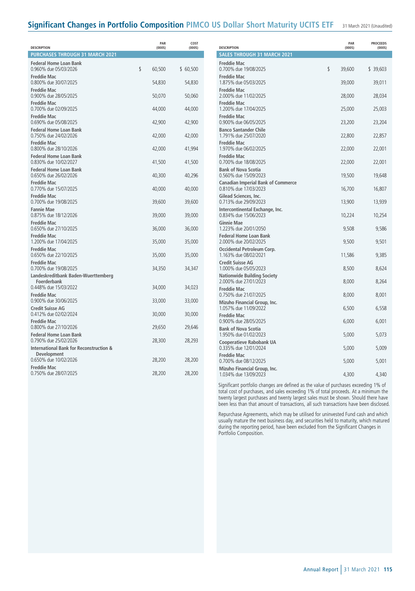## **Significant Changes in Portfolio Composition PIMCO US Dollar Short Maturity UCITS ETF** 31 March 2021 (Unaudited)

| <b>DESCRIPTION</b>                                     | PAR<br>(000S) | COST<br>(000S) |
|--------------------------------------------------------|---------------|----------------|
| <b>PURCHASES THROUGH 31 MARCH 2021</b>                 |               |                |
| Federal Home Loan Bank<br>0.960% due 05/03/2026        | \$<br>60,500  | \$<br>60,500   |
| <b>Freddie Mac</b><br>0.800% due 30/07/2025            | 54,830        | 54,830         |
| <b>Freddie Mac</b><br>0.900% due 28/05/2025            | 50,070        | 50,060         |
| <b>Freddie Mac</b><br>0.700% due 02/09/2025            | 44,000        | 44,000         |
| <b>Freddie Mac</b><br>0.690% due 05/08/2025            | 42,900        | 42,900         |
| <b>Federal Home Loan Bank</b><br>0.750% due 24/02/2026 | 42,000        | 42,000         |
| <b>Freddie Mac</b><br>0.800% due 28/10/2026            | 42,000        | 41,994         |
| <b>Federal Home Loan Bank</b><br>0.830% due 10/02/2027 | 41,500        | 41,500         |
| <b>Federal Home Loan Bank</b><br>0.650% due 26/02/2026 | 40,300        | 40,296         |
| <b>Freddie Mac</b><br>0.770% due 15/07/2025            | 40,000        | 40,000         |
| <b>Freddie Mac</b><br>0.700% due 19/08/2025            | 39,600        | 39,600         |
| <b>Fannie Mae</b><br>0.875% due 18/12/2026             | 39,000        | 39,000         |
| <b>Freddie Mac</b><br>0.650% due 27/10/2025            | 36,000        | 36,000         |
| <b>Freddie Mac</b><br>1.200% due 17/04/2025            | 35,000        | 35,000         |
| <b>Freddie Mac</b><br>0.650% due 22/10/2025            | 35,000        | 35,000         |
| <b>Freddie Mac</b><br>0.700% due 19/08/2025            | 34,350        | 34,347         |
| Landeskreditbank Baden-Wuerttemberg                    |               |                |
| Foerderbank<br>0.448% due 15/03/2022                   | 34,000        | 34,023         |
| <b>Freddie Mac</b><br>0.900% due 30/06/2025            | 33,000        | 33,000         |
| <b>Credit Suisse AG</b><br>0.412% due 02/02/2024       | 30,000        | 30,000         |
| <b>Freddie Mac</b><br>0.800% due 27/10/2026            | 29,650        | 29,646         |
| <b>Federal Home Loan Bank</b><br>0.790% due 25/02/2026 | 28,300        | 28,293         |
| <b>International Bank for Reconstruction &amp;</b>     |               |                |
| Development<br>0.650% due 10/02/2026                   | 28,200        | 28,200         |
| <b>Freddie Mac</b><br>0.750% due 28/07/2025            | 28,200        | 28,200         |

| <b>DESCRIPTION</b>                                                 | PAR<br>(000S) | <b>PROCEEDS</b><br>(000S) |
|--------------------------------------------------------------------|---------------|---------------------------|
| <b>SALES THROUGH 31 MARCH 2021</b>                                 |               |                           |
| <b>Freddie Mac</b>                                                 |               |                           |
| 0.700% due 19/08/2025                                              | \$<br>39,600  | \$ 39,603                 |
| <b>Freddie Mac</b><br>1.875% due 05/03/2025                        | 39,000        | 39,011                    |
| <b>Freddie Mac</b><br>2.000% due 11/02/2025                        | 28,000        | 28,034                    |
| <b>Freddie Mac</b><br>1.200% due 17/04/2025                        | 25,000        | 25,003                    |
| <b>Freddie Mac</b><br>0.900% due 06/05/2025                        | 23,200        | 23,204                    |
| <b>Banco Santander Chile</b><br>1.791% due 25/07/2020              | 22,800        | 22,857                    |
| <b>Freddie Mac</b><br>1.970% due 06/02/2025                        | 22,000        | 22,001                    |
| <b>Freddie Mac</b><br>0.700% due 18/08/2025                        | 22,000        | 22,001                    |
| <b>Bank of Nova Scotia</b><br>0.560% due 15/09/2023                | 19,500        | 19,648                    |
| <b>Canadian Imperial Bank of Commerce</b><br>0.810% due 17/03/2023 | 16,700        | 16,807                    |
| Gilead Sciences, Inc.<br>0.713% due 29/09/2023                     | 13,900        | 13,939                    |
| Intercontinental Exchange, Inc.<br>0.834% due 15/06/2023           | 10,224        | 10,254                    |
| <b>Ginnie Mae</b><br>1.223% due 20/01/2050                         | 9,508         | 9,586                     |
| <b>Federal Home Loan Bank</b><br>2.000% due 20/02/2025             | 9,500         | 9,501                     |
| Occidental Petroleum Corp.<br>1.163% due 08/02/2021                | 11,586        | 9,385                     |
| <b>Credit Suisse AG</b><br>1.000% due 05/05/2023                   | 8,500         | 8,624                     |
| <b>Nationwide Building Society</b><br>2.000% due 27/01/2023        | 8,000         | 8,264                     |
| <b>Freddie Mac</b><br>0.750% due 21/07/2025                        | 8,000         | 8,001                     |
| Mizuho Financial Group, Inc.<br>1.057% due 11/09/2022              | 6,500         | 6,558                     |
| <b>Freddie Mac</b><br>0.900% due 28/05/2025                        | 6,000         | 6,001                     |
| <b>Bank of Nova Scotia</b><br>1.950% due 01/02/2023                | 5,000         | 5,073                     |
| <b>Cooperatieve Rabobank UA</b><br>0.335% due 12/01/2024           | 5,000         | 5,009                     |
| <b>Freddie Mac</b><br>0.700% due 08/12/2025                        | 5,000         | 5,001                     |
| Mizuho Financial Group, Inc.<br>1.034% due 13/09/2023              | 4,300         | 4,340                     |

Significant portfolio changes are defined as the value of purchases exceeding 1% of total cost of purchases, and sales exceeding 1% of total proceeds. At a minimum the twenty largest purchases and twenty largest sales must be shown. Should there have been less than that amount of transactions, all such transactions have been disclosed.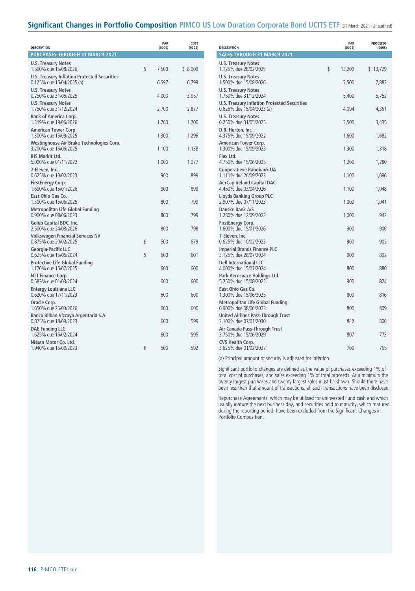### **Significant Changes in Portfolio Composition PIMCO US Low Duration Corporate Bond UCITS ETF** 31 March 2021 (Unaudited)

| <b>DESCRIPTION</b>                                                               |    | PAR<br>(000S) | COST<br>(000S) |
|----------------------------------------------------------------------------------|----|---------------|----------------|
| <b>PURCHASES THROUGH 31 MARCH 2021</b>                                           |    |               |                |
| <b>U.S. Treasury Notes</b><br>1.500% due 15/08/2026                              | \$ | 7,500         | \$ 8,009       |
| <b>U.S. Treasury Inflation Protected Securities</b><br>0.125% due 15/04/2025 (a) |    | 6,597         | 6,799          |
| <b>U.S. Treasury Notes</b><br>0.250% due 31/05/2025                              |    | 4,000         | 3,957          |
| <b>U.S. Treasury Notes</b><br>1.750% due 31/12/2024                              |    | 2,700         | 2,877          |
| <b>Bank of America Corp.</b><br>1.319% due 19/06/2026                            |    | 1,700         | 1,700          |
| <b>American Tower Corp.</b><br>1.300% due 15/09/2025                             |    | 1,300         | 1,296          |
| Westinghouse Air Brake Technologies Corp.<br>3.200% due 15/06/2025               |    | 1,100         | 1,138          |
| <b>IHS Markit Ltd.</b><br>5.000% due 01/11/2022                                  |    | 1,000         | 1,077          |
| 7-Eleven, Inc.<br>0.625% due 10/02/2023                                          |    | 900           | 899            |
| <b>FirstEnergy Corp.</b><br>1.600% due 15/01/2026                                |    | 900           | 899            |
| East Ohio Gas Co.<br>1.300% due 15/06/2025                                       |    | 800           | 799            |
| <b>Metropolitan Life Global Funding</b><br>0.900% due 08/06/2023                 |    | 800           | 799            |
| Golub Capital BDC, Inc.<br>2.500% due 24/08/2026                                 |    | 800           | 798            |
| <b>Volkswagen Financial Services NV</b><br>0.875% due 20/02/2025                 | £  | 500           | 679            |
| <b>Georgia-Pacific LLC</b><br>0.625% due 15/05/2024                              | \$ | 600           | 601            |
| <b>Protective Life Global Funding</b><br>1.170% due 15/07/2025                   |    | 600           | 600            |
| <b>NTT Finance Corp.</b><br>0.583% due 01/03/2024                                |    | 600           | 600            |
| <b>Entergy Louisiana LLC</b><br>0.620% due 17/11/2023                            |    | 600           | 600            |
| Oracle Corp.<br>1.650% due 25/03/2026                                            |    | 600           | 600            |
| Banco Bilbao Vizcaya Argentaria S.A.<br>0.875% due 18/09/2023                    |    | 600           | 599            |
| <b>DAE Funding LLC</b><br>1.625% due 15/02/2024                                  |    | 600           | 595            |
| Nissan Motor Co. Ltd.<br>1.940% due 15/09/2023                                   | €  | 500           | 592            |

| <b>DESCRIPTION</b>                                                               | PAR<br>(000S) | <b>PROCEEDS</b><br>(000S) |
|----------------------------------------------------------------------------------|---------------|---------------------------|
| <b>SALES THROUGH 31 MARCH 2021</b>                                               |               |                           |
| <b>U.S. Treasury Notes</b><br>1.125% due 28/02/2025                              | \$<br>13,200  | \$13,729                  |
| <b>U.S. Treasury Notes</b><br>1.500% due 15/08/2026                              | 7,500         | 7,882                     |
| <b>U.S. Treasury Notes</b><br>1.750% due 31/12/2024                              | 5,400         | 5,752                     |
| <b>U.S. Treasury Inflation Protected Securities</b><br>0.625% due 15/04/2023 (a) | 4,094         | 4,361                     |
| <b>U.S. Treasury Notes</b><br>0.250% due 31/05/2025                              | 3,500         | 3,435                     |
| D.R. Horton, Inc.<br>4.375% due 15/09/2022                                       | 1,600         | 1,682                     |
| <b>American Tower Corp.</b><br>1.300% due 15/09/2025                             | 1,300         | 1,318                     |
| Flex Ltd.<br>4.750% due 15/06/2025                                               | 1,200         | 1,280                     |
| <b>Cooperatieve Rabobank UA</b><br>1.111% due 26/09/2023                         | 1,100         | 1,096                     |
| <b>AerCap Ireland Capital DAC</b><br>4.450% due 03/04/2026                       | 1,100         | 1,048                     |
| <b>Lloyds Banking Group PLC</b><br>2.907% due 07/11/2023                         | 1,000         | 1,041                     |
| Danske Bank A/S<br>1.280% due 12/09/2023                                         | 1,000         | 942                       |
| <b>FirstEnergy Corp.</b><br>1.600% due 15/01/2026                                | 900           | 906                       |
| 7-Eleven, Inc.<br>0.625% due 10/02/2023                                          | 900           | 902                       |
| <b>Imperial Brands Finance PLC</b><br>3.125% due 26/07/2024                      | 900           | 892                       |
| <b>Dell International LLC</b><br>4.000% due 15/07/2024                           | 800           | 880                       |
| Park Aerospace Holdings Ltd.<br>5.250% due 15/08/2022                            | 900           | 824                       |
| East Ohio Gas Co.<br>1.300% due 15/06/2025                                       | 800           | 816                       |
| <b>Metropolitan Life Global Funding</b><br>0.900% due 08/06/2023                 | 800           | 809                       |
| <b>United Airlines Pass-Through Trust</b><br>3.100% due 07/01/2030               | 842           | 800                       |
| Air Canada Pass-Through Trust<br>3.750% due 15/06/2029                           | 807           | 773                       |
| <b>CVS Health Corp.</b><br>3.625% due 01/02/2027                                 | 700           | 765                       |

(a) Principal amount of security is adjusted for inflation.

Significant portfolio changes are defined as the value of purchases exceeding 1% of total cost of purchases, and sales exceeding 1% of total proceeds. At a minimum the twenty largest purchases and twenty largest sales must be shown. Should there have been less than that amount of transactions, all such transactions have been disclosed.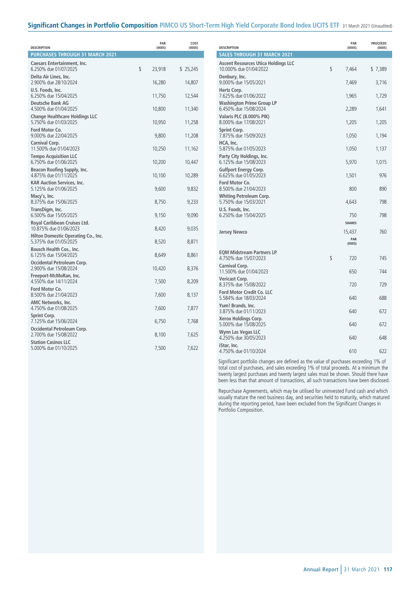#### **Significant Changes in Portfolio Composition PIMCO US Short-Term High Yield Corporate Bond Index UCITS ETF** 31 March 2021 (Unaudited)

| <b>DESCRIPTION</b>                                             | PAR<br>(000S) | COST<br>(000S) |
|----------------------------------------------------------------|---------------|----------------|
| PURCHASES THROUGH 31 MARCH 2021                                |               |                |
| <b>Caesars Entertainment, Inc.</b><br>6.250% due 01/07/2025    | \$<br>23,918  | \$25,245       |
| Delta Air Lines, Inc.<br>2.900% due 28/10/2024                 | 16,280        | 14,807         |
| U.S. Foods, Inc.<br>6.250% due 15/04/2025                      | 11,750        | 12,544         |
| <b>Deutsche Bank AG</b><br>4.500% due 01/04/2025               | 10,800        | 11,340         |
| <b>Change Healthcare Holdings LLC</b><br>5.750% due 01/03/2025 | 10,950        | 11,258         |
| Ford Motor Co.<br>9.000% due 22/04/2025                        | 9,800         | 11,208         |
| Carnival Corp.<br>11.500% due 01/04/2023                       | 10,250        | 11,162         |
| <b>Tempo Acquisition LLC</b><br>6.750% due 01/06/2025          | 10,200        | 10,447         |
| Beacon Roofing Supply, Inc.<br>4.875% due 01/11/2025           | 10,100        | 10,289         |
| <b>KAR Auction Services, Inc.</b><br>5.125% due 01/06/2025     | 9,600         | 9,832          |
| Macy's, Inc.<br>8.375% due 15/06/2025                          | 8,750         | 9,233          |
| TransDigm, Inc.<br>6.500% due 15/05/2025                       | 9,150         | 9,090          |
| Royal Caribbean Cruises Ltd.<br>10.875% due 01/06/2023         | 8,420         | 9,035          |
| Hilton Domestic Operating Co., Inc.<br>5.375% due 01/05/2025   | 8,520         | 8,871          |
| Bausch Health Cos., Inc.<br>6.125% due 15/04/2025              | 8,649         | 8,861          |
| Occidental Petroleum Corp.<br>2.900% due 15/08/2024            | 10,420        | 8,376          |
| Freeport-McMoRan, Inc.<br>4.550% due 14/11/2024                | 7,500         | 8,209          |
| Ford Motor Co.<br>8.500% due 21/04/2023                        | 7,600         | 8,137          |
| <b>AMC Networks, Inc.</b><br>4.750% due 01/08/2025             | 7,600         | 7,877          |
| Sprint Corp.<br>7.125% due 15/06/2024                          | 6,750         | 7,768          |
| Occidental Petroleum Corp.<br>2.700% due 15/08/2022            | 8,100         | 7,625          |
| <b>Station Casinos LLC</b><br>5.000% due 01/10/2025            | 7,500         | 7,622          |

| <b>DESCRIPTION</b>                                                   | PAR<br>(000S) | <b>PROCEEDS</b><br>(000S) |
|----------------------------------------------------------------------|---------------|---------------------------|
| <b>SALES THROUGH 31 MARCH 2021</b>                                   |               |                           |
| <b>Ascent Resources Utica Holdings LLC</b><br>10.000% due 01/04/2022 | \$<br>7,464   | \$7,389                   |
| Denbury, Inc.<br>9.000% due 15/05/2021                               | 7,469         | 3,716                     |
| Hertz Corp.<br>7.625% due 01/06/2022                                 | 1,965         | 1,729                     |
| <b>Washington Prime Group LP</b><br>6.450% due 15/08/2024            | 2,289         | 1,641                     |
| <b>Valaris PLC (8.000% PIK)</b><br>8.000% due 17/08/2021             | 1,205         | 1,205                     |
| Sprint Corp.<br>7.875% due 15/09/2023                                | 1,050         | 1,194                     |
| HCA, Inc.<br>5.875% due 01/05/2023                                   | 1,050         | 1,137                     |
| Party City Holdings, Inc.<br>6.125% due 15/08/2023                   | 5,970         | 1,015                     |
| <b>Gulfport Energy Corp.</b><br>6.625% due 01/05/2023                | 1,501         | 976                       |
| Ford Motor Co.<br>8.500% due 21/04/2023                              | 800           | 890                       |
| <b>Whiting Petroleum Corp.</b><br>5.750% due 15/03/2021              | 4,643         | 798                       |
| U.S. Foods, Inc.<br>6.250% due 15/04/2025                            | 750           | 798                       |
|                                                                      | <b>SHARES</b> |                           |
| <b>Jersey Newco</b>                                                  | 15,437        | 760                       |
|                                                                      | PAR<br>(000S) |                           |
| <b>EQM Midstream Partners LP</b><br>4.750% due 15/07/2023            | \$<br>720     | 745                       |
| Carnival Corp.<br>11.500% due 01/04/2023                             | 650           | 744                       |
| Vericast Corp.<br>8.375% due 15/08/2022                              | 720           | 729                       |
| <b>Ford Motor Credit Co. LLC</b><br>5.584% due 18/03/2024            | 640           | 688                       |
| Yum! Brands, Inc.<br>3.875% due 01/11/2023                           | 640           | 672                       |
| Xerox Holdings Corp.<br>5.000% due 15/08/2025                        | 640           | 672                       |
| Wynn Las Vegas LLC<br>4.250% due 30/05/2023                          | 640           | 648                       |
| iStar, Inc.<br>4.750% due 01/10/2024                                 | 610           | 622                       |

Significant portfolio changes are defined as the value of purchases exceeding 1% of total cost of purchases, and sales exceeding 1% of total proceeds. At a minimum the twenty largest purchases and twenty largest sales must be shown. Should there have been less than that amount of transactions, all such transactions have been disclosed.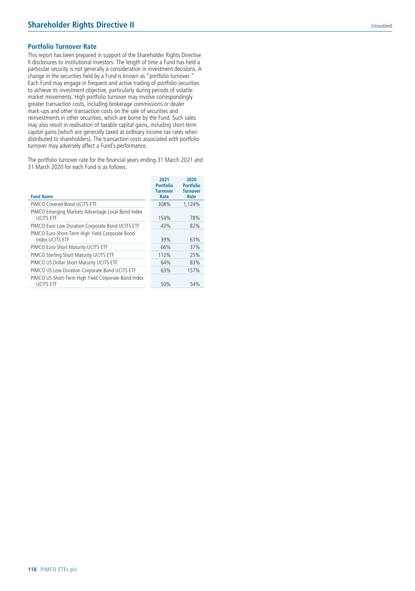#### **Portfolio Turnover Rate**

This report has been prepared in support of the Shareholder Rights Directive II disclosures to institutional investors. The length of time a Fund has held a particular security is not generally a consideration in investment decisions. A change in the securities held by a Fund is known as "portfolio turnover." Each Fund may engage in frequent and active trading of portfolio securities to achieve its investment objective, particularly during periods of volatile market movements. High portfolio turnover may involve correspondingly greater transaction costs, including brokerage commissions or dealer mark-ups and other transaction costs on the sale of securities and reinvestments in other securities, which are borne by the Fund. Such sales may also result in realisation of taxable capital gains, including short-term capital gains (which are generally taxed at ordinary income tax rates when distributed to shareholders). The transaction costs associated with portfolio turnover may adversely affect a Fund's performance.

The portfolio turnover rate for the financial years ending 31 March 2021 and 31 March 2020 for each Fund is as follows:

| <b>Fund Name</b>                                                        | 2021<br><b>Portfolio</b><br><b>Turnover</b><br>Rate | 2020<br><b>Portfolio</b><br><b>Turnover</b><br>Rate |
|-------------------------------------------------------------------------|-----------------------------------------------------|-----------------------------------------------------|
| PIMCO Covered Bond UCITS ETF                                            | 308%                                                | 1.124%                                              |
| PIMCO Emerging Markets Advantage Local Bond Index<br><b>UCITS ETF</b>   | 154%                                                | 78%                                                 |
| PIMCO Euro Low Duration Corporate Bond UCITS ETF                        | 43%                                                 | 82%                                                 |
| PIMCO Euro Short-Term High Yield Corporate Bond<br>Index UCITS ETF      | 39%                                                 | 63%                                                 |
| PIMCO Euro Short Maturity UCITS ETF                                     | 66%                                                 | 37%                                                 |
| PIMCO Sterling Short Maturity UCITS ETF                                 | 112%                                                | 25%                                                 |
| PIMCO US Dollar Short Maturity UCITS ETF                                | 64%                                                 | 83%                                                 |
| PIMCO US Low Duration Corporate Bond UCITS ETF                          | 63%                                                 | 157%                                                |
| PIMCO US Short-Term High Yield Corporate Bond Index<br><b>UCITS ETF</b> | 50%                                                 | 54%                                                 |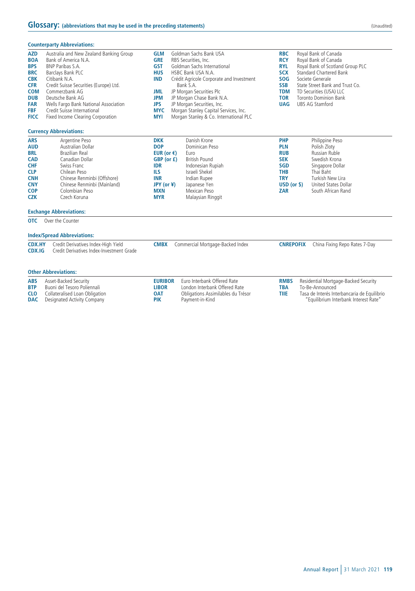#### **Counterparty Abbreviations:**

| <b>AZD</b>  | Australia and New Zealand Banking Group | <b>GLM</b> | Goldman Sachs Bank USA                   | <b>RBC</b> | Royal Bank of Canada             |  |  |  |
|-------------|-----------------------------------------|------------|------------------------------------------|------------|----------------------------------|--|--|--|
| <b>BOA</b>  | Bank of America N.A.                    | <b>GRE</b> | RBS Securities, Inc.                     | <b>RCY</b> | Royal Bank of Canada             |  |  |  |
| <b>BPS</b>  | BNP Paribas S.A.                        | <b>GST</b> | Goldman Sachs International              | <b>RYL</b> | Royal Bank of Scotland Group PLC |  |  |  |
| <b>BRC</b>  | Barclays Bank PLC                       | <b>HUS</b> | HSBC Bank USA N.A.                       | <b>SCX</b> | <b>Standard Chartered Bank</b>   |  |  |  |
| <b>CBK</b>  | Citibank N.A.                           | <b>IND</b> | Crédit Agricole Corporate and Investment | <b>SOG</b> | Societe Generale                 |  |  |  |
| <b>CFR</b>  | Credit Suisse Securities (Europe) Ltd.  |            | Bank S.A.                                | <b>SSB</b> | State Street Bank and Trust Co.  |  |  |  |
| <b>COM</b>  | Commerzbank AG                          | JML        | JP Morgan Securities Plc                 | TDM        | TD Securities (USA) LLC          |  |  |  |
| <b>DUB</b>  | Deutsche Bank AG                        | JPM        | JP Morgan Chase Bank N.A.                | TOR        | <b>Toronto Dominion Bank</b>     |  |  |  |
| <b>FAR</b>  | Wells Fargo Bank National Association   | JPS        | JP Morgan Securities, Inc.               | UAG        | UBS AG Stamford                  |  |  |  |
| <b>FBF</b>  | Credit Suisse International             | <b>MYC</b> | Morgan Stanley Capital Services, Inc.    |            |                                  |  |  |  |
| <b>FICC</b> | Fixed Income Clearing Corporation       | MYI        | Morgan Stanley & Co. International PLC   |            |                                  |  |  |  |
|             |                                         |            |                                          |            |                                  |  |  |  |
|             | <b>Currency Abbreviations:</b>          |            |                                          |            |                                  |  |  |  |

| <b>ARS</b>              | Argentine Peso                                                                   | <b>DKK</b>           | Danish Krone                     | <b>PHP</b>       | Philippine Peso               |
|-------------------------|----------------------------------------------------------------------------------|----------------------|----------------------------------|------------------|-------------------------------|
| <b>AUD</b>              | Australian Dollar                                                                | <b>DOP</b>           | Dominican Peso                   | <b>PLN</b>       | Polish Zloty                  |
| <b>BRL</b>              | Brazilian Real                                                                   | EUR (or $\epsilon$ ) | Euro                             | <b>RUB</b>       | Russian Ruble                 |
| <b>CAD</b>              | Canadian Dollar                                                                  | GBP (or £)           | <b>British Pound</b>             | <b>SEK</b>       | Swedish Krona                 |
| <b>CHF</b>              | Swiss Franc                                                                      | <b>IDR</b>           | Indonesian Rupiah                | <b>SGD</b>       | Singapore Dollar              |
| <b>CLP</b>              | Chilean Peso                                                                     | <b>ILS</b>           | Israeli Shekel                   | THB              | Thai Baht                     |
| <b>CNH</b>              | Chinese Renminbi (Offshore)                                                      | <b>INR</b>           | Indian Rupee                     | TRY              | Turkish New Lira              |
| <b>CNY</b>              | Chinese Renminbi (Mainland)                                                      | $JPY$ (or $\angle$ ) | Japanese Yen                     | $USD$ (or \$)    | United States Dollar          |
| <b>COP</b>              | Colombian Peso                                                                   | MXN                  | Mexican Peso                     | <b>ZAR</b>       | South African Rand            |
| <b>CZK</b>              | Czech Koruna                                                                     | <b>MYR</b>           | Malaysian Ringgit                |                  |                               |
|                         | <b>Exchange Abbreviations:</b>                                                   |                      |                                  |                  |                               |
| <b>OTC</b>              | Over the Counter                                                                 |                      |                                  |                  |                               |
|                         | <b>Index/Spread Abbreviations:</b>                                               |                      |                                  |                  |                               |
| <b>CDX.HY</b><br>CDX.IG | Credit Derivatives Index-High Yield<br>Credit Derivatives Index-Investment Grade | <b>CMBX</b>          | Commercial Mortgage-Backed Index | <b>CNREPOFIX</b> | China Fixing Repo Rates 7-Day |

#### **Other Abbreviations:**

| <b>ABS</b> | Asset-Backed Security                  | <b>EURIBOR</b> | Euro Interbank Offered Rate        | <b>RMBS</b> | Residential Mortgage-Backed Security        |
|------------|----------------------------------------|----------------|------------------------------------|-------------|---------------------------------------------|
| <b>BTP</b> | Buoni del Tesoro Poliennali            | <b>LIBOR</b>   | London Interbank Offered Rate      | TBA         | To-Be-Announced                             |
| <b>CLO</b> | Collateralised Loan Obligation         | <b>OAT</b>     | Obligations Assimilables du Trésor | TIIE.       | Tasa de Interés Interbancaria de Equilibrio |
|            | <b>DAC</b> Designated Activity Company | <b>PIK</b>     | Payment-in-Kind                    |             | "Equilibrium Interbank Interest Rate"       |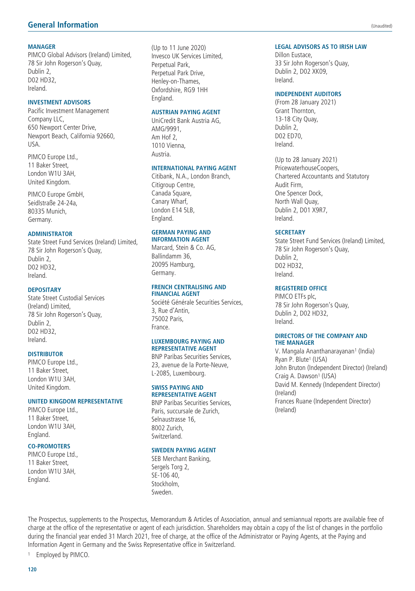## **General Information** (Unaudited)

#### **MANAGER**

PIMCO Global Advisors (Ireland) Limited, 78 Sir John Rogerson's Quay, Dublin 2, D02 HD32, Ireland.

#### **INVESTMENT ADVISORS**

Pacific Investment Management Company LLC, 650 Newport Center Drive, Newport Beach, California 92660, USA.

PIMCO Europe Ltd., 11 Baker Street, London W1U 3AH, United Kingdom.

PIMCO Europe GmbH, Seidlstraße 24-24a, 80335 Munich, Germany.

#### **ADMINISTRATOR**

State Street Fund Services (Ireland) Limited, 78 Sir John Rogerson's Quay, Dublin 2, D02 HD32, Ireland.

#### **DEPOSITARY**

State Street Custodial Services (Ireland) Limited, 78 Sir John Rogerson's Quay, Dublin 2, D02 HD32, Ireland.

#### **DISTRIBUTOR**

PIMCO Europe Ltd., 11 Baker Street, London W1U 3AH, United Kingdom.

#### **UNITED KINGDOM REPRESENTATIVE**

PIMCO Europe Ltd., 11 Baker Street, London W1U 3AH, England.

#### **CO-PROMOTERS**

PIMCO Europe Ltd., 11 Baker Street, London W1U 3AH, England.

(Up to 11 June 2020) Invesco UK Services Limited, Perpetual Park, Perpetual Park Drive, Henley-on-Thames, Oxfordshire, RG9 1HH England.

#### **AUSTRIAN PAYING AGENT**

UniCredit Bank Austria AG, AMG/9991, Am Hof 2, 1010 Vienna, Austria.

### **INTERNATIONAL PAYING AGENT**

Citibank, N.A., London Branch, Citigroup Centre, Canada Square, Canary Wharf, London E14 5LB, England.

#### **GERMAN PAYING AND INFORMATION AGENT**

Marcard, Stein & Co. AG, Ballindamm 36, 20095 Hamburg, Germany.

#### **FRENCH CENTRALISING AND FINANCIAL AGENT**

Société Générale Securities Services, 3, Rue d'Antin, 75002 Paris, France.

#### **LUXEMBOURG PAYING AND REPRESENTATIVE AGENT**

BNP Paribas Securities Services, 23, avenue de la Porte-Neuve, L-2085, Luxembourg.

#### **SWISS PAYING AND REPRESENTATIVE AGENT**

BNP Paribas Securities Services, Paris, succursale de Zurich, Selnaustrasse 16, 8002 Zurich, Switzerland.

### **SWEDEN PAYING AGENT**

SEB Merchant Banking, Sergels Torg 2, SE-106 40, Stockholm, Sweden.

#### **LEGAL ADVISORS AS TO IRISH LAW**

Dillon Eustace, 33 Sir John Rogerson's Quay, Dublin 2, D02 XK09, Ireland.

#### **INDEPENDENT AUDITORS**

(From 28 January 2021) Grant Thornton, 13-18 City Quay, Dublin 2, D02 ED70, Ireland.

(Up to 28 January 2021) PricewaterhouseCoopers, Chartered Accountants and Statutory Audit Firm, One Spencer Dock, North Wall Quay, Dublin 2, D01 X9R7, Ireland.

#### **SECRETARY**

State Street Fund Services (Ireland) Limited, 78 Sir John Rogerson's Quay, Dublin 2, D02 HD32, Ireland.

#### **REGISTERED OFFICE**

PIMCO ETFs plc, 78 Sir John Rogerson's Quay, Dublin 2, D02 HD32, Ireland.

#### **DIRECTORS OF THE COMPANY AND THE MANAGER**

V. Mangala Ananthanarayanan1 (India) Ryan P. Blute1 (USA) John Bruton (Independent Director) (Ireland) Craig A. Dawson<sup>1</sup> (USA) David M. Kennedy (Independent Director) (Ireland) Frances Ruane (Independent Director) (Ireland)

The Prospectus, supplements to the Prospectus, Memorandum & Articles of Association, annual and semiannual reports are available free of charge at the office of the representative or agent of each jurisdiction. Shareholders may obtain a copy of the list of changes in the portfolio during the financial year ended 31 March 2021, free of charge, at the office of the Administrator or Paying Agents, at the Paying and Information Agent in Germany and the Swiss Representative office in Switzerland.

<sup>1</sup> Employed by PIMCO.